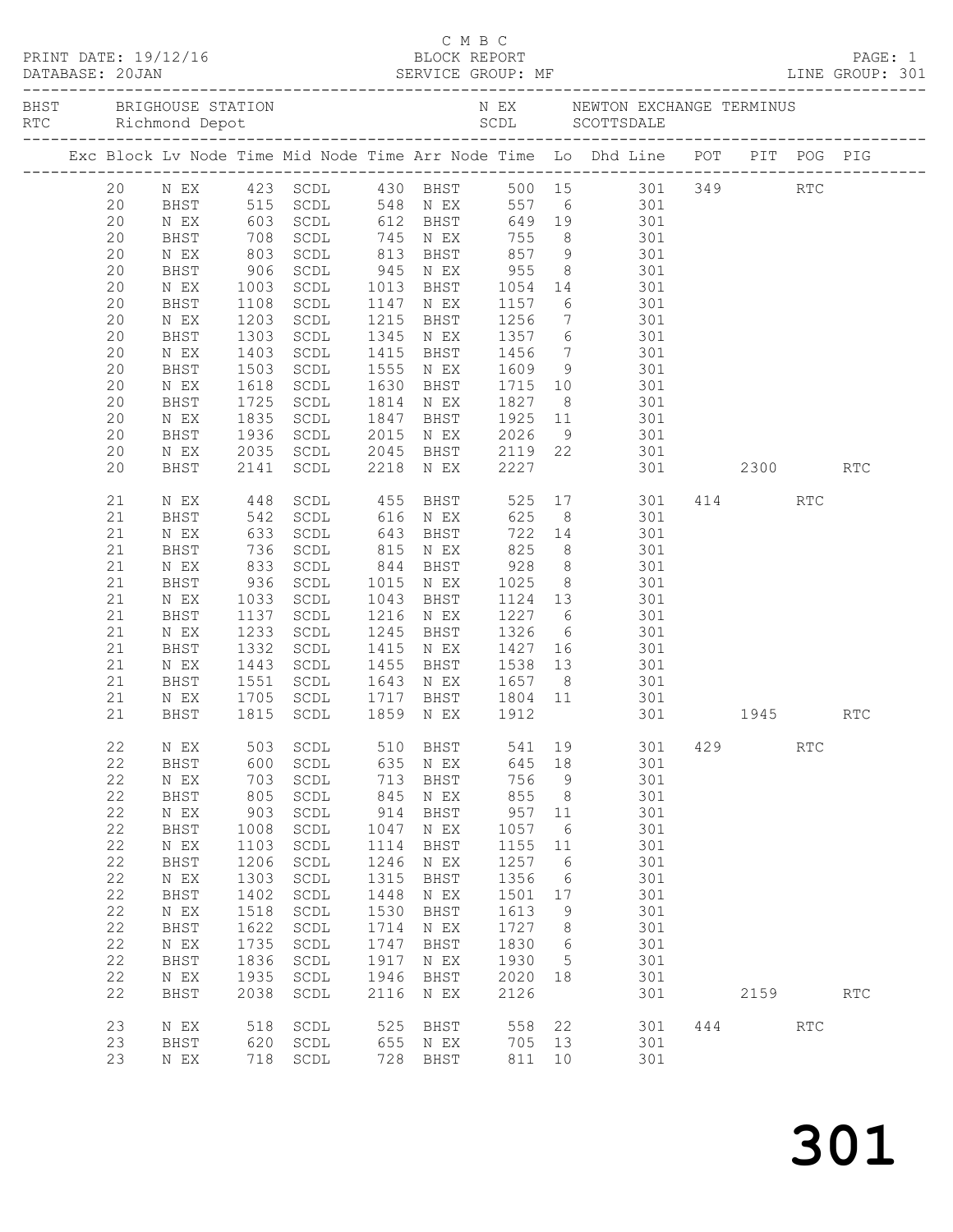| Exc Block Lv Node Time Mid Node Time Arr Node Time Lo Dhd Line POT PIT POG PIG<br>N EX   423   SCDL   430   BHST   500   15   301   349<br>20<br>RTC<br>515 SCDL 548 NEX 557 6<br>603 SCDL 612 BHST 649 19 301<br>708 SCDL 745 NEX 755 8 301<br>803 SCDL 813 BHST 857 9 301<br>20<br><b>BHST</b><br>20<br>N EX<br>20<br>BHST<br>20<br>N EX<br>955<br>20<br>906<br>SCDL<br>945 N EX<br>8 301<br>BHST<br>1054 14 301<br>1157 6 301<br>20<br>SCDL<br>1013 BHST<br>N EX<br>1003<br>1108<br>20<br>1147 N EX<br>BHST<br>1108<br>SCDL<br>7 301<br>1203<br>1256<br>20<br>SCDL<br>1215<br>BHST<br>N EX<br>6 301<br>20<br>1303<br>1345 N EX<br>1357<br>BHST<br>SCDL<br>$\begin{array}{ccc} 7 & 301 \\ 9 & 301 \end{array}$<br>20<br>1403<br>1503<br>1415<br>1456<br>1609<br>SCDL<br>BHST<br>N EX<br>1555<br>20<br>BHST<br>SCDL<br>N EX<br>1715 10 301<br>20<br>1618<br>SCDL<br>1630<br>BHST<br>N EX<br>20<br>1725<br>BHST<br>SCDL<br>1814<br>N EX<br>1827<br>8 301<br>20<br>1835<br>1936<br>1847<br>1925 11 301<br>2026 9 301<br>N EX<br>SCDL<br>BHST<br>20<br>2015<br>BHST<br>SCDL<br>N EX<br>2045 BHST 2119 22 301<br>2035<br>20<br>N EX<br>SCDL<br>301 2300<br>20<br>BHST<br>2141<br>SCDL<br>2218 N EX<br>2227<br><b>RTC</b><br>448 SCDL<br>542 SCDL<br>455 BHST 525 17 301 414<br>21<br>N EX<br>RTC<br>616 N EX 625<br>8 301<br>21<br>BHST<br>633<br>21<br>SCDL<br>722 14 301<br>N EX<br>643<br>BHST<br>736<br>833<br>936<br>825<br>928<br>1025<br>21<br>8 301<br>BHST<br>SCDL<br>815 N EX<br>8 301<br>8 301<br>21<br>SCDL<br>844 BHST<br>N EX<br>21<br>SCDL<br>1015 N EX<br>BHST<br>1124 13 301<br>21<br>1033<br>SCDL<br>1043<br>BHST<br>N EX<br>21<br>1137<br>SCDL<br>1216<br>1227<br>6 301<br>BHST<br>N EX<br>21<br>1245<br>1326<br>1326 6<br>1427 16<br>SCDL<br>301<br>N EX<br>BHST<br>1235<br>1332<br>21<br>1415<br>BHST<br>SCDL<br>301<br>N EX<br>1538 13 301<br>21<br>1443<br>SCDL<br>1455<br>BHST<br>N EX<br>21<br>1551<br>1643 N EX<br>BHST<br>SCDL<br>1657<br>8 <sup>8</sup><br>301<br>21<br>1705 SCDL<br>1815 SCDL<br>1717 BHST 1804 11<br>1859 NEX 1912<br>301<br>N EX<br>1945<br>21<br>BHST<br>301<br><b>RTC</b><br>22<br>503<br>$\operatorname{\mathsf{SCDL}}$<br>510<br>BHST<br>301<br>429<br><b>RTC</b><br>N EX<br>541<br>19<br>22<br>600<br>635<br>645<br>301<br>BHST<br>$\operatorname{\mathsf{SCDL}}$<br>18<br>N EX<br>22<br>756<br>$\mathbb N$ $\mathbb E \mathbf X$<br>703<br>713<br>BHST<br>$\mathsf 9$<br>301<br>SCDL<br>855<br>22<br>805<br>845<br>301<br>BHST<br>SCDL<br>8<br>N EX<br>22<br>903<br>914<br>957<br>301<br>$\,$ N $\,$ EX $\,$<br>$\operatorname{\mathsf{SCDL}}$<br>BHST<br>11<br>22<br>1057<br>301<br>BHST<br>1008<br>$\operatorname{\mathsf{SCDL}}$<br>1047<br>6<br>N EX<br>22<br>$\,$ N $\,$ EX $\,$<br>1103<br>$\operatorname{\mathsf{SCDL}}$<br>1114<br>BHST<br>1155<br>301<br>11<br>22<br>1246<br>301<br>BHST<br>1206<br>$\operatorname{\mathsf{SCDL}}$<br>1257<br>6<br>N EX<br>22<br>1303<br>1315<br>1356<br>301<br>$\,$ N $\,$ EX $\,$<br>SCDL<br>BHST<br>6<br>$2\sqrt{2}$<br>1402<br>1448<br>1501<br>301<br>BHST<br>$\operatorname{\mathsf{SCDL}}$<br>$\,$ N $\,$ EX $\,$<br>17<br>22<br>1518<br>1530<br>1613<br>301<br>$\,$ N $\,$ EX $\,$<br>$\operatorname{\mathsf{SCDL}}$<br>BHST<br>9<br>22<br>1622<br>1714<br>1727<br>301<br>BHST<br>$\operatorname{\mathsf{SCDL}}$<br>8<br>N EX<br>22<br>1735<br>1830<br>301<br>$\,$ N $\,$ EX $\,$<br>SCDL<br>1747<br>BHST<br>6<br>22<br>1836<br>1917<br>301<br>BHST<br>$\operatorname{\mathsf{SCDL}}$<br>1930<br>5<br>N EX<br>22<br>1935<br>1946<br>2020<br>301<br>N EX<br>SCDL<br>BHST<br>18<br>22<br>2038<br>2116<br>2126<br>BHST<br>$\operatorname{\mathsf{SCDL}}$<br>301<br>2159<br>$\operatorname{RTC}$<br>N EX<br>23<br>525<br>558<br>22<br>444<br>518<br>$\operatorname{\mathsf{SCDL}}$<br>301<br>$\operatorname{RTC}$<br>N EX<br>BHST<br>23<br>620<br>$\texttt{SCDL}$<br>655<br>705<br>13<br>301<br>BHST<br>N EX<br>23<br>718<br>728<br>BHST<br>811<br>301<br>$\,$ N $\,$ EX $\,$<br>$\operatorname{\mathsf{SCDL}}$<br>10 |  |  |  |  |  |  |  |  |
|---------------------------------------------------------------------------------------------------------------------------------------------------------------------------------------------------------------------------------------------------------------------------------------------------------------------------------------------------------------------------------------------------------------------------------------------------------------------------------------------------------------------------------------------------------------------------------------------------------------------------------------------------------------------------------------------------------------------------------------------------------------------------------------------------------------------------------------------------------------------------------------------------------------------------------------------------------------------------------------------------------------------------------------------------------------------------------------------------------------------------------------------------------------------------------------------------------------------------------------------------------------------------------------------------------------------------------------------------------------------------------------------------------------------------------------------------------------------------------------------------------------------------------------------------------------------------------------------------------------------------------------------------------------------------------------------------------------------------------------------------------------------------------------------------------------------------------------------------------------------------------------------------------------------------------------------------------------------------------------------------------------------------------------------------------------------------------------------------------------------------------------------------------------------------------------------------------------------------------------------------------------------------------------------------------------------------------------------------------------------------------------------------------------------------------------------------------------------------------------------------------------------------------------------------------------------------------------------------------------------------------------------------------------------------------------------------------------------------------------------------------------------------------------------------------------------------------------------------------------------------------------------------------------------------------------------------------------------------------------------------------------------------------------------------------------------------------------------------------------------------------------------------------------------------------------------------------------------------------------------------------------------------------------------------------------------------------------------------------------------------------------------------------------------------------------------------------------------------------------------------------------------------------------------------------------------------------------------------------------------------------------------------------------------------------------------------------------------------------------------------------------------------------------------------------------------------------------------------------------------------------------------------------------------------------------------------------------------------------------------------------------------|--|--|--|--|--|--|--|--|
|                                                                                                                                                                                                                                                                                                                                                                                                                                                                                                                                                                                                                                                                                                                                                                                                                                                                                                                                                                                                                                                                                                                                                                                                                                                                                                                                                                                                                                                                                                                                                                                                                                                                                                                                                                                                                                                                                                                                                                                                                                                                                                                                                                                                                                                                                                                                                                                                                                                                                                                                                                                                                                                                                                                                                                                                                                                                                                                                                                                                                                                                                                                                                                                                                                                                                                                                                                                                                                                                                                                                                                                                                                                                                                                                                                                                                                                                                                                                                                                                                     |  |  |  |  |  |  |  |  |
|                                                                                                                                                                                                                                                                                                                                                                                                                                                                                                                                                                                                                                                                                                                                                                                                                                                                                                                                                                                                                                                                                                                                                                                                                                                                                                                                                                                                                                                                                                                                                                                                                                                                                                                                                                                                                                                                                                                                                                                                                                                                                                                                                                                                                                                                                                                                                                                                                                                                                                                                                                                                                                                                                                                                                                                                                                                                                                                                                                                                                                                                                                                                                                                                                                                                                                                                                                                                                                                                                                                                                                                                                                                                                                                                                                                                                                                                                                                                                                                                                     |  |  |  |  |  |  |  |  |
|                                                                                                                                                                                                                                                                                                                                                                                                                                                                                                                                                                                                                                                                                                                                                                                                                                                                                                                                                                                                                                                                                                                                                                                                                                                                                                                                                                                                                                                                                                                                                                                                                                                                                                                                                                                                                                                                                                                                                                                                                                                                                                                                                                                                                                                                                                                                                                                                                                                                                                                                                                                                                                                                                                                                                                                                                                                                                                                                                                                                                                                                                                                                                                                                                                                                                                                                                                                                                                                                                                                                                                                                                                                                                                                                                                                                                                                                                                                                                                                                                     |  |  |  |  |  |  |  |  |
|                                                                                                                                                                                                                                                                                                                                                                                                                                                                                                                                                                                                                                                                                                                                                                                                                                                                                                                                                                                                                                                                                                                                                                                                                                                                                                                                                                                                                                                                                                                                                                                                                                                                                                                                                                                                                                                                                                                                                                                                                                                                                                                                                                                                                                                                                                                                                                                                                                                                                                                                                                                                                                                                                                                                                                                                                                                                                                                                                                                                                                                                                                                                                                                                                                                                                                                                                                                                                                                                                                                                                                                                                                                                                                                                                                                                                                                                                                                                                                                                                     |  |  |  |  |  |  |  |  |
|                                                                                                                                                                                                                                                                                                                                                                                                                                                                                                                                                                                                                                                                                                                                                                                                                                                                                                                                                                                                                                                                                                                                                                                                                                                                                                                                                                                                                                                                                                                                                                                                                                                                                                                                                                                                                                                                                                                                                                                                                                                                                                                                                                                                                                                                                                                                                                                                                                                                                                                                                                                                                                                                                                                                                                                                                                                                                                                                                                                                                                                                                                                                                                                                                                                                                                                                                                                                                                                                                                                                                                                                                                                                                                                                                                                                                                                                                                                                                                                                                     |  |  |  |  |  |  |  |  |
|                                                                                                                                                                                                                                                                                                                                                                                                                                                                                                                                                                                                                                                                                                                                                                                                                                                                                                                                                                                                                                                                                                                                                                                                                                                                                                                                                                                                                                                                                                                                                                                                                                                                                                                                                                                                                                                                                                                                                                                                                                                                                                                                                                                                                                                                                                                                                                                                                                                                                                                                                                                                                                                                                                                                                                                                                                                                                                                                                                                                                                                                                                                                                                                                                                                                                                                                                                                                                                                                                                                                                                                                                                                                                                                                                                                                                                                                                                                                                                                                                     |  |  |  |  |  |  |  |  |
|                                                                                                                                                                                                                                                                                                                                                                                                                                                                                                                                                                                                                                                                                                                                                                                                                                                                                                                                                                                                                                                                                                                                                                                                                                                                                                                                                                                                                                                                                                                                                                                                                                                                                                                                                                                                                                                                                                                                                                                                                                                                                                                                                                                                                                                                                                                                                                                                                                                                                                                                                                                                                                                                                                                                                                                                                                                                                                                                                                                                                                                                                                                                                                                                                                                                                                                                                                                                                                                                                                                                                                                                                                                                                                                                                                                                                                                                                                                                                                                                                     |  |  |  |  |  |  |  |  |
|                                                                                                                                                                                                                                                                                                                                                                                                                                                                                                                                                                                                                                                                                                                                                                                                                                                                                                                                                                                                                                                                                                                                                                                                                                                                                                                                                                                                                                                                                                                                                                                                                                                                                                                                                                                                                                                                                                                                                                                                                                                                                                                                                                                                                                                                                                                                                                                                                                                                                                                                                                                                                                                                                                                                                                                                                                                                                                                                                                                                                                                                                                                                                                                                                                                                                                                                                                                                                                                                                                                                                                                                                                                                                                                                                                                                                                                                                                                                                                                                                     |  |  |  |  |  |  |  |  |
|                                                                                                                                                                                                                                                                                                                                                                                                                                                                                                                                                                                                                                                                                                                                                                                                                                                                                                                                                                                                                                                                                                                                                                                                                                                                                                                                                                                                                                                                                                                                                                                                                                                                                                                                                                                                                                                                                                                                                                                                                                                                                                                                                                                                                                                                                                                                                                                                                                                                                                                                                                                                                                                                                                                                                                                                                                                                                                                                                                                                                                                                                                                                                                                                                                                                                                                                                                                                                                                                                                                                                                                                                                                                                                                                                                                                                                                                                                                                                                                                                     |  |  |  |  |  |  |  |  |
|                                                                                                                                                                                                                                                                                                                                                                                                                                                                                                                                                                                                                                                                                                                                                                                                                                                                                                                                                                                                                                                                                                                                                                                                                                                                                                                                                                                                                                                                                                                                                                                                                                                                                                                                                                                                                                                                                                                                                                                                                                                                                                                                                                                                                                                                                                                                                                                                                                                                                                                                                                                                                                                                                                                                                                                                                                                                                                                                                                                                                                                                                                                                                                                                                                                                                                                                                                                                                                                                                                                                                                                                                                                                                                                                                                                                                                                                                                                                                                                                                     |  |  |  |  |  |  |  |  |
|                                                                                                                                                                                                                                                                                                                                                                                                                                                                                                                                                                                                                                                                                                                                                                                                                                                                                                                                                                                                                                                                                                                                                                                                                                                                                                                                                                                                                                                                                                                                                                                                                                                                                                                                                                                                                                                                                                                                                                                                                                                                                                                                                                                                                                                                                                                                                                                                                                                                                                                                                                                                                                                                                                                                                                                                                                                                                                                                                                                                                                                                                                                                                                                                                                                                                                                                                                                                                                                                                                                                                                                                                                                                                                                                                                                                                                                                                                                                                                                                                     |  |  |  |  |  |  |  |  |
|                                                                                                                                                                                                                                                                                                                                                                                                                                                                                                                                                                                                                                                                                                                                                                                                                                                                                                                                                                                                                                                                                                                                                                                                                                                                                                                                                                                                                                                                                                                                                                                                                                                                                                                                                                                                                                                                                                                                                                                                                                                                                                                                                                                                                                                                                                                                                                                                                                                                                                                                                                                                                                                                                                                                                                                                                                                                                                                                                                                                                                                                                                                                                                                                                                                                                                                                                                                                                                                                                                                                                                                                                                                                                                                                                                                                                                                                                                                                                                                                                     |  |  |  |  |  |  |  |  |
|                                                                                                                                                                                                                                                                                                                                                                                                                                                                                                                                                                                                                                                                                                                                                                                                                                                                                                                                                                                                                                                                                                                                                                                                                                                                                                                                                                                                                                                                                                                                                                                                                                                                                                                                                                                                                                                                                                                                                                                                                                                                                                                                                                                                                                                                                                                                                                                                                                                                                                                                                                                                                                                                                                                                                                                                                                                                                                                                                                                                                                                                                                                                                                                                                                                                                                                                                                                                                                                                                                                                                                                                                                                                                                                                                                                                                                                                                                                                                                                                                     |  |  |  |  |  |  |  |  |
|                                                                                                                                                                                                                                                                                                                                                                                                                                                                                                                                                                                                                                                                                                                                                                                                                                                                                                                                                                                                                                                                                                                                                                                                                                                                                                                                                                                                                                                                                                                                                                                                                                                                                                                                                                                                                                                                                                                                                                                                                                                                                                                                                                                                                                                                                                                                                                                                                                                                                                                                                                                                                                                                                                                                                                                                                                                                                                                                                                                                                                                                                                                                                                                                                                                                                                                                                                                                                                                                                                                                                                                                                                                                                                                                                                                                                                                                                                                                                                                                                     |  |  |  |  |  |  |  |  |
|                                                                                                                                                                                                                                                                                                                                                                                                                                                                                                                                                                                                                                                                                                                                                                                                                                                                                                                                                                                                                                                                                                                                                                                                                                                                                                                                                                                                                                                                                                                                                                                                                                                                                                                                                                                                                                                                                                                                                                                                                                                                                                                                                                                                                                                                                                                                                                                                                                                                                                                                                                                                                                                                                                                                                                                                                                                                                                                                                                                                                                                                                                                                                                                                                                                                                                                                                                                                                                                                                                                                                                                                                                                                                                                                                                                                                                                                                                                                                                                                                     |  |  |  |  |  |  |  |  |
|                                                                                                                                                                                                                                                                                                                                                                                                                                                                                                                                                                                                                                                                                                                                                                                                                                                                                                                                                                                                                                                                                                                                                                                                                                                                                                                                                                                                                                                                                                                                                                                                                                                                                                                                                                                                                                                                                                                                                                                                                                                                                                                                                                                                                                                                                                                                                                                                                                                                                                                                                                                                                                                                                                                                                                                                                                                                                                                                                                                                                                                                                                                                                                                                                                                                                                                                                                                                                                                                                                                                                                                                                                                                                                                                                                                                                                                                                                                                                                                                                     |  |  |  |  |  |  |  |  |
|                                                                                                                                                                                                                                                                                                                                                                                                                                                                                                                                                                                                                                                                                                                                                                                                                                                                                                                                                                                                                                                                                                                                                                                                                                                                                                                                                                                                                                                                                                                                                                                                                                                                                                                                                                                                                                                                                                                                                                                                                                                                                                                                                                                                                                                                                                                                                                                                                                                                                                                                                                                                                                                                                                                                                                                                                                                                                                                                                                                                                                                                                                                                                                                                                                                                                                                                                                                                                                                                                                                                                                                                                                                                                                                                                                                                                                                                                                                                                                                                                     |  |  |  |  |  |  |  |  |
|                                                                                                                                                                                                                                                                                                                                                                                                                                                                                                                                                                                                                                                                                                                                                                                                                                                                                                                                                                                                                                                                                                                                                                                                                                                                                                                                                                                                                                                                                                                                                                                                                                                                                                                                                                                                                                                                                                                                                                                                                                                                                                                                                                                                                                                                                                                                                                                                                                                                                                                                                                                                                                                                                                                                                                                                                                                                                                                                                                                                                                                                                                                                                                                                                                                                                                                                                                                                                                                                                                                                                                                                                                                                                                                                                                                                                                                                                                                                                                                                                     |  |  |  |  |  |  |  |  |
|                                                                                                                                                                                                                                                                                                                                                                                                                                                                                                                                                                                                                                                                                                                                                                                                                                                                                                                                                                                                                                                                                                                                                                                                                                                                                                                                                                                                                                                                                                                                                                                                                                                                                                                                                                                                                                                                                                                                                                                                                                                                                                                                                                                                                                                                                                                                                                                                                                                                                                                                                                                                                                                                                                                                                                                                                                                                                                                                                                                                                                                                                                                                                                                                                                                                                                                                                                                                                                                                                                                                                                                                                                                                                                                                                                                                                                                                                                                                                                                                                     |  |  |  |  |  |  |  |  |
|                                                                                                                                                                                                                                                                                                                                                                                                                                                                                                                                                                                                                                                                                                                                                                                                                                                                                                                                                                                                                                                                                                                                                                                                                                                                                                                                                                                                                                                                                                                                                                                                                                                                                                                                                                                                                                                                                                                                                                                                                                                                                                                                                                                                                                                                                                                                                                                                                                                                                                                                                                                                                                                                                                                                                                                                                                                                                                                                                                                                                                                                                                                                                                                                                                                                                                                                                                                                                                                                                                                                                                                                                                                                                                                                                                                                                                                                                                                                                                                                                     |  |  |  |  |  |  |  |  |
|                                                                                                                                                                                                                                                                                                                                                                                                                                                                                                                                                                                                                                                                                                                                                                                                                                                                                                                                                                                                                                                                                                                                                                                                                                                                                                                                                                                                                                                                                                                                                                                                                                                                                                                                                                                                                                                                                                                                                                                                                                                                                                                                                                                                                                                                                                                                                                                                                                                                                                                                                                                                                                                                                                                                                                                                                                                                                                                                                                                                                                                                                                                                                                                                                                                                                                                                                                                                                                                                                                                                                                                                                                                                                                                                                                                                                                                                                                                                                                                                                     |  |  |  |  |  |  |  |  |
|                                                                                                                                                                                                                                                                                                                                                                                                                                                                                                                                                                                                                                                                                                                                                                                                                                                                                                                                                                                                                                                                                                                                                                                                                                                                                                                                                                                                                                                                                                                                                                                                                                                                                                                                                                                                                                                                                                                                                                                                                                                                                                                                                                                                                                                                                                                                                                                                                                                                                                                                                                                                                                                                                                                                                                                                                                                                                                                                                                                                                                                                                                                                                                                                                                                                                                                                                                                                                                                                                                                                                                                                                                                                                                                                                                                                                                                                                                                                                                                                                     |  |  |  |  |  |  |  |  |
|                                                                                                                                                                                                                                                                                                                                                                                                                                                                                                                                                                                                                                                                                                                                                                                                                                                                                                                                                                                                                                                                                                                                                                                                                                                                                                                                                                                                                                                                                                                                                                                                                                                                                                                                                                                                                                                                                                                                                                                                                                                                                                                                                                                                                                                                                                                                                                                                                                                                                                                                                                                                                                                                                                                                                                                                                                                                                                                                                                                                                                                                                                                                                                                                                                                                                                                                                                                                                                                                                                                                                                                                                                                                                                                                                                                                                                                                                                                                                                                                                     |  |  |  |  |  |  |  |  |
|                                                                                                                                                                                                                                                                                                                                                                                                                                                                                                                                                                                                                                                                                                                                                                                                                                                                                                                                                                                                                                                                                                                                                                                                                                                                                                                                                                                                                                                                                                                                                                                                                                                                                                                                                                                                                                                                                                                                                                                                                                                                                                                                                                                                                                                                                                                                                                                                                                                                                                                                                                                                                                                                                                                                                                                                                                                                                                                                                                                                                                                                                                                                                                                                                                                                                                                                                                                                                                                                                                                                                                                                                                                                                                                                                                                                                                                                                                                                                                                                                     |  |  |  |  |  |  |  |  |
|                                                                                                                                                                                                                                                                                                                                                                                                                                                                                                                                                                                                                                                                                                                                                                                                                                                                                                                                                                                                                                                                                                                                                                                                                                                                                                                                                                                                                                                                                                                                                                                                                                                                                                                                                                                                                                                                                                                                                                                                                                                                                                                                                                                                                                                                                                                                                                                                                                                                                                                                                                                                                                                                                                                                                                                                                                                                                                                                                                                                                                                                                                                                                                                                                                                                                                                                                                                                                                                                                                                                                                                                                                                                                                                                                                                                                                                                                                                                                                                                                     |  |  |  |  |  |  |  |  |
|                                                                                                                                                                                                                                                                                                                                                                                                                                                                                                                                                                                                                                                                                                                                                                                                                                                                                                                                                                                                                                                                                                                                                                                                                                                                                                                                                                                                                                                                                                                                                                                                                                                                                                                                                                                                                                                                                                                                                                                                                                                                                                                                                                                                                                                                                                                                                                                                                                                                                                                                                                                                                                                                                                                                                                                                                                                                                                                                                                                                                                                                                                                                                                                                                                                                                                                                                                                                                                                                                                                                                                                                                                                                                                                                                                                                                                                                                                                                                                                                                     |  |  |  |  |  |  |  |  |
|                                                                                                                                                                                                                                                                                                                                                                                                                                                                                                                                                                                                                                                                                                                                                                                                                                                                                                                                                                                                                                                                                                                                                                                                                                                                                                                                                                                                                                                                                                                                                                                                                                                                                                                                                                                                                                                                                                                                                                                                                                                                                                                                                                                                                                                                                                                                                                                                                                                                                                                                                                                                                                                                                                                                                                                                                                                                                                                                                                                                                                                                                                                                                                                                                                                                                                                                                                                                                                                                                                                                                                                                                                                                                                                                                                                                                                                                                                                                                                                                                     |  |  |  |  |  |  |  |  |
|                                                                                                                                                                                                                                                                                                                                                                                                                                                                                                                                                                                                                                                                                                                                                                                                                                                                                                                                                                                                                                                                                                                                                                                                                                                                                                                                                                                                                                                                                                                                                                                                                                                                                                                                                                                                                                                                                                                                                                                                                                                                                                                                                                                                                                                                                                                                                                                                                                                                                                                                                                                                                                                                                                                                                                                                                                                                                                                                                                                                                                                                                                                                                                                                                                                                                                                                                                                                                                                                                                                                                                                                                                                                                                                                                                                                                                                                                                                                                                                                                     |  |  |  |  |  |  |  |  |
|                                                                                                                                                                                                                                                                                                                                                                                                                                                                                                                                                                                                                                                                                                                                                                                                                                                                                                                                                                                                                                                                                                                                                                                                                                                                                                                                                                                                                                                                                                                                                                                                                                                                                                                                                                                                                                                                                                                                                                                                                                                                                                                                                                                                                                                                                                                                                                                                                                                                                                                                                                                                                                                                                                                                                                                                                                                                                                                                                                                                                                                                                                                                                                                                                                                                                                                                                                                                                                                                                                                                                                                                                                                                                                                                                                                                                                                                                                                                                                                                                     |  |  |  |  |  |  |  |  |
|                                                                                                                                                                                                                                                                                                                                                                                                                                                                                                                                                                                                                                                                                                                                                                                                                                                                                                                                                                                                                                                                                                                                                                                                                                                                                                                                                                                                                                                                                                                                                                                                                                                                                                                                                                                                                                                                                                                                                                                                                                                                                                                                                                                                                                                                                                                                                                                                                                                                                                                                                                                                                                                                                                                                                                                                                                                                                                                                                                                                                                                                                                                                                                                                                                                                                                                                                                                                                                                                                                                                                                                                                                                                                                                                                                                                                                                                                                                                                                                                                     |  |  |  |  |  |  |  |  |
|                                                                                                                                                                                                                                                                                                                                                                                                                                                                                                                                                                                                                                                                                                                                                                                                                                                                                                                                                                                                                                                                                                                                                                                                                                                                                                                                                                                                                                                                                                                                                                                                                                                                                                                                                                                                                                                                                                                                                                                                                                                                                                                                                                                                                                                                                                                                                                                                                                                                                                                                                                                                                                                                                                                                                                                                                                                                                                                                                                                                                                                                                                                                                                                                                                                                                                                                                                                                                                                                                                                                                                                                                                                                                                                                                                                                                                                                                                                                                                                                                     |  |  |  |  |  |  |  |  |
|                                                                                                                                                                                                                                                                                                                                                                                                                                                                                                                                                                                                                                                                                                                                                                                                                                                                                                                                                                                                                                                                                                                                                                                                                                                                                                                                                                                                                                                                                                                                                                                                                                                                                                                                                                                                                                                                                                                                                                                                                                                                                                                                                                                                                                                                                                                                                                                                                                                                                                                                                                                                                                                                                                                                                                                                                                                                                                                                                                                                                                                                                                                                                                                                                                                                                                                                                                                                                                                                                                                                                                                                                                                                                                                                                                                                                                                                                                                                                                                                                     |  |  |  |  |  |  |  |  |
|                                                                                                                                                                                                                                                                                                                                                                                                                                                                                                                                                                                                                                                                                                                                                                                                                                                                                                                                                                                                                                                                                                                                                                                                                                                                                                                                                                                                                                                                                                                                                                                                                                                                                                                                                                                                                                                                                                                                                                                                                                                                                                                                                                                                                                                                                                                                                                                                                                                                                                                                                                                                                                                                                                                                                                                                                                                                                                                                                                                                                                                                                                                                                                                                                                                                                                                                                                                                                                                                                                                                                                                                                                                                                                                                                                                                                                                                                                                                                                                                                     |  |  |  |  |  |  |  |  |
|                                                                                                                                                                                                                                                                                                                                                                                                                                                                                                                                                                                                                                                                                                                                                                                                                                                                                                                                                                                                                                                                                                                                                                                                                                                                                                                                                                                                                                                                                                                                                                                                                                                                                                                                                                                                                                                                                                                                                                                                                                                                                                                                                                                                                                                                                                                                                                                                                                                                                                                                                                                                                                                                                                                                                                                                                                                                                                                                                                                                                                                                                                                                                                                                                                                                                                                                                                                                                                                                                                                                                                                                                                                                                                                                                                                                                                                                                                                                                                                                                     |  |  |  |  |  |  |  |  |
|                                                                                                                                                                                                                                                                                                                                                                                                                                                                                                                                                                                                                                                                                                                                                                                                                                                                                                                                                                                                                                                                                                                                                                                                                                                                                                                                                                                                                                                                                                                                                                                                                                                                                                                                                                                                                                                                                                                                                                                                                                                                                                                                                                                                                                                                                                                                                                                                                                                                                                                                                                                                                                                                                                                                                                                                                                                                                                                                                                                                                                                                                                                                                                                                                                                                                                                                                                                                                                                                                                                                                                                                                                                                                                                                                                                                                                                                                                                                                                                                                     |  |  |  |  |  |  |  |  |
|                                                                                                                                                                                                                                                                                                                                                                                                                                                                                                                                                                                                                                                                                                                                                                                                                                                                                                                                                                                                                                                                                                                                                                                                                                                                                                                                                                                                                                                                                                                                                                                                                                                                                                                                                                                                                                                                                                                                                                                                                                                                                                                                                                                                                                                                                                                                                                                                                                                                                                                                                                                                                                                                                                                                                                                                                                                                                                                                                                                                                                                                                                                                                                                                                                                                                                                                                                                                                                                                                                                                                                                                                                                                                                                                                                                                                                                                                                                                                                                                                     |  |  |  |  |  |  |  |  |
|                                                                                                                                                                                                                                                                                                                                                                                                                                                                                                                                                                                                                                                                                                                                                                                                                                                                                                                                                                                                                                                                                                                                                                                                                                                                                                                                                                                                                                                                                                                                                                                                                                                                                                                                                                                                                                                                                                                                                                                                                                                                                                                                                                                                                                                                                                                                                                                                                                                                                                                                                                                                                                                                                                                                                                                                                                                                                                                                                                                                                                                                                                                                                                                                                                                                                                                                                                                                                                                                                                                                                                                                                                                                                                                                                                                                                                                                                                                                                                                                                     |  |  |  |  |  |  |  |  |
|                                                                                                                                                                                                                                                                                                                                                                                                                                                                                                                                                                                                                                                                                                                                                                                                                                                                                                                                                                                                                                                                                                                                                                                                                                                                                                                                                                                                                                                                                                                                                                                                                                                                                                                                                                                                                                                                                                                                                                                                                                                                                                                                                                                                                                                                                                                                                                                                                                                                                                                                                                                                                                                                                                                                                                                                                                                                                                                                                                                                                                                                                                                                                                                                                                                                                                                                                                                                                                                                                                                                                                                                                                                                                                                                                                                                                                                                                                                                                                                                                     |  |  |  |  |  |  |  |  |
|                                                                                                                                                                                                                                                                                                                                                                                                                                                                                                                                                                                                                                                                                                                                                                                                                                                                                                                                                                                                                                                                                                                                                                                                                                                                                                                                                                                                                                                                                                                                                                                                                                                                                                                                                                                                                                                                                                                                                                                                                                                                                                                                                                                                                                                                                                                                                                                                                                                                                                                                                                                                                                                                                                                                                                                                                                                                                                                                                                                                                                                                                                                                                                                                                                                                                                                                                                                                                                                                                                                                                                                                                                                                                                                                                                                                                                                                                                                                                                                                                     |  |  |  |  |  |  |  |  |
|                                                                                                                                                                                                                                                                                                                                                                                                                                                                                                                                                                                                                                                                                                                                                                                                                                                                                                                                                                                                                                                                                                                                                                                                                                                                                                                                                                                                                                                                                                                                                                                                                                                                                                                                                                                                                                                                                                                                                                                                                                                                                                                                                                                                                                                                                                                                                                                                                                                                                                                                                                                                                                                                                                                                                                                                                                                                                                                                                                                                                                                                                                                                                                                                                                                                                                                                                                                                                                                                                                                                                                                                                                                                                                                                                                                                                                                                                                                                                                                                                     |  |  |  |  |  |  |  |  |
|                                                                                                                                                                                                                                                                                                                                                                                                                                                                                                                                                                                                                                                                                                                                                                                                                                                                                                                                                                                                                                                                                                                                                                                                                                                                                                                                                                                                                                                                                                                                                                                                                                                                                                                                                                                                                                                                                                                                                                                                                                                                                                                                                                                                                                                                                                                                                                                                                                                                                                                                                                                                                                                                                                                                                                                                                                                                                                                                                                                                                                                                                                                                                                                                                                                                                                                                                                                                                                                                                                                                                                                                                                                                                                                                                                                                                                                                                                                                                                                                                     |  |  |  |  |  |  |  |  |
|                                                                                                                                                                                                                                                                                                                                                                                                                                                                                                                                                                                                                                                                                                                                                                                                                                                                                                                                                                                                                                                                                                                                                                                                                                                                                                                                                                                                                                                                                                                                                                                                                                                                                                                                                                                                                                                                                                                                                                                                                                                                                                                                                                                                                                                                                                                                                                                                                                                                                                                                                                                                                                                                                                                                                                                                                                                                                                                                                                                                                                                                                                                                                                                                                                                                                                                                                                                                                                                                                                                                                                                                                                                                                                                                                                                                                                                                                                                                                                                                                     |  |  |  |  |  |  |  |  |
|                                                                                                                                                                                                                                                                                                                                                                                                                                                                                                                                                                                                                                                                                                                                                                                                                                                                                                                                                                                                                                                                                                                                                                                                                                                                                                                                                                                                                                                                                                                                                                                                                                                                                                                                                                                                                                                                                                                                                                                                                                                                                                                                                                                                                                                                                                                                                                                                                                                                                                                                                                                                                                                                                                                                                                                                                                                                                                                                                                                                                                                                                                                                                                                                                                                                                                                                                                                                                                                                                                                                                                                                                                                                                                                                                                                                                                                                                                                                                                                                                     |  |  |  |  |  |  |  |  |
|                                                                                                                                                                                                                                                                                                                                                                                                                                                                                                                                                                                                                                                                                                                                                                                                                                                                                                                                                                                                                                                                                                                                                                                                                                                                                                                                                                                                                                                                                                                                                                                                                                                                                                                                                                                                                                                                                                                                                                                                                                                                                                                                                                                                                                                                                                                                                                                                                                                                                                                                                                                                                                                                                                                                                                                                                                                                                                                                                                                                                                                                                                                                                                                                                                                                                                                                                                                                                                                                                                                                                                                                                                                                                                                                                                                                                                                                                                                                                                                                                     |  |  |  |  |  |  |  |  |
|                                                                                                                                                                                                                                                                                                                                                                                                                                                                                                                                                                                                                                                                                                                                                                                                                                                                                                                                                                                                                                                                                                                                                                                                                                                                                                                                                                                                                                                                                                                                                                                                                                                                                                                                                                                                                                                                                                                                                                                                                                                                                                                                                                                                                                                                                                                                                                                                                                                                                                                                                                                                                                                                                                                                                                                                                                                                                                                                                                                                                                                                                                                                                                                                                                                                                                                                                                                                                                                                                                                                                                                                                                                                                                                                                                                                                                                                                                                                                                                                                     |  |  |  |  |  |  |  |  |
|                                                                                                                                                                                                                                                                                                                                                                                                                                                                                                                                                                                                                                                                                                                                                                                                                                                                                                                                                                                                                                                                                                                                                                                                                                                                                                                                                                                                                                                                                                                                                                                                                                                                                                                                                                                                                                                                                                                                                                                                                                                                                                                                                                                                                                                                                                                                                                                                                                                                                                                                                                                                                                                                                                                                                                                                                                                                                                                                                                                                                                                                                                                                                                                                                                                                                                                                                                                                                                                                                                                                                                                                                                                                                                                                                                                                                                                                                                                                                                                                                     |  |  |  |  |  |  |  |  |
|                                                                                                                                                                                                                                                                                                                                                                                                                                                                                                                                                                                                                                                                                                                                                                                                                                                                                                                                                                                                                                                                                                                                                                                                                                                                                                                                                                                                                                                                                                                                                                                                                                                                                                                                                                                                                                                                                                                                                                                                                                                                                                                                                                                                                                                                                                                                                                                                                                                                                                                                                                                                                                                                                                                                                                                                                                                                                                                                                                                                                                                                                                                                                                                                                                                                                                                                                                                                                                                                                                                                                                                                                                                                                                                                                                                                                                                                                                                                                                                                                     |  |  |  |  |  |  |  |  |
|                                                                                                                                                                                                                                                                                                                                                                                                                                                                                                                                                                                                                                                                                                                                                                                                                                                                                                                                                                                                                                                                                                                                                                                                                                                                                                                                                                                                                                                                                                                                                                                                                                                                                                                                                                                                                                                                                                                                                                                                                                                                                                                                                                                                                                                                                                                                                                                                                                                                                                                                                                                                                                                                                                                                                                                                                                                                                                                                                                                                                                                                                                                                                                                                                                                                                                                                                                                                                                                                                                                                                                                                                                                                                                                                                                                                                                                                                                                                                                                                                     |  |  |  |  |  |  |  |  |
|                                                                                                                                                                                                                                                                                                                                                                                                                                                                                                                                                                                                                                                                                                                                                                                                                                                                                                                                                                                                                                                                                                                                                                                                                                                                                                                                                                                                                                                                                                                                                                                                                                                                                                                                                                                                                                                                                                                                                                                                                                                                                                                                                                                                                                                                                                                                                                                                                                                                                                                                                                                                                                                                                                                                                                                                                                                                                                                                                                                                                                                                                                                                                                                                                                                                                                                                                                                                                                                                                                                                                                                                                                                                                                                                                                                                                                                                                                                                                                                                                     |  |  |  |  |  |  |  |  |
|                                                                                                                                                                                                                                                                                                                                                                                                                                                                                                                                                                                                                                                                                                                                                                                                                                                                                                                                                                                                                                                                                                                                                                                                                                                                                                                                                                                                                                                                                                                                                                                                                                                                                                                                                                                                                                                                                                                                                                                                                                                                                                                                                                                                                                                                                                                                                                                                                                                                                                                                                                                                                                                                                                                                                                                                                                                                                                                                                                                                                                                                                                                                                                                                                                                                                                                                                                                                                                                                                                                                                                                                                                                                                                                                                                                                                                                                                                                                                                                                                     |  |  |  |  |  |  |  |  |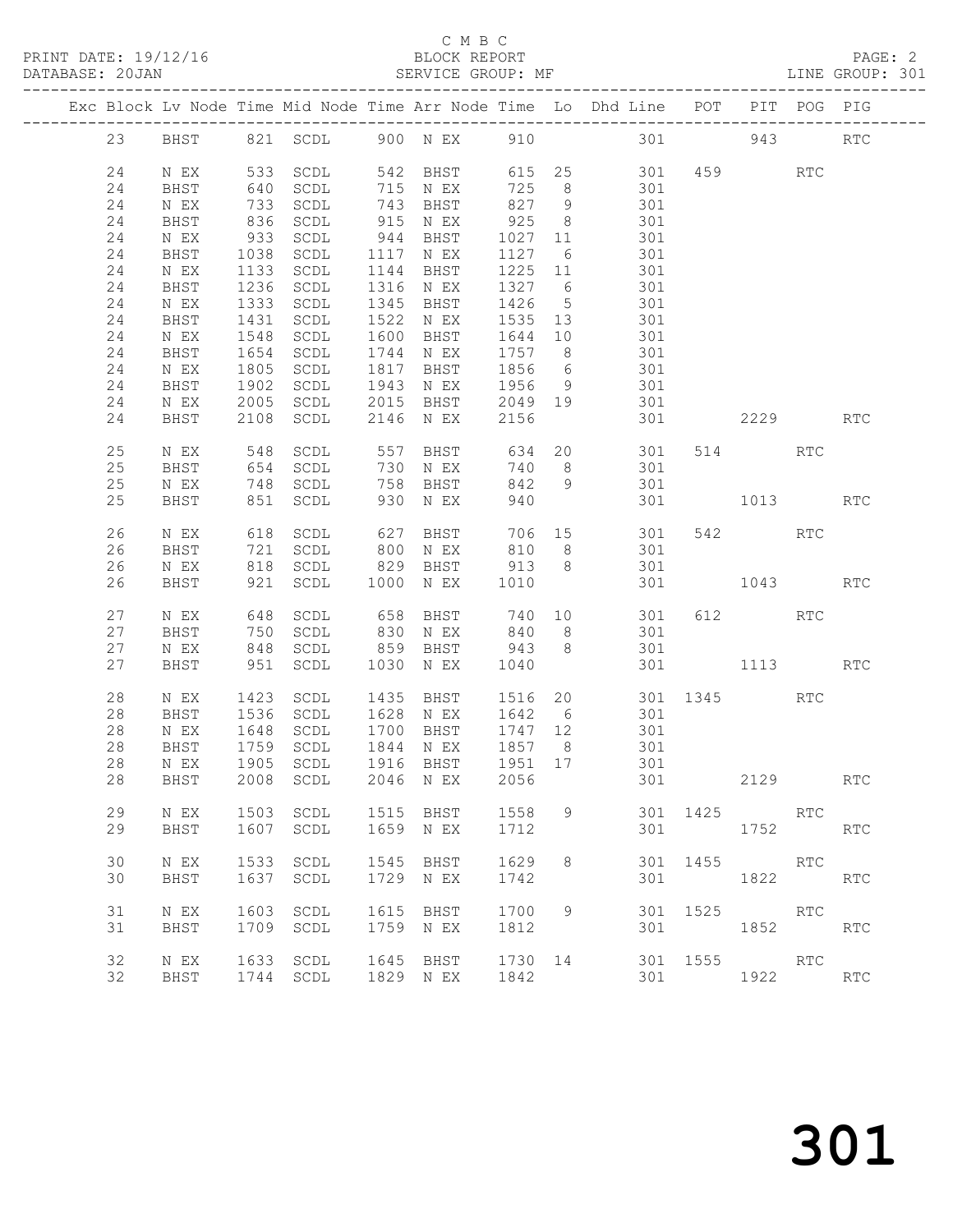### C M B C<br>RLOCK REPORT

| PRINT DATE: 19/12/16 | BLOCK REPORT      | PAGE: 2         |
|----------------------|-------------------|-----------------|
| DATABASE: 20JAN      | SERVICE GROUP: MF | LINE GROUP: 301 |

|  |    |      |            |                      |            |                      |                  |                 | Exc Block Lv Node Time Mid Node Time Arr Node Time Lo Dhd Line POT |          |              | PIT POG PIG |            |
|--|----|------|------------|----------------------|------------|----------------------|------------------|-----------------|--------------------------------------------------------------------|----------|--------------|-------------|------------|
|  | 23 |      |            |                      |            |                      |                  |                 | BHST 821 SCDL 900 NEX 910 301                                      |          | 943          |             | RTC        |
|  | 24 | N EX |            | 533 SCDL             |            | 542 BHST             |                  |                 | 615 25                                                             |          | 301 459      | RTC         |            |
|  | 24 | BHST | 640        | SCDL                 |            | 715 N EX             | 725              | 8 <sup>8</sup>  | 301                                                                |          |              |             |            |
|  | 24 | N EX | 733<br>836 | SCDL                 |            | 743 BHST<br>915 N EX | 827 9            |                 | 301                                                                |          |              |             |            |
|  | 24 | BHST |            | SCDL                 |            | N EX                 | 82<br>925<br>027 | 8 <sup>8</sup>  | 301                                                                |          |              |             |            |
|  | 24 | N EX | 933        | SCDL                 | 944        | BHST                 | 1027 11          |                 | 301                                                                |          |              |             |            |
|  | 24 | BHST | 1038       | SCDL                 |            | 1117 N EX            | 1127             | $6\overline{6}$ | 301                                                                |          |              |             |            |
|  | 24 | N EX | 1133       | SCDL                 |            | 1144 BHST            | 1225 11          |                 | 301                                                                |          |              |             |            |
|  | 24 | BHST |            | 1236 SCDL            |            | 1316 N EX            | 1327 6           |                 | 301                                                                |          |              |             |            |
|  | 24 | N EX | 1333       | SCDL                 | 1345       | BHST                 | 1426             | $5\overline{)}$ | 301                                                                |          |              |             |            |
|  | 24 | BHST | 1431       | SCDL                 | 1522       | N EX                 | 1535 13          |                 | 301                                                                |          |              |             |            |
|  | 24 | N EX | 1548       | SCDL                 | 1600       | BHST                 | 1644             | 10              | 301                                                                |          |              |             |            |
|  | 24 | BHST | 1654       | SCDL                 |            | 1744 N EX            | 1757 8           |                 | 301                                                                |          |              |             |            |
|  | 24 | N EX | 1805       | SCDL                 | 1817       | BHST                 | 1856             | $6\overline{6}$ | 301                                                                |          |              |             |            |
|  | 24 | BHST | 1902       | SCDL                 | 1943       | N EX                 | 1956 9           |                 | 301                                                                |          |              |             |            |
|  | 24 | N EX |            | 2005 SCDL            | 2015       | BHST                 | 2049 19          |                 | 301                                                                |          |              |             |            |
|  | 24 | BHST | 2108       | SCDL                 | 2146       | N EX                 | 2156             |                 | 301                                                                |          | 2229         |             | RTC        |
|  |    |      |            |                      |            |                      |                  |                 |                                                                    |          |              |             |            |
|  | 25 | N EX | 548        | SCDL                 | 557        |                      |                  |                 | BHST 634 20 301                                                    |          | 514 RTC      |             |            |
|  | 25 | BHST | 654        | SCDL                 | 730        | N EX                 | 740              | 8 <sup>8</sup>  | 301                                                                |          |              |             |            |
|  | 25 | N EX |            | $748$ SCDL           |            | BHST                 | 842              | 9               | 301                                                                |          |              |             |            |
|  | 25 | BHST |            | 851 SCDL             | 758        | N EX                 | 940              |                 |                                                                    |          | 301 1013     |             | <b>RTC</b> |
|  |    |      |            |                      |            |                      |                  |                 |                                                                    |          |              |             |            |
|  | 26 | N EX | 618        | SCDL                 | 627        | BHST                 |                  |                 | 706 15 301                                                         |          | 542          | RTC         |            |
|  | 26 | BHST |            |                      |            |                      |                  |                 | 301                                                                |          |              |             |            |
|  | 26 | N EX |            | 721 SCDL<br>818 SCDL |            | 800 N EX<br>829 BHST | 810 b<br>913 8   |                 | 301                                                                |          |              |             |            |
|  | 26 | BHST |            | 921 SCDL             | 1000       | N EX                 | 1010             |                 | 301                                                                |          | 1043 RTC     |             |            |
|  |    |      |            |                      |            |                      |                  |                 |                                                                    |          |              |             |            |
|  | 27 | N EX |            | SCDL                 |            | BHST                 |                  |                 |                                                                    |          | 612 RTC      |             |            |
|  | 27 | BHST | 648<br>750 | SCDL                 | 658<br>830 | N EX                 |                  |                 | 740 10 301<br>840 8 301                                            |          |              |             |            |
|  | 27 | N EX |            | 848 SCDL             | 859        | BHST                 | 943              | 8 <sup>8</sup>  | 301                                                                |          |              |             |            |
|  | 27 | BHST |            | 951 SCDL             | 1030       | N EX                 | 1040             |                 |                                                                    | 301      | 1113         |             | <b>RTC</b> |
|  |    |      |            |                      |            |                      |                  |                 |                                                                    |          |              |             |            |
|  | 28 | N EX | 1423       | SCDL                 | 1435       | BHST                 |                  |                 | 1516 20 301 1345                                                   |          |              | RTC         |            |
|  | 28 | BHST | 1536       | SCDL                 |            | 1628 N EX            | 1642 6           |                 | 301                                                                |          |              |             |            |
|  | 28 | N EX | 1648       | SCDL                 |            | 1700 BHST            | 1747 12          |                 | 301                                                                |          |              |             |            |
|  | 28 | BHST | 1759       | SCDL                 |            | 1844 N EX            |                  |                 | 301                                                                |          |              |             |            |
|  | 28 | N EX |            | 1905 SCDL            |            | $1916$ BHST          | 1951 17          |                 | 301                                                                |          |              |             |            |
|  |    |      |            |                      |            |                      |                  |                 | 28 BHST 2008 SCDL 2046 NEX 2056 301                                |          | 2129         |             | <b>RTC</b> |
|  |    |      |            |                      |            |                      |                  |                 |                                                                    |          |              |             |            |
|  | 29 | N EX |            | 1503 SCDL            |            | 1515 BHST            | 1558             | 9               |                                                                    |          | 301 1425 RTC |             |            |
|  | 29 | BHST |            | 1607 SCDL            |            | 1659 N EX            | 1712             |                 |                                                                    | 301 000  | 1752         |             | RTC        |
|  |    |      |            |                      |            |                      |                  |                 |                                                                    |          |              |             |            |
|  | 30 | N EX | 1533       | SCDL                 | 1545       | BHST                 | 1629             | 8               | 301                                                                |          | 1455         | RTC         |            |
|  | 30 | BHST | 1637       | SCDL                 |            | 1729 N EX            | 1742             |                 | 301                                                                |          | 1822         |             | <b>RTC</b> |
|  |    |      |            |                      |            |                      |                  |                 |                                                                    |          |              |             |            |
|  | 31 | N EX |            | 1603 SCDL            |            | 1615 BHST            | 1700             | 9               |                                                                    | 301 1525 | RTC          |             |            |
|  | 31 | BHST |            | 1709 SCDL            |            | 1759 N EX            | 1812             |                 | 301                                                                |          | 1852 RTC     |             |            |
|  |    |      |            |                      |            |                      |                  |                 |                                                                    |          |              |             |            |
|  | 32 | N EX |            | 1633 SCDL            |            | 1645 BHST            | 1730 14          |                 | 301 1555 RTC                                                       |          |              |             |            |
|  | 32 |      |            | 1744 SCDL            |            | 1829 N EX            | 1842             |                 | 301                                                                |          | 1922         |             | RTC        |
|  |    | BHST |            |                      |            |                      |                  |                 |                                                                    |          |              |             |            |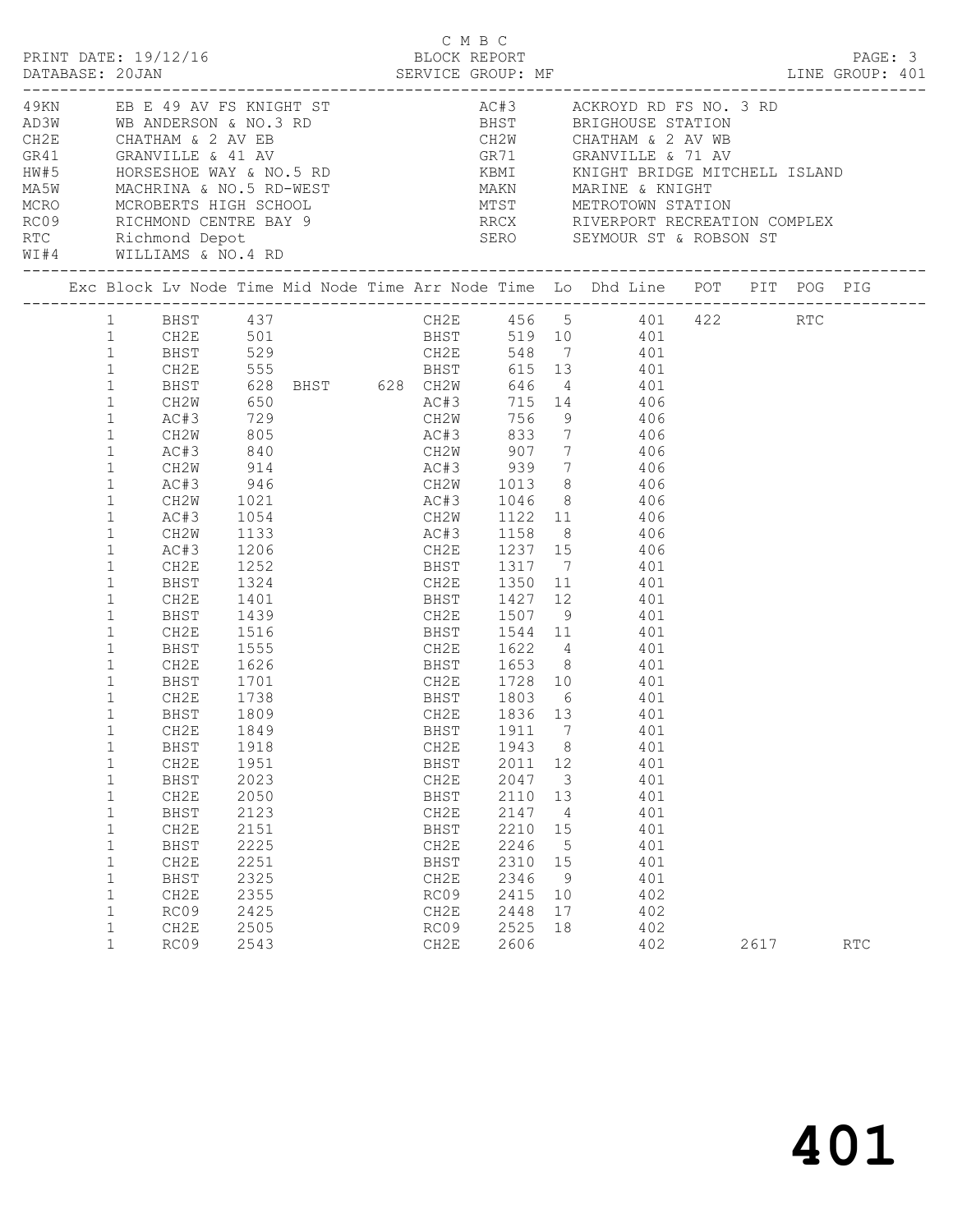|                                                                                                                                                                                                                                                                                                                                                                                                                  |                                                                                                                                                                                                                                     |                                                                                                                              |                                             |                                                                    | C M B C                                                             |                      |                                                                                                                                                                                                                                                                                                                                                                                                                                                                                                                                                                                                                                                                                                                                |      |            |  |
|------------------------------------------------------------------------------------------------------------------------------------------------------------------------------------------------------------------------------------------------------------------------------------------------------------------------------------------------------------------------------------------------------------------|-------------------------------------------------------------------------------------------------------------------------------------------------------------------------------------------------------------------------------------|------------------------------------------------------------------------------------------------------------------------------|---------------------------------------------|--------------------------------------------------------------------|---------------------------------------------------------------------|----------------------|--------------------------------------------------------------------------------------------------------------------------------------------------------------------------------------------------------------------------------------------------------------------------------------------------------------------------------------------------------------------------------------------------------------------------------------------------------------------------------------------------------------------------------------------------------------------------------------------------------------------------------------------------------------------------------------------------------------------------------|------|------------|--|
|                                                                                                                                                                                                                                                                                                                                                                                                                  | WI#4 WILLIAMS & NO.4 RD                                                                                                                                                                                                             |                                                                                                                              |                                             |                                                                    |                                                                     |                      |                                                                                                                                                                                                                                                                                                                                                                                                                                                                                                                                                                                                                                                                                                                                |      |            |  |
|                                                                                                                                                                                                                                                                                                                                                                                                                  |                                                                                                                                                                                                                                     |                                                                                                                              |                                             |                                                                    |                                                                     |                      | Exc Block Lv Node Time Mid Node Time Arr Node Time Lo Dhd Line POT PIT POG PIG                                                                                                                                                                                                                                                                                                                                                                                                                                                                                                                                                                                                                                                 |      |            |  |
| $\mathbf{1}$<br>$\mathbf{1}$<br>$\mathbf{1}$<br>$\mathbf{1}$<br>$\mathbf{1}$<br>$\mathbf{1}$<br>$\mathbf{1}$<br>$\mathbf{1}$<br>$\mathbf{1}$<br>$\mathbf{1}$<br>$\mathbf{1}$<br>$\mathbf{1}$<br>$\mathbf{1}$<br>$\mathbf{1}$<br>$\mathbf{1}$<br>$\mathbf{1}$<br>$\mathbf{1}$<br>$\mathbf{1}$<br>1<br>$\mathbf 1$<br>$\mathbf{1}$<br>$\mathbf{1}$<br>$\mathbf{1}$<br>$\mathbf{1}$<br>$\mathbf{1}$<br>$\mathbf{1}$ | AC#3<br>CH2W<br>AC#3<br>CH2W<br>AC#3<br>CH2W<br>AC#3<br>CH2E<br>BHST<br>CH2E<br>BHST<br>CH2E<br>BHST<br>CH2E<br>BHST<br>CH2E<br>BHST<br>CH2E 1849<br><b>BHST</b><br>CH <sub>2E</sub><br><b>BHST</b><br>CH2E<br>BHST<br>CH2E<br>BHST | 1252<br>1324<br>1401<br>1439<br>1555<br>1626<br>1701<br>1738<br>1809<br>1918<br>1951<br>2023<br>2050<br>2123<br>2151<br>2225 | $840$<br>914<br>946<br>1133<br>1206<br>CH2E | CH2E<br><b>BHST</b><br>CH2E<br><b>BHST</b><br>CH2E<br>BHST<br>CH2E | BHST 1911 7<br>1943<br>2011<br>2047<br>2110<br>2147<br>2210<br>2246 | 12<br>13<br>15       | CH2E 456 5 401 422 RTC<br>BHST 519 10 401<br>1 BHST 437 CH2E 456 5 401<br>1 CH2E 501 BHST 519 10 401<br>1 BHST 529 CH2E 548 7 401<br>1 CH2E 555 BHST 615 13 401<br>1 BHST 628 BHST 628 CH2W 646 4 401<br>1 CH2W 650 AC#3 715 14 406<br>1 AC#3 729 CH2W 756 9 406<br>CH2W 805 AC#3 833 7 406<br>CH2W 907 7 406<br>AC#3 939 7 406<br>CH2W 1013 8 406<br>1021 1021 AC#3 1046 8 406<br>1054 CH2W 1122 11 406<br>AC#3 1158 8 406<br>CH2E 1237 15 406<br>BHST 1317 7 401<br>CH2E 1350 11 401<br>BHST 1427 12 401<br>CH2E 1507 9 401<br>1516 BHST 1544 11 401<br>CH2E 1622 4 401<br>BHST 1653 8 401<br>CH2E 1728 10 401<br>BHST 1803 6 401<br>1836 13 401<br>401<br>8<br>401<br>401<br>3<br>401<br>401<br>401<br>4<br>401<br>401<br>5 |      |            |  |
| 1<br>$\mathbf{1}$<br>$\mathbf{1}$<br>$\mathbf{1}$<br>1<br>$\mathbf{1}$                                                                                                                                                                                                                                                                                                                                           | CH2E<br>BHST<br>CH <sub>2E</sub><br>RC09<br>CH2E<br>RC09                                                                                                                                                                            | 2251<br>2325<br>2355<br>2425<br>2505<br>2543                                                                                 |                                             | BHST<br>CH2E<br>RC09<br>CH2E<br>RC09<br>CH2E                       | 2310<br>2346<br>2415<br>2448<br>2525<br>2606                        | 15<br>10<br>17<br>18 | 401<br>401<br>9<br>402<br>402<br>402<br>402                                                                                                                                                                                                                                                                                                                                                                                                                                                                                                                                                                                                                                                                                    | 2617 | <b>RTC</b> |  |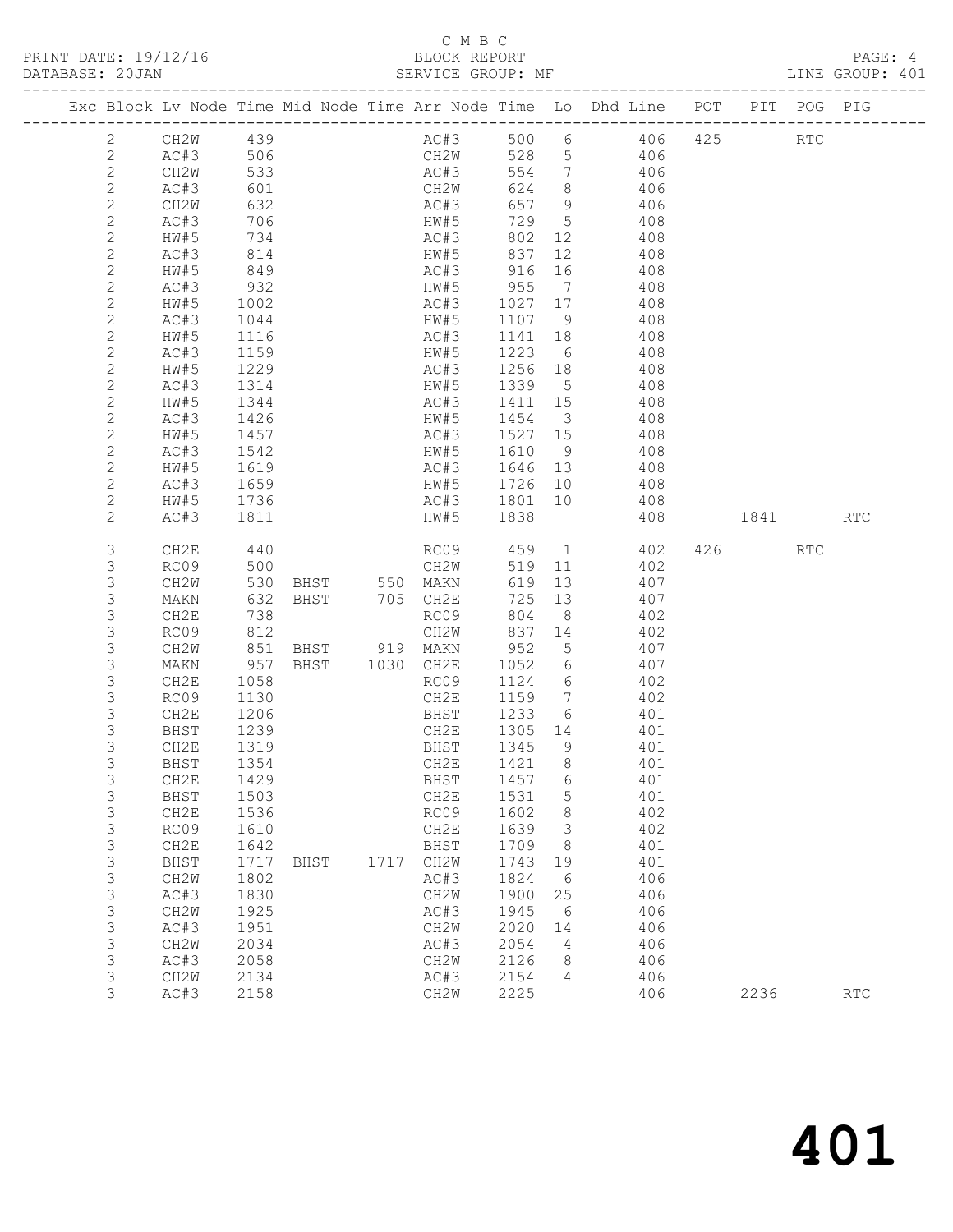#### C M B C<br>BLOCK REPORT SERVICE GROUP: MF

|  |                           |                   |      |      |      |      | Exc Block Lv Node Time Mid Node Time Arr Node Time Lo Dhd Line POT |         |                         |          |       |     |        | PIT POG PIG |            |
|--|---------------------------|-------------------|------|------|------|------|--------------------------------------------------------------------|---------|-------------------------|----------|-------|-----|--------|-------------|------------|
|  | $\mathbf{2}$              | CH2W              | 439  |      |      |      | AC#3                                                               | 500     |                         |          | 6 406 | 425 |        | RTC         |            |
|  | $\mathbf{2}$              | AC#3              | 506  |      |      |      | CH2W                                                               | 528     |                         | 5 406    |       |     |        |             |            |
|  | $\sqrt{2}$                | CH <sub>2</sub> W | 533  |      |      |      | AC#3                                                               | 554     | $\overline{7}$          |          | 406   |     |        |             |            |
|  | $\mathbf{2}$              | AC#3              | 601  |      |      |      | CH2W                                                               | 624     | 8 <sup>8</sup>          |          | 406   |     |        |             |            |
|  | $\mathbf{2}$              | CH2W              | 632  |      |      |      | AC#3                                                               | 657     | 9                       |          | 406   |     |        |             |            |
|  | $\mathbf{2}$              | AC#3              | 706  |      |      |      | HW#5                                                               | 729     | $5\overline{)}$         |          | 408   |     |        |             |            |
|  | $\mathbf{2}$              | HW#5              | 734  |      |      |      | AC#3                                                               | 802     | 12                      |          | 408   |     |        |             |            |
|  | $\mathbf{2}$              | AC#3              | 814  |      |      |      | HW#5                                                               | 837     | 12                      |          | 408   |     |        |             |            |
|  | $\mathbf{2}$              | HW#5              | 849  |      |      |      | AC#3                                                               | 916     | 16                      |          | 408   |     |        |             |            |
|  | $\mathbf{2}$              | AC#3              | 932  |      |      |      | HW#5                                                               | 955     | $\overline{7}$          |          | 408   |     |        |             |            |
|  | $\mathbf{2}$              | HW#5              | 1002 |      |      |      | AC#3                                                               | 1027 17 |                         |          | 408   |     |        |             |            |
|  | $\mathbf{2}$              | AC#3              | 1044 |      |      |      | HW#5                                                               | 1107    | 9                       |          | 408   |     |        |             |            |
|  | $\mathbf{2}$              | HW#5              | 1116 |      |      |      | AC#3                                                               | 1141    | 18                      | 408      |       |     |        |             |            |
|  | $\mathbf{2}$              | AC#3              | 1159 |      |      |      | HW#5                                                               | 1223    | 6                       |          | 408   |     |        |             |            |
|  | $\mathbf{2}$              | HW#5              | 1229 |      |      |      | AC#3                                                               | 1256    | 18                      |          | 408   |     |        |             |            |
|  | $\mathbf{2}$              | AC#3              | 1314 |      |      |      | HW#5                                                               | 1339    | $5^{\circ}$             |          | 408   |     |        |             |            |
|  | $\mathbf{2}$              | HW#5              | 1344 |      |      |      | AC#3                                                               | 1411    | 15                      |          | 408   |     |        |             |            |
|  | $\mathbf{2}$              | AC#3              | 1426 |      |      |      | HW#5                                                               | 1454    | $\overline{\mathbf{3}}$ |          | 408   |     |        |             |            |
|  | $\mathbf{2}$              | HW#5              | 1457 |      |      |      | AC#3                                                               | 1527 15 |                         |          | 408   |     |        |             |            |
|  | $\mathbf{2}$              | AC#3              | 1542 |      |      |      | HW#5                                                               | 1610    | 9                       |          | 408   |     |        |             |            |
|  | $\mathbf 2$               | HW#5              | 1619 |      |      |      | AC#3                                                               | 1646 13 |                         |          | 408   |     |        |             |            |
|  | $\mathbf{2}$              | AC#3              | 1659 |      |      |      | HW#5                                                               | 1726    | 10                      |          | 408   |     |        |             |            |
|  | $\mathbf{2}$              | HW#5              | 1736 |      |      |      | AC#3                                                               | 1801    | 10                      |          | 408   |     |        |             |            |
|  | $\overline{c}$            | AC#3              | 1811 |      |      |      | HW#5                                                               | 1838    |                         |          | 408   |     | 1841 \ |             | <b>RTC</b> |
|  | 3                         | CH2E              | 440  |      |      |      | RC09                                                               | 459     |                         | $\sim$ 1 | 402   |     | 426    | <b>RTC</b>  |            |
|  | 3                         | RC09              | 500  |      |      |      | CH2W                                                               | 519     | 11                      |          | 402   |     |        |             |            |
|  | $\mathsf S$               | CH2W              | 530  |      |      |      | BHST 550 MAKN                                                      | 619     | 13                      |          | 407   |     |        |             |            |
|  | $\mathsf 3$               | MAKN              | 632  | BHST |      |      | 705 CH2E                                                           | 725     | 13                      |          | 407   |     |        |             |            |
|  | $\mathsf 3$               | CH2E              | 738  |      |      |      | RC09                                                               | 804     | 8 <sup>8</sup>          |          | 402   |     |        |             |            |
|  | 3                         | RC09              | 812  |      |      |      | CH2W                                                               | 837     | 14                      |          | 402   |     |        |             |            |
|  | $\mathsf S$               | CH2W              | 851  |      | BHST |      | 919 MAKN                                                           | 952     | 5                       |          | 407   |     |        |             |            |
|  | $\mathsf 3$               | MAKN              | 957  | BHST |      |      | 1030 CH2E                                                          | 1052    | 6                       |          | 407   |     |        |             |            |
|  | $\mathsf 3$               | CH2E              | 1058 |      |      |      | RC09                                                               | 1124    | 6                       |          | 402   |     |        |             |            |
|  | 3                         | RC09              | 1130 |      |      |      | CH2E                                                               | 1159    | $\overline{7}$          |          | 402   |     |        |             |            |
|  | 3                         | CH2E              | 1206 |      |      |      | BHST                                                               | 1233    | 6                       |          | 401   |     |        |             |            |
|  | $\ensuremath{\mathsf{3}}$ | BHST              | 1239 |      |      |      | CH2E                                                               | 1305 14 |                         |          | 401   |     |        |             |            |
|  | 3                         | CH2E              | 1319 |      |      |      | BHST                                                               | 1345    | - 9                     |          | 401   |     |        |             |            |
|  | 3                         | BHST              | 1354 |      |      |      | CH2E                                                               | 1421    | 8                       |          | 401   |     |        |             |            |
|  | 3                         | CH2E              | 1429 |      |      |      | BHST 1457 6                                                        |         |                         |          | 401   |     |        |             |            |
|  | 3                         | BHST              | 1503 |      |      |      | CH2E                                                               | 1531    | 5                       |          | 401   |     |        |             |            |
|  | 3                         | CH2E              | 1536 |      |      |      | RC09                                                               | 1602    | 8                       |          | 402   |     |        |             |            |
|  | 3                         | RC09              | 1610 |      |      |      | CH2E                                                               | 1639    | 3                       |          | 402   |     |        |             |            |
|  | $\mathsf S$               | CH2E              | 1642 |      |      |      | BHST                                                               | 1709    | 8                       |          | 401   |     |        |             |            |
|  | $\mathsf S$               | BHST              | 1717 | BHST |      | 1717 | CH2W                                                               | 1743    | 19                      |          | 401   |     |        |             |            |
|  | $\mathsf 3$               | CH2W              | 1802 |      |      |      | AC#3                                                               | 1824    | 6                       |          | 406   |     |        |             |            |
|  | $\mathfrak{Z}$            | AC#3              | 1830 |      |      |      | CH2W                                                               | 1900    | 25                      |          | 406   |     |        |             |            |
|  | $\mathsf S$               | CH2W              | 1925 |      |      |      | AC#3                                                               | 1945    | 6                       |          | 406   |     |        |             |            |
|  | $\mathfrak{Z}$            | AC#3              | 1951 |      |      |      | CH2W                                                               | 2020    | 14                      |          | 406   |     |        |             |            |
|  | $\mathsf 3$               | CH2W              | 2034 |      |      |      | AC#3                                                               | 2054    | 4                       |          | 406   |     |        |             |            |
|  | $\mathsf 3$               | AC#3              | 2058 |      |      |      | CH2W                                                               | 2126    | 8                       |          | 406   |     |        |             |            |
|  | 3                         | CH2W              | 2134 |      |      |      | AC#3                                                               | 2154    | 4                       |          | 406   |     |        |             |            |
|  | 3                         | AC#3              | 2158 |      |      |      | CH2W                                                               | 2225    |                         |          | 406   |     | 2236   |             | <b>RTC</b> |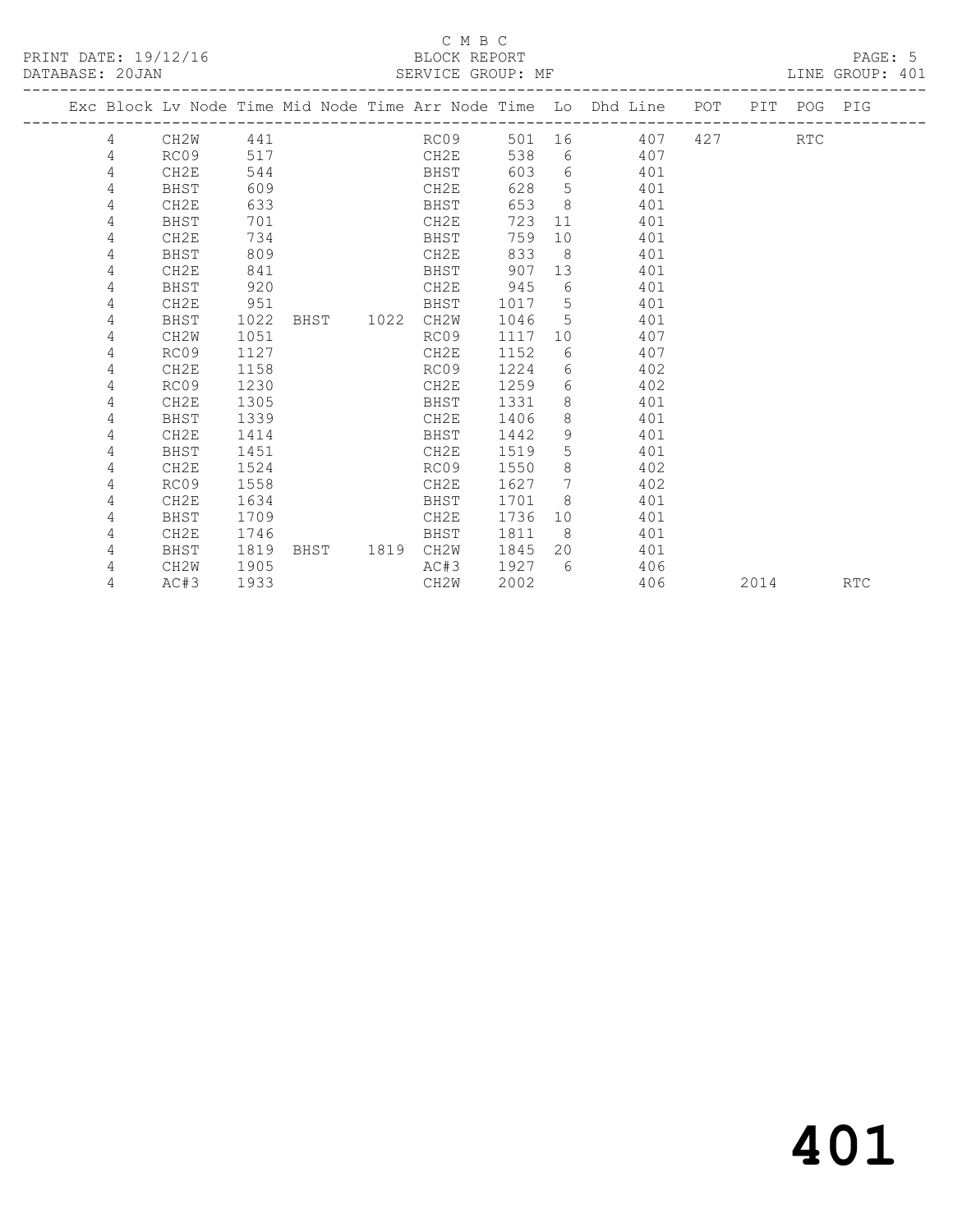#### C M B C<br>BLOCK REPORT SERVICE GROUP: MF

|  |                |                   |      |  |           |                   |      |                 | Exc Block Lv Node Time Mid Node Time Arr Node Time Lo Dhd Line POT |      | PIT POG PIG |            |
|--|----------------|-------------------|------|--|-----------|-------------------|------|-----------------|--------------------------------------------------------------------|------|-------------|------------|
|  | $\overline{4}$ | CH2W              | 441  |  |           | RCO <sub>9</sub>  |      |                 | 501 16 407 427 RTC                                                 |      |             |            |
|  | 4              | RC09              | 517  |  |           | CH2E              | 538  |                 | $6 \overline{}$<br>407                                             |      |             |            |
|  | 4              | CH2E              | 544  |  |           | BHST              | 603  |                 | $6 \qquad \qquad$<br>401                                           |      |             |            |
|  | 4              | BHST              | 609  |  |           | CH2E              | 628  | 5               | 401                                                                |      |             |            |
|  | 4              | CH2E              | 633  |  |           | BHST              | 653  | 8               | 401                                                                |      |             |            |
|  | 4              | BHST              | 701  |  |           | CH2E              | 723  | 11              | 401                                                                |      |             |            |
|  | 4              | CH2E              | 734  |  |           | BHST              | 759  | 10              | 401                                                                |      |             |            |
|  | 4              | BHST              | 809  |  |           | CH2E              | 833  | 8 <sup>8</sup>  | 401                                                                |      |             |            |
|  | 4              | CH <sub>2E</sub>  | 841  |  |           | BHST              | 907  | 13              | 401                                                                |      |             |            |
|  | 4              | BHST              | 920  |  |           | CH2E              | 945  | 6               | 401                                                                |      |             |            |
|  | 4              | CH2E              | 951  |  |           | BHST              | 1017 | $5^{\circ}$     | 401                                                                |      |             |            |
|  | 4              | BHST              | 1022 |  | BHST 1022 | CH2W              | 1046 | 5               | 401                                                                |      |             |            |
|  | 4              | CH2W              | 1051 |  |           | RC09              | 1117 | 10              | 407                                                                |      |             |            |
|  | 4              | RC09              | 1127 |  |           | CH2E              | 1152 | 6               | 407                                                                |      |             |            |
|  | 4              | CH <sub>2E</sub>  | 1158 |  |           | RC09              | 1224 | 6               | 402                                                                |      |             |            |
|  | 4              | RC09              | 1230 |  |           | CH2E              | 1259 | 6               | 402                                                                |      |             |            |
|  | 4              | CH2E              | 1305 |  |           | BHST              | 1331 | 8               | 401                                                                |      |             |            |
|  | 4              | BHST              | 1339 |  |           | CH2E              | 1406 | 8               | 401                                                                |      |             |            |
|  | 4              | CH <sub>2E</sub>  | 1414 |  |           | BHST              | 1442 | 9               | 401                                                                |      |             |            |
|  | 4              | BHST              | 1451 |  |           | CH2E              | 1519 | 5               | 401                                                                |      |             |            |
|  | 4              | CH2E              | 1524 |  |           | RC09              | 1550 | 8               | 402                                                                |      |             |            |
|  | 4              | RC09              | 1558 |  |           | CH2E              | 1627 | $7\phantom{.0}$ | 402                                                                |      |             |            |
|  | 4              | CH2E              | 1634 |  |           | BHST              | 1701 | 8 <sup>8</sup>  | 401                                                                |      |             |            |
|  | 4              | BHST              | 1709 |  |           | CH2E              | 1736 | 10              | 401                                                                |      |             |            |
|  | 4              | CH2E              | 1746 |  |           | BHST              | 1811 | 8 <sup>8</sup>  | 401                                                                |      |             |            |
|  | 4              | BHST              | 1819 |  |           | BHST 1819 CH2W    | 1845 | 20              | 401                                                                |      |             |            |
|  | 4              | CH <sub>2</sub> W | 1905 |  |           | AC#3              | 1927 | 6               | 406                                                                |      |             |            |
|  | 4              | AC#3              | 1933 |  |           | CH <sub>2</sub> W | 2002 |                 | 406                                                                | 2014 |             | <b>RTC</b> |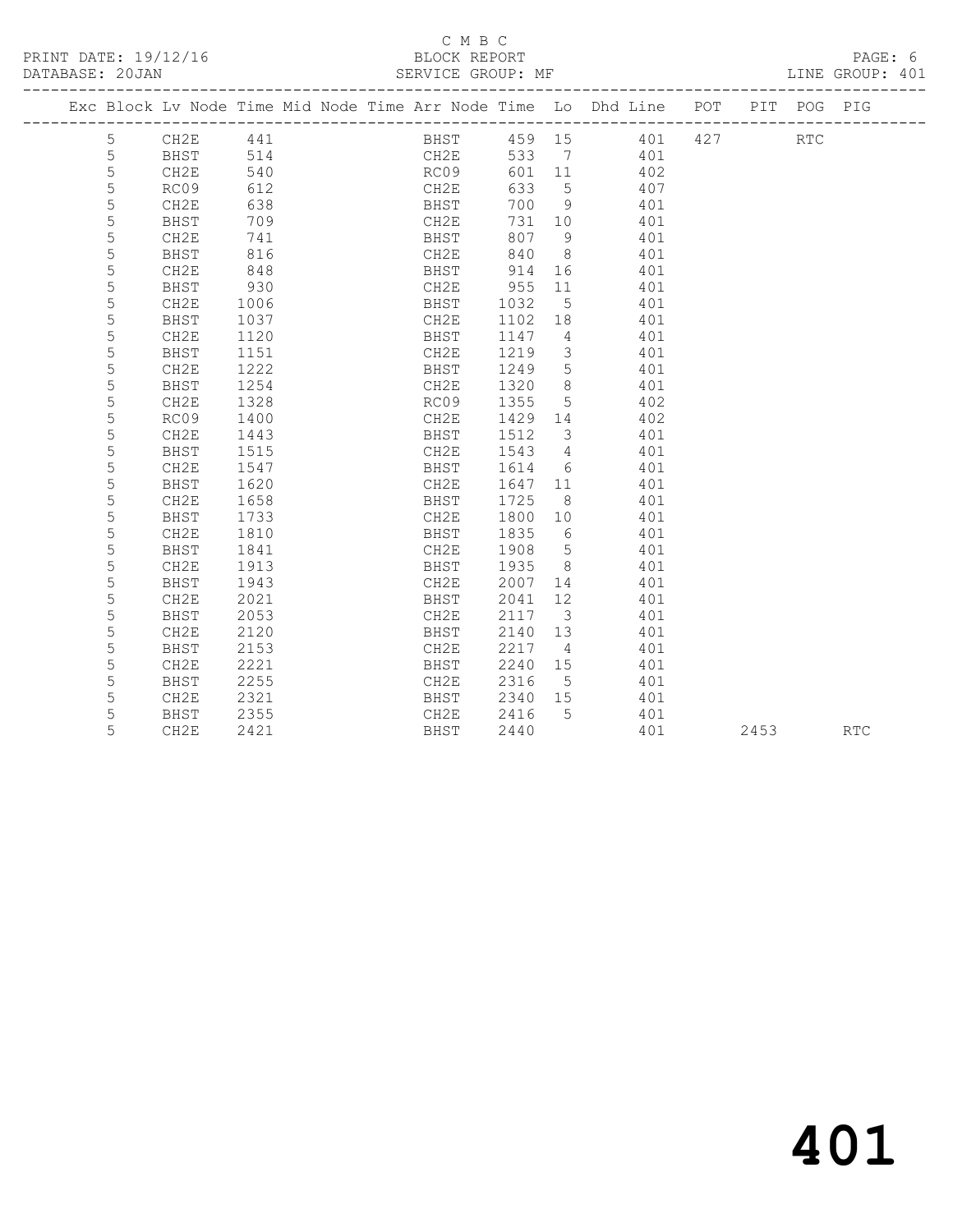#### C M B C<br>BLOCK REPORT SERVICE GROUP: MF

|  |      |     |      |        | Exc Block Ly Node Time Mid Node Time Arr Node Time Lo Dhd Line POT PIT POG PIG |         |      |  |
|--|------|-----|------|--------|--------------------------------------------------------------------------------|---------|------|--|
|  | CH2E | 441 | BHST | 459 15 |                                                                                | 401 427 | RTC. |  |
|  | BHST | 514 | CH2E | 533 7  | 401                                                                            |         |      |  |
|  | CH2E | 540 | RC09 | 601 11 | 402                                                                            |         |      |  |
|  | RCO9 | 612 | CH2E | 633 5  | 407                                                                            |         |      |  |

|   | エノヘッシ            | ◡∸▵  | سمىدە       | ぃ〕   |                         | י שב |      |            |
|---|------------------|------|-------------|------|-------------------------|------|------|------------|
| 5 | CH2E             | 638  | BHST        | 700  | 9                       | 401  |      |            |
| 5 | <b>BHST</b>      | 709  | CH2E        | 731  | 10                      | 401  |      |            |
| 5 | CH2E             | 741  | BHST        | 807  | 9                       | 401  |      |            |
| 5 | BHST             | 816  | CH2E        | 840  | 8                       | 401  |      |            |
| 5 | CH2E             | 848  | BHST        | 914  | 16                      | 401  |      |            |
| 5 | BHST             | 930  | CH2E        | 955  | 11                      | 401  |      |            |
| 5 | CH2E             | 1006 | BHST        | 1032 | 5                       | 401  |      |            |
| 5 | BHST             | 1037 | CH2E        | 1102 | 18                      | 401  |      |            |
| 5 | CH2E             | 1120 | <b>BHST</b> | 1147 | 4                       | 401  |      |            |
| 5 | BHST             | 1151 | CH2E        | 1219 | 3                       | 401  |      |            |
| 5 | CH2E             | 1222 | BHST        | 1249 | 5                       | 401  |      |            |
| 5 | <b>BHST</b>      | 1254 | CH2E        | 1320 | 8                       | 401  |      |            |
| 5 | CH2E             | 1328 | RC09        | 1355 | 5                       | 402  |      |            |
| 5 | RC09             | 1400 | CH2E        | 1429 | 14                      | 402  |      |            |
| 5 | CH2E             | 1443 | BHST        | 1512 | 3                       | 401  |      |            |
| 5 | BHST             | 1515 | CH2E        | 1543 | 4                       | 401  |      |            |
| 5 | CH2E             | 1547 | BHST        | 1614 | 6                       | 401  |      |            |
| 5 | BHST             | 1620 | CH2E        | 1647 | 11                      | 401  |      |            |
| 5 | CH2E             | 1658 | BHST        | 1725 | 8                       | 401  |      |            |
| 5 | BHST             | 1733 | CH2E        | 1800 | 10                      | 401  |      |            |
| 5 | CH2E             | 1810 | BHST        | 1835 | 6                       | 401  |      |            |
| 5 | <b>BHST</b>      | 1841 | CH2E        | 1908 | 5                       | 401  |      |            |
| 5 | CH2E             | 1913 | BHST        | 1935 | 8                       | 401  |      |            |
| 5 | BHST             | 1943 | CH2E        | 2007 | 14                      | 401  |      |            |
| 5 | CH2E             | 2021 | BHST        | 2041 | 12                      | 401  |      |            |
| 5 | BHST             | 2053 | CH2E        | 2117 | $\overline{\mathbf{3}}$ | 401  |      |            |
| 5 | CH2E             | 2120 | BHST        | 2140 | 13                      | 401  |      |            |
| 5 | BHST             | 2153 | CH2E        | 2217 | 4                       | 401  |      |            |
| 5 | CH <sub>2E</sub> | 2221 | BHST        | 2240 | 15                      | 401  |      |            |
| 5 | BHST             | 2255 | CH2E        | 2316 | 5                       | 401  |      |            |
| 5 | CH2E             | 2321 | BHST        | 2340 | 15                      | 401  |      |            |
| 5 | <b>BHST</b>      | 2355 | CH2E        | 2416 | 5                       | 401  |      |            |
| 5 | CH2E             | 2421 | BHST        | 2440 |                         | 401  | 2453 | <b>RTC</b> |
|   |                  |      |             |      |                         |      |      |            |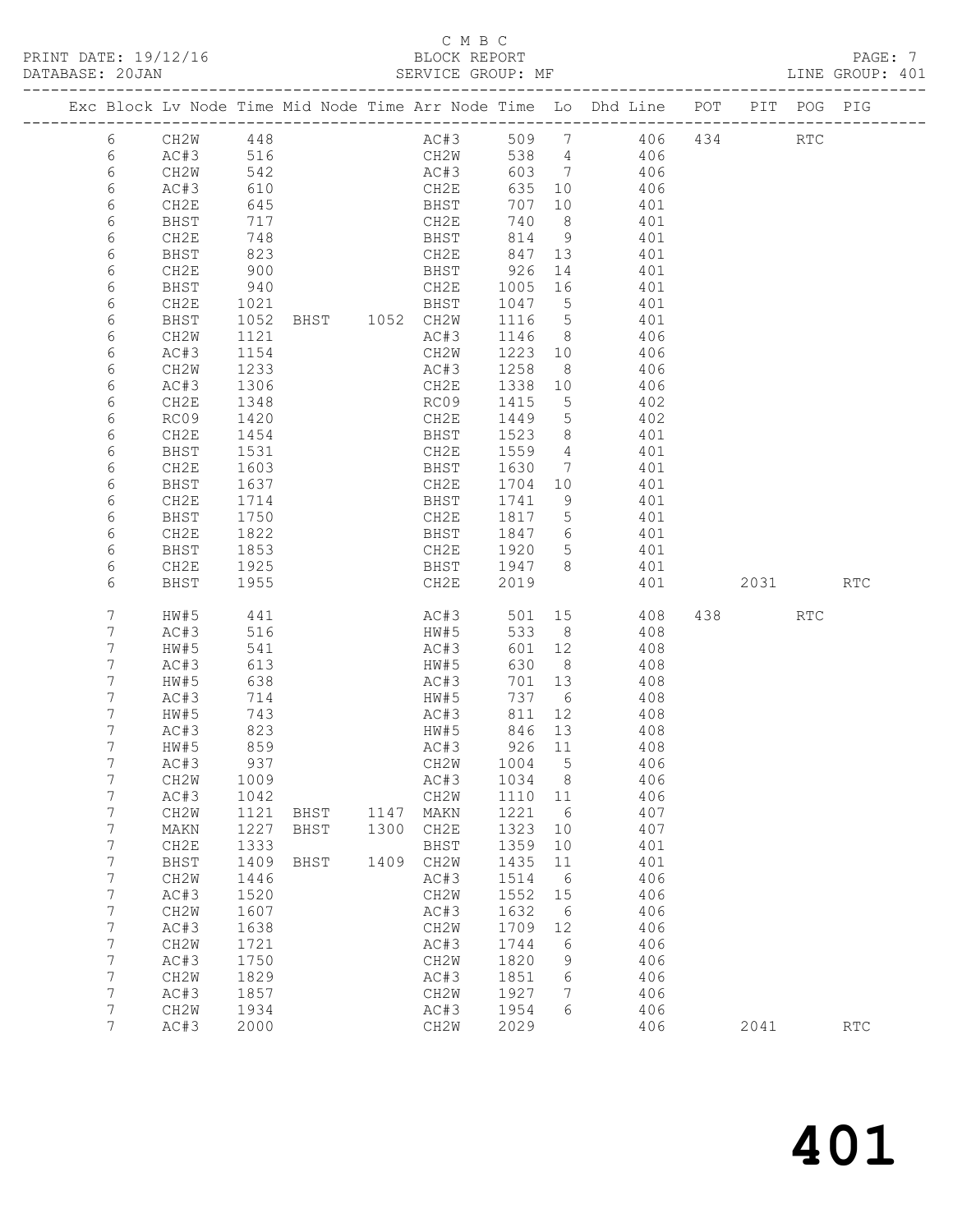#### C M B C BLOCK REPORT<br>SERVICE GROUP: MF

| BASE: 20JAN<br>-----------------------------<br>DATABASE: 20JAN                                                                                                                                    |                                                                                                                                                                                                                                                                               |                                                                                                                                                                                                    |                             |                      |                                                                                                                                                                                              |                                                                                                                                                |                                                                                    |                                                                                                                                                                                                                                                                                                                                                                                                                                                                                                                          |                 | BLOCK REPORT PAGE: 7<br>SERVICE GROUP: MF LINE GROUP: 401 |
|----------------------------------------------------------------------------------------------------------------------------------------------------------------------------------------------------|-------------------------------------------------------------------------------------------------------------------------------------------------------------------------------------------------------------------------------------------------------------------------------|----------------------------------------------------------------------------------------------------------------------------------------------------------------------------------------------------|-----------------------------|----------------------|----------------------------------------------------------------------------------------------------------------------------------------------------------------------------------------------|------------------------------------------------------------------------------------------------------------------------------------------------|------------------------------------------------------------------------------------|--------------------------------------------------------------------------------------------------------------------------------------------------------------------------------------------------------------------------------------------------------------------------------------------------------------------------------------------------------------------------------------------------------------------------------------------------------------------------------------------------------------------------|-----------------|-----------------------------------------------------------|
|                                                                                                                                                                                                    |                                                                                                                                                                                                                                                                               |                                                                                                                                                                                                    |                             |                      |                                                                                                                                                                                              |                                                                                                                                                |                                                                                    | Exc Block Lv Node Time Mid Node Time Arr Node Time Lo Dhd Line POT PIT POG PIG                                                                                                                                                                                                                                                                                                                                                                                                                                           |                 |                                                           |
| 6<br>6<br>6<br>6<br>6<br>6<br>6<br>6<br>6<br>6<br>6<br>6<br>6<br>6<br>6<br>6<br>6<br>6<br>6<br>6<br>6<br>6<br>6<br>6                                                                               | CH2E<br>BHST<br>CH2E<br>BHST<br>CH2E<br>BHST<br>CH2E<br>BHST<br>CH2W<br>AC#3<br>CH2W<br>AC#3<br>CH2E<br>RC09<br>CH2E<br>BHST<br>CH2E<br>BHST<br>CH2E<br>BHST<br>CH2E<br>BHST<br>CH2E<br>BHST                                                                                  | 645<br>717<br>748<br>823<br>900<br>940<br>1021<br>1121<br>1154<br>1233<br>1306<br>1348<br>1420<br>14∠∪<br>1454<br>1531<br>1603<br>1637<br>1714<br>1750<br>1822<br>1853<br>1925<br>1955             |                             |                      | BHST 707 10<br>CH2E 740 8<br>BHST 814 9<br>CH2E<br>CH2E                                                                                                                                      |                                                                                                                                                |                                                                                    | $\begin{array}{cccc} 707 & 10 & & 401 \\ 740 & 8 & & 401 \\ 814 & 9 & & 401 \end{array}$<br>CH2E 847 13 401<br>BHST 926 14 401<br>CH2E 1005 16 401<br>BHST 1047 5 401<br>1052 BHST 1052 CH2W 1116 5 401<br>AC#3 1146 8 406<br>CH2W 1223 10 406<br>AC#3 1258 8 406<br>1338 10 406<br>RC09 1415 5 402<br>CH2E 1449 5 402<br>BHST 1523 8 401<br>CH2E 1559 4 401<br>BHST 1630 7 401<br>CH2E 1704 10 401<br>BHST 1741 9 401<br>CH2E 1817 5 401<br>BHST 1847 6 401<br>CH2E 1920 5<br>BHST 1947 8 401<br>CH2E 2019 401 2031 RTC |                 |                                                           |
| 7<br>7<br>7<br>7<br>7<br>7<br>7<br>$7\phantom{.}$<br>7<br>7<br>7<br>7<br>7<br>7<br>7<br>7<br>$\boldsymbol{7}$<br>$\boldsymbol{7}$<br>7<br>7<br>$\boldsymbol{7}$<br>$\boldsymbol{7}$<br>7<br>7<br>7 | HW#5<br>AC#3<br>HW#5<br>AC#3<br>HW#5<br>AC#3<br>HW#5<br>AC#3<br>HW#5<br>AC#3<br>CH <sub>2</sub> M<br>AC#3<br>CH <sub>2</sub> W<br>MAKN<br>CH2E<br>BHST<br>CH <sub>2</sub> W<br>AC#3<br>CH <sub>2</sub> M<br>AC#3<br>CH <sub>2</sub> W<br>AC#3<br>CH2W<br>AC#3<br>CH2W<br>AC#3 | 441<br>516<br>541<br>613<br>638<br>714<br>743<br>823<br>859<br>937<br>1009<br>1042<br>1121<br>1227<br>1333<br>1409<br>1446<br>1520<br>1607<br>1638<br>1721<br>1750<br>1829<br>1857<br>1934<br>2000 | BHST<br>BHST<br><b>BHST</b> | 1147<br>1300<br>1409 | AC#3<br>HW#5<br>AC#3<br>HW#5<br>AC#3<br>HW#5<br>AC#3<br>CH2W<br>AC#3<br>CH2W<br>MAKN<br>CH2E<br>BHST<br>CH2W<br>AC#3<br>CH2W<br>AC#3<br>CH2W<br>AC#3<br>CH2W<br>AC#3<br>CH2W<br>AC#3<br>CH2W | 926 11<br>1004<br>1034<br>1110<br>1221<br>1323<br>1359<br>1435<br>1514<br>1552<br>1632<br>1709<br>1744<br>1820<br>1851<br>1927<br>1954<br>2029 | 5<br>8<br>11<br>6<br>10<br>10<br>11<br>6<br>15<br>6<br>12<br>6<br>9<br>6<br>7<br>6 | AC#3 501 15 408<br>HW#5 533 8 408<br>$601$ 12 408<br>630 8 408<br>701 13 408<br>737 6 408<br>811 12 408<br>846 13 408<br>408<br>406<br>406<br>406<br>407<br>407<br>401<br>401<br>406<br>406<br>406<br>406<br>406<br>406<br>406<br>406<br>406<br>406                                                                                                                                                                                                                                                                      | 438 RTC<br>2041 | RTC                                                       |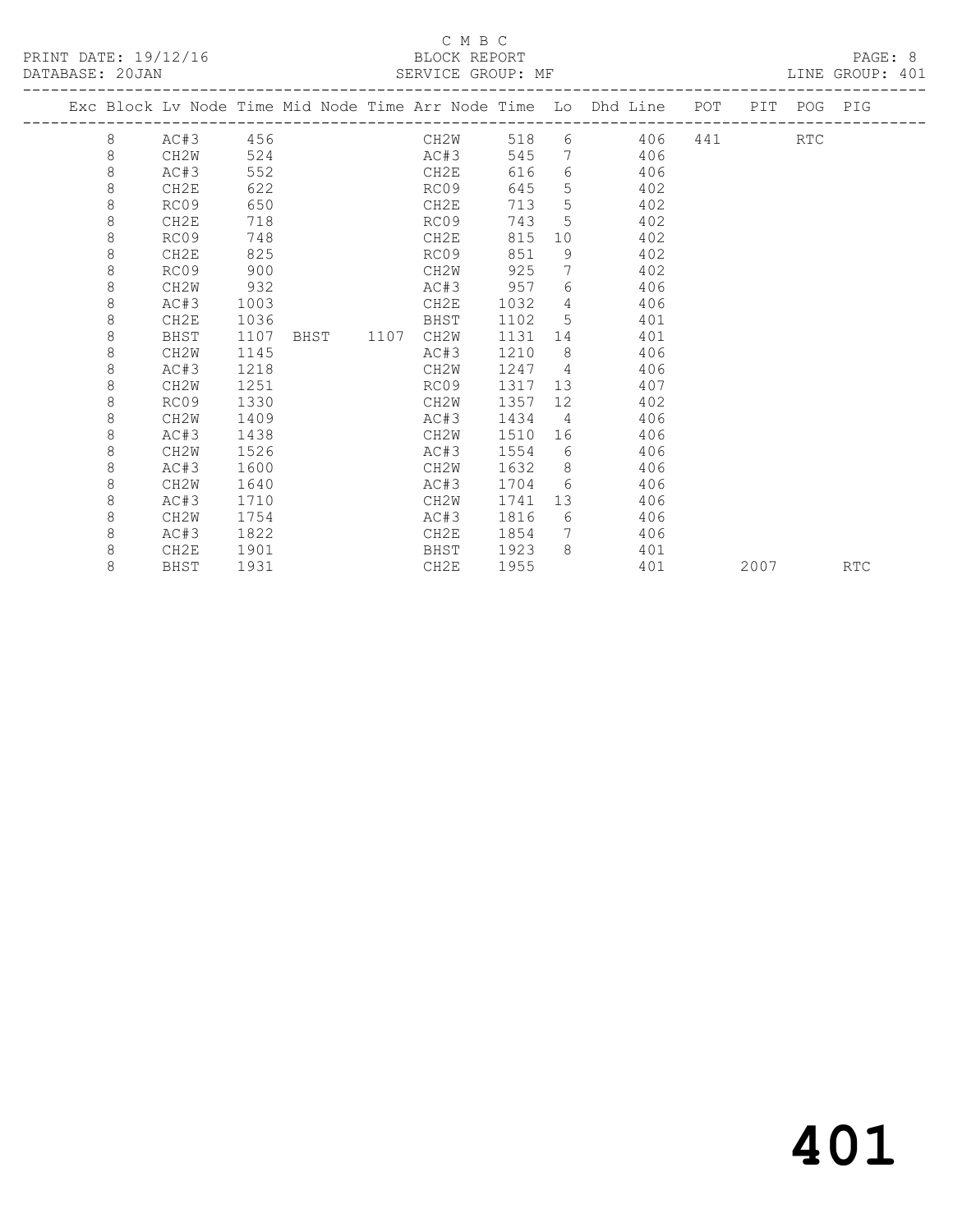#### C M B C<br>BLOCK REPORT

LINE GROUP: 401

|  |   |                   |      |  |           |      |      |                   | Exc Block Lv Node Time Mid Node Time Arr Node Time Lo Dhd Line POT |     |      | PIT POG PIG |            |
|--|---|-------------------|------|--|-----------|------|------|-------------------|--------------------------------------------------------------------|-----|------|-------------|------------|
|  | 8 | AC#3              | 456  |  |           | CH2W | 518  |                   | 6 406                                                              | 441 |      | <b>RTC</b>  |            |
|  | 8 | CH2W              | 524  |  |           | AC#3 | 545  | $7\overline{ }$   | 406                                                                |     |      |             |            |
|  | 8 | AC#3              | 552  |  |           | CH2E | 616  |                   | $6 \qquad \qquad$<br>406                                           |     |      |             |            |
|  | 8 | CH2E              | 622  |  |           | RC09 | 645  | 5                 | 402                                                                |     |      |             |            |
|  | 8 | RC09              | 650  |  |           | CH2E | 713  | 5                 | 402                                                                |     |      |             |            |
|  | 8 | CH2E              | 718  |  |           | RC09 | 743  | 5                 | 402                                                                |     |      |             |            |
|  | 8 | RC09              | 748  |  |           | CH2E | 815  |                   | 10<br>402                                                          |     |      |             |            |
|  | 8 | CH2E              | 825  |  |           | RC09 | 851  | 9                 | 402                                                                |     |      |             |            |
|  | 8 | RC09              | 900  |  |           | CH2W | 925  | $7\phantom{.0}$   | 402                                                                |     |      |             |            |
|  | 8 | CH2W              | 932  |  |           | AC#3 | 957  | 6                 | 406                                                                |     |      |             |            |
|  | 8 | AC#3              | 1003 |  |           | CH2E | 1032 |                   | 406<br>$\overline{4}$                                              |     |      |             |            |
|  | 8 | CH2E              | 1036 |  |           | BHST | 1102 | 5                 | 401                                                                |     |      |             |            |
|  | 8 | BHST              | 1107 |  | BHST 1107 | CH2W | 1131 | 14                | 401                                                                |     |      |             |            |
|  | 8 | CH <sub>2</sub> W | 1145 |  |           | AC#3 | 1210 | 8 <sup>8</sup>    | 406                                                                |     |      |             |            |
|  | 8 | AC#3              | 1218 |  |           | CH2W | 1247 |                   | $\overline{4}$<br>406                                              |     |      |             |            |
|  | 8 | CH2W              | 1251 |  |           | RC09 | 1317 | 13                | 407                                                                |     |      |             |            |
|  | 8 | RC09              | 1330 |  |           | CH2W | 1357 | $12 \overline{ }$ | 402                                                                |     |      |             |            |
|  | 8 | CH <sub>2</sub> W | 1409 |  |           | AC#3 | 1434 | $4\overline{4}$   | 406                                                                |     |      |             |            |
|  | 8 | AC#3              | 1438 |  |           | CH2W | 1510 |                   | 406                                                                |     |      |             |            |
|  | 8 | CH <sub>2</sub> W | 1526 |  |           | AC#3 | 1554 | 6                 | 406                                                                |     |      |             |            |
|  | 8 | AC#3              | 1600 |  |           | CH2W | 1632 | 8                 | 406                                                                |     |      |             |            |
|  | 8 | CH <sub>2</sub> W | 1640 |  |           | AC#3 | 1704 | 6 <sup>6</sup>    | 406                                                                |     |      |             |            |
|  | 8 | AC#3              | 1710 |  |           | CH2W | 1741 |                   | 13<br>406                                                          |     |      |             |            |
|  | 8 | CH <sub>2</sub> W | 1754 |  |           | AC#3 | 1816 | 6                 | 406                                                                |     |      |             |            |
|  | 8 | AC#3              | 1822 |  |           | CH2E | 1854 | $7\phantom{0}$    | 406                                                                |     |      |             |            |
|  | 8 | CH2E              | 1901 |  |           | BHST | 1923 | 8                 | 401                                                                |     |      |             |            |
|  | 8 | BHST              | 1931 |  |           | CH2E | 1955 |                   | 401                                                                |     | 2007 |             | <b>RTC</b> |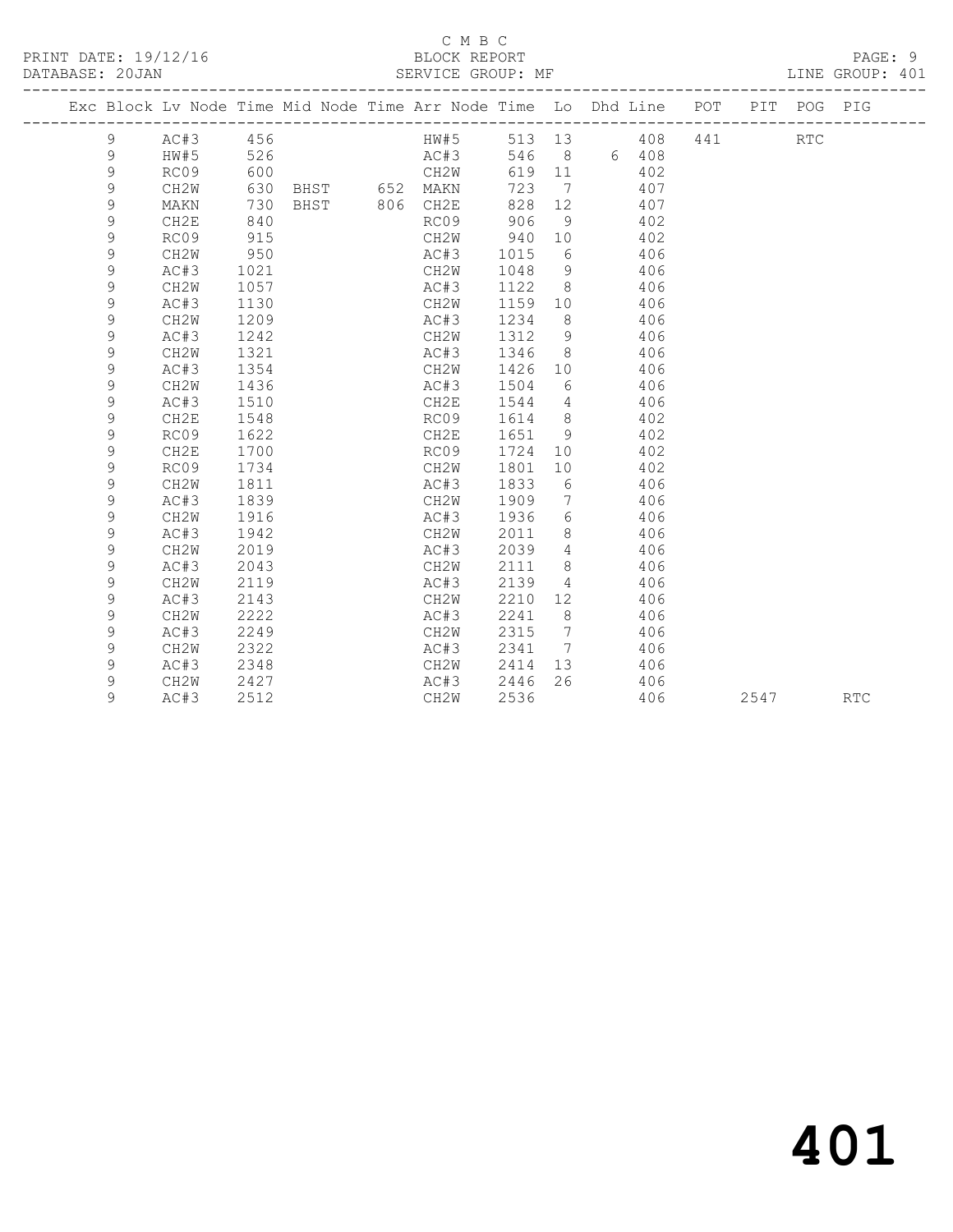#### C M B C<br>BLOCK REPORT SERVICE GROUP: MF

|  |             |                   |      | Exc Block Lv Node Time Mid Node Time Arr Node Time Lo Dhd Line POT |      |      |                 |         |            |     | PIT | POG        | PIG        |
|--|-------------|-------------------|------|--------------------------------------------------------------------|------|------|-----------------|---------|------------|-----|-----|------------|------------|
|  | 9           | AC#3              | 456  |                                                                    | HW#5 |      |                 |         | 513 13 408 | 441 |     | <b>RTC</b> |            |
|  | 9           | HW#5              | 526  |                                                                    | AC#3 | 546  |                 | 8 6 408 |            |     |     |            |            |
|  | $\mathsf 9$ | RC09              | 600  |                                                                    | CH2W | 619  | 11              |         | 402        |     |     |            |            |
|  | 9           | CH <sub>2</sub> W |      | 630 BHST 652 MAKN                                                  |      | 723  | $\overline{7}$  |         | 407        |     |     |            |            |
|  | 9           | MAKN              | 730  | BHST 806 CH2E                                                      |      | 828  | 12              |         | 407        |     |     |            |            |
|  | 9           | CH2E              | 840  |                                                                    | RC09 | 906  | - 9             |         | 402        |     |     |            |            |
|  | 9           | RC09              | 915  |                                                                    | CH2W | 940  | 10              |         | 402        |     |     |            |            |
|  | 9           | CH2W              | 950  |                                                                    | AC#3 | 1015 | 6               |         | 406        |     |     |            |            |
|  | 9           | AC#3              | 1021 |                                                                    | CH2W | 1048 | 9               |         | 406        |     |     |            |            |
|  | $\mathsf 9$ | CH <sub>2</sub> W | 1057 |                                                                    | AC#3 | 1122 | 8               |         | 406        |     |     |            |            |
|  | 9           | AC#3              | 1130 |                                                                    | CH2W | 1159 | 10              |         | 406        |     |     |            |            |
|  | 9           | CH2W              | 1209 |                                                                    | AC#3 | 1234 | 8               |         | 406        |     |     |            |            |
|  | $\mathsf 9$ | AC#3              | 1242 |                                                                    | CH2W | 1312 | 9               |         | 406        |     |     |            |            |
|  | 9           | CH2W              | 1321 |                                                                    | AC#3 | 1346 | 8               |         | 406        |     |     |            |            |
|  | $\mathsf 9$ | AC#3              | 1354 |                                                                    | CH2W | 1426 | 10 <sup>°</sup> |         | 406        |     |     |            |            |
|  | $\mathsf 9$ | CH2W              | 1436 |                                                                    | AC#3 | 1504 | 6               |         | 406        |     |     |            |            |
|  | $\mathsf 9$ | AC#3              | 1510 |                                                                    | CH2E | 1544 | 4               |         | 406        |     |     |            |            |
|  | 9           | CH2E              | 1548 |                                                                    | RC09 | 1614 | 8               |         | 402        |     |     |            |            |
|  | 9           | RC09              | 1622 |                                                                    | CH2E | 1651 | 9               |         | 402        |     |     |            |            |
|  | 9           | CH2E              | 1700 |                                                                    | RC09 | 1724 | 10              |         | 402        |     |     |            |            |
|  | 9           | RC09              | 1734 |                                                                    | CH2W | 1801 | 10              |         | 402        |     |     |            |            |
|  | 9           | CH <sub>2</sub> W | 1811 |                                                                    | AC#3 | 1833 | 6               |         | 406        |     |     |            |            |
|  | $\mathsf 9$ | AC#3              | 1839 |                                                                    | CH2W | 1909 | 7               |         | 406        |     |     |            |            |
|  | $\mathsf 9$ | CH2W              | 1916 |                                                                    | AC#3 | 1936 | 6               |         | 406        |     |     |            |            |
|  | $\mathsf 9$ | AC#3              | 1942 |                                                                    | CH2W | 2011 | 8               |         | 406        |     |     |            |            |
|  | $\mathsf 9$ | CH <sub>2</sub> W | 2019 |                                                                    | AC#3 | 2039 | 4               |         | 406        |     |     |            |            |
|  | $\mathsf 9$ | AC#3              | 2043 |                                                                    | CH2W | 2111 | 8               |         | 406        |     |     |            |            |
|  | $\mathsf 9$ | CH2W              | 2119 |                                                                    | AC#3 | 2139 | $\overline{4}$  |         | 406        |     |     |            |            |
|  | $\mathsf 9$ | AC#3              | 2143 |                                                                    | CH2W | 2210 | 12              |         | 406        |     |     |            |            |
|  | 9           | CH <sub>2</sub> W | 2222 |                                                                    | AC#3 | 2241 | - 8             |         | 406        |     |     |            |            |
|  | 9           | AC#3              | 2249 |                                                                    | CH2W | 2315 | $\overline{7}$  |         | 406        |     |     |            |            |
|  | 9           | CH2W              | 2322 |                                                                    | AC#3 | 2341 | $\overline{7}$  |         | 406        |     |     |            |            |
|  | 9           | AC#3              | 2348 |                                                                    | CH2W | 2414 | 13              |         | 406        |     |     |            |            |
|  | 9           | CH <sub>2</sub> W | 2427 |                                                                    | AC#3 | 2446 | 26              |         | 406        |     |     |            |            |
|  | 9           | AC#3              | 2512 |                                                                    | CH2W | 2536 |                 |         | 406        |     |     | 2547       | <b>RTC</b> |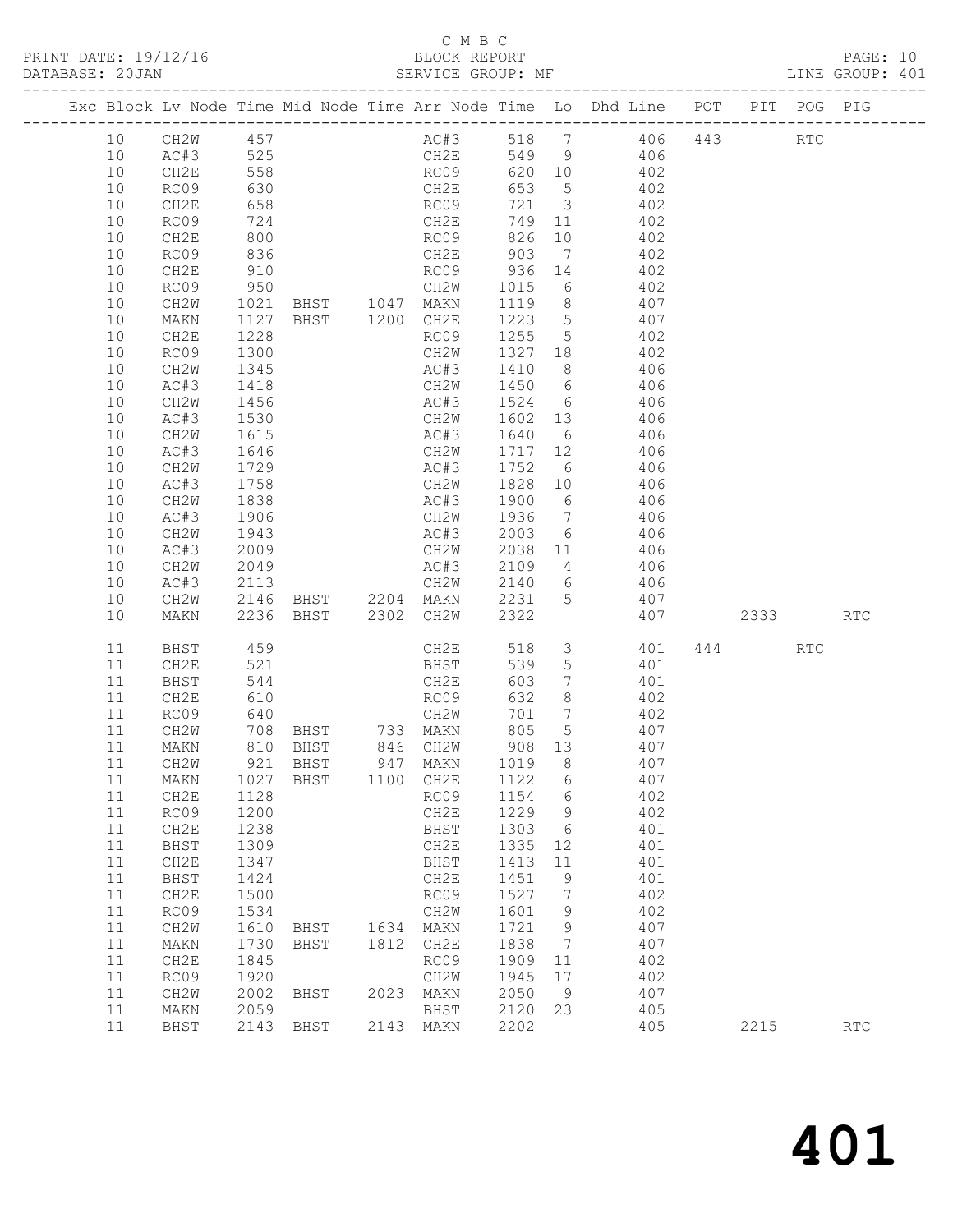#### C M B C<br>BLOCK REPORT

|          |                      |              |                                       |      |                             |                    |                 | Exc Block Lv Node Time Mid Node Time Arr Node Time Lo Dhd Line POT |      | PIT POG PIG          |     |
|----------|----------------------|--------------|---------------------------------------|------|-----------------------------|--------------------|-----------------|--------------------------------------------------------------------|------|----------------------|-----|
| 10       | CH2W 457<br>AC#3 525 |              |                                       |      |                             |                    |                 | AC#3 518 7 406 443<br>CH2E 549 9 406                               |      | $\operatorname{RTC}$ |     |
| 10       |                      |              |                                       |      |                             |                    |                 |                                                                    |      |                      |     |
| 10       | CH2E                 | 558          |                                       |      | RC09                        |                    |                 | 620 10 402                                                         |      |                      |     |
| 10       | RC09                 | 630          |                                       |      | CH2E                        | 653 5              |                 | 402                                                                |      |                      |     |
| 10       | CH2E                 | 658<br>724   |                                       |      | RC09<br>CH2E                | $721 \qquad 3$     |                 | $402$<br>$402$                                                     |      |                      |     |
| 10       | RC09                 |              |                                       |      |                             | 749 11             |                 |                                                                    |      |                      |     |
| 10       | CH2E                 | 800          |                                       |      | RC09                        |                    |                 | 826 10 402                                                         |      |                      |     |
| 10       | RC09                 | 836          |                                       |      | CH2E                        |                    |                 | 903 7 402                                                          |      |                      |     |
| 10       | CH2E                 | 910          |                                       |      |                             |                    |                 | RC09 936 14 402<br>CH2W 1015 6 402                                 |      |                      |     |
| 10       | RC09                 | 950          | CH2W<br>BHST 1047 MAKN                |      |                             |                    |                 |                                                                    |      |                      |     |
| 10       | CH2W                 | 1021         |                                       |      |                             |                    |                 | $1119$ 8 407                                                       |      |                      |     |
| 10       | MAKN                 | 1127         | BHST 1200 CH2E                        |      |                             |                    |                 | 1223 5 407                                                         |      |                      |     |
| 10       | CH2E                 | 1228         |                                       |      | RC09                        | 1255 5             |                 | 402                                                                |      |                      |     |
| 10       | RC09                 | 1300         |                                       |      | CH2W                        | 1327 18            |                 | 402<br>AC#3 1410 8 406                                             |      |                      |     |
| 10       | CH2W                 | 1345         |                                       |      |                             |                    |                 |                                                                    |      |                      |     |
| 10       | AC#3                 | 1418         |                                       |      |                             |                    |                 | CH2W 1450 6 406                                                    |      |                      |     |
| 10       | CH2W                 | 1456         |                                       |      |                             | 1602 13            |                 | AC#3 1524 6 406                                                    |      |                      |     |
| 10<br>10 | AC#3<br>CH2W         | 1530<br>1615 |                                       |      | CH2W                        |                    |                 | 406<br>$AC#3$ 1640 6 406                                           |      |                      |     |
| 10       | AC#3                 | 1646         |                                       |      |                             |                    |                 | CH2W 1717 12 406                                                   |      |                      |     |
| 10       | CH2W                 | 1729         |                                       |      | AC#3                        |                    |                 | 1752 6 406                                                         |      |                      |     |
| 10       | AC#3                 |              |                                       |      | CH2W                        | 1828 10            |                 |                                                                    |      |                      |     |
| 10       | CH2W                 | 1758<br>1838 |                                       |      | AC#3                        | 1900 6             |                 | $406$<br>$406$                                                     |      |                      |     |
| 10       | AC#3                 | 1906         |                                       |      |                             |                    |                 | CH2W 1936 7 406                                                    |      |                      |     |
| 10       | CH2W                 | 1943         |                                       |      | AC#3                        |                    |                 | 2003 6 406                                                         |      |                      |     |
| 10       | AC#3                 |              |                                       |      |                             |                    |                 |                                                                    |      |                      |     |
| 10       | CH2W                 | 2009<br>2049 |                                       |      | CH2W 2038 11<br>AC#3 2109 4 |                    |                 | $406$<br>$406$                                                     |      |                      |     |
| 10       | AC#3                 | 2113         |                                       |      |                             |                    |                 | CH2W 2140 6 406                                                    |      |                      |     |
| 10       | CH2W                 | 2146         |                                       |      |                             |                    |                 | BHST 2204 MAKN 2231 5 407                                          |      |                      |     |
| 10       | MAKN                 |              | 2236 BHST 2302 CH2W                   |      |                             | 2322               |                 | 407 2333 RTC                                                       |      |                      |     |
| 11       | BHST                 | 459          |                                       |      | CH2E                        | 518                |                 | 3 401                                                              | 444  | RTC                  |     |
| 11       | CH2E                 | 521          |                                       |      | BHST                        | 539                | $5\overline{)}$ | 401                                                                |      |                      |     |
| 11       | BHST                 | 544<br>610   |                                       |      | CH2E                        | 603                | $7\overline{ }$ | 401                                                                |      |                      |     |
| 11       | CH2E                 | 640          |                                       |      | RC09<br>CH <sub>2</sub> W   | 632                | 8 <sup>8</sup>  | 402                                                                |      |                      |     |
| 11       | RC09                 |              |                                       |      |                             |                    |                 | 701 7 402<br>708 BHST 733 MAKN 805 5 407                           |      |                      |     |
| 11<br>11 | CH2W                 |              |                                       |      |                             |                    |                 |                                                                    |      |                      |     |
| 11       | MAKN<br>CH2W         |              | 810 BHST<br>921 BHST<br>BHST 846 CH2W |      | 947 MAKN                    | $908$ 13<br>1019 8 |                 | 407<br>407                                                         |      |                      |     |
|          |                      |              | 11 MAKN 1027 BHST 1100 CH2E 1122 6    |      |                             |                    |                 | 407                                                                |      |                      |     |
| 11       | CH2E                 | 1128         |                                       |      | RC09                        | 1154               | $6\overline{6}$ | 402                                                                |      |                      |     |
| 11       | RC09                 | 1200         |                                       |      | CH2E                        | 1229               | 9               | 402                                                                |      |                      |     |
| 11       | CH2E                 | 1238         |                                       |      | BHST                        | 1303               | $6\overline{6}$ | 401                                                                |      |                      |     |
| 11       | BHST                 | 1309         |                                       |      | CH2E                        | 1335               | 12              | 401                                                                |      |                      |     |
| 11       | CH2E                 | 1347         |                                       |      | BHST                        | 1413               | 11              | 401                                                                |      |                      |     |
| 11       | BHST                 | 1424         |                                       |      | CH2E                        | 1451               | 9               | 401                                                                |      |                      |     |
| 11       | CH2E                 | 1500         |                                       |      | RC09                        | 1527               | 7               | 402                                                                |      |                      |     |
| 11       | RC09                 | 1534         |                                       |      | CH2W                        | 1601               | 9               | 402                                                                |      |                      |     |
| 11       | CH2W                 | 1610         | BHST                                  | 1634 | MAKN                        | 1721               | 9               | 407                                                                |      |                      |     |
| 11       | MAKN                 | 1730         | BHST                                  | 1812 | CH2E                        | 1838               | $\overline{7}$  | 407                                                                |      |                      |     |
| 11       | CH2E                 | 1845         |                                       |      | RC09                        | 1909               | 11              | 402                                                                |      |                      |     |
| 11       | RC09                 | 1920         |                                       |      | CH2W                        | 1945               | 17              | 402                                                                |      |                      |     |
| 11       | CH2W                 | 2002         | BHST                                  | 2023 | MAKN                        | 2050               | $\overline{9}$  | 407                                                                |      |                      |     |
| 11       | MAKN                 | 2059         |                                       |      | BHST                        | 2120               | 23              | 405                                                                |      |                      |     |
| 11       | BHST                 | 2143         | BHST                                  |      | 2143 MAKN                   | 2202               |                 | 405                                                                | 2215 |                      | RTC |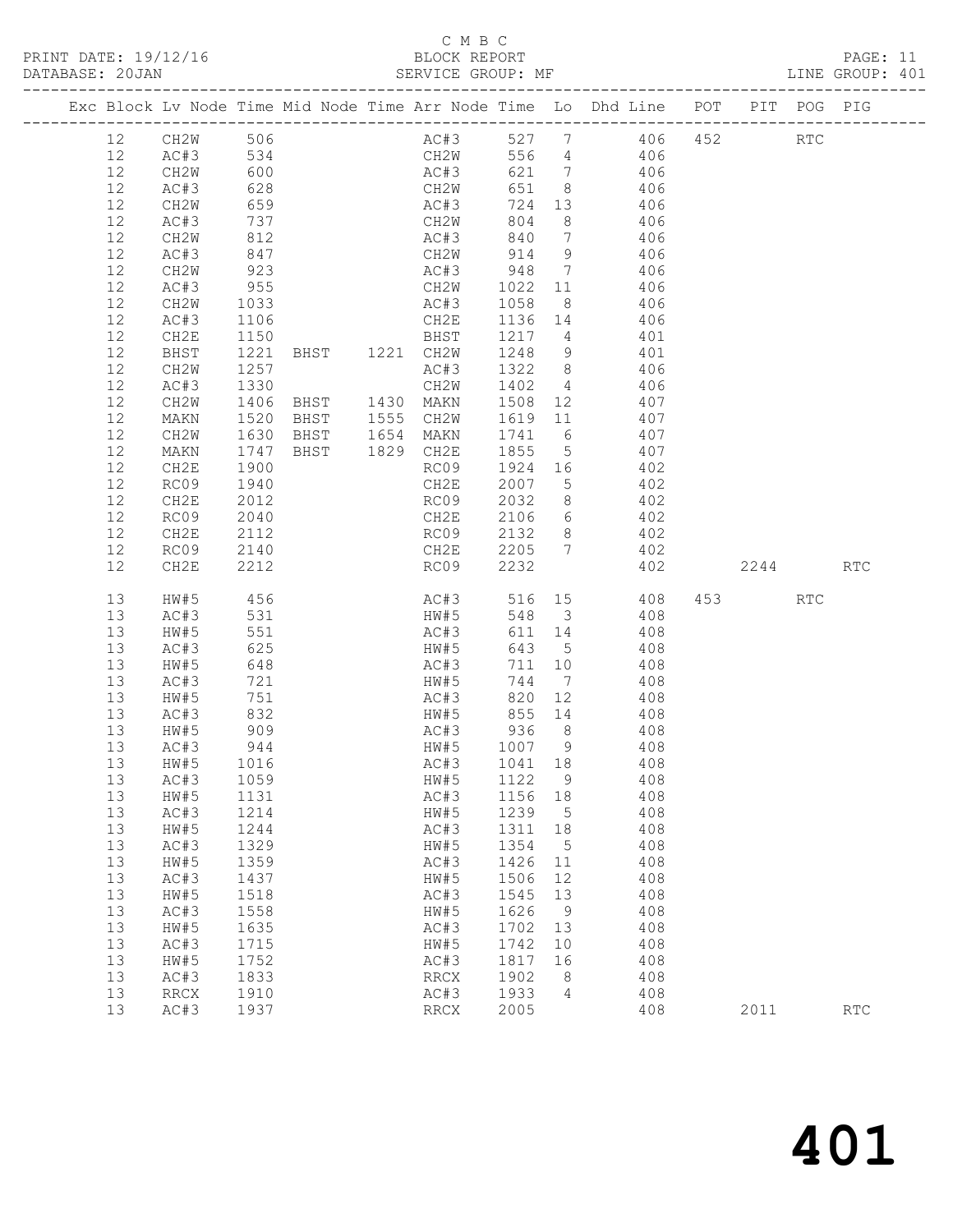#### C M B C

| PRINT DATE: 19/12/16 | BLOCK REPORT       | PAGE:           |  |
|----------------------|--------------------|-----------------|--|
| DATABASE: 20JAN      | SERVICE GROUP · MF | LINE GROUP: 401 |  |

|  |          |                                |              |                     |                                                |                          |                         | Exc Block Lv Node Time Mid Node Time Arr Node Time Lo Dhd Line POT PIT POG PIG |          |     |
|--|----------|--------------------------------|--------------|---------------------|------------------------------------------------|--------------------------|-------------------------|--------------------------------------------------------------------------------|----------|-----|
|  | 12       | CH2W 506                       |              |                     |                                                |                          |                         | AC#3 527 7 406 452 RTC                                                         |          |     |
|  | 12       |                                |              |                     | CH2W                                           |                          |                         | 556 4 406                                                                      |          |     |
|  | 12       | CILE N<br>AC#3 534<br>CH2W 600 |              |                     | AC#3                                           |                          |                         | 621 7 406                                                                      |          |     |
|  | 12       | AC#3                           | 628          |                     | CH2W                                           | 651                      | 8 <sup>1</sup>          | 406                                                                            |          |     |
|  | 12       | CH2W                           | 659          |                     |                                                | 724 13                   |                         | 406                                                                            |          |     |
|  | 12       | AC#3                           | 737          |                     | AC#3<br>CH2W                                   | 804                      | 8 <sup>8</sup>          | 406                                                                            |          |     |
|  | 12       | CH2W                           | 812          |                     | AC#3                                           | 840                      | $\overline{7}$          | 406                                                                            |          |     |
|  | $12$     | AC#3                           | 847          |                     | CH2W                                           | 914                      | 9                       | 406                                                                            |          |     |
|  | 12       | CH2W                           |              |                     |                                                |                          | $7\overline{ }$         | 406                                                                            |          |     |
|  | 12       | AC#3                           | 923<br>955   |                     |                                                |                          |                         | 406                                                                            |          |     |
|  | 12       | CH2W                           | 1033         |                     | AC#3 1058                                      |                          | 8 <sup>8</sup>          | 406                                                                            |          |     |
|  | 12       | AC#3                           | 1106         |                     | CH2E                                           | 1136 14                  |                         | 406                                                                            |          |     |
|  | 12       | CH2E                           | 1150         |                     | BHST                                           | 1217 4                   |                         | 401                                                                            |          |     |
|  | 12       | BHST                           |              | 1221 BHST 1221 CH2W |                                                | 1248                     | 9                       | 401                                                                            |          |     |
|  | 12       | CH2W                           | 1257         |                     | AC#3                                           | 1322 8                   |                         | 406                                                                            |          |     |
|  | 12       | AC#3                           | 1330         |                     | CH2W                                           | 1402                     | $\overline{4}$          | 406                                                                            |          |     |
|  | 12       | CH2W                           |              |                     | 1406 BHST   1430 MAKN<br>1520 BHST   1555 CH2W | 1508    12<br>1619    11 |                         | 407                                                                            |          |     |
|  | 12       | MAKN                           |              |                     |                                                |                          |                         | 407<br>BHST 1654 MAKN 1741 6 407                                               |          |     |
|  | 12       | CH2W                           | 1630         |                     |                                                |                          |                         |                                                                                |          |     |
|  | 12<br>12 | MAKN                           | 1747         |                     | BHST 1829 CH2E                                 | 1855                     | $5\overline{)}$         | 407                                                                            |          |     |
|  | 12       | CH2E<br>RC09                   | 1900<br>1940 |                     | RC09<br>CH2E                                   | 1924 16<br>2007          | $5\overline{)}$         | 402<br>402                                                                     |          |     |
|  | 12       | CH2E                           | 2012         |                     | RC09 2032                                      |                          | 8 <sup>8</sup>          | 402                                                                            |          |     |
|  | 12       | RC09                           | 2040         |                     | CH2E 2106                                      |                          |                         | 6 402                                                                          |          |     |
|  | 12       | CH2E                           | 2112         |                     |                                                |                          | 8 <sup>8</sup>          | 402                                                                            |          |     |
|  | 12       | RC09                           | 2140         |                     | RC09 2132 8<br>CH2E 2205 7                     |                          |                         | 402                                                                            |          |     |
|  | 12       | CH2E                           | 2212         |                     | $RC09$ 2232                                    |                          |                         | 402                                                                            | 2244 RTC |     |
|  |          |                                |              |                     |                                                |                          |                         |                                                                                |          |     |
|  | 13       | HW#5                           | 456          |                     | AC#3 516 15                                    |                          |                         | 408                                                                            | 453 RTC  |     |
|  | 13       | AC#3                           | 531          |                     | HW#5                                           | 548                      | $\overline{\mathbf{3}}$ | 408                                                                            |          |     |
|  | 13       | HW#5                           | 551          |                     | AC#3                                           | 611 14                   |                         | 408                                                                            |          |     |
|  | 13       | AC#3                           | 625          |                     | HW#5                                           | 643                      | $5^{\circ}$             | 408                                                                            |          |     |
|  | 13       | HW#5                           | 648          |                     | AC#3                                           | 711 10                   |                         | 408                                                                            |          |     |
|  | 13       | AC#3                           | 721<br>751   |                     | HW#5<br>AC#3                                   | 744 7                    |                         | 408                                                                            |          |     |
|  | 13       | HW#5                           |              |                     |                                                | 820                      | 12                      | 408                                                                            |          |     |
|  | 13       | AC#3                           | 832          |                     | HW#5<br>AC#3                                   |                          |                         | 855 14 408                                                                     |          |     |
|  | 13<br>13 | HW#5<br>AC#3                   | 909<br>944   |                     | HW#5                                           | 936                      | 8 <sup>8</sup>          | 408<br>408                                                                     |          |     |
|  | 13       | HW#5                           | 1016         |                     | AC#3                                           | 1007 9<br>1041 18        |                         | 408                                                                            |          |     |
|  | 13       | AC#3 1059                      |              |                     | HW#5 1122 9                                    |                          |                         | 408                                                                            |          |     |
|  | 13       | HW#5                           | 1131         |                     | AC#3                                           | 1156 18                  |                         | 408                                                                            |          |     |
|  | 13       | AC#3                           | 1214         |                     | HW#5                                           | 1239 5                   |                         | 408                                                                            |          |     |
|  | 13       | HW#5                           | 1244         |                     | AC#3                                           | 1311 18                  |                         | 408                                                                            |          |     |
|  | 13       | AC#3                           | 1329         |                     | HW#5                                           | 1354                     | 5                       | 408                                                                            |          |     |
|  | 13       | HW#5                           | 1359         |                     | AC#3                                           | 1426                     | 11                      | 408                                                                            |          |     |
|  | 13       | AC#3                           | 1437         |                     | HW#5                                           | 1506                     | 12                      | 408                                                                            |          |     |
|  | 13       | HW#5                           | 1518         |                     | AC#3                                           | 1545 13                  |                         | 408                                                                            |          |     |
|  | 13       | AC#3                           | 1558         |                     | HW#5                                           | 1626                     | 9                       | 408                                                                            |          |     |
|  | 13       | HW#5                           | 1635         |                     | AC#3                                           | 1702 13                  |                         | 408                                                                            |          |     |
|  | 13       | AC#3                           | 1715         |                     | HW#5                                           | 1742                     | 10                      | 408                                                                            |          |     |
|  | 13       | HW#5                           | 1752         |                     | AC#3                                           | 1817                     | 16                      | 408                                                                            |          |     |
|  | 13       | AC#3                           | 1833         |                     | RRCX                                           | 1902                     | 8 <sup>8</sup>          | 408                                                                            |          |     |
|  | 13       | <b>RRCX</b>                    | 1910         |                     | AC#3                                           | 1933                     | $\overline{4}$          | 408                                                                            |          |     |
|  | 13       | AC#3                           | 1937         |                     | RRCX                                           | 2005                     |                         | 408                                                                            | 2011     | RTC |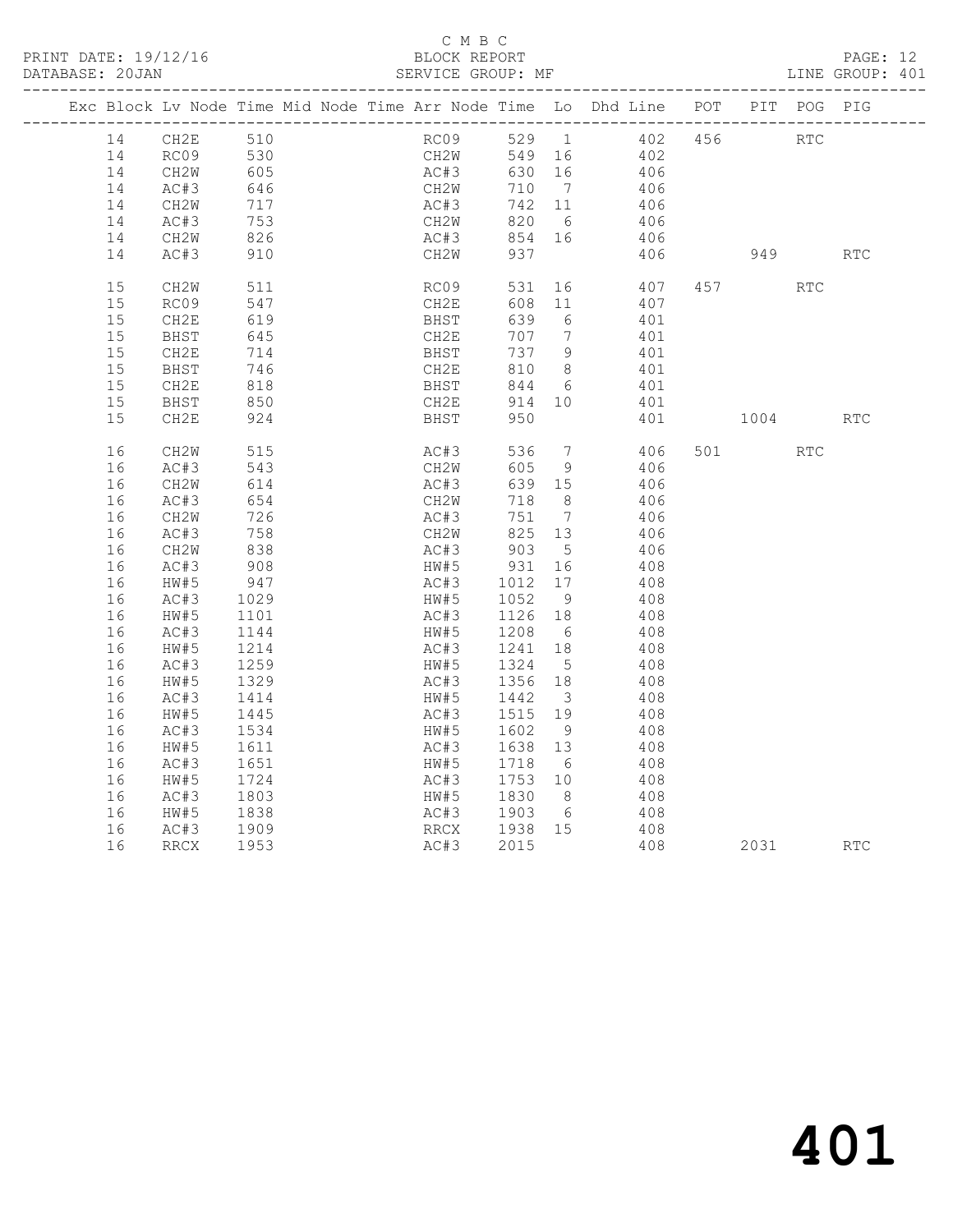#### C M B C<br>BLOCK REPORT SERVICE GROUP: MF

|    | Exc Block Lv Node Time Mid Node Time Arr Node Time Lo Dhd Line POT PIT POG PIG |              |  |      |              |                             |                         |               |            |            |            |
|----|--------------------------------------------------------------------------------|--------------|--|------|--------------|-----------------------------|-------------------------|---------------|------------|------------|------------|
| 14 | CH2E                                                                           | 510          |  |      | RC09         |                             |                         | 529 1 402 456 | <b>RTC</b> |            |            |
| 14 |                                                                                |              |  |      | CH2W         | 549 16                      |                         | 402           |            |            |            |
| 14 | RC09 530<br>CH2W 605                                                           |              |  |      | AC#3         | 630 16                      |                         | 406           |            |            |            |
| 14 | AC#3                                                                           |              |  |      | CH2W<br>AC#3 | 710 7                       |                         | 406           |            |            |            |
| 14 | CH2W                                                                           | 646<br>717   |  |      |              | 742 11                      |                         | 406           |            |            |            |
| 14 | AC#3                                                                           |              |  | CH2W |              | 820                         | $6\overline{6}$         | 406           |            |            |            |
| 14 | CH2W                                                                           | 753<br>826   |  | AC#3 |              | 854 16                      |                         | 406           |            |            |            |
| 14 | AC#3                                                                           | 910          |  | CH2W |              | 937                         |                         | 406           | 949        |            | RTC        |
| 15 | CH2W                                                                           | 511          |  |      | RC09         |                             |                         | 531 16 407    | 457        | <b>RTC</b> |            |
| 15 | RC09                                                                           | 547          |  | CH2E |              | 608                         | 11                      | 407           |            |            |            |
| 15 | CH2E                                                                           | 547<br>619   |  | BHST |              | 639                         | 6                       | 401           |            |            |            |
| 15 | BHST                                                                           |              |  | CH2E |              | 707                         | $7\overline{ }$         | 401           |            |            |            |
| 15 | CH2E                                                                           | 645<br>714   |  | BHST |              | 737 9                       |                         | 401           |            |            |            |
| 15 | BHST                                                                           | 746          |  | CH2E |              | 810                         | 8 <sup>8</sup>          | 401           |            |            |            |
| 15 | CH2E                                                                           |              |  | BHST |              | 844                         | 6                       | 401           |            |            |            |
| 15 |                                                                                | 818<br>850   |  | CH2E |              | 914 10                      |                         | 401           |            |            |            |
| 15 | BHST                                                                           |              |  |      |              | 950                         |                         | 401           |            |            | <b>RTC</b> |
|    | CH2E                                                                           | 924          |  | BHST |              |                             |                         |               | 1004       |            |            |
| 16 | CH2W                                                                           | 515          |  |      | AC#3         | 536                         | $7\overline{ }$         | 406           | 501        | <b>RTC</b> |            |
| 16 | AC#3                                                                           | 543          |  | CH2W |              | 605                         | 9                       | 406           |            |            |            |
| 16 | CH2W                                                                           | 614          |  | AC#3 |              | 639 15                      |                         | 406           |            |            |            |
| 16 | AC#3                                                                           |              |  | CH2W |              | 718                         | 8 <sup>8</sup>          | 406           |            |            |            |
| 16 | CH2W                                                                           | 654<br>726   |  | AC#3 |              | 751 7                       |                         | 406           |            |            |            |
| 16 | AC#3                                                                           |              |  | CH2W |              | 825 13                      |                         | 406           |            |            |            |
| 16 | CH2W                                                                           | 758<br>838   |  | AC#3 |              | 903                         | $5^{\circ}$             | 406           |            |            |            |
| 16 | AC#3                                                                           | 908          |  | HW#5 |              | 931 16                      |                         | 408           |            |            |            |
| 16 | HW#5                                                                           | 947<br>1029  |  | AC#3 |              |                             |                         | 408           |            |            |            |
| 16 | AC#3                                                                           | 1029         |  | HW#5 |              | 1012 17<br>1052 9           |                         | 408           |            |            |            |
| 16 | HW#5                                                                           | 1101         |  | AC#3 |              |                             |                         | 408           |            |            |            |
| 16 | AC#3                                                                           | 1144         |  | HW#5 |              | 1126 18<br>1208 6           |                         | 408           |            |            |            |
| 16 | HW#5                                                                           | 1214         |  |      |              | AC#3 1241 18<br>HW#5 1324 5 |                         | 408           |            |            |            |
| 16 | AC#3                                                                           | 1259         |  |      |              |                             |                         | 408           |            |            |            |
| 16 | HW#5                                                                           | 1329         |  |      |              | AC#3 1356 18                |                         | 408           |            |            |            |
| 16 | AC#3                                                                           |              |  | HW#5 |              |                             | $\overline{\mathbf{3}}$ | 408           |            |            |            |
| 16 | HW#5                                                                           | 1414<br>1445 |  | AC#3 |              | 1442 3<br>1515 19           |                         | 408           |            |            |            |
| 16 | AC#3                                                                           | 1534         |  | HW#5 |              |                             |                         | 408           |            |            |            |
| 16 | HW#5                                                                           | 1611         |  | AC#3 |              | 1602 9<br>1638 13           |                         | 408           |            |            |            |
| 16 | AC#3                                                                           | 1651         |  | HW#5 |              | 1718                        | 6                       | 408           |            |            |            |
| 16 | HW#5                                                                           | 1724         |  | AC#3 |              | 1753 10                     |                         | 408           |            |            |            |
| 16 | AC#3                                                                           | 1803         |  | HW#5 |              | 1830                        | 8 <sup>8</sup>          | 408           |            |            |            |
| 16 | HW#5                                                                           |              |  |      |              |                             | 6                       | 408           |            |            |            |
| 16 | AC#3                                                                           | 1838<br>1909 |  |      |              | AC#3 1903 6<br>RRCX 1938 15 |                         | 408           |            |            |            |
| 16 | RRCX                                                                           | 1953         |  |      |              | AC#3 2015                   |                         | 408           | 2031       |            | <b>RTC</b> |
|    |                                                                                |              |  |      |              |                             |                         |               |            |            |            |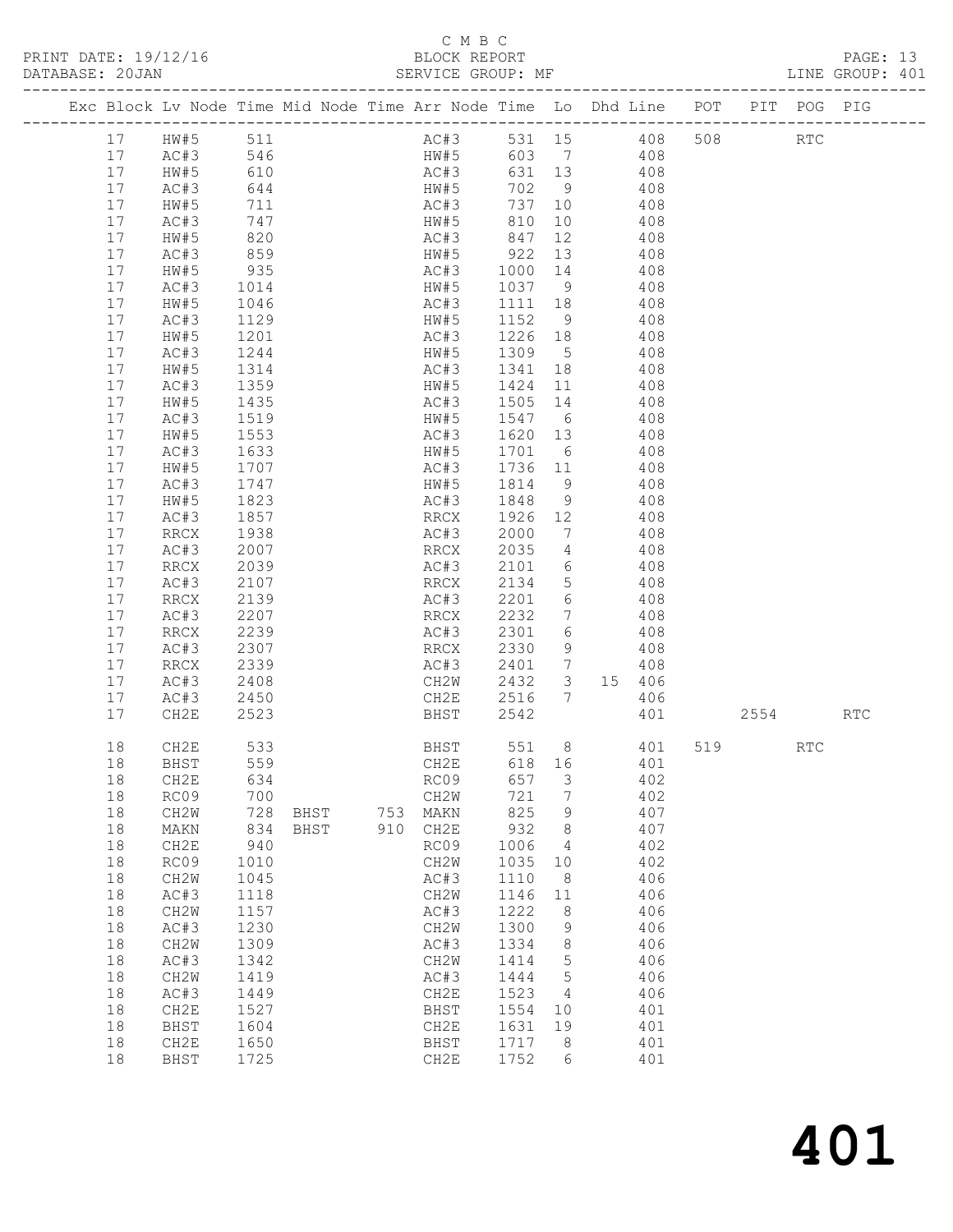### C M B C

| PRINT DATE: 19/12/16                                 BLOCK REPORT DATABASE: 20JAN<br>DATABASE: 20JAN |                                  |                                                           |                                              |              |            | BLOCK REPORT<br>SERVICE GROUP: MF                                                                                                                                                  |                                              |                              |                            |                                        |                               |  | PAGE: 13<br>LINE GROUP: 401 |  |
|------------------------------------------------------------------------------------------------------|----------------------------------|-----------------------------------------------------------|----------------------------------------------|--------------|------------|------------------------------------------------------------------------------------------------------------------------------------------------------------------------------------|----------------------------------------------|------------------------------|----------------------------|----------------------------------------|-------------------------------|--|-----------------------------|--|
|                                                                                                      |                                  |                                                           |                                              |              |            | Exc Block Lv Node Time Mid Node Time Arr Node Time Lo Dhd Line POT PIT POG PIG                                                                                                     |                                              |                              |                            |                                        |                               |  |                             |  |
|                                                                                                      |                                  |                                                           |                                              |              |            | AC#3 531 15 408 508 RTC<br>HW#5 603 7 408<br>17 HW#5 511<br>17 HW#5 511<br>17 AC#3 546 HW#5 603 7 408<br>17 HW#5 610<br>2010 AC#3 631 13 408<br>17 HW#5 610<br>2010 HW#5 702 9 408 |                                              |                              |                            |                                        |                               |  |                             |  |
|                                                                                                      | 17<br>17<br>17                   | AC#3<br>HW#5<br>AC#3<br>HW#5                              | 644<br>711<br>747<br>820                     |              |            | HW#5<br>AC#3 737 10 408<br>HW#5 810 10 408<br>AC#3 847                                                                                                                             |                                              |                              | 702 9 408<br>12 408        |                                        |                               |  |                             |  |
|                                                                                                      | 17<br>17<br>17                   | AC#3<br>HW#5<br>AC#3                                      | 859<br>935<br>1014                           |              |            | HW#5 922<br>AC#3 1000 14<br>HW#5 1037 9                                                                                                                                            |                                              |                              | 13 408                     | $408$<br>$408$                         |                               |  |                             |  |
|                                                                                                      | 17<br>17<br>17<br>17             | HW#5<br>AC#3<br>HW#5<br>AC#3                              | 1046<br>1129<br>1201<br>1244                 |              |            | AC#3 1111 18 408<br>HW#5 1152 9 408                                                                                                                                                |                                              |                              | $\frac{408}{408}$          |                                        |                               |  |                             |  |
|                                                                                                      | 17<br>17<br>17                   | HW#5<br>AC#3<br>HW#5                                      | 1314<br>1359<br>1435                         |              |            | AC#3 1341 18 408<br>HW#5 1424 11 408<br>AC#3<br>AC#3      1505   14<br>HW#5      1547    6                                                                                         | 1505 14 408                                  |                              |                            |                                        |                               |  |                             |  |
|                                                                                                      | 17<br>17<br>17<br>17             | AC#3<br>HW#5<br>AC#3<br>HW#5                              | 1519<br>1553<br>1633<br>1707                 |              |            | AC#3 1620 13 408<br>HW#5 1701<br>AC#3                                                                                                                                              | 1736 11 408                                  |                              | 6 408                      | 408                                    |                               |  |                             |  |
|                                                                                                      | 17<br>17<br>17<br>17             | AC#3<br>HW#5<br>AC#3<br>RRCX                              | 1747<br>1823<br>1857<br>1938                 |              |            | HW#5<br>AC#3 1848<br>RRCX<br>AC#3                                                                                                                                                  | 1814 9<br>1926 12 408<br>2000                |                              | $\frac{1}{9}$ 408<br>7 408 | 408                                    |                               |  |                             |  |
|                                                                                                      | 17<br>17<br>17                   | AC#3<br>RRCX<br>AC#3                                      | 2007<br>2039<br>2107                         |              |            | RRCX 2035 4 408<br>AC#3 2101 6 408<br>RRCX                                                                                                                                         | 2134                                         |                              | 5 408                      |                                        |                               |  |                             |  |
|                                                                                                      | 17<br>17<br>17<br>17             | RRCX<br>AC#3<br>RRCX<br>AC#3                              | 2139<br>2207<br>2239<br>2307                 |              |            | AC#3<br>RRCX<br>AC#3 2301<br>RRCX 2330                                                                                                                                             | 2201<br>2232                                 | $7\overline{ }$<br>6         | 6 408<br>408<br>9 408      | 408                                    |                               |  |                             |  |
|                                                                                                      | 17<br>17<br>17                   | RRCX<br>AC#3<br>AC#3                                      | 2339<br>2408<br>2450                         |              |            | AC#3 2401 7 408<br>CH2W 2432 3 15 406<br>CH2E 2516 7 406                                                                                                                           |                                              |                              |                            |                                        |                               |  |                             |  |
|                                                                                                      | 17<br>18                         | CH2E<br>CH2E                                              | 2523<br>533                                  |              |            | <b>BHST</b><br><b>BHST</b>                                                                                                                                                         | 2542                                         |                              |                            | 401                                    | 2554 RTC<br>551 8 401 519 RTC |  |                             |  |
|                                                                                                      | 18<br>18<br>18<br>18<br>18<br>18 | <b>BHST</b><br>CH2E<br>RC09<br>CH2W<br>MAKN<br>CH2E       | 559<br>634<br>700<br>728<br>834<br>940       | BHST<br>BHST | 753<br>910 | CH2E<br>RC09<br>CH2W<br>MAKN<br>CH2E<br>RC09                                                                                                                                       | 618<br>657<br>721<br>825<br>932<br>1006      | 16<br>3<br>7<br>9<br>8<br>4  |                            | 401<br>402<br>402<br>407<br>407<br>402 |                               |  |                             |  |
|                                                                                                      | 18<br>18<br>18<br>18<br>18<br>18 | RC09<br>CH2W<br>AC#3<br>CH <sub>2</sub> M<br>AC#3<br>CH2W | 1010<br>1045<br>1118<br>1157<br>1230<br>1309 |              |            | CH2W<br>AC#3<br>CH2W<br>AC#3<br>CH2W<br>AC#3                                                                                                                                       | 1035<br>1110<br>1146<br>1222<br>1300<br>1334 | 10<br>8<br>11<br>8<br>9<br>8 |                            | 402<br>406<br>406<br>406<br>406<br>406 |                               |  |                             |  |
|                                                                                                      | 18<br>18<br>18<br>18<br>18       | AC#3<br>CH2W<br>AC#3<br>CH2E<br><b>BHST</b>               | 1342<br>1419<br>1449<br>1527<br>1604         |              |            | CH2W<br>AC#3<br>CH2E<br>BHST<br>CH2E                                                                                                                                               | 1414<br>1444<br>1523<br>1554<br>1631         | 5<br>5<br>4<br>10<br>19      |                            | 406<br>406<br>406<br>401<br>401        |                               |  |                             |  |
|                                                                                                      | 18<br>18                         | CH2E<br>BHST                                              | 1650<br>1725                                 |              |            | BHST<br>CH2E                                                                                                                                                                       | 1717<br>1752                                 | 8<br>6                       |                            | 401<br>401                             |                               |  |                             |  |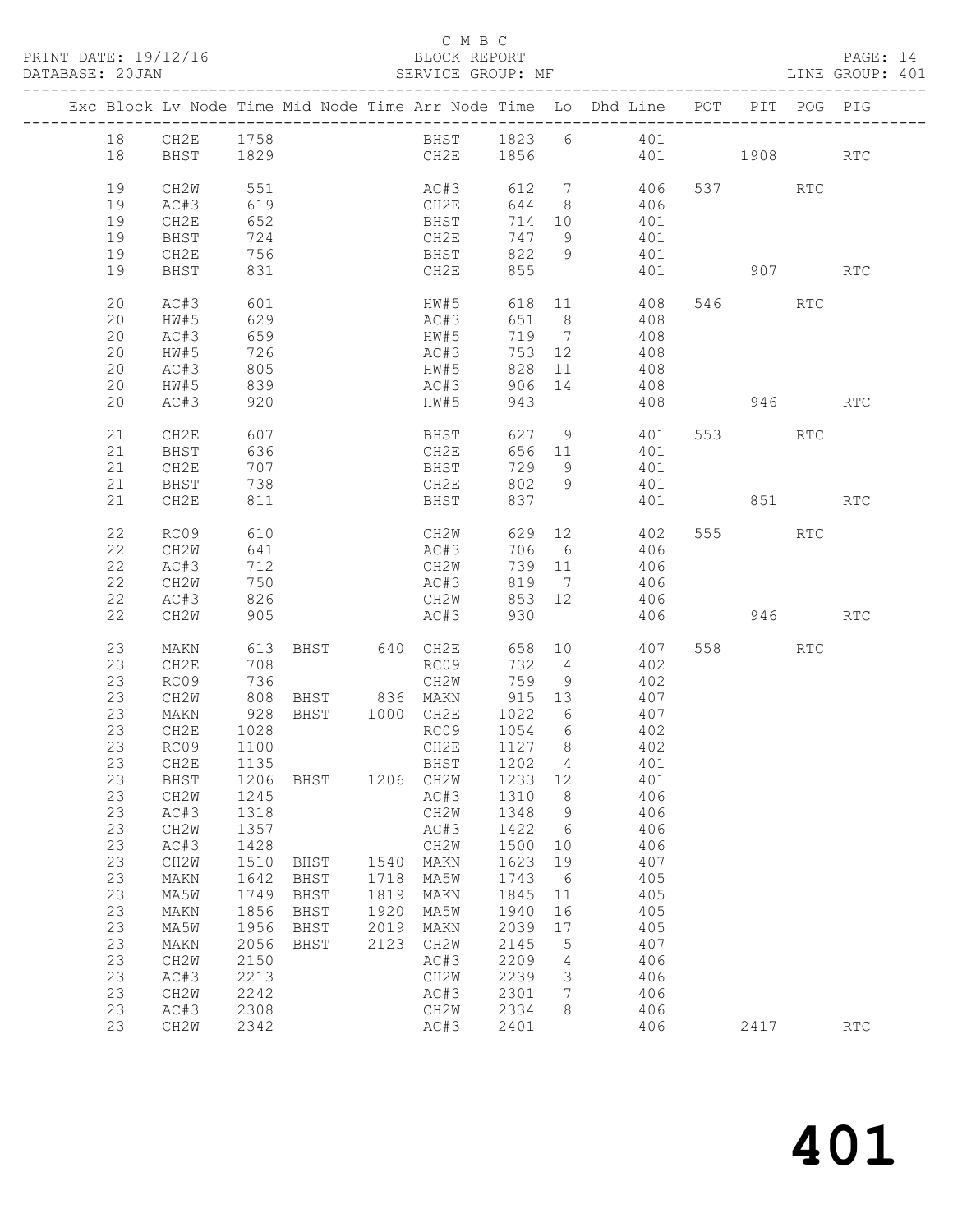#### C M B C<br>BLOCK REPORT

PAGE: 14<br>LINE GROUP: 401

|  |          | Exc Block Lv Node Time Mid Node Time Arr Node Time Lo Dhd Line POT PIT POG PIG |              |             |      |                                 |                   |                |                 |          |          |     |            |
|--|----------|--------------------------------------------------------------------------------|--------------|-------------|------|---------------------------------|-------------------|----------------|-----------------|----------|----------|-----|------------|
|  | 18       | CH2E                                                                           | 1758         |             |      |                                 |                   |                | BHST 1823 6 401 |          |          |     |            |
|  | 18       | BHST                                                                           | 1829         |             |      |                                 | CH2E 1856         |                |                 | 401 1908 |          |     | RTC        |
|  | 19       | CH2W                                                                           | 551          |             |      | AC#3                            |                   |                | 612 7 406       |          | 537 RTC  |     |            |
|  | 19       | AC#3                                                                           | 619          |             |      | CH2E                            | 644               | 8 <sup>8</sup> | 406             |          |          |     |            |
|  | 19       | CH2E                                                                           | 652          |             |      | BHST                            | 714 10            |                | 401             |          |          |     |            |
|  | 19       | BHST                                                                           | 724          |             |      | CH2E                            | 747               | 9              | 401             |          |          |     |            |
|  | 19       | CH2E                                                                           | 756          |             |      | <b>BHST</b>                     | 822               | 9              | 401             |          |          |     |            |
|  | 19       | BHST                                                                           | 831          |             |      | CH2E                            | 855               |                |                 | 401      | 907      |     | <b>RTC</b> |
|  | 20       | AC#3                                                                           | 601          |             |      | HW#5                            |                   |                | 618 11          | 408      | 546 RTC  |     |            |
|  | 20       | HW#5                                                                           | 629          |             |      | AC#3                            | 651 8             |                | 408             |          |          |     |            |
|  | 20       | AC#3                                                                           | 659          |             |      | HW#5                            |                   |                | 719 7<br>408    |          |          |     |            |
|  | 20       | HW#5                                                                           | 726          |             |      | AC#3                            | 753 12            |                | 408             |          |          |     |            |
|  | 20       | AC#3                                                                           | 805          |             |      | HW#5                            | 828 11            |                | 408             |          |          |     |            |
|  | 20       | HW#5                                                                           | 839          |             |      | AC#3                            | 906 14            |                | 408             |          |          |     |            |
|  | 20       | AC#3                                                                           | 920          |             |      | HW#5                            | 943               |                | 408             |          | 946 — 10 |     | RTC        |
|  | 21       | CH2E                                                                           | 607          |             |      | BHST                            | 627 9             |                | 401             |          | 553 75   | RTC |            |
|  | 21       | BHST                                                                           | 636          |             |      | CH2E                            |                   |                | 656 11<br>401   |          |          |     |            |
|  | 21       | CH2E                                                                           | 707          |             |      | <b>BHST</b>                     | 729               | 9              | 401             |          |          |     |            |
|  | 21       | BHST                                                                           | 738          |             |      | CH2E                            | 802               | 9              | 401             |          |          |     |            |
|  | 21       | CH2E                                                                           | 811          |             |      | BHST                            | 837               |                |                 | 401      | 851      |     | RTC        |
|  | 22       | RC09                                                                           | 610          |             |      | CH2W                            |                   |                | 629 12 402      |          | 555 75   | RTC |            |
|  | 22       | CH2W                                                                           | 641          |             |      | AC#3                            | 706 6             |                | 406             |          |          |     |            |
|  | 22       | AC#3                                                                           | 712          |             |      | CH2W                            | 739 11            |                | 406             |          |          |     |            |
|  | 22       | CH2W                                                                           | $712$<br>750 |             |      | AC#3                            | 819 7             |                | 406             |          |          |     |            |
|  | 22       | AC#3                                                                           | 826          |             |      | CH2W                            | 853 12            |                | 406             |          |          |     |            |
|  | 22       | CH2W                                                                           | 905          |             |      | AC#3                            | 930               |                | 406             |          | 946      |     | <b>RTC</b> |
|  | 23       | MAKN                                                                           | 613          |             |      | BHST 640 CH2E                   |                   |                | 658 10          | 407      | 558 30   | RTC |            |
|  | 23       | CH2E                                                                           | 708          |             |      | RC09                            | 732 4             |                | 402             |          |          |     |            |
|  | 23       | RC09                                                                           | 736          |             |      | CH2W                            | 759 9             |                | 402             |          |          |     |            |
|  | 23       | CH2W                                                                           | 808          |             |      | BHST 836 MAKN<br>BHST 1000 CH2E | 915 13            |                | 407             |          |          |     |            |
|  | 23       | MAKN                                                                           | 928          |             |      |                                 | 1022 6            |                | 407             |          |          |     |            |
|  | 23       | CH2E                                                                           | 1028         |             |      |                                 | RC09 1054 6       |                | 402             |          |          |     |            |
|  | 23       | RC09                                                                           | 1100         |             |      | CH2E                            | 1127 8            |                | 402             |          |          |     |            |
|  | 23       | CH2E                                                                           | 1135         |             |      | BHST                            | 1202 4            |                | 401             |          |          |     |            |
|  |          | 23 BHST 1206 BHST                                                              |              |             |      |                                 | 1206 CH2W 1233 12 |                | 401             |          |          |     |            |
|  | 23       | CH2W                                                                           | 1245         |             |      | AC#3                            | 1310              | 8              | 406             |          |          |     |            |
|  | 23       | AC#3                                                                           | 1318         |             |      | CH2W                            | 1348              | 9              | 406             |          |          |     |            |
|  | 23       | CH <sub>2</sub> W                                                              | 1357         |             |      | AC#3                            | 1422              | 6              | 406             |          |          |     |            |
|  | 23       | AC#3                                                                           | 1428         |             |      | CH <sub>2</sub> W               | 1500              | 10             | 406             |          |          |     |            |
|  | 23       | CH2W                                                                           | 1510         | <b>BHST</b> | 1540 | MAKN                            | 1623              | 19             | 407             |          |          |     |            |
|  | 23       | MAKN                                                                           | 1642         | <b>BHST</b> | 1718 | MA5W                            | 1743              | - 6            | 405             |          |          |     |            |
|  | 23       | MA5W                                                                           | 1749         | BHST        | 1819 | MAKN                            | 1845              | 11             | 405             |          |          |     |            |
|  | 23       | MAKN                                                                           | 1856         | BHST        | 1920 | MA5W                            | 1940              | 16             | 405             |          |          |     |            |
|  | 23       | MA5W                                                                           | 1956         | BHST        | 2019 | MAKN                            | 2039              | 17             | 405             |          |          |     |            |
|  | 23       | MAKN                                                                           | 2056         | BHST        | 2123 | CH2W                            | 2145              | 5              | 407             |          |          |     |            |
|  | 23       | CH2W                                                                           | 2150         |             |      | AC#3                            | 2209              | 4              | 406             |          |          |     |            |
|  | 23<br>23 | AC#3                                                                           | 2213         |             |      | CH2W                            | 2239              | 3              | 406             |          |          |     |            |
|  | 23       | CH2W<br>AC#3                                                                   | 2242<br>2308 |             |      | AC#3<br>CH2W                    | 2301<br>2334      | 7<br>8         | 406<br>406      |          |          |     |            |
|  | 23       | CH2W                                                                           | 2342         |             |      | AC#3                            | 2401              |                | 406             |          | 2417     |     | RTC        |
|  |          |                                                                                |              |             |      |                                 |                   |                |                 |          |          |     |            |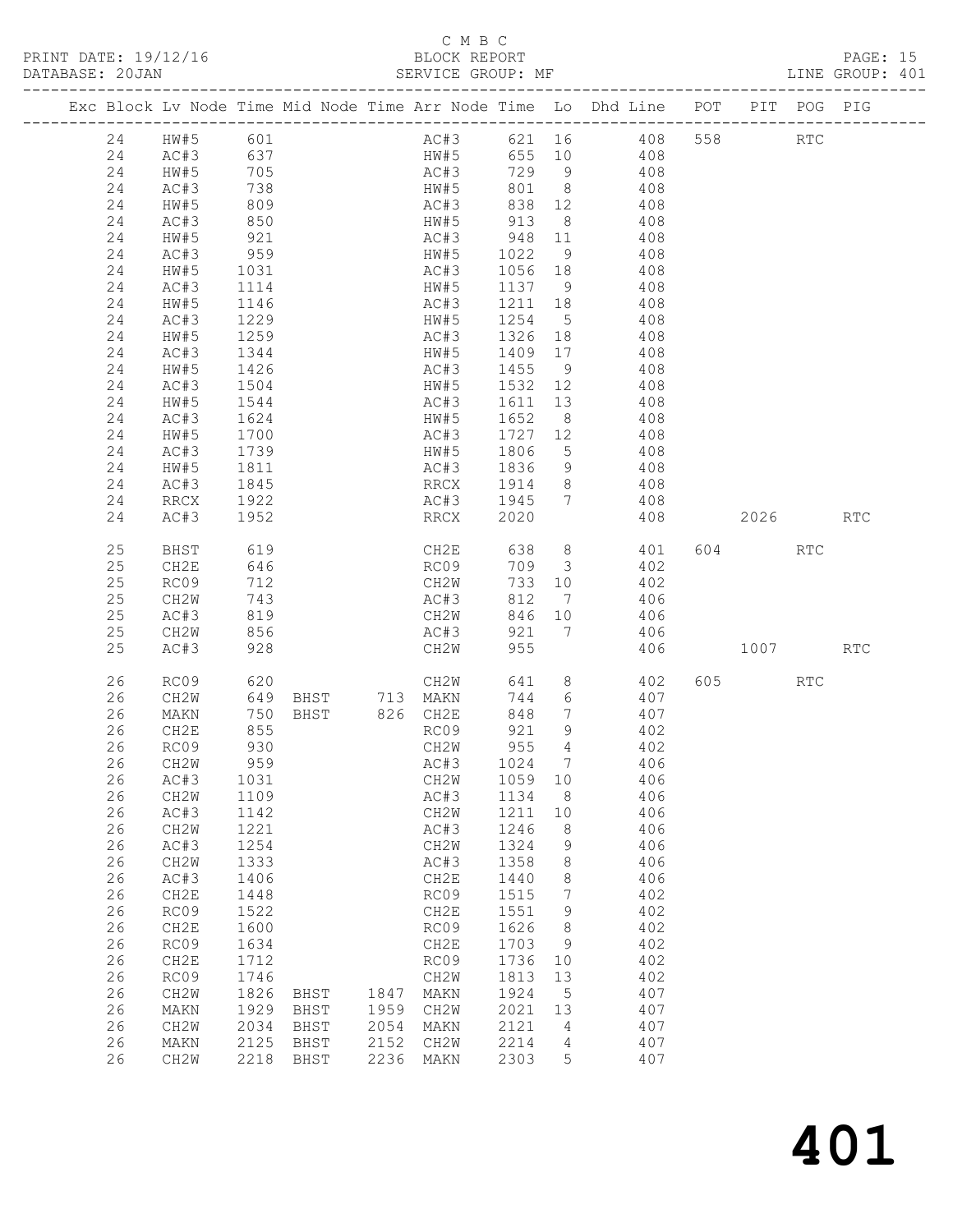### C M B C

| PRINT DATE: 19/12/16<br>DATABASE: 20JAN |          | .N<br>.———————————————————                                              |                   |             |      |                                     |              |                 | BLOCK REPORT<br>SERVICE GROUP: MF<br>-------                                   |      |            | PAGE: 15<br>LINE GROUP: 401 |  |
|-----------------------------------------|----------|-------------------------------------------------------------------------|-------------------|-------------|------|-------------------------------------|--------------|-----------------|--------------------------------------------------------------------------------|------|------------|-----------------------------|--|
|                                         |          |                                                                         |                   |             |      |                                     |              |                 | Exc Block Lv Node Time Mid Node Time Arr Node Time Lo Dhd Line POT PIT POG PIG |      |            |                             |  |
|                                         |          | 24 HW#5 601<br>24 HW#5 601<br>24 AC#3 637<br>24 HW#5 705<br>24 HW#5 705 |                   |             |      |                                     |              |                 | AC#3 621 16 408 558 RTC<br>HW#5 655 10 408                                     |      |            |                             |  |
|                                         |          |                                                                         |                   |             |      |                                     |              |                 |                                                                                |      |            |                             |  |
|                                         |          |                                                                         |                   |             |      |                                     |              |                 | AC#3 729 9 408                                                                 |      |            |                             |  |
|                                         |          |                                                                         |                   |             |      | HW#5                                |              |                 | 801 8 408                                                                      |      |            |                             |  |
|                                         |          |                                                                         |                   |             |      |                                     |              |                 | AC#3 838 12 408<br>HW#5 913 8 408                                              |      |            |                             |  |
|                                         | 24       | AC#3                                                                    | 738<br>809<br>850 |             |      |                                     |              |                 |                                                                                |      |            |                             |  |
|                                         | 24       | HW#5                                                                    | 921               |             |      |                                     |              |                 | AC#3 948 11 408                                                                |      |            |                             |  |
|                                         | 24       | AC#3                                                                    | 959               |             |      |                                     |              |                 | HW#5 1022 9 408                                                                |      |            |                             |  |
|                                         | 24       | HW#5<br>AC#3                                                            | 1031<br>1114      |             |      | AC#3<br>AC#3 1056 18<br>HW#5 1137 9 |              |                 | $408$<br>$408$                                                                 |      |            |                             |  |
|                                         | 24       |                                                                         |                   |             |      |                                     |              |                 |                                                                                |      |            |                             |  |
|                                         | 24       | HW#5                                                                    | 1146              |             |      |                                     |              |                 | AC#3 1211 18 408                                                               |      |            |                             |  |
|                                         | 24       | AC#3                                                                    | 1229              |             |      | HW#5 1254                           |              |                 | 5 408                                                                          |      |            |                             |  |
|                                         | 24       | HW#5                                                                    | 1259              |             |      | AC#3                                |              |                 | AC#3 1326 18 408<br>HW#5 1409 17 408                                           |      |            |                             |  |
|                                         | 24       | AC#3                                                                    | 1344              |             |      |                                     |              |                 |                                                                                |      |            |                             |  |
|                                         | 24       | HW#5                                                                    | 1426              |             |      | AC#3 1455                           |              |                 | 9 408                                                                          |      |            |                             |  |
|                                         | 24       | AC#3                                                                    | 1504              |             |      |                                     |              |                 | HW#5 1532 12 408                                                               |      |            |                             |  |
|                                         | 24       | HW#5                                                                    | 1544              |             |      | AC#3                                | 1611 13      |                 | 408                                                                            |      |            |                             |  |
|                                         | 24       | AC#3                                                                    | 1624              |             |      | HW#5 1652 8                         |              |                 | 408                                                                            |      |            |                             |  |
|                                         | 24       | HW#5                                                                    | 1700              |             |      |                                     |              |                 | AC#3 1727 12 408                                                               |      |            |                             |  |
|                                         | 24       | AC#3                                                                    | 1739              |             |      | HW#5 1806                           |              |                 | 5 408                                                                          |      |            |                             |  |
|                                         | 24       | HW#5                                                                    | 1811              |             |      | AC#3                                | 1836         |                 | 9 408                                                                          |      |            |                             |  |
|                                         | 24       | AC#3                                                                    | 1845              |             |      | RRCX 1914                           |              | 8 <sup>1</sup>  | $408$<br>$408$                                                                 |      |            |                             |  |
|                                         | 24       | RRCX                                                                    | 1922              |             |      | $AC#3$ 1945                         |              | $7\overline{ }$ |                                                                                |      |            |                             |  |
|                                         | 24       | AC#3                                                                    | 1952              |             |      | <b>RRCX</b>                         | 2020         |                 |                                                                                | 2026 |            | <b>RTC</b>                  |  |
|                                         | 25       | BHST                                                                    | 619<br>646        |             |      |                                     |              |                 | CH2E 638 8 401 604 RTC                                                         |      |            |                             |  |
|                                         | 25       | CH2E                                                                    |                   |             |      | RC09                                |              |                 | $709$ 3 402                                                                    |      |            |                             |  |
|                                         | 25       | RC09                                                                    | 712               |             |      | CH2W                                |              |                 | 733 10 402                                                                     |      |            |                             |  |
|                                         | 25       | CH2W                                                                    | 743               |             |      | AC#3                                | 812          |                 | 7 406                                                                          |      |            |                             |  |
|                                         | 25       | AC#3                                                                    | 819<br>856        |             |      | CH2W<br>AC#3                        | 846 10       |                 | $406$<br>$406$                                                                 |      |            |                             |  |
|                                         | 25       | CH2W                                                                    |                   |             |      |                                     | 921 7        |                 |                                                                                |      |            |                             |  |
|                                         | 25       | AC#3                                                                    | 928               |             |      | CH2W                                | 955          |                 | 406 1007                                                                       |      |            | RTC                         |  |
|                                         | 26       | RC09                                                                    |                   |             |      |                                     |              |                 | $641$ 8 $402$<br>744 6 407                                                     | 605  | <b>RTC</b> |                             |  |
|                                         | 26       | CH2W                                                                    |                   |             |      |                                     |              |                 |                                                                                |      |            |                             |  |
|                                         | 26       | MAKN                                                                    |                   |             |      |                                     | 848          | $\overline{7}$  | 407                                                                            |      |            |                             |  |
|                                         | 26       | CH2E                                                                    | 855               |             |      | RC09                                | 921          | $\overline{9}$  | 402                                                                            |      |            |                             |  |
|                                         |          | 26 RC09                                                                 | 930               |             |      | CH2W                                | 955 4        |                 | 402                                                                            |      |            |                             |  |
|                                         | 26       | CH <sub>2</sub> W                                                       | 959               |             |      | AC#3                                | 1024         | 7               | 406                                                                            |      |            |                             |  |
|                                         | 26       | AC#3                                                                    | 1031              |             |      | CH2W                                | 1059         | 10              | 406                                                                            |      |            |                             |  |
|                                         | 26       | CH2W                                                                    | 1109              |             |      | AC#3                                | 1134         | 8               | 406                                                                            |      |            |                             |  |
|                                         | 26       | AC#3                                                                    | 1142<br>1221      |             |      | CH2W                                | 1211         | 10              | 406                                                                            |      |            |                             |  |
|                                         | 26<br>26 | CH2W<br>AC#3                                                            | 1254              |             |      | AC#3<br>CH2W                        | 1246<br>1324 | 8<br>9          | 406<br>406                                                                     |      |            |                             |  |
|                                         | 26       | CH2W                                                                    | 1333              |             |      | AC#3                                | 1358         | 8               | 406                                                                            |      |            |                             |  |
|                                         | 26       | AC#3                                                                    | 1406              |             |      | CH2E                                | 1440         | 8               | 406                                                                            |      |            |                             |  |
|                                         | 26       | CH2E                                                                    | 1448              |             |      | RC09                                | 1515         | 7               | 402                                                                            |      |            |                             |  |
|                                         | 26       | RC09                                                                    | 1522              |             |      | CH2E                                | 1551         | 9               | 402                                                                            |      |            |                             |  |
|                                         | 26       | CH2E                                                                    | 1600              |             |      | RC09                                | 1626         | 8               | 402                                                                            |      |            |                             |  |
|                                         | 26       | RC09                                                                    | 1634              |             |      | CH2E                                | 1703         | 9               | 402                                                                            |      |            |                             |  |
|                                         | 26       | CH2E                                                                    | 1712              |             |      | RC09                                | 1736         | 10              | 402                                                                            |      |            |                             |  |
|                                         | 26       | RC09                                                                    | 1746              |             |      | CH2W                                | 1813         | 13              | 402                                                                            |      |            |                             |  |
|                                         | 26       | CH2W                                                                    | 1826              | <b>BHST</b> | 1847 | MAKN                                | 1924         | 5               | 407                                                                            |      |            |                             |  |
|                                         | 26       | MAKN                                                                    | 1929              | BHST        | 1959 | CH2W                                | 2021         | 13              | 407                                                                            |      |            |                             |  |
|                                         | 26       | CH2W                                                                    | 2034              | BHST        | 2054 | MAKN                                | 2121         | 4               | 407                                                                            |      |            |                             |  |
|                                         | 26       | MAKN                                                                    | 2125              | BHST        | 2152 | CH2W                                | 2214         | 4               | 407                                                                            |      |            |                             |  |
|                                         | 26       | CH2W                                                                    | 2218              | <b>BHST</b> | 2236 | MAKN                                | 2303         | 5               | 407                                                                            |      |            |                             |  |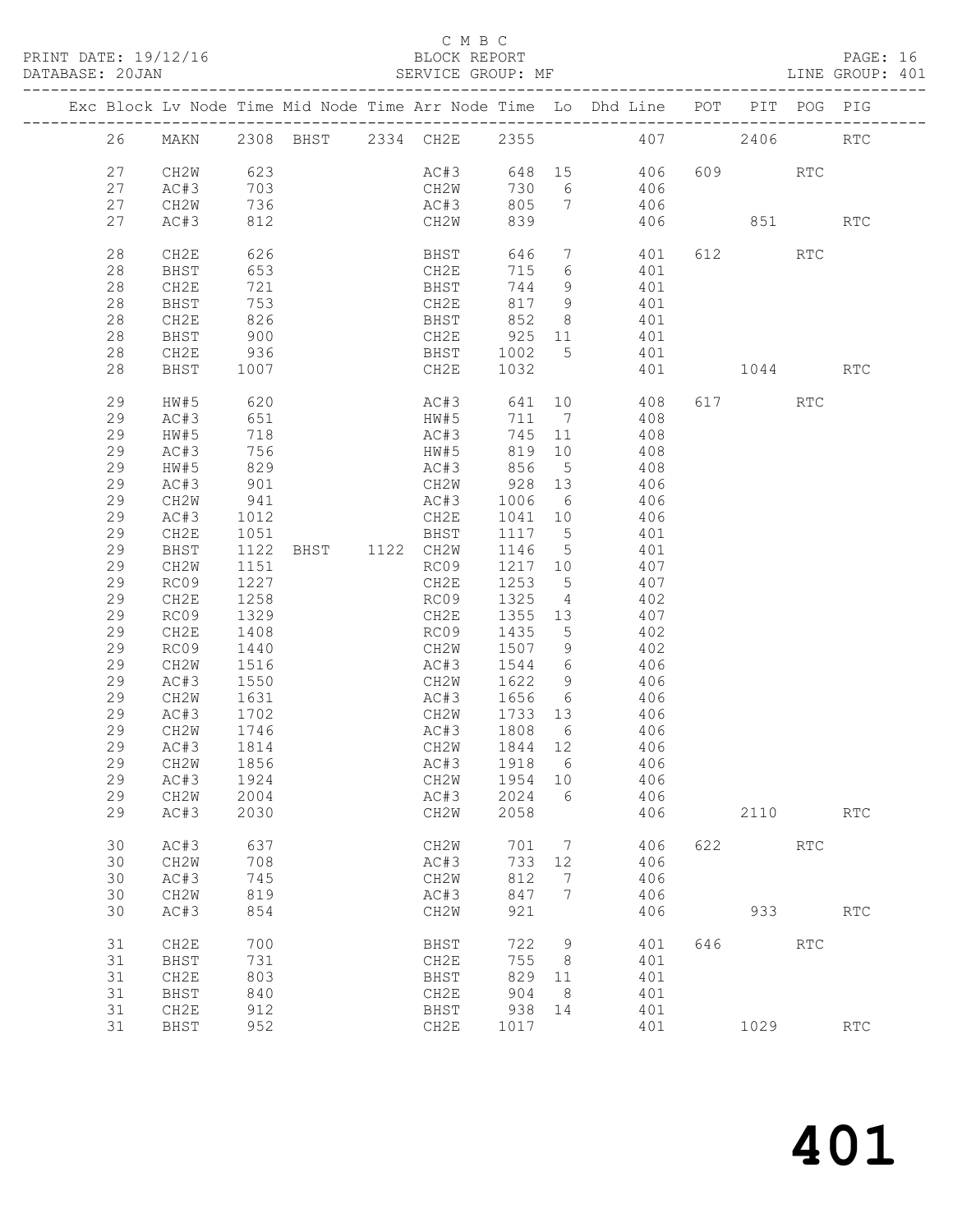#### C M B C<br>BLOCK REPORT

| DATABASE: 20JAN |    |              |                            |                                  |                      |            |                 | SERVICE GROUP: MF                                                              |                |                      | LINE GROUP: 401 |
|-----------------|----|--------------|----------------------------|----------------------------------|----------------------|------------|-----------------|--------------------------------------------------------------------------------|----------------|----------------------|-----------------|
|                 |    |              |                            |                                  |                      |            |                 | Exc Block Lv Node Time Mid Node Time Arr Node Time Lo Dhd Line POT PIT POG PIG |                |                      |                 |
|                 | 26 |              |                            |                                  |                      |            |                 | MAKN 2308 BHST 2334 CH2E 2355 407 2406 RTC                                     |                |                      |                 |
|                 | 27 | CH2W 623     |                            |                                  |                      |            |                 | AC#3 648 15 406 609 RTC                                                        |                |                      |                 |
|                 | 27 | AC#3         |                            |                                  |                      | 730        |                 | 6 406                                                                          |                |                      |                 |
|                 | 27 | CH2W         |                            |                                  | CH2W<br>AC#3<br>AC#3 | 805        | $7\overline{ }$ | 406                                                                            |                |                      |                 |
|                 | 27 | AC#3         | $022$<br>703<br>736<br>212 |                                  | CH2W                 | 839        |                 |                                                                                | 406 851        |                      | <b>RTC</b>      |
|                 | 28 | CH2E         | 626                        |                                  | BHST                 | 646        | $7\phantom{.0}$ | 401                                                                            | 612            | RTC                  |                 |
|                 | 28 | BHST         | 653                        |                                  | CH2E                 | 715        | 6               | 401                                                                            |                |                      |                 |
|                 | 28 | CH2E         | 721                        |                                  | BHST                 | 744        | 9               | 401                                                                            |                |                      |                 |
|                 | 28 | BHST         | 753                        |                                  | CH2E                 | 817        | 9               | 401                                                                            |                |                      |                 |
|                 | 28 | CH2E         | 826                        |                                  | BHST                 | 852        | 8               | 401                                                                            |                |                      |                 |
|                 | 28 | BHST         | 900                        |                                  | CH2E                 | 925        | 11              | 401                                                                            |                |                      |                 |
|                 | 28 | CH2E         | 936                        |                                  | BHST                 | 1002       | 5 <sup>5</sup>  | 401                                                                            |                |                      |                 |
|                 | 28 | BHST         | 1007                       |                                  | CH2E                 | 1032       |                 |                                                                                | 401 1044       |                      | <b>RTC</b>      |
|                 | 29 | HW#5         | 620                        |                                  | AC#3 641 10          |            |                 | 408 —                                                                          | 617 RTC        |                      |                 |
|                 | 29 | AC#3         | 651                        |                                  | HW#5                 | 711 7      |                 | 408                                                                            |                |                      |                 |
|                 | 29 | HW#5         | 718                        |                                  | AC#3                 | 745 11     |                 | 408                                                                            |                |                      |                 |
|                 | 29 | AC#3         | 756                        |                                  | HW#5                 | 819        | 10              | 408                                                                            |                |                      |                 |
|                 | 29 | HW#5         | 829<br>901                 |                                  | AC#3                 | 856<br>928 | $5\overline{)}$ | 408                                                                            |                |                      |                 |
|                 | 29 | AC#3         |                            |                                  | CH2W                 |            | 13              | 406                                                                            |                |                      |                 |
|                 | 29 | CH2W         | 941                        |                                  | AC#3                 | 1006       | $6\overline{6}$ | 406                                                                            |                |                      |                 |
|                 | 29 | AC#3         | 1012                       |                                  | CH2E                 | 1041 10    |                 | 406                                                                            |                |                      |                 |
|                 | 29 | CH2E         | 1051                       |                                  | BHST                 | 1117 5     |                 | 401                                                                            |                |                      |                 |
|                 | 29 | BHST         |                            | 1051 BHST<br>1122 BHST 1122 CH2W |                      | 1146       | $5\overline{)}$ | 401                                                                            |                |                      |                 |
|                 | 29 | CH2W         | 1151                       |                                  | RC09                 | 1217 10    |                 | 407                                                                            |                |                      |                 |
|                 | 29 | RC09         | 1227                       |                                  | CH2E                 | 1253       | $5^{\circ}$     | 407                                                                            |                |                      |                 |
|                 | 29 | CH2E         | 1258                       |                                  | RC09                 | 1325       | $4\overline{ }$ | 402                                                                            |                |                      |                 |
|                 | 29 | RC09         | 1329                       |                                  | CH2E                 | 1355       | 13              | 407                                                                            |                |                      |                 |
|                 | 29 | CH2E         | 1408                       |                                  | RC09                 | 1435       | $5^{\circ}$     | 402                                                                            |                |                      |                 |
|                 | 29 | RC09         | 1440                       |                                  | CH2W                 | 1507       | 9               | 402                                                                            |                |                      |                 |
|                 | 29 | CH2W         | 1516                       |                                  | AC#3                 | 1544       | 6               | 406                                                                            |                |                      |                 |
|                 | 29 | AC#3         | 1550                       |                                  | CH2W                 | 1622       | 9               | 406                                                                            |                |                      |                 |
|                 | 29 |              |                            |                                  |                      | 1656       |                 | $6\overline{6}$<br>406                                                         |                |                      |                 |
|                 | 29 | CH2W<br>AC#3 | 1631<br>1702               |                                  | AC#3<br>CH2W 1733 13 |            |                 | 406                                                                            |                |                      |                 |
|                 | 29 | CH2W         | 1746                       |                                  |                      | 1808       | 6               |                                                                                |                |                      |                 |
|                 | 29 | AC#3         | 1814                       |                                  | AC#3<br>CH2W         | 1844 12    |                 | 406<br>406                                                                     |                |                      |                 |
|                 |    | 29 CH2W 1856 |                            |                                  |                      |            |                 | AC#3 1918 6 406                                                                |                |                      |                 |
|                 |    |              |                            |                                  |                      |            |                 |                                                                                |                |                      |                 |
|                 | 29 | AC#3         | 1924                       |                                  | CH2W                 | 1954 10    |                 | 406                                                                            |                |                      |                 |
|                 | 29 | CH2W         | 2004                       |                                  | AC#3                 | 2024       | 6               | 406                                                                            |                |                      |                 |
|                 | 29 | AC#3         | 2030                       |                                  | CH2W                 | 2058       |                 | 406                                                                            | 2110           |                      | <b>RTC</b>      |
|                 | 30 | AC#3         | 637                        |                                  | CH2W                 | 701        | $\overline{7}$  | 406                                                                            | 622 and $\sim$ | <b>RTC</b>           |                 |
|                 | 30 | CH2W         | 708                        |                                  | AC#3                 | 733        | 12              | 406                                                                            |                |                      |                 |
|                 | 30 | AC#3         | 745                        |                                  | CH2W                 | 812        | 7               | 406                                                                            |                |                      |                 |
|                 | 30 | CH2W         | 819                        |                                  | AC#3                 | 847        | 7               | 406                                                                            |                |                      |                 |
|                 | 30 | AC#3         | 854                        |                                  | CH2W                 | 921        |                 | 406                                                                            | 933            |                      | <b>RTC</b>      |
|                 | 31 | CH2E         | 700                        |                                  | BHST                 | 722        | 9               | 401                                                                            | 646 10         | $\operatorname{RTC}$ |                 |
|                 | 31 | BHST         | 731                        |                                  | CH2E                 | 755        | 8 <sup>8</sup>  | 401                                                                            |                |                      |                 |
|                 | 31 | CH2E         | 803                        |                                  | BHST                 | 829        | 11              | 401                                                                            |                |                      |                 |
|                 | 31 | BHST         | 840                        |                                  | CH2E                 | 904        | 8 <sup>8</sup>  | 401                                                                            |                |                      |                 |
|                 | 31 | CH2E         | 912                        |                                  | BHST                 | 938        | 14              | 401                                                                            |                |                      |                 |
|                 | 31 | BHST         | 952                        |                                  | CH2E                 | 1017       |                 | 401                                                                            | 1029           |                      | RTC             |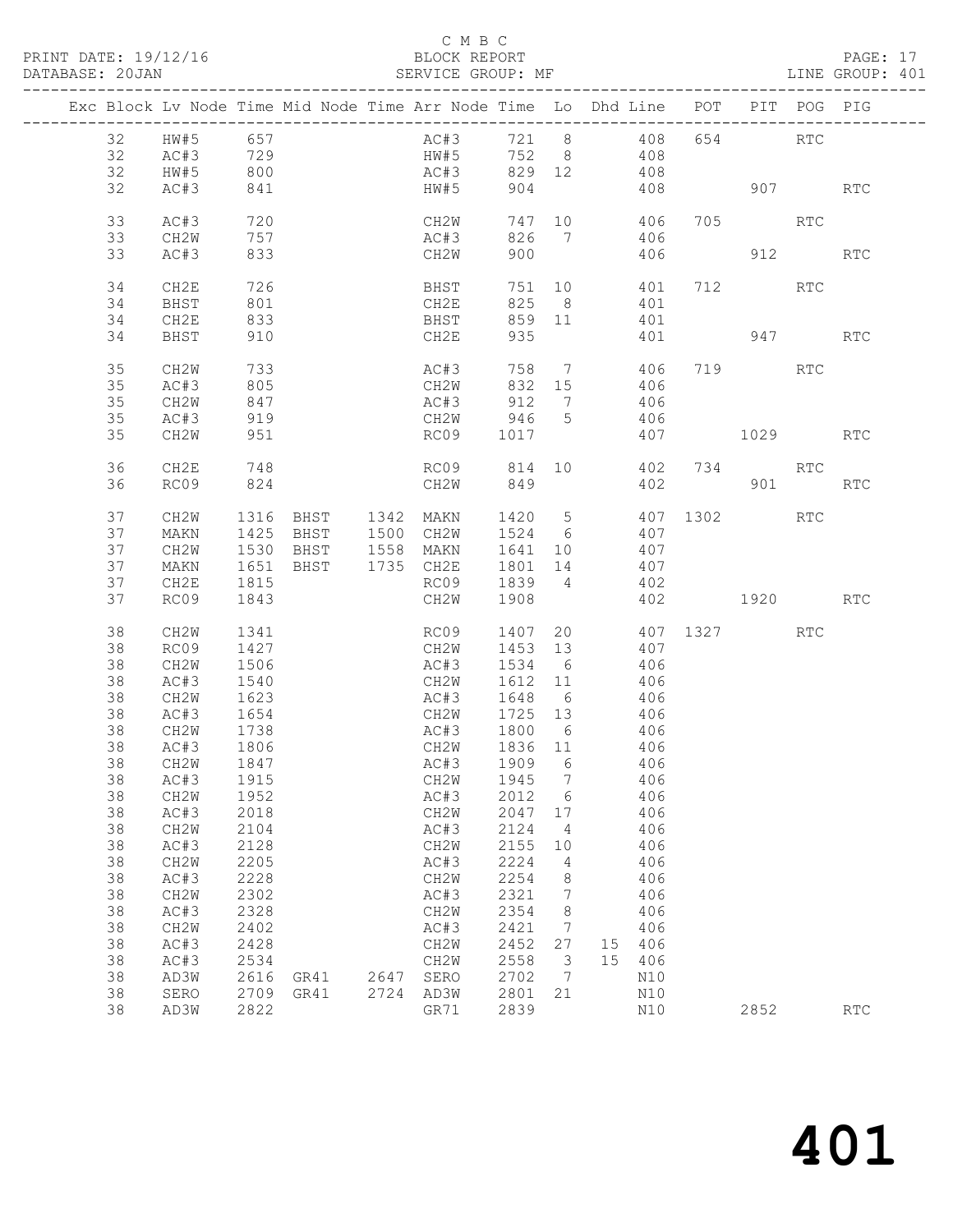#### C M B C<br>BLOCK REPORT

PAGE: 17<br>LINE GROUP: 401

|          |                                    |                          |                                            |      | Exc Block Lv Node Time Mid Node Time Arr Node Time Lo Dhd Line POT PIT POG PIG |                 |                         |                       |              |          |            |                             |
|----------|------------------------------------|--------------------------|--------------------------------------------|------|--------------------------------------------------------------------------------|-----------------|-------------------------|-----------------------|--------------|----------|------------|-----------------------------|
|          |                                    |                          |                                            |      |                                                                                |                 |                         |                       |              |          |            |                             |
| 32       | HW#5 657                           |                          |                                            |      | AC#3 721 8 408                                                                 |                 |                         |                       |              | 654 RTC  |            |                             |
| 32       | $AC#3$<br>$AC#3$ 729<br>$HW#5$ 800 |                          |                                            |      | HW#5                                                                           |                 |                         | 752 8 408             |              |          |            |                             |
| 32       |                                    |                          |                                            |      | AC#3                                                                           | 829 12          |                         | 408                   |              |          |            |                             |
| 32       | AC#3                               | 841                      |                                            |      | HW#5                                                                           | 904             |                         |                       | 408 907      |          |            | $\mathop{\rm RTC}\nolimits$ |
| 33       | AC#3                               | 720                      |                                            |      | CH2W                                                                           |                 |                         | 747 10                | 406          | 705 RTC  |            |                             |
| 33       | CH2W                               | 757                      |                                            |      | AC#3                                                                           |                 |                         | 826 7 406             |              |          |            |                             |
| 33       | AC#3                               | 833                      |                                            |      | CH2W                                                                           | 900             |                         |                       | 406          |          | 912        | <b>RTC</b>                  |
|          |                                    |                          |                                            |      |                                                                                |                 |                         |                       |              |          |            |                             |
| 34       | CH2E                               | 726                      |                                            |      | <b>BHST</b>                                                                    |                 |                         | 751 10                | 401          | 712 RTC  |            |                             |
| 34       | BHST                               | 801                      |                                            |      | CH2E                                                                           | 825             |                         | 8 <sup>1</sup><br>401 |              |          |            |                             |
| 34       | CH2E                               | 833                      |                                            |      | BHST                                                                           |                 |                         | 859 11<br>401         |              |          |            |                             |
| 34       | BHST                               | 910                      |                                            |      | CH2E                                                                           | 935             |                         | 401                   |              | 947      |            | RTC                         |
| 35       | CH2W                               | 733                      |                                            |      | AC#3                                                                           | 758             |                         | $7\overline{ }$       | 406          | 719      | RTC        |                             |
| 35       | AC#3                               | 805                      |                                            |      | CH2W                                                                           | 832 15          |                         | 406                   |              |          |            |                             |
| 35       | CH2W                               |                          |                                            |      | AC#3                                                                           | 912             | $\overline{7}$          | 406                   |              |          |            |                             |
| 35       | AC#3                               | 847<br>919               |                                            |      | CH2W                                                                           | 946 5           |                         | 406                   |              |          |            |                             |
| 35       | CH2W                               | 951                      |                                            |      | RC09 1017                                                                      |                 |                         |                       | 407 1029 RTC |          |            |                             |
|          |                                    |                          |                                            |      |                                                                                |                 |                         |                       |              |          |            |                             |
| 36       | CH2E                               | 748                      |                                            |      | RC09 814 10                                                                    |                 |                         | 402                   |              | 734 RTC  |            |                             |
| 36       | RC09                               | 824                      |                                            |      | CH2W                                                                           | 849             |                         |                       | 402 901      |          |            | RTC                         |
| 37       | CH <sub>2</sub> W                  | 1316                     | BHST 1342 MAKN                             |      |                                                                                | 1420 5          |                         | 407 1302              |              |          | <b>RTC</b> |                             |
| 37       | MAKN                               |                          | 1425 BHST                                  |      | 1500 CH2W                                                                      | 1524 6          |                         | 407                   |              |          |            |                             |
| 37       | CH2W                               |                          |                                            |      |                                                                                | 1641 10         |                         | 407                   |              |          |            |                             |
| 37       | MAKN                               |                          | 1530 BHST 1558 MAKN<br>1651 BHST 1735 CH2E |      |                                                                                |                 |                         | 1801 14 407           |              |          |            |                             |
| 37       | CH2E                               | 1815                     |                                            |      | RC09                                                                           | 1839 4          |                         | 402                   |              |          |            |                             |
| 37       | RC09                               | 1843                     |                                            |      | CH2W                                                                           | 1908            |                         | 402                   |              | 1920 RTC |            |                             |
|          |                                    |                          |                                            |      |                                                                                |                 |                         | 20                    |              |          |            |                             |
| 38<br>38 | CH <sub>2</sub> W<br>RC09          | 1341<br>1427             |                                            |      | RC09<br>CH2W                                                                   | 1407<br>1453 13 |                         | 407                   | 407 1327 RTC |          |            |                             |
| 38       | CH2W                               | 1506                     |                                            |      | AC#3                                                                           | 1534 6          |                         | 406                   |              |          |            |                             |
| 38       | AC#3                               | 1540                     |                                            |      | CH2W                                                                           | 1612 11         |                         | 406                   |              |          |            |                             |
| 38       | CH2W                               | 1623                     |                                            |      | AC#3                                                                           | 1648            | 6 <sup>6</sup>          | 406                   |              |          |            |                             |
| 38       | AC#3                               | 1654                     |                                            |      | CH2W 1725 13                                                                   |                 |                         | 406                   |              |          |            |                             |
| 38       | CH2W                               | 1738                     |                                            |      | AC#3 1800                                                                      |                 | $6\overline{6}$         | 406                   |              |          |            |                             |
| 38       | AC#3                               |                          |                                            |      | CH2W                                                                           | 1836 11         |                         | 406                   |              |          |            |                             |
| 38       | CH2W                               | $1806$<br>$1817$<br>1847 |                                            |      | AC#3                                                                           | 1909            | $6\overline{6}$         | 406                   |              |          |            |                             |
|          | 38 AC#3 1915                       |                          |                                            |      | CH2W 1945 7 406                                                                |                 |                         |                       |              |          |            |                             |
| 38       | CH2W                               | 1952                     |                                            |      | AC#3                                                                           | 2012            | 6                       | 406                   |              |          |            |                             |
| 38       | AC#3                               | 2018                     |                                            |      | CH2W                                                                           | 2047 17         |                         | 406                   |              |          |            |                             |
| 38       | CH2W                               | 2104                     |                                            |      | AC#3                                                                           | 2124            | $\overline{4}$          | 406                   |              |          |            |                             |
| 38       | AC#3                               | 2128                     |                                            |      | CH2W                                                                           | 2155            | 10                      | 406                   |              |          |            |                             |
| 38       | CH2W                               | 2205                     |                                            |      | AC#3                                                                           | 2224            | $\overline{4}$          | 406                   |              |          |            |                             |
| 38       | AC#3                               | 2228                     |                                            |      | CH2W                                                                           | 2254            | 8                       | 406                   |              |          |            |                             |
| 38       | CH2W                               | 2302                     |                                            |      | AC#3                                                                           | 2321            | 7                       | 406                   |              |          |            |                             |
| 38       | AC#3                               | 2328                     |                                            |      | CH2W                                                                           | 2354            | 8                       | 406                   |              |          |            |                             |
| 38       | CH2W                               | 2402                     |                                            |      | AC#3                                                                           | 2421            | $7\phantom{.0}$         | 406                   |              |          |            |                             |
| 38       | AC#3                               | 2428                     |                                            |      | CH2W                                                                           | 2452            | 27                      | 15 406                |              |          |            |                             |
| 38       | AC#3                               | 2534                     |                                            |      | CH2W                                                                           | 2558            | $\overline{\mathbf{3}}$ | 15 406                |              |          |            |                             |
| 38       | AD3W                               | 2616                     | GR41                                       | 2647 | SERO                                                                           | 2702            | $\overline{7}$          | N10                   |              |          |            |                             |
| 38       | SERO                               | 2709                     | GR41                                       |      | 2724 AD3W                                                                      | 2801            | 21                      | N10                   |              |          |            |                             |
| 38       | AD3W                               | 2822                     |                                            |      | GR71                                                                           | 2839            |                         | N10                   |              | 2852     |            | RTC                         |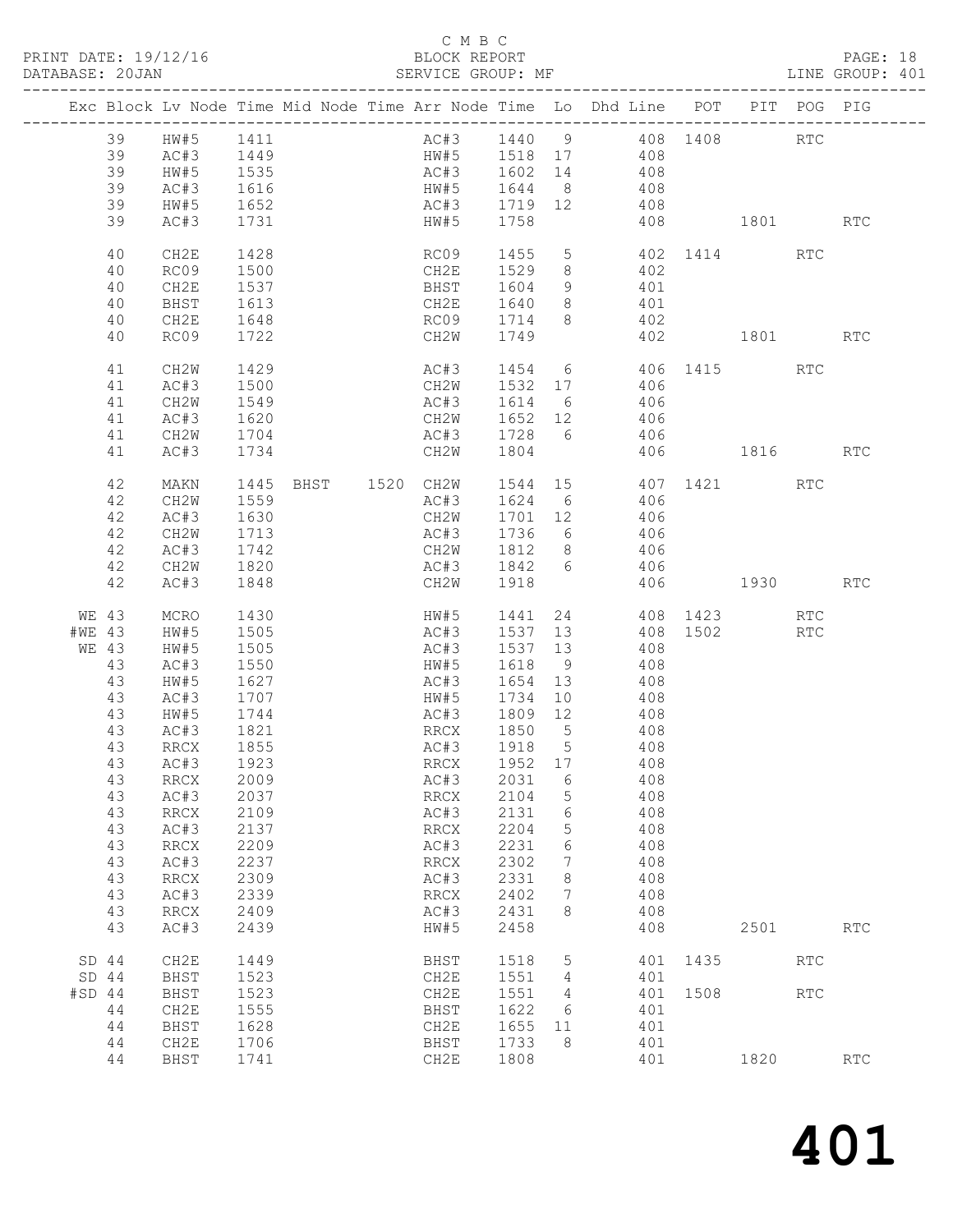PRINT DATE: 19/12/16 BLOCK REPORT<br>DATABASE: 20JAN BATABASE: 20JAN

#### C M B C<br>BLOCK REPORT

#### PAGE: 18<br>LINE GROUP: 401

|        |       | Exc Block Lv Node Time Mid Node Time Arr Node Time Lo Dhd Line POT PIT POG PIG |                  |                                          |                          |      |                                                           |    |        |            |      |                          |                      |                             |
|--------|-------|--------------------------------------------------------------------------------|------------------|------------------------------------------|--------------------------|------|-----------------------------------------------------------|----|--------|------------|------|--------------------------|----------------------|-----------------------------|
|        |       | 39 HW#5 1411                                                                   |                  |                                          |                          |      |                                                           |    |        |            |      | AC#3 1440 9 408 1408 RTC |                      |                             |
|        | 39    | AC#3                                                                           |                  |                                          |                          |      |                                                           |    |        |            |      |                          |                      |                             |
|        | 39    | HW#5                                                                           |                  |                                          |                          |      |                                                           |    |        | 408        |      |                          |                      |                             |
|        | 39    | AC#3                                                                           | 1535<br>1616     |                                          |                          |      | AC#3 1602 14<br>HW#5 1644 8                               |    |        | 408        |      |                          |                      |                             |
|        | 39    | HW#5                                                                           | 1652             | AC#3 1719 12 408                         |                          |      |                                                           |    |        |            |      |                          |                      |                             |
|        | 39    | AC#3                                                                           | 1731             | HW#5 1758                                |                          |      |                                                           |    |        |            |      | 408 1801 RTC             |                      |                             |
|        |       |                                                                                |                  |                                          |                          |      |                                                           |    |        |            |      |                          |                      |                             |
|        | 40    | CH2E                                                                           | 1428             |                                          | RC09                     |      | 1455                                                      |    |        |            |      | 5 402 1414 RTC           |                      |                             |
|        | 40    | RC09                                                                           | 1500             |                                          |                          |      | CH2E 1529                                                 |    | 8 402  |            |      |                          |                      |                             |
|        | 40    | CH2E                                                                           | 1537             |                                          |                          |      | BHST 1604 9 401                                           |    |        |            |      |                          |                      |                             |
|        | 40    | BHST                                                                           | 1613             |                                          |                          |      | CH2E 1640 8 401                                           |    |        |            |      |                          |                      |                             |
|        | 40    | CH2E                                                                           | 1648             |                                          |                          |      | RC09 1714 8                                               |    |        | 402        |      |                          |                      |                             |
|        | 40    | RC09                                                                           | 1722             |                                          |                          |      | CH2W 1749                                                 |    |        | 402        |      | 1801 RTC                 |                      |                             |
|        |       |                                                                                |                  |                                          |                          |      |                                                           |    |        |            |      |                          |                      |                             |
|        | 41    | CH2W                                                                           | 1429             |                                          |                          | AC#3 |                                                           |    |        |            |      | 1454 6 406 1415 RTC      |                      |                             |
|        | 41    | AC#3                                                                           | 1500             |                                          |                          | CH2W | 1532 17<br>$AC#3$ $1614$ 6 $406$<br>$AC#3$ $1614$ 6 $406$ |    |        | 406        |      |                          |                      |                             |
|        | 41    | CH2W                                                                           | 1549             |                                          |                          |      |                                                           |    |        |            |      |                          |                      |                             |
|        | 41    | AC#3                                                                           | 1620             |                                          |                          |      | CH2W 1652 12 406                                          |    |        |            |      |                          |                      |                             |
|        | 41    | CH2W                                                                           | 1704             |                                          |                          |      | AC#3 1728 6 406                                           |    |        |            |      |                          |                      |                             |
|        | 41    | AC#3                                                                           | 1734             |                                          | CH2W                     |      | 1804                                                      |    |        |            |      | 406 1816                 |                      | RTC                         |
|        | 42    | MAKN                                                                           |                  | 1445 BHST 1520 CH2W 1544 15 407 1421 RTC |                          |      |                                                           |    |        |            |      |                          |                      |                             |
|        | 42    | CH2W                                                                           | 1559             |                                          |                          | AC#3 | 1624 6 406                                                |    |        |            |      |                          |                      |                             |
|        | 42    | AC#3                                                                           |                  |                                          | CH2W                     |      | 1701 12                                                   |    |        |            |      |                          |                      |                             |
|        | 42    | CH2W                                                                           | $1630$<br>$1713$ |                                          |                          | AC#3 | 1736 6                                                    |    |        | 406<br>406 |      |                          |                      |                             |
|        | 42    | AC#3                                                                           | 1742             |                                          |                          |      | CH2W 1812 8 406                                           |    |        |            |      |                          |                      |                             |
|        | 42    | CH2W                                                                           | 1820             |                                          |                          |      | AC#3 1842 6 406                                           |    |        |            |      |                          |                      |                             |
|        | 42    | AC#3                                                                           | 1848             |                                          | CH2W                     |      | 1918                                                      |    |        |            |      | 406 1930                 |                      | <b>RTC</b>                  |
|        |       |                                                                                |                  |                                          |                          |      |                                                           |    |        |            |      |                          |                      |                             |
|        | WE 43 | MCRO                                                                           | 1430             |                                          |                          |      | HW#5 1441                                                 |    |        |            |      | 24 408 1423              | RTC                  |                             |
| #WE 43 |       | HW#5                                                                           | 1505             |                                          |                          | AC#3 |                                                           |    |        |            |      | 1537 13 408 1502 RTC     |                      |                             |
| WE 43  |       | HW#5                                                                           | 1505<br>1550     |                                          | AC#3                     |      | 1537 13                                                   |    |        | 408        |      |                          |                      |                             |
|        | 43    | AC#3                                                                           |                  |                                          | HW#5                     |      | 1618 9<br>AC#3 1654 13 408                                |    |        | 408        |      |                          |                      |                             |
|        | 43    | HW#5                                                                           | 1627             |                                          |                          |      |                                                           |    |        |            |      |                          |                      |                             |
|        | 43    | AC#3                                                                           | 1707             |                                          |                          | HW#5 | 1734                                                      |    | 10 408 |            |      |                          |                      |                             |
|        | 43    | HW#5                                                                           | 1744             |                                          |                          | AC#3 | 1809 12 408                                               |    |        |            |      |                          |                      |                             |
|        | 43    | AC#3                                                                           | 1821             |                                          |                          |      | RRCX 1850 5                                               |    | 408    | 408        |      |                          |                      |                             |
|        | 43    | RRCX                                                                           | 1855             |                                          |                          |      | AC#3 1918 5                                               |    |        |            |      |                          |                      |                             |
|        | 43    | AC#3                                                                           | 1923             |                                          |                          | RRCX | 1952 17 408                                               |    |        |            |      |                          |                      |                             |
|        | 43    | RRCX                                                                           | 2009             |                                          | AC#3                     |      | 2031                                                      | 6  |        | 408        |      |                          |                      |                             |
|        | 43    | AC#3                                                                           | 2037             |                                          | <b>RRCX</b>              |      | 2104                                                      | 5  |        | 408        |      |                          |                      |                             |
|        | 43    | <b>RRCX</b>                                                                    | 2109             |                                          | AC#3                     |      | 2131                                                      | 6  |        | 408        |      |                          |                      |                             |
|        | 43    | AC#3                                                                           | 2137             |                                          | <b>RRCX</b>              |      | 2204                                                      | 5  |        | 408        |      |                          |                      |                             |
|        | 43    | <b>RRCX</b>                                                                    | 2209             |                                          | AC#3                     |      | 2231                                                      | 6  |        | 408        |      |                          |                      |                             |
|        | 43    | AC#3                                                                           | 2237             |                                          | $\mathop{\mathrm{RRCX}}$ |      | 2302                                                      | 7  |        | 408        |      |                          |                      |                             |
|        | 43    | <b>RRCX</b>                                                                    | 2309             |                                          | AC#3                     |      | 2331                                                      | 8  |        | 408        |      |                          |                      |                             |
|        | 43    | AC#3                                                                           | 2339             |                                          | <b>RRCX</b>              |      | 2402                                                      | 7  |        | 408        |      |                          |                      |                             |
|        | 43    | <b>RRCX</b>                                                                    | 2409             |                                          | AC#3                     |      | 2431                                                      | 8  |        | 408        |      |                          |                      |                             |
|        | 43    | AC#3                                                                           | 2439             |                                          | HW#5                     |      | 2458                                                      |    |        | 408        |      | 2501                     |                      | <b>RTC</b>                  |
| SD 44  |       | CH2E                                                                           | 1449             |                                          | BHST                     |      | 1518                                                      | 5  |        | 401        | 1435 |                          | RTC                  |                             |
| SD 44  |       | BHST                                                                           | 1523             |                                          | CH2E                     |      | 1551                                                      | 4  |        | 401        |      |                          |                      |                             |
| #SD 44 |       | BHST                                                                           | 1523             |                                          | CH2E                     |      | 1551                                                      | 4  |        | 401        | 1508 |                          | $\operatorname{RTC}$ |                             |
|        | 44    | CH2E                                                                           | 1555             |                                          | BHST                     |      | 1622                                                      | 6  |        | 401        |      |                          |                      |                             |
|        | 44    | BHST                                                                           | 1628             |                                          | CH2E                     |      | 1655                                                      | 11 |        | 401        |      |                          |                      |                             |
|        | 44    | CH2E                                                                           | 1706             |                                          | BHST                     |      | 1733                                                      | 8  |        | 401        |      |                          |                      |                             |
|        | 44    | BHST                                                                           | 1741             |                                          | CH2E                     |      | 1808                                                      |    |        | 401        |      | 1820                     |                      | $\mathop{\rm RTC}\nolimits$ |
|        |       |                                                                                |                  |                                          |                          |      |                                                           |    |        |            |      |                          |                      |                             |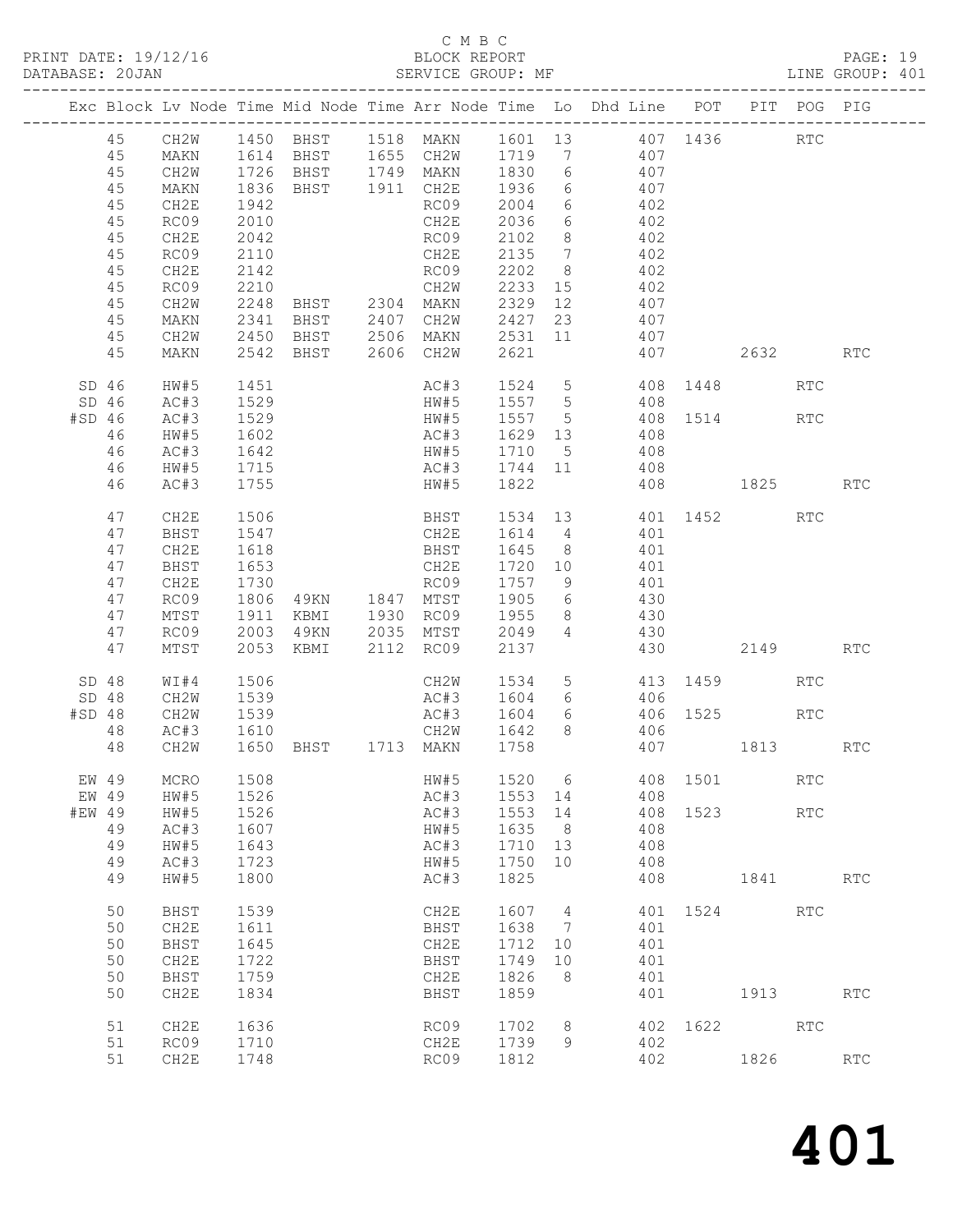#### C M B C<br>BLOCK REPORT SERVICE GROUP: MF

|                  |          |                  |              |                        |                                                                       |              |                 | Exc Block Lv Node Time Mid Node Time Arr Node Time Lo Dhd Line POT PIT POG PIG |      |          |                             |                      |
|------------------|----------|------------------|--------------|------------------------|-----------------------------------------------------------------------|--------------|-----------------|--------------------------------------------------------------------------------|------|----------|-----------------------------|----------------------|
|                  | 45<br>45 | CH2W<br>MAKN     |              |                        |                                                                       |              |                 | 1450 BHST 1518 MAKN 1601 13 407 1436<br>1614 BHST 1655 CH2W 1719 7 407         |      |          | <b>RTC</b>                  |                      |
|                  | 45       | CH2W             |              |                        | 1726 BHST   1749 MAKN   1830   6<br>1836 BHST   1911  CH2E   1936   6 |              |                 | 407<br>407                                                                     |      |          |                             |                      |
|                  | 45<br>45 | MAKN<br>CH2E     | 1942         |                        | RC09 2004                                                             |              |                 | 6 402                                                                          |      |          |                             |                      |
|                  | 45       | RC09             | 2010         |                        | CH2E                                                                  | 2036         |                 | 6 402                                                                          |      |          |                             |                      |
|                  | 45       | CH2E             | 2042         |                        | RC09                                                                  | 2102         | 8 <sup>8</sup>  | 402                                                                            |      |          |                             |                      |
|                  | 45       | RC09             | 2110         |                        | CH2E                                                                  | 2135         | $7\overline{ }$ | $\frac{1}{402}$                                                                |      |          |                             |                      |
|                  | 45       | CH2E             | 2142         |                        | RC09 2202                                                             |              | 8 <sup>8</sup>  | 402                                                                            |      |          |                             |                      |
|                  | 45       | RC09             | 2210         |                        | CH2W                                                                  | 2233         | 15              | 402                                                                            |      |          |                             |                      |
|                  | 45       | CH2W             | 2248         |                        | BHST 2304 MAKN 2329 12<br>BHST 2407 CH2W 2427 23                      |              |                 | 407                                                                            |      |          |                             |                      |
|                  | 45       | MAKN             | 2341         |                        |                                                                       |              |                 | 407                                                                            |      |          |                             |                      |
|                  | 45       | CH2W             |              |                        |                                                                       |              |                 | 2450 BHST 2506 MAKN 2531 11 407                                                |      |          |                             |                      |
|                  | 45       | MAKN             |              |                        | 2542 BHST 2606 CH2W 2621                                              |              |                 | 407 2632 RTC                                                                   |      |          |                             |                      |
| SD <sub>46</sub> | SD46     | HW#5<br>AC#3     | 1451<br>1529 |                        | HW#5 1557 5                                                           |              |                 | AC#3 1524 5 408 1448<br>408                                                    |      |          | RTC                         |                      |
| #SD 46           |          | AC#3             | 1529         |                        | HW#5 1557 5                                                           |              |                 | 408 1514 RTC                                                                   |      |          |                             |                      |
|                  | 46       | HW#5             | 1602         |                        |                                                                       |              |                 | 408                                                                            |      |          |                             |                      |
|                  | 46       | AC#3             | 1642         |                        | AC#3 1629 13<br>HW#5 1710 5                                           |              |                 | 408                                                                            |      |          |                             |                      |
|                  | 46       | HW#5             | 1715         |                        | AC#3 1744 11                                                          |              |                 | 408                                                                            |      |          |                             |                      |
|                  | 46       | AC#3             | 1755         |                        | HW#5 1822                                                             |              |                 | 408 1825 RTC                                                                   |      |          |                             |                      |
|                  | 47       | CH2E             | 1506         |                        |                                                                       |              |                 | BHST 1534 13 401 1452 RTC                                                      |      |          |                             |                      |
|                  | 47<br>47 | BHST<br>CH2E     | 1547<br>1618 |                        | CH2E                                                                  | 1614 4       |                 | 401<br>BHST 1645 8 401                                                         |      |          |                             |                      |
|                  | 47       | BHST             | 1653         |                        | CH2E                                                                  | 1720 10      |                 | 401                                                                            |      |          |                             |                      |
|                  | 47       | CH2E             | 1730         |                        | RC09                                                                  | 1757 9       |                 | 401                                                                            |      |          |                             |                      |
|                  | 47       | RC09             | 1806         | RC09<br>49KN 1847 MTST |                                                                       | 1905 6       |                 | 430                                                                            |      |          |                             |                      |
|                  | 47       | MTST             | 1911         |                        | KBMI 1930 RC09 1955                                                   |              |                 | 8 430                                                                          |      |          |                             |                      |
|                  | 47       | RC09             | 2003         |                        | 49KN 2035 MTST                                                        | 2049         |                 | 4 430                                                                          |      |          |                             |                      |
|                  | 47       | MTST             |              |                        | 2053 KBMI 2112 RC09                                                   | 2137         |                 |                                                                                |      | 430 2149 |                             | <b>RTC</b>           |
| SD <sub>48</sub> |          | WI#4             | 1506<br>1539 |                        | CH2W<br>AC#3 1604                                                     | 1534         |                 | 5 413 1459<br>6 406                                                            |      |          | <b>RTC</b>                  |                      |
| SD 48<br>#SD 48  |          | CH2W<br>CH2W     |              |                        |                                                                       |              |                 | 6 406 1525                                                                     |      |          | RTC                         |                      |
|                  | 48       | AC#3             | 1539<br>1610 |                        | AC#3 1604 6<br>CH2W 1642 8                                            |              |                 | 406                                                                            |      |          |                             |                      |
|                  | 48       | CH2W             |              |                        | 1650 BHST 1713 MAKN 1758                                              |              |                 | 407 1813                                                                       |      |          |                             | RTC                  |
|                  | EW 49    | MCRO             | 1508         |                        | HW#5                                                                  |              |                 | 1520 6 408 1501                                                                |      |          | RTC                         |                      |
| EW 49            |          | HW#5             | 1526         |                        | AC#3                                                                  | 1553         | 14              | 408                                                                            |      |          |                             |                      |
| #EW 49           |          | HW#5             | 1526         |                        | AC#3                                                                  | 1553         | 14              | 408                                                                            | 1523 |          | $\mathop{\rm RTC}\nolimits$ |                      |
|                  | 49       | AC#3             | 1607         |                        | HW#5                                                                  | 1635         | 8               | 408                                                                            |      |          |                             |                      |
|                  | 49<br>49 | HW#5<br>AC#3     | 1643<br>1723 |                        | AC#3<br>HW#5                                                          | 1710<br>1750 | 13<br>10        | 408<br>408                                                                     |      |          |                             |                      |
|                  | 49       | HW#5             | 1800         |                        | AC#3                                                                  | 1825         |                 | 408                                                                            |      | 1841     |                             | $\operatorname{RTC}$ |
|                  | 50       | BHST             | 1539         |                        | CH2E                                                                  | 1607         | 4               | 401                                                                            | 1524 |          | RTC                         |                      |
|                  | 50       | CH2E             | 1611         |                        | BHST                                                                  | 1638         | 7               | 401                                                                            |      |          |                             |                      |
|                  | 50       | BHST             | 1645         |                        | CH2E                                                                  | 1712         | 10              | 401                                                                            |      |          |                             |                      |
|                  | 50       | CH <sub>2E</sub> | 1722         |                        | <b>BHST</b>                                                           | 1749         | 10              | 401                                                                            |      |          |                             |                      |
|                  | 50       | BHST             | 1759         |                        | CH2E                                                                  | 1826         | 8               | 401                                                                            |      |          |                             |                      |
|                  | 50       | CH2E             | 1834         |                        | BHST                                                                  | 1859         |                 | 401                                                                            |      | 1913     |                             | RTC                  |
|                  | 51       | CH <sub>2E</sub> | 1636         |                        | RC09                                                                  | 1702         | 8               | 402                                                                            | 1622 |          | RTC                         |                      |
|                  | 51       | RC09             | 1710         |                        | CH2E                                                                  | 1739         | 9               | 402                                                                            |      |          |                             |                      |
|                  | 51       | CH2E             | 1748         |                        | RC09                                                                  | 1812         |                 | 402                                                                            |      | 1826     |                             | RTC                  |
|                  |          |                  |              |                        |                                                                       |              |                 |                                                                                |      |          |                             |                      |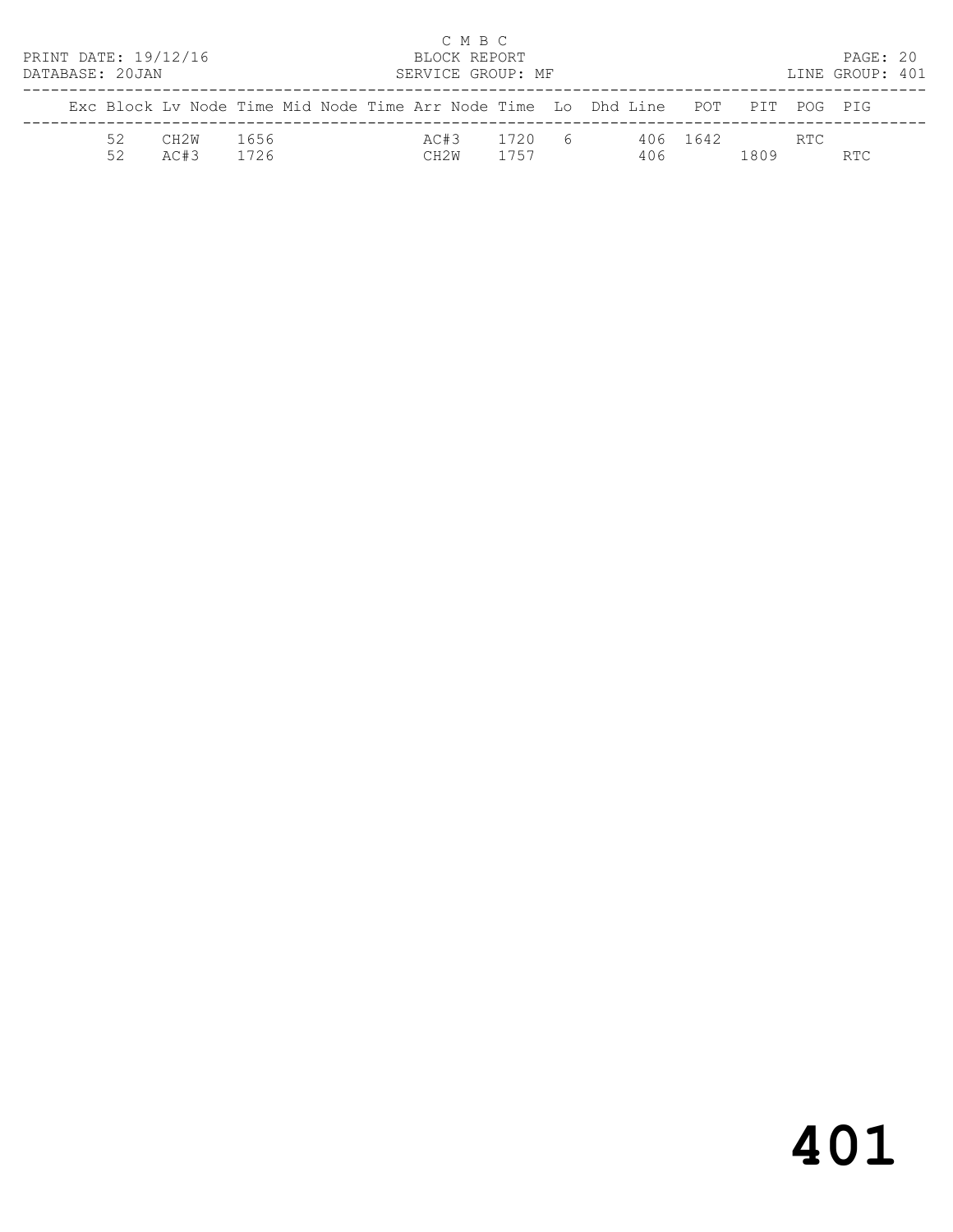| PRINT DATE: 19/12/16<br>DATABASE: 20JAN |          |              |              |  | C M B C<br>BLOCK REPORT<br>SERVICE GROUP: MF |                |                                                                                |          |      |     | PAGE: 20<br>LINE GROUP: 401 |  |
|-----------------------------------------|----------|--------------|--------------|--|----------------------------------------------|----------------|--------------------------------------------------------------------------------|----------|------|-----|-----------------------------|--|
|                                         |          |              |              |  |                                              |                | Exc Block Ly Node Time Mid Node Time Arr Node Time Lo Dhd Line POT PIT POG PIG |          |      |     |                             |  |
|                                         | 52<br>52 | CH2W<br>AC#3 | 1656<br>1726 |  | AC#3<br>CH2W                                 | 1720 6<br>1757 | 406                                                                            | 406 1642 | 1809 | RTC | RTC.                        |  |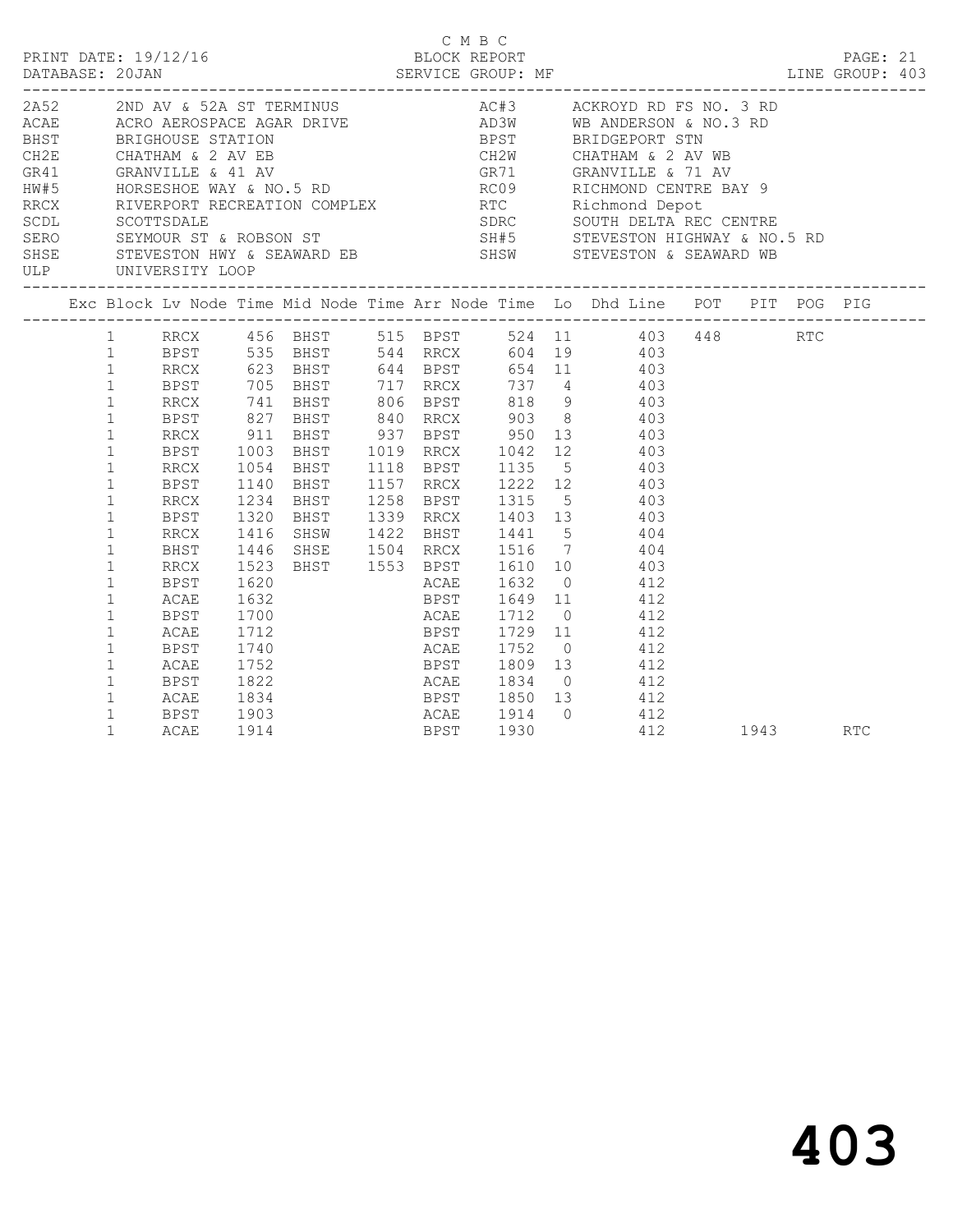| PRINT DATE: 19/12/16 |                                                                                                                                                              |                                                                      |                                              |                                                                                                                                                                                                                                                                                                                                                                                                                                                                                                                                                                                                              | C M B C | BLOCK REPORT |  |                                            |          | PAGE: 21 |  |
|----------------------|--------------------------------------------------------------------------------------------------------------------------------------------------------------|----------------------------------------------------------------------|----------------------------------------------|--------------------------------------------------------------------------------------------------------------------------------------------------------------------------------------------------------------------------------------------------------------------------------------------------------------------------------------------------------------------------------------------------------------------------------------------------------------------------------------------------------------------------------------------------------------------------------------------------------------|---------|--------------|--|--------------------------------------------|----------|----------|--|
| ULP UNIVERSITY LOOP  |                                                                                                                                                              |                                                                      |                                              | 2A52 2ND AV & 52A ST TERMINUS AC#3 ACKROYD RD FS NO. 3 RD<br>ACAE ACRO AEROSPACE AGAR DRIVE AD AD3W WB ANDERSON & NO.3 RD<br>BHST BRIGHOUSE STATION BPST BRIDGEPORT STN<br>CH2E CHATHAM & 2 AV EB CH2W CHATHAM & 2 AV WB<br>GR41 GRANVILLE & 41 AV GR71 GRANVILLE & 71 AV<br>HW#5<br>HORSESHOE WAY & NO.5 RD<br>RECX<br>RECX<br>RECX<br>RECX<br>RECOTTSDALE<br>SEXMOUR ST & ROBSON ST<br>SERO<br>SEXMOUR ST & ROBSON ST<br>SERO<br>SEXMOUR ST & ROBSON ST<br>SERO<br>SEXMOUR ST & ROBSON ST<br>SERO<br>SEXMOUR ST & ROBSON ST<br>SERO<br>SEXM<br>SHSE STEVESTON HWY & SEAWARD EB SHSW STEVESTON & SEAWARD WB |         |              |  |                                            |          |          |  |
|                      |                                                                                                                                                              |                                                                      |                                              | Exc Block Lv Node Time Mid Node Time Arr Node Time Lo Dhd Line POT PIT POG PIG                                                                                                                                                                                                                                                                                                                                                                                                                                                                                                                               |         |              |  |                                            |          |          |  |
|                      | $\mathbf{1}$<br>$\mathbf{1}$<br>$\mathbf{1}$<br>$\mathbf{1}$<br>$\mathbf{1}$<br>$\mathbf{1}$<br>$\mathbf{1}$<br>$\mathbf{1}$<br>$\mathbf{1}$<br>$\mathbf{1}$ | BPST<br>RRCX<br>BPST<br>RRCX<br>BPST<br>RRCX<br>BHST<br>RRCX<br>BPST | 1320<br>1523<br>1620                         | 1 RRCX 456 BHST 515 BPST 524 11 403 448 RTC<br>1 BPST 535 BHST 544 RRCX 604 19 403<br>1 RRCX 623 BHST 644 BPST 654 11 403<br>1 BPST 705 BHST 717 RRCX 737 4 403<br>1 RRCX 741 BHST 806 BPST 818 9 403<br>1 BPST 827 BHST 840 RRCX 903 8 403<br>RRCX 911 BHST 937 BPST 950 13 403<br>1003 BHST 1019 RRCX 1042 12 403<br>1234 BHST 1258 BPST 1315 5 403<br>BHST 1339 RRCX 1403 13 403<br>1416 SHSW 1422 BHST 1441 5 404<br>1446 SHSE 1504 RRCX 1516 7 404<br>BHST 1553 BPST 1610 10 403<br>ACAE 1632 0 412                                                                                                     |         |              |  |                                            |          |          |  |
|                      | $\mathbf{1}$<br>$\mathbf{1}$<br>$\mathbf{1}$<br>$\mathbf{1}$<br>$\mathbf{1}$<br>$\mathbf{1}$<br>$\mathbf{1}$<br>$\mathbf{1}$<br>$\mathbf{1}$                 | ACAE<br>BPST<br>ACAE<br>BPST<br>ACAE<br>BPST<br>ACAE<br>BPST<br>ACAE | 1740<br>1752<br>1822<br>1834<br>1903<br>1914 | ACAE 1752 0 412<br>BPST 1850 13 412<br>ACAE 1914 0 412                                                                                                                                                                                                                                                                                                                                                                                                                                                                                                                                                       |         | BPST 1930    |  | BPST 1809 13 412<br>ACAE 1834 0 412<br>412 | 1943 RTC |          |  |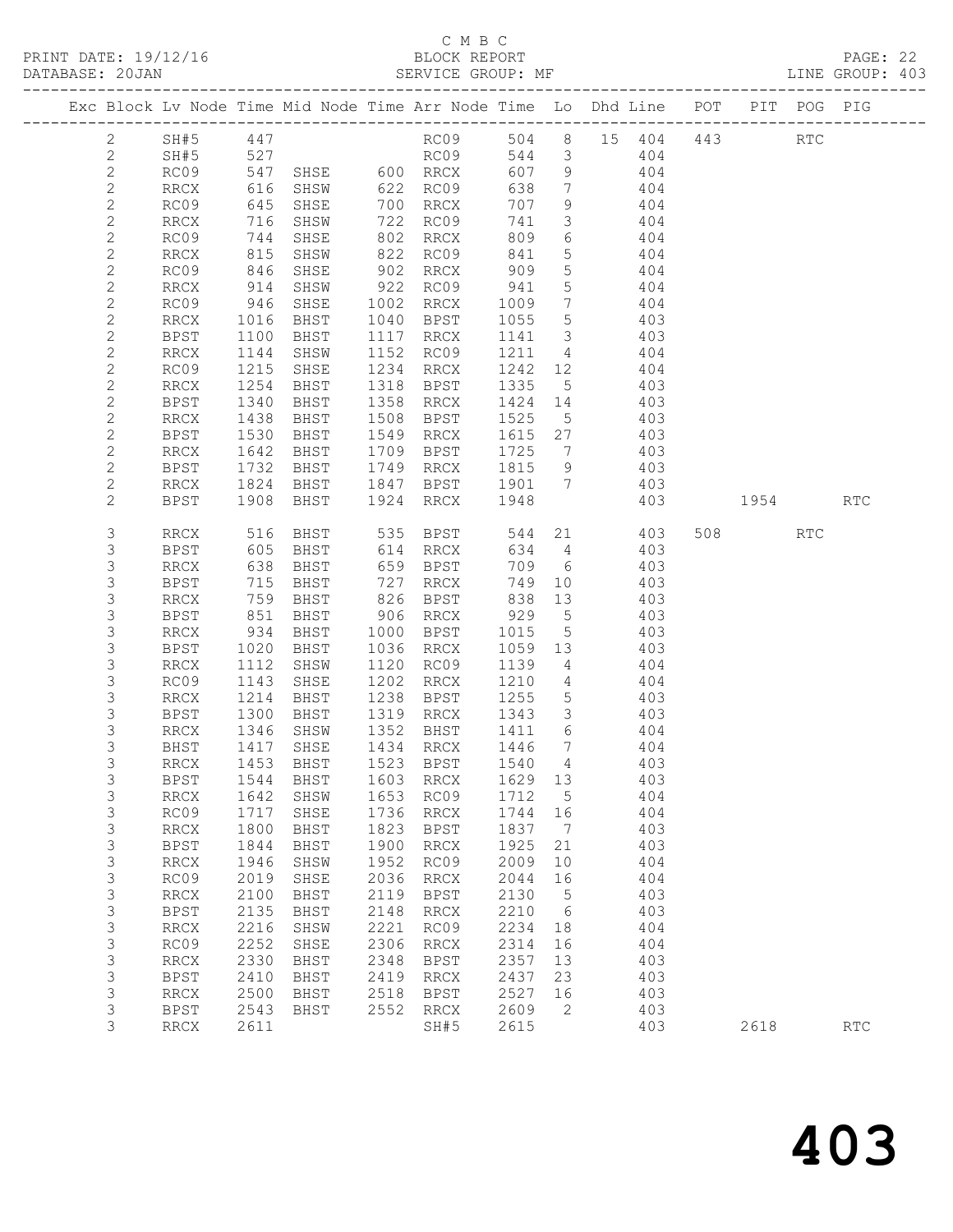### C M B C

| DATABASE: 20JAN |                | --------------------         |                          | SERVICE GROUP: MF                                                              |      |                           |                                   |                 |                 |     |        |      | LINE GROUP: 403 |  |
|-----------------|----------------|------------------------------|--------------------------|--------------------------------------------------------------------------------|------|---------------------------|-----------------------------------|-----------------|-----------------|-----|--------|------|-----------------|--|
|                 |                |                              |                          | Exc Block Lv Node Time Mid Node Time Arr Node Time Lo Dhd Line POT PIT POG PIG |      |                           |                                   |                 |                 |     |        |      |                 |  |
|                 | 2              | SH#5 447                     |                          |                                                                                |      | RC09 504 8 15 404 443 RTC |                                   |                 |                 |     |        |      |                 |  |
|                 | $\mathbf{2}$   | SH#5                         | 527                      |                                                                                |      | RCO <sub>9</sub>          |                                   |                 | 544 3 404       |     |        |      |                 |  |
|                 | $\mathbf{2}$   | RC09                         |                          | 11.<br>547 SHSE 600 RRCX<br>616 SHSW 622 RC09<br>645 SHSE 700                  |      |                           |                                   |                 | 607 9 404       |     |        |      |                 |  |
|                 | $\mathbf{2}$   | RRCX                         |                          |                                                                                |      |                           | 638                               | $7\overline{)}$ | 404             |     |        |      |                 |  |
|                 | $\mathbf{2}$   | RC09                         | 645                      | SHSE                                                                           |      | 700 RRCX                  | 707                               | 9               | 404             |     |        |      |                 |  |
|                 | $\mathbf{2}$   | RRCX                         | 716                      | SHSW                                                                           |      | 722 RC09                  | 741                               | $\overline{3}$  | 404             |     |        |      |                 |  |
|                 | $\mathbf{2}$   | RC09                         | 744<br>815<br>846        | SHSE                                                                           |      | 802 RRCX                  | 809                               | 6               | 404             |     |        |      |                 |  |
|                 | $\mathbf{2}$   | RRCX                         |                          | SHSW                                                                           |      | 822 RC09<br>902 RRCX      | 841                               | $5\overline{)}$ | 404             |     |        |      |                 |  |
|                 | $\mathbf{2}$   | RC09                         |                          | SHSE                                                                           |      |                           | 909                               | 5 <sup>7</sup>  | 404             |     |        |      |                 |  |
|                 | $\mathbf{2}$   | RRCX                         | 914                      | SHSW                                                                           |      | 922 RC09 941              |                                   | $5\overline{)}$ | 404             |     |        |      |                 |  |
|                 | $\mathbf{2}$   | RC09                         | 946                      | SHSE                                                                           |      | 1002 RRCX                 | 1009                              | $7\overline{ }$ | 404             |     |        |      |                 |  |
|                 | $\overline{c}$ | RRCX                         | 1016<br>1100             | BHST                                                                           |      | 1040 BPST                 | 1055                              | $5\overline{)}$ | 403             |     |        |      |                 |  |
|                 | $\mathbf{2}$   | BPST                         |                          | BHST                                                                           |      | 1117 RRCX                 | 1141 3                            |                 | 403             |     |        |      |                 |  |
|                 | $\mathbf{2}$   | RRCX                         | 1144                     | SHSW                                                                           |      | 1152 RC09                 |                                   |                 | 1211 4 404      |     |        |      |                 |  |
|                 | $\mathbf{2}$   | RC09                         | 1215                     | SHSE                                                                           |      | 1234 RRCX                 | 1242                              |                 | 12 404          |     |        |      |                 |  |
|                 | $\mathbf{2}$   | RRCX                         | 1254<br>1340             | BHST                                                                           |      | 1318 BPST                 | 1335 5                            |                 | 403             |     |        |      |                 |  |
|                 | $\mathbf{2}$   | BPST                         |                          | BHST                                                                           |      | 1358 RRCX                 | $\overline{1424}$ $\overline{14}$ |                 | 403             |     |        |      |                 |  |
|                 | $\mathbf{2}$   | RRCX                         | 1438                     | <b>BHST</b>                                                                    |      | 1508 BPST                 | 1525                              | 5 <sup>5</sup>  | 403             |     |        |      |                 |  |
|                 | $\mathbf{2}$   | BPST                         | 1530                     | BHST                                                                           |      | 1549 RRCX                 |                                   |                 | 1615 27 403     |     |        |      |                 |  |
|                 | $\mathbf{2}$   | RRCX                         | 1642<br>1732             | BHST                                                                           |      | 1709 BPST                 | 1725 7                            |                 | 403             |     |        |      |                 |  |
|                 | $\mathbf{2}$   | BPST                         |                          | <b>BHST</b>                                                                    |      | 1749 RRCX 1815 9          |                                   |                 | $\frac{1}{403}$ |     |        |      |                 |  |
|                 | $\mathbf{2}$   | RRCX                         | 1824                     | <b>BHST</b>                                                                    |      | 1847 BPST 1901 7          |                                   |                 | 403             |     |        |      |                 |  |
|                 | $\overline{2}$ | BPST                         | 1908                     | BHST                                                                           | 1924 | RRCX                      | 1948                              |                 |                 | 403 | 1954   |      | <b>RTC</b>      |  |
|                 | 3              | RRCX                         | 516                      |                                                                                |      |                           | 544                               |                 | 21 403          |     | 508 30 | RTC  |                 |  |
|                 | 3              | BPST                         | 605                      |                                                                                |      |                           |                                   |                 | 634 4           | 403 |        |      |                 |  |
|                 | $\mathsf S$    | RRCX                         | 638                      |                                                                                |      | BHST 659 BPST             |                                   |                 | 709 6 403       |     |        |      |                 |  |
|                 | 3              | <b>BPST</b>                  | 715<br>715<br>759<br>851 | BHST                                                                           |      | 727 RRCX                  | 749                               | 10              | 403             |     |        |      |                 |  |
|                 | $\mathsf S$    | RRCX                         |                          | BHST                                                                           |      | 826 BPST                  | 838 13<br>929 5                   |                 | 403             |     |        |      |                 |  |
|                 | $\mathsf S$    | BPST                         |                          | BHST                                                                           |      | $906$ RRCX                |                                   |                 | 403             |     |        |      |                 |  |
|                 | 3              | RRCX                         | 934                      | BHST                                                                           |      | 1000 BPST                 | 1015                              | $5\overline{)}$ | 403             |     |        |      |                 |  |
|                 | 3              | BPST                         | 1020                     | BHST                                                                           |      | 1036 RRCX                 | 1059 13                           |                 | 403             |     |        |      |                 |  |
|                 | $\mathsf S$    | RRCX                         | 1112                     | SHSW                                                                           |      | 1120 RC09                 | 1139                              | $4\overline{4}$ | 404             |     |        |      |                 |  |
|                 | $\mathsf 3$    | RC09                         | 1143                     | SHSE                                                                           |      | 1202 RRCX                 | 1210 4                            |                 | 404             |     |        |      |                 |  |
|                 | 3              | RRCX                         | 1214                     | BHST                                                                           |      | 1238 BPST                 | 1255                              |                 | 5 403           |     |        |      |                 |  |
|                 | 3              | BPST                         | 1300                     | BHST                                                                           |      | 1319 RRCX                 | 1343                              |                 | 3 403           |     |        |      |                 |  |
|                 | 3              | RRCX                         | 1346<br>1417             | SHSW                                                                           |      | 1352 BHST                 | 1411 6<br>1446 7                  |                 | 404             |     |        |      |                 |  |
|                 | 3              | BHST                         |                          | SHSE                                                                           |      | 1434 RRCX                 |                                   |                 | 404             |     |        |      |                 |  |
|                 | 3              |                              |                          | RRCX 1453 BHST 1523 BPST 1540 4                                                |      |                           |                                   |                 | 403             |     |        |      |                 |  |
|                 | 3              | BPST                         | 1544                     | BHST                                                                           | 1603 | <b>RRCX</b>               | 1629                              | 13              |                 | 403 |        |      |                 |  |
|                 | 3              | RRCX                         | 1642                     | SHSW                                                                           | 1653 | RC09                      | 1712                              | $5^{\circ}$     |                 | 404 |        |      |                 |  |
|                 | 3              | RC09                         | 1717                     | SHSE                                                                           | 1736 | RRCX                      | 1744                              | 16              |                 | 404 |        |      |                 |  |
|                 | $\mathsf 3$    | <b>RRCX</b>                  | 1800                     | BHST                                                                           | 1823 | BPST                      | 1837                              | $\overline{7}$  |                 | 403 |        |      |                 |  |
|                 | $\mathsf S$    | <b>BPST</b>                  | 1844                     | BHST                                                                           | 1900 | RRCX                      | 1925                              | 21              |                 | 403 |        |      |                 |  |
|                 | $\mathsf S$    | $\mathop{\rm RRCX}\nolimits$ | 1946                     | SHSW                                                                           | 1952 | RC09                      | 2009                              | 10              |                 | 404 |        |      |                 |  |
|                 | $\mathsf S$    | RC09                         | 2019                     | SHSE                                                                           | 2036 | RRCX                      | 2044                              | 16              |                 | 404 |        |      |                 |  |
|                 | $\mathsf 3$    | <b>RRCX</b>                  | 2100                     | BHST                                                                           | 2119 | <b>BPST</b>               | 2130                              | $5\phantom{0}$  |                 | 403 |        |      |                 |  |
|                 | $\mathsf S$    | BPST                         | 2135                     | BHST                                                                           | 2148 | RRCX                      | 2210                              | $6\overline{6}$ |                 | 403 |        |      |                 |  |
|                 | $\mathsf S$    | $\mathop{\rm RRCX}\nolimits$ | 2216                     | SHSW                                                                           | 2221 | RC09                      | 2234                              | 18              |                 | 404 |        |      |                 |  |
|                 | $\mathsf S$    | RC09                         | 2252                     | SHSE                                                                           | 2306 | RRCX                      | 2314                              | 16              |                 | 404 |        |      |                 |  |
|                 | $\mathsf S$    | $\operatorname{RRCX}$        | 2330                     | BHST                                                                           | 2348 | BPST                      | 2357                              | 13              |                 | 403 |        |      |                 |  |
|                 | $\mathsf S$    | BPST                         | 2410                     | BHST                                                                           | 2419 | RRCX                      | 2437                              | 23              |                 | 403 |        |      |                 |  |
|                 | $\mathsf S$    | RRCX                         | 2500                     | BHST                                                                           | 2518 | BPST                      | 2527                              | 16              |                 | 403 |        |      |                 |  |
|                 | 3              | BPST                         | 2543                     | BHST                                                                           |      | 2552 RRCX                 | 2609                              | $\overline{2}$  |                 | 403 |        |      |                 |  |
|                 | 3              | RRCX                         | 2611                     |                                                                                |      | SH#5                      | 2615                              |                 |                 | 403 |        | 2618 | <b>RTC</b>      |  |
|                 |                |                              |                          |                                                                                |      |                           |                                   |                 |                 |     |        |      |                 |  |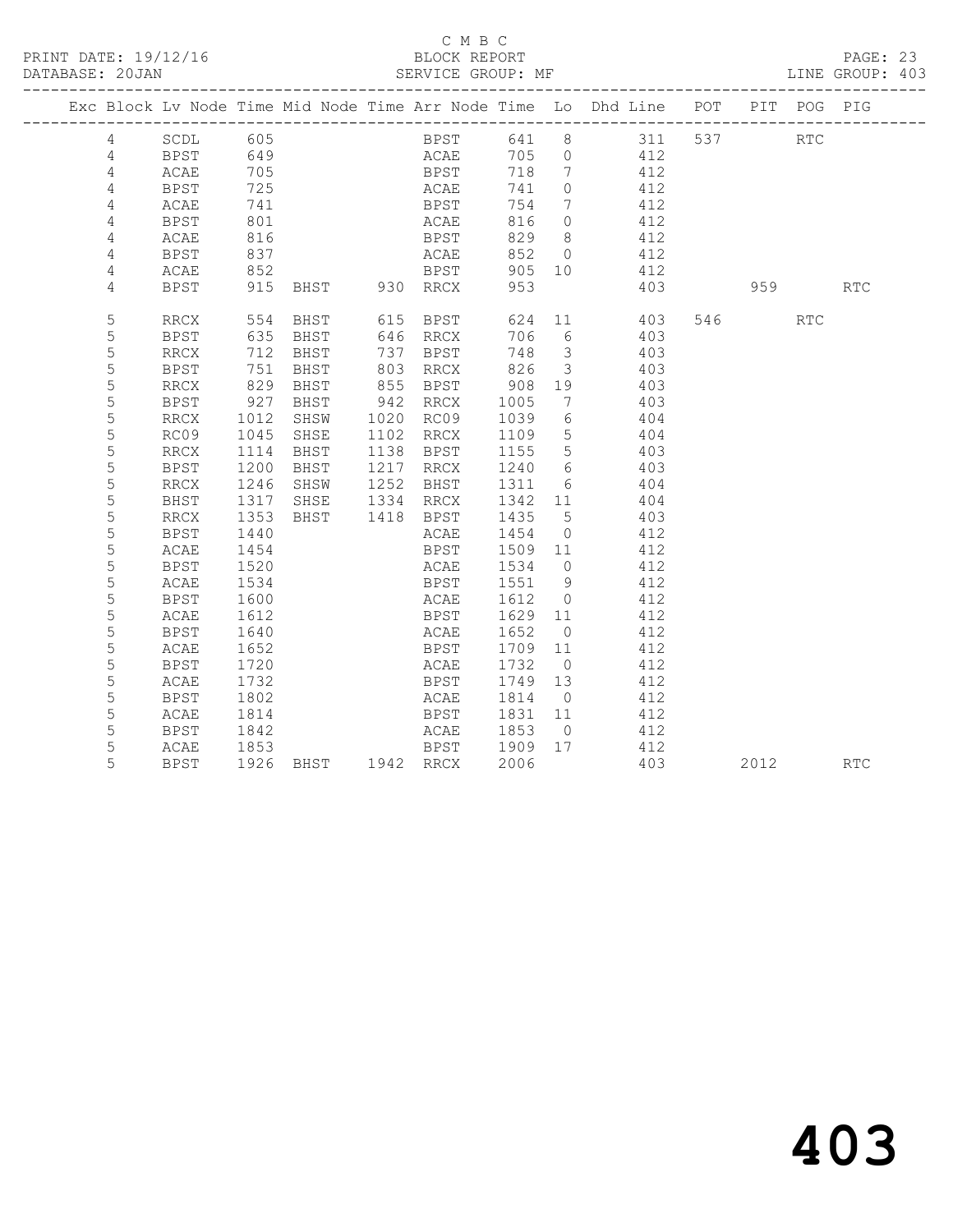#### C M B C<br>BLOCK REPORT

PAGE: 23<br>LINE GROUP: 403

|  |                |              |                  |                     |                             |                    |                         | Exc Block Lv Node Time Mid Node Time Arr Node Time Lo Dhd Line POT PIT POG PIG |         |          |            |
|--|----------------|--------------|------------------|---------------------|-----------------------------|--------------------|-------------------------|--------------------------------------------------------------------------------|---------|----------|------------|
|  | $\overline{4}$ | SCDL 605     |                  |                     |                             |                    |                         | BPST 641 8 311 537 RTC<br>ACAE 705 0 412                                       |         |          |            |
|  | 4              | BPST 649     |                  |                     | <b>ACAE</b>                 |                    |                         |                                                                                |         |          |            |
|  | 4              | ACAE         | 705              |                     | <b>BPST</b>                 | 718 7              |                         | 412                                                                            |         |          |            |
|  | 4              | BPST         | 725              |                     | <b>ACAE</b>                 | 741 0              |                         | 412                                                                            |         |          |            |
|  | 4              | ACAE         | 741              |                     | BPST<br>ACAE                | 754 7              |                         | 412                                                                            |         |          |            |
|  | 4              | BPST         | 801              |                     | ACAE                        | 816                | $\overline{0}$          | 412                                                                            |         |          |            |
|  | 4              | ACAE         | 816              |                     | <b>BPST</b>                 | 829                | 8 <sup>8</sup>          | 412                                                                            |         |          |            |
|  | 4              | BPST         | 837              |                     | <b>ACAE</b>                 |                    |                         | 852 0 412                                                                      |         |          |            |
|  | 4              | ACAE         | 852              |                     | <b>BPST</b>                 |                    |                         | 905 10 412                                                                     |         |          |            |
|  | $\overline{4}$ | BPST         |                  | 915 BHST 930 RRCX   |                             | 953                |                         | 403                                                                            |         | 959 1970 | <b>RTC</b> |
|  | 5              | RRCX         |                  | 554 BHST 615 BPST   |                             |                    |                         | 624 11 403                                                                     | 546 RTC |          |            |
|  | 5              | BPST         | 635              |                     | BHST 646 RRCX               | 706 6              |                         | 403                                                                            |         |          |            |
|  | 5              | RRCX         | 712              | BHST                | 737 BPST                    | 748 3              |                         | 403                                                                            |         |          |            |
|  | 5              | <b>BPST</b>  | 751              | BHST                | 803 RRCX<br>855 BPST        | 826 3<br>908 19    | $\overline{\mathbf{3}}$ | 403                                                                            |         |          |            |
|  | 5              | RRCX         | 829              | BHST                |                             |                    |                         | 403                                                                            |         |          |            |
|  | 5              | BPST         | 927              | BHST 942 RRCX       |                             | 1005               | $\overline{7}$          | 403                                                                            |         |          |            |
|  | 5              | RRCX         | 1012             | SHSW                | 1020 RC09 1039 6            |                    |                         | 404                                                                            |         |          |            |
|  | 5              | RC09         | $1045$<br>$1114$ | SHSE                | 1102 RRCX                   | 1109 5<br>1155 5   |                         | 404                                                                            |         |          |            |
|  | 5              | RRCX         |                  | BHST                | 1138 BPST                   |                    |                         | 403                                                                            |         |          |            |
|  | 5              | <b>BPST</b>  | 1200             | BHST 1217 RRCX      |                             | 1240 6             |                         | 403                                                                            |         |          |            |
|  | 5              | RRCX         | 1246             |                     | SHSW 1252 BHST 1311 6       |                    |                         | 404                                                                            |         |          |            |
|  | 5              | BHST         | 1317             | SHSE 1334 RRCX      |                             | 1342 11            |                         | 404                                                                            |         |          |            |
|  | 5              | RRCX         | 1353<br>1440     | BHST 1418 BPST      |                             | 1435 5<br>$1454$ 0 |                         | 403<br>412                                                                     |         |          |            |
|  | 5              | BPST         |                  |                     | ACAE<br>BPST 1509 11        |                    |                         | 412                                                                            |         |          |            |
|  | 5<br>5         | ACAE         | 1454             |                     |                             |                    |                         |                                                                                |         |          |            |
|  | 5              | BPST<br>ACAE | 1520<br>1534     |                     | ACAE 1534 0                 |                    |                         | 412                                                                            |         |          |            |
|  | $\mathsf S$    | BPST         | 1600             |                     | BPST 1551 9<br>ACAE         | 1612 0             |                         | 412<br>412                                                                     |         |          |            |
|  | 5              | ACAE         | 1612             |                     | BPST 1629 11                |                    |                         | 412                                                                            |         |          |            |
|  | 5              | BPST         | 1640             |                     | ACAE 1652 0                 |                    |                         | 412                                                                            |         |          |            |
|  | 5              | ACAE         | 1652             |                     | <b>BPST</b>                 | 1709 11            |                         | 412                                                                            |         |          |            |
|  | 5              | BPST         | 1720             |                     | ACAE                        | 1732 0             |                         | 412                                                                            |         |          |            |
|  | 5              | ACAE         | $\frac{1}{1732}$ |                     | BPST 1749 13                |                    |                         | 412                                                                            |         |          |            |
|  | 5              | BPST         | 1802             |                     | ACAE 1814 0                 |                    |                         | 412                                                                            |         |          |            |
|  | 5              | ACAE         | 1814             |                     | BPST 1831 11                |                    |                         | 412                                                                            |         |          |            |
|  | 5              | BPST         | 1842             |                     |                             |                    |                         | 412                                                                            |         |          |            |
|  | 5              | ACAE         | 1853             |                     | ACAE 1853 0<br>BPST 1909 17 |                    |                         | 412                                                                            |         |          |            |
|  | 5              | BPST         |                  | 1926 BHST 1942 RRCX |                             | 2006               |                         | 403                                                                            |         | 2012     | <b>RTC</b> |
|  |                |              |                  |                     |                             |                    |                         |                                                                                |         |          |            |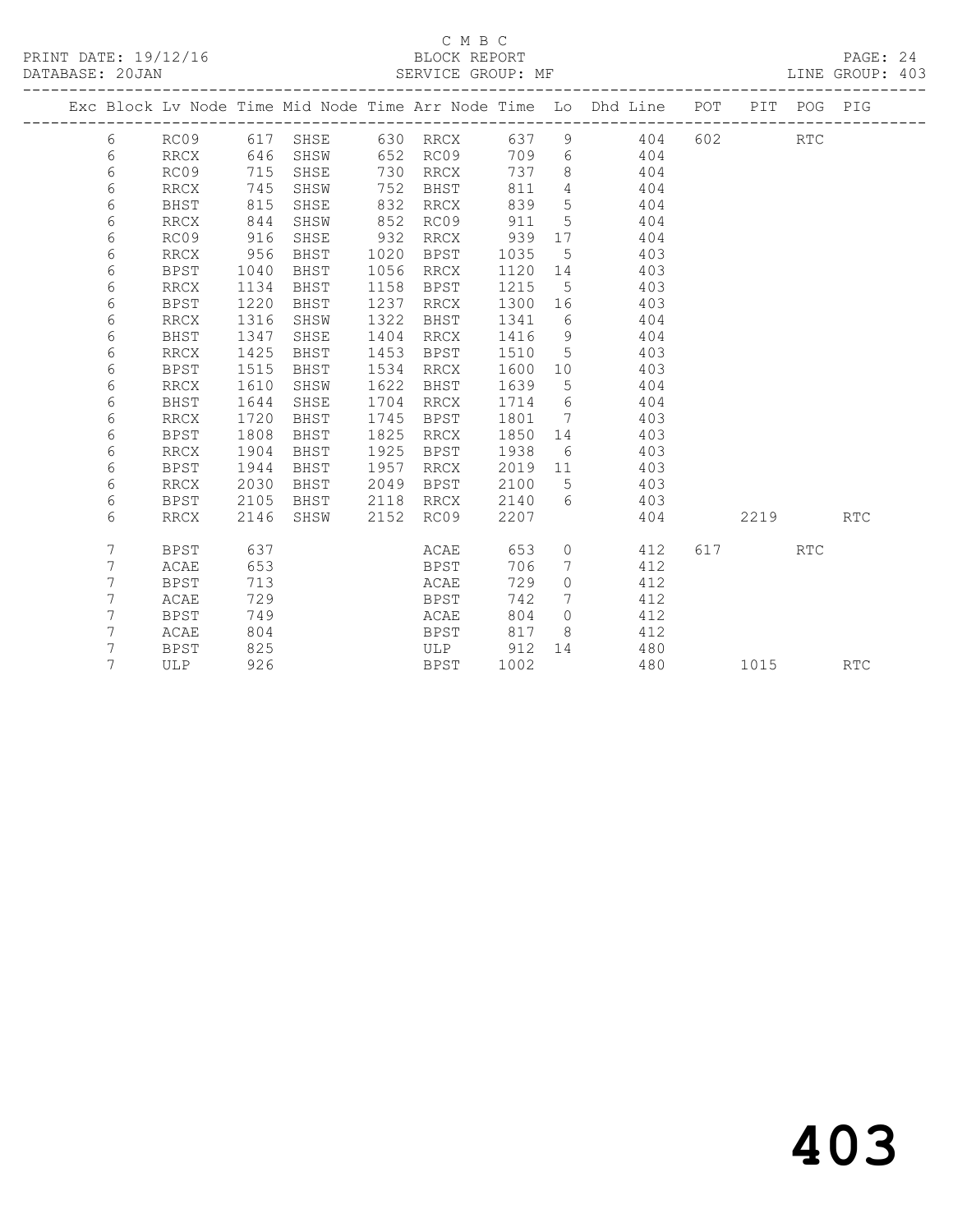# C M B C<br>BLOCK REPORT

PAGE: 24<br>LINE GROUP: 403

|  |   |             |      |             |      |                              |      |             | Exc Block Lv Node Time Mid Node Time Arr Node Time Lo Dhd Line | POT |      | PIT POG PIG |            |
|--|---|-------------|------|-------------|------|------------------------------|------|-------------|----------------------------------------------------------------|-----|------|-------------|------------|
|  |   |             |      |             |      |                              |      |             |                                                                |     |      |             |            |
|  | 6 | RC09        | 617  | SHSE        | 630  | RRCX                         | 637  | 9           | 404                                                            | 602 |      | <b>RTC</b>  |            |
|  | 6 | <b>RRCX</b> | 646  | SHSW        | 652  | RC09                         | 709  | 6           | 404                                                            |     |      |             |            |
|  | 6 | RC09        | 715  | SHSE        | 730  | RRCX                         | 737  | 8           | 404                                                            |     |      |             |            |
|  | 6 | <b>RRCX</b> | 745  | SHSW        | 752  | BHST                         | 811  | 4           | 404                                                            |     |      |             |            |
|  | 6 | BHST        | 815  | SHSE        | 832  | RRCX                         | 839  | 5           | 404                                                            |     |      |             |            |
|  | 6 | <b>RRCX</b> | 844  | SHSW        | 852  | RC09                         | 911  | 5           | 404                                                            |     |      |             |            |
|  | 6 | RC09        | 916  | SHSE        | 932  | RRCX                         | 939  | 17          | 404                                                            |     |      |             |            |
|  | 6 | RRCX        | 956  | BHST        | 1020 | BPST                         | 1035 | 5           | 403                                                            |     |      |             |            |
|  | 6 | <b>BPST</b> | 1040 | BHST        | 1056 | RRCX                         | 1120 | 14          | 403                                                            |     |      |             |            |
|  | 6 | <b>RRCX</b> | 1134 | BHST        | 1158 | BPST                         | 1215 | 5           | 403                                                            |     |      |             |            |
|  | 6 | <b>BPST</b> | 1220 | BHST        | 1237 | $\mathop{\rm RRCX}\nolimits$ | 1300 | 16          | 403                                                            |     |      |             |            |
|  | 6 | <b>RRCX</b> | 1316 | SHSW        | 1322 | BHST                         | 1341 | 6           | 404                                                            |     |      |             |            |
|  | 6 | <b>BHST</b> | 1347 | SHSE        | 1404 | RRCX                         | 1416 | 9           | 404                                                            |     |      |             |            |
|  | 6 | <b>RRCX</b> | 1425 | <b>BHST</b> | 1453 | <b>BPST</b>                  | 1510 | 5           | 403                                                            |     |      |             |            |
|  | 6 | <b>BPST</b> | 1515 | BHST        | 1534 | RRCX                         | 1600 | 10          | 403                                                            |     |      |             |            |
|  | 6 | <b>RRCX</b> | 1610 | SHSW        | 1622 | BHST                         | 1639 | 5           | 404                                                            |     |      |             |            |
|  | 6 | <b>BHST</b> | 1644 | SHSE        | 1704 | RRCX                         | 1714 | 6           | 404                                                            |     |      |             |            |
|  | 6 | <b>RRCX</b> | 1720 | BHST        | 1745 | BPST                         | 1801 | 7           | 403                                                            |     |      |             |            |
|  | 6 | <b>BPST</b> | 1808 | BHST        | 1825 | RRCX                         | 1850 | 14          | 403                                                            |     |      |             |            |
|  | 6 | RRCX        | 1904 | BHST        | 1925 | BPST                         | 1938 | 6           | 403                                                            |     |      |             |            |
|  | 6 | <b>BPST</b> | 1944 | BHST        | 1957 | RRCX                         | 2019 | 11          | 403                                                            |     |      |             |            |
|  | 6 | <b>RRCX</b> | 2030 | BHST        | 2049 | <b>BPST</b>                  | 2100 | 5           | 403                                                            |     |      |             |            |
|  | 6 | <b>BPST</b> | 2105 | BHST        | 2118 | RRCX                         | 2140 | 6           | 403                                                            |     |      |             |            |
|  | 6 | <b>RRCX</b> | 2146 | SHSW        | 2152 | RC09                         | 2207 |             | 404                                                            |     | 2219 |             | <b>RTC</b> |
|  | 7 | <b>BPST</b> | 637  |             |      | ACAE                         | 653  | $\mathbf 0$ | 412                                                            | 617 |      | <b>RTC</b>  |            |
|  | 7 | ACAE        | 653  |             |      | <b>BPST</b>                  | 706  | 7           | 412                                                            |     |      |             |            |
|  | 7 | <b>BPST</b> | 713  |             |      | ACAE                         | 729  | $\circ$     | 412                                                            |     |      |             |            |
|  | 7 | ACAE        | 729  |             |      | <b>BPST</b>                  | 742  | 7           | 412                                                            |     |      |             |            |
|  | 7 | <b>BPST</b> | 749  |             |      | ACAE                         | 804  | $\Omega$    | 412                                                            |     |      |             |            |
|  | 7 | ACAE        | 804  |             |      | BPST                         | 817  | 8           | 412                                                            |     |      |             |            |
|  | 7 | <b>BPST</b> | 825  |             |      | ULP                          | 912  | 14          | 480                                                            |     |      |             |            |
|  | 7 | ULP         | 926  |             |      | BPST                         | 1002 |             | 480                                                            |     | 1015 |             | RTC        |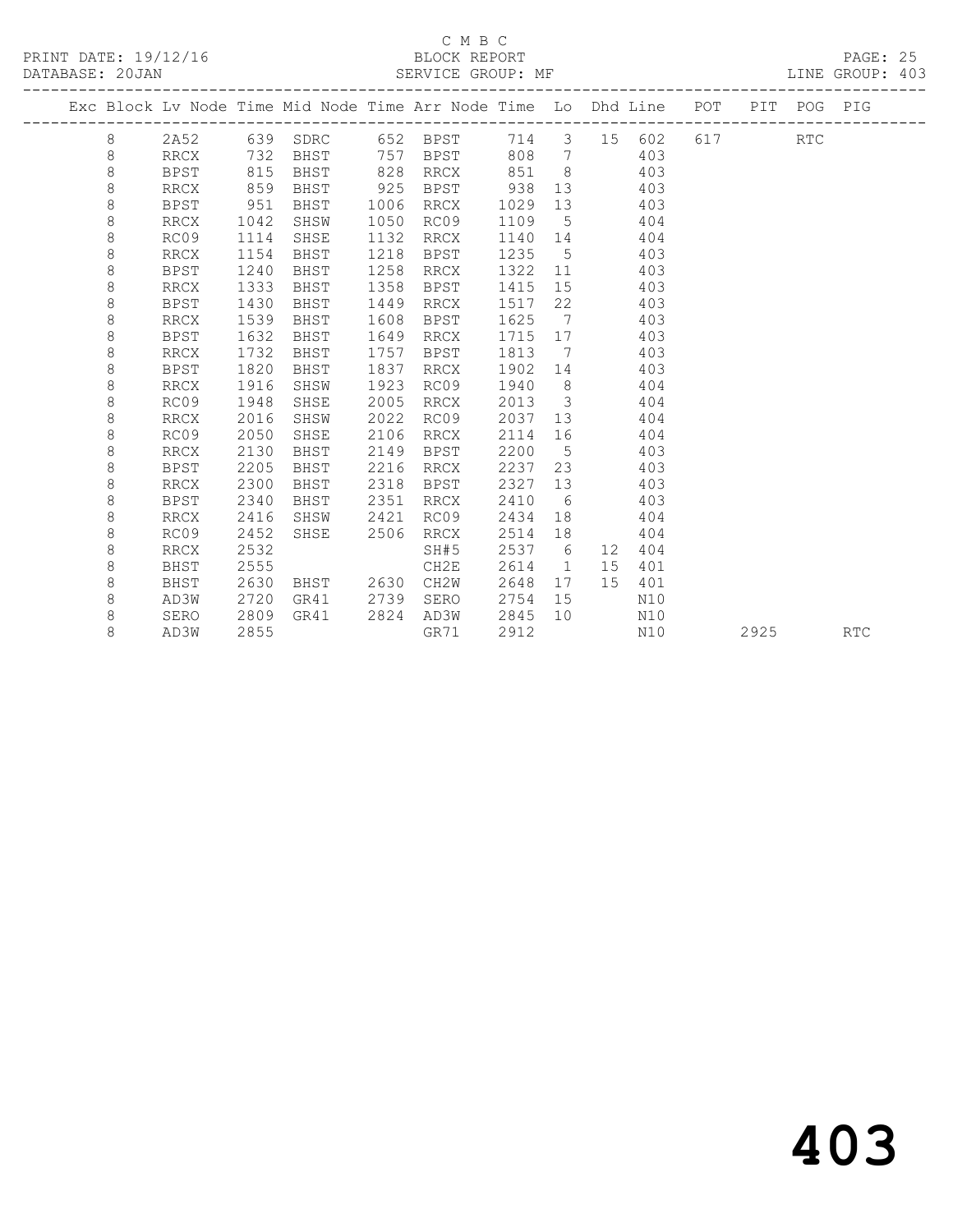## C M B C<br>BLOCK REPORT

LINE GROUP: 403

|  |         |             |      | Exc Block Lv Node Time Mid Node Time Arr Node Time Lo Dhd Line POT |      |                              |      |                         |          |     |     |      | PIT POG PIG |            |
|--|---------|-------------|------|--------------------------------------------------------------------|------|------------------------------|------|-------------------------|----------|-----|-----|------|-------------|------------|
|  | 8       | 2A52        |      | 639 SDRC                                                           |      | 652 BPST                     | 714  |                         | 3 15 602 |     | 617 |      | RTC         |            |
|  | 8       | RRCX        | 732  | BHST                                                               |      | 757 BPST                     | 808  | $\overline{7}$          |          | 403 |     |      |             |            |
|  | 8       | BPST        | 815  | BHST                                                               | 828  | RRCX                         | 851  | 8 <sup>8</sup>          |          | 403 |     |      |             |            |
|  | 8       | <b>RRCX</b> | 859  | BHST                                                               | 925  | BPST                         | 938  | 13                      |          | 403 |     |      |             |            |
|  | $\,8\,$ | <b>BPST</b> | 951  | BHST                                                               | 1006 | RRCX                         | 1029 | 13                      |          | 403 |     |      |             |            |
|  | $\,8\,$ | RRCX        | 1042 | SHSW                                                               | 1050 | RC09                         | 1109 | 5                       |          | 404 |     |      |             |            |
|  | 8       | RC09        | 1114 | SHSE                                                               | 1132 | RRCX                         | 1140 | 14                      |          | 404 |     |      |             |            |
|  | $\,8\,$ | <b>RRCX</b> | 1154 | BHST                                                               | 1218 | <b>BPST</b>                  | 1235 | 5                       |          | 403 |     |      |             |            |
|  | 8       | <b>BPST</b> | 1240 | BHST                                                               | 1258 | RRCX                         | 1322 | 11                      |          | 403 |     |      |             |            |
|  | 8       | <b>RRCX</b> | 1333 | BHST                                                               | 1358 | BPST                         | 1415 | 15                      |          | 403 |     |      |             |            |
|  | 8       | BPST        | 1430 | BHST                                                               | 1449 | RRCX                         | 1517 | 22                      |          | 403 |     |      |             |            |
|  | 8       | RRCX        | 1539 | BHST                                                               | 1608 | BPST                         | 1625 | $\overline{7}$          |          | 403 |     |      |             |            |
|  | 8       | BPST        | 1632 | BHST                                                               | 1649 | RRCX                         | 1715 | 17                      |          | 403 |     |      |             |            |
|  | 8       | RRCX        | 1732 | BHST                                                               | 1757 | BPST                         | 1813 | 7                       |          | 403 |     |      |             |            |
|  | $\,8\,$ | <b>BPST</b> | 1820 | BHST                                                               | 1837 | RRCX                         | 1902 | 14                      |          | 403 |     |      |             |            |
|  | 8       | <b>RRCX</b> | 1916 | SHSW                                                               | 1923 | RC09                         | 1940 | 8 <sup>8</sup>          |          | 404 |     |      |             |            |
|  | 8       | RC09        | 1948 | SHSE                                                               | 2005 | RRCX                         | 2013 | $\overline{\mathbf{3}}$ |          | 404 |     |      |             |            |
|  | 8       | <b>RRCX</b> | 2016 | SHSW                                                               | 2022 | RC09                         | 2037 | 13                      |          | 404 |     |      |             |            |
|  | $\,8\,$ | RC09        | 2050 | SHSE                                                               | 2106 | $\mathop{\rm RRCX}\nolimits$ | 2114 | 16                      |          | 404 |     |      |             |            |
|  | 8       | <b>RRCX</b> | 2130 | BHST                                                               | 2149 | <b>BPST</b>                  | 2200 | $5\overline{)}$         |          | 403 |     |      |             |            |
|  | 8       | <b>BPST</b> | 2205 | BHST                                                               | 2216 | RRCX                         | 2237 | 23                      |          | 403 |     |      |             |            |
|  | 8       | <b>RRCX</b> | 2300 | BHST                                                               | 2318 | BPST                         | 2327 | 13                      |          | 403 |     |      |             |            |
|  | 8       | BPST        | 2340 | BHST                                                               | 2351 | RRCX                         | 2410 | 6                       |          | 403 |     |      |             |            |
|  | 8       | <b>RRCX</b> | 2416 | SHSW                                                               | 2421 | RC09                         | 2434 | 18                      |          | 404 |     |      |             |            |
|  | 8       | RC09        | 2452 | SHSE                                                               | 2506 | RRCX                         | 2514 | 18                      |          | 404 |     |      |             |            |
|  | 8       | RRCX        | 2532 |                                                                    |      | SH#5                         | 2537 | 6                       | 12       | 404 |     |      |             |            |
|  | 8       | <b>BHST</b> | 2555 |                                                                    |      | CH2E                         | 2614 | $\overline{1}$          | 15       | 401 |     |      |             |            |
|  | 8       | BHST        | 2630 | BHST                                                               | 2630 | CH2W                         | 2648 | 17                      | 15       | 401 |     |      |             |            |
|  | 8       | AD3W        | 2720 | GR41                                                               | 2739 | SERO                         | 2754 | 15                      |          | N10 |     |      |             |            |
|  | 8       | SERO        | 2809 | GR41                                                               | 2824 | AD3W                         | 2845 | 10                      |          | N10 |     |      |             |            |
|  | 8       | AD3W        | 2855 |                                                                    |      | GR71                         | 2912 |                         |          | N10 |     | 2925 |             | <b>RTC</b> |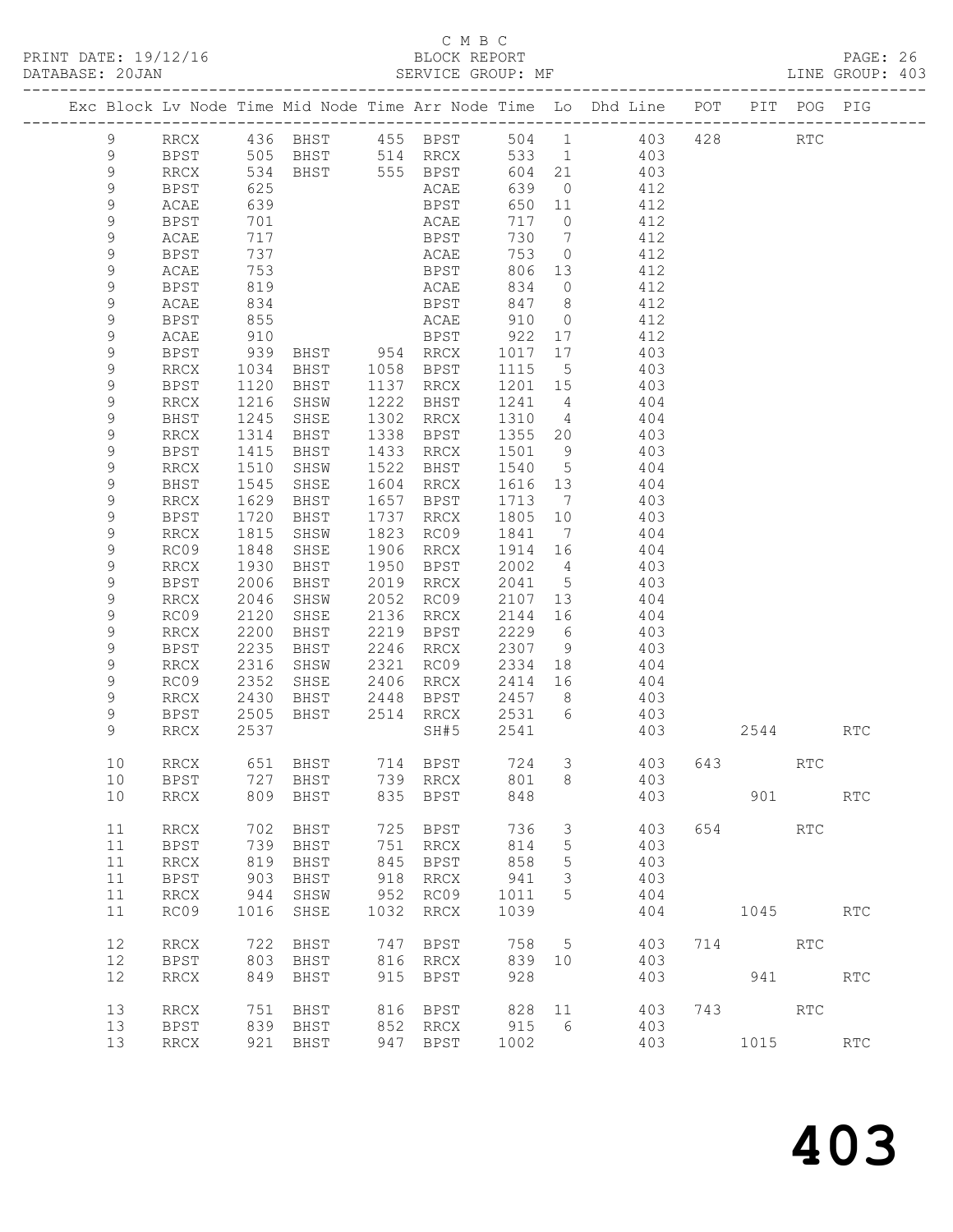# C M B C<br>BLOCK REPORT<br>SERVICE GROUP: MF

| PRINT DATE: 19/12/16<br>DATABASE: 20JAN |               |                          |              |                   |      | C M B C                    |       |               | PAGE: 26<br>BLOCK REPORT BLOCK REPORT PAGE: 26<br>SERVICE GROUP: MF LINE GROUP: 403                               |     |         |         |                             |  |
|-----------------------------------------|---------------|--------------------------|--------------|-------------------|------|----------------------------|-------|---------------|-------------------------------------------------------------------------------------------------------------------|-----|---------|---------|-----------------------------|--|
|                                         |               |                          |              | _________________ |      |                            |       |               | Exc Block Lv Node Time Mid Node Time Arr Node Time Lo Dhd Line POT PIT POG PIG                                    |     |         |         |                             |  |
|                                         | 9             |                          |              |                   |      |                            |       |               | RRCX 436 BHST 455 BPST 504 1 403 428 RTC<br>BPST 505 BHST 514 RRCX 533 1 403<br>RRCX 534 BHST 555 BPST 604 21 403 |     |         |         |                             |  |
|                                         | 9             |                          |              |                   |      |                            |       |               |                                                                                                                   |     |         |         |                             |  |
|                                         | $\mathcal{G}$ |                          |              |                   |      |                            |       |               |                                                                                                                   |     |         |         |                             |  |
|                                         | 9             | BPST                     | 625          |                   |      | ACAE                       |       |               | 639 0 412                                                                                                         |     |         |         |                             |  |
|                                         | 9             | ACAE                     | 639          |                   |      | BPST<br>ACAE<br>BPST       |       |               | 650 11 412<br>717 0 412                                                                                           |     |         |         |                             |  |
|                                         | 9             | BPST                     | 701          |                   |      |                            | 717 0 |               |                                                                                                                   |     |         |         |                             |  |
|                                         | 9             | ACAE                     | 717          |                   |      |                            | 730   |               | $\frac{112}{7}$ 412                                                                                               |     |         |         |                             |  |
|                                         | 9             | BPST                     | 737          |                   |      |                            |       |               | ACAE 753 0 412                                                                                                    |     |         |         |                             |  |
|                                         | 9             | ACAE                     | 753          |                   |      |                            |       |               | BPST 806 13 412<br>ACAE 834 0 412<br>BPST 847 8 412                                                               |     |         |         |                             |  |
|                                         | 9             | BPST                     | 819          |                   |      |                            |       |               |                                                                                                                   |     |         |         |                             |  |
|                                         | 9             | ACAE                     | 834          |                   |      |                            |       |               |                                                                                                                   |     |         |         |                             |  |
|                                         | 9             | BPST                     | 855          |                   |      |                            |       |               | ACAE 910 0 412                                                                                                    |     |         |         |                             |  |
|                                         | 9             | ACAE                     | 910          |                   |      |                            |       |               | BPST 922 17 412                                                                                                   |     |         |         |                             |  |
|                                         | 9             | BPST                     | 939<br>1034  |                   |      |                            |       |               | BHST 954 RRCX 1017 17 403<br>BHST 1058 BPST 1115 5 403                                                            |     |         |         |                             |  |
|                                         | 9             | RRCX                     |              |                   |      |                            | 1115  |               |                                                                                                                   |     |         |         |                             |  |
|                                         | 9             | BPST                     | 1120         | BHST              |      | 1137 RRCX                  |       |               | 1201 15 403                                                                                                       |     |         |         |                             |  |
|                                         | 9             | RRCX                     | 1216         | SHSW              | 1222 | BHST                       |       |               |                                                                                                                   |     |         |         |                             |  |
|                                         | 9             | BHST                     | 1245         | SHSE              | 1302 | RRCX                       |       |               | $\begin{array}{cccc} 1241 & 4 & & 404 \\ 1310 & 4 & & 404 \\ 1355 & 20 & & 403 \end{array}$                       |     |         |         |                             |  |
|                                         | 9             | RRCX                     | 1314         | BHST              |      | 1338 BPST                  |       |               |                                                                                                                   |     |         |         |                             |  |
|                                         | 9             | BPST                     | 1415         | BHST              | 1433 | RRCX                       | 1501  |               | 9 403                                                                                                             |     |         |         |                             |  |
|                                         | 9             | RRCX                     | 1510         | SHSW              | 1522 | BHST                       | 1540  |               | $5$ $404$                                                                                                         |     |         |         |                             |  |
|                                         | 9             | BHST                     | 1545         | SHSE              | 1604 | RRCX                       |       |               | 1616 13 404<br>1713 7 403                                                                                         |     |         |         |                             |  |
|                                         | 9             | RRCX                     | 1629         | BHST              |      | 1657 BPST                  |       |               |                                                                                                                   |     |         |         |                             |  |
|                                         | 9             | BPST                     | 1720         | BHST              |      | 1737 RRCX                  |       |               | 1805 10 403                                                                                                       |     |         |         |                             |  |
|                                         | 9             | RRCX                     | 1815         | SHSW              | 1823 | RC09                       | 1841  |               | $7 \hspace{1.5cm} 404$                                                                                            |     |         |         |                             |  |
|                                         | 9             | RC09                     | 1848         | SHSE              | 1906 | RRCX                       |       |               |                                                                                                                   |     |         |         |                             |  |
|                                         | 9             | RRCX                     | 1930         | BHST              | 1950 | BPST                       |       |               | $\begin{array}{cccc} 1914 & 16 & & 404 \\ 2002 & 4 & & 403 \\ 2041 & 5 & & 403 \end{array}$                       |     |         |         |                             |  |
|                                         | 9             | BPST                     | 2006         | BHST              |      | 2019 RRCX                  |       |               |                                                                                                                   |     |         |         |                             |  |
|                                         | 9             | RRCX                     | 2046         | SHSW              | 2052 | RC09                       |       |               | 2107 13 404                                                                                                       |     |         |         |                             |  |
|                                         | 9             | RC09                     | 2120         | SHSE              | 2136 | RRCX                       |       |               | $\begin{array}{cccc} 2144 & 16 & & 404 \\ 2229 & 6 & & 403 \\ 2307 & 9 & & 403 \end{array}$                       |     |         |         |                             |  |
|                                         | 9             | RRCX                     | 2200         | BHST              | 2219 | BPST                       | 2229  |               |                                                                                                                   |     |         |         |                             |  |
|                                         | 9             | BPST                     | 2235         | BHST              |      | 2246 RRCX                  |       |               |                                                                                                                   |     |         |         |                             |  |
|                                         | 9             | RRCX                     | 2316         | SHSW              |      | 2321 RC09                  |       |               | 2334 18 404                                                                                                       |     |         |         |                             |  |
|                                         | 9             | RC09                     | 2352         | SHSE              | 2406 | RRCX                       | 2414  |               | 16 404                                                                                                            |     |         |         |                             |  |
|                                         | 9             | RRCX                     | 2430<br>2505 | BHST              | 2448 | BPST 2457 8<br>RRCX 2531 6 |       |               | 403<br>$6 \t 403$                                                                                                 |     |         |         |                             |  |
|                                         | 9             | BPST                     |              | 2505 BHST         |      | 2514 RRCX                  |       |               |                                                                                                                   |     |         |         |                             |  |
|                                         | 9             | RRCX                     | 2537         |                   |      | SH#5                       | 2541  |               | 403                                                                                                               |     | 2544    |         | <b>RTC</b>                  |  |
|                                         | 10            | RRCX                     | 651          | BHST              |      | 714 BPST                   | 724   | 3             | 403                                                                                                               | 643 | RTC     |         |                             |  |
|                                         | 10            | BPST                     | 727          | BHST              |      | 739 RRCX                   | 801   | 8             | 403                                                                                                               |     |         |         |                             |  |
|                                         | 10            | RRCX                     | 809          | BHST              | 835  | BPST                       | 848   |               | 403                                                                                                               |     |         | 901 000 | <b>RTC</b>                  |  |
|                                         | 11            | $\mathop{\mathrm{RRCX}}$ | 702          | BHST              | 725  | <b>BPST</b>                | 736   | $\mathcal{E}$ | 403                                                                                                               |     | 654 RTC |         |                             |  |
|                                         | 11            | BPST                     | 739          | BHST              | 751  | RRCX                       | 814   | 5             | 403                                                                                                               |     |         |         |                             |  |
|                                         | 11            | RRCX                     | 819          | BHST              | 845  | BPST                       | 858   | 5             | 403                                                                                                               |     |         |         |                             |  |
|                                         | 11            | <b>BPST</b>              | 903          | BHST              | 918  | RRCX                       | 941   | 3             | 403                                                                                                               |     |         |         |                             |  |
|                                         | 11            | RRCX                     | 944          | SHSW              | 952  | RC09                       | 1011  | 5             | 404                                                                                                               |     |         |         |                             |  |
|                                         | 11            | RC09                     | 1016         | SHSE              | 1032 | RRCX                       | 1039  |               | 404                                                                                                               |     |         | 1045    | <b>RTC</b>                  |  |
|                                         | 12            | RRCX                     | 722          | BHST              | 747  | BPST                       | 758   | 5             | 403                                                                                                               |     | 714 RTC |         |                             |  |
|                                         | 12            | BPST                     | 803          | BHST              | 816  | RRCX                       | 839   | 10            | 403                                                                                                               |     |         |         |                             |  |
|                                         | 12            | RRCX                     | 849          | BHST              | 915  | BPST                       | 928   |               | 403                                                                                                               |     |         | 941 \   | RTC                         |  |
|                                         | 13            | RRCX                     | 751          | BHST              | 816  | BPST                       | 828   | 11            | 403                                                                                                               |     | 743 RTC |         |                             |  |
|                                         | 13            | BPST                     | 839          | BHST              | 852  | RRCX                       | 915   | 6             | 403                                                                                                               |     |         |         |                             |  |
|                                         | 13            | $\mathop{\mathrm{RRCX}}$ |              | 921 BHST          | 947  | BPST                       | 1002  |               | 403                                                                                                               |     |         | 1015    | $\mathop{\rm RTC}\nolimits$ |  |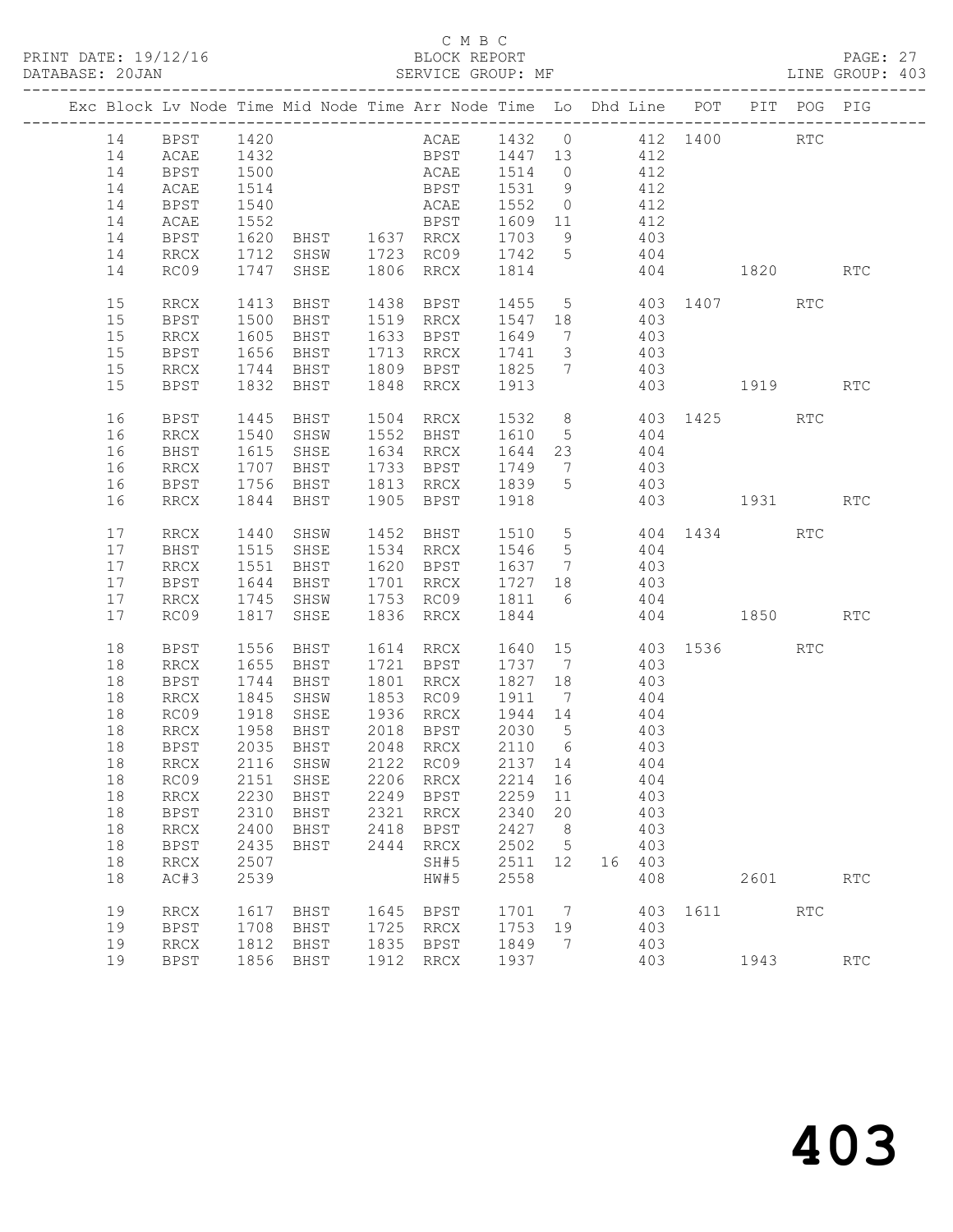#### C M B C<br>BLOCK REPORT

PAGE: 27<br>LINE GROUP: 403

|  |    |              |      | Exc Block Lv Node Time Mid Node Time Arr Node Time Lo Dhd Line POT PIT POG PIG |      |                                     |                  |                |                               |                |                  |                      |            |
|--|----|--------------|------|--------------------------------------------------------------------------------|------|-------------------------------------|------------------|----------------|-------------------------------|----------------|------------------|----------------------|------------|
|  |    | 14 BPST 1420 |      |                                                                                |      | ACAE 1432 0 412 1400 RTC            |                  |                |                               |                |                  |                      |            |
|  | 14 | <b>ACAE</b>  | 1432 |                                                                                |      | BPST 1447 13 412                    |                  |                |                               |                |                  |                      |            |
|  | 14 | <b>BPST</b>  | 1500 |                                                                                |      | ACAE 1514 0 412                     |                  |                |                               |                |                  |                      |            |
|  | 14 | ACAE         | 1514 |                                                                                |      | BPST 1531 9                         |                  |                |                               | 412            |                  |                      |            |
|  | 14 | BPST         | 1540 |                                                                                |      |                                     |                  |                |                               |                |                  |                      |            |
|  | 14 | ACAE         | 1552 |                                                                                |      | ACAE 1552 0 412<br>BPST 1609 11 412 |                  |                |                               |                |                  |                      |            |
|  | 14 | BPST         |      | 1620 BHST 1637 RRCX 1703 9 403                                                 |      |                                     |                  |                |                               |                |                  |                      |            |
|  | 14 | RRCX         |      | 1712 SHSW 1723 RC09 1742 5 404                                                 |      |                                     |                  |                |                               |                |                  |                      |            |
|  | 14 | RC09         | 1747 | SHSE                                                                           |      | 1806 RRCX                           | 1814             |                |                               |                | 404 1820         |                      | RTC        |
|  |    |              |      |                                                                                |      |                                     |                  |                |                               |                |                  |                      |            |
|  | 15 | RRCX         |      | 1413 BHST 1438 BPST 1455 5 403 1407 RTC                                        |      |                                     |                  |                |                               |                |                  |                      |            |
|  | 15 | BPST         | 1500 |                                                                                |      | BHST 1519 RRCX 1547 18 403          |                  |                |                               |                |                  |                      |            |
|  | 15 | RRCX         | 1605 | BHST 1633 BPST<br>BHST 1713 RRCX                                               |      |                                     | 1649 7<br>1741 3 |                | $\frac{403}{403}$             |                |                  |                      |            |
|  | 15 | <b>BPST</b>  | 1656 | BHST                                                                           |      |                                     |                  |                |                               |                |                  |                      |            |
|  | 15 | RRCX         |      | 1744 BHST 1809 BPST 1825 7                                                     |      |                                     |                  |                | 403                           |                |                  |                      |            |
|  | 15 | BPST         |      | 1832 BHST                                                                      | 1848 | RRCX                                | 1913             |                |                               |                | 403 1919         |                      | <b>RTC</b> |
|  |    |              |      |                                                                                |      |                                     |                  |                |                               |                |                  |                      |            |
|  | 16 | BPST         |      | 1445 BHST<br>1540 SHSW 1552 BHST 1610 5 404                                    |      | 1504 RRCX 1532 8 403 1425 RTC       |                  |                |                               |                |                  |                      |            |
|  | 16 | RRCX         |      |                                                                                |      |                                     |                  |                |                               |                |                  |                      |            |
|  | 16 | BHST         | 1615 |                                                                                |      | SHSE 1634 RRCX 1644 23 404          |                  |                |                               |                |                  |                      |            |
|  | 16 | RRCX         |      | 1707 BHST 1733 BPST 1749 7<br>1756 BHST 1813 RRCX 1839 5                       |      | 1733 BPST                           |                  |                |                               | 403            |                  |                      |            |
|  | 16 | BPST         |      |                                                                                |      |                                     |                  |                |                               | 403            |                  |                      |            |
|  | 16 | RRCX         |      | 1844 BHST                                                                      |      | 1905 BPST 1918                      |                  |                |                               |                | 403 1931         |                      | <b>RTC</b> |
|  | 17 | RRCX         |      |                                                                                |      |                                     |                  |                |                               |                | 404 1434 RTC     |                      |            |
|  | 17 | BHST         |      | 1440 SHSW 1452 BHST 1510 5<br>1515 SHSE 1534 RRCX 1546 5                       |      |                                     |                  |                |                               | 404            |                  |                      |            |
|  | 17 | RRCX         | 1551 |                                                                                |      | BHST 1620 BPST 1637 7 403           |                  |                |                               |                |                  |                      |            |
|  | 17 | BPST         | 1644 |                                                                                |      | BHST 1701 RRCX 1727 18              |                  |                | 403                           |                |                  |                      |            |
|  | 17 | RRCX         |      | 1745 SHSW 1753 RC09 1811 6                                                     |      |                                     |                  |                | 404                           |                |                  |                      |            |
|  | 17 | RC09         |      | 1817 SHSE                                                                      |      | 1836 RRCX                           | 1844             |                |                               |                | 404 1850         |                      | RTC        |
|  |    |              |      |                                                                                |      |                                     |                  |                |                               |                |                  |                      |            |
|  | 18 | BPST         | 1556 | BHST                                                                           |      | 1614 RRCX                           |                  |                |                               |                | 1640 15 403 1536 | $\operatorname{RTC}$ |            |
|  | 18 | RRCX         | 1655 |                                                                                |      | BHST 1721 BPST 1737 7               |                  |                |                               | 403            |                  |                      |            |
|  | 18 | BPST         | 1744 | BHST                                                                           |      | 1801 RRCX                           | 1827 18          |                |                               | $403$<br>$404$ |                  |                      |            |
|  | 18 | RRCX         | 1845 | SHSW                                                                           |      | 1853 RC09                           | 1911 7           |                |                               |                |                  |                      |            |
|  | 18 | RC09         | 1918 | SHSE                                                                           |      | 1936 RRCX 1944 14                   |                  |                | 404                           |                |                  |                      |            |
|  | 18 | RRCX         | 1958 |                                                                                |      | BHST 2018 BPST 2030 5               |                  |                | 403                           |                |                  |                      |            |
|  | 18 | BPST         | 2035 | BHST                                                                           |      | 2048 RRCX<br>2122 RC09              |                  |                | $2110$ 6 403<br>$2137$ 14 404 |                |                  |                      |            |
|  | 18 | RRCX         |      | 2116 SHSW                                                                      |      |                                     |                  |                |                               |                |                  |                      |            |
|  |    |              |      | 18 RC09 2151 SHSE 2206 RRCX 2214 16 404                                        |      |                                     |                  |                |                               |                |                  |                      |            |
|  | 18 | RRCX         | 2230 | BHST                                                                           |      | 2249 BPST                           | 2259 11          |                |                               | 403            |                  |                      |            |
|  | 18 | <b>BPST</b>  | 2310 | BHST                                                                           |      | 2321 RRCX                           | 2340 20          |                |                               | 403            |                  |                      |            |
|  | 18 | RRCX         | 2400 | BHST                                                                           |      | 2418 BPST                           | 2427 8           |                |                               | 403            |                  |                      |            |
|  | 18 | BPST         | 2435 | BHST                                                                           | 2444 | RRCX                                | 2502 5           |                |                               | 403            |                  |                      |            |
|  | 18 | RRCX         | 2507 |                                                                                |      | SH#5                                | 2511 12          |                | 16 403                        |                |                  |                      |            |
|  | 18 | AC#3         | 2539 |                                                                                |      | HW#5                                | 2558             |                |                               | 408            | 2601             |                      | <b>RTC</b> |
|  |    |              |      |                                                                                |      |                                     |                  |                |                               |                |                  |                      |            |
|  | 19 | $\rm RRCX$   | 1617 | BHST                                                                           |      | 1645 BPST                           | 1701 7           |                |                               |                | 403 1611 RTC     |                      |            |
|  | 19 | BPST         | 1708 | BHST                                                                           |      | 1725 RRCX                           | 1753 19          |                | 403                           |                |                  |                      |            |
|  | 19 | RRCX         | 1812 | BHST                                                                           |      | 1835 BPST                           | 1849             | $\overline{7}$ |                               | 403            |                  |                      |            |
|  | 19 | <b>BPST</b>  |      | 1856 BHST                                                                      |      | 1912 RRCX                           | 1937             |                |                               | 403            | 1943             |                      | RTC        |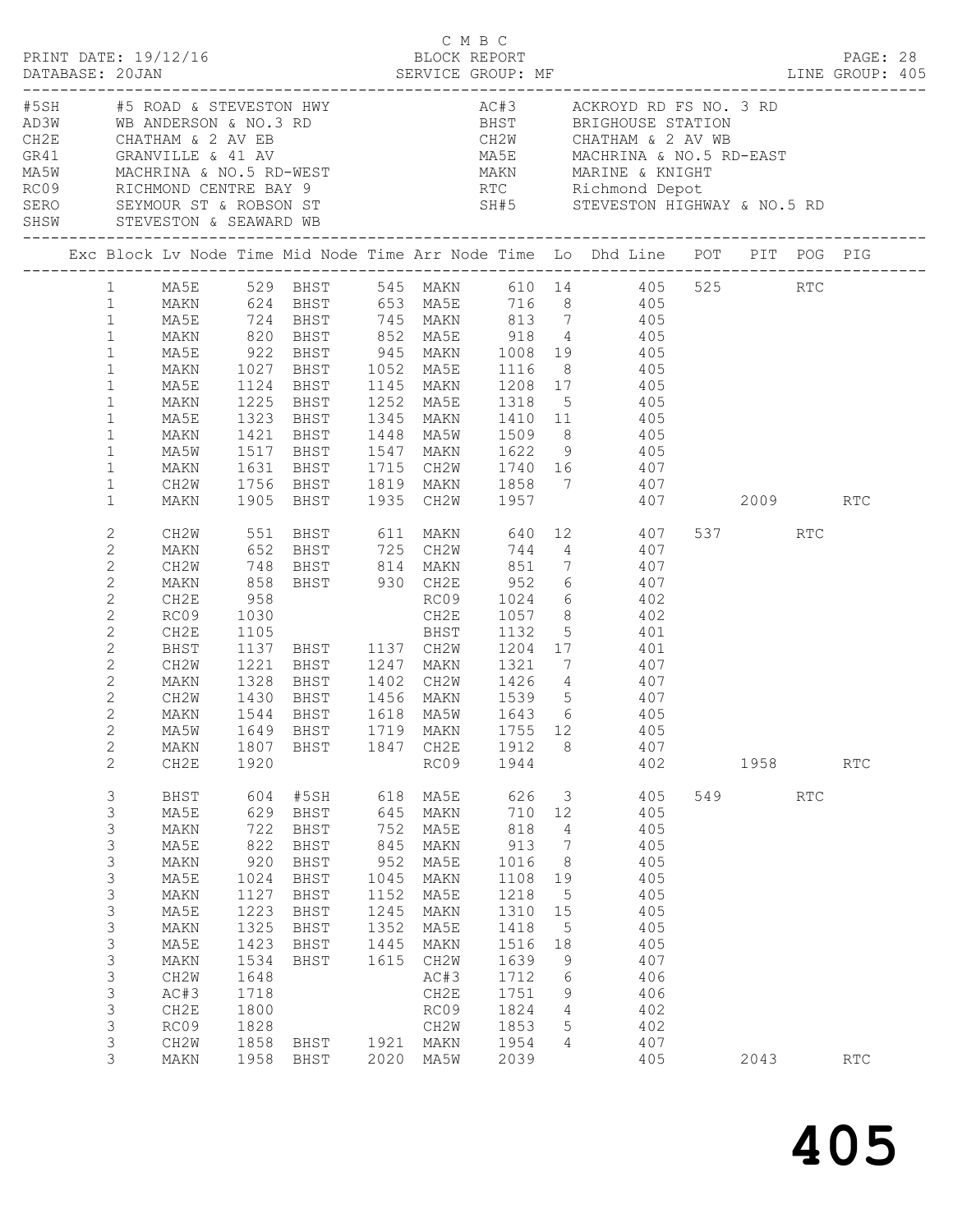|                                                                                                                                                                                                                                |                                                                                                                                              |                                                                                                                                 |                                                                                                           |                                                                         |                                                                                                                                                             |                                                                                                                                          |                                                                                                                                                |                                                                                                                                                                                                                                                                                                                                                                                                                                                                                                                                       |                     |            | PAGE: 28   |  |
|--------------------------------------------------------------------------------------------------------------------------------------------------------------------------------------------------------------------------------|----------------------------------------------------------------------------------------------------------------------------------------------|---------------------------------------------------------------------------------------------------------------------------------|-----------------------------------------------------------------------------------------------------------|-------------------------------------------------------------------------|-------------------------------------------------------------------------------------------------------------------------------------------------------------|------------------------------------------------------------------------------------------------------------------------------------------|------------------------------------------------------------------------------------------------------------------------------------------------|---------------------------------------------------------------------------------------------------------------------------------------------------------------------------------------------------------------------------------------------------------------------------------------------------------------------------------------------------------------------------------------------------------------------------------------------------------------------------------------------------------------------------------------|---------------------|------------|------------|--|
|                                                                                                                                                                                                                                |                                                                                                                                              |                                                                                                                                 |                                                                                                           |                                                                         |                                                                                                                                                             |                                                                                                                                          |                                                                                                                                                | ACARRIN AND AND AND AND ACTS ACKROYD RD FS NO. 3 RD<br>AD3W WB ANDERSON & NO. 3 RD<br>CH2E CHATHAM & 2 AV EB CH2W CHATHAM & 2 AV WB<br>GR41 GRANVILLE & 41 AV MA5E MACHRINA & NO. 5 RD-EAST<br>MA5W MACHRINA & NO. 5 RD-WEST<br>RCO9 RIC                                                                                                                                                                                                                                                                                              |                     |            |            |  |
|                                                                                                                                                                                                                                |                                                                                                                                              |                                                                                                                                 |                                                                                                           |                                                                         |                                                                                                                                                             |                                                                                                                                          |                                                                                                                                                | Exc Block Lv Node Time Mid Node Time Arr Node Time Lo Dhd Line POT PIT POG PIG                                                                                                                                                                                                                                                                                                                                                                                                                                                        |                     |            |            |  |
| $1 \quad$<br>1<br>$\mathbf{1}$<br>$\mathbf{1}$<br>$\mathbf{1}$<br>$\mathbf{1}$<br>$\mathbf{1}$<br>$\mathbf{1}$<br>$\mathbf{1}$<br>$\mathbf{1}$<br>$\mathbf 1$<br>$\mathbf{1}$<br>$\mathbf 1$                                   | MAKN<br>MA5E<br>MAKN<br>MA5E<br>MAKN<br>MA5E<br>MAKN<br>MA5W<br>MAKN<br>CH2W                                                                 | 1225<br>1323<br>1421<br>1631                                                                                                    | BHST<br>BHST                                                                                              |                                                                         |                                                                                                                                                             |                                                                                                                                          |                                                                                                                                                | MA5E 529 BHST 545 MAKN 610 14 405 525 RTC<br>MAKN 624 BHST 653 MA5E 716 8 405<br>MA5E 724 BHST 745 MAKN 813 7 405<br>820 BHST 852 MA5E 918 4 405<br>1124 BHST 1145 MAKN 1208 17 405<br>BHST 1252 MA5E 1318 5 405<br>1345 MAKN 1410 11              405<br>1448     MA5W         1509       8                405<br>1517 BHST 1547 MAKN 1622 9 405<br>BHST 1715 CH2W 1740 16 407                                                                                                                                                       |                     |            |            |  |
| $\mathbf{1}$<br>2<br>2<br>$\mathbf{2}$<br>$\mathbf{2}$<br>$\mathbf{2}$<br>$\mathbf{2}$<br>$\overline{c}$<br>$\mathbf{2}$<br>$\mathbf{2}$<br>2<br>$\mathbf{2}$<br>2<br>$\overline{2}$<br>$\mathbf{2}$                           | MAKN<br>CH2W<br>MAKN<br>CH2W<br>MAKN<br>CH2E<br>RC09<br>CH2E<br>BHST<br>CH2W<br>MAKN<br>CH2W<br>MAKN<br>MAKN                                 | 958<br>1221<br>1328<br>1807                                                                                                     | 1430 BHST<br>1544 BHST<br>BHST                                                                            |                                                                         | 1847 CH2E                                                                                                                                                   | 1912                                                                                                                                     | 8                                                                                                                                              | 1756 BHST 1819 MAKN 1858 7       407<br>1905 BHST 1935 CH2W 1957               407<br>407 2009 RTC<br>551 BHST 611 MAKN 640 12 407<br>652 BHST 725 CH2W 744 4 407<br>748 BHST 814 MAKN 851 7 407<br>858 BHST 930 CH2E 952 6 407<br>BHST 725 CH2W 744 4 4 407<br>RC09 1024 6 402<br>1030 CH2E 1057 8 402<br>1105 BHST 1132 5 401<br>1137 BHST 1137 CH2W 1204 17 401<br>BHST 1247 MAKN 1321 7 407<br>BHST 1402 CH2W 1426 4 407<br>BHST 1456 MAKN 1539 5 407<br>BHST 1618 MA5W 1643 6 405<br>MA5W 1649 BHST 1719 MAKN 1755 12 405<br>407 | 537 RTC             |            |            |  |
| $\mathbf{2}$<br>3<br>3<br>3<br>$\ensuremath{\mathsf{3}}$<br>$\mathfrak{Z}$<br>3<br>$\mathsf 3$<br>$\mathsf 3$<br>$\mathsf 3$<br>$\ensuremath{\mathsf{3}}$<br>$\mathsf 3$<br>$\ensuremath{\mathsf{3}}$<br>3<br>3<br>3<br>3<br>3 | CH2E<br>BHST<br>MA5E<br>MAKN<br>MA5E<br>MAKN<br>MA5E<br>MAKN<br>MA5E<br>MAKN<br>MA5E<br>MAKN<br>CH2W<br>AC#3<br>CH2E<br>RC09<br>CH2W<br>MAKN | 1920<br>604<br>629<br>722<br>822<br>920<br>1024<br>1127<br>1223<br>1325<br>1423<br>1534<br>1648<br>1718<br>1800<br>1828<br>1858 | #5SH<br>BHST<br>BHST<br>BHST<br>BHST<br>BHST<br>BHST<br>BHST<br>BHST<br>BHST<br>BHST<br>BHST<br>1958 BHST | 618<br>645<br>752<br>845<br>952<br>1045<br>1152<br>1245<br>1352<br>1445 | RC09<br>MA5E<br>MAKN<br>MA5E<br>MAKN<br>MA5E<br>MAKN<br>MA5E<br>MAKN<br>MA5E<br>MAKN<br>1615 CH2W<br>AC#3<br>CH2E<br>RC09<br>CH2W<br>1921 MAKN<br>2020 MA5W | 1944<br>626<br>710<br>818<br>913<br>1016<br>1108<br>1218<br>1310<br>1418<br>1516<br>1639<br>1712<br>1751<br>1824<br>1853<br>1954<br>2039 | $\overline{\mathbf{3}}$<br>12<br>4<br>$\overline{7}$<br>8 <sup>8</sup><br>19<br>5<br>15<br>$5\phantom{.0}$<br>18<br>9<br>6<br>9<br>4<br>5<br>4 | 402<br>405<br>405<br>405<br>405<br>405<br>405<br>405<br>405<br>405<br>405<br>407<br>406<br>406<br>402<br>402<br>407<br>405                                                                                                                                                                                                                                                                                                                                                                                                            | 1958<br>549<br>2043 | <b>RTC</b> | RTC<br>RTC |  |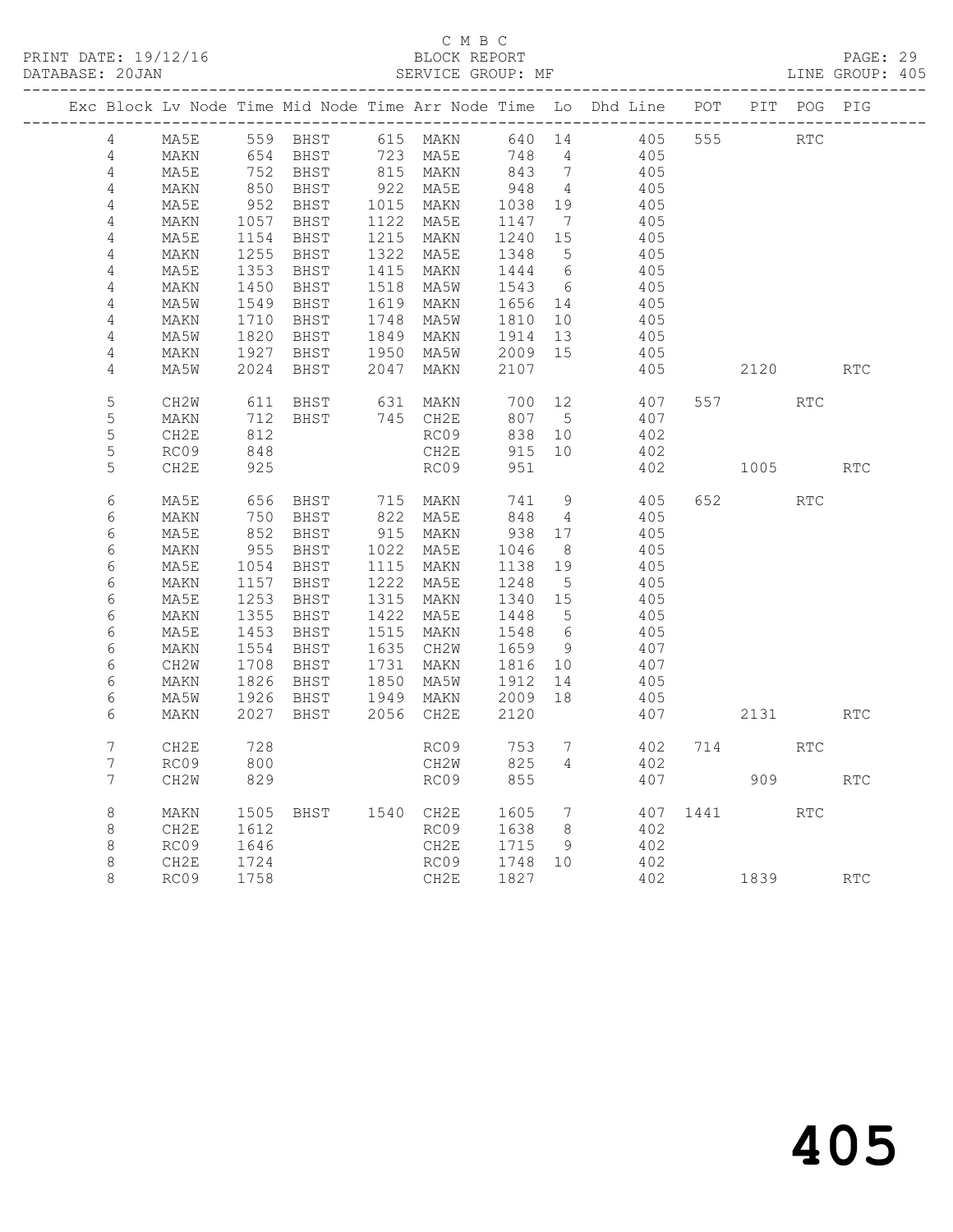#### C M B C<br>BLOCK REPORT SERVICE GROUP: MF

|                |              |              |                                              |                                                                                                                                                                                                                                                        |                                                                                                |                 | Exc Block Lv Node Time Mid Node Time Arr Node Time Lo Dhd Line POT PIT POG PIG |     |              |            |            |
|----------------|--------------|--------------|----------------------------------------------|--------------------------------------------------------------------------------------------------------------------------------------------------------------------------------------------------------------------------------------------------------|------------------------------------------------------------------------------------------------|-----------------|--------------------------------------------------------------------------------|-----|--------------|------------|------------|
| 4              | MA5E         |              | 559 BHST                                     | 615 MAKN                                                                                                                                                                                                                                               | 640 14                                                                                         |                 |                                                                                |     | 405 555 RTC  |            |            |
| $\overline{4}$ | MAKN         |              | 654 BHST                                     | 723 MA5E                                                                                                                                                                                                                                               | 748 4                                                                                          |                 | 405                                                                            |     |              |            |            |
| 4              | MA5E         |              | 752 BHST<br>850 BHST                         | 723 MA5E 748 4<br>815 MAKN 843 7<br>922 MA5E 948 4<br>1015 MAKN 1038 19<br>1122 MA5E 1147 7<br>1215 MAKN 1240 15<br>1322 MA5E 1348 5<br>1415 MAKN 1444 6<br>1518 MA5W 1543 6<br>1619 MAKN 1656 14<br>1748 MA5W 1810 10<br>1849 MAKN 1914 13<br>1950 MA |                                                                                                |                 | 405                                                                            |     |              |            |            |
| 4              | MAKN         |              |                                              |                                                                                                                                                                                                                                                        |                                                                                                |                 | 405                                                                            |     |              |            |            |
| 4              | MA5E         |              | 952 BHST<br>1057 BHST                        |                                                                                                                                                                                                                                                        |                                                                                                |                 | 405                                                                            |     |              |            |            |
| 4              | MAKN         |              |                                              |                                                                                                                                                                                                                                                        |                                                                                                |                 | 405                                                                            |     |              |            |            |
| $\overline{4}$ | MA5E         |              | 1154 BHST<br>1255 BHST                       |                                                                                                                                                                                                                                                        |                                                                                                |                 | 405                                                                            |     |              |            |            |
| $\overline{4}$ | MAKN         |              |                                              |                                                                                                                                                                                                                                                        |                                                                                                |                 | 405                                                                            |     |              |            |            |
| 4              | MA5E         |              | 1353 BHST                                    |                                                                                                                                                                                                                                                        |                                                                                                |                 | 405                                                                            |     |              |            |            |
| $\overline{4}$ | MAKN         |              | 1450 BHST                                    |                                                                                                                                                                                                                                                        |                                                                                                |                 | 405                                                                            |     |              |            |            |
| 4              | MA5W         |              | 1549 BHST                                    |                                                                                                                                                                                                                                                        |                                                                                                |                 | 405                                                                            |     |              |            |            |
| 4              | MAKN         |              | 1710 BHST                                    |                                                                                                                                                                                                                                                        |                                                                                                |                 | 405                                                                            |     |              |            |            |
| 4              | MA5W         | 1820         | BHST                                         |                                                                                                                                                                                                                                                        |                                                                                                |                 | 405                                                                            |     |              |            |            |
| 4<br>4         | MAKN         | 1927<br>2024 | BHST<br>BHST                                 | 2047 MAKN                                                                                                                                                                                                                                              | 2107                                                                                           |                 | 405                                                                            |     |              |            |            |
|                | MA5W         |              |                                              |                                                                                                                                                                                                                                                        |                                                                                                |                 | 405                                                                            |     | 2120         |            | <b>RTC</b> |
| $\mathsf S$    | CH2W         |              | 611 BHST<br>712 BHST                         | 631 MAKN                                                                                                                                                                                                                                               | 700 12<br>807 5                                                                                |                 | 407                                                                            |     |              | RTC        |            |
| 5              | MAKN         |              |                                              | 745 CH2E                                                                                                                                                                                                                                               | 807                                                                                            | $5\overline{)}$ | 407                                                                            |     |              |            |            |
| 5              | CH2E         | 812<br>848   |                                              | RC09                                                                                                                                                                                                                                                   | 838                                                                                            | 10              | 402                                                                            |     |              |            |            |
| 5              | RC09         |              |                                              | CH2E                                                                                                                                                                                                                                                   | 915 10                                                                                         |                 | 402                                                                            |     |              |            |            |
| 5              | CH2E         | 925          |                                              | RC09                                                                                                                                                                                                                                                   | 951                                                                                            |                 |                                                                                |     | 402 1005 RTC |            |            |
| 6              | MA5E         |              | 656 BHST<br>750 BHST<br>852 BHST<br>955 BHST | 715 MAKN<br>822 MA5E                                                                                                                                                                                                                                   | 741                                                                                            | 9               | 405                                                                            | 652 |              | <b>RTC</b> |            |
| 6              | MAKN         |              |                                              |                                                                                                                                                                                                                                                        | 848                                                                                            | $\overline{4}$  | 405                                                                            |     |              |            |            |
| 6              | MA5E         |              |                                              | 915 MAKN                                                                                                                                                                                                                                               | 938 17                                                                                         |                 | 405                                                                            |     |              |            |            |
| 6              | MAKN         |              |                                              | 1022 MA5E<br>1115 MAKN                                                                                                                                                                                                                                 | $\begin{array}{rrrr} & 1046 & 8 \\ 1046 & 8 \\ 1138 & 19 \\ 1248 & 5 \\ 1340 & 15 \end{array}$ |                 | 405                                                                            |     |              |            |            |
| 6              | MA5E         |              | 1054 BHST                                    |                                                                                                                                                                                                                                                        |                                                                                                |                 | 405                                                                            |     |              |            |            |
| 6              | MAKN         | 1157         | 1157 BHST<br>1253 BHST                       | 1222 MA5E<br>1315 MAKN                                                                                                                                                                                                                                 |                                                                                                |                 | 405                                                                            |     |              |            |            |
| 6              | MA5E         |              |                                              |                                                                                                                                                                                                                                                        |                                                                                                |                 | 405                                                                            |     |              |            |            |
| 6              | MAKN         | 1355         | BHST<br>1355 BHST<br>1453 BHST               | 1422 MA5E<br>$1515$ $MAKN$                                                                                                                                                                                                                             |                                                                                                |                 | 405                                                                            |     |              |            |            |
| 6              | MA5E         |              |                                              |                                                                                                                                                                                                                                                        |                                                                                                |                 | 405<br>407                                                                     |     |              |            |            |
| 6<br>6         | MAKN<br>CH2W |              | 1554 BHST<br>1708 BHST                       | 1635 CH2W<br>1731 MAKN                                                                                                                                                                                                                                 | 1448 5<br>1548 6<br>1659 9<br>1816 10                                                          |                 | 407                                                                            |     |              |            |            |
| 6              | MAKN         | 1826         | BHST                                         |                                                                                                                                                                                                                                                        |                                                                                                | 14              | 405                                                                            |     |              |            |            |
| 6              | MA5W         |              | ـدnط 1826<br>1926 BHST                       | 1850 MA5W<br>1949 MAKN                                                                                                                                                                                                                                 | 1912 14<br>2009 18                                                                             |                 | 405                                                                            |     |              |            |            |
| 6              | MAKN         | 2027         | BHST                                         | 2056 CH2E                                                                                                                                                                                                                                              | 2120                                                                                           |                 | 407                                                                            |     | 2131         |            | <b>RTC</b> |
|                |              |              |                                              |                                                                                                                                                                                                                                                        |                                                                                                |                 |                                                                                |     |              |            |            |
| $7\phantom{.}$ | CH2E         | 728<br>800   |                                              | RC09                                                                                                                                                                                                                                                   | 753<br>825                                                                                     | $7\overline{)}$ |                                                                                |     | 402 714      | RTC        |            |
| $7\phantom{.}$ | RC09         |              |                                              | CH2W                                                                                                                                                                                                                                                   |                                                                                                | $4\overline{ }$ | 402                                                                            |     |              |            |            |
| $7\phantom{.}$ | CH2W         | 829          |                                              | RC09                                                                                                                                                                                                                                                   | 855                                                                                            |                 |                                                                                |     | 407 909      |            | <b>RTC</b> |
| 8              | MAKN         |              | 1505 BHST 1540 CH2E                          |                                                                                                                                                                                                                                                        |                                                                                                | $\overline{7}$  |                                                                                |     | 407 1441 RTC |            |            |
| 8              | CH2E         | 1612         |                                              | CH2E 1605<br>RC09 1638                                                                                                                                                                                                                                 |                                                                                                | 8 <sup>8</sup>  | 402                                                                            |     |              |            |            |
| 8              | RC09         | 1646         |                                              |                                                                                                                                                                                                                                                        |                                                                                                | 9               | 402                                                                            |     |              |            |            |
| 8              | CH2E         | 1724         |                                              | CH2E 1715 9<br>RC09 1748 10                                                                                                                                                                                                                            |                                                                                                |                 | 402                                                                            |     |              |            |            |
| 8              | RC09         | 1758         |                                              | CH2E                                                                                                                                                                                                                                                   | 1827                                                                                           |                 | 402 1839                                                                       |     |              |            | <b>RTC</b> |
|                |              |              |                                              |                                                                                                                                                                                                                                                        |                                                                                                |                 |                                                                                |     |              |            |            |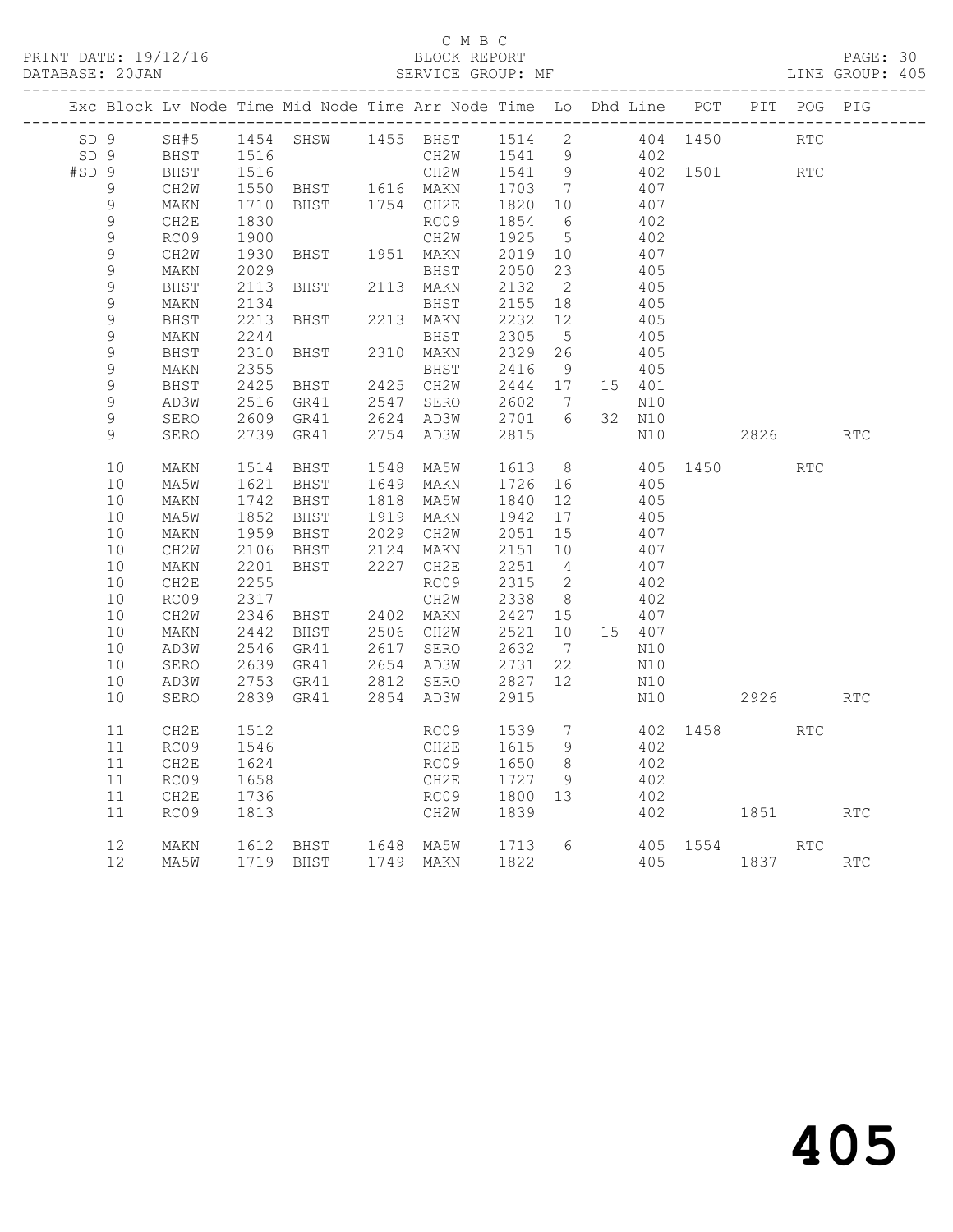#### C M B C

| DATABASE: 20JAN |                 |             |      |                                                                    |      | SERVICE GROUP: MF |      |                            |    |        |          |      |            | LINE GROUP: 405 |
|-----------------|-----------------|-------------|------|--------------------------------------------------------------------|------|-------------------|------|----------------------------|----|--------|----------|------|------------|-----------------|
|                 |                 |             |      | Exc Block Lv Node Time Mid Node Time Arr Node Time Lo Dhd Line POT |      |                   |      |                            |    |        |          | PIT  | POG PIG    |                 |
| SD <sub>9</sub> |                 | SH#5        |      | 1454 SHSW                                                          |      | 1455 BHST         | 1514 | $\overline{\phantom{0}}^2$ |    |        | 404 1450 |      | <b>RTC</b> |                 |
| SD <sub>9</sub> |                 | <b>BHST</b> | 1516 |                                                                    |      | CH2W              | 1541 | $\overline{9}$             |    | 402    |          |      |            |                 |
| #SD9            |                 | BHST        | 1516 |                                                                    |      | CH2W              | 1541 | 9                          |    |        | 402 1501 |      | <b>RTC</b> |                 |
|                 | 9               | CH2W        | 1550 | BHST                                                               |      | 1616 MAKN         | 1703 | $\overline{7}$             |    | 407    |          |      |            |                 |
|                 | 9               | MAKN        | 1710 | BHST                                                               |      | 1754 CH2E         | 1820 | 10 <sup>°</sup>            |    | 407    |          |      |            |                 |
|                 | 9               | CH2E        | 1830 |                                                                    |      | RC09              | 1854 | - 6                        |    | 402    |          |      |            |                 |
|                 | 9               | RC09        | 1900 |                                                                    |      | CH2W              | 1925 | - 5                        |    | 402    |          |      |            |                 |
|                 | $\mathsf 9$     | CH2W        | 1930 | BHST                                                               |      | 1951 MAKN         | 2019 | 10                         |    | 407    |          |      |            |                 |
|                 | $\mathcal{G}$   | MAKN        | 2029 |                                                                    |      | BHST              | 2050 | 23                         |    | 405    |          |      |            |                 |
|                 | $\mathsf 9$     | BHST        | 2113 | BHST                                                               |      | 2113 MAKN         | 2132 | $\overline{2}$             |    | 405    |          |      |            |                 |
|                 | $\mathcal{G}$   | MAKN        | 2134 |                                                                    |      | BHST              | 2155 | 18                         |    | 405    |          |      |            |                 |
|                 | $\mathsf 9$     | BHST        | 2213 | BHST                                                               | 2213 | MAKN              | 2232 | 12                         |    | 405    |          |      |            |                 |
|                 | 9               | MAKN        | 2244 |                                                                    |      | BHST              | 2305 | $5\phantom{.0}$            |    | 405    |          |      |            |                 |
|                 | 9               | BHST        | 2310 | BHST                                                               | 2310 | MAKN              | 2329 | 26                         |    | 405    |          |      |            |                 |
|                 | $\mathsf 9$     | MAKN        | 2355 |                                                                    |      | BHST              | 2416 | 9                          |    | 405    |          |      |            |                 |
|                 | $\mathsf 9$     | BHST        | 2425 | BHST                                                               | 2425 | CH2W              | 2444 | 17                         |    | 15 401 |          |      |            |                 |
|                 | $\mathsf 9$     | AD3W        | 2516 | GR41                                                               | 2547 | SERO              | 2602 | $7\phantom{.0}$            |    | N10    |          |      |            |                 |
|                 | 9               | SERO        | 2609 | GR41                                                               | 2624 | AD3W              | 2701 | 6                          | 32 | N10    |          |      |            |                 |
|                 | 9               | SERO        | 2739 | GR41                                                               | 2754 | AD3W              | 2815 |                            |    | N10    |          | 2826 |            | <b>RTC</b>      |
|                 | 10              | MAKN        | 1514 | BHST                                                               | 1548 | MA5W              | 1613 | 8 <sup>8</sup>             |    |        | 405 1450 |      | RTC        |                 |
|                 | 10              | MA5W        | 1621 | BHST                                                               | 1649 | MAKN              | 1726 | 16                         |    | 405    |          |      |            |                 |
|                 | 10              | MAKN        | 1742 | BHST                                                               | 1818 | MA5W              | 1840 | 12                         |    | 405    |          |      |            |                 |
|                 | 10              | MA5W        | 1852 | BHST                                                               | 1919 | MAKN              | 1942 | 17                         |    | 405    |          |      |            |                 |
|                 | 10              | MAKN        | 1959 | BHST                                                               | 2029 | CH2W              | 2051 | 15                         |    | 407    |          |      |            |                 |
|                 | 10              | CH2W        | 2106 | BHST                                                               | 2124 | MAKN              | 2151 | 10                         |    | 407    |          |      |            |                 |
|                 | 10              | MAKN        | 2201 | BHST                                                               | 2227 | CH2E              | 2251 | $\overline{4}$             |    | 407    |          |      |            |                 |
|                 | 10              | CH2E        | 2255 |                                                                    |      | RC09              | 2315 | 2                          |    | 402    |          |      |            |                 |
|                 | 10              | RC09        | 2317 |                                                                    |      | CH2W              | 2338 | 8 <sup>8</sup>             |    | 402    |          |      |            |                 |
|                 | 10              | CH2W        | 2346 | BHST                                                               | 2402 | MAKN              | 2427 | 15                         |    | 407    |          |      |            |                 |
|                 | 10              | MAKN        | 2442 | BHST                                                               |      | 2506 CH2W         | 2521 | 10                         |    | 15 407 |          |      |            |                 |
|                 | 10              | AD3W        | 2546 | GR41                                                               | 2617 | SERO              | 2632 | $\overline{7}$             |    | N10    |          |      |            |                 |
|                 | 10              | SERO        | 2639 | GR41                                                               |      | 2654 AD3W         | 2731 | 22                         |    | N10    |          |      |            |                 |
|                 | 10              | AD3W        | 2753 | GR41                                                               |      | 2812 SERO         | 2827 | 12                         |    | N10    |          |      |            |                 |
|                 | 10              | SERO        | 2839 | GR41                                                               |      | 2854 AD3W         | 2915 |                            |    | N10    |          | 2926 |            | <b>RTC</b>      |
|                 | 11              | CH2E        | 1512 |                                                                    |      | RC09              | 1539 | $7\phantom{.0}$            |    |        | 402 1458 |      | <b>RTC</b> |                 |
|                 | 11              | RC09        | 1546 |                                                                    |      | CH2E              | 1615 | 9                          |    | 402    |          |      |            |                 |
|                 | 11              | CH2E        | 1624 |                                                                    |      | RC09              | 1650 | 8                          |    | 402    |          |      |            |                 |
|                 | 11              | RC09        | 1658 |                                                                    |      | CH2E              | 1727 | 9                          |    | 402    |          |      |            |                 |
|                 | 11              | CH2E        | 1736 |                                                                    |      | RC09              | 1800 | 13                         |    | 402    |          |      |            |                 |
|                 | 11              | RC09        | 1813 |                                                                    |      | CH2W              | 1839 |                            |    | 402    |          | 1851 |            | <b>RTC</b>      |
|                 | 12              | MAKN        | 1612 | BHST 1648 MA5W                                                     |      |                   | 1713 | 6                          |    |        | 405 1554 |      | RTC        |                 |
|                 | 12 <sup>°</sup> | MA5W        |      | 1719 BHST                                                          |      | 1749 MAKN         | 1822 |                            |    | 405    |          | 1837 |            | <b>RTC</b>      |
|                 |                 |             |      |                                                                    |      |                   |      |                            |    |        |          |      |            |                 |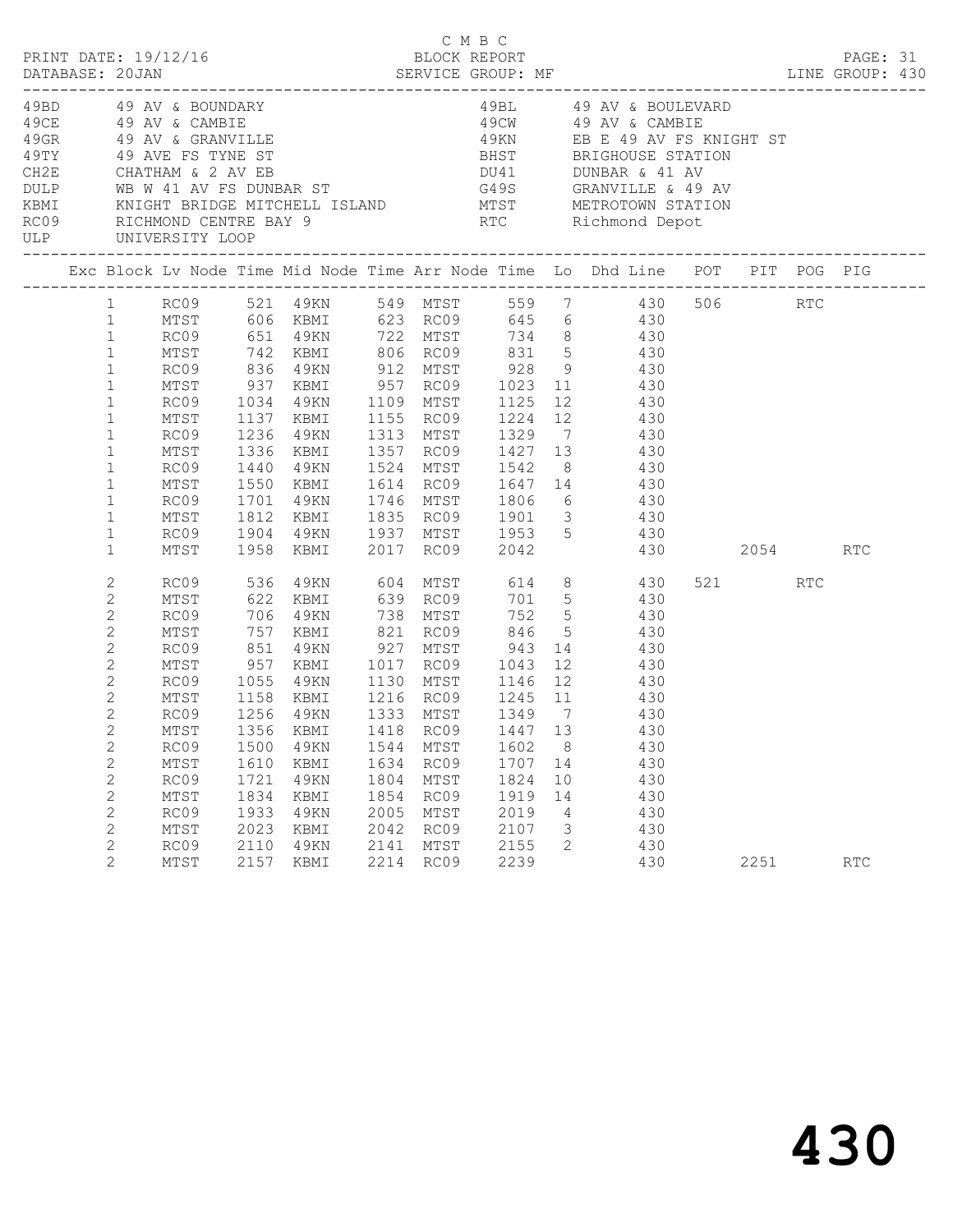|      |                                                                                                                                                                                                                                                   |                                                                                                                      |                                                                                           |                                                                                                                           |                                                              |                                                                                                   |                                                             |                                                           | C M B C<br>PRINT DATE: 19/12/16 BLOCK REPORT<br>DATABASE: 20JAN SERVICE GROUP: MF ENGLISHE SERVICE SALL DATABASE: 20JAN SERVICE GROUP: MF ENGLISHE SERVICE SA                                                                                                                                                                                                                                                                                                                                                                                                                                                                                                                          |         |     |     |  |
|------|---------------------------------------------------------------------------------------------------------------------------------------------------------------------------------------------------------------------------------------------------|----------------------------------------------------------------------------------------------------------------------|-------------------------------------------------------------------------------------------|---------------------------------------------------------------------------------------------------------------------------|--------------------------------------------------------------|---------------------------------------------------------------------------------------------------|-------------------------------------------------------------|-----------------------------------------------------------|----------------------------------------------------------------------------------------------------------------------------------------------------------------------------------------------------------------------------------------------------------------------------------------------------------------------------------------------------------------------------------------------------------------------------------------------------------------------------------------------------------------------------------------------------------------------------------------------------------------------------------------------------------------------------------------|---------|-----|-----|--|
| DULP |                                                                                                                                                                                                                                                   |                                                                                                                      |                                                                                           |                                                                                                                           |                                                              |                                                                                                   |                                                             |                                                           | $\begin{array}{lllllllllllllllll} \end{array} \begin{array}{lllllllllllll} \begin{array}{lllllllllllll} \end{array} & \begin{array}{lllllllllllll} \begin{array}{lllllllllllll} \begin{array}{lllllllllllll} \end{array} & \begin{array}{lllllllllllll} \begin{array}{lllllllllllll} \end{array} & \begin{array}{lllllllllllll} \begin{array}{lllllllllllll} \end{array} & \begin{array}{lllllllllllll} \begin{array}{lllllllllllllll} \end{array} & \begin{array}{lllllllllllllll} \end{array} & \begin{array}{ll$<br>WB W 41 AV FS DUNBAR ST 649S GRANVILLE & 49 AV<br>XBMI<br>KNIGHT BRIDGE MITCHELL ISLAND<br>RC09 RICHMOND CENTRE BAY 9 RTC Richmond Depot<br>ULP UNIVERSITY LOOP |         |     |     |  |
|      |                                                                                                                                                                                                                                                   |                                                                                                                      |                                                                                           |                                                                                                                           |                                                              |                                                                                                   |                                                             |                                                           | Exc Block Lv Node Time Mid Node Time Arr Node Time Lo Dhd Line POT PIT POG PIG                                                                                                                                                                                                                                                                                                                                                                                                                                                                                                                                                                                                         |         |     |     |  |
|      | $\mathbf{1}$<br>$\mathbf{1}$<br>$\mathbf{1}$<br>$\mathbf{1}$<br>$\mathbf{1}$<br>$\mathbf{1}$<br>$\mathbf{1}$<br>$\mathbf{1}$<br>$\mathbf{1}$<br>$\mathbf{1}$<br>$\mathbf{1}$<br>$\mathbf{1}$<br>$\mathbf{1}$<br>$\mathbf{1}$<br>2<br>$\mathbf{2}$ | RC09<br>MTST<br>RC09<br>MTST<br>RC09<br>MTST<br>RC09<br>MTST<br>RC09<br>MTST<br>RC09<br>MTST                         | 1034<br>1137<br>1236<br>1440<br>1550<br>1701<br>1812<br>1904<br>1958<br>536               | 49KN 1109 MTST<br>KBMI<br>49KN<br>1336 KBMI<br>49KN<br>KBMI<br>49KN<br>KBMI<br>KBMI<br>4 9 K N<br>622 KBMI                |                                                              | 1524 MTST<br>604 MTST<br>639 RC09                                                                 | 1542                                                        |                                                           | 1 RC09 521 49KN 549 MTST 559 7 430 506 RTC<br>1 MTST 606 KBMI 623 RC09 645 6 430<br>RC09 651 49KN 722 MTST 734 8 430<br>MTST 742 KBMI 806 RC09 831 5 430<br>RC09 836 49KN 912 MTST 928 9 430<br>MTST 937 KBMI 957 RC09 1023 11 430<br>1125 12 430<br>1155 RC09 1224 12 430<br>1313 MTST 1329 7 430<br>1357 RC09 1427 13 430<br>8 430<br>1835 RC09 1901 3 430<br>49KN 1937 MTST 1953 5 430<br>2017 RC09 2042 430 2054<br>614 8 430<br>701 5 430                                                                                                                                                                                                                                         | 521 000 | RTC | RTC |  |
|      | 2<br>$\mathbf{2}$<br>2<br>$\mathbf{2}$<br>$\mathbf{2}$<br>$\mathbf{2}$<br>$\mathbf{2}$<br>$\overline{2}$<br>$\mathbf{2}$<br>$\mathbf{2}$<br>$\mathbf{2}$<br>2<br>2<br>$\mathbf{2}$<br>$\mathbf{2}$<br>$\overline{2}$                              | RC09<br>MTST<br>RC09<br>MTST<br>RC09<br>MTST<br>RC09<br>RC09<br>MTST<br>RC09<br>MTST<br>RC09<br>MTST<br>RC09<br>MTST | 706<br>757<br>851<br>1055<br>1500<br>1610<br>1721<br>1834<br>1933<br>2023<br>2110<br>2157 | 49KN<br>KBMI<br>4 9 K N<br>49KN<br>1158 KBMI<br>1256 49KN<br>49KN<br>KBMI<br>49KN<br>KBMI<br>49KN<br>KBMI<br>49KN<br>KBMI | 1544<br>1634<br>1804<br>1854<br>2005<br>2042<br>2141<br>2214 | 738 MTST<br>821 RC09<br>1130 MTST<br>MTST<br>RC09<br>MTST<br>RC09<br>MTST<br>RC09<br>MTST<br>RC09 | 846<br>1602<br>1824<br>1919<br>2019<br>2107<br>2155<br>2239 | 5 <sup>5</sup><br>8<br>1707 14<br>10<br>14<br>4<br>3<br>2 | 752 5 430<br>430<br>$927$ MTST $943$ 14 $430$<br>957 KBMI 1017 RC09 1043 12 430<br>1146 12 430<br>MTST 1356 KBMI 1418 RC09 1447 13 430<br>430<br>430<br>430<br>430<br>430<br>430<br>430<br>430                                                                                                                                                                                                                                                                                                                                                                                                                                                                                         | 2251    |     | RTC |  |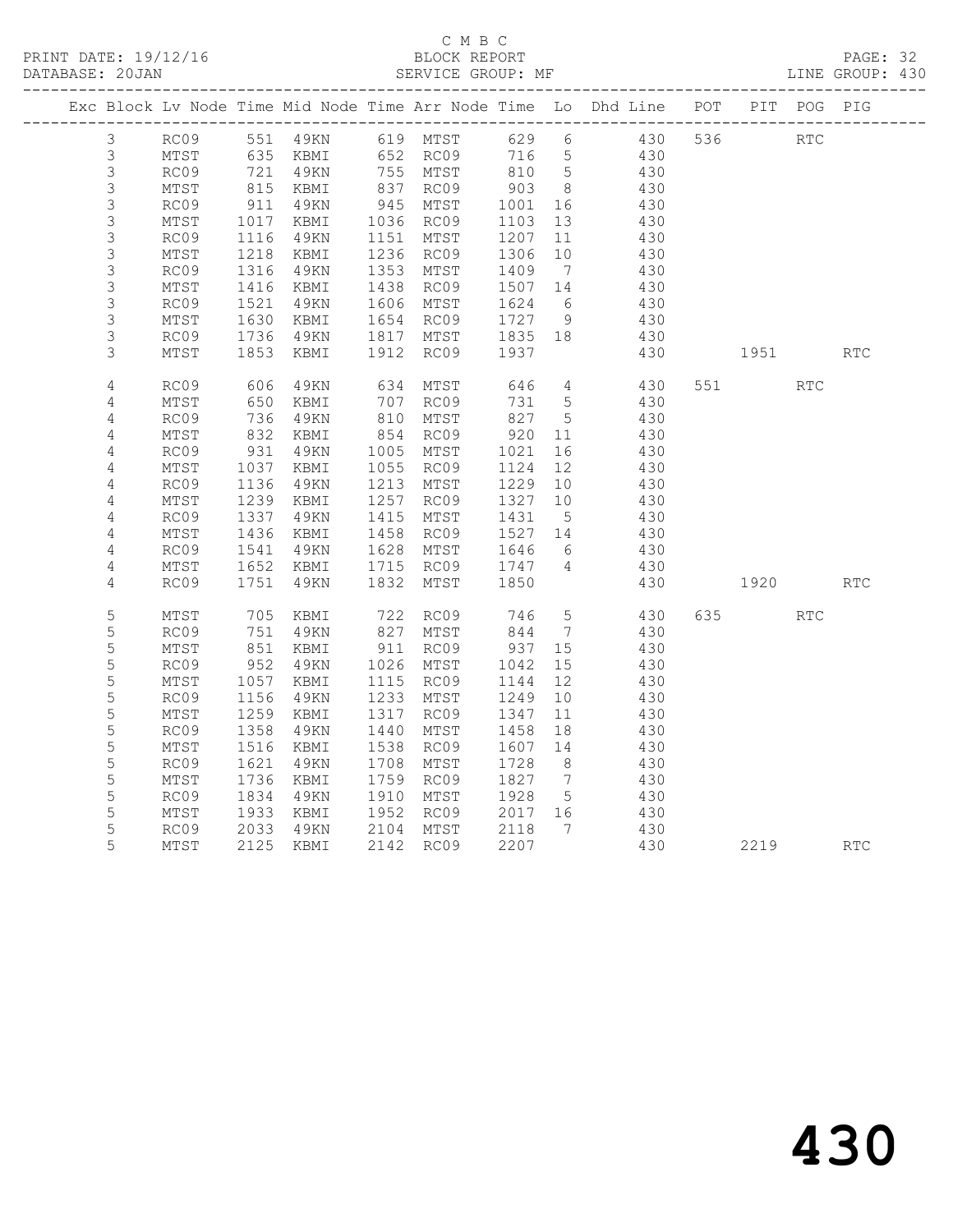PRINT DATE: 19/12/16 BLOCK REPORT BATABASE: 20JAN BLOCK REPORT SERVICE GROUP: MF

# C M B C<br>BLOCK REPORT

PAGE: 32<br>LINE GROUP: 430

|                |                 |                        |                      |      |                        |                                                      |                 | Exc Block Lv Node Time Mid Node Time Arr Node Time Lo Dhd Line POT PIT POG PIG |     |                                                                                                                                                                                                                                 |            |            |
|----------------|-----------------|------------------------|----------------------|------|------------------------|------------------------------------------------------|-----------------|--------------------------------------------------------------------------------|-----|---------------------------------------------------------------------------------------------------------------------------------------------------------------------------------------------------------------------------------|------------|------------|
| $\mathcal{S}$  |                 |                        |                      |      |                        |                                                      |                 | RC09 551 49KN 619 MTST 629 6 430                                               | 536 | <b>RTC</b>                                                                                                                                                                                                                      |            |            |
| $\mathfrak{Z}$ | MTST            |                        | 635 KBMI 652 RC09    |      |                        | 716 5                                                |                 | 430                                                                            |     |                                                                                                                                                                                                                                 |            |            |
| $\mathfrak{S}$ | RC09            | 721                    | 4 9 K N              |      | 755 MTST               | $\begin{array}{c} \sqrt{16} \\ 810 \\ 8 \end{array}$ |                 | 430                                                                            |     |                                                                                                                                                                                                                                 |            |            |
| $\mathsf 3$    | MTST            |                        | 815 KBMI<br>911 49KN |      | 837 RC09<br>945 MTST   | $903$<br>$1001$                                      | 8 <sup>8</sup>  | 430                                                                            |     |                                                                                                                                                                                                                                 |            |            |
| $\mathsf 3$    | RC09            |                        |                      |      |                        | 1001                                                 | 16              | 430                                                                            |     |                                                                                                                                                                                                                                 |            |            |
| $\mathsf 3$    | MTST            |                        | KBMI                 |      | 1036 RC09<br>1151 MTST | 1103                                                 | 13              | 430                                                                            |     |                                                                                                                                                                                                                                 |            |            |
| $\mathsf 3$    | RC09            | 1017<br>1116           | 49KN                 |      | 1151 MTST              | 1207                                                 | 11              | 430                                                                            |     |                                                                                                                                                                                                                                 |            |            |
| $\mathsf S$    | MTST            | 1218                   | KBMI                 |      | 1236 RC09              | 1306                                                 | 10              | 430                                                                            |     |                                                                                                                                                                                                                                 |            |            |
| $\mathsf 3$    | RC09            | 1316                   | 49KN                 |      | 1353 MTST              | 1409 7<br>1507 14                                    |                 | 430                                                                            |     |                                                                                                                                                                                                                                 |            |            |
| $\mathsf 3$    | MTST            | 1416                   | KBMI                 |      | 1438 RC09              |                                                      |                 | 430                                                                            |     |                                                                                                                                                                                                                                 |            |            |
| $\mathsf 3$    | RC09            | 1521<br>1630           | 4 9 K N              |      | 1606 MTST              |                                                      |                 | 430<br>430                                                                     |     |                                                                                                                                                                                                                                 |            |            |
| $\mathsf S$    | MTST            |                        | KBMI                 |      | 1654 RC09              | $1624$<br>$1727$ 9<br>$-25$ 18                       |                 |                                                                                |     |                                                                                                                                                                                                                                 |            |            |
| $\mathsf S$    | RC09            | 1736                   | 49KN                 |      | 1817 MTST              | 1835 18                                              |                 | 430                                                                            |     |                                                                                                                                                                                                                                 |            |            |
| 3              | MTST            | 1853                   | KBMI                 |      | 1912 RC09              | 1937                                                 |                 | 430                                                                            |     | 1951                                                                                                                                                                                                                            |            | RTC        |
| $\overline{4}$ | RC09            | 606<br>650             | 4 9 K N              |      | 634 MTST<br>707 RC09   | 646<br>731                                           | $4\overline{4}$ | 430                                                                            |     | 551 000                                                                                                                                                                                                                         | <b>RTC</b> |            |
| 4              | MTST            |                        | KBMI                 |      |                        | 731 5                                                |                 | 430                                                                            |     |                                                                                                                                                                                                                                 |            |            |
| 4              | RC09            | 736<br>832             | 49KN                 |      | 810 MTST               | 827 5                                                |                 | 430                                                                            |     |                                                                                                                                                                                                                                 |            |            |
| $\sqrt{4}$     | MTST            |                        | KBMI                 |      | 854 RC09               | 920 11                                               |                 | 430                                                                            |     |                                                                                                                                                                                                                                 |            |            |
| 4              | RC09            | 931                    | 4 9 K N              |      | 1005 MTST              | 1021                                                 | 16              | 430                                                                            |     |                                                                                                                                                                                                                                 |            |            |
| $\overline{4}$ | MTST            | $10 -$<br>1136         | KBMI                 |      | 1055 RC09              | 1124                                                 | 12              | 430                                                                            |     |                                                                                                                                                                                                                                 |            |            |
| $\sqrt{4}$     | RC09            |                        | 49KN                 |      | 1213 MTST              | 1229                                                 | 10              | $\frac{1}{430}$                                                                |     |                                                                                                                                                                                                                                 |            |            |
| 4              | MTST            | 1239<br>$1232$<br>1337 | KBMI                 |      | 1257 RC09              | 1327                                                 | 10              | 430                                                                            |     |                                                                                                                                                                                                                                 |            |            |
| 4              | RC09            |                        | 49KN                 |      | 1415 MTST              | 1431                                                 | $5\overline{)}$ | 430                                                                            |     |                                                                                                                                                                                                                                 |            |            |
| 4              | MTST            | 1436                   | KBMI                 |      | 1458 RC09              | 1527 14                                              |                 | 430                                                                            |     |                                                                                                                                                                                                                                 |            |            |
| 4              | RC09            | 1541                   | 49KN                 |      | 1628 MTST              | 1646 6<br>1747 4                                     |                 | 430                                                                            |     |                                                                                                                                                                                                                                 |            |            |
| 4              | MTST            | 1652                   | KBMI                 |      | 1715 RC09              |                                                      |                 | 430                                                                            |     |                                                                                                                                                                                                                                 |            |            |
| 4              | RC09            | 1751                   | 49KN                 | 1832 | MTST                   | 1850                                                 |                 | 430                                                                            |     | 1920 — 1920 — 1930 — 1930 — 1930 — 1930 — 1930 — 1930 — 1930 — 1930 — 1930 — 1930 — 1930 — 1930 — 1930 — 1930 — 1930 — 1930 — 1930 — 1930 — 1930 — 1930 — 1930 — 1930 — 1930 — 1930 — 1930 — 1930 — 1930 — 1930 — 1930 — 1930 — |            | <b>RTC</b> |
| 5              | $\mathtt{MTST}$ | 705                    | KBMI                 | 722  | RC09                   | 746                                                  | $5\overline{)}$ | 430                                                                            |     | 635 000                                                                                                                                                                                                                         | <b>RTC</b> |            |
| 5              | RC09            | 751                    | 49KN                 |      | 827 MTST               | 844                                                  | $\overline{7}$  | 430                                                                            |     |                                                                                                                                                                                                                                 |            |            |
| 5              | MTST            | 851                    | KBMI                 |      | 911 RC09               | 937 15                                               |                 | 430                                                                            |     |                                                                                                                                                                                                                                 |            |            |
| 5              | RC09            | 952                    | 49KN                 |      | 1026 MTST              | 1042                                                 | 15              | 430                                                                            |     |                                                                                                                                                                                                                                 |            |            |
| $\mathsf S$    | MTST            | 1057                   | KBMI                 |      | 1115 RC09              | 1144                                                 | 12              | 430                                                                            |     |                                                                                                                                                                                                                                 |            |            |
| 5              | RC09            | 1156                   | 49KN                 |      | 1233 MTST              | 1249                                                 | 10              | 430                                                                            |     |                                                                                                                                                                                                                                 |            |            |
| 5              | MTST            | 1259                   | KBMI                 |      | 1317 RC09              | 1347                                                 | 11              | 430                                                                            |     |                                                                                                                                                                                                                                 |            |            |
| $\mathsf S$    | RC09            | 1358                   | 4 9 K N              |      | 1440 MTST              | 1458                                                 | 18              | 430                                                                            |     |                                                                                                                                                                                                                                 |            |            |
| 5              | MTST            | 1516                   | KBMI                 |      | 1538 RC09              | 1607 14                                              |                 | 430                                                                            |     |                                                                                                                                                                                                                                 |            |            |
| 5              | RC09            | 1621                   | 4 9 K N              |      | 1708 MTST              | 1728                                                 | 8 <sup>8</sup>  | 430                                                                            |     |                                                                                                                                                                                                                                 |            |            |
| 5              | MTST            | 1736                   | KBMI                 | 1759 | RC09                   | 1827 7                                               |                 | 430                                                                            |     |                                                                                                                                                                                                                                 |            |            |
| 5              | RC09            | 1834                   | 49KN                 |      | 1910 MTST              | 1928                                                 | 5 <sup>5</sup>  | 430                                                                            |     |                                                                                                                                                                                                                                 |            |            |
| 5              | MTST            | 1933                   | KBMI                 |      | 1952 RC09              | 2017 16                                              |                 | 430                                                                            |     |                                                                                                                                                                                                                                 |            |            |
| 5              | RC09            |                        | 2033 42m             |      | 2104 MTST              | 2118<br>2207                                         | $7\phantom{0}$  | 430                                                                            |     |                                                                                                                                                                                                                                 |            |            |
| 5              | MTST            |                        |                      |      | 2142 RC09              | 2207                                                 |                 | 430                                                                            |     | 2219                                                                                                                                                                                                                            |            | <b>RTC</b> |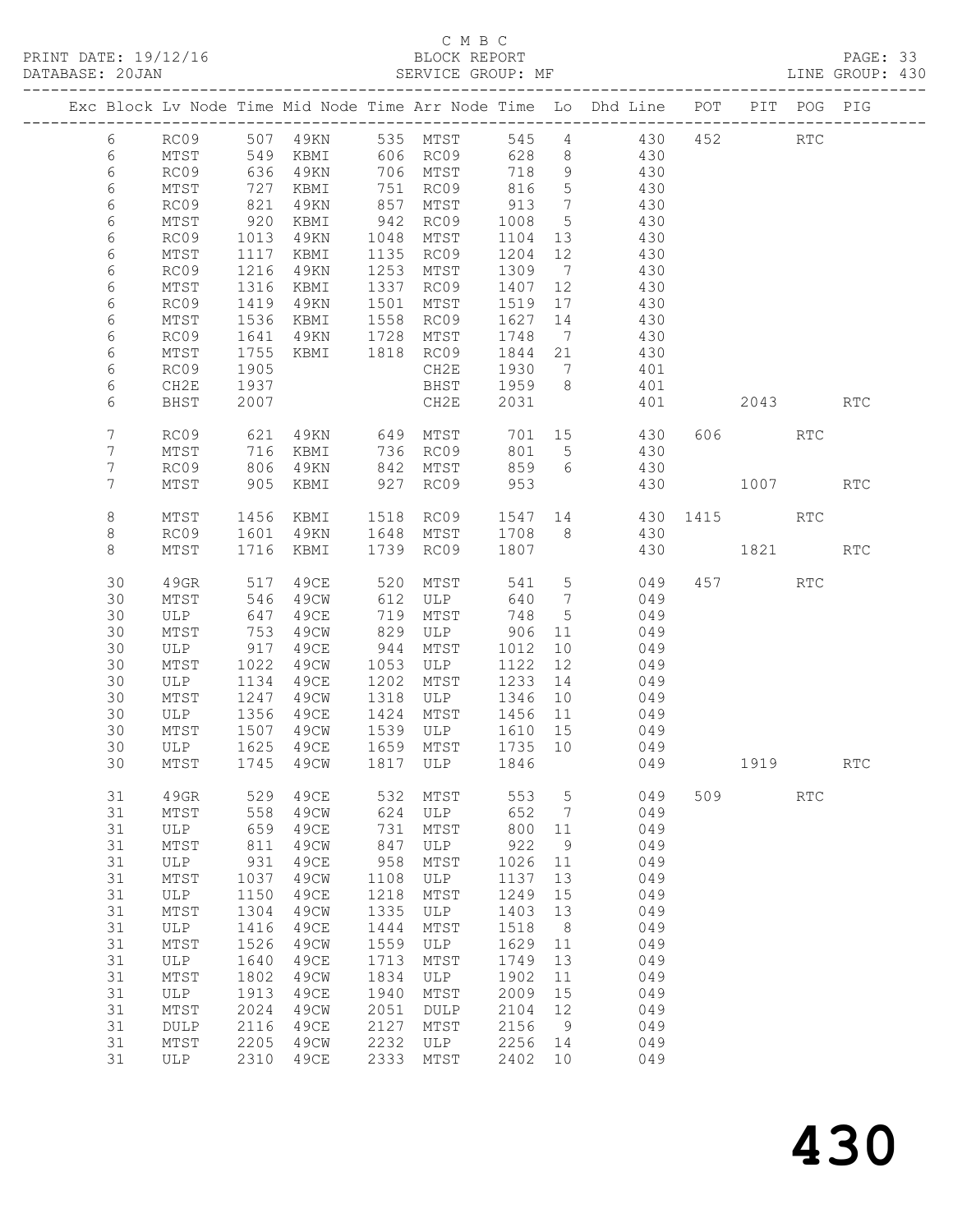# C M B C<br>BLOCK REPORT

PAGE: 33<br>LINE GROUP: 430

|                |          |                 |              |              |              |                   |              |                 | Exc Block Lv Node Time Mid Node Time Arr Node Time Lo Dhd Line POT PIT POG PIG |     |         |                      |            |
|----------------|----------|-----------------|--------------|--------------|--------------|-------------------|--------------|-----------------|--------------------------------------------------------------------------------|-----|---------|----------------------|------------|
| 6              |          | RC09            |              | 507 49KN     |              | 535 MTST          | 545          |                 | $4\degree$<br>430                                                              | 452 |         | $\operatorname{RTC}$ |            |
| $6\,$          |          | MTST            | 549          | KBMI         |              | 606 RC09          | 628          | 8               | 430                                                                            |     |         |                      |            |
| 6              |          | RC09            | 636          | 49KN         |              | 706 MTST          | 718          | 9               | 430                                                                            |     |         |                      |            |
| 6              |          | MTST            | 727          | KBMI         | 751          | RC09              | 816          | $5\overline{)}$ | 430                                                                            |     |         |                      |            |
| 6              |          | RC09            | 821          | 49KN         | 857          | MTST              | 913          | $\overline{7}$  | 430                                                                            |     |         |                      |            |
| 6              |          | MTST            | 920          | KBMI         | 942          | RC09              | 1008         | $5\overline{)}$ | 430                                                                            |     |         |                      |            |
| 6              |          | RC09            | 1013         | 49KN         | 1048         | MTST              | 1104         | 13              | 430                                                                            |     |         |                      |            |
| 6              |          | MTST            | 1117         | KBMI         | 1135         | RC09              | 1204         | 12              | 430                                                                            |     |         |                      |            |
| 6              |          | RC09            | 1216         | 49KN         | 1253         | MTST              | 1309         | $\overline{7}$  | 430                                                                            |     |         |                      |            |
| 6              |          | MTST            | 1316         | KBMI         | 1337         | RC09              | 1407         | 12              | 430                                                                            |     |         |                      |            |
| 6<br>6         |          | RC09<br>MTST    | 1419<br>1536 | 49KN<br>KBMI | 1501<br>1558 | MTST<br>RC09      | 1519<br>1627 | 17<br>14        | 430<br>430                                                                     |     |         |                      |            |
| 6              |          | RC09            | 1641         | 49KN         | 1728         | MTST              | 1748         | $\overline{7}$  | 430                                                                            |     |         |                      |            |
| 6              |          | MTST            | 1755         | KBMI         | 1818         | RC09              | 1844         | 21              | 430                                                                            |     |         |                      |            |
| 6              |          | RC09            | 1905         |              |              | CH2E              | 1930         | $7\overline{ }$ | 401                                                                            |     |         |                      |            |
| 6              |          | CH2E            | 1937         |              |              | BHST              | 1959         | 8               | 401                                                                            |     |         |                      |            |
| 6              |          | BHST            | 2007         |              |              | CH2E              | 2031         |                 | 401                                                                            |     | 2043    |                      | <b>RTC</b> |
|                |          |                 |              |              |              |                   |              |                 |                                                                                |     |         |                      |            |
| $7\phantom{.}$ |          | RC09            | 621          | 49KN         | 649          | MTST              | 701          | 15              | 430                                                                            |     | 606 RTC |                      |            |
| 7              |          | MTST            | 716          | KBMI         | 736          | RC09              | 801          | 5               | 430                                                                            |     |         |                      |            |
| 7              |          | RC09            | 806          | 49KN         | 842          | MTST              | 859          | 6               | 430                                                                            |     |         |                      |            |
| 7              |          | MTST            | 905          | KBMI         | 927          | RC09              | 953          |                 | 430                                                                            |     | 1007    |                      | <b>RTC</b> |
|                |          |                 |              |              |              |                   |              |                 | 1547 14 430                                                                    |     | 1415    | RTC                  |            |
| 8<br>8         |          | MTST<br>RC09    | 1456<br>1601 | KBMI<br>49KN | 1648         | 1518 RC09<br>MTST | 1708         | 8 <sup>8</sup>  | 430                                                                            |     |         |                      |            |
| 8              |          | MTST            | 1716         | KBMI         | 1739         | RC09              | 1807         |                 | 430                                                                            |     | 1821    |                      | <b>RTC</b> |
|                |          |                 |              |              |              |                   |              |                 |                                                                                |     |         |                      |            |
|                | 30       | 49GR            | 517          | 49CE         | 520          | MTST              | 541 5        |                 | 049                                                                            |     | 457 RTC |                      |            |
|                | 30       | MTST            | 546          | 49CW         | 612          | ULP               | 640          | $\overline{7}$  | 049                                                                            |     |         |                      |            |
|                | 30       | ULP             | 647          | 49CE         | 719          | MTST              | 748          | $5\overline{)}$ | 049                                                                            |     |         |                      |            |
|                | 30       | MTST            | 753          | 49CW         | 829          | ULP               | 906          | 11              | 049                                                                            |     |         |                      |            |
|                | 30       | ULP             | 917          | 49CE         | 944          | MTST              | 1012         | 10              | 049                                                                            |     |         |                      |            |
|                | 30       | MTST            | 1022         | 49CW         | 1053         | ULP               | 1122         | 12              | 049                                                                            |     |         |                      |            |
|                | 30       | ULP             | 1134         | 49CE         | 1202         | MTST              | 1233         | 14              | 049                                                                            |     |         |                      |            |
|                | 30       | MTST            | 1247         | 49CW         | 1318         | ULP               | 1346         | 10              | 049                                                                            |     |         |                      |            |
|                | 30<br>30 | ULP<br>MTST     | 1356<br>1507 | 49CE<br>49CW | 1424<br>1539 | MTST<br>ULP       | 1456<br>1610 | 11<br>15        | 049<br>049                                                                     |     |         |                      |            |
|                | 30       | ULP             | 1625         | 49CE         | 1659         | MTST              | 1735         | 10              | 049                                                                            |     |         |                      |            |
|                | 30       | MTST            | 1745         | 49CW         | 1817         | ULP               | 1846         |                 | 049                                                                            |     | 1919    |                      | <b>RTC</b> |
|                |          |                 |              |              |              |                   |              |                 |                                                                                |     |         |                      |            |
|                | 31       | 49GR            | 529          | 49CE         | 532          | MTST              | 553          | 5               | 049                                                                            | 509 |         | <b>RTC</b>           |            |
|                | 31       | MTST            | 558          | 49CW         | 624          | ULP               | 652          | 7               | 049                                                                            |     |         |                      |            |
|                | 31       | ULP             | 659          | 49CE         | 731          | MTST              | 800          | 11              | 049                                                                            |     |         |                      |            |
|                | 31       | MTST            | 811          | 49CW         | 847          | ULP               | 922          | 9               | 049                                                                            |     |         |                      |            |
|                | 31       | $_{\rm ULP}$    | 931          | 49CE         | 958          | MTST              | 1026         | 11              | 049                                                                            |     |         |                      |            |
|                | 31       | MTST            | 1037         | 49CW         | 1108         | ULP               | 1137         | 13              | 049                                                                            |     |         |                      |            |
|                | 31       | ULP             | 1150         | <b>49CE</b>  | 1218         | MTST              | 1249         | 15              | 049                                                                            |     |         |                      |            |
|                | 31       | MTST            | 1304         | 49CW         | 1335         | ULP               | 1403         | 13              | 049                                                                            |     |         |                      |            |
|                | 31<br>31 | ULP<br>MTST     | 1416<br>1526 | 49CE<br>49CW | 1444<br>1559 | MTST<br>ULP       | 1518<br>1629 | 8<br>11         | 049<br>049                                                                     |     |         |                      |            |
|                | 31       | ULP             | 1640         | 49CE         | 1713         | MTST              | 1749         | 13              | 049                                                                            |     |         |                      |            |
|                | 31       | MTST            | 1802         | 49CW         | 1834         | ULP               | 1902         | 11              | 049                                                                            |     |         |                      |            |
|                | 31       | ULP             | 1913         | 49CE         | 1940         | MTST              | 2009         | 15              | 049                                                                            |     |         |                      |            |
|                | 31       | $\mathtt{MTST}$ | 2024         | 49CW         | 2051         | $\texttt{DULP}$   | 2104         | 12              | 049                                                                            |     |         |                      |            |
|                | 31       | DULP            | 2116         | <b>49CE</b>  | 2127         | MTST              | 2156         | 9               | 049                                                                            |     |         |                      |            |
|                | 31       | $\mathtt{MTST}$ | 2205         | 49CW         | 2232         | $_{\rm ULP}$      | 2256         | 14              | 049                                                                            |     |         |                      |            |
|                | 31       | ${\rm ULP}$     | 2310         | 49CE         | 2333         | ${\tt MTST}$      | 2402         | 10              | 049                                                                            |     |         |                      |            |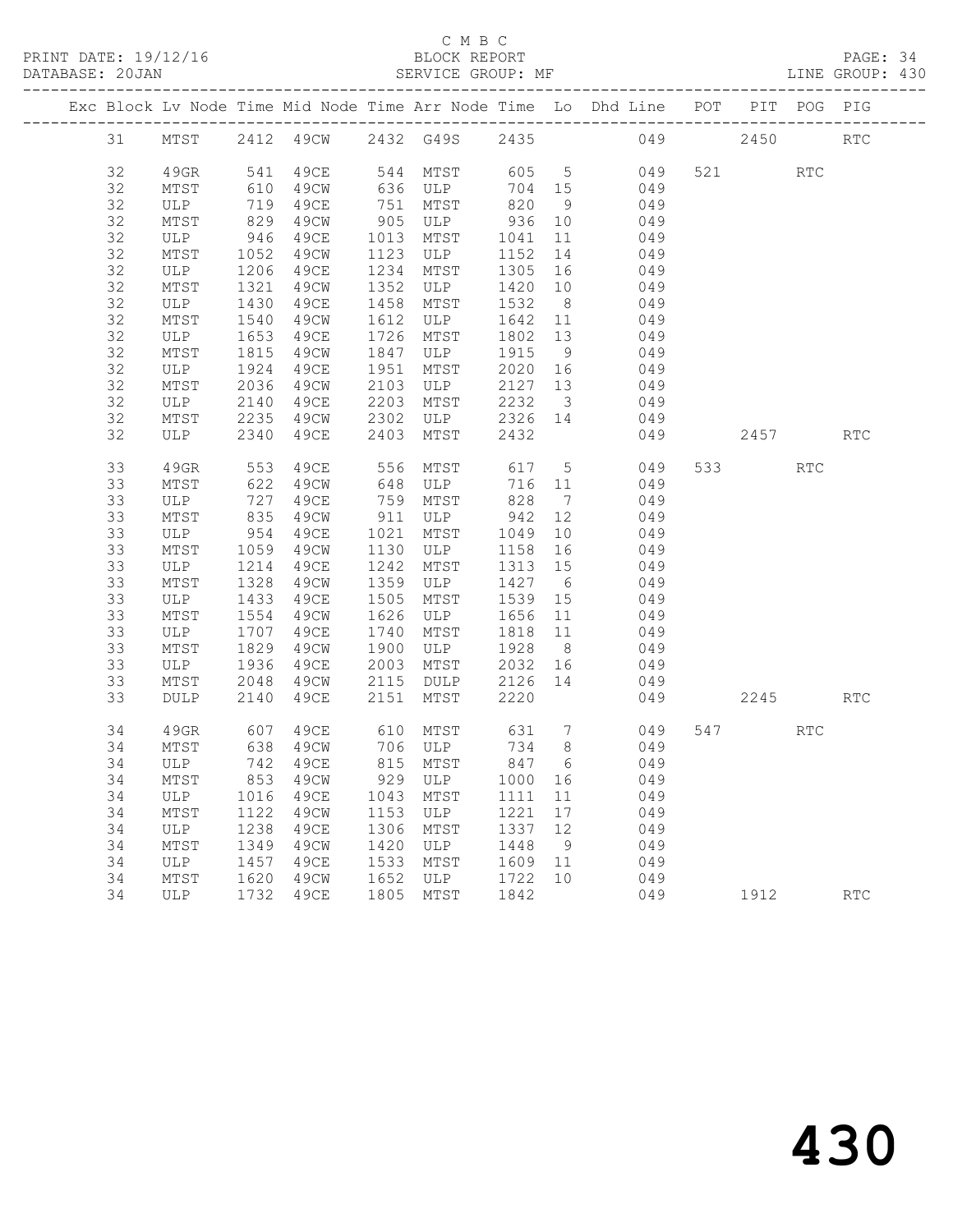PRINT DATE: 19/12/16 BLOCK REPORT PAGE: 34 DATABASE: 20JAN<br>-----------------------------

#### C M B C<br>BLOCK REPORT

| DATABASE: 20JAN |  |    |      |  |                               |  | SERVICE GROUP: MF |       |  |                                                                                |         |      |      |     | LINE GROUP: 430 |
|-----------------|--|----|------|--|-------------------------------|--|-------------------|-------|--|--------------------------------------------------------------------------------|---------|------|------|-----|-----------------|
|                 |  |    |      |  |                               |  |                   |       |  | Exc Block Lv Node Time Mid Node Time Arr Node Time Lo Dhd Line POT PIT POG PIG |         |      |      |     |                 |
|                 |  | 31 |      |  | MTST 2412 49CW 2432 G49S 2435 |  |                   |       |  | 049                                                                            |         | 2450 |      | RTC |                 |
|                 |  | 32 | 49GR |  | 541 49CE                      |  | 544 MTST          | 605 5 |  |                                                                                | 049 521 |      | RTC. |     |                 |

| ~∸ |                             |      | ュンシャ        | 2 1 J 2 | <u>, , ,</u> | - 100 |                 |     |     |      |            |                             |
|----|-----------------------------|------|-------------|---------|--------------|-------|-----------------|-----|-----|------|------------|-----------------------------|
| 32 | 49GR                        | 541  | 49CE        | 544     | MTST         | 605   | $\mathsf S$     | 049 | 521 |      | RTC        |                             |
| 32 | MTST                        | 610  | 49CW        | 636     | ULP          | 704   | 15              | 049 |     |      |            |                             |
| 32 |                             |      |             |         |              |       |                 |     |     |      |            |                             |
|    | ULP                         | 719  | 49CE        | 751     | MTST         | 820   | 9               | 049 |     |      |            |                             |
| 32 | MTST                        | 829  | 49CW        | 905     | ULP          | 936   | $10$            | 049 |     |      |            |                             |
| 32 | $\ensuremath{\mathsf{ULP}}$ | 946  | 49CE        | 1013    | ${\tt MTST}$ | 1041  | $11\,$          | 049 |     |      |            |                             |
| 32 | MTST                        | 1052 | 49CW        | 1123    | ULP          | 1152  | 14              | 049 |     |      |            |                             |
| 32 | <b>ULP</b>                  | 1206 | <b>49CE</b> | 1234    | MTST         | 1305  | 16              | 049 |     |      |            |                             |
| 32 | $MTST$                      | 1321 | 49CW        | 1352    | ULP          | 1420  | 10              | 049 |     |      |            |                             |
| 32 | $_{\rm ULP}$                | 1430 | 49CE        | 1458    | MTST         | 1532  | 8               | 049 |     |      |            |                             |
| 32 | $MTST$                      | 1540 | 49CW        | 1612    | ULP          | 1642  | 11              | 049 |     |      |            |                             |
| 32 | $_{\rm ULP}$                | 1653 | 49CE        | 1726    | MTST         | 1802  | 13              | 049 |     |      |            |                             |
| 32 | MTST                        | 1815 | 49CW        | 1847    | ULP          | 1915  | $\mathsf 9$     | 049 |     |      |            |                             |
| 32 | ULP                         | 1924 | 49CE        | 1951    | MTST         | 2020  | 16              | 049 |     |      |            |                             |
| 32 | MTST                        | 2036 | 49CW        | 2103    | <b>ULP</b>   | 2127  | $13$            | 049 |     |      |            |                             |
| 32 |                             | 2140 | <b>49CE</b> | 2203    |              | 2232  | $\mathcal{S}$   | 049 |     |      |            |                             |
|    | $_{\rm ULP}$                |      |             |         | MTST         |       |                 |     |     |      |            |                             |
| 32 | MTST                        | 2235 | 49CW        | 2302    | ULP          | 2326  | 14              | 049 |     |      |            |                             |
| 32 | ULP                         | 2340 | 49CE        | 2403    | MTST         | 2432  |                 | 049 |     | 2457 |            | $\mathop{\rm RTC}\nolimits$ |
| 33 | 49GR                        | 553  | 49CE        | 556     | MTST         | 617   | $\mathsf 5$     | 049 | 533 |      | <b>RTC</b> |                             |
| 33 | $MTST$                      | 622  | 49CW        | 648     | ULP          | 716   | 11              | 049 |     |      |            |                             |
| 33 |                             | 727  | 49CE        |         |              | 828   | $7\phantom{.0}$ | 049 |     |      |            |                             |
|    | ULP                         |      |             | 759     | MTST         |       |                 |     |     |      |            |                             |
| 33 | MTST                        | 835  | 49CW        | 911     | ULP          | 942   | 12              | 049 |     |      |            |                             |
| 33 | ULP                         | 954  | 49CE        | 1021    | MTST         | 1049  | 10              | 049 |     |      |            |                             |
| 33 | $MTST$                      | 1059 | 49CW        | 1130    | ULP          | 1158  | 16              | 049 |     |      |            |                             |
| 33 | ULP                         | 1214 | <b>49CE</b> | 1242    | MTST         | 1313  | $15$            | 049 |     |      |            |                             |
| 33 | $MTST$                      | 1328 | 49CW        | 1359    | ULP          | 1427  | $\epsilon$      | 049 |     |      |            |                             |
| 33 | ULP                         | 1433 | 49CE        | 1505    | MTST         | 1539  | 15              | 049 |     |      |            |                             |
| 33 | MTST                        | 1554 | 49CW        | 1626    | ULP          | 1656  | 11              | 049 |     |      |            |                             |
| 33 | $_{\rm ULP}$                | 1707 | 49CE        | 1740    | MTST         | 1818  | $11$            | 049 |     |      |            |                             |
| 33 | MTST                        | 1829 | 49CW        | 1900    | ULP          | 1928  | $8\,$           | 049 |     |      |            |                             |
| 33 | $_{\rm ULP}$                | 1936 | 49CE        | 2003    | ${\tt MTST}$ | 2032  | 16              | 049 |     |      |            |                             |
| 33 | MTST                        | 2048 | 49CW        | 2115    | <b>DULP</b>  | 2126  | 14              | 049 |     |      |            |                             |
| 33 | $\texttt{DULP}$             | 2140 | 49CE        | 2151    | MTST         | 2220  |                 | 049 |     | 2245 |            | RTC                         |
|    |                             |      |             |         |              |       |                 |     |     |      |            |                             |
| 34 | 49GR                        | 607  | 49CE        | 610     | MTST         | 631   | $7\phantom{.0}$ | 049 | 547 |      | <b>RTC</b> |                             |
| 34 | $MTST$                      | 638  | 49CW        | 706     | ULP          | 734   | $\,8\,$         | 049 |     |      |            |                             |
| 34 | ULP                         | 742  | 49CE        | 815     | MTST         | 847   | $\sqrt{6}$      | 049 |     |      |            |                             |
| 34 | $MTST$                      | 853  | 49CW        | 929     | ULP          | 1000  | 16              | 049 |     |      |            |                             |
| 34 | $_{\rm ULP}$                | 1016 | 49CE        | 1043    | MTST         | 1111  | $11$            | 049 |     |      |            |                             |
| 34 | MTST                        | 1122 | 49CW        | 1153    | <b>ULP</b>   | 1221  | 17              | 049 |     |      |            |                             |
| 34 | ULP                         | 1238 | <b>49CE</b> | 1306    | MTST         | 1337  | 12              | 049 |     |      |            |                             |
| 34 | MTST                        | 1349 | 49CW        | 1420    | ULP          | 1448  | $\,9$           | 049 |     |      |            |                             |
| 34 | $_{\rm ULP}$                | 1457 | 49CE        | 1533    | MTST         | 1609  | 11              | 049 |     |      |            |                             |
| 34 | $MTST$                      | 1620 | 49CW        | 1652    | ULP          | 1722  | 10              | 049 |     |      |            |                             |
| 34 | $_{\rm ULP}$                | 1732 | 49CE        | 1805    | MTST         | 1842  |                 | 049 |     | 1912 |            | RTC                         |
|    |                             |      |             |         |              |       |                 |     |     |      |            |                             |
|    |                             |      |             |         |              |       |                 |     |     |      |            |                             |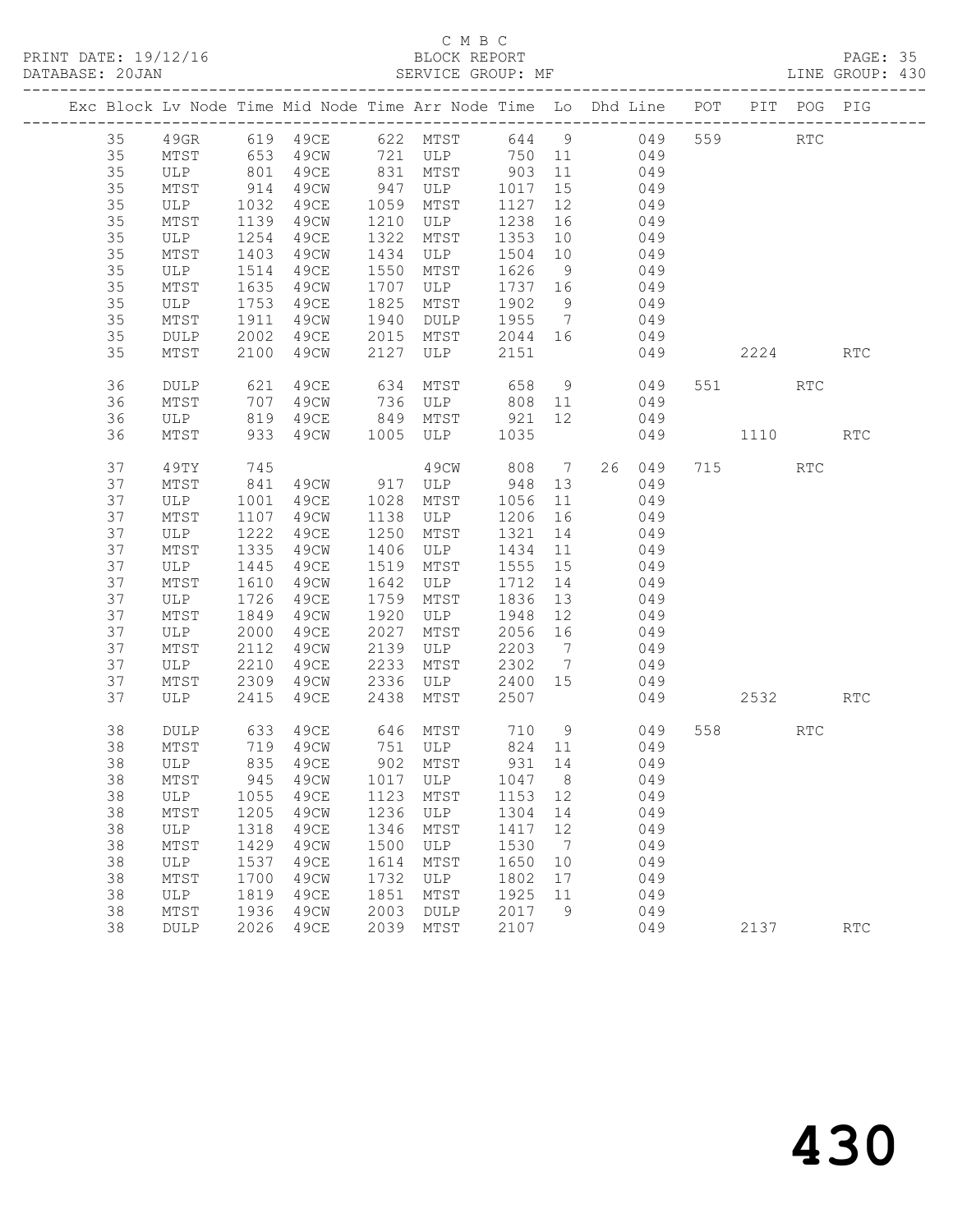# C M B C<br>BLOCK REPORT

PAGE: 35<br>LINE GROUP: 430

|  |    |             |            | Exc Block Lv Node Time Mid Node Time Arr Node Time Lo Dhd Line POT PIT POG PIG |      |                                             |              |                 |       |     |         |            |                      |
|--|----|-------------|------------|--------------------------------------------------------------------------------|------|---------------------------------------------|--------------|-----------------|-------|-----|---------|------------|----------------------|
|  | 35 |             |            | 49GR 619 49CE 622 MTST 644 9 049 559 RTC                                       |      |                                             |              |                 |       |     |         |            |                      |
|  | 35 | MTST        | 653<br>801 |                                                                                |      | 49CW 721 ULP 750 11<br>49CE 831 MTST 903 11 |              |                 |       | 049 |         |            |                      |
|  | 35 | ULP         |            |                                                                                |      |                                             |              |                 |       | 049 |         |            |                      |
|  | 35 | MTST        | 914        | 49CW                                                                           | 947  | ULP                                         | 1017         | 15              | 049   |     |         |            |                      |
|  | 35 | ULP         | 1032       | 49CE                                                                           | 1059 | MTST                                        | 1127         | 12              |       | 049 |         |            |                      |
|  | 35 | MTST        | 1139       | 49CW                                                                           | 1210 | ULP                                         | 1238         | 16              |       | 049 |         |            |                      |
|  | 35 | ULP         | 1254       | 49CE                                                                           | 1322 | MTST                                        | 1353         | 10              |       | 049 |         |            |                      |
|  | 35 | MTST        | 1403       | 49CW                                                                           | 1434 | ULP                                         | 1504         | 10              |       | 049 |         |            |                      |
|  | 35 | ULP         | 1514       | 49CE                                                                           | 1550 | MTST                                        | 1626         | 9               |       | 049 |         |            |                      |
|  | 35 | MTST        | 1635       | 49CW                                                                           | 1707 | ULP                                         | 1737 16      |                 |       | 049 |         |            |                      |
|  | 35 | ULP         | 1753       | 49CE                                                                           | 1825 | MTST                                        | 1902 9       |                 |       | 049 |         |            |                      |
|  | 35 | MTST        | 1911       | 49CW                                                                           | 1940 | DULP                                        | 1955 7       |                 | 049   |     |         |            |                      |
|  | 35 | <b>DULP</b> | 2002       | 49CE                                                                           | 2015 | MTST                                        | 2044 16      |                 | 049   |     |         |            |                      |
|  | 35 | MTST        | 2100       | 49CW                                                                           | 2127 | ULP                                         | 2151         |                 |       | 049 | 2224    |            | <b>RTC</b>           |
|  | 36 | <b>DULP</b> | 621        | 49CE                                                                           | 634  | MTST                                        | 658          |                 | 9 049 |     | 551 35  | <b>RTC</b> |                      |
|  | 36 | MTST        | 707        | 49CW                                                                           |      | 736 ULP 808 11                              |              |                 |       | 049 |         |            |                      |
|  | 36 | ULP         | 819        | 49CE                                                                           |      | 849 MTST 921 12<br>1005 ULP 1035            |              |                 |       | 049 |         |            |                      |
|  | 36 | MTST        | 933        | 49CW                                                                           |      |                                             |              |                 |       | 049 | 1110    |            | <b>RTC</b>           |
|  | 37 | 49TY        | 745        |                                                                                |      | 49CW                                        | 808 7 26 049 |                 |       |     | 715 RTC |            |                      |
|  | 37 | MTST        | 841        | 49CW 917 ULP                                                                   |      |                                             | 948 13       |                 |       | 049 |         |            |                      |
|  | 37 | ULP         | 1001       | 49CE                                                                           | 1028 | MTST                                        | 1056         | 11              |       | 049 |         |            |                      |
|  | 37 | MTST        | 1107       | 49CW                                                                           | 1138 | ULP                                         | 1206         | 16              |       | 049 |         |            |                      |
|  | 37 | ULP         | 1222       | 49CE                                                                           | 1250 | MTST                                        | 1321         | 14              |       | 049 |         |            |                      |
|  | 37 | MTST        | 1335       | 49CW                                                                           | 1406 | ULP                                         | 1434         | 11              |       | 049 |         |            |                      |
|  | 37 | ULP         | 1445       | 49CE                                                                           | 1519 | MTST                                        | 1555         | 15              |       | 049 |         |            |                      |
|  | 37 | MTST        | 1610       | 49CW                                                                           | 1642 | ULP                                         | 1712         | 14              |       | 049 |         |            |                      |
|  | 37 | ULP         | 1726       | 49CE                                                                           | 1759 | MTST                                        | 1836         | 13              |       | 049 |         |            |                      |
|  | 37 | MTST        | 1849       | 49CW                                                                           | 1920 | ULP                                         | 1948         | 12              |       | 049 |         |            |                      |
|  | 37 | ULP         | 2000       | 49CE                                                                           | 2027 | MTST                                        | 2056 16      |                 |       | 049 |         |            |                      |
|  | 37 | MTST        | 2112       | 49CW                                                                           | 2139 | ULP                                         | 2203         | $7\overline{ }$ |       | 049 |         |            |                      |
|  | 37 | ULP         | 2210       | 49CE                                                                           | 2233 | MTST                                        | 2302         | $7\overline{ }$ |       | 049 |         |            |                      |
|  | 37 | MTST        | 2309       | 49CW                                                                           | 2336 | ULP                                         | 2400 15      |                 | 049   |     |         |            |                      |
|  | 37 | ULP         | 2415       | 49CE                                                                           | 2438 | MTST                                        | 2507         |                 |       | 049 | 2532    |            | <b>RTC</b>           |
|  | 38 | DULP        | 633        | 49CE                                                                           |      | 646 MTST 710 9                              |              |                 |       | 049 | 558     | RTC        |                      |
|  | 38 | MTST        |            | 719 49CW                                                                       |      | 751 ULP 824 11                              |              |                 |       | 049 |         |            |                      |
|  | 38 | ULP         | 835        | 49CE                                                                           |      | 902 MTST                                    | 931 14       |                 |       | 049 |         |            |                      |
|  |    |             |            | 38 MTST 945 49CW 1017 ULP 1047 8                                               |      |                                             |              |                 |       | 049 |         |            |                      |
|  | 38 | ULP         | 1055       | 49CE                                                                           | 1123 | MTST                                        | 1153         | 12              |       | 049 |         |            |                      |
|  | 38 | MTST        | 1205       | 49CW                                                                           | 1236 | ULP                                         | 1304         | 14              |       | 049 |         |            |                      |
|  | 38 | ULP         | 1318       | 49CE                                                                           | 1346 | MTST                                        | 1417         | 12              |       | 049 |         |            |                      |
|  | 38 | MTST        | 1429       | 49CW                                                                           | 1500 | ULP                                         | 1530         | $7\phantom{.0}$ |       | 049 |         |            |                      |
|  | 38 | ULP         | 1537       | 49CE                                                                           | 1614 | MTST                                        | 1650         | 10              |       | 049 |         |            |                      |
|  | 38 | MTST        | 1700       | 49CW                                                                           | 1732 | ULP                                         | 1802         | 17              |       | 049 |         |            |                      |
|  | 38 | ULP         | 1819       | 49CE                                                                           | 1851 | MTST                                        | 1925         | 11              |       | 049 |         |            |                      |
|  | 38 | MTST        | 1936       | 49CW                                                                           | 2003 | DULP                                        | 2017         | 9               |       | 049 |         |            |                      |
|  | 38 | DULP        | 2026       | 49CE                                                                           | 2039 | MTST                                        | 2107         |                 |       | 049 | 2137    |            | $\operatorname{RTC}$ |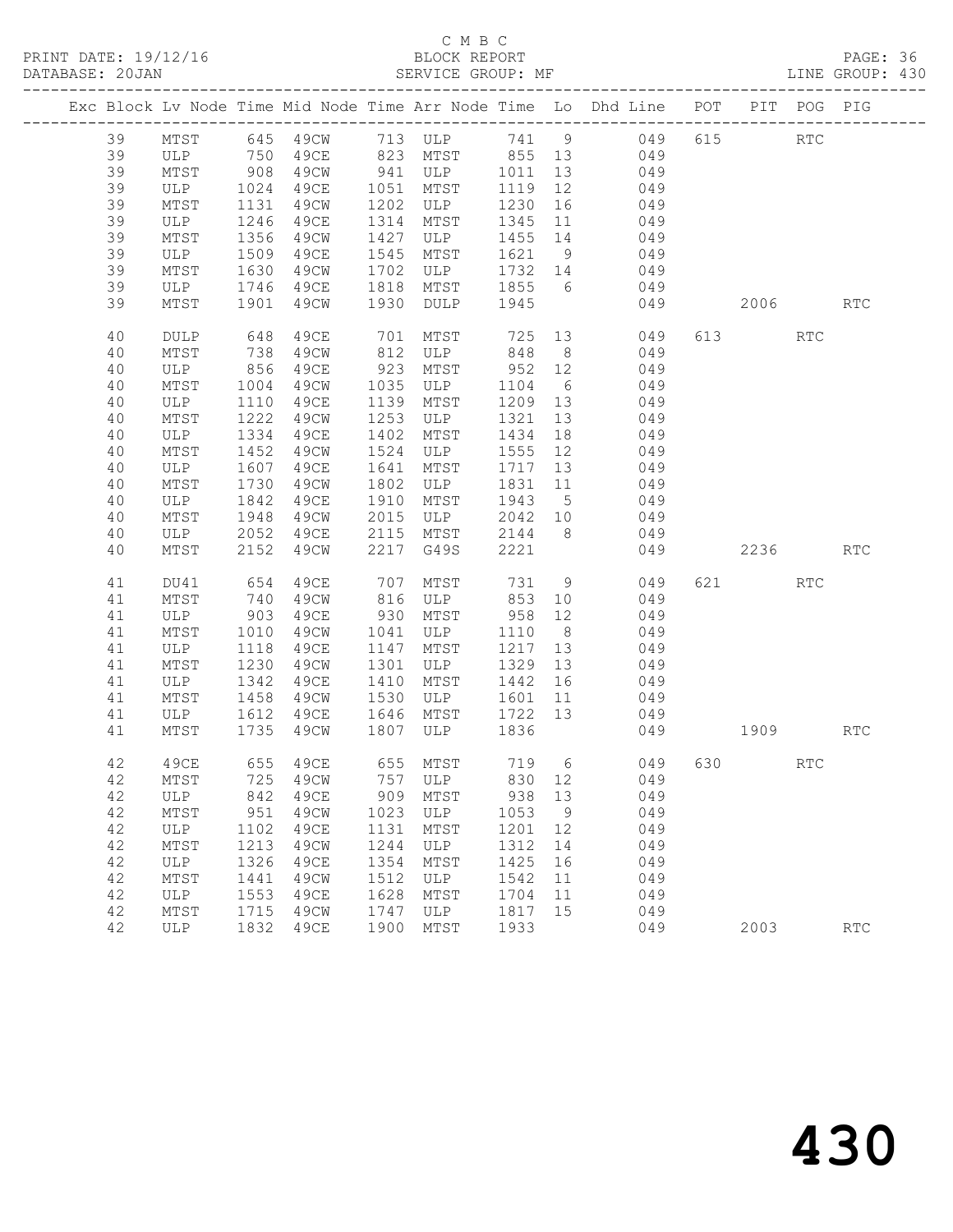### C M B C<br>BLOCK REPORT

PAGE: 36<br>LINE GROUP: 430

|    |             |      |           |      |                            |                   |                 | Exc Block Lv Node Time Mid Node Time Arr Node Time Lo Dhd Line POT PIT POG PIG |          |            |            |
|----|-------------|------|-----------|------|----------------------------|-------------------|-----------------|--------------------------------------------------------------------------------|----------|------------|------------|
| 39 |             |      |           |      |                            |                   |                 | MTST 645 49CW 713 ULP 741 9 049                                                | 615 RTC  |            |            |
| 39 | ULP 750     |      |           |      |                            |                   |                 | 49CE 823 MTST 855 13 049                                                       |          |            |            |
| 39 | MTST        | 908  | 49CW      |      | 941 ULP                    | 1011 13           |                 | 049                                                                            |          |            |            |
| 39 | ULP         | 1024 | 49CE      | 1051 | MTST                       | 1119              | 12              | 049                                                                            |          |            |            |
| 39 | MTST        | 1131 | 49CW      |      | 1202 ULP                   | 1230 16           |                 | 049                                                                            |          |            |            |
| 39 | ULP         | 1246 | 49CE      | 1314 | MTST                       | 1345 11           |                 | 049                                                                            |          |            |            |
| 39 | MTST        | 1356 | 49CW      | 1427 | ULP                        | 1455 14           |                 | 049                                                                            |          |            |            |
| 39 | ULP         | 1509 | 49CE      | 1545 | MTST                       | 1621 9            |                 | 049                                                                            |          |            |            |
| 39 | MTST        | 1630 | 49CW      | 1702 | ULP                        | 1732 14           |                 | 049                                                                            |          |            |            |
| 39 | ULP         |      | 1746 49CE | 1818 | MTST                       | 1855 6            |                 | 049                                                                            |          |            |            |
| 39 | MTST        |      | 1901 49CW | 1930 | DULP 1945                  |                   |                 | 049                                                                            | 2006 RTC |            |            |
| 40 | <b>DULP</b> | 648  | 49CE      |      |                            | $725$ 13<br>848 8 |                 | 049                                                                            | 613 — 10 | <b>RTC</b> |            |
| 40 | MTST        | 738  | 49CW      |      | 701 MTST<br>812 ULP<br>ULP | 848               | 8 <sup>8</sup>  | 049                                                                            |          |            |            |
| 40 | ULP         | 856  | 49CE      |      | 923 MTST                   | 952 12            |                 | 049                                                                            |          |            |            |
| 40 | MTST        | 1004 | 49CW      |      | 1035 ULP                   | 1104              | $6\overline{6}$ | 049                                                                            |          |            |            |
| 40 | ULP         | 1110 | 49CE      |      | 1139 MTST                  | 1209 13           |                 | 049                                                                            |          |            |            |
| 40 | MTST        | 1222 | 49CW      | 1253 | ULP                        | 1321              | 13              | 049                                                                            |          |            |            |
| 40 | ULP         | 1334 | 49CE      | 1402 | MTST                       | 1434              | 18              | 049                                                                            |          |            |            |
| 40 | MTST        | 1452 | 49CW      | 1524 | ULP                        | 1555 12           |                 | 049                                                                            |          |            |            |
| 40 | ULP         | 1607 | 49CE      | 1641 | MTST                       | 1717 13           |                 | 049                                                                            |          |            |            |
| 40 | MTST        | 1730 | 49CW      | 1802 | ULP                        | 1831 11           |                 | 049                                                                            |          |            |            |
| 40 | ULP         | 1842 | 49CE      | 1910 | MTST                       | 1943 5            |                 | 049                                                                            |          |            |            |
| 40 | MTST        | 1948 |           |      | 49CW 2015 ULP              | 2042 10           |                 | 049                                                                            |          |            |            |
| 40 | ULP         | 2052 | 49CE      |      | 2115 MTST                  | 2144 8            |                 | 049                                                                            |          |            |            |
| 40 | MTST        | 2152 | 49CW      |      | 2217 G49S                  | 2221              |                 | 049                                                                            | 2236     |            | RTC        |
| 41 | DU41        | 654  | 49CE      | 707  | MTST                       |                   |                 | 731 9<br>049                                                                   | 621 000  | <b>RTC</b> |            |
| 41 | MTST        | 740  | 49CW      |      | 816 ULP                    | 853 10            |                 | 049                                                                            |          |            |            |
| 41 | ULP         | 903  | 49CE      |      | 930 MTST                   | 958 12            |                 | 049                                                                            |          |            |            |
| 41 | MTST        | 1010 | 49CW      | 1041 | ULP                        | 1110              | 8 <sup>8</sup>  | 049                                                                            |          |            |            |
| 41 | ULP         | 1118 | 49CE      | 1147 | MTST                       | 1217 13           |                 | 049                                                                            |          |            |            |
| 41 | MTST        | 1230 | 49CW      | 1301 | ULP                        | 1329 13           |                 | 049                                                                            |          |            |            |
| 41 | ULP         | 1342 | 49CE      | 1410 | MTST                       | 1442 16           |                 | 049                                                                            |          |            |            |
| 41 | MTST        | 1458 | 49CW      | 1530 | ULP                        | 1601              | 11              | 049                                                                            |          |            |            |
| 41 | ULP         | 1612 | 49CE      |      | 1646 MTST                  | 1722 13           |                 | 049                                                                            |          |            |            |
| 41 | MTST        | 1735 | 49CW      | 1807 | ULP                        | 1836              |                 |                                                                                | 049 1909 |            | <b>RTC</b> |
| 42 | 49CE        |      | 655 49CE  |      | 655 MTST 719 6             |                   |                 | 049                                                                            | 630 000  | RTC        |            |
|    |             |      |           |      |                            |                   |                 | 42 MTST 725 49CW 757 ULP 830 12 049                                            |          |            |            |
| 42 | ULP         | 842  | 49CE      | 909  | MTST                       | 938               | 13              | 049                                                                            |          |            |            |
| 42 | MTST        | 951  | 49CW      | 1023 | ULP                        | 1053              | 9               | 049                                                                            |          |            |            |
| 42 | ULP         | 1102 | 49CE      | 1131 | MTST                       | 1201              | 12              | 049                                                                            |          |            |            |
| 42 | MTST        | 1213 | 49CW      | 1244 | ULP                        | 1312              | 14              | 049                                                                            |          |            |            |
| 42 | ULP         | 1326 | 49CE      | 1354 | MTST                       | 1425              | 16              | 049                                                                            |          |            |            |
| 42 | MTST        | 1441 | 49CW      | 1512 | ULP                        | 1542              | 11              | 049                                                                            |          |            |            |
| 42 | ULP         | 1553 | 49CE      | 1628 | MTST                       | 1704              | 11              | 049                                                                            |          |            |            |
| 42 | MTST        | 1715 | 49CW      | 1747 | ULP                        | 1817              | 15              | 049                                                                            |          |            |            |
| 42 | ULP         | 1832 | 49CE      | 1900 | MTST                       | 1933              |                 | 049                                                                            | 2003     |            | <b>RTC</b> |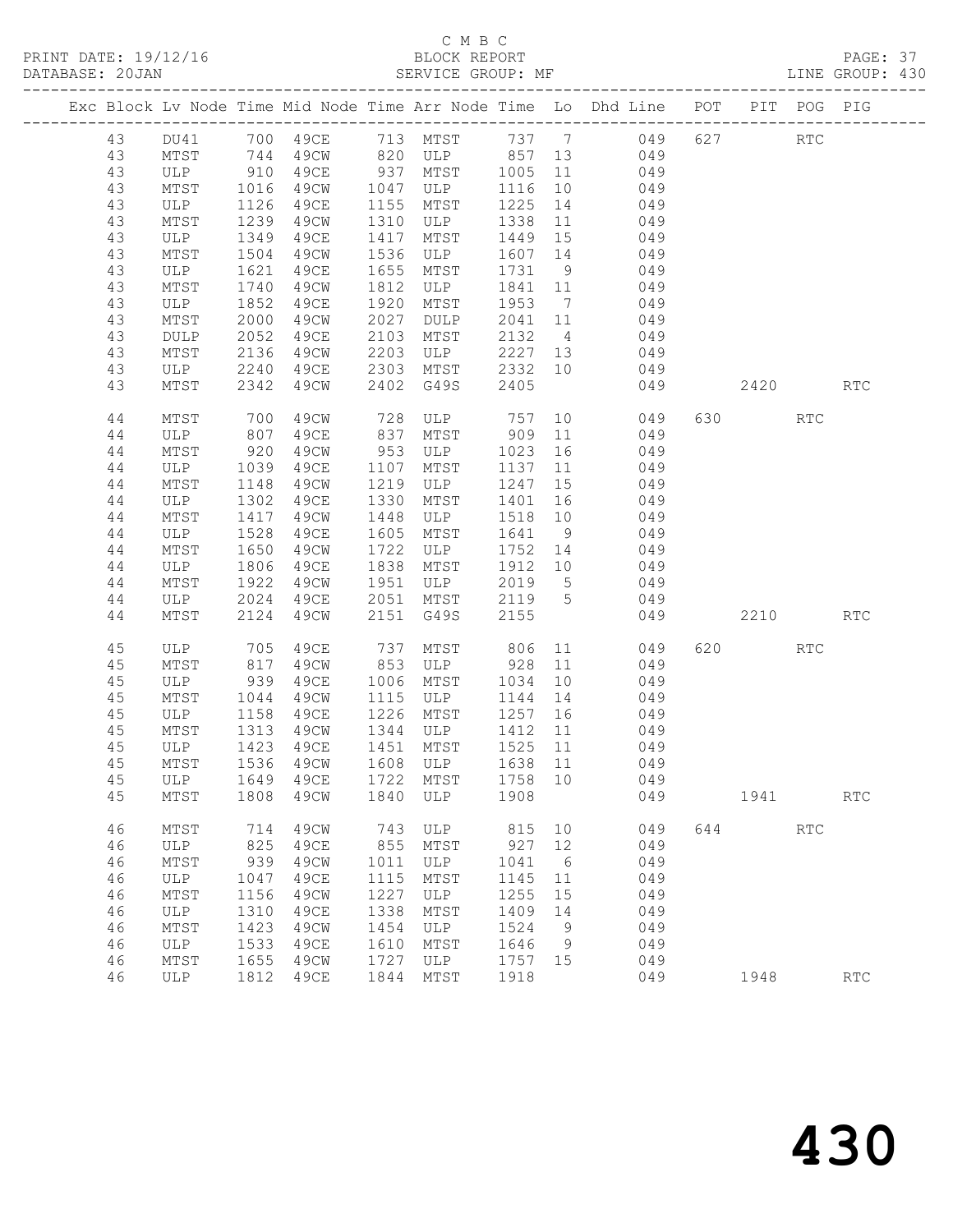PRINT DATE: 19/12/16 BLOCK REPORT BATABASE: 20JAN BLOCK REPORT

# C M B C<br>BLOCK REPORT

PAGE: 37<br>LINE GROUP: 430

|    |             |            |      |            |                                    |            |                | Exc Block Lv Node Time Mid Node Time Arr Node Time Lo Dhd Line POT PIT POG PIG |     |         |            |                      |
|----|-------------|------------|------|------------|------------------------------------|------------|----------------|--------------------------------------------------------------------------------|-----|---------|------------|----------------------|
| 43 | DU41        |            |      |            |                                    |            |                | 700 49CE 713 MTST 737 7 049                                                    |     | 627     | RTC        |                      |
| 43 | MTST        |            | 49CW |            |                                    |            |                | 049                                                                            |     |         |            |                      |
| 43 | ULP         | 744<br>910 | 49CE |            |                                    |            |                | 049                                                                            |     |         |            |                      |
| 43 | MTST        | 1016       | 49CW | 1047       | ULP                                | 1116       | 10             | 049                                                                            |     |         |            |                      |
| 43 | ULP         | 1126       | 49CE | 1155       | MTST                               | 1225       | 14             | 049                                                                            |     |         |            |                      |
| 43 | MTST        | 1239       | 49CW | 1310       | ULP                                | 1338       | 11             | 049                                                                            |     |         |            |                      |
| 43 | ULP         | 1349       | 49CE | 1417       | MTST                               | 1449       | 15             | 049                                                                            |     |         |            |                      |
| 43 | MTST        | 1504       | 49CW | 1536       | ULP                                | 1607       | 14             | 049                                                                            |     |         |            |                      |
| 43 | ULP         | 1621       | 49CE | 1655       | MTST                               | 1731       | 9              | 049                                                                            |     |         |            |                      |
| 43 | MTST        | 1740       | 49CW | 1812       | ULP                                | 1841       | 11             | 049                                                                            |     |         |            |                      |
| 43 | ULP         | 1852       | 49CE | 1920       | MTST                               | 1953       | $\overline{7}$ | 049                                                                            |     |         |            |                      |
| 43 | MTST        | 2000       | 49CW | 2027       | DULP                               | 2041       | 11             | 049                                                                            |     |         |            |                      |
| 43 | <b>DULP</b> | 2052       | 49CE | 2103       | MTST                               | 2132       | $\overline{4}$ | 049                                                                            |     |         |            |                      |
| 43 | MTST        | 2136       | 49CW | 2203       | ULP                                | 2227       | 13             | 049                                                                            |     |         |            |                      |
| 43 | ULP         | 2240       | 49CE | 2303       | MTST                               | 2332       | 10             | 049                                                                            |     |         |            |                      |
| 43 | MTST        | 2342       | 49CW | 2402       | G49S                               | 2405       |                | 049                                                                            |     | 2420    |            | <b>RTC</b>           |
|    |             |            |      |            |                                    |            |                |                                                                                |     |         |            |                      |
| 44 | MTST        | 700        | 49CW | 728        | ULP 757                            |            | 10             | 049                                                                            |     | 630 000 | <b>RTC</b> |                      |
| 44 | ULP         | 807        | 49CE | 837        | MTST                               | 909        | 11             | 049                                                                            |     |         |            |                      |
| 44 | MTST        | 920        | 49CW | 953        | ULP                                | 1023       | 16             | 049                                                                            |     |         |            |                      |
| 44 | ULP         | 1039       | 49CE | 1107       | MTST                               | 1137       | 11             | 049                                                                            |     |         |            |                      |
| 44 | MTST        | 1148       | 49CW | 1219       | ULP                                | 1247       | 15             | 049                                                                            |     |         |            |                      |
| 44 | ULP         | 1302       | 49CE | 1330       | MTST                               | 1401       | 16             | 049                                                                            |     |         |            |                      |
| 44 | MTST        | 1417       | 49CW | 1448       | ULP                                | 1518       | 10             | 049                                                                            |     |         |            |                      |
| 44 | ULP         | 1528       | 49CE | 1605       | MTST                               | 1641       | 9              | 049                                                                            |     |         |            |                      |
| 44 | MTST        | 1650       | 49CW | 1722       | ULP                                | 1752       | 14             | 049                                                                            |     |         |            |                      |
| 44 | ULP         | 1806       | 49CE | 1838       | MTST                               | 1912       | 10             | 049                                                                            |     |         |            |                      |
| 44 | MTST        | 1922       | 49CW | 1951       | ULP                                | 2019       | 5 <sup>5</sup> | 049                                                                            |     |         |            |                      |
| 44 | ULP         | 2024       | 49CE | 2051       | MTST                               | 2119 5     |                | 049                                                                            |     |         |            |                      |
| 44 | MTST        | 2124       | 49CW | 2151       | G49S                               | 2155       |                | 049                                                                            |     | 2210    |            | RTC                  |
|    |             |            |      |            |                                    |            |                |                                                                                |     |         |            |                      |
| 45 | ULP         | 705        | 49CE | 737        | MTST                               | 806        |                | 11<br>049                                                                      |     | 620 000 | RTC        |                      |
| 45 | MTST        | 817        | 49CW | 853        | ULP                                | 928        | 11             | 049                                                                            |     |         |            |                      |
| 45 | ULP         | 939        | 49CE | 1006       | MTST                               | 1034       | 10             | 049                                                                            |     |         |            |                      |
| 45 | MTST        | 1044       | 49CW | 1115       | ULP                                | 1144       | 14             | 049                                                                            |     |         |            |                      |
| 45 | ULP         | 1158       | 49CE | 1226       | MTST                               | 1257       | 16             | 049                                                                            |     |         |            |                      |
| 45 | MTST        | 1313       | 49CW | 1344       | ULP                                | 1412       | 11             | 049                                                                            |     |         |            |                      |
| 45 | ULP         | 1423       | 49CE |            | 1451 MTST                          | 1525       | 11             | 049                                                                            |     |         |            |                      |
| 45 | MTST        | 1536       | 49CW |            | 1608 ULP                           | 1638       | 11             | 049                                                                            |     |         |            |                      |
|    |             |            |      |            | 45 ULP 1649 49CE 1722 MTST 1758 10 |            |                | 049                                                                            |     |         |            |                      |
| 45 | MTST        | 1808       | 49CW | 1840       | ULP                                | 1908       |                | 049                                                                            |     | 1941    |            | $\operatorname{RTC}$ |
|    |             |            |      |            |                                    |            |                |                                                                                |     |         |            |                      |
| 46 | MTST        | 714        | 49CW | 743<br>855 | ULP                                | 815<br>927 | 10<br>12       | 049                                                                            | 644 |         | RTC        |                      |
| 46 | <b>ULP</b>  | 825        | 49CE |            | MTST                               |            |                | 049                                                                            |     |         |            |                      |
| 46 | MTST        | 939        | 49CW | 1011       | ULP                                | 1041       | 6              | 049                                                                            |     |         |            |                      |
| 46 | ULP         | 1047       | 49CE | 1115       | MTST                               | 1145       | 11             | 049                                                                            |     |         |            |                      |
| 46 | MTST        | 1156       | 49CW | 1227       | ULP                                | 1255       | 15             | 049                                                                            |     |         |            |                      |
| 46 | ULP         | 1310       | 49CE | 1338       | MTST                               | 1409       | 14             | 049                                                                            |     |         |            |                      |
| 46 | MTST        | 1423       | 49CW | 1454       | ULP                                | 1524       | 9              | 049                                                                            |     |         |            |                      |
| 46 | ULP         | 1533       | 49CE | 1610       | MTST                               | 1646       | 9              | 049                                                                            |     |         |            |                      |
| 46 | MTST        | 1655       | 49CW | 1727       | ULP                                | 1757       | 15             | 049                                                                            |     |         |            |                      |
| 46 | ULP         | 1812       | 49CE | 1844       | MTST                               | 1918       |                | 049                                                                            |     | 1948    |            | $\operatorname{RTC}$ |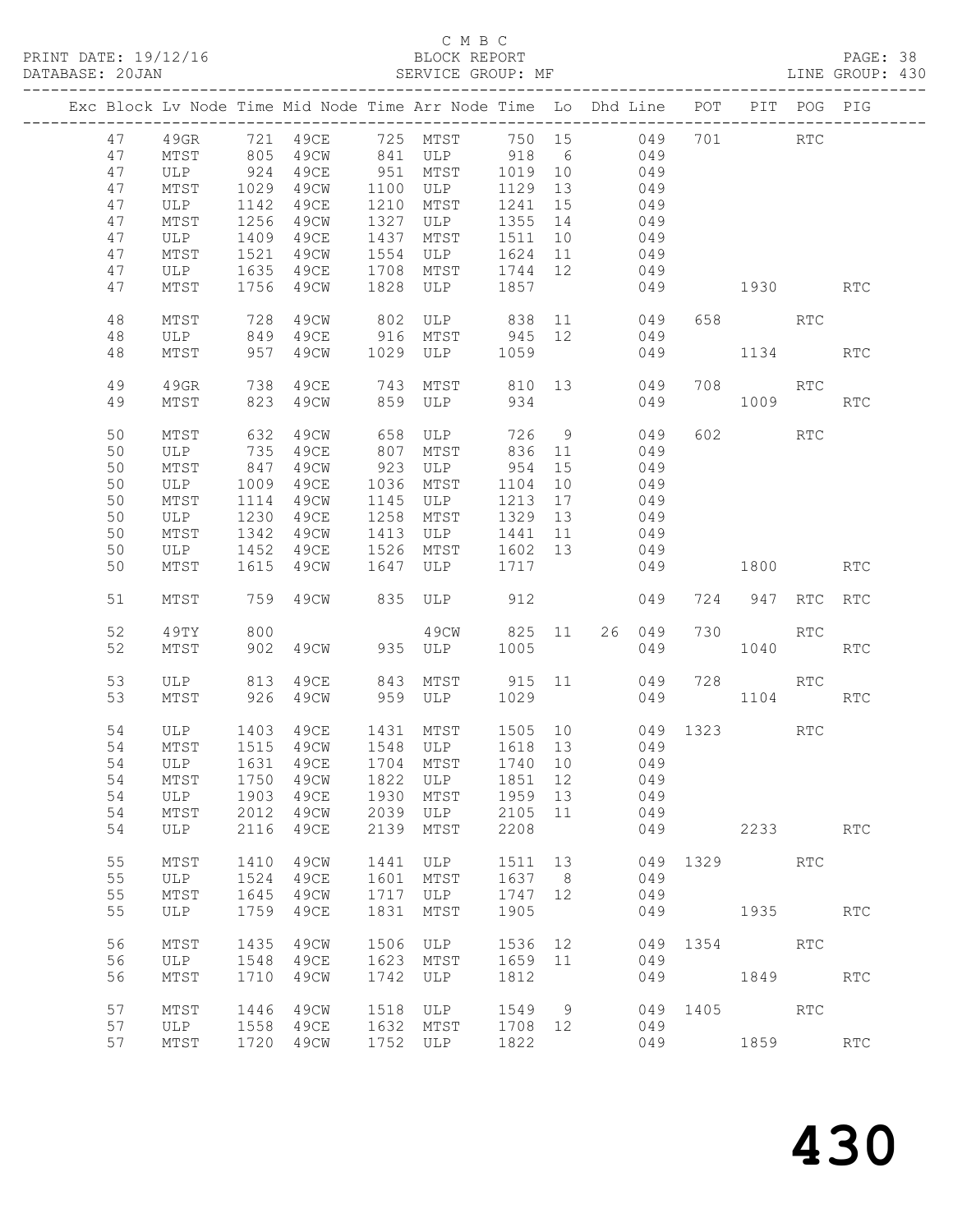PRINT DATE: 19/12/16 BLOCK REPORT BATABASE: 20JAN BLOCK REPORT SERVICE GROUP: MF

# C M B C<br>BLOCK REPORT

PAGE: 38<br>LINE GROUP: 430

|    |      |      | Exc Block Lv Node Time Mid Node Time Arr Node Time Lo Dhd Line POT PIT POG PIG |      |             |         |    |        |      |               |            |            |
|----|------|------|--------------------------------------------------------------------------------|------|-------------|---------|----|--------|------|---------------|------------|------------|
| 47 | 49GR |      | 721 49CE                                                                       |      | 725 MTST    | 750 15  |    | 049    |      | 701           | RTC        |            |
| 47 | MTST | 805  | 49CW                                                                           | 841  | ULP         | 918     | 6  | 049    |      |               |            |            |
| 47 | ULP  | 924  | 49CE                                                                           | 951  | MTST        | 1019    | 10 | 049    |      |               |            |            |
| 47 | MTST | 1029 | 49CW                                                                           | 1100 | ULP         | 1129    | 13 | 049    |      |               |            |            |
| 47 | ULP  | 1142 | 49CE                                                                           | 1210 | MTST        | 1241    | 15 | 049    |      |               |            |            |
| 47 | MTST | 1256 | 49CW                                                                           | 1327 | ULP         | 1355    | 14 | 049    |      |               |            |            |
| 47 | ULP  | 1409 | 49CE                                                                           | 1437 | MTST        | 1511    | 10 | 049    |      |               |            |            |
| 47 | MTST | 1521 | 49CW                                                                           | 1554 | ULP         | 1624    | 11 | 049    |      |               |            |            |
| 47 | ULP  | 1635 | 49CE                                                                           | 1708 | MTST        | 1744    | 12 | 049    |      |               |            |            |
| 47 | MTST | 1756 | 49CW                                                                           | 1828 | ULP         | 1857    |    | 049    |      | 1930 7        |            | <b>RTC</b> |
|    |      |      |                                                                                |      |             |         |    |        |      |               |            |            |
| 48 | MTST | 728  | 49CW                                                                           | 802  | ULP 838 11  |         |    | 049    | 658  | RTC           |            |            |
| 48 | ULP  | 849  | 49CE                                                                           | 916  | MTST 945 12 |         |    | 049    |      |               |            |            |
| 48 | MTST | 957  | 49CW                                                                           | 1029 | ULP         | 1059    |    | 049    |      | 1134          |            | <b>RTC</b> |
|    |      |      |                                                                                |      |             |         |    |        |      |               |            |            |
| 49 | 49GR | 738  | 49CE                                                                           | 743  | MTST        | 810 13  |    | 049    | 708  |               | RTC        |            |
| 49 | MTST | 823  | 49CW                                                                           | 859  | ULP         | 934     |    | 049    |      | 1009          |            | <b>RTC</b> |
|    |      |      |                                                                                |      |             |         |    |        |      |               |            |            |
| 50 | MTST | 632  | 49CW                                                                           | 658  | ULP         | 726     | 9  | 049    |      | 602 700       | RTC        |            |
| 50 | ULP  | 735  | 49CE                                                                           | 807  | MTST        | 836     | 11 | 049    |      |               |            |            |
| 50 | MTST | 847  | 49CW                                                                           | 923  | ULP         | 954     | 15 | 049    |      |               |            |            |
| 50 | ULP  | 1009 | 49CE                                                                           | 1036 | MTST        | 1104    | 10 | 049    |      |               |            |            |
| 50 | MTST | 1114 | 49CW                                                                           | 1145 | ULP         | 1213    | 17 | 049    |      |               |            |            |
| 50 | ULP  | 1230 | 49CE                                                                           | 1258 | MTST        | 1329    | 13 | 049    |      |               |            |            |
| 50 | MTST | 1342 | 49CW                                                                           | 1413 | ULP         | 1441    | 11 | 049    |      |               |            |            |
| 50 | ULP  | 1452 | 49CE                                                                           | 1526 | MTST        | 1602 13 |    | 049    |      |               |            |            |
|    |      |      |                                                                                |      |             |         |    |        |      |               |            |            |
| 50 | MTST | 1615 | 49CW                                                                           | 1647 | ULP         | 1717    |    | 049    |      | 1800          |            | <b>RTC</b> |
| 51 | MTST | 759  | 49CW                                                                           | 835  | ULP         | 912     |    | 049    | 724  | 947           | RTC        | <b>RTC</b> |
| 52 | 49TY | 800  |                                                                                |      | 49CW        | 825 11  |    | 26 049 | 730  |               | RTC        |            |
| 52 | MTST | 902  | 49CW                                                                           | 935  | ULP         | 1005    |    | 049    |      | 1040          |            | <b>RTC</b> |
|    |      |      |                                                                                |      |             |         |    |        |      |               |            |            |
| 53 | ULP  | 813  | 49CE                                                                           | 843  | MTST        | 915 11  |    | 049    | 728  |               | RTC.       |            |
| 53 | MTST | 926  | 49CW                                                                           | 959  | ULP         | 1029    |    | 049    |      | 1104          |            | <b>RTC</b> |
|    |      |      |                                                                                |      |             |         |    |        |      |               |            |            |
| 54 | ULP  | 1403 | 49CE                                                                           | 1431 | MTST        | 1505 10 |    | 049    |      | 1323 and 1323 | RTC        |            |
| 54 | MTST | 1515 | 49CW                                                                           |      | 1548 ULP    | 1618 13 |    | 049    |      |               |            |            |
| 54 | ULP  | 1631 | 49CE                                                                           |      | 1704 MTST   | 1740 10 |    | 049    |      |               |            |            |
|    |      |      | 54 MTST 1750 49CW 1822 ULP 1851 12                                             |      |             |         |    | 049    |      |               |            |            |
| 54 | ULP  | 1903 | 49CE                                                                           | 1930 | MTST        | 1959    | 13 | 049    |      |               |            |            |
| 54 | MTST | 2012 | 49CW                                                                           | 2039 | ULP         | 2105    | 11 | 049    |      |               |            |            |
| 54 | ULP  | 2116 | 49CE                                                                           | 2139 | MTST        | 2208    |    | 049    |      | 2233          |            | <b>RTC</b> |
|    |      |      |                                                                                |      |             |         |    |        |      |               |            |            |
| 55 | MTST | 1410 | 49CW                                                                           | 1441 | ULP         | 1511    | 13 | 049    |      | 1329          | <b>RTC</b> |            |
| 55 | ULP  | 1524 | 49CE                                                                           | 1601 | MTST        | 1637    | 8  | 049    |      |               |            |            |
| 55 | MTST | 1645 | 49CW                                                                           | 1717 | ULP         | 1747    | 12 | 049    |      |               |            |            |
| 55 | ULP  | 1759 | 49CE                                                                           | 1831 | MTST        | 1905    |    | 049    |      | 1935          |            | RTC        |
|    |      |      |                                                                                |      |             |         |    |        |      |               |            |            |
| 56 | MTST | 1435 | 49CW                                                                           | 1506 | ULP         | 1536    | 12 | 049    | 1354 |               | <b>RTC</b> |            |
| 56 | ULP  | 1548 | 49CE                                                                           | 1623 | MTST        | 1659    | 11 | 049    |      |               |            |            |
| 56 | MTST | 1710 | 49CW                                                                           | 1742 | ULP         | 1812    |    | 049    |      | 1849          |            | RTC        |
|    |      |      |                                                                                |      |             |         |    |        |      |               |            |            |
| 57 | MTST | 1446 | 49CW                                                                           | 1518 | ULP         | 1549    | 9  | 049    | 1405 |               | <b>RTC</b> |            |
| 57 | ULP  | 1558 | 49CE                                                                           | 1632 | MTST        | 1708    | 12 | 049    |      |               |            |            |
| 57 | MTST | 1720 | 49CW                                                                           | 1752 | ULP         | 1822    |    | 049    |      | 1859          |            | <b>RTC</b> |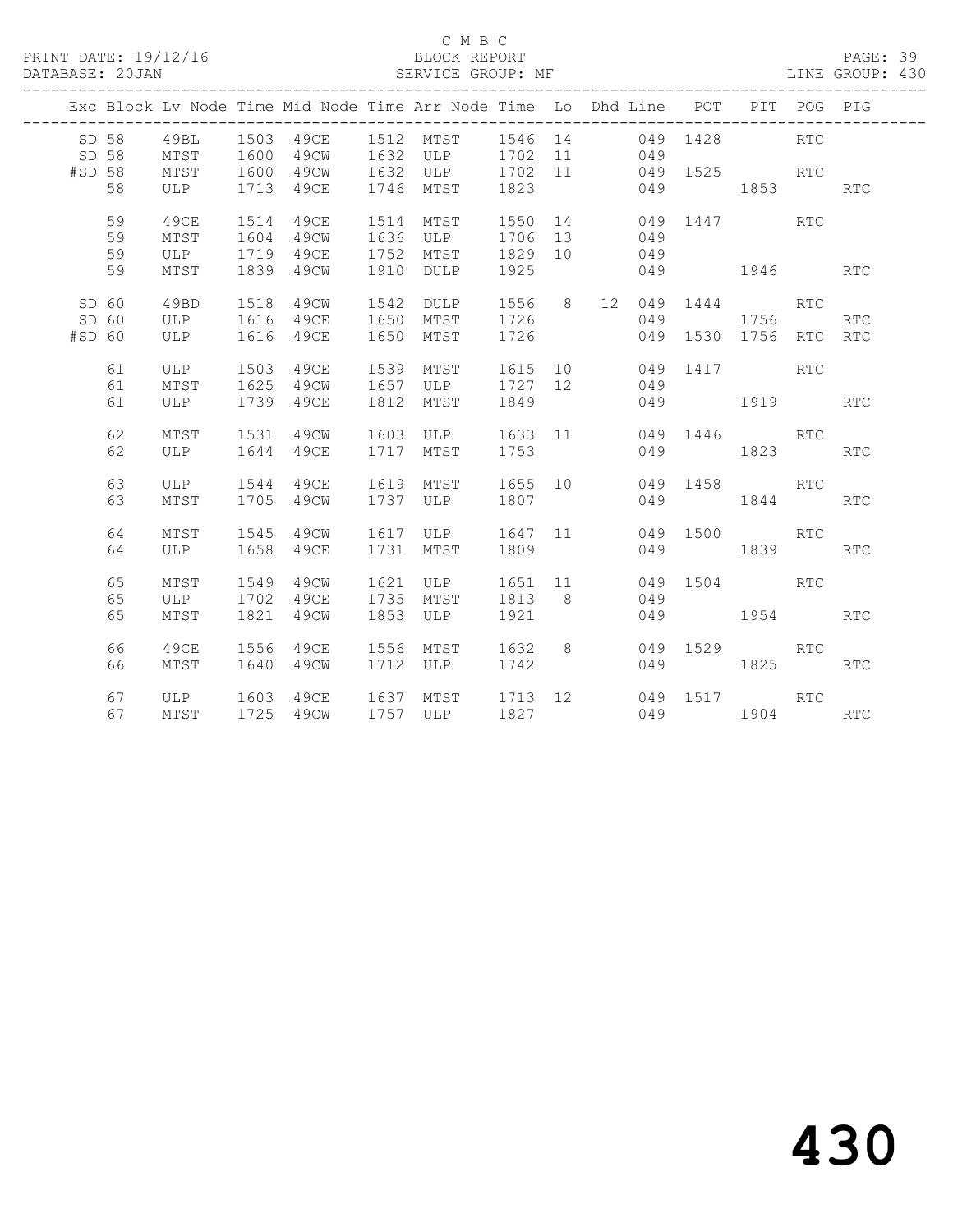PRINT DATE: 19/12/16 BLOCK REPORT BATABASE: 20JAN BLOCK REPORT SERVICE GROUP: MF

# C M B C<br>BLOCK REPORT

PAGE: 39<br>LINE GROUP: 430

|        |    |      |      | ---------------------------- |      | Exc Block Lv Node Time Mid Node Time Arr Node Time Lo Dhd Line POT PIT POG PIG |         |                |     | ---------------- |                        |            |            |
|--------|----|------|------|------------------------------|------|--------------------------------------------------------------------------------|---------|----------------|-----|------------------|------------------------|------------|------------|
| SD 58  |    | 49BL |      |                              |      | 1503  49CE  1512  MTST  1546  14   049  1428                                   |         |                |     |                  |                        | <b>RTC</b> |            |
| SD 58  |    | MTST |      |                              |      | 1600 49CW 1632 ULP 1702 11 049                                                 |         |                |     |                  |                        |            |            |
| #SD 58 |    | MTST |      | 1600 49CW                    |      | 1632 ULP 1702 11                                                               |         |                |     |                  | 049 1525 RTC           |            |            |
|        | 58 | ULP  |      | 1713 49CE                    |      | 1746 MTST                                                                      | 1823    |                |     | 049 1853         |                        |            | <b>RTC</b> |
|        |    |      |      |                              |      |                                                                                |         |                |     |                  |                        |            |            |
|        | 59 | 49CE | 1514 | 49CE                         |      | 1514 MTST                                                                      | 1550 14 |                |     |                  | 049 1447 RTC           |            |            |
|        | 59 | MTST | 1604 | 49CW                         |      | 1636 ULP                                                                       | 1706 13 |                | 049 |                  |                        |            |            |
|        | 59 | ULP  |      | 1719 49CE                    |      | 1752 MTST                                                                      | 1829 10 |                | 049 |                  |                        |            |            |
|        | 59 | MTST |      | 1839 49CW                    |      | 1910 DULP                                                                      | 1925    |                |     |                  | 049 1946 RTC           |            |            |
|        |    |      |      |                              |      |                                                                                |         |                |     |                  |                        |            |            |
| SD 60  |    | 49BD | 1518 | 49CW                         | 1542 | DULP                                                                           |         |                |     |                  | 1556 8 12 049 1444 RTC |            |            |
| SD 60  |    | ULP  |      | 1616 49CE                    |      | 1650 MTST                                                                      | 1726    |                |     | 049              | 1756                   |            | <b>RTC</b> |
| #SD 60 |    | ULP  |      | 1616 49CE                    |      | 1650 MTST 1726                                                                 |         |                |     |                  | 049 1530 1756          | RTC RTC    |            |
|        |    |      |      |                              |      |                                                                                |         |                |     |                  |                        |            |            |
|        | 61 | ULP  |      | 1503 49CE                    |      | 1539 MTST                                                                      | 1615 10 |                |     | 049 1417         | RTC                    |            |            |
|        | 61 | MTST | 1625 | 49CW                         |      | 1657 ULP 1727 12                                                               |         |                | 049 |                  |                        |            |            |
|        | 61 | ULP  |      | 1739 49CE                    |      | 1812 MTST                                                                      | 1849    |                |     |                  | 049 1919 RTC           |            |            |
|        |    |      |      |                              |      |                                                                                |         |                |     |                  |                        |            |            |
|        | 62 | MTST |      | 1531 49CW                    |      | 1603 ULP 1633 11 049 1446 RTC                                                  |         |                |     |                  |                        |            |            |
|        | 62 | ULP  |      | 1644 49CE                    |      | 1717 MTST                                                                      | 1753    |                |     | 049              | 1823 RTC               |            |            |
|        |    |      |      |                              |      |                                                                                |         |                |     |                  |                        |            |            |
|        | 63 | ULP  |      | 1544 49CE                    |      | 1619 MTST                                                                      | 1655 10 |                |     |                  | 049 1458 RTC           |            |            |
|        | 63 | MTST |      | 1705 49CW                    |      | 1737 ULP                                                                       | 1807    |                |     | 049              | 1844                   |            | <b>RTC</b> |
|        |    |      |      |                              |      |                                                                                |         |                |     |                  |                        |            |            |
|        | 64 | MTST | 1545 | 49CW                         |      | 1617 ULP                                                                       | 1647 11 |                |     | 049 1500         |                        | RTC        |            |
|        | 64 | ULP  |      | 1658 49CE                    |      | 1731 MTST                                                                      | 1809    |                |     | 049              | 1839                   |            | <b>RTC</b> |
|        |    |      |      |                              |      |                                                                                |         |                |     |                  |                        |            |            |
|        | 65 | MTST | 1549 | 49CW                         | 1621 | ULP 1651 11                                                                    |         |                |     |                  | 049 1504 RTC           |            |            |
|        | 65 | ULP  |      | 1702 49CE                    |      | 1735 MTST                                                                      | 1813    | 8 <sup>8</sup> | 049 |                  |                        |            |            |
|        | 65 | MTST |      | 1821 49CW                    |      | 1853 ULP                                                                       | 1921    |                |     |                  | 049 1954               |            | <b>RTC</b> |
|        |    |      |      |                              |      |                                                                                |         |                |     |                  |                        |            |            |
|        | 66 | 49CE |      | 1556 49CE                    |      | 1556 MTST 1632 8                                                               |         |                |     |                  | 049 1529 RTC           |            |            |
|        | 66 | MTST |      | 1640 49CW                    |      | 1712 ULP 1742                                                                  |         |                |     | 049              | 1825                   |            | RTC        |
|        |    |      |      |                              |      |                                                                                |         |                |     |                  |                        |            |            |
|        | 67 |      |      |                              |      | ULP 1603 49CE 1637 MTST 1713 12 049 1517 RTC                                   |         |                |     |                  |                        |            |            |
|        | 67 | MTST |      | 1725 49CW                    |      | 1757 ULP 1827                                                                  |         |                |     |                  | 049 1904 RTC           |            |            |
|        |    |      |      |                              |      |                                                                                |         |                |     |                  |                        |            |            |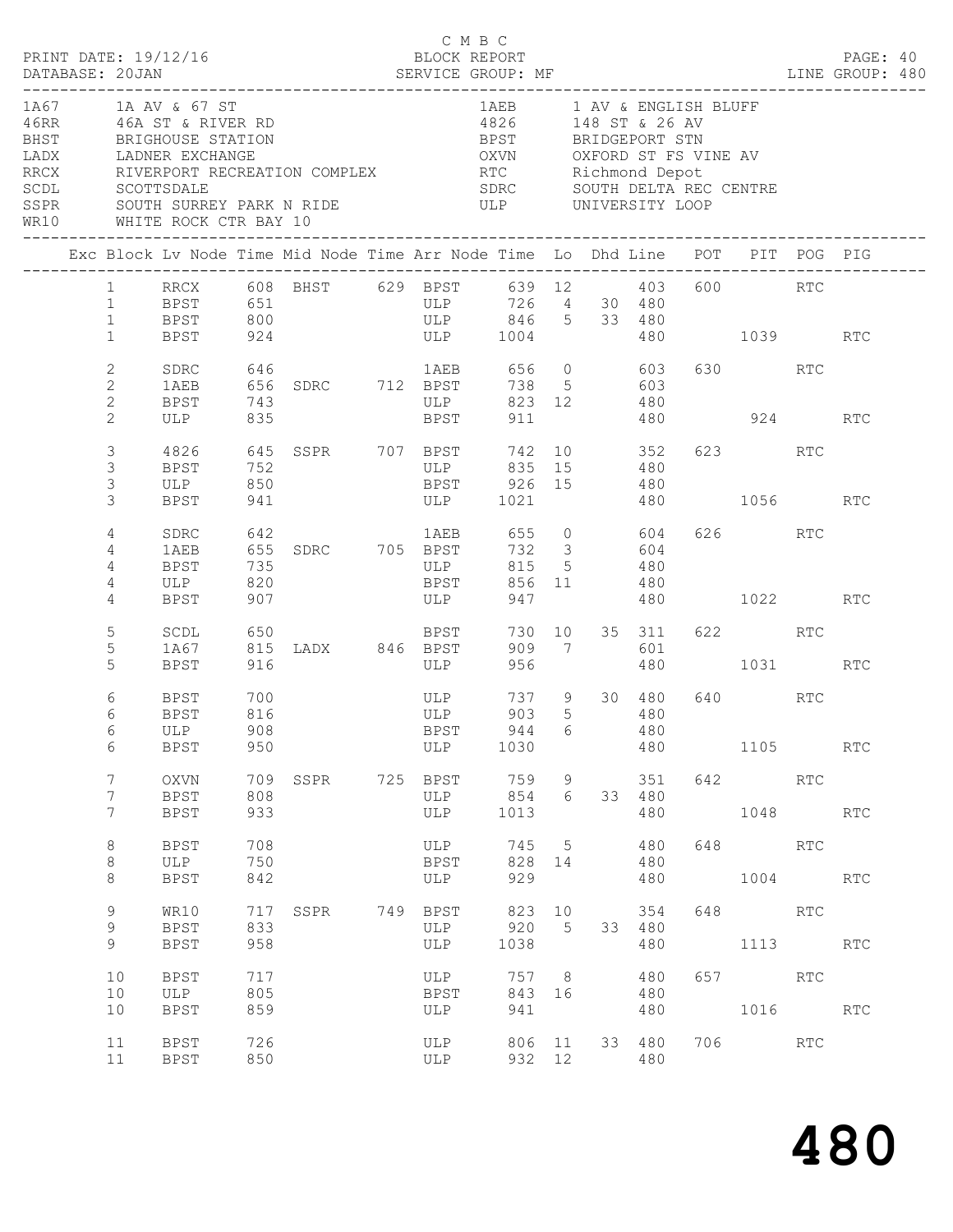|                                      | PRINT DATE: 19/12/16<br>DATABASE: 20JAN    |                                                                                                               |                          |                                                                                                     | C M B C<br>BLOCK REPORT                      |                                                                                                                                                                                      |                       |                                         |              |                           |             | PAGE: 40<br>LINE GROUP: 480 |  |
|--------------------------------------|--------------------------------------------|---------------------------------------------------------------------------------------------------------------|--------------------------|-----------------------------------------------------------------------------------------------------|----------------------------------------------|--------------------------------------------------------------------------------------------------------------------------------------------------------------------------------------|-----------------------|-----------------------------------------|--------------|---------------------------|-------------|-----------------------------|--|
| LADX<br>RRCX<br>SCDL<br>SSPR<br>WR10 |                                            | 1A67 1A AV & 67 ST<br>46RR 46A ST & RIVER RD<br>BHST BRIGHOUSE STATION<br>SCOTTSDALE<br>WHITE ROCK CTR BAY 10 |                          | LADNER EXCHANGE<br>RIVERPORT RECREATION COMPLEX<br>SOUTH SURREY PARK N RIDE THE THE UNIVERSITY LOOP |                                              | 1AEB 1 AV & ENGLISH BLUFF<br>4826 148 ST & 26 AV<br>BPST BRIDGEPORT STN<br>OXVN           OXFORD  ST  FS  VINE  AV<br>RTC             Richmond  Depot<br>SDRC SOUTH DELTA REC CENTRE |                       |                                         |              |                           |             |                             |  |
|                                      |                                            |                                                                                                               |                          | Exc Block Lv Node Time Mid Node Time Arr Node Time Lo Dhd Line POT PIT POG PIG                      |                                              |                                                                                                                                                                                      |                       |                                         |              |                           |             |                             |  |
|                                      | $1 -$<br>1<br>$\mathbf{1}$<br>$\mathbf{1}$ | <b>BPST</b><br><b>BPST</b><br>BPST                                                                            | 800<br>924               |                                                                                                     | ULP<br>ULP 846 5 33 480<br>ULP 1004 480 1039 | 639 12 403 600 RTC                                                                                                                                                                   |                       | 726 4 30 480                            |              |                           |             | <b>RTC</b>                  |  |
|                                      | 2<br>2<br>$\mathbf{2}$                     | SDRC<br>1AEB<br>BPST                                                                                          | 646<br>743               | 656 SDRC 712 BPST                                                                                   | 1AEB 656 0 603<br>ULP                        |                                                                                                                                                                                      |                       | 738 5 603<br>823 12 480                 |              | 630 RTC                   |             |                             |  |
|                                      | $\overline{2}$<br>3<br>3                   | ULP<br>4826<br>BPST                                                                                           | 835<br>752               | 645 SSPR 707 BPST                                                                                   | <b>BPST</b><br>ULP 835 15                    | 911<br>742                                                                                                                                                                           |                       | 10 352<br>480                           | 480 924      | 623 and the set of $\sim$ | RTC         | <b>RTC</b>                  |  |
|                                      | 3<br>3<br>4                                | ULP<br>BPST<br>SDRC                                                                                           | 850<br>941<br>642        |                                                                                                     | BPST 926 15<br>ULP 1021<br>1AEB 655 0 604    |                                                                                                                                                                                      |                       | 480                                     | 480 1056     | 626 RTC                   |             | RTC                         |  |
|                                      | 4<br>4<br>4<br>4                           | 1AEB<br>BPST<br>ULP<br>BPST                                                                                   | 735<br>820<br>907        | 655 SDRC 705 BPST                                                                                   | ULP<br><b>BPST</b><br><b>ULP</b>             | 732 3<br>947                                                                                                                                                                         | 815 5<br>856 11       | 604<br>480<br>480                       | 480 1022     |                           |             | RTC                         |  |
|                                      | 5<br>5<br>5                                | SCDL<br>1A67<br><b>BPST</b>                                                                                   | 916                      |                                                                                                     | ULP                                          | 956                                                                                                                                                                                  | 730 10<br>909 7       | 35 311 622 RTC<br>601                   | 480 1031 RTC |                           |             |                             |  |
|                                      | 6<br>6<br>6<br>6                           | BPST<br><b>BPST</b><br>ULP<br>BPST                                                                            | 700<br>816<br>908<br>950 |                                                                                                     | ULP<br>ULP<br>BPST<br>ULP                    | 903<br>1030                                                                                                                                                                          | $5^{\circ}$           | 737 9 30 480<br>480<br>944 6 480<br>480 |              | 640 640                   | RTC<br>1105 | <b>RTC</b>                  |  |
|                                      | 7<br>7<br>$7\phantom{.0}$                  | <b>OXVN</b><br><b>BPST</b><br><b>BPST</b>                                                                     | 709<br>808<br>933        | SSPR 725 BPST                                                                                       | ULP<br>ULP                                   | 759<br>854<br>1013                                                                                                                                                                   | 9<br>6                | 351<br>33 480<br>480                    |              | 642 RTC                   | 1048 RTC    |                             |  |
|                                      | $\,8\,$<br>8<br>8                          | <b>BPST</b><br>ULP<br><b>BPST</b>                                                                             | 708<br>750<br>842        |                                                                                                     | ULP<br>BPST<br>ULP                           | 745 5<br>929                                                                                                                                                                         | 828 14                | 480<br>480<br>480                       |              | 648 RTC                   | 1004 RTC    |                             |  |
|                                      | 9<br>9<br>9                                | WR10<br><b>BPST</b><br><b>BPST</b>                                                                            | 717<br>833<br>958        | SSPR 749 BPST                                                                                       | ULP<br>ULP                                   | 920<br>1038                                                                                                                                                                          | 823 10<br>$5^{\circ}$ | 354<br>33 480<br>480                    |              | 648 RTC                   | 1113 RTC    |                             |  |
|                                      | 10<br>10<br>10                             | <b>BPST</b><br>ULP<br><b>BPST</b>                                                                             | 717<br>805<br>859        |                                                                                                     | ULP<br>BPST<br>ULP                           | 843 16<br>941                                                                                                                                                                        | 757 8                 | 480<br>480<br>480                       |              | 657 RTC                   | 1016 RTC    |                             |  |
|                                      | 11<br>11                                   | <b>BPST</b><br><b>BPST</b>                                                                                    | 726<br>850               |                                                                                                     | ULP<br>ULP                                   |                                                                                                                                                                                      | 806 11<br>932 12      | 33 480<br>480                           |              | 706 RTC                   |             |                             |  |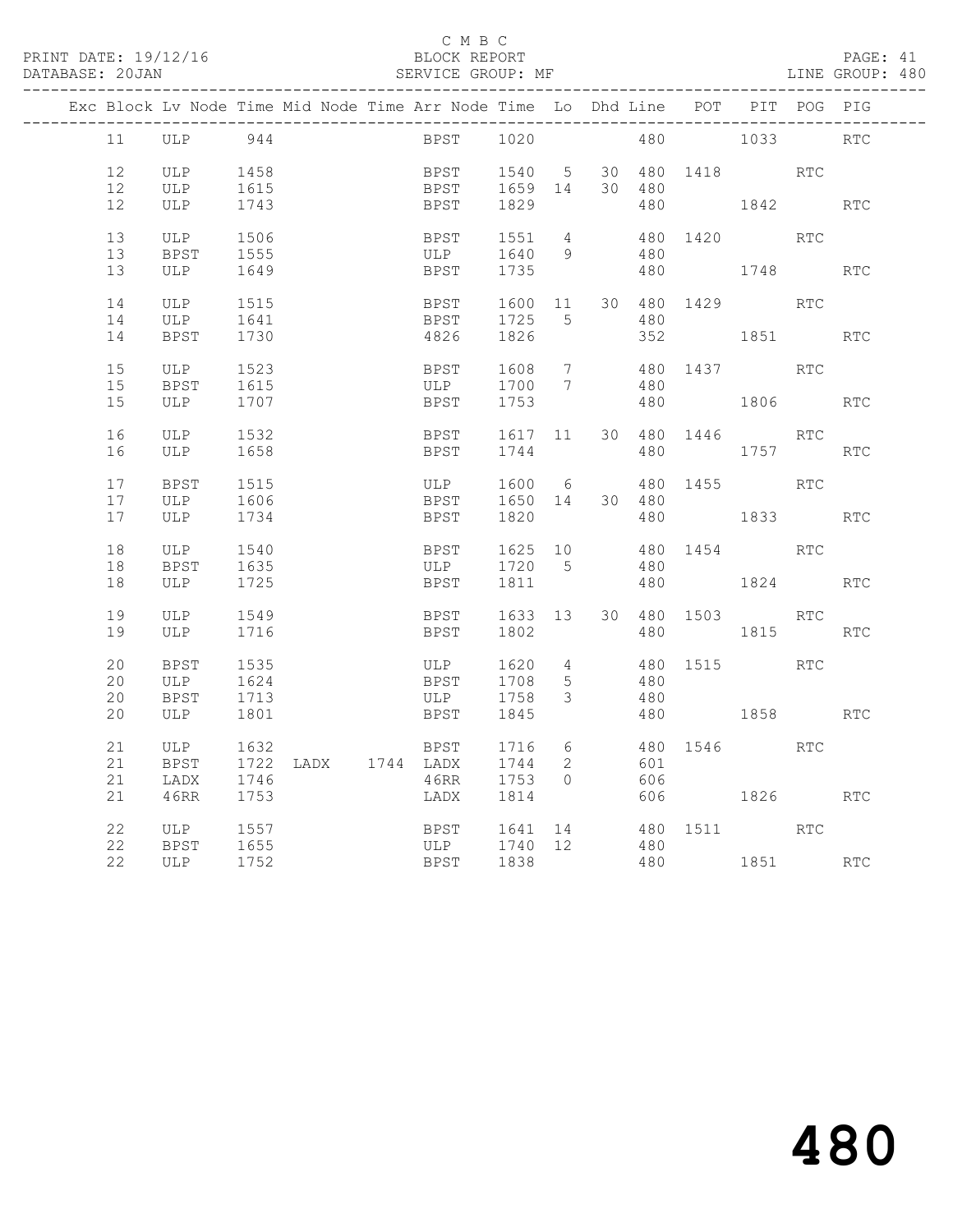### C M B C<br>BLOCK REPORT

#### SERVICE GROUP: MF

|  |          | Exc Block Lv Node Time Mid Node Time Arr Node Time Lo Dhd Line POT PIT POG PIG |                     |  |      |             |                             |                                  |        |                     |                     |            |                      |
|--|----------|--------------------------------------------------------------------------------|---------------------|--|------|-------------|-----------------------------|----------------------------------|--------|---------------------|---------------------|------------|----------------------|
|  | 11       | ULP                                                                            | 944                 |  |      | <b>BPST</b> | 1020                        |                                  |        |                     | 480 1033            |            | $\operatorname{RTC}$ |
|  | 12       | ULP                                                                            | 1458                |  |      |             |                             |                                  |        |                     | 30 480 1418         |            |                      |
|  | 12       | ULP                                                                            | 1615                |  |      |             | BPST 1540 5<br>BPST 1659 14 |                                  | 30 480 |                     |                     | RTC        |                      |
|  | 12       | <b>ULP</b>                                                                     | 1743                |  |      | <b>BPST</b> | 1829                        |                                  |        |                     | 480 1842            |            | <b>RTC</b>           |
|  |          |                                                                                |                     |  |      |             |                             |                                  |        |                     |                     |            |                      |
|  | 13       | ULP                                                                            | 1506                |  |      | BPST        | 1551                        | $\overline{4}$                   |        | 480 1420            |                     | RTC        |                      |
|  | 13       | BPST                                                                           | 1555                |  | ULP  |             | 1640 9                      |                                  | 480    |                     |                     |            |                      |
|  | 13       | ULP                                                                            | 1649                |  |      | <b>BPST</b> | 1735                        |                                  |        |                     | 480 1748 RTC        |            |                      |
|  |          |                                                                                |                     |  |      |             |                             |                                  |        |                     |                     |            |                      |
|  | 14       | ULP                                                                            | 1515                |  |      | BPST        |                             |                                  |        |                     | 1600 11 30 480 1429 | RTC        |                      |
|  | 14       | ULP                                                                            | 1641                |  |      | BPST        | 1725                        | 5                                | 480    |                     |                     |            |                      |
|  | 14       | BPST                                                                           | 1730                |  | 4826 |             | 1826                        |                                  |        |                     | 352 1851            |            | RTC                  |
|  |          |                                                                                |                     |  |      |             |                             |                                  |        |                     |                     |            |                      |
|  | 15<br>15 | ULP<br>BPST                                                                    | 1523<br>1615        |  | BPST |             | 1608<br>ULP 1700            | $\overline{7}$<br>$\overline{7}$ | 480    |                     | 480 1437 RTC        |            |                      |
|  | 15       | ULP                                                                            | 1707                |  |      | BPST        | 1753                        |                                  |        | 480 1806            |                     |            | RTC                  |
|  |          |                                                                                |                     |  |      |             |                             |                                  |        |                     |                     |            |                      |
|  | 16       | ULP                                                                            | 1532                |  | BPST |             |                             |                                  |        | 1617 11 30 480 1446 |                     | <b>RTC</b> |                      |
|  | 16       | ULP                                                                            | 1658                |  |      | <b>BPST</b> | 1744                        |                                  | 480    |                     | 1757                |            | RTC                  |
|  |          |                                                                                |                     |  |      |             |                             |                                  |        |                     |                     |            |                      |
|  | 17       | BPST                                                                           | 1515                |  | ULP  |             | 1600 6                      |                                  |        |                     | 480 1455 RTC        |            |                      |
|  | 17       | ULP                                                                            | 1606                |  |      | <b>BPST</b> | 1650 14 30 480              |                                  |        |                     |                     |            |                      |
|  | 17       | ULP                                                                            | 1734                |  |      | BPST        | 1820                        |                                  |        |                     | 480 1833            |            | <b>RTC</b>           |
|  |          |                                                                                |                     |  |      |             |                             |                                  |        |                     |                     |            |                      |
|  | 18       | ULP                                                                            | 1540                |  | BPST |             | 1625 10                     |                                  |        |                     | 480 1454 RTC        |            |                      |
|  | 18       | BPST                                                                           | 1635                |  |      | ULP         | 1720 5                      |                                  | 480    |                     |                     |            |                      |
|  | 18       | ULP                                                                            | 1725                |  |      | BPST        | 1811                        |                                  |        |                     | 480 1824            |            | <b>RTC</b>           |
|  | 19       | ULP                                                                            | 1549                |  |      | BPST        | 1633 13                     |                                  |        |                     | 30 480 1503         | RTC        |                      |
|  | 19       | ULP                                                                            | 1716                |  |      | BPST        | 1802                        |                                  | 480    |                     | 1815                |            | RTC                  |
|  |          |                                                                                |                     |  |      |             |                             |                                  |        |                     |                     |            |                      |
|  | 20       | BPST                                                                           | 1535                |  | ULP  |             | 1620                        | $\overline{4}$                   |        |                     | 480 1515            | RTC        |                      |
|  | 20       | ULP                                                                            | 1624                |  |      | <b>BPST</b> | 1708                        | $5\overline{)}$                  | 480    |                     |                     |            |                      |
|  | 20       | BPST                                                                           | 1713                |  | ULP  |             | 1758                        | $\mathcal{S}$                    | 480    |                     |                     |            |                      |
|  | 20       | ULP                                                                            | 1801                |  | BPST |             | 1845                        |                                  |        |                     | 480 1858            |            | <b>RTC</b>           |
|  |          |                                                                                |                     |  |      |             |                             |                                  |        |                     |                     |            |                      |
|  | 21       | ULP                                                                            | 1632                |  | BPST |             | 1716                        | 6                                |        |                     | 480 1546            | RTC        |                      |
|  | 21       | <b>BPST</b>                                                                    | 1722 LADX 1744 LADX |  |      |             | 1744                        | 2                                | 601    |                     |                     |            |                      |
|  | 21       | LADX                                                                           | 1746                |  | 46RR |             | 1753                        | $\bigcap$                        | 606    |                     |                     |            |                      |
|  | 21       | 46RR                                                                           | 1753                |  | LADX |             | 1814                        |                                  |        |                     | 606 1826 RTC        |            |                      |
|  | 22       | ULP                                                                            | 1557                |  |      | <b>BPST</b> | 1641 14                     |                                  |        |                     | 480 1511            | RTC        |                      |
|  | 22       | BPST                                                                           | 1655                |  |      | ULP         | 1740 12                     |                                  | 480    |                     |                     |            |                      |
|  | 22       | ULP                                                                            | 1752                |  |      | <b>BPST</b> | 1838                        |                                  |        |                     | 480 1851 RTC        |            |                      |
|  |          |                                                                                |                     |  |      |             |                             |                                  |        |                     |                     |            |                      |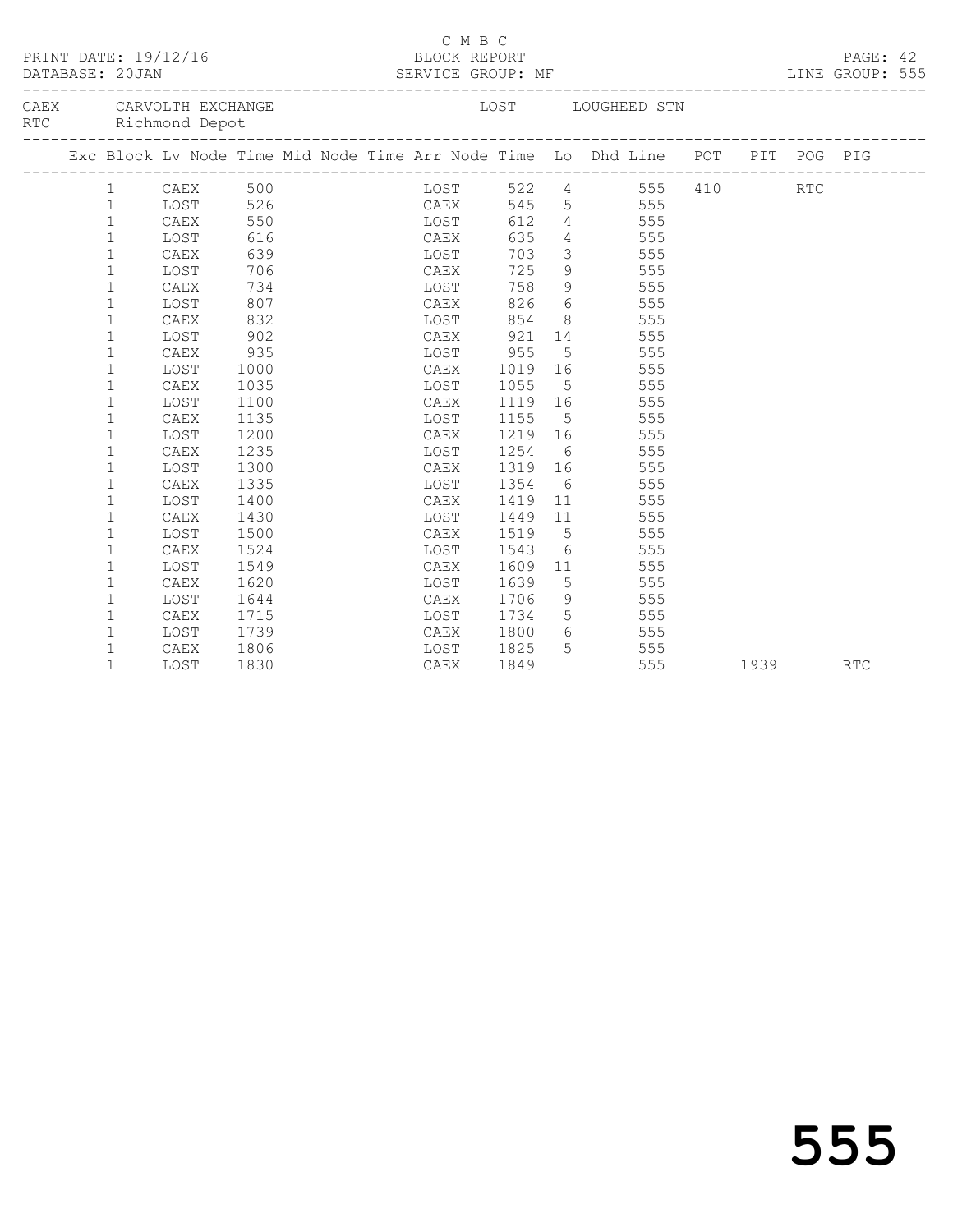|  | PRINT DATE: 19/12/16 | BLOCK REPORT                                                       |      | C M B C |  |      |  |                        |                 | PAGE: 42<br>LINE GROUP: 555                                                    |  |          |  |  |
|--|----------------------|--------------------------------------------------------------------|------|---------|--|------|--|------------------------|-----------------|--------------------------------------------------------------------------------|--|----------|--|--|
|  |                      | CAEX CARVOLTH EXCHANGE<br>RTC Richmond Depot                       |      |         |  |      |  |                        |                 | LOST LOUGHEED STN                                                              |  |          |  |  |
|  |                      |                                                                    |      |         |  |      |  |                        |                 | Exc Block Lv Node Time Mid Node Time Arr Node Time Lo Dhd Line POT PIT POG PIG |  |          |  |  |
|  |                      | 1 CAEX 500<br>1 LOST 526<br>1 LOST 550<br>1 CAEX 550<br>1 LOST 616 |      |         |  |      |  |                        |                 | LOST 522 4 555 410 RTC<br>CAEX 545 5 555<br>LOST 612 4 555                     |  |          |  |  |
|  |                      |                                                                    |      |         |  |      |  |                        |                 |                                                                                |  |          |  |  |
|  |                      |                                                                    |      |         |  |      |  |                        |                 |                                                                                |  |          |  |  |
|  |                      |                                                                    |      |         |  |      |  | CAEX 635               |                 | $\frac{1}{4}$ 555                                                              |  |          |  |  |
|  | $\mathbf 1$          | CAEX                                                               | 639  |         |  | LOST |  | 703                    |                 | 3 555                                                                          |  |          |  |  |
|  | $\mathbf{1}$         | LOST                                                               | 706  |         |  | CAEX |  |                        |                 | 725 9 555                                                                      |  |          |  |  |
|  | $\mathbf 1$          | CAEX                                                               | 734  |         |  | LOST |  |                        |                 | 758 9 555                                                                      |  |          |  |  |
|  | $\mathbf 1$          | LOST                                                               | 807  |         |  |      |  |                        |                 | CAEX 826 6 555                                                                 |  |          |  |  |
|  | $\mathbf 1$          | CAEX                                                               | 832  |         |  |      |  | LOST 854               |                 | 8 555                                                                          |  |          |  |  |
|  | 1                    | LOST                                                               | 902  |         |  |      |  | CAEX 921               |                 | 14 555                                                                         |  |          |  |  |
|  | $\mathbf 1$          | CAEX                                                               | 935  |         |  |      |  | LOST 955               |                 | 5 555                                                                          |  |          |  |  |
|  | $\mathbf{1}$         | LOST                                                               | 1000 |         |  |      |  |                        |                 | CAEX 1019 16 555                                                               |  |          |  |  |
|  | $\mathbf 1$          | CAEX                                                               | 1035 |         |  |      |  | LOST 1055              |                 | 5 555                                                                          |  |          |  |  |
|  | $\mathbf 1$          | LOST                                                               | 1100 |         |  |      |  |                        |                 | CAEX 1119 16 555<br>LOST 1155 5 555<br>CAEX 1219 16 555                        |  |          |  |  |
|  | $\mathbf 1$          | CAEX                                                               | 1135 |         |  |      |  |                        |                 | 555                                                                            |  |          |  |  |
|  | $\mathbf{1}$         | LOST                                                               | 1200 |         |  |      |  |                        |                 |                                                                                |  |          |  |  |
|  | $\mathbf{1}$         | CAEX                                                               | 1235 |         |  |      |  |                        |                 | CAEX 1219 16 555<br>LOST 1254 6 555                                            |  |          |  |  |
|  | $\mathbf{1}$         | LOST                                                               | 1300 |         |  |      |  |                        |                 | CAEX 1319 16 555                                                               |  |          |  |  |
|  | 1                    | CAEX                                                               | 1335 |         |  |      |  | LOST 1354              |                 | 6 555                                                                          |  |          |  |  |
|  | $\mathbf 1$          | LOST                                                               | 1400 |         |  |      |  | CAEX 1419              |                 | 11 555                                                                         |  |          |  |  |
|  | 1                    | CAEX                                                               | 1430 |         |  |      |  |                        |                 | LOST 1449 11 555                                                               |  |          |  |  |
|  | 1                    | LOST                                                               | 1500 |         |  |      |  | CAEX 1519              |                 | 5 555                                                                          |  |          |  |  |
|  | 1                    | CAEX                                                               | 1524 |         |  |      |  | LOST 1543              |                 | 6 555                                                                          |  |          |  |  |
|  | $\mathbf 1$          | LOST                                                               | 1549 |         |  |      |  | CAEX 1609              |                 | 11 555                                                                         |  |          |  |  |
|  | $\mathbf 1$          | CAEX                                                               | 1620 |         |  |      |  | LOST 1639              |                 | 5 555                                                                          |  |          |  |  |
|  | $\mathbf{1}$         | LOST                                                               | 1644 |         |  | CAEX |  | 1706                   |                 | 9 555                                                                          |  |          |  |  |
|  | $\mathbf 1$          | CAEX                                                               | 1715 |         |  | LOST |  | 1734                   |                 | 5 555                                                                          |  |          |  |  |
|  | $\mathbf{1}$         | LOST                                                               | 1739 |         |  |      |  |                        | $6\overline{6}$ | 555                                                                            |  |          |  |  |
|  | 1                    | CAEX                                                               | 1806 |         |  |      |  | CAEX 1800<br>LOST 1825 | $5^{\circ}$     | 555                                                                            |  |          |  |  |
|  | $\mathbf{1}$         | LOST                                                               | 1830 |         |  | CAEX |  | 1849                   |                 | 555                                                                            |  | 1939 RTC |  |  |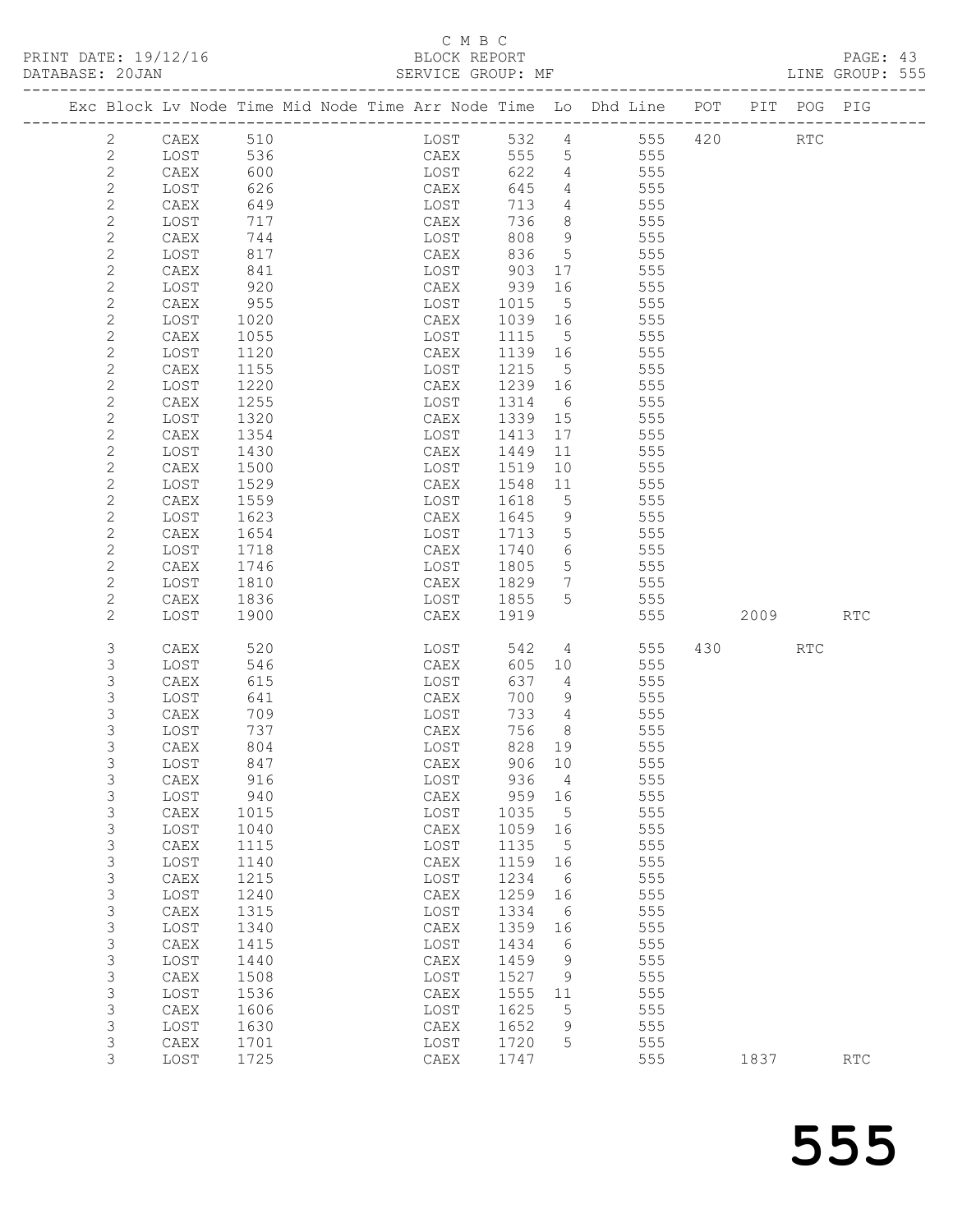# C M B C<br>BLOCK REPORT

| PRINT DATE: 19/12/16<br>DATABASE: 20JAN |                |                 |      |  | $\cup$ M $\cup$ |        |                 |                                                                                |     |          | LINE GROUP: 555 |  |
|-----------------------------------------|----------------|-----------------|------|--|-----------------|--------|-----------------|--------------------------------------------------------------------------------|-----|----------|-----------------|--|
|                                         |                |                 |      |  |                 |        |                 | Exc Block Lv Node Time Mid Node Time Arr Node Time Lo Dhd Line POT PIT POG PIG |     |          |                 |  |
|                                         | 2              | CAEX            | 510  |  | LOST            |        | 532 4           | 555                                                                            |     | 420 RTC  |                 |  |
|                                         | $\mathbf{2}$   | LOST            | 536  |  | CAEX            |        |                 | 555 5<br>555                                                                   |     |          |                 |  |
|                                         | $\overline{c}$ | CAEX            | 600  |  | LOST            | 622    |                 | $4\overline{ }$<br>555                                                         |     |          |                 |  |
|                                         | $\mathbf{2}$   | LOST            | 626  |  | CAEX            | 645    | $4\overline{ }$ | 555                                                                            |     |          |                 |  |
|                                         | $\mathbf{2}$   | CAEX            | 649  |  | LOST            | 713    |                 | $4\overline{ }$<br>555                                                         |     |          |                 |  |
|                                         | $\mathbf{2}$   | LOST            | 717  |  | CAEX            | 736    | 8               | 555                                                                            |     |          |                 |  |
|                                         | $\mathbf{2}$   | CAEX            | 744  |  | LOST            | 808    | 9               | 555                                                                            |     |          |                 |  |
|                                         | $\mathbf{2}$   | LOST            | 817  |  | CAEX            | 836    | $5\overline{)}$ | 555                                                                            |     |          |                 |  |
|                                         | $\mathbf{2}$   | CAEX            | 841  |  | LOST            | 903    | 17              | 555                                                                            |     |          |                 |  |
|                                         | $\mathbf{2}$   | LOST            | 920  |  | CAEX            | 939 16 |                 | 555                                                                            |     |          |                 |  |
|                                         | $\mathbf{2}$   | CAEX            | 955  |  | LOST            | 1015   | 5               | 555                                                                            |     |          |                 |  |
|                                         | $\mathbf{2}$   | LOST            | 1020 |  | CAEX            | 1039   | 16              | 555                                                                            |     |          |                 |  |
|                                         | $\mathbf{2}$   | CAEX            | 1055 |  | LOST            | 1115   | 5               | 555                                                                            |     |          |                 |  |
|                                         | $\mathbf{2}$   | LOST            | 1120 |  | CAEX            | 1139   | 16              | 555                                                                            |     |          |                 |  |
|                                         | $\mathbf{2}$   | CAEX            | 1155 |  | LOST            | 1215   | 5               | 555                                                                            |     |          |                 |  |
|                                         | $\mathbf{2}$   | LOST            | 1220 |  | CAEX            | 1239   | 16              | 555                                                                            |     |          |                 |  |
|                                         | $\mathbf{2}$   | CAEX            | 1255 |  | LOST            | 1314   | 6               | 555                                                                            |     |          |                 |  |
|                                         | $\mathbf{2}$   | LOST            | 1320 |  | CAEX            | 1339   | 15              | 555                                                                            |     |          |                 |  |
|                                         | $\mathbf{2}$   | CAEX            | 1354 |  | LOST            | 1413   | 17              | 555                                                                            |     |          |                 |  |
|                                         | $\mathbf{2}$   | LOST            | 1430 |  | CAEX            | 1449   | 11              | 555                                                                            |     |          |                 |  |
|                                         | $\mathbf{2}$   | CAEX            | 1500 |  | LOST            | 1519   | 10              | 555                                                                            |     |          |                 |  |
|                                         | $\mathbf{2}$   | LOST            | 1529 |  | CAEX            | 1548   | 11              | 555                                                                            |     |          |                 |  |
|                                         | $\mathbf{2}$   | CAEX            | 1559 |  | LOST            | 1618   | 5               | 555                                                                            |     |          |                 |  |
|                                         | 2              | LOST            | 1623 |  | CAEX            | 1645   | 9               | 555                                                                            |     |          |                 |  |
|                                         | $\mathbf{2}$   | CAEX            | 1654 |  | LOST            | 1713   | $5\phantom{.0}$ | 555                                                                            |     |          |                 |  |
|                                         | 2              | LOST            | 1718 |  | CAEX            | 1740   | 6 —             | 555                                                                            |     |          |                 |  |
|                                         | $\mathbf{2}$   | CAEX            | 1746 |  | LOST            | 1805   | 5 <sup>5</sup>  | 555                                                                            |     |          |                 |  |
|                                         | $\mathbf{2}$   | LOST            | 1810 |  | CAEX            | 1829   | $7\phantom{.0}$ | 555                                                                            |     |          |                 |  |
|                                         | $\mathbf{2}$   | CAEX            | 1836 |  | LOST            | 1855   | 5               | 555                                                                            |     |          |                 |  |
|                                         | 2              | LOST            | 1900 |  | CAEX            | 1919   |                 | 555                                                                            |     | 2009 RTC |                 |  |
|                                         | 3              | CAEX            | 520  |  | LOST            | 542    | 4               | 555                                                                            | 430 | RTC      |                 |  |
|                                         | 3              | LOST            | 546  |  | CAEX            | 605    | 10              | 555                                                                            |     |          |                 |  |
|                                         | 3              | CAEX            | 615  |  | LOST            | 637    | $4\overline{ }$ | 555                                                                            |     |          |                 |  |
|                                         | 3              | LOST            | 641  |  | CAEX            | 700    | 9               | 555                                                                            |     |          |                 |  |
|                                         | 3              | CAEX            | 709  |  | LOST            | 733    | 4               | 555                                                                            |     |          |                 |  |
|                                         | 3              | LOST            | 737  |  | CAEX            | 756    | 8               | 555                                                                            |     |          |                 |  |
|                                         | 3              | CAEX            | 804  |  | LOST            | 828    | 19              | 555                                                                            |     |          |                 |  |
|                                         | 3              | LOST            | 847  |  | CAEX            | 906    | 10              | 555                                                                            |     |          |                 |  |
|                                         | 3              | CAEX            | 916  |  | LOST            | 936    | 4               | 555                                                                            |     |          |                 |  |
|                                         | $\mathsf S$    | LOST            | 940  |  | CAEX            | 959    | 16              | 555                                                                            |     |          |                 |  |
|                                         | 3              | CAEX            | 1015 |  | LOST            | 1035   | $\mathsf S$     | 555                                                                            |     |          |                 |  |
|                                         | 3              | LOST            | 1040 |  | ${\tt CAEX}$    | 1059   | 16              | 555                                                                            |     |          |                 |  |
|                                         | 3              | CAEX            | 1115 |  | LOST            | 1135   | 5               | 555                                                                            |     |          |                 |  |
|                                         | 3              | LOST            | 1140 |  | ${\tt CAEX}$    | 1159   | 16              | 555                                                                            |     |          |                 |  |
|                                         | 3              | $\texttt{CAEX}$ | 1215 |  | LOST            | 1234   | 6               | 555                                                                            |     |          |                 |  |
|                                         | 3              | LOST            | 1240 |  | ${\tt CAEX}$    | 1259   | 16              | 555                                                                            |     |          |                 |  |
|                                         | 3              | CAEX            | 1315 |  | LOST            | 1334   | 6               | 555                                                                            |     |          |                 |  |
|                                         | 3              | LOST            | 1340 |  | ${\tt CAEX}$    | 1359   | 16              | 555                                                                            |     |          |                 |  |
|                                         | 3              | CAEX            | 1415 |  | $_{\rm LOST}$   | 1434   | 6               | 555                                                                            |     |          |                 |  |
|                                         | 3              | LOST            | 1440 |  | ${\tt CAEX}$    | 1459   | 9               | 555                                                                            |     |          |                 |  |
|                                         | 3              | CAEX            | 1508 |  | LOST            | 1527   | 9               | 555                                                                            |     |          |                 |  |
|                                         | 3              | LOST            | 1536 |  | ${\tt CAEX}$    | 1555   | 11              | 555                                                                            |     |          |                 |  |
|                                         | 3              | CAEX            | 1606 |  | LOST            | 1625   | 5               | 555                                                                            |     |          |                 |  |

3 1108T 1630<br>
3 LOST 1630 CAEX 1652 9 555<br>
3 CAEX 1701 LOST 1720 5 555<br>
3 LOST 1725 CAEX 1747 555 1837 RTC

 3 LOST 1536 CAEX 1555 11 555 3 CAEX 1606 LOST 1625 5 555 3 LOST 1630 CAEX 1652 9 555 3 CAEX 1701 LOST 1720 5 555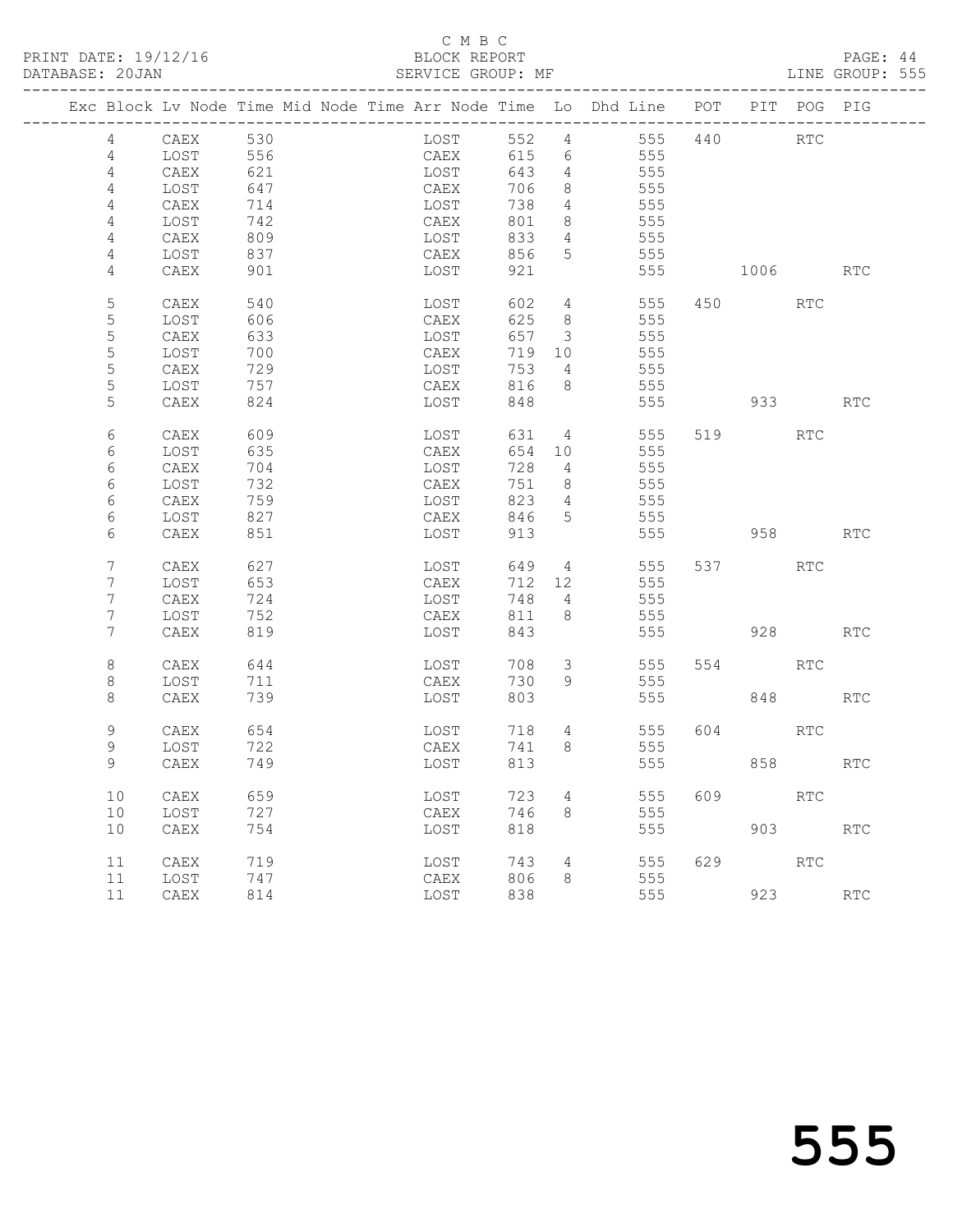PRINT DATE: 19/12/16 BLOCK REPORT BATABASE: 20JAN

# C M B C<br>BLOCK REPORT

PAGE: 44<br>LINE GROUP: 555

| Exc Block Lv Node Time Mid Node Time Arr Node Time Lo Dhd Line POT |              |     |  |      |        |                 |                        |     |                | PIT POG PIG |                      |
|--------------------------------------------------------------------|--------------|-----|--|------|--------|-----------------|------------------------|-----|----------------|-------------|----------------------|
| 4                                                                  | CAEX         | 530 |  | LOST | 552 4  |                 | 555                    | 440 |                | <b>RTC</b>  |                      |
| $\overline{4}$                                                     | LOST         | 556 |  | CAEX | 615    | 6               | 555                    |     |                |             |                      |
| 4                                                                  | CAEX         | 621 |  | LOST | 643    | $\overline{4}$  | 555                    |     |                |             |                      |
| 4                                                                  | LOST         | 647 |  | CAEX | 706    | 8               | 555                    |     |                |             |                      |
| 4                                                                  | CAEX         | 714 |  | LOST | 738    | $\overline{4}$  | 555                    |     |                |             |                      |
| 4                                                                  | LOST         | 742 |  | CAEX | 801    | 8               | 555                    |     |                |             |                      |
| 4                                                                  | ${\tt CAEX}$ | 809 |  | LOST | 833    | $4\overline{ }$ | 555                    |     |                |             |                      |
| 4                                                                  | LOST         | 837 |  | CAEX | 856    | 5               | 555                    |     |                |             |                      |
| 4                                                                  | CAEX         | 901 |  | LOST | 921    |                 | 555                    |     | 1006           |             | RTC                  |
| 5                                                                  | CAEX         | 540 |  | LOST | 602    | $\overline{4}$  |                        | 555 | 450 and $\sim$ | RTC         |                      |
| 5                                                                  | LOST         | 606 |  | CAEX | 625    | 8 <sup>8</sup>  | 555                    |     |                |             |                      |
| $\mathsf S$                                                        | CAEX         | 633 |  | LOST | 657    | $\mathcal{S}$   | 555                    |     |                |             |                      |
| $\mathsf S$                                                        | LOST         | 700 |  | CAEX | 719    | 10              | 555                    |     |                |             |                      |
| 5                                                                  | CAEX         | 729 |  | LOST | 753    | $\overline{4}$  | 555                    |     |                |             |                      |
| 5                                                                  | LOST         | 757 |  | CAEX | 816    | 8 <sup>8</sup>  | 555                    |     |                |             |                      |
| 5                                                                  | CAEX         | 824 |  | LOST | 848    |                 | 555                    |     | 933            |             | <b>RTC</b>           |
| 6                                                                  | CAEX         | 609 |  | LOST |        |                 | 631 4<br>555           |     | 519            | RTC         |                      |
| 6                                                                  | LOST         | 635 |  | CAEX |        | 654 10          | 555                    |     |                |             |                      |
| 6                                                                  | CAEX         | 704 |  | LOST | 728    | $\overline{4}$  | 555                    |     |                |             |                      |
| 6                                                                  | LOST         | 732 |  | CAEX | 751    | 8 <sup>8</sup>  | 555                    |     |                |             |                      |
| 6                                                                  | CAEX         | 759 |  | LOST | 823    | $\overline{4}$  | 555                    |     |                |             |                      |
| 6                                                                  | LOST         | 827 |  | CAEX | 846    | 5               | 555                    |     |                |             |                      |
| 6                                                                  | CAEX         | 851 |  | LOST | 913    |                 | 555                    |     | 958            |             | <b>RTC</b>           |
| 7                                                                  | CAEX         | 627 |  | LOST | 649    |                 | $4\overline{ }$<br>555 |     | 537 — 100      | RTC         |                      |
| 7                                                                  | LOST         | 653 |  | CAEX | 712 12 |                 | 555                    |     |                |             |                      |
| 7                                                                  | CAEX         | 724 |  | LOST | 748    | 4               | 555                    |     |                |             |                      |
| 7                                                                  | LOST         | 752 |  | CAEX | 811    | 8               | 555                    |     |                |             |                      |
| $7\phantom{.}$                                                     | CAEX         | 819 |  | LOST | 843    |                 | 555                    |     | 928            |             | RTC                  |
| 8                                                                  | CAEX         | 644 |  | LOST | 708    | 3               | 555                    |     | 554 7          | RTC         |                      |
| 8                                                                  | LOST         | 711 |  | CAEX | 730    | 9               | 555                    |     |                |             |                      |
| 8                                                                  | CAEX         | 739 |  | LOST | 803    |                 | 555                    |     |                | 848         | RTC                  |
| 9                                                                  | CAEX         | 654 |  | LOST | 718    | 4               | 555                    | 604 |                | RTC         |                      |
| 9                                                                  | LOST         | 722 |  | CAEX | 741    | 8               | 555                    |     |                |             |                      |
| 9                                                                  | CAEX         | 749 |  | LOST | 813    |                 | 555                    |     |                | 858 8       | RTC                  |
| 10                                                                 | CAEX         | 659 |  | LOST | 723    | 4               | 555                    | 609 |                | RTC         |                      |
| 10                                                                 | LOST         | 727 |  | CAEX | 746    | 8               | 555                    |     |                |             |                      |
| 10                                                                 | ${\tt CAEX}$ | 754 |  | LOST | 818    |                 | 555                    |     |                | 903         | $\operatorname{RTC}$ |
| 11                                                                 | CAEX         | 719 |  | LOST | 743    | 4               | 555                    | 629 |                | RTC         |                      |
| 11                                                                 | LOST         | 747 |  | CAEX | 806    | 8               | 555                    |     |                |             |                      |
| 11                                                                 | CAEX         | 814 |  | LOST | 838    |                 | 555                    |     | 923            |             | $\operatorname{RTC}$ |
|                                                                    |              |     |  |      |        |                 |                        |     |                |             |                      |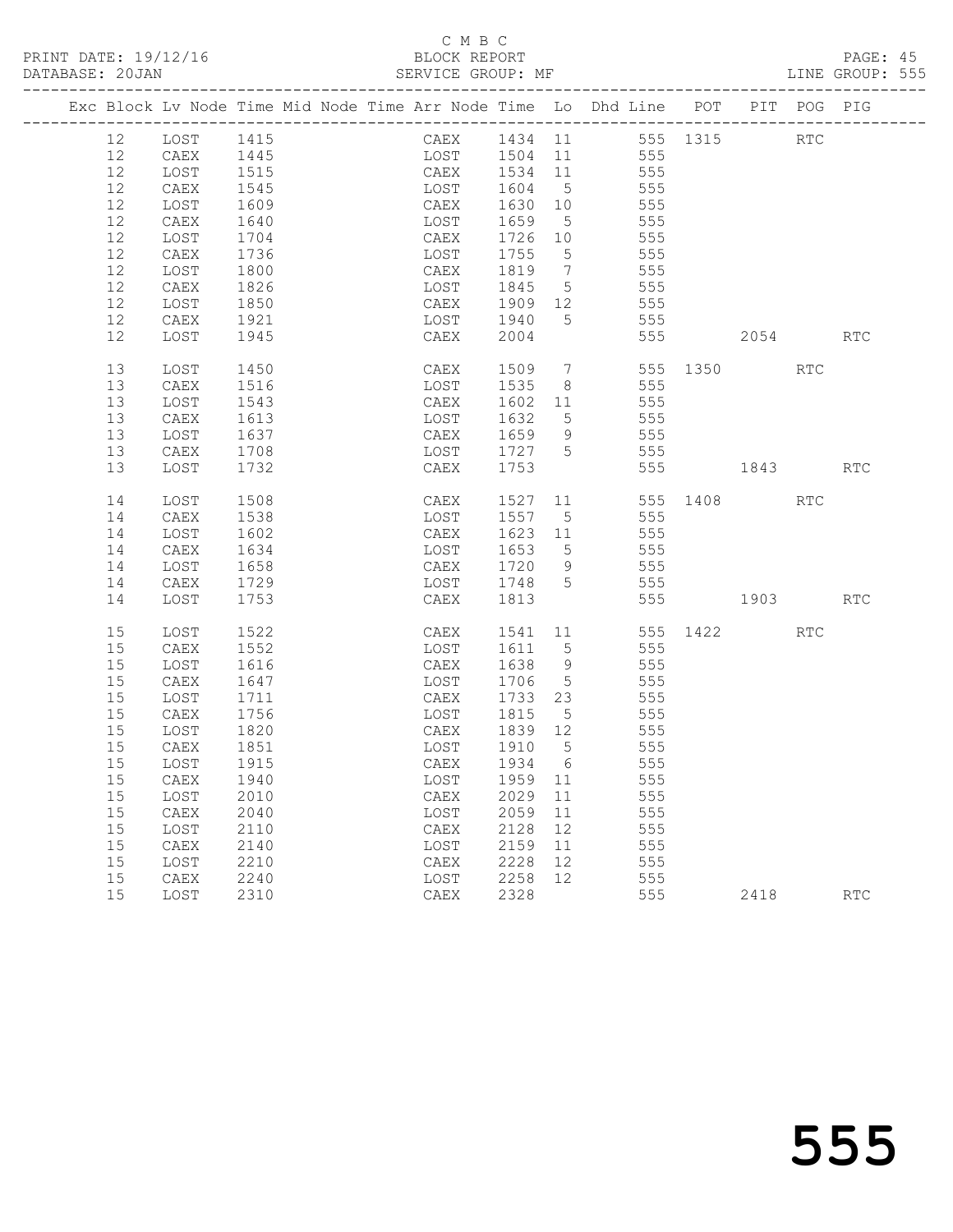#### C M B C<br>BLOCK REPORT SERVICE GROUP: MF

|    |              |              |  | Exc Block Lv Node Time Mid Node Time Arr Node Time Lo Dhd Line POT |         |    |     |     |                  |      | PIT POG PIG |                      |
|----|--------------|--------------|--|--------------------------------------------------------------------|---------|----|-----|-----|------------------|------|-------------|----------------------|
| 12 | LOST 1415    |              |  | CAEX 1434 11 555 1315 RTC                                          |         |    |     |     |                  |      |             |                      |
| 12 | CAEX         | 1445         |  | LOST 1504 11 555                                                   |         |    |     |     |                  |      |             |                      |
| 12 | LOST         | 1515         |  | CAEX 1534 11 555                                                   |         |    |     |     |                  |      |             |                      |
| 12 | CAEX         | 1545         |  | LOST                                                               | 1604 5  |    |     | 555 |                  |      |             |                      |
| 12 | LOST         | 1609         |  | CAEX                                                               | 1630 10 |    |     | 555 |                  |      |             |                      |
| 12 | CAEX         | 1640         |  | LOST                                                               | 1659 5  |    |     | 555 |                  |      |             |                      |
| 12 | LOST         | 1704         |  | CAEX                                                               | 1726 10 |    | 555 |     |                  |      |             |                      |
| 12 | CAEX         | 1736         |  | LOST                                                               | 1755 5  |    |     | 555 |                  |      |             |                      |
| 12 | LOST         | 1800         |  | CAEX                                                               | 1819 7  |    |     | 555 |                  |      |             |                      |
| 12 | CAEX         | 1826         |  | LOST                                                               | 1845 5  |    |     | 555 |                  |      |             |                      |
| 12 | LOST         | 1850         |  | CAEX                                                               | 1909 12 |    | 555 |     |                  |      |             |                      |
| 12 | CAEX         | 1921         |  | LOST                                                               | 1940    | 5  |     | 555 |                  |      |             |                      |
| 12 | LOST         | 1945         |  | CAEX                                                               | 2004    |    |     |     | 555 000          | 2054 |             | <b>RTC</b>           |
| 13 | LOST         | 1450         |  | CAEX                                                               |         |    |     |     | 1509 7 555 1350  |      | RTC         |                      |
| 13 | CAEX         | 1516         |  | LOST                                                               | 1535 8  |    |     | 555 |                  |      |             |                      |
| 13 | LOST         | 1543         |  | CAEX                                                               | 1602 11 |    |     | 555 |                  |      |             |                      |
| 13 | CAEX         | 1613         |  | LOST                                                               | 1632 5  |    |     | 555 |                  |      |             |                      |
| 13 | LOST         | 1637         |  | CAEX                                                               | 1659 9  |    | 555 |     |                  |      |             |                      |
| 13 | CAEX         | 1708         |  | LOST                                                               | 1727 5  |    | 555 |     |                  |      |             |                      |
| 13 | LOST         | 1732         |  | CAEX                                                               | 1753    |    |     |     | 555 1843         |      |             | RTC                  |
| 14 | LOST         | 1508         |  | CAEX                                                               | 1527    |    |     |     | 11 555 1408      |      | RTC         |                      |
| 14 | CAEX         | 1538         |  | LOST                                                               | 1557 5  |    |     | 555 |                  |      |             |                      |
| 14 | LOST         | 1602         |  | CAEX                                                               | 1623 11 |    |     | 555 |                  |      |             |                      |
| 14 | CAEX         | 1634         |  | LOST                                                               | 1653 5  |    |     | 555 |                  |      |             |                      |
| 14 | LOST         | 1658         |  | CAEX                                                               | 1720 9  |    |     | 555 |                  |      |             |                      |
| 14 | CAEX         | 1729         |  | LOST 1748 5                                                        |         |    | 555 |     |                  |      |             |                      |
| 14 | LOST         | 1753         |  | CAEX                                                               | 1813    |    |     |     | 555 1903         |      |             | <b>RTC</b>           |
| 15 | LOST         | 1522         |  | CAEX                                                               |         |    |     |     | 1541 11 555 1422 |      | RTC         |                      |
| 15 | CAEX         | 1552         |  | LOST                                                               | 1611 5  |    |     | 555 |                  |      |             |                      |
| 15 | LOST         | 1616         |  | CAEX                                                               | 1638 9  |    |     | 555 |                  |      |             |                      |
| 15 | CAEX         | 1647         |  | LOST                                                               | 1706 5  |    |     | 555 |                  |      |             |                      |
| 15 | LOST         | 1711         |  | CAEX                                                               | 1733 23 |    |     | 555 |                  |      |             |                      |
| 15 | CAEX         | 1756         |  | LOST                                                               | 1815 5  |    | 555 |     |                  |      |             |                      |
| 15 | LOST         | 1820         |  | CAEX                                                               | 1839 12 |    |     | 555 |                  |      |             |                      |
| 15 | CAEX         | 1851<br>1915 |  | LOST                                                               | 1910 5  |    |     | 555 |                  |      |             |                      |
| 15 | LOST         |              |  | CAEX                                                               | 1934 6  |    |     | 555 |                  |      |             |                      |
|    | 15 CAEX 1940 |              |  | LOST 1959 11                                                       |         |    |     | 555 |                  |      |             |                      |
| 15 | LOST         | 2010         |  | CAEX                                                               | 2029    | 11 |     | 555 |                  |      |             |                      |
| 15 | CAEX         | 2040         |  | LOST                                                               | 2059    | 11 |     | 555 |                  |      |             |                      |
| 15 | LOST         | 2110         |  | CAEX                                                               | 2128    | 12 |     | 555 |                  |      |             |                      |
| 15 | CAEX         | 2140         |  | LOST                                                               | 2159    | 11 |     | 555 |                  |      |             |                      |
| 15 | LOST         | 2210         |  | CAEX                                                               | 2228    | 12 |     | 555 |                  |      |             |                      |
| 15 | CAEX         | 2240         |  | LOST                                                               | 2258    | 12 |     | 555 |                  |      |             |                      |
| 15 | LOST         | 2310         |  | CAEX                                                               | 2328    |    |     | 555 |                  | 2418 |             | $\operatorname{RTC}$ |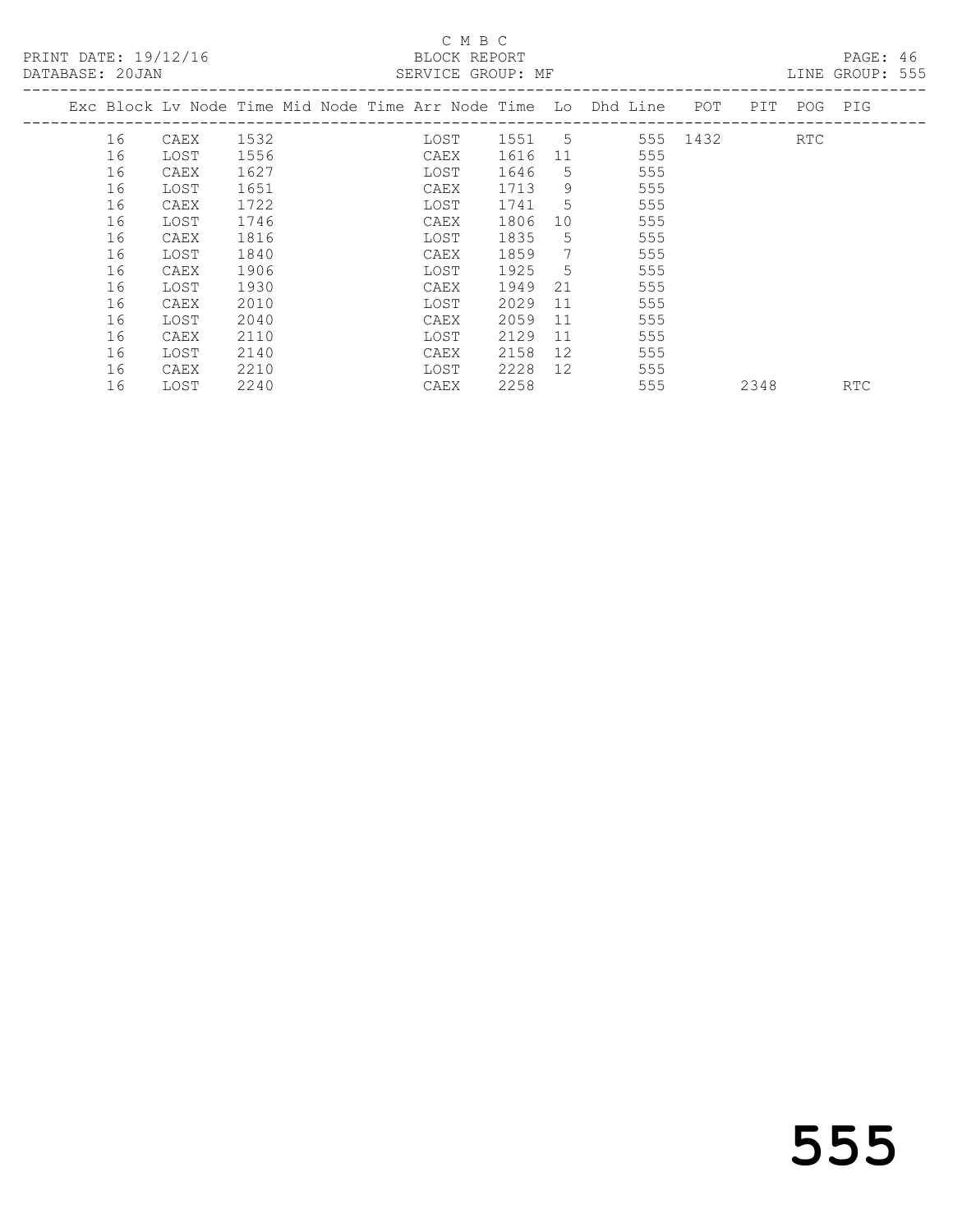# C M B C<br>BLOCK REPORT

PAGE: 46<br>LINE GROUP: 555

|    |      |                                         |  |  |                                                                                                                              |    |                             |                                                                                                       |                                                                    |      | TIME GRAAL. AAA         |
|----|------|-----------------------------------------|--|--|------------------------------------------------------------------------------------------------------------------------------|----|-----------------------------|-------------------------------------------------------------------------------------------------------|--------------------------------------------------------------------|------|-------------------------|
|    |      |                                         |  |  |                                                                                                                              |    |                             |                                                                                                       |                                                                    |      |                         |
| 16 | CAEX | 1532                                    |  |  |                                                                                                                              |    |                             |                                                                                                       |                                                                    | RTC  |                         |
| 16 |      | 1556                                    |  |  | 1616                                                                                                                         | 11 |                             |                                                                                                       |                                                                    |      |                         |
| 16 | CAEX | 1627                                    |  |  | 1646                                                                                                                         | 5  |                             |                                                                                                       |                                                                    |      |                         |
| 16 | LOST | 1651                                    |  |  | 1713                                                                                                                         | 9  |                             |                                                                                                       |                                                                    |      |                         |
| 16 | CAEX | 1722                                    |  |  | 1741                                                                                                                         | 5  |                             |                                                                                                       |                                                                    |      |                         |
| 16 |      | 1746                                    |  |  | 1806                                                                                                                         | 10 |                             |                                                                                                       |                                                                    |      |                         |
| 16 | CAEX | 1816                                    |  |  | 1835                                                                                                                         | 5. |                             |                                                                                                       |                                                                    |      |                         |
| 16 | LOST | 1840                                    |  |  | 1859                                                                                                                         | 7  |                             |                                                                                                       |                                                                    |      |                         |
| 16 | CAEX | 1906                                    |  |  | 1925                                                                                                                         | 5  |                             |                                                                                                       |                                                                    |      |                         |
| 16 | LOST | 1930                                    |  |  | 1949                                                                                                                         | 21 |                             |                                                                                                       |                                                                    |      |                         |
| 16 | CAEX | 2010                                    |  |  | 2029                                                                                                                         | 11 |                             |                                                                                                       |                                                                    |      |                         |
| 16 |      | 2040                                    |  |  | 2059                                                                                                                         | 11 |                             |                                                                                                       |                                                                    |      |                         |
| 16 | CAEX | 2110                                    |  |  | 2129                                                                                                                         | 11 |                             |                                                                                                       |                                                                    |      |                         |
| 16 | LOST | 2140                                    |  |  | 2158                                                                                                                         | 12 |                             |                                                                                                       |                                                                    |      |                         |
| 16 | CAEX | 2210                                    |  |  | 2228                                                                                                                         | 12 |                             |                                                                                                       |                                                                    |      |                         |
| 16 | LOST | 2240                                    |  |  | 2258                                                                                                                         |    |                             |                                                                                                       |                                                                    |      | RTC                     |
|    |      | DAIADAOL. ZUUAN<br>LOST<br>LOST<br>LOST |  |  | LOST<br>CAEX<br>LOST<br>CAEX<br>LOST<br>CAEX<br>LOST<br>CAEX<br>LOST<br>CAEX<br>LOST<br>CAEX<br>LOST<br>CAEX<br>LOST<br>CAEX |    | OLAVIUL UAUUF. MP<br>1551 5 | 555<br>555<br>555<br>555<br>555<br>555<br>555<br>555<br>555<br>555<br>555<br>555<br>555<br>555<br>555 | Exc Block Lv Node Time Mid Node Time Arr Node Time Lo Dhd Line POT | 2348 | PIT POG PIG<br>555 1432 |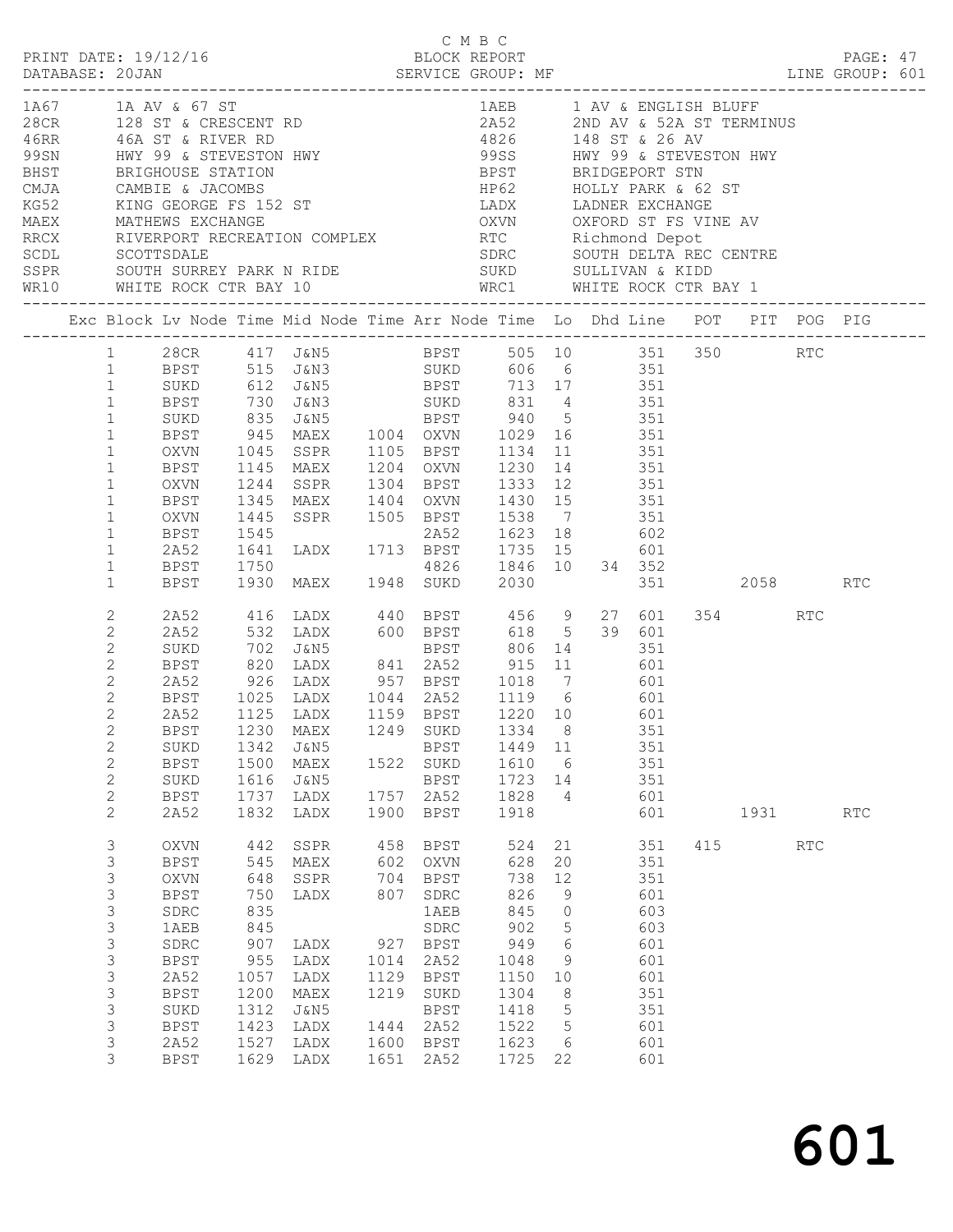|                                                                                                                                                                                                                                                                                                                                                                                                                                                                                                                                                                                                                                                                                                                                                                                                                   | DATABASE: 20JAN                                                                                                                                                                             | PRINT DATE: 19/12/16                                                                                                                                                    |                                                                                | DATABASE: 20JAN SERVICE GROUP: MF LINE GROUP: 601                                                                                                                                                                                                                                                                                                                                                     |                                                                         | C M B C<br>BLOCK REPORT                                                                                           |                                                                                                          |                                                                                                                     |                                                                                                |                                      |     | PAGE: 47 |  |
|-------------------------------------------------------------------------------------------------------------------------------------------------------------------------------------------------------------------------------------------------------------------------------------------------------------------------------------------------------------------------------------------------------------------------------------------------------------------------------------------------------------------------------------------------------------------------------------------------------------------------------------------------------------------------------------------------------------------------------------------------------------------------------------------------------------------|---------------------------------------------------------------------------------------------------------------------------------------------------------------------------------------------|-------------------------------------------------------------------------------------------------------------------------------------------------------------------------|--------------------------------------------------------------------------------|-------------------------------------------------------------------------------------------------------------------------------------------------------------------------------------------------------------------------------------------------------------------------------------------------------------------------------------------------------------------------------------------------------|-------------------------------------------------------------------------|-------------------------------------------------------------------------------------------------------------------|----------------------------------------------------------------------------------------------------------|---------------------------------------------------------------------------------------------------------------------|------------------------------------------------------------------------------------------------|--------------------------------------|-----|----------|--|
| 1A67 1A AV & 67 ST<br>28 CR 128 ST & CRESCENT RD<br>46RR 46A ST & RIVER RD<br>99SN HWY 99 & STEVESTON HWY<br>BRIST BRIGHOUSE STATION<br>CMJA CAMBIE & JACOMBS<br>THE SALE CRESCENT ROUND BRIDGEPORT STN<br>CMJA CAMBIE & JACOMBS<br>THE SALE CRESCENT BRIDGEPORT S<br>CAMBIE & JACUPIDS<br>KG52 KING GEORGE FS 152 ST LADX LADNER EXCHANGE<br>MAEX MATHEWS EXCHANGE OXVN OXFORD ST FS VINE AV<br>RRCX RIVERPORT RECREATION COMPLEX RTC Richmond Depot<br>SCOL SCOTTSDALE SDRC SOUTH DELTA RECCENTRE<br>SCOL SC<br>SSPR SOUTH SURREY PARK N RIDE<br>WR10 WHITE ROCK CTR BAY 10 WRC1 WHITE ROCK CTR BAY 1<br>Exc Block Lv Node Time Mid Node Time Arr Node Time Lo Dhd Line POT PIT POG PIG<br>1 28CR 417 J&N5 BPST 505 10 351 350 RTC<br>1 BPST 515 J&N3 SUKD 606 6 351 350 RTC<br>1 SUKD 612 J&N5 BPST 713 17 351 |                                                                                                                                                                                             |                                                                                                                                                                         |                                                                                |                                                                                                                                                                                                                                                                                                                                                                                                       |                                                                         | 1AEB 1 AV & ENGLISH BLUFF                                                                                         |                                                                                                          |                                                                                                                     |                                                                                                |                                      |     |          |  |
|                                                                                                                                                                                                                                                                                                                                                                                                                                                                                                                                                                                                                                                                                                                                                                                                                   |                                                                                                                                                                                             |                                                                                                                                                                         |                                                                                |                                                                                                                                                                                                                                                                                                                                                                                                       |                                                                         |                                                                                                                   |                                                                                                          |                                                                                                                     |                                                                                                |                                      |     |          |  |
|                                                                                                                                                                                                                                                                                                                                                                                                                                                                                                                                                                                                                                                                                                                                                                                                                   | 1 BPST<br>1<br>$\mathbf{1}$<br>$\mathbf{1}$<br>$\mathbf{1}$<br>$\mathbf{1}$<br>$\mathbf{1}$<br>$\mathbf{1}$<br>$\mathbf{1}$<br>$\mathbf{1}$<br>$\mathbf{1}$                                 | BPST<br>OXVN<br>BPST<br>OXVN<br>BPST<br>2A52<br>BPST                                                                                                                    |                                                                                | 730 J&N3 SUKD 831 4 351<br>SUKD 835 J&N5 BPST 940 5 351<br>BPST 945 MAEX 1004 OXVN 1029 16 351<br>OXVN 1045 SSPR 1105 BPST 1134 11 351<br>1145 MAEX 1204 OXVN 1230 14 351<br>1244 SSPR 1304 BPST 1333 12<br>1345 MAEX 1404 OXVN 1430 15 351<br>1445 SSPR 1505 BPST 1538 7 351<br>1545 2A52 1623 18 602<br>1641 LADX 1713 BPST 1735 15 601<br>1750 4826 1846 10 34 352<br>1930 MAEX 1948 SUKD 2030 351 |                                                                         |                                                                                                                   |                                                                                                          |                                                                                                                     |                                                                                                |                                      |     |          |  |
|                                                                                                                                                                                                                                                                                                                                                                                                                                                                                                                                                                                                                                                                                                                                                                                                                   | $\mathbf{1}$<br>2<br>$\mathbf{2}$<br>2<br>$\mathbf{2}$<br>$\mathbf{2}$<br>$\mathbf{2}$<br>$\mathbf{2}$<br>$\mathbf{2}$<br>$\mathbf{2}$<br>$\mathbf{2}$<br>$\mathbf{2}$<br>$\mathbf{2}$<br>2 | BPST<br>2A52<br>2A52<br>SUKD<br>BPST<br>SUKD<br>BPST<br>SUKD<br>BPST<br>2A52                                                                                            | 1342<br>1500<br>1616<br>1737<br>1832                                           | 2A52 926 LADX 957 BPST 1018 7 601<br>BPST 1025 LADX 1044 2A52 1119 6 601<br>2A52 1125 LADX 1159 BPST 1220 10 601<br>BPST 1230 MAEX 1249 SUKD 1334 8 351<br>J&N5<br>MAEX<br>J&N5<br>LADX<br>LADX                                                                                                                                                                                                       | 1900                                                                    | <b>BPST</b><br>1522 SUKD<br>BPST<br>1757 2A52<br>BPST                                                             | 1449 11<br>1610 6<br>1723<br>1828<br>1918                                                                | 14<br>$\overline{4}$                                                                                                | 27 601<br>351<br>351<br>351<br>601<br>601                                                      | 351 2058 RTC<br>354 354<br>1931 1990 | RTC | RTC      |  |
|                                                                                                                                                                                                                                                                                                                                                                                                                                                                                                                                                                                                                                                                                                                                                                                                                   | $\mathsf 3$<br>$\mathsf 3$<br>3<br>3<br>$\mathsf 3$<br>3<br>$\mathsf 3$<br>$\mathsf 3$<br>$\mathsf 3$<br>3<br>$\mathsf 3$<br>3<br>$\mathsf 3$<br>3                                          | <b>OXVN</b><br>BPST<br>$\mathop{\rm OXVN}\nolimits$<br><b>BPST</b><br>SDRC<br>1AEB<br>SDRC<br><b>BPST</b><br>2A52<br><b>BPST</b><br>SUKD<br>BPST<br>2A52<br><b>BPST</b> | 648<br>750<br>835<br>845<br>907<br>955<br>1057<br>1200<br>1312<br>1423<br>1527 | 442 SSPR<br>545 MAEX<br>SSPR<br>LADX<br>LADX<br>LADX<br>LADX<br>MAEX<br>J&N5<br>LADX<br>LADX<br>1629 LADX                                                                                                                                                                                                                                                                                             | 458<br>602<br>704<br>807<br>927<br>1014<br>1129<br>1219<br>1444<br>1651 | BPST<br>OXVN<br>BPST<br>SDRC<br>1AEB<br>SDRC<br>BPST<br>2A52<br>BPST<br>SUKD<br>BPST<br>2A52<br>1600 BPST<br>2A52 | 524<br>628<br>738<br>826<br>845<br>902<br>949<br>1048<br>1150<br>1304<br>1418<br>1522<br>1623<br>1725 22 | 21<br>20<br>12<br>9<br>$\overline{0}$<br>$\overline{5}$<br>6<br>9<br>10<br>8<br>$5^{\circ}$<br>5<br>$6\overline{6}$ | 351<br>351<br>351<br>601<br>603<br>603<br>601<br>601<br>601<br>351<br>351<br>601<br>601<br>601 | 415                                  | RTC |          |  |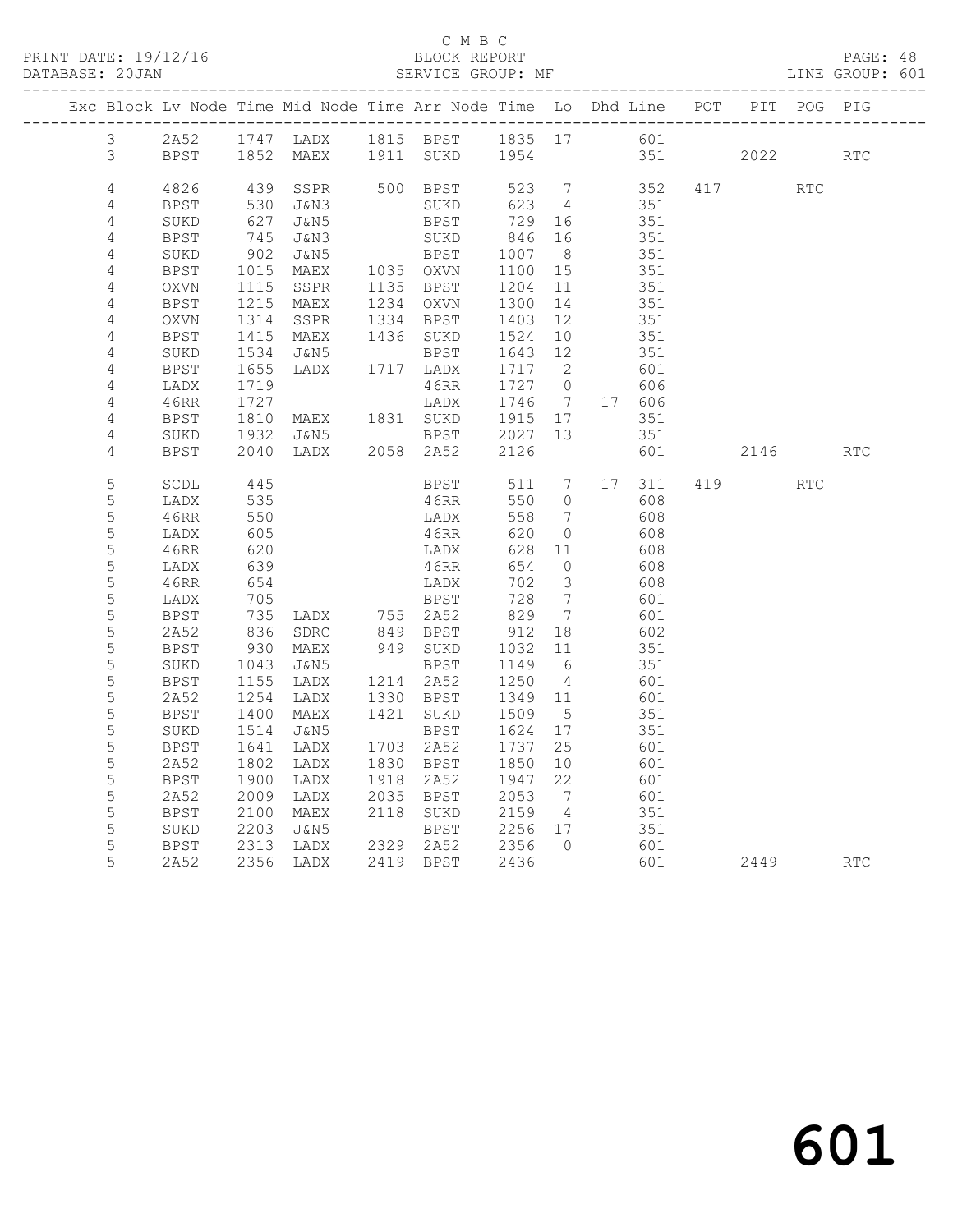#### C M B C<br>BLOCK REPORT SERVICE GROUP: MF

|                 |              |                 | Exc Block Lv Node Time Mid Node Time Arr Node Time Lo Dhd Line POT |      |                           |                  |                              |              |         | PIT POG PIG |            |
|-----------------|--------------|-----------------|--------------------------------------------------------------------|------|---------------------------|------------------|------------------------------|--------------|---------|-------------|------------|
| $3 -$           | 2A52         |                 | 1747 LADX 1815 BPST 1835 17 601                                    |      |                           |                  |                              |              |         |             |            |
| $\mathcal{S}$   | BPST         |                 | 1852 MAEX 1911 SUKD 1954                                           |      |                           |                  |                              | 351          | 2022    |             | <b>RTC</b> |
|                 |              |                 |                                                                    |      |                           |                  |                              |              |         |             |            |
| $\overline{4}$  | 4826         | 439             | SSPR                                                               |      | 500 BPST                  | 523 7            |                              | 352          | 417 RTC |             |            |
| 4               | BPST         | 530             | J&N3                                                               |      | SUKD                      | 623              | 4                            | 351          |         |             |            |
| 4               | SUKD         | 627             | J&N5                                                               |      | BPST                      | 729 16           |                              | 351          |         |             |            |
| 4               | <b>BPST</b>  | 745             | J&N3                                                               |      | SUKD                      | 846              | 16                           | 351          |         |             |            |
| 4               | SUKD         | 902             | J&N5                                                               |      | BPST<br>BPST<br>1035 OXVN | 1007<br>1100     | 8 <sup>8</sup>               | 351          |         |             |            |
| $\sqrt{4}$      | <b>BPST</b>  | 1015            | MAEX                                                               |      |                           |                  | 15                           | 351          |         |             |            |
| 4               | OXVN         | 1115            | SSPR                                                               |      | 1135 BPST                 | 1204             | 11                           | 351          |         |             |            |
| 4               | BPST         | 1215            | MAEX                                                               |      | 1234 OXVN                 | 1300             | 14                           | 351          |         |             |            |
| 4               | OXVN         | 1314            | SSPR                                                               |      | 1334 BPST                 | 1403             | 12                           | 351          |         |             |            |
| 4               | BPST         | 1415            | MAEX                                                               |      | 1436 SUKD                 | 1524             | 10                           | 351          |         |             |            |
| 4               | SUKD         | 1534<br>1655    | J&N5                                                               |      | BPST                      | 1643 12          |                              | 351          |         |             |            |
| $\sqrt{4}$<br>4 | BPST<br>LADX | 1719            | LADX                                                               |      | 1717 LADX<br>46RR         | 1717 2<br>1727 0 |                              | 601<br>606   |         |             |            |
| 4               | 46RR         | 1727            |                                                                    |      | LADX                      | 1746 7           |                              | 17 606       |         |             |            |
| 4               | BPST         | 1810            |                                                                    |      |                           | $1915$ 17        |                              | 351          |         |             |            |
| 4               | SUKD         | 1932            | J&N5                                                               |      |                           |                  | 13                           | 351          |         |             |            |
| $\overline{4}$  | <b>BPST</b>  | 2040            | LADX                                                               |      | BPST<br>2058 2A52         | 2027<br>2126     |                              | 601          | 2146    |             | RTC        |
|                 |              |                 |                                                                    |      |                           |                  |                              |              |         |             |            |
| 5               | SCDL         | 445             |                                                                    |      | BPST                      |                  |                              | 511 7 17 311 | 419     | <b>RTC</b>  |            |
| $\mathsf S$     | LADX         | 535             |                                                                    |      | 46RR                      | 550              | $\overline{0}$               | 608          |         |             |            |
| 5               | 46RR         | 550             |                                                                    |      | LADX                      | 558              | $7\phantom{.0}\phantom{.0}7$ | 608          |         |             |            |
| $\mathsf S$     | LADX         | 605             |                                                                    |      | 46RR                      | 620              | $\overline{0}$               | 608          |         |             |            |
| 5               | 46RR         | 620             |                                                                    |      | LADX                      | 628 11           |                              | 608          |         |             |            |
| $\mathsf S$     | LADX         | 639             |                                                                    |      | 46RR                      | 654              | $\overline{0}$               | 608          |         |             |            |
| 5               | 46RR         | 654             |                                                                    |      | LADX                      | 702              | $\overline{\mathbf{3}}$      | 608          |         |             |            |
| 5               | LADX         | 705             |                                                                    |      | BPST                      | 728              | $\overline{7}$               | 601          |         |             |            |
| 5               | <b>BPST</b>  | $\frac{1}{836}$ | LADX 755 2A52<br>SDRC 849 BPST                                     |      |                           | 829<br>912       | $\overline{7}$               | 601          |         |             |            |
| 5               | 2A52         |                 |                                                                    |      |                           |                  | 18                           | 602          |         |             |            |
| 5               | BPST         | 930             | MAEX                                                               |      | 949 SUKD                  | 1032             | 11                           | 351          |         |             |            |
| 5               | SUKD         | 1043            | J&N5                                                               |      | BPST                      | 1149 6<br>1250   |                              | 351          |         |             |            |
| 5<br>5          | <b>BPST</b>  | 1155<br>1254    | LADX                                                               |      | 1214 2A52<br>1330 BPST    |                  | $\overline{4}$               | 601          |         |             |            |
| 5               | 2A52<br>BPST | 1400            | LADX<br>MAEX                                                       |      | 1421 SUKD                 | 1349 11<br>1509  | $5^{\circ}$                  | 601<br>351   |         |             |            |
| 5               | SUKD         | 1514            | J&N5                                                               |      | BPST                      | 1624             | 17                           | 351          |         |             |            |
| $\mathsf S$     | <b>BPST</b>  | 1641            | LADX                                                               |      | 1703 2A52                 | 1737             | 25                           | 601          |         |             |            |
| 5               | 2A52         | 1802            | LADX                                                               |      | 1830 BPST                 | 1850             | 10                           | 601          |         |             |            |
| 5               | <b>BPST</b>  | 1900            | LADX                                                               |      | 1918 2A52                 | 1947             | 22                           | 601          |         |             |            |
| 5               | 2A52         | 2009            | LADX                                                               | 2035 | BPST                      | 2053             | $7\phantom{0}$               | 601          |         |             |            |
| 5               | BPST         | 2100            | MAEX                                                               |      | 2118 SUKD                 | 2159             | $\overline{4}$               | 351          |         |             |            |
| 5               | SUKD         | 2203            | J&N5                                                               |      | BPST                      | 2256 17          |                              | 351          |         |             |            |
| 5               | BPST         | 2313            | LADX                                                               |      | 2329 2A52                 | 2356 0           |                              | 601          |         |             |            |
| 5               | 2A52         |                 | 2356 LADX                                                          |      | 2419 BPST                 | 2436             |                              | 601          | 2449    |             | <b>RTC</b> |
|                 |              |                 |                                                                    |      |                           |                  |                              |              |         |             |            |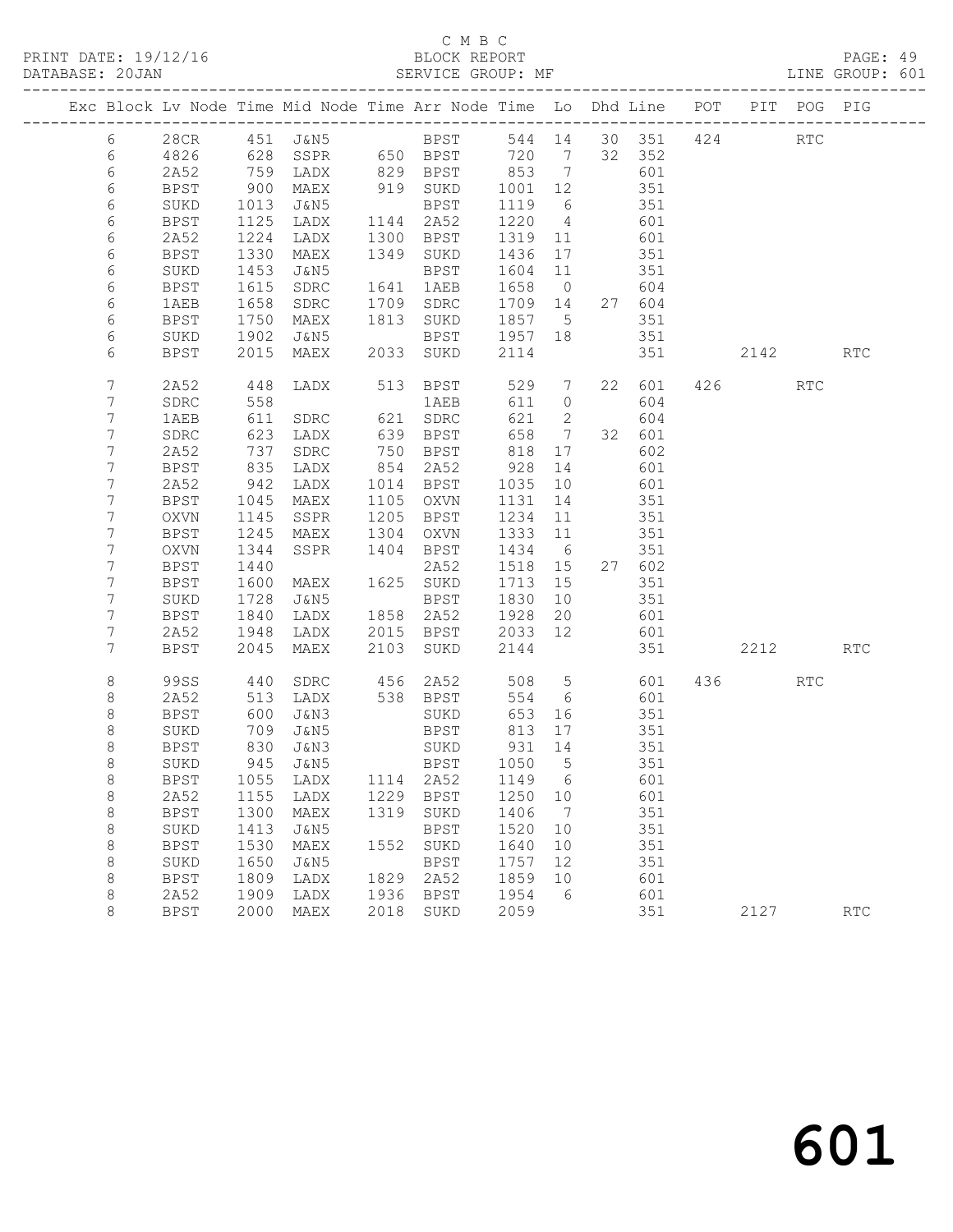PRINT DATE: 19/12/16 BLOCK REPORT<br>DATABASE: 20JAN BATABASE: 20JAN

# C M B C<br>BLOCK REPORT

PAGE: 49<br>LINE GROUP: 601

| Exc Block Lv Node Time Mid Node Time Arr Node Time Lo Dhd Line POT |                     |              |                         |              |              |              |                 |     |               |      | PIT POG PIG |                             |
|--------------------------------------------------------------------|---------------------|--------------|-------------------------|--------------|--------------|--------------|-----------------|-----|---------------|------|-------------|-----------------------------|
| 6                                                                  | 28CR                |              | 451 J&N5                |              | <b>BPST</b>  |              |                 |     | 544 14 30 351 | 424  | <b>RTC</b>  |                             |
| 6                                                                  | 4826                |              | 628 SSPR 650 BPST 720 7 |              |              |              |                 |     | 32 352        |      |             |                             |
| 6                                                                  | 2A52                |              | $759$ LADX              |              | 829 BPST     | 853          | $\overline{7}$  |     | 601           |      |             |                             |
| 6                                                                  | BPST                | 900          | MAEX                    |              | 919 SUKD     | 1001 12      |                 |     | 351           |      |             |                             |
| 6                                                                  | SUKD                | 1013         | J&N5                    |              | BPST         | 1119         | 6               |     | 351           |      |             |                             |
| 6                                                                  | BPST                | 1125         | LADX                    |              | 1144 2A52    | 1220         | $\overline{4}$  |     | 601           |      |             |                             |
| 6                                                                  | 2A52                | 1224         | LADX                    | 1300         | BPST         | 1319         | 11              |     | 601           |      |             |                             |
| 6                                                                  | BPST                | 1330         | MAEX                    |              | 1349 SUKD    | 1436         | 17              |     | 351           |      |             |                             |
| 6                                                                  | SUKD                | 1453         | J&N5                    |              | <b>BPST</b>  | 1604         | 11              |     | 351           |      |             |                             |
| 6                                                                  | <b>BPST</b>         | 1615         | SDRC                    |              | 1641 1AEB    | 1658         | $\overline{0}$  |     | 604           |      |             |                             |
| 6                                                                  | 1AEB                | 1658         | SDRC                    | 1709         | SDRC         | 1709         | 14              |     | 27 604        |      |             |                             |
| 6                                                                  | BPST                | 1750         | MAEX                    |              | 1813 SUKD    | 1857 5       |                 |     | 351           |      |             |                             |
| 6                                                                  | SUKD                | 1902         | J&N5                    |              | BPST         | 1957 18      |                 |     | 351           |      |             |                             |
| 6                                                                  | <b>BPST</b>         | 2015         | MAEX                    |              | 2033 SUKD    | 2114         |                 |     | 351           | 2142 |             | <b>RTC</b>                  |
| 7                                                                  | 2A52                | 448          | LADX                    |              | 513 BPST     | 529          | $7\overline{ }$ |     | 22 601        | 426  | RTC         |                             |
| 7                                                                  | SDRC                | 558          |                         |              | 1AEB         | 611          | $\circ$         |     | 604           |      |             |                             |
| 7                                                                  | 1AEB                | 611          | SDRC                    |              | 621 SDRC     | 621          | 2               |     | 604           |      |             |                             |
| 7                                                                  | SDRC                | 623          | LADX                    |              | 639 BPST     | 658          | $\overline{7}$  |     | 32 601        |      |             |                             |
| 7                                                                  | 2A52                | 737          | SDRC                    |              | 750 BPST     | 818          | 17              |     | 602           |      |             |                             |
| 7                                                                  | <b>BPST</b>         | 835          | LADX                    |              | 854 2A52     | 928          | 14              |     | 601           |      |             |                             |
| 7                                                                  | 2A52                | 942          | LADX                    |              | 1014 BPST    | 1035         | 10              |     | 601           |      |             |                             |
| 7<br>7                                                             | BPST                | 1045         | MAEX                    | 1105<br>1205 | OXVN         | 1131<br>1234 | 14              |     | 351           |      |             |                             |
| 7                                                                  | OXVN<br><b>BPST</b> | 1145<br>1245 | SSPR<br>MAEX            | 1304         | BPST<br>OXVN | 1333         | 11<br>11        |     | 351<br>351    |      |             |                             |
| 7                                                                  | OXVN                | 1344         | SSPR                    | 1404         | BPST         | 1434         | 6               |     | 351           |      |             |                             |
| 7                                                                  | <b>BPST</b>         | 1440         |                         |              | 2A52         | 1518         | 15              |     | 27 602        |      |             |                             |
| 7                                                                  | <b>BPST</b>         | 1600         | MAEX                    |              | 1625 SUKD    | 1713         | 15              |     | 351           |      |             |                             |
| 7                                                                  | SUKD                | 1728         | J&N5                    |              | BPST         | 1830         | 10              |     | 351           |      |             |                             |
| 7                                                                  | BPST                | 1840         | LADX                    |              | 1858 2A52    | 1928         | 20              |     | 601           |      |             |                             |
| 7                                                                  | 2A52                | 1948         | LADX                    | 2015         | BPST         | 2033         | 12              |     | 601           |      |             |                             |
| 7                                                                  | <b>BPST</b>         | 2045         | MAEX                    | 2103         | SUKD         | 2144         |                 |     | 351           | 2212 |             | <b>RTC</b>                  |
| 8                                                                  | <b>99SS</b>         | 440          | SDRC                    | 456          | 2A52         | 508          | $5\overline{)}$ |     | 601           | 436  | RTC         |                             |
| 8                                                                  | 2A52                | 513          | LADX                    |              | 538 BPST     | 554          | 6               |     | 601           |      |             |                             |
| 8                                                                  | <b>BPST</b>         | 600          | J&N3                    |              | SUKD         | 653          | 16              |     | 351           |      |             |                             |
| 8                                                                  | SUKD                | 709          | J&N5                    |              | BPST         | 813          | 17              |     | 351           |      |             |                             |
| 8                                                                  | BPST                | 830          | J&N3                    |              | SUKD         | 931          | 14              |     | 351           |      |             |                             |
| 8                                                                  | SUKD                | 945          | J&N5                    |              | <b>BPST</b>  | 1050 5       |                 | 351 |               |      |             |                             |
| 8                                                                  | BPST                | 1055         | LADX                    | 1114         | 2A52         | 1149         | 6               |     | 601           |      |             |                             |
| 8                                                                  | 2A52                | 1155         | LADX                    | 1229         | <b>BPST</b>  | 1250         | 10              |     | 601           |      |             |                             |
| $\,8\,$                                                            | <b>BPST</b>         | 1300         | MAEX                    | 1319         | SUKD         | 1406         | 7               |     | 351           |      |             |                             |
| $\,8\,$                                                            | SUKD                | 1413         | J&N5                    |              | <b>BPST</b>  | 1520         | 10              |     | 351           |      |             |                             |
| $\,8\,$                                                            | <b>BPST</b>         | 1530         | MAEX                    | 1552         | SUKD         | 1640         | 10              |     | 351           |      |             |                             |
| $\,8\,$                                                            | SUKD                | 1650         | <b>J&amp;N5</b>         |              | <b>BPST</b>  | 1757         | 12              |     | 351           |      |             |                             |
| $\,8\,$                                                            | <b>BPST</b>         | 1809         | LADX                    | 1829         | 2A52         | 1859         | 10              |     | 601           |      |             |                             |
| 8                                                                  | 2A52                | 1909         | LADX                    | 1936         | <b>BPST</b>  | 1954         | 6               |     | 601           |      |             |                             |
| 8                                                                  | <b>BPST</b>         | 2000         | MAEX                    | 2018         | SUKD         | 2059         |                 |     | 351           | 2127 |             | $\mathop{\rm RTC}\nolimits$ |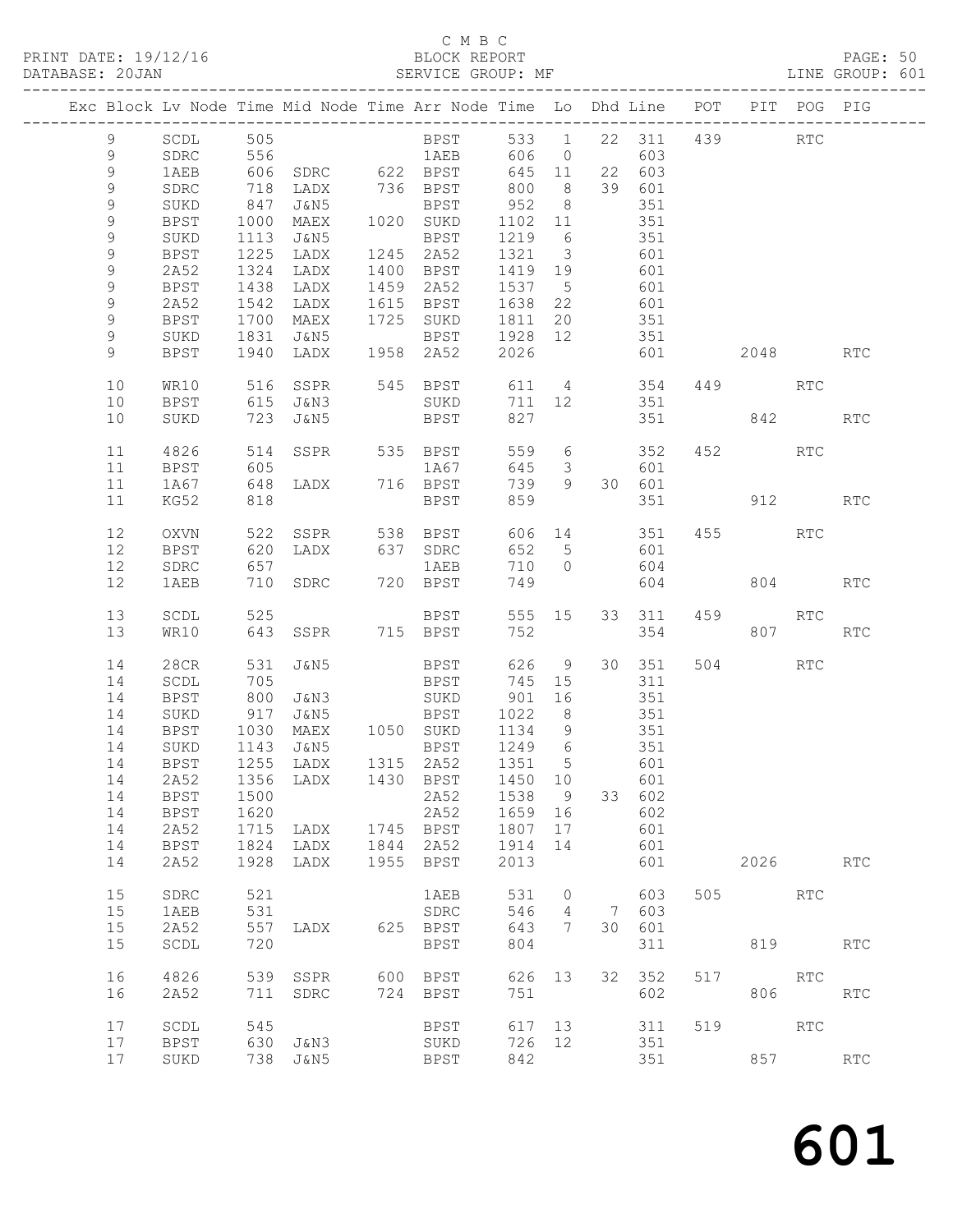# C M B C<br>BLOCK REPORT

PAGE: 50<br>LINE GROUP: 601

|  |             |             |              | Exc Block Lv Node Time Mid Node Time Arr Node Time Lo Dhd Line POT PIT POG PIG |      |                        |                 |                         |       |              |     |          |                      |            |
|--|-------------|-------------|--------------|--------------------------------------------------------------------------------|------|------------------------|-----------------|-------------------------|-------|--------------|-----|----------|----------------------|------------|
|  | 9           | SCDL        | 505          |                                                                                |      | <b>BPST</b>            |                 |                         |       | 533 1 22 311 |     | 439      | $\operatorname{RTC}$ |            |
|  | 9           | SDRC        | 556          |                                                                                |      | 1AEB                   | 606             |                         | 0 603 |              |     |          |                      |            |
|  | $\mathsf 9$ | 1AEB        |              |                                                                                |      |                        | 645 11          |                         |       | 22 603       |     |          |                      |            |
|  | $\mathsf 9$ | SDRC        |              |                                                                                |      |                        | 800             | 8 <sup>8</sup>          |       | 39 601       |     |          |                      |            |
|  | 9           | SUKD        | 847          | J&N5                                                                           |      | BPST                   | 952             | 8 <sup>8</sup>          |       | 351          |     |          |                      |            |
|  | $\mathsf 9$ |             |              |                                                                                |      |                        |                 |                         |       | 351          |     |          |                      |            |
|  | $\mathsf 9$ | BPST        | 1000<br>1113 | MAEX                                                                           |      | 1020 SUKD              | 1102 11<br>1219 | $6\overline{6}$         |       | 351          |     |          |                      |            |
|  |             | SUKD        | 1225         | J&N5<br>LADX                                                                   |      | BPST<br>1245 2A52      | 1321 3          |                         |       |              |     |          |                      |            |
|  | 9           | BPST        |              |                                                                                |      |                        |                 |                         |       | 601<br>601   |     |          |                      |            |
|  | 9           | 2A52        | 1324         | LADX                                                                           |      | 1400 BPST<br>1459 2A52 | 1419 19         |                         |       |              |     |          |                      |            |
|  | 9           | BPST        | 1438         | LADX                                                                           |      |                        | 1537 5          |                         |       | 601          |     |          |                      |            |
|  | 9           | 2A52        | 1542         | LADX                                                                           |      | 1615 BPST              | 1638 22         |                         |       | 601          |     |          |                      |            |
|  | $\mathsf 9$ | BPST        | 1700         | MAEX                                                                           |      | 1725 SUKD              | 1811            | 20                      |       | 351          |     |          |                      |            |
|  | 9           | SUKD        | 1831         | J&N5                                                                           |      | <b>BPST</b>            | 1928 12         |                         |       | 351          |     |          |                      |            |
|  | 9           | <b>BPST</b> | 1940         | LADX                                                                           |      | 1958 2A52              | 2026            |                         |       | 601          |     | 2048 RTC |                      |            |
|  | 10          | WR10        | 516          | SSPR                                                                           |      | 545 BPST               | 611             |                         |       | 4 354        |     | 449      | RTC                  |            |
|  | 10          | BPST        | 615          | J&N3                                                                           |      | SUKD                   | 711             |                         | 12    | 351          |     |          |                      |            |
|  | 10          | SUKD        | 723          | J&N5                                                                           |      | BPST                   | 827             |                         |       | 351          |     | 842      |                      | <b>RTC</b> |
|  |             |             |              |                                                                                |      |                        |                 |                         |       |              |     |          |                      |            |
|  | 11          | 4826        | 514          | SSPR                                                                           |      | 535 BPST               | 559 6           |                         |       | 352          |     | 452 RTC  |                      |            |
|  | 11          | BPST        | 605          |                                                                                |      | 1A67                   | 645             | $\overline{\mathbf{3}}$ |       | 601          |     |          |                      |            |
|  | 11          | 1A67        | 648          | LADX 716 BPST                                                                  |      |                        | 739             | 9                       |       | 30 601       |     |          |                      |            |
|  | 11          | KG52        | 818          |                                                                                |      | BPST                   | 859             |                         |       | 351          |     | 912      |                      | <b>RTC</b> |
|  | 12          | OXVN        | 522          | SSPR                                                                           |      | 538 BPST               | 606 14          |                         |       | 351          |     | 455      | RTC                  |            |
|  | 12          | <b>BPST</b> | 620          | LADX                                                                           |      | 637 SDRC               | 652 5           |                         |       | 601          |     |          |                      |            |
|  | 12          | SDRC        | 657          |                                                                                |      | 1AEB                   | 710             | $\bigcirc$              |       | 604          |     |          |                      |            |
|  | 12          | 1AEB        | 710          | SDRC                                                                           |      | 720 BPST               | 749             |                         |       | 604          |     |          | 804   100            | RTC        |
|  |             |             |              |                                                                                |      |                        |                 |                         |       |              |     |          |                      |            |
|  | 13          | SCDL        | 525          |                                                                                |      | <b>BPST</b>            | 555 15          |                         |       | 33 311       | 459 |          | RTC                  |            |
|  | 13          | WR10        | 643          | SSPR 715 BPST                                                                  |      |                        | 752             |                         |       | 354          |     |          | 807                  | <b>RTC</b> |
|  |             |             |              |                                                                                |      |                        |                 |                         |       |              |     |          |                      |            |
|  | 14          | 28CR        | 531          | J&N5                                                                           |      | BPST                   | 626             | 9                       |       | 30 351       |     | 504      | RTC                  |            |
|  | 14          | SCDL        | 705          |                                                                                |      | BPST                   | 745 15          |                         |       | 311          |     |          |                      |            |
|  | 14          | BPST        | 800          | J&N3                                                                           |      | SUKD                   | 901             | 16                      |       | 351          |     |          |                      |            |
|  | 14          | SUKD        | 917<br>1030  | J&N5                                                                           |      | BPST                   | 1022            | 8 <sup>8</sup>          |       | 351          |     |          |                      |            |
|  | 14          | BPST        |              | MAEX                                                                           |      | 1050 SUKD              | 1134 9          |                         |       | 351          |     |          |                      |            |
|  | 14          | SUKD        | 1143         | J&N5                                                                           |      | BPST 1249 6            |                 |                         |       | 351          |     |          |                      |            |
|  | 14          | BPST        |              | 1255 LADX                                                                      |      | 1315 2A52              | 1351 5          |                         | 601   |              |     |          |                      |            |
|  |             | 14 2A52     |              | 1356 LADX 1430 BPST 1450 10                                                    |      |                        |                 |                         |       | 601          |     |          |                      |            |
|  | 14          | <b>BPST</b> | 1500         |                                                                                |      | 2A52                   | 1538            | 9                       |       | 33 602       |     |          |                      |            |
|  | 14          | <b>BPST</b> | 1620         |                                                                                |      | 2A52                   | 1659            | 16                      |       | 602          |     |          |                      |            |
|  | 14          | 2A52        | 1715         | LADX                                                                           | 1745 | <b>BPST</b>            | 1807            | 17                      |       | 601          |     |          |                      |            |
|  | 14          | <b>BPST</b> | 1824         | LADX                                                                           | 1844 | 2A52                   | 1914            | 14                      |       | 601          |     |          |                      |            |
|  | 14          | 2A52        | 1928         | LADX                                                                           | 1955 | <b>BPST</b>            | 2013            |                         |       | 601          |     | 2026     |                      | <b>RTC</b> |
|  | 15          | SDRC        | 521          |                                                                                |      | 1AEB                   | 531             | 0                       |       | 603          | 505 |          | <b>RTC</b>           |            |
|  | 15          | 1AEB        | 531          |                                                                                |      | SDRC                   | 546             | 4                       | 7     | 603          |     |          |                      |            |
|  | 15          | 2A52        | 557          | LADX                                                                           |      | 625 BPST               | 643             | 7                       | 30    | 601          |     |          |                      |            |
|  | 15          | SCDL        | 720          |                                                                                |      | <b>BPST</b>            | 804             |                         |       | 311          |     | 819      |                      | <b>RTC</b> |
|  | 16          | 4826        | 539          | SSPR                                                                           | 600  | BPST                   | 626             | 13                      | 32    | 352          | 517 |          | RTC                  |            |
|  | 16          | 2A52        | 711          | SDRC                                                                           |      | 724 BPST               | 751             |                         |       | 602          |     | 806      |                      | RTC        |
|  |             |             |              |                                                                                |      |                        |                 |                         |       |              |     |          |                      |            |
|  | 17          | SCDL        | 545          |                                                                                |      | BPST                   | 617             | 13                      |       | 311          | 519 |          | <b>RTC</b>           |            |
|  | 17          | <b>BPST</b> | 630          | J&N3                                                                           |      | SUKD                   | 726             | 12                      |       | 351          |     |          |                      |            |
|  | 17          | SUKD        | 738          | J&N5                                                                           |      | BPST                   | 842             |                         |       | 351          |     | 857      |                      | <b>RTC</b> |
|  |             |             |              |                                                                                |      |                        |                 |                         |       |              |     |          |                      |            |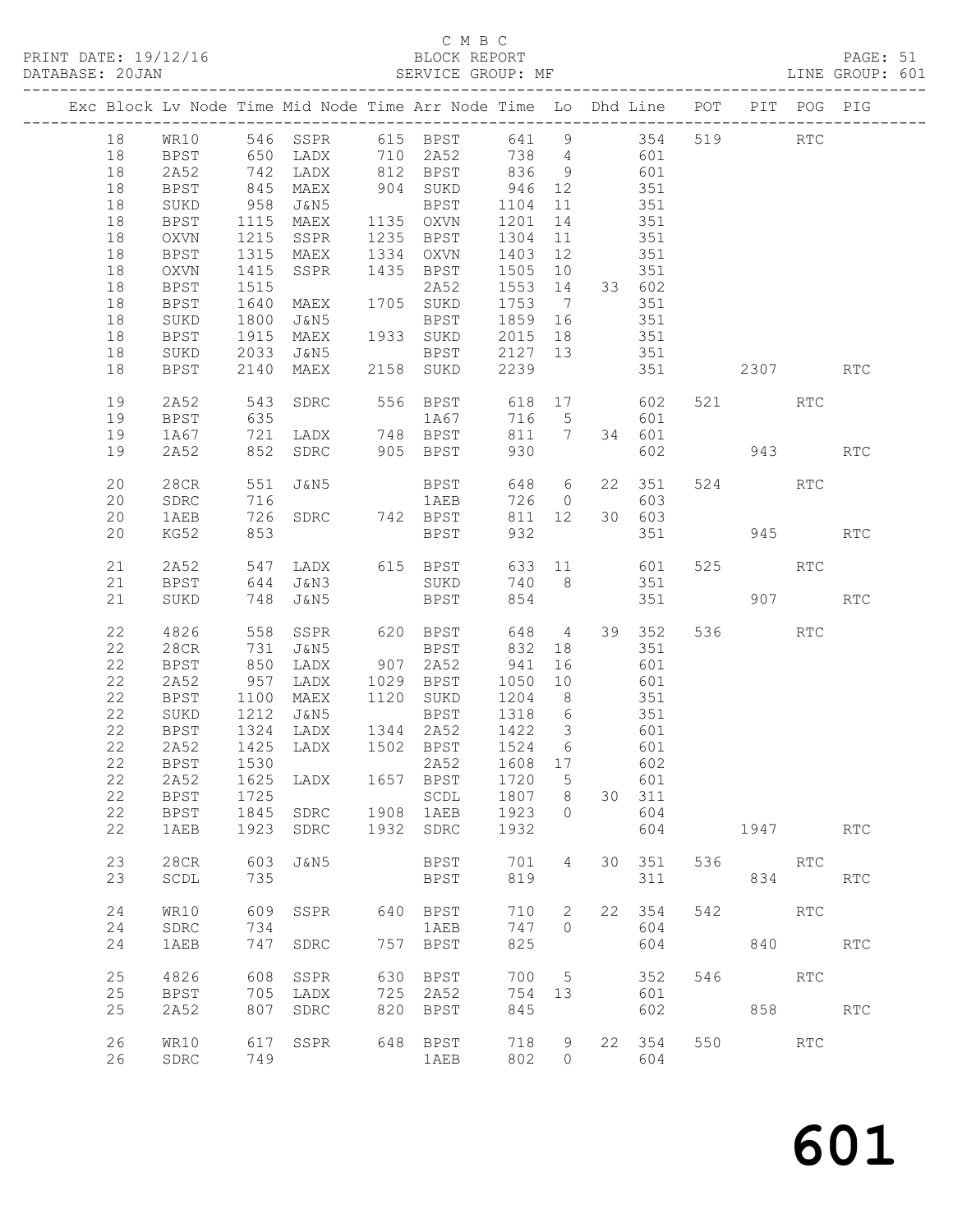# C M B C<br>BLOCK REPORT<br>SERVICE GROUP: MF

| DATABASE: 20JAN |    |              |                          |           |     | SERVICE GROUP: MF                                                                          |         |                |                                           |              |     |         |            | LINE GROUP: 601 |  |
|-----------------|----|--------------|--------------------------|-----------|-----|--------------------------------------------------------------------------------------------|---------|----------------|-------------------------------------------|--------------|-----|---------|------------|-----------------|--|
|                 |    |              |                          |           |     | Exc Block Lv Node Time Mid Node Time Arr Node Time Lo Dhd Line POT PIT POG PIG             |         |                |                                           |              |     |         |            |                 |  |
|                 | 18 |              |                          |           |     | WR10 546 SSPR 615 BPST 641 9 354 519 RTC                                                   |         |                |                                           |              |     |         |            |                 |  |
|                 | 18 |              |                          |           |     | BPST 650 LADX 710 2A52 738 4 601                                                           |         |                |                                           |              |     |         |            |                 |  |
|                 | 18 | 2A52         |                          |           |     |                                                                                            |         |                |                                           |              |     |         |            |                 |  |
|                 |    |              |                          |           |     | 192 LADX 812 BPST 836 9 601<br>1945 MAEX 904 SUKD 946 12 351<br>1958 J&N5 BPST 1104 11 351 |         |                |                                           |              |     |         |            |                 |  |
|                 | 18 | <b>BPST</b>  |                          |           |     |                                                                                            |         |                |                                           |              |     |         |            |                 |  |
|                 | 18 | SUKD         |                          |           |     |                                                                                            |         |                |                                           |              |     |         |            |                 |  |
|                 | 18 | BPST         | 1115                     |           |     | MAEX 1135 OXVN 1201                                                                        |         |                | 14 351                                    |              |     |         |            |                 |  |
|                 | 18 | OXVN         | 1215                     |           |     | SSPR 1235 BPST                                                                             | 1304    | 11             | 351                                       |              |     |         |            |                 |  |
|                 | 18 | BPST         |                          |           |     |                                                                                            |         |                |                                           | 351          |     |         |            |                 |  |
|                 | 18 | OXVN         | 1315<br>1415             |           |     | MAEX 1334 OXVN 1403 12<br>SSPR 1435 BPST 1505 10                                           |         |                |                                           | 351          |     |         |            |                 |  |
|                 | 18 | BPST         | 1515                     |           |     | 2A52 1553 14 33 602                                                                        |         |                |                                           |              |     |         |            |                 |  |
|                 |    |              |                          |           |     | 2A52<br>MAEX 1705 SUKD<br>J&N5 BPST<br>MAEX 1933 SUKD                                      |         |                |                                           |              |     |         |            |                 |  |
|                 | 18 | BPST         | 1640                     |           |     |                                                                                            | 1753 7  |                |                                           | 351          |     |         |            |                 |  |
|                 | 18 | SUKD         | 1800<br>1915             |           |     | BPST 1859 16<br>1933 SUKD 2015 18                                                          |         |                | $\begin{array}{c} 351 \\ 351 \end{array}$ | 351          |     |         |            |                 |  |
|                 | 18 | BPST         |                          |           |     |                                                                                            |         |                |                                           |              |     |         |            |                 |  |
|                 | 18 | SUKD         | 2033                     | J&N5      |     | <b>BPST</b>                                                                                | 2127 13 |                | 351                                       |              |     |         |            |                 |  |
|                 | 18 | BPST         | 2140                     | MAEX      |     | 2158 SUKD                                                                                  | 2239    |                |                                           | 351          |     |         | 2307       | <b>RTC</b>      |  |
|                 | 19 | 2A52         | 543                      |           |     | SDRC 556 BPST 618 17 602                                                                   |         |                |                                           |              |     | 521 RTC |            |                 |  |
|                 | 19 | BPST         | 635                      |           |     | 1A67                                                                                       |         |                | 716 5                                     | 601          |     |         |            |                 |  |
|                 | 19 | 1A67         | 721                      |           |     | LADX 748 BPST                                                                              |         |                | 811 7 34 601                              |              |     |         |            |                 |  |
|                 | 19 | 2A52         |                          |           |     | 852 SDRC 905 BPST                                                                          | 930     |                |                                           |              |     | 602 943 |            | <b>RTC</b>      |  |
|                 | 20 | 28CR         | 551                      |           |     | J&N5 BPST                                                                                  |         | 648 6          |                                           | 22 351       |     | 524 RTC |            |                 |  |
|                 | 20 | SDRC         | 716                      |           |     | 1AEB                                                                                       |         |                | 726 0                                     | 603          |     |         |            |                 |  |
|                 | 20 | 1AEB         |                          |           |     | 726 SDRC 742 BPST                                                                          |         | 811 12         |                                           | 30 603       |     |         |            |                 |  |
|                 | 20 |              | 853                      |           |     | BPST                                                                                       | 932     |                |                                           |              | 351 |         | 945 — 100  | <b>RTC</b>      |  |
|                 |    | KG52         |                          |           |     |                                                                                            |         |                |                                           |              |     |         |            |                 |  |
|                 | 21 | 2A52         |                          |           |     | 547 LADX 615 BPST 633 11 601                                                               |         |                |                                           |              |     | 525 RTC |            |                 |  |
|                 | 21 | BPST         |                          |           |     | 644 J&N3 SUKD                                                                              |         |                | 740 8 351                                 |              |     |         |            |                 |  |
|                 | 21 | SUKD         |                          | 748 J&N5  |     | <b>BPST</b>                                                                                | 854     |                |                                           |              |     |         | 907 — 100  | RTC             |  |
|                 | 22 | 4826         | 558                      |           |     | SSPR 620 BPST                                                                              |         |                |                                           | 648 4 39 352 |     | 536 7   | <b>RTC</b> |                 |  |
|                 | 22 | 28CR         | 731<br>731<br>850<br>957 |           |     |                                                                                            | 832     |                | 18                                        | 351          |     |         |            |                 |  |
|                 | 22 | BPST         |                          |           |     |                                                                                            |         |                |                                           |              |     |         |            |                 |  |
|                 | 22 | 2A52         |                          |           |     |                                                                                            |         |                | $16$ $601$<br>$10$ $601$                  |              |     |         |            |                 |  |
|                 | 22 | BPST         | 1100                     |           |     | MAEX 1120 SUKD 1204 8                                                                      |         |                | 351                                       |              |     |         |            |                 |  |
|                 | 22 | SUKD         | 1212                     | J&N5      |     | BPST 1318 6                                                                                |         |                | 351                                       |              |     |         |            |                 |  |
|                 | 22 | BPST         |                          |           |     |                                                                                            |         |                |                                           |              |     |         |            |                 |  |
|                 | 22 | 2A52         |                          |           |     | 1324 LADX 1344 2A52 1422 3 601<br>1425 LADX 1502 BPST 1524 6 601                           |         |                |                                           |              |     |         |            |                 |  |
|                 |    |              |                          |           |     |                                                                                            |         |                |                                           |              |     |         |            |                 |  |
|                 |    |              |                          |           |     | 22 BPST 1530 2A52 1608 17 602                                                              |         |                |                                           |              |     |         |            |                 |  |
|                 | 22 | 2A52         | 1625                     | LADX      |     | 1657 BPST                                                                                  | 1720    | $5^{\circ}$    |                                           | 601          |     |         |            |                 |  |
|                 | 22 | BPST         | 1725                     |           |     | SCDL                                                                                       | 1807 8  |                |                                           | 30 311       |     |         |            |                 |  |
|                 | 22 | BPST         |                          | 1845 SDRC |     | 1908 1AEB                                                                                  | 1923    | $\circ$        |                                           | 604          |     |         |            |                 |  |
|                 | 22 | 1AEB         | 1923                     | SDRC      |     | 1932 SDRC                                                                                  | 1932    |                |                                           | 604          |     |         | 1947       | <b>RTC</b>      |  |
|                 | 23 | 28CR         | 603                      | J&N5      |     | BPST                                                                                       | 701     | 4              |                                           | 30 351       |     | 536 RTC |            |                 |  |
|                 | 23 | SCDL         | 735                      |           |     | BPST                                                                                       | 819     |                |                                           | 311          |     |         | 834 RTC    |                 |  |
|                 | 24 | WR10         | 609                      | SSPR      |     | 640 BPST                                                                                   | 710     | $\overline{2}$ | 22                                        | 354          | 542 |         | <b>RTC</b> |                 |  |
|                 | 24 | ${\tt SDRC}$ | 734                      |           |     | 1AEB                                                                                       | 747     | $\Omega$       |                                           | 604          |     |         |            |                 |  |
|                 | 24 |              | 747                      |           |     | 757 BPST                                                                                   | 825     |                |                                           | 604          |     |         | 840 RTC    |                 |  |
|                 |    | 1AEB         |                          | SDRC      |     |                                                                                            |         |                |                                           |              |     |         |            |                 |  |
|                 | 25 | 4826         | 608                      | SSPR      |     | 630 BPST                                                                                   |         | 700 5          |                                           | 352          |     | 546     | RTC        |                 |  |
|                 | 25 | BPST         | 705                      | LADX      |     | 725 2A52                                                                                   | 754 13  |                |                                           | 601          |     |         |            |                 |  |
|                 | 25 | 2A52         | 807                      | SDRC      | 820 | BPST                                                                                       | 845     |                |                                           | 602          |     |         | 858 RTC    |                 |  |
|                 | 26 | WR10         | 617                      | SSPR      |     | 648 BPST                                                                                   | 718     | 9              |                                           | 22 354       |     | 550 RTC |            |                 |  |
|                 | 26 | ${\tt SDRC}$ | 749                      |           |     | 1AEB                                                                                       | 802     | $\bigcirc$     |                                           | 604          |     |         |            |                 |  |
|                 |    |              |                          |           |     |                                                                                            |         |                |                                           |              |     |         |            |                 |  |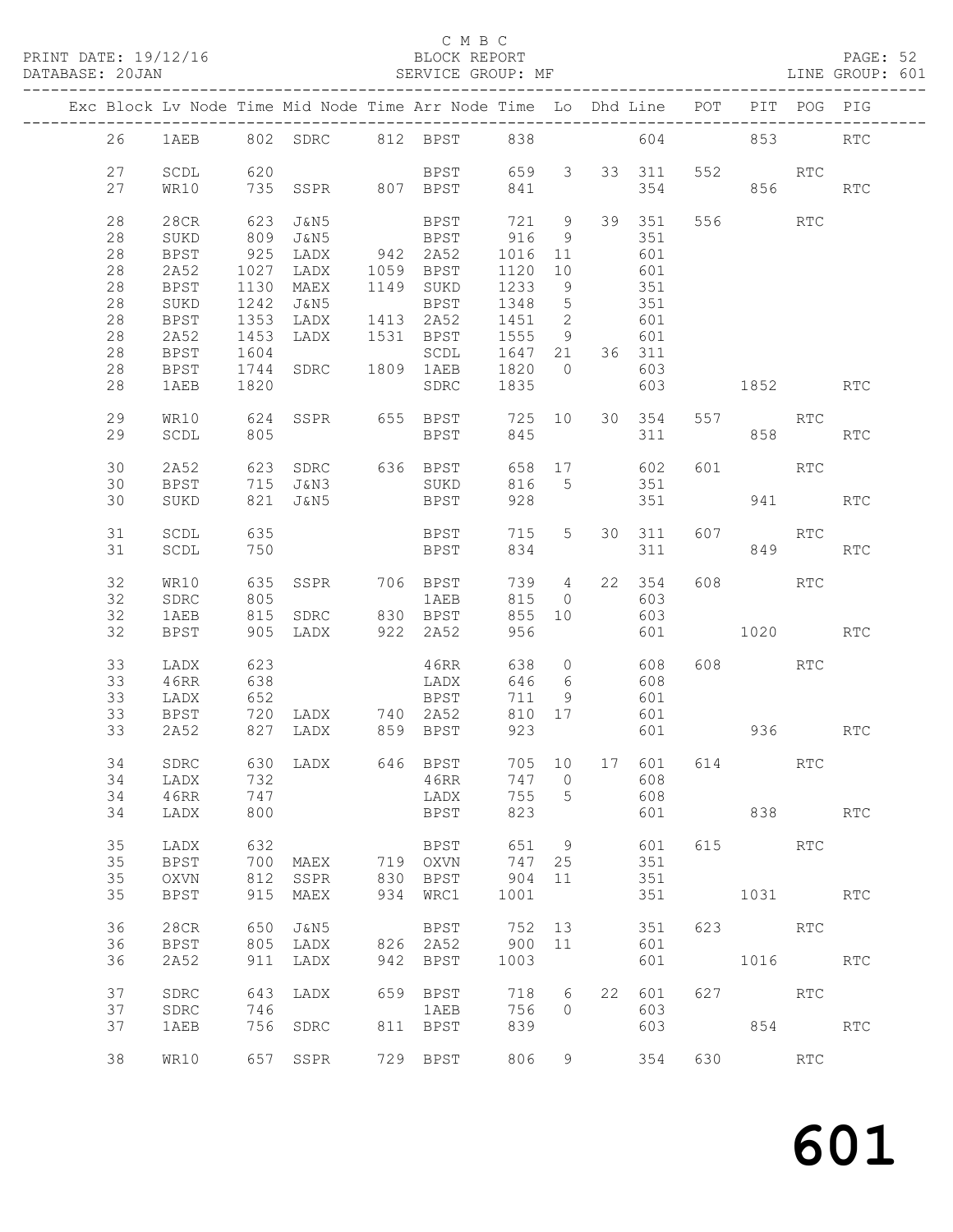PRINT DATE: 19/12/16 BLOCK REPORT BATABASE: 20JAN BLOCK REPORT

### C M B C<br>BLOCK REPORT

PAGE: 52<br>LINE GROUP: 601

|          |              |            |                                        | Exc Block Lv Node Time Mid Node Time Arr Node Time Lo Dhd Line POT PIT POG PIG |                 |                          |                |              |           |                       |         |            |
|----------|--------------|------------|----------------------------------------|--------------------------------------------------------------------------------|-----------------|--------------------------|----------------|--------------|-----------|-----------------------|---------|------------|
| 26       |              |            |                                        | 1AEB 802 SDRC 812 BPST 838                                                     |                 |                          |                |              | 604       |                       | 853 85  | <b>RTC</b> |
| 27       | SCDL         | 620        |                                        | BPST 659 3 33 311                                                              |                 |                          |                |              | 552       | <b>RTC</b>            |         |            |
| 27       | WR10         |            |                                        | 735 SSPR 807 BPST                                                              | 841             |                          |                | 354          |           |                       | 856 8   | RTC        |
| 28       | 28CR         |            | 623 J&N5                               | <b>BPST</b>                                                                    | 721 9           |                          |                | 39 351       |           | 556 700               | RTC     |            |
| 28       | SUKD         |            | 809 J&N5                               | <b>BPST</b>                                                                    | 916             | $\overline{9}$           |                | 351          |           |                       |         |            |
| 28       | BPST         |            | 925 LADX 942 2A52                      |                                                                                | 1016            | 11                       |                | 601          |           |                       |         |            |
| 28<br>28 | 2A52         |            | 1027 LADX<br>1130 MAEX                 | 1059 BPST<br>1149 SUKD                                                         | 1120 10<br>1233 | 9                        |                | 601<br>351   |           |                       |         |            |
| 28       | BPST<br>SUKD |            | 1242 J&N5                              | BPST                                                                           | 1348            | $5\overline{)}$          |                | 351          |           |                       |         |            |
| 28       | BPST         | 1353       | LADX                                   | 1413 2A52                                                                      | 1451            | $\overline{\phantom{a}}$ |                | 601          |           |                       |         |            |
| 28       | 2A52         | 1453       | LADX                                   | 1531 BPST                                                                      | 1555            | 9                        |                | 601          |           |                       |         |            |
| 28       | BPST         | 1604       |                                        | SCDL                                                                           | 1647 21         |                          |                | 36 311       |           |                       |         |            |
| 28       | BPST         | 1744       | SDRC                                   | 1809 1AEB                                                                      | 1820            | $\overline{0}$           |                | 603          |           |                       |         |            |
| 28       | 1AEB         | 1820       |                                        | SDRC                                                                           | 1835            |                          |                | 603          |           | 1852   1900           |         | <b>RTC</b> |
| 29       | WR10         |            |                                        | 624 SSPR 655 BPST 725 10 30 354                                                |                 |                          |                |              |           | 557 RTC               |         |            |
| 29       | SCDL         | 805        |                                        | <b>BPST</b>                                                                    | 845             |                          |                | 311          |           |                       | 858 31  | <b>RTC</b> |
|          |              |            |                                        |                                                                                |                 |                          |                |              |           |                       |         |            |
| 30       | 2A52         |            | 623 SDRC 636 BPST                      |                                                                                |                 |                          |                | 658 17 602   | 601       | <b>RTC</b>            |         |            |
| 30       | <b>BPST</b>  |            | 715 J&N3                               | SUKD                                                                           | 816 5           |                          |                | 351          |           |                       |         |            |
| 30       | SUKD         |            | 821 J&N5                               | BPST                                                                           | 928             |                          |                | 351          |           |                       | 941     | <b>RTC</b> |
|          |              |            |                                        |                                                                                |                 |                          |                |              |           |                       |         |            |
| 31       | SCDL         | 635        |                                        | <b>BPST</b>                                                                    | 715             | 5 <sup>5</sup>           |                | 30 311       |           | 607 RTC               |         |            |
| 31       | SCDL         | 750        |                                        | BPST                                                                           | 834             |                          |                | 311          |           |                       | 849     | RTC        |
| 32       | WR10         | 635        |                                        |                                                                                |                 |                          |                | 739 4 22 354 |           | 608 RTC               |         |            |
| 32       | SDRC         | 805        |                                        | SSPR 706 BPST<br>1 AEB                                                         | 815             |                          | $\overline{O}$ | 603          |           |                       |         |            |
| 32       | 1AEB         | 815        |                                        |                                                                                | 855 10          |                          |                | 603          |           |                       |         |            |
| 32       | BPST         |            | 815 SDRC 830 BPST<br>905 LADX 922 2A52 |                                                                                | 956             |                          |                | 601          |           | 1020                  |         | <b>RTC</b> |
|          |              |            |                                        |                                                                                |                 |                          |                |              |           |                       |         |            |
| 33       | LADX         | 623        |                                        | 46RR                                                                           | 638             | $\circ$                  |                | 608          |           | 608 RTC               |         |            |
| 33       | 46RR         | 638        |                                        | LADX                                                                           | 646             | $6\overline{6}$          |                | 608          |           |                       |         |            |
| 33       | LADX         | 652        |                                        | BPST                                                                           | 711             | 9                        |                | 601          |           |                       |         |            |
| 33       | BPST         |            |                                        | 720 LADX 740 2A52                                                              | 810 17          |                          |                | 601          |           |                       |         |            |
| 33       | 2A52         |            | 827 LADX 859 BPST                      |                                                                                | 923             |                          |                |              |           | 601 936 RTC           |         |            |
|          |              |            |                                        |                                                                                |                 |                          |                |              |           |                       |         |            |
| 34       | SDRC         |            | 630 LADX 646 BPST                      |                                                                                |                 |                          |                |              |           | 705 10 17 601 614 RTC |         |            |
|          | 34 LADX      |            |                                        | 732 46RR                                                                       |                 |                          |                |              | 747 0 608 |                       |         |            |
| 34<br>34 | 46RR         | 747<br>800 |                                        | LADX                                                                           | 755<br>823      | $5^{\circ}$              |                | 608          |           | 601 838               |         | RTC        |
|          | LADX         |            |                                        | BPST                                                                           |                 |                          |                |              |           |                       |         |            |
| 35       | LADX         | 632        |                                        | BPST                                                                           | 651             | 9                        |                | 601          |           | 615 — 10              | RTC     |            |
| 35       | BPST         |            | 700 MAEX                               | 719 OXVN                                                                       | 747 25          |                          |                | 351          |           |                       |         |            |
| 35       | OXVN         |            | 812 SSPR                               | 830 BPST                                                                       | 904             | 11                       |                | 351          |           |                       |         |            |
| 35       | <b>BPST</b>  |            | 915 MAEX                               | 934 WRC1                                                                       | 1001            |                          |                | 351          |           | 1031 RTC              |         |            |
|          |              |            |                                        |                                                                                |                 |                          |                |              |           |                       |         |            |
| 36       | 28CR         |            | 650 J&N5                               | BPST                                                                           | 752 13          |                          |                | 351          |           | 623 RTC               |         |            |
| 36       | BPST         |            | 805 LADX                               | 826 2A52                                                                       | 900 11          |                          |                | 601          |           |                       |         |            |
| 36       | 2A52         |            | 911 LADX                               | 942 BPST                                                                       | 1003            |                          |                | 601          |           | 1016 RTC              |         |            |
| 37       | SDRC         | 643        | LADX                                   | 659 BPST                                                                       | 718             | $6\overline{6}$          | 22             | 601          |           | 627                   | RTC     |            |
| 37       | SDRC         | 746        |                                        | 1AEB                                                                           | 756             | $\circ$                  |                | 603          |           |                       |         |            |
| 37       | 1AEB         |            | 756 SDRC                               | 811 BPST                                                                       | 839             |                          |                | 603          |           |                       | 854 RTC |            |
| 38       | WR10         |            | 657 SSPR                               | 729 BPST                                                                       | 806             | 9                        |                | 354          |           | 630 000               | RTC     |            |
|          |              |            |                                        |                                                                                |                 |                          |                |              |           |                       |         |            |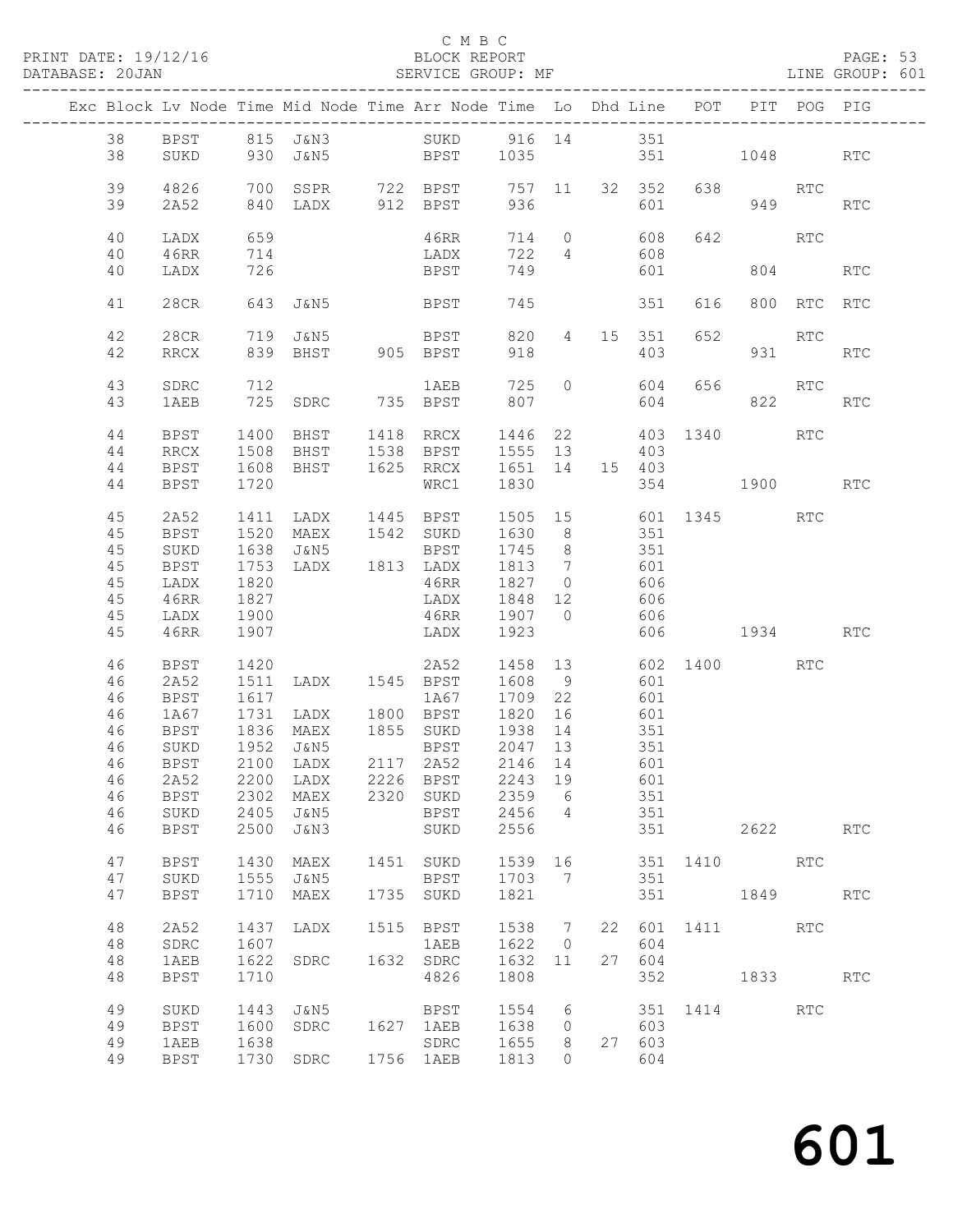# C M B C<br>BLOCK REPORT<br>SERVICE GROUP: MF

| DATABASE: 20JAN |          |              |                          | SERVICE GROUP: MF                                                              |                                               |           |                |     |                  |                 |         |             | LINE GROUP: 601 |
|-----------------|----------|--------------|--------------------------|--------------------------------------------------------------------------------|-----------------------------------------------|-----------|----------------|-----|------------------|-----------------|---------|-------------|-----------------|
|                 |          |              |                          | Exc Block Lv Node Time Mid Node Time Arr Node Time Lo Dhd Line POT PIT POG PIG |                                               |           |                |     |                  |                 |         |             |                 |
|                 |          |              |                          | 38 BPST 815 J&N3 SUKD 916 14 351                                               |                                               |           |                |     |                  |                 |         |             |                 |
|                 | 38       | SUKD         |                          | 930 J&N5 BPST 1035 351 1048 RTC                                                |                                               |           |                |     |                  |                 |         |             |                 |
|                 | 39       | 4826         |                          |                                                                                |                                               |           |                |     |                  |                 | 638 RTC |             |                 |
|                 | 39       | 2A52         |                          |                                                                                |                                               |           |                |     |                  | 601 000         |         | 949         | <b>RTC</b>      |
|                 |          |              |                          |                                                                                |                                               |           |                |     |                  |                 |         |             |                 |
|                 | 40       | LADX         | 659<br>$\frac{105}{714}$ |                                                                                | 46RR                                          |           |                |     | 714 0 608        |                 | 642 RTC |             |                 |
|                 | 40<br>40 | 46RR<br>LADX |                          |                                                                                | LADX<br>LADX<br>BPST                          | 749       | 722 4          |     | 608<br>601       |                 |         | 804   100   | <b>RTC</b>      |
|                 |          |              |                          |                                                                                |                                               |           |                |     |                  |                 |         |             |                 |
|                 | 41       | 28CR         |                          | 643 J&N5 BPST                                                                  |                                               | 745       |                |     | 351              | 616             |         | 800 RTC RTC |                 |
|                 | 42       | 28CR         |                          | 719 J&N5                                                                       | <b>BPST</b>                                   |           |                |     | 820  4  15  351  | 652             |         | RTC         |                 |
|                 | 42       | RRCX         |                          | 839 BHST 905 BPST                                                              |                                               | 918       |                |     | 403              |                 |         | 931 — 10    | <b>RTC</b>      |
|                 | 43       | SDRC         |                          |                                                                                |                                               |           |                |     |                  |                 | 656 RTC |             |                 |
|                 | 43       | 1AEB         |                          |                                                                                |                                               |           |                |     |                  |                 |         | 822         | RTC             |
|                 | 44       | BPST         |                          | 1400 BHST 1418 RRCX 1446 22 403 1340 RTC                                       |                                               |           |                |     |                  |                 |         |             |                 |
|                 | 44       | RRCX         | 1508                     | BHST 1538 BPST                                                                 |                                               | 1555 13   |                |     | 403              |                 |         |             |                 |
|                 | 44       | BPST         | 1608                     |                                                                                | BHST 1625 RRCX 1651 14 15 403                 |           |                |     |                  |                 |         |             |                 |
|                 | 44       | BPST         | 1720                     |                                                                                | WRC1                                          | 1830      |                |     |                  | 354 1900        |         |             | <b>RTC</b>      |
|                 | 45       | 2A52         | 1411                     | 1411 LADX 1445 BPST 1505 15 601 1345 RTC<br>1520 MAEX 1542 SUKD 1630 8 351     |                                               |           |                |     |                  |                 |         |             |                 |
|                 | 45       | BPST         |                          |                                                                                |                                               |           |                |     |                  |                 |         |             |                 |
|                 | 45       | SUKD         | 1638                     | J&N5                                                                           | BPST                                          | 1745 8    |                |     | 351              |                 |         |             |                 |
|                 | 45       | BPST         | 1753                     |                                                                                | LADX 1813 LADX 1813 7                         |           |                | 601 |                  |                 |         |             |                 |
|                 | 45       | LADX         | 1820                     |                                                                                | 46RR                                          | 1827 0    |                |     | 606              |                 |         |             |                 |
|                 | 45       | 46RR         | 1827                     |                                                                                | LADX                                          | $1848$ 12 |                |     | 606<br>606       |                 |         |             |                 |
|                 | 45       | LADX         | 1900                     |                                                                                | 46RR                                          | 1907 0    |                |     |                  |                 |         |             |                 |
|                 | 45       | 46RR         | 1907                     |                                                                                | LADX                                          | 1923      |                |     |                  | 606 1934        |         |             | <b>RTC</b>      |
|                 | 46       | BPST         | 1420                     |                                                                                | 2A52 1458 13 602 1400 RTC                     |           |                |     |                  |                 |         |             |                 |
|                 | 46       | 2A52         | 1511                     | LADX 1545 BPST                                                                 |                                               | 1608 9    |                |     | 601              |                 |         |             |                 |
|                 | 46       | BPST         | 1617                     |                                                                                | 1A67<br>1709 1800 1867<br>1820 1800 1871 1820 | 1709 22   |                |     | 601              |                 |         |             |                 |
|                 | 46       | 1A67         | 1731                     |                                                                                |                                               |           | 16             | 601 |                  |                 |         |             |                 |
|                 | 46       | BPST         |                          |                                                                                |                                               |           |                |     | $\frac{351}{27}$ |                 |         |             |                 |
|                 | 46       | SUKD         |                          |                                                                                |                                               |           |                |     |                  |                 |         |             |                 |
|                 |          |              |                          | 46 BPST 2100 LADX 2117 2A52 2146 14 601                                        |                                               |           |                |     |                  |                 |         |             |                 |
|                 | 46       | 2A52         | 2200                     | LADX                                                                           | 2226 BPST                                     | 2243 19   |                |     | 601              |                 |         |             |                 |
|                 | 46       | BPST         | 2302                     | MAEX                                                                           | 2320 SUKD                                     | 2359      | 6              |     | 351              |                 |         |             |                 |
|                 | 46       | SUKD         | 2405                     | J&N5                                                                           | BPST                                          | 2456 4    |                |     | 351              |                 |         |             |                 |
|                 | 46       | <b>BPST</b>  | 2500                     | J&N3                                                                           | SUKD                                          | 2556      |                |     | 351              |                 |         | 2622        | <b>RTC</b>      |
|                 | 47       | BPST         | 1430                     | MAEX                                                                           | 1451 SUKD                                     | 1539 16   |                |     |                  | 351 1410 RTC    |         |             |                 |
|                 | 47       | SUKD         | 1555                     | J&N5                                                                           | BPST                                          | 1703 7    |                |     | 351              |                 |         |             |                 |
|                 | 47       | BPST         | 1710                     | MAEX                                                                           | 1735 SUKD                                     | 1821      |                |     | 351              |                 |         | 1849 RTC    |                 |
|                 | 48       | 2A52         | 1437                     | LADX                                                                           | 1515 BPST                                     | 1538 7    |                |     |                  | 22 601 1411 RTC |         |             |                 |
|                 | 48       | SDRC         | 1607                     |                                                                                | 1AEB                                          | 1622 0    |                |     | 604              |                 |         |             |                 |
|                 | 48       | 1AEB         | 1622                     | SDRC                                                                           | 1632 SDRC                                     | 1632      | 11             | 27  | 604              |                 |         |             |                 |
|                 | 48       | <b>BPST</b>  | 1710                     |                                                                                | 4826                                          | 1808      |                |     | 352              | 1833            |         |             | <b>RTC</b>      |
|                 | 49       | SUKD         | 1443                     | J&N5                                                                           | BPST                                          | 1554 6    |                |     |                  | 351 1414 RTC    |         |             |                 |
|                 | 49       | BPST         | 1600                     | SDRC                                                                           | 1627 1AEB                                     | 1638 0    |                |     | 603              |                 |         |             |                 |
|                 | 49       | 1AEB         | 1638                     |                                                                                | SDRC<br>1756 1AEB                             | 1655      | 8 <sup>8</sup> |     | 27 603           |                 |         |             |                 |
|                 | 49       | <b>BPST</b>  |                          | 1730 SDRC                                                                      |                                               | 1813      | $\circ$        |     | 604              |                 |         |             |                 |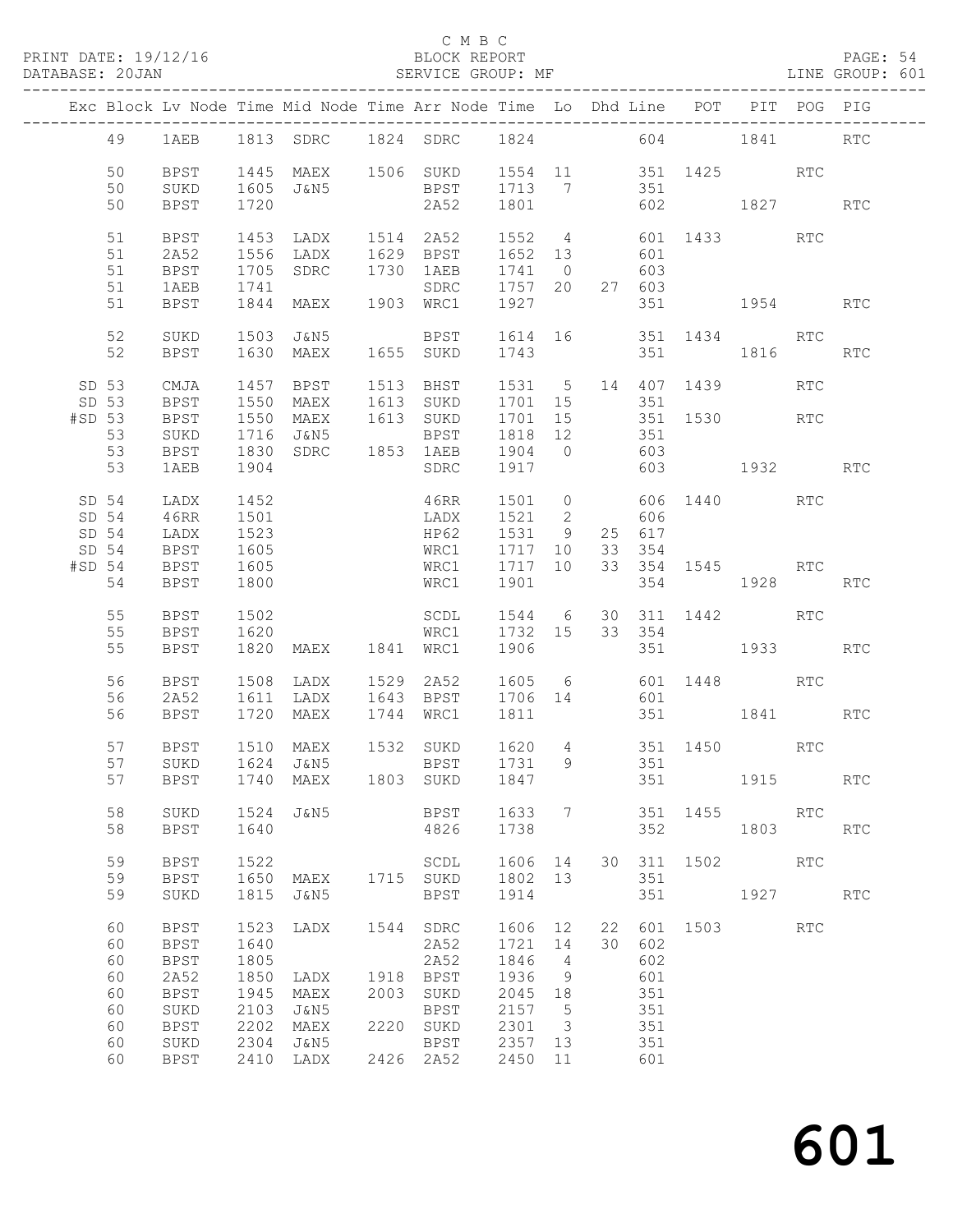PRINT DATE: 19/12/16 BLOCK REPORT BATABASE: 20JAN BLOCK REPORT

### C M B C<br>BLOCK REPORT

PAGE: 54<br>LINE GROUP: 601

|          |          |                     |              | Exc Block Lv Node Time Mid Node Time Arr Node Time Lo Dhd Line POT PIT POG PIG                            |      |                                        |                |                         |     |            |                         |          |            |            |
|----------|----------|---------------------|--------------|-----------------------------------------------------------------------------------------------------------|------|----------------------------------------|----------------|-------------------------|-----|------------|-------------------------|----------|------------|------------|
|          |          |                     |              |                                                                                                           |      |                                        |                |                         |     |            |                         |          |            |            |
|          | 49       |                     |              | 1AEB 1813 SDRC 1824 SDRC 1824 604 1841 RTC                                                                |      |                                        |                |                         |     |            |                         |          |            |            |
|          | 50       | BPST                |              | 1445 MAEX 1506 SUKD 1554 11 351 1425 RTC                                                                  |      |                                        |                |                         |     |            |                         |          |            |            |
|          | 50       | SUKD                | 1605         | J&N5                                                                                                      |      | BPST 1713 7 351                        |                |                         |     |            |                         |          |            |            |
|          | 50       | BPST                | 1720         |                                                                                                           |      | 2A52 1801                              |                |                         |     |            | 602 1827 RTC            |          |            |            |
|          | 51       | BPST                | 1453         |                                                                                                           |      | LADX 1514 2A52 1552 4 601 1433         |                |                         |     |            |                         |          | RTC        |            |
|          | 51       | 2A52                |              | 1556 LADX 1629 BPST 1652 13                                                                               |      |                                        |                |                         | 601 |            |                         |          |            |            |
|          | 51       | BPST                | 1705         | SDRC 1730 1AEB                                                                                            |      | 1AEB 1741 0 603<br>SDRC 1757 20 27 603 |                |                         |     |            |                         |          |            |            |
|          | 51<br>51 | 1AEB<br>BPST        |              |                                                                                                           |      |                                        |                |                         |     | 27 603     | 351 1954 RTC            |          |            |            |
|          |          |                     |              |                                                                                                           |      |                                        |                |                         |     |            |                         |          |            |            |
|          | 52       | SUKD                |              | 1503 J&N5                                                                                                 |      | BPST 1614 16 351 1434 RTC              |                |                         |     |            |                         |          |            |            |
|          | 52       | BPST                |              | 1630 MAEX 1655 SUKD 1743                                                                                  |      |                                        |                |                         |     |            | 351 1816 RTC            |          |            |            |
| SD 53    |          | CMJA                |              | 1457 BPST 1513 BHST 1531 5 14 407 1439                                                                    |      |                                        |                |                         |     |            |                         |          | <b>RTC</b> |            |
| SD 53    |          | <b>BPST</b>         |              |                                                                                                           |      |                                        |                |                         |     |            |                         |          |            |            |
| #SD 53   |          | <b>BPST</b>         |              | 1550 MAEX 1613 SUKD 1701 15 351<br>1550 MAEX 1613 SUKD 1701 15 351 1530 RTC<br>1716 J&N5 BPST 1818 12 351 |      |                                        |                |                         |     |            |                         |          |            |            |
|          | 53       | SUKD                |              | 1830 SDRC 1853 1AEB 1904 0 603                                                                            |      |                                        |                |                         |     |            |                         |          |            |            |
|          | 53<br>53 | BPST<br>1AEB        | 1904         |                                                                                                           |      | SDRC 1917 603 1932 RTC                 |                |                         |     |            |                         |          |            |            |
|          |          |                     |              |                                                                                                           |      |                                        |                |                         |     |            |                         |          |            |            |
|          | SD 54    | LADX                | 1452         |                                                                                                           |      | 46RR                                   |                |                         |     |            | 1501 0 606 1440 RTC     |          |            |            |
| SD 54    | SD 54    | 46RR<br>LADX        | 1501<br>1523 |                                                                                                           |      | LADX 1521 2 606<br>HP62                | 1531 9         |                         |     | 25 617     |                         |          |            |            |
|          | SD 54    | BPST                |              |                                                                                                           |      |                                        |                |                         |     | 33 354     |                         |          |            |            |
| $#SD$ 54 |          | <b>BPST</b>         | 1605<br>1605 |                                                                                                           |      | WRC1 1717 10<br>WRC1 1717 10           |                |                         |     |            | 33 354 1545 RTC         |          |            |            |
|          | 54       | BPST                | 1800         |                                                                                                           |      | WRC1 1901                              |                |                         |     |            | 354 1928                |          |            | RTC        |
|          | 55       | BPST                | 1502         |                                                                                                           |      |                                        |                |                         |     |            | 30 311 1442 RTC         |          |            |            |
|          | 55       | BPST                | 1620         |                                                                                                           |      | SCDL 1544 6<br>WRC1 1732 15            |                |                         |     | 33 354     |                         |          |            |            |
|          | 55       | BPST                |              | 1820 MAEX 1841 WRC1                                                                                       |      |                                        | 1906           |                         |     |            | 351 1933                |          |            | <b>RTC</b> |
|          | 56       | BPST                |              |                                                                                                           |      |                                        |                |                         |     |            |                         |          |            |            |
|          | 56       | 2A52                |              | 1508 LADX 1529 2A52 1605 6 601 1448 RTC<br>1611 LADX 1643 BPST 1706 14 601                                |      |                                        |                |                         |     |            |                         |          |            |            |
|          | 56       | BPST                |              | 1720 MAEX                                                                                                 |      | 1744 WRC1 1811                         |                |                         |     |            | 351 1841 RTC            |          |            |            |
|          | 57       | BPST                |              |                                                                                                           |      |                                        |                |                         |     |            |                         |          |            |            |
|          | 57       | SUKD                |              | 1510 MAEX 1532 SUKD 1620 4 351 1450 RTC<br>1624 J&N5 BPST 1731 9 351                                      |      |                                        |                |                         |     |            |                         |          |            |            |
|          |          |                     |              | 57 BPST 1740 MAEX 1803 SUKD 1847 351 1915 RTC                                                             |      |                                        |                |                         |     |            |                         |          |            |            |
|          |          |                     |              |                                                                                                           |      |                                        |                |                         |     |            |                         |          |            |            |
|          | 58<br>58 | SUKD<br>BPST        | 1640         | 1524 J&N5                                                                                                 |      | BPST<br>4826                           | 1633 7<br>1738 |                         |     |            | 351 1455 RTC<br>352 357 | 1803 RTC |            |            |
|          |          |                     |              |                                                                                                           |      |                                        |                |                         |     |            |                         |          |            |            |
|          | 59       | <b>BPST</b>         | 1522         |                                                                                                           |      | SCDL 1606 14                           |                |                         |     |            | 30 311 1502             |          | RTC        |            |
|          | 59       | <b>BPST</b>         | 1650         | MAEX 1715 SUKD                                                                                            |      |                                        | 1802 13        |                         |     | 351        |                         |          |            |            |
|          | 59       | SUKD                | 1815         | J&N5                                                                                                      |      | BPST                                   | 1914           |                         |     | 351        | 1927 RTC                |          |            |            |
|          | 60       | <b>BPST</b>         | 1523         | LADX                                                                                                      |      | 1544 SDRC                              | 1606 12        |                         |     |            | 22 601 1503 RTC         |          |            |            |
|          | 60       | <b>BPST</b>         | 1640         |                                                                                                           |      | 2A52                                   | 1721           | 14                      |     | 30 602     |                         |          |            |            |
|          | 60       | <b>BPST</b>         | 1805         |                                                                                                           |      | 2A52                                   | 1846<br>1936   | $\overline{4}$          |     | 602        |                         |          |            |            |
|          | 60<br>60 | 2A52<br><b>BPST</b> | 1850<br>1945 | LADX<br>MAEX                                                                                              | 2003 | 1918 BPST<br>SUKD                      | 2045 18        | 9                       |     | 601<br>351 |                         |          |            |            |
|          | 60       | SUKD                | 2103         | J&N5                                                                                                      |      | BPST                                   | 2157           | $-5$                    |     | 351        |                         |          |            |            |
|          | 60       | <b>BPST</b>         | 2202         | MAEX                                                                                                      |      | 2220 SUKD                              | 2301           | $\overline{\mathbf{3}}$ |     | 351        |                         |          |            |            |
|          | 60       | SUKD                | 2304         | J&N5                                                                                                      |      | BPST                                   | 2357 13        |                         |     | 351        |                         |          |            |            |
|          | 60       | BPST                |              | 2410 LADX                                                                                                 |      | 2426 2A52                              | 2450 11        |                         |     | 601        |                         |          |            |            |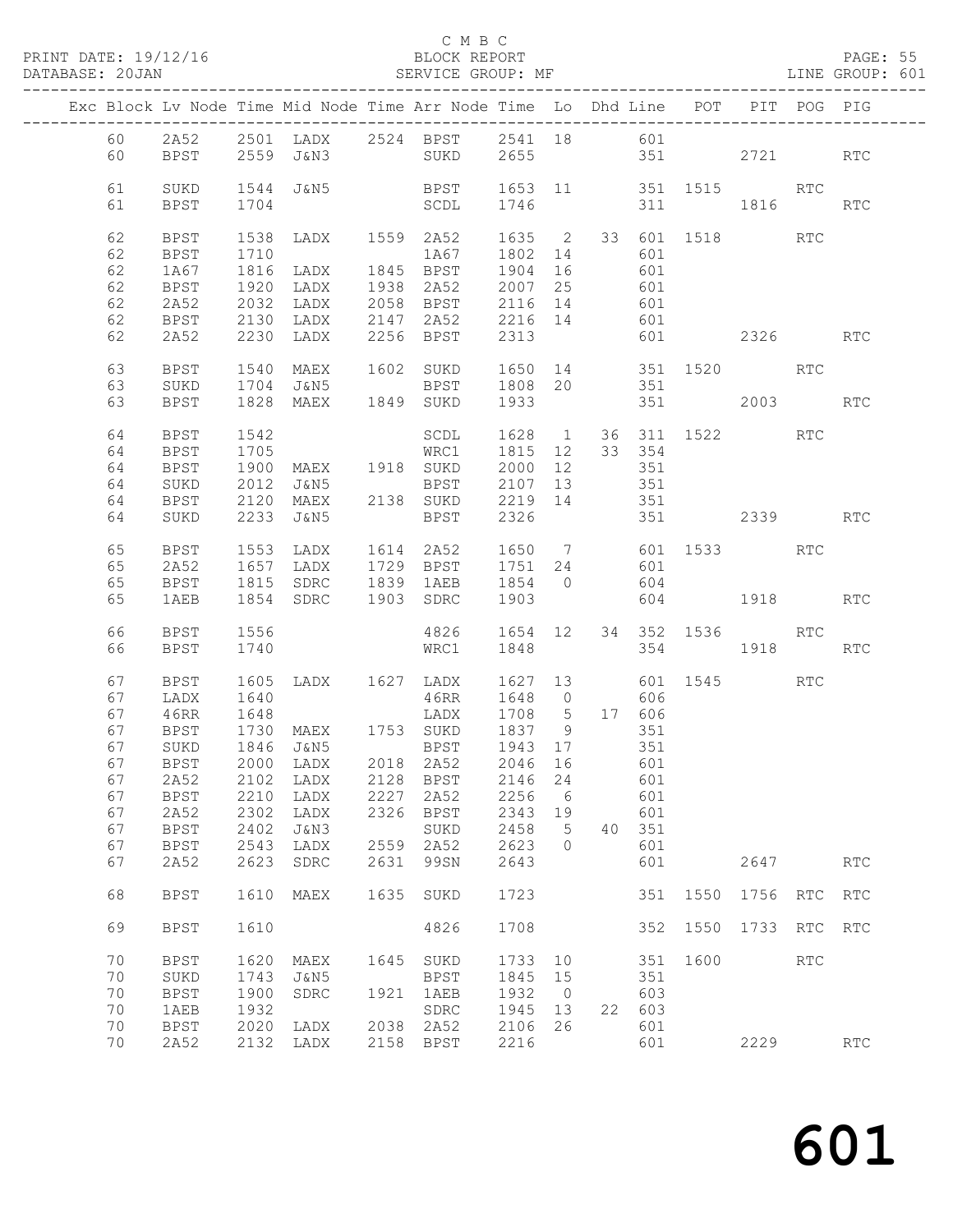PRINT DATE: 19/12/16 BLOCK REPORT<br>DATABASE: 20JAN SERVICE GROUP: MF

### C M B C<br>BLOCK REPORT

PAGE: 55<br>LINE GROUP: 601

|  |    |             |      | Exc Block Lv Node Time Mid Node Time Arr Node Time Lo Dhd Line POT PIT POG PIG                                                                           |      |                                   |         |                |     |        |         |                                                                                                                                                                                                                                 |            |                      |
|--|----|-------------|------|----------------------------------------------------------------------------------------------------------------------------------------------------------|------|-----------------------------------|---------|----------------|-----|--------|---------|---------------------------------------------------------------------------------------------------------------------------------------------------------------------------------------------------------------------------------|------------|----------------------|
|  | 60 | 2A52        |      | 2501 LADX 2524 BPST 2541 18 601                                                                                                                          |      |                                   |         |                |     |        |         |                                                                                                                                                                                                                                 |            |                      |
|  | 60 | BPST        |      | 2559 J&N3 SUKD 2655 351                                                                                                                                  |      |                                   |         |                |     |        |         | 2721                                                                                                                                                                                                                            |            | <b>RTC</b>           |
|  |    |             |      |                                                                                                                                                          |      |                                   |         |                |     |        |         |                                                                                                                                                                                                                                 |            |                      |
|  | 61 | SUKD        |      |                                                                                                                                                          |      |                                   |         |                |     |        |         |                                                                                                                                                                                                                                 |            |                      |
|  | 61 | BPST        | 1704 | $\begin{array}{cccccccc} 1544 & \text{J@N5} & \text{BPST} & 1653 & 11 & 351 & 1515 & \text{RTC} \\ 1704 & \text{SCDL} & 1746 & 311 & 1816 & \end{array}$ |      |                                   |         |                |     |        |         | 311 1816                                                                                                                                                                                                                        |            | RTC                  |
|  |    |             |      |                                                                                                                                                          |      |                                   |         |                |     |        |         |                                                                                                                                                                                                                                 |            |                      |
|  | 62 | <b>BPST</b> | 1538 |                                                                                                                                                          |      | LADX 1559 2A52 1635 2 33 601 1518 |         |                |     |        |         |                                                                                                                                                                                                                                 | RTC        |                      |
|  | 62 | BPST        | 1710 |                                                                                                                                                          |      | 1A67                              | 1802 14 |                |     | 601    |         |                                                                                                                                                                                                                                 |            |                      |
|  | 62 | 1A67        | 1816 | LADX                                                                                                                                                     |      | 1845 BPST 1904 16                 |         |                |     | 601    |         |                                                                                                                                                                                                                                 |            |                      |
|  | 62 | BPST        | 1920 | LADX                                                                                                                                                     |      | 1938 2A52 2007 25                 |         |                |     | 601    |         |                                                                                                                                                                                                                                 |            |                      |
|  | 62 | 2A52        | 2032 | LADX                                                                                                                                                     |      | 2058 BPST 2116 14                 |         |                |     | 601    |         |                                                                                                                                                                                                                                 |            |                      |
|  | 62 | BPST        | 2130 | LADX                                                                                                                                                     |      |                                   |         |                |     | 601    |         |                                                                                                                                                                                                                                 |            |                      |
|  | 62 | 2A52        | 2230 | LADX                                                                                                                                                     |      |                                   |         |                |     |        |         | 601 2326 RTC                                                                                                                                                                                                                    |            |                      |
|  |    |             |      |                                                                                                                                                          |      |                                   |         |                |     |        |         |                                                                                                                                                                                                                                 |            |                      |
|  | 63 | BPST        |      | 1540 MAEX                                                                                                                                                |      | 1602 SUKD 1650 14 351 1520 RTC    |         |                |     |        |         |                                                                                                                                                                                                                                 |            |                      |
|  | 63 | SUKD        |      | 1704 J&N5                                                                                                                                                |      | BPST 1808 20                      |         |                |     | 351    |         |                                                                                                                                                                                                                                 |            |                      |
|  | 63 | BPST        |      | 1828 MAEX 1849 SUKD                                                                                                                                      |      |                                   | 1933    |                |     |        | 351 000 | 2003 — 2003 — 2004 — 2005 — 2006 — 2006 — 2006 — 2006 — 2006 — 2006 — 2006 — 2006 — 2006 — 2006 — 2006 — 2006 — 2006 — 2006 — 2006 — 2006 — 2006 — 2006 — 2006 — 2006 — 2006 — 2006 — 2006 — 2006 — 2006 — 2006 — 2006 — 2006 — |            | <b>RTC</b>           |
|  |    |             |      |                                                                                                                                                          |      |                                   |         |                |     |        |         |                                                                                                                                                                                                                                 |            |                      |
|  | 64 | BPST        | 1542 |                                                                                                                                                          |      | SCDL                              | 1628 1  |                |     |        |         | 36 311 1522                                                                                                                                                                                                                     | RTC        |                      |
|  | 64 | BPST        |      |                                                                                                                                                          |      |                                   |         |                |     | 33 354 |         |                                                                                                                                                                                                                                 |            |                      |
|  | 64 | BPST        |      |                                                                                                                                                          |      |                                   |         |                |     | 351    |         |                                                                                                                                                                                                                                 |            |                      |
|  | 64 | SUKD        | 2012 | J&N5                                                                                                                                                     |      | BPST 2107 13                      |         |                |     | 351    |         |                                                                                                                                                                                                                                 |            |                      |
|  | 64 | BPST        |      | 2120 MAEX 2138 SUKD 2219 14                                                                                                                              |      |                                   |         |                |     | 351    |         |                                                                                                                                                                                                                                 |            |                      |
|  | 64 | SUKD        |      | 2233 J&N5                                                                                                                                                |      | BPST                              | 2326    |                |     |        |         | 351 2339                                                                                                                                                                                                                        |            | <b>RTC</b>           |
|  |    |             |      |                                                                                                                                                          |      |                                   |         |                |     |        |         |                                                                                                                                                                                                                                 |            |                      |
|  | 65 | <b>BPST</b> | 1553 | LADX                                                                                                                                                     |      | 1614 2A52 1650 7 601 1533         |         |                |     |        |         |                                                                                                                                                                                                                                 | RTC        |                      |
|  | 65 | 2A52        | 1657 |                                                                                                                                                          |      | LADX 1729 BPST 1751 24 601        |         |                |     |        |         |                                                                                                                                                                                                                                 |            |                      |
|  | 65 | <b>BPST</b> |      | 1815 SDRC 1839 1AEB 1854 0 604                                                                                                                           |      |                                   |         |                |     |        |         |                                                                                                                                                                                                                                 |            |                      |
|  | 65 | 1AEB        |      | 1854 SDRC                                                                                                                                                |      | 1903 SDRC                         | 1903    |                |     |        |         | 604 1918                                                                                                                                                                                                                        |            | <b>RTC</b>           |
|  |    |             |      |                                                                                                                                                          |      |                                   |         |                |     |        |         |                                                                                                                                                                                                                                 |            |                      |
|  | 66 | BPST        | 1556 |                                                                                                                                                          |      | 4826 1654 12 34 352 1536 RTC      |         |                |     |        |         |                                                                                                                                                                                                                                 |            |                      |
|  | 66 | BPST        | 1740 |                                                                                                                                                          |      | WRC1                              | 1848    |                |     |        | 354     | 1918                                                                                                                                                                                                                            |            | <b>RTC</b>           |
|  |    |             |      |                                                                                                                                                          |      |                                   |         |                |     |        |         |                                                                                                                                                                                                                                 |            |                      |
|  | 67 | BPST        | 1605 | LADX 1627 LADX                                                                                                                                           |      |                                   |         |                |     |        |         | 1627 13 601 1545                                                                                                                                                                                                                | <b>RTC</b> |                      |
|  | 67 | LADX        | 1640 |                                                                                                                                                          |      | 46RR 1648 0                       |         |                |     | 606    |         |                                                                                                                                                                                                                                 |            |                      |
|  | 67 | 46RR        | 1648 |                                                                                                                                                          |      | LADX 1708 5                       |         |                |     | 17 606 |         |                                                                                                                                                                                                                                 |            |                      |
|  | 67 | BPST        |      |                                                                                                                                                          |      |                                   |         |                |     | 351    |         |                                                                                                                                                                                                                                 |            |                      |
|  | 67 | SUKD        |      |                                                                                                                                                          |      |                                   |         |                |     | 351    |         |                                                                                                                                                                                                                                 |            |                      |
|  | 67 | BPST        |      | 2000 LADX 2018 2A52                                                                                                                                      |      |                                   | 2046 16 |                | 601 |        |         |                                                                                                                                                                                                                                 |            |                      |
|  | 67 | 2A52        | 2102 | LADX                                                                                                                                                     | 2128 | <b>BPST</b>                       | 2146    | 24             |     | 601    |         |                                                                                                                                                                                                                                 |            |                      |
|  | 67 | <b>BPST</b> | 2210 | LADX                                                                                                                                                     | 2227 | 2A52                              | 2256    | 6              |     | 601    |         |                                                                                                                                                                                                                                 |            |                      |
|  | 67 | 2A52        | 2302 | LADX                                                                                                                                                     | 2326 | <b>BPST</b>                       | 2343    | 19             |     | 601    |         |                                                                                                                                                                                                                                 |            |                      |
|  | 67 | <b>BPST</b> | 2402 | J&N3                                                                                                                                                     |      | SUKD                              | 2458    | 5              | 40  | 351    |         |                                                                                                                                                                                                                                 |            |                      |
|  | 67 | <b>BPST</b> | 2543 | LADX                                                                                                                                                     | 2559 | 2A52                              | 2623    | $\Omega$       |     | 601    |         |                                                                                                                                                                                                                                 |            |                      |
|  | 67 | 2A52        | 2623 | SDRC                                                                                                                                                     | 2631 | 99SN                              | 2643    |                |     | 601    |         | 2647                                                                                                                                                                                                                            |            | <b>RTC</b>           |
|  |    |             |      |                                                                                                                                                          |      |                                   |         |                |     |        |         |                                                                                                                                                                                                                                 |            |                      |
|  | 68 | <b>BPST</b> | 1610 | MAEX                                                                                                                                                     | 1635 | SUKD                              | 1723    |                |     | 351    | 1550    | 1756                                                                                                                                                                                                                            | <b>RTC</b> | <b>RTC</b>           |
|  |    |             |      |                                                                                                                                                          |      |                                   |         |                |     |        |         |                                                                                                                                                                                                                                 |            |                      |
|  | 69 | <b>BPST</b> | 1610 |                                                                                                                                                          |      | 4826                              | 1708    |                |     | 352    | 1550    | 1733                                                                                                                                                                                                                            | RTC        | RTC                  |
|  |    |             |      |                                                                                                                                                          |      |                                   |         |                |     |        |         |                                                                                                                                                                                                                                 |            |                      |
|  | 70 | <b>BPST</b> | 1620 | MAEX                                                                                                                                                     | 1645 | SUKD                              | 1733    | 10             |     | 351    | 1600    |                                                                                                                                                                                                                                 | RTC        |                      |
|  | 70 | SUKD        | 1743 | J&N5                                                                                                                                                     |      | BPST                              | 1845    | 15             |     | 351    |         |                                                                                                                                                                                                                                 |            |                      |
|  | 70 | <b>BPST</b> | 1900 | SDRC                                                                                                                                                     | 1921 | 1AEB                              | 1932    | $\overline{0}$ |     | 603    |         |                                                                                                                                                                                                                                 |            |                      |
|  | 70 | 1AEB        | 1932 |                                                                                                                                                          |      | SDRC                              | 1945    | 13             | 22  | 603    |         |                                                                                                                                                                                                                                 |            |                      |
|  | 70 | <b>BPST</b> | 2020 | LADX                                                                                                                                                     | 2038 | 2A52                              | 2106    | 26             |     | 601    |         |                                                                                                                                                                                                                                 |            |                      |
|  | 70 | 2A52        | 2132 | LADX                                                                                                                                                     | 2158 | BPST                              | 2216    |                |     | 601    |         | 2229                                                                                                                                                                                                                            |            | $\operatorname{RTC}$ |
|  |    |             |      |                                                                                                                                                          |      |                                   |         |                |     |        |         |                                                                                                                                                                                                                                 |            |                      |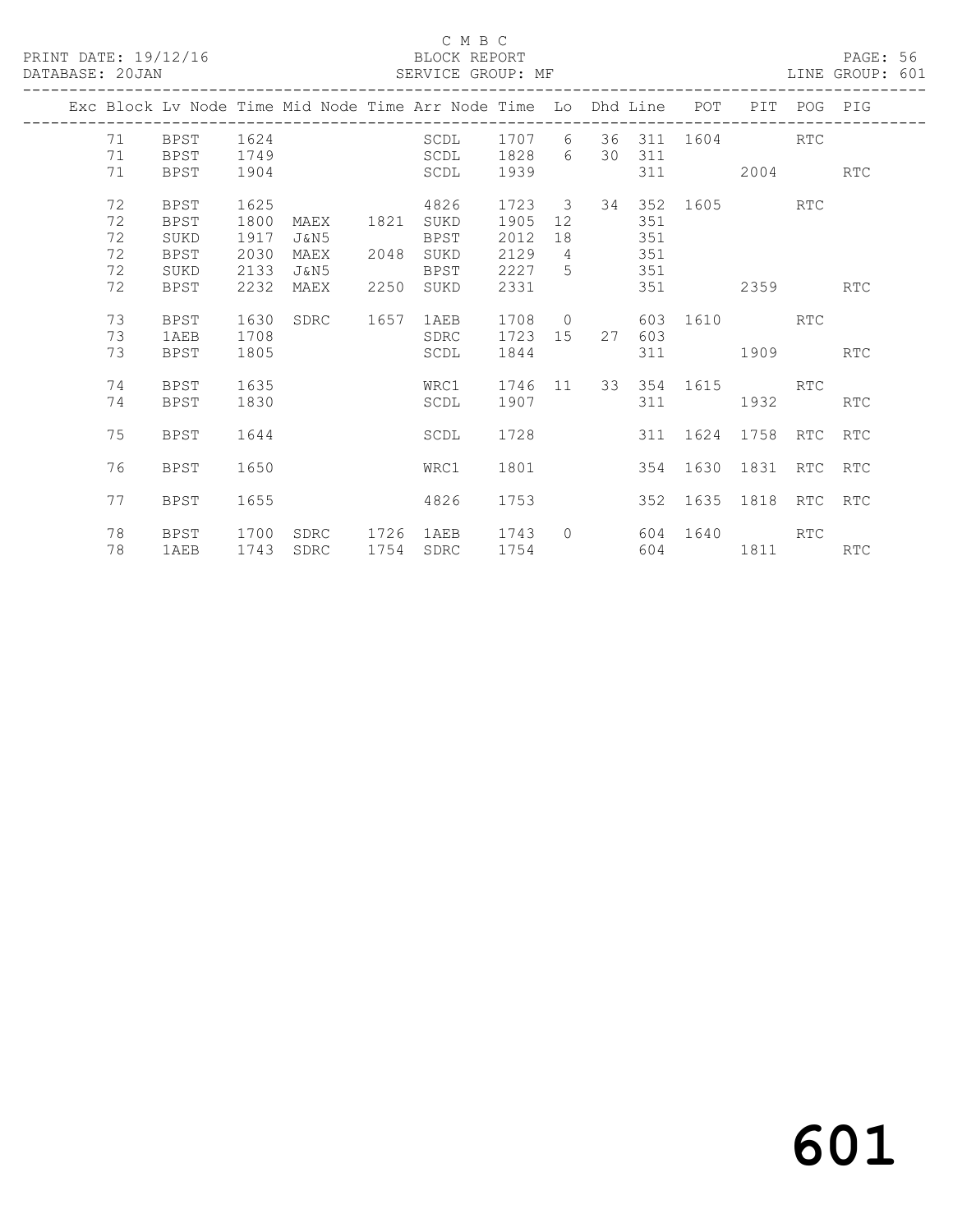#### C M B C<br>BLOCK REPORT SERVICE GROUP: MF

|  |    |             |      |      |      | Exc Block Lv Node Time Mid Node Time Arr Node Time Lo Dhd Line POT |         |                |     |        |               | PIT               | POG PIG    |            |
|--|----|-------------|------|------|------|--------------------------------------------------------------------|---------|----------------|-----|--------|---------------|-------------------|------------|------------|
|  | 71 | BPST        | 1624 |      |      | SCDL                                                               | 1707 6  |                | 36  |        |               | 311 1604          | RTC        |            |
|  | 71 | <b>BPST</b> | 1749 |      |      | <b>SCDL</b>                                                        | 1828    | 6              |     | 30 311 |               |                   |            |            |
|  | 71 | BPST        | 1904 |      |      | SCDL                                                               | 1939    |                |     | 311    |               | 2004              |            | RTC        |
|  | 72 | BPST        | 1625 |      |      | 4826                                                               | 1723 3  |                |     |        |               |                   |            |            |
|  | 72 | BPST        | 1800 | MAEX | 1821 | SUKD                                                               | 1905    | 12             |     | 351    |               |                   |            |            |
|  | 72 | SUKD        | 1917 | J&N5 |      | <b>BPST</b>                                                        | 2012    | 18             |     | 351    |               |                   |            |            |
|  | 72 | <b>BPST</b> | 2030 | MAEX | 2048 | SUKD                                                               | 2129    | $\overline{4}$ |     | 351    |               |                   |            |            |
|  | 72 | SUKD        | 2133 | J&N5 |      | BPST                                                               | 2227    | 5 <sup>5</sup> | 351 |        |               |                   |            |            |
|  | 72 | <b>BPST</b> | 2232 | MAEX | 2250 | SUKD                                                               | 2331    |                |     | 351    |               | 2359              |            | <b>RTC</b> |
|  |    |             |      |      |      |                                                                    |         |                |     |        |               |                   |            |            |
|  | 73 | BPST        | 1630 | SDRC | 1657 | 1AEB                                                               | 1708    | $\overline{O}$ |     |        |               | 603 1610 RTC      |            |            |
|  | 73 | 1AEB        | 1708 |      |      | SDRC                                                               | 1723 15 |                | 27  | 603    |               |                   |            |            |
|  | 73 | <b>BPST</b> | 1805 |      |      | SCDL                                                               | 1844    |                |     | 311    |               | 1909              |            | <b>RTC</b> |
|  |    |             |      |      |      |                                                                    |         |                |     |        |               |                   |            |            |
|  | 74 | <b>BPST</b> | 1635 |      |      | WRC1                                                               | 1746 11 |                |     |        | 33 354 1615   |                   | <b>RTC</b> |            |
|  | 74 | <b>BPST</b> | 1830 |      |      | SCDL                                                               | 1907    |                |     | 311    |               | 1932              |            | <b>RTC</b> |
|  |    |             |      |      |      |                                                                    |         |                |     |        |               |                   |            |            |
|  | 75 | <b>BPST</b> | 1644 |      |      | SCDL                                                               | 1728    |                |     |        |               | 311 1624 1758 RTC |            | RTC        |
|  |    |             |      |      |      |                                                                    |         |                |     |        |               |                   |            |            |
|  | 76 | <b>BPST</b> | 1650 |      |      | WRC1                                                               | 1801    |                |     |        | 354 1630      | 1831              | <b>RTC</b> | RTC        |
|  |    |             |      |      |      |                                                                    |         |                |     |        |               |                   |            |            |
|  | 77 | <b>BPST</b> | 1655 |      |      | 4826                                                               | 1753    |                |     |        | 352 1635 1818 |                   | <b>RTC</b> | RTC        |
|  | 78 | BPST        | 1700 | SDRC | 1726 | 1AEB                                                               | 1743    | $\bigcap$      |     |        | 604 1640      |                   | <b>RTC</b> |            |
|  | 78 |             | 1743 | SDRC | 1754 | SDRC                                                               | 1754    |                |     |        | 604 60        | 1811              |            |            |
|  |    | 1AEB        |      |      |      |                                                                    |         |                |     |        |               |                   |            | RTC        |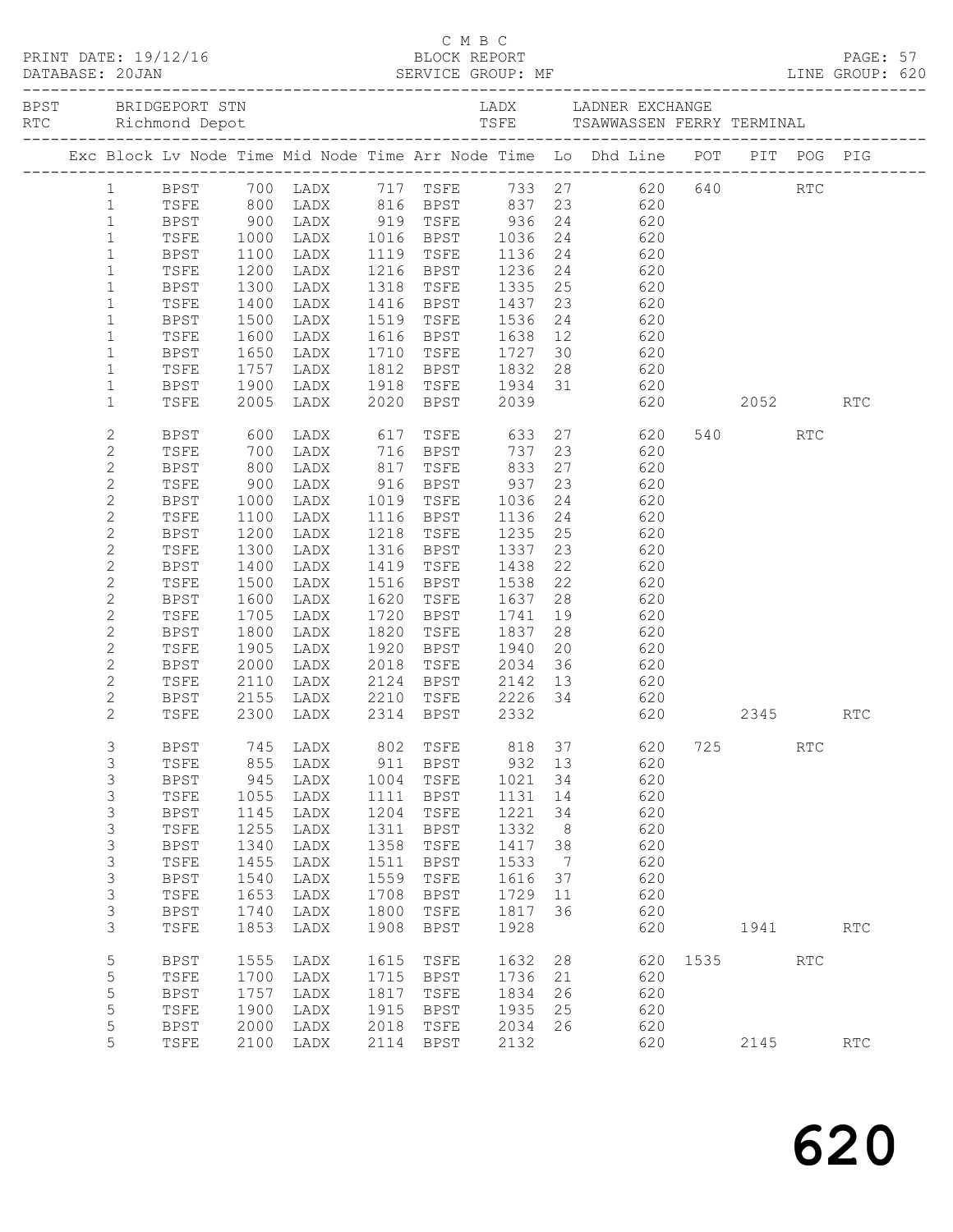|  |                             |              |                                           |                        |      |                                               |              |     | C M B C<br>PRINT DATE: 19/12/16 BLOCK REPORT PAGE: 57<br>DATABASE: 20JAN SERVICE GROUP: MF LINE GROUP: 620 |      |       |            |                      |  |
|--|-----------------------------|--------------|-------------------------------------------|------------------------|------|-----------------------------------------------|--------------|-----|------------------------------------------------------------------------------------------------------------|------|-------|------------|----------------------|--|
|  |                             |              |                                           |                        |      |                                               |              |     |                                                                                                            |      |       |            |                      |  |
|  |                             |              |                                           |                        |      |                                               |              |     | Exc Block Lv Node Time Mid Node Time Arr Node Time Lo Dhd Line POT PIT POG PIG                             |      |       |            |                      |  |
|  |                             |              |                                           |                        |      |                                               |              |     | 1 BPST 700 LADX 717 TSFE 733 27 620 640 RTC<br>1 TSFE 800 LADX 816 BPST 837 23 620                         |      |       |            |                      |  |
|  |                             |              |                                           |                        |      |                                               |              |     |                                                                                                            |      |       |            |                      |  |
|  | $\mathbf{1}$                | <b>BPST</b>  |                                           |                        |      |                                               |              |     | 900 LADX 919 TSFE 936 24 620                                                                               |      |       |            |                      |  |
|  | $\mathbf{1}$                | TSFE         | 1000<br>1100<br>1200                      |                        |      |                                               |              |     | 1991 1992<br>1992 1119 1125 1136 24<br>11216 BPST 1136 24<br>1216 BPST 1236 24                             |      |       |            |                      |  |
|  | $\mathbf{1}$                | BPST         |                                           |                        |      |                                               |              |     |                                                                                                            |      |       |            |                      |  |
|  | $\mathbf{1}$                | TSFE         |                                           |                        |      |                                               |              |     |                                                                                                            |      |       |            |                      |  |
|  | $\mathbf{1}$                | BPST         | 1300                                      | LADX                   |      |                                               |              |     | 1318 TSFE 1335 25 620                                                                                      |      |       |            |                      |  |
|  | $\mathbf{1}$                | TSFE         | 1400                                      | LADX                   |      |                                               |              |     |                                                                                                            |      |       |            |                      |  |
|  | $\mathbf{1}$                | BPST         | 1500<br>1600                              | LADX                   |      |                                               |              |     | 1416 BPST 1437 23 620<br>1519 TSFE 1536 24 620<br>1616 BPST 1638 12 620                                    |      |       |            |                      |  |
|  | $\mathbf{1}$                | TSFE         |                                           | LADX                   |      |                                               |              |     | 30 620                                                                                                     |      |       |            |                      |  |
|  | $\mathbf{1}$                | BPST         | 1650                                      | LADX                   |      | 1710 TSFE 1727                                |              |     |                                                                                                            |      |       |            |                      |  |
|  | $\mathbf{1}$                | TSFE         | 1757                                      | LADX                   |      | 1812 BPST 1832                                |              |     | 28 620                                                                                                     |      |       |            |                      |  |
|  | $\mathbf 1$<br>$\mathbf{1}$ | BPST<br>TSFE |                                           | 1900 LADX<br>2005 LADX |      |                                               |              |     | 1918 TSFE 1934 31 620<br>2020 BPST 2039 620 2052 RTC                                                       |      |       |            |                      |  |
|  |                             |              |                                           |                        |      |                                               |              |     |                                                                                                            |      |       |            |                      |  |
|  | 2                           | BPST         | 600                                       |                        |      | LADX 617 TSFE 633                             |              |     | 27<br>620                                                                                                  |      | 540 6 | RTC        |                      |  |
|  | 2                           | TSFE         |                                           |                        |      |                                               |              |     |                                                                                                            |      |       |            |                      |  |
|  | $\mathbf{2}$                | BPST         | $\begin{array}{c} 700 \\ 800 \end{array}$ |                        |      | LADX 716 BPST 737<br>LADX 817 TSFE 833        |              |     | 23 620<br>27 620                                                                                           |      |       |            |                      |  |
|  | $\mathbf{2}$                | TSFE         | 900                                       | LADX                   |      | 916 BPST 937                                  |              |     | 23 620                                                                                                     |      |       |            |                      |  |
|  | $\mathbf{2}$                | BPST         | 1000                                      | LADX                   |      | 1019 TSFE 1036                                |              |     | 24 620                                                                                                     |      |       |            |                      |  |
|  | $\mathbf{2}$                | TSFE         | 1100                                      | LADX                   |      | 1116 BPST                                     |              |     |                                                                                                            |      |       |            |                      |  |
|  | $\mathbf{2}$                | BPST         | 1200                                      | LADX                   |      | 1218 TSFE                                     | 1136<br>1235 |     | 24 620<br>25 620                                                                                           |      |       |            |                      |  |
|  | $\mathbf{2}$                | TSFE         | 1300                                      | LADX                   |      | 1316 BPST 1337                                |              |     | 23 620                                                                                                     |      |       |            |                      |  |
|  | $\mathbf{2}$                | BPST         | 1400                                      | LADX                   |      | 1419 TSFE 1438                                |              |     | 22<br>620                                                                                                  |      |       |            |                      |  |
|  | $\mathbf{2}$                | TSFE         | 1500                                      | LADX                   |      | 1516 BPST                                     | 1538<br>1637 |     | 22 620                                                                                                     |      |       |            |                      |  |
|  | $\overline{c}$              | BPST         | 1600                                      | LADX                   |      | 1620 TSFE                                     |              | 28  | 620                                                                                                        |      |       |            |                      |  |
|  | $\mathbf{2}$                | TSFE         | 1705                                      | LADX                   |      | 1720 BPST 1741                                |              |     | 19 620                                                                                                     |      |       |            |                      |  |
|  | $\overline{c}$              | BPST         | 1800                                      | LADX                   |      | 1820 TSFE 1837                                |              | 28  | 620                                                                                                        |      |       |            |                      |  |
|  | $\mathbf{2}$                | TSFE         | 1905                                      | LADX                   |      | 1920 BPST<br>1920 BPST 1940<br>2018 TSFE 2034 |              |     | 20 620<br>36 620                                                                                           |      |       |            |                      |  |
|  | $\overline{c}$              | BPST         | 2000<br>2110                              | LADX                   |      |                                               |              |     | 2010 1012 2001 30<br>2124 BPST 2142 13 620                                                                 |      |       |            |                      |  |
|  | $\mathbf{2}$                | TSFE         |                                           | LADX                   |      |                                               |              |     |                                                                                                            |      |       |            |                      |  |
|  | $\mathbf{2}$                | BPST         |                                           |                        |      |                                               |              |     | 2155 LADX 2210 TSFE 2226 34 620                                                                            |      |       |            |                      |  |
|  | $\mathbf{2}^{\prime}$       | TSFE         | 2300                                      | LADX                   |      | 2314 BPST 2332                                |              |     | 620 2345                                                                                                   |      |       |            | <b>RTC</b>           |  |
|  | 3                           | BPST         | 745                                       | LADX                   | 802  | TSFE                                          | 818          | 37  | 620                                                                                                        | 725  |       | <b>RTC</b> |                      |  |
|  | 3                           | TSFE         | 855                                       | LADX                   | 911  | <b>BPST</b>                                   | 932          | 13  | 620                                                                                                        |      |       |            |                      |  |
|  | 3                           | <b>BPST</b>  | 945                                       | LADX                   | 1004 | TSFE                                          | 1021         | 34  | 620                                                                                                        |      |       |            |                      |  |
|  | 3                           | TSFE         | 1055                                      | LADX                   | 1111 | <b>BPST</b>                                   | 1131         | 14  | 620                                                                                                        |      |       |            |                      |  |
|  | 3                           | <b>BPST</b>  | 1145                                      | LADX                   | 1204 | TSFE                                          | 1221         | 34  | 620                                                                                                        |      |       |            |                      |  |
|  | 3                           | TSFE         | 1255                                      | LADX                   | 1311 | <b>BPST</b>                                   | 1332         | 8   | 620                                                                                                        |      |       |            |                      |  |
|  | 3                           | <b>BPST</b>  | 1340                                      | LADX                   | 1358 | TSFE                                          | 1417         | 38  | 620                                                                                                        |      |       |            |                      |  |
|  | 3                           | TSFE         | 1455                                      | LADX                   | 1511 | <b>BPST</b>                                   | 1533         | - 7 | 620                                                                                                        |      |       |            |                      |  |
|  | 3                           | <b>BPST</b>  | 1540                                      | LADX                   | 1559 | TSFE                                          | 1616         | 37  | 620                                                                                                        |      |       |            |                      |  |
|  | 3                           | TSFE         | 1653                                      | LADX                   | 1708 | <b>BPST</b>                                   | 1729         | 11  | 620                                                                                                        |      |       |            |                      |  |
|  | 3                           | <b>BPST</b>  | 1740                                      | LADX                   | 1800 | TSFE                                          | 1817         | 36  | 620                                                                                                        |      |       |            |                      |  |
|  | 3                           | TSFE         | 1853                                      | LADX                   | 1908 | <b>BPST</b>                                   | 1928         |     | 620                                                                                                        |      | 1941  |            | $\operatorname{RTC}$ |  |
|  | 5                           | <b>BPST</b>  | 1555                                      | LADX                   | 1615 | TSFE                                          | 1632         | 28  | 620                                                                                                        | 1535 |       | RTC        |                      |  |
|  | 5                           | TSFE         | 1700                                      | LADX                   | 1715 | <b>BPST</b>                                   | 1736         | 21  | 620                                                                                                        |      |       |            |                      |  |
|  | 5                           | <b>BPST</b>  | 1757                                      | LADX                   | 1817 | TSFE                                          | 1834         | 26  | 620                                                                                                        |      |       |            |                      |  |
|  | 5                           | TSFE         | 1900                                      | LADX                   | 1915 | <b>BPST</b>                                   | 1935         | 25  | 620                                                                                                        |      |       |            |                      |  |
|  | 5                           | <b>BPST</b>  | 2000                                      | LADX                   | 2018 | TSFE                                          | 2034         | 26  | 620                                                                                                        |      |       |            |                      |  |
|  | 5                           | TSFE         | 2100                                      | LADX                   | 2114 | BPST                                          | 2132         |     | 620                                                                                                        |      | 2145  |            | RTC                  |  |
|  |                             |              |                                           |                        |      |                                               |              |     |                                                                                                            |      |       |            |                      |  |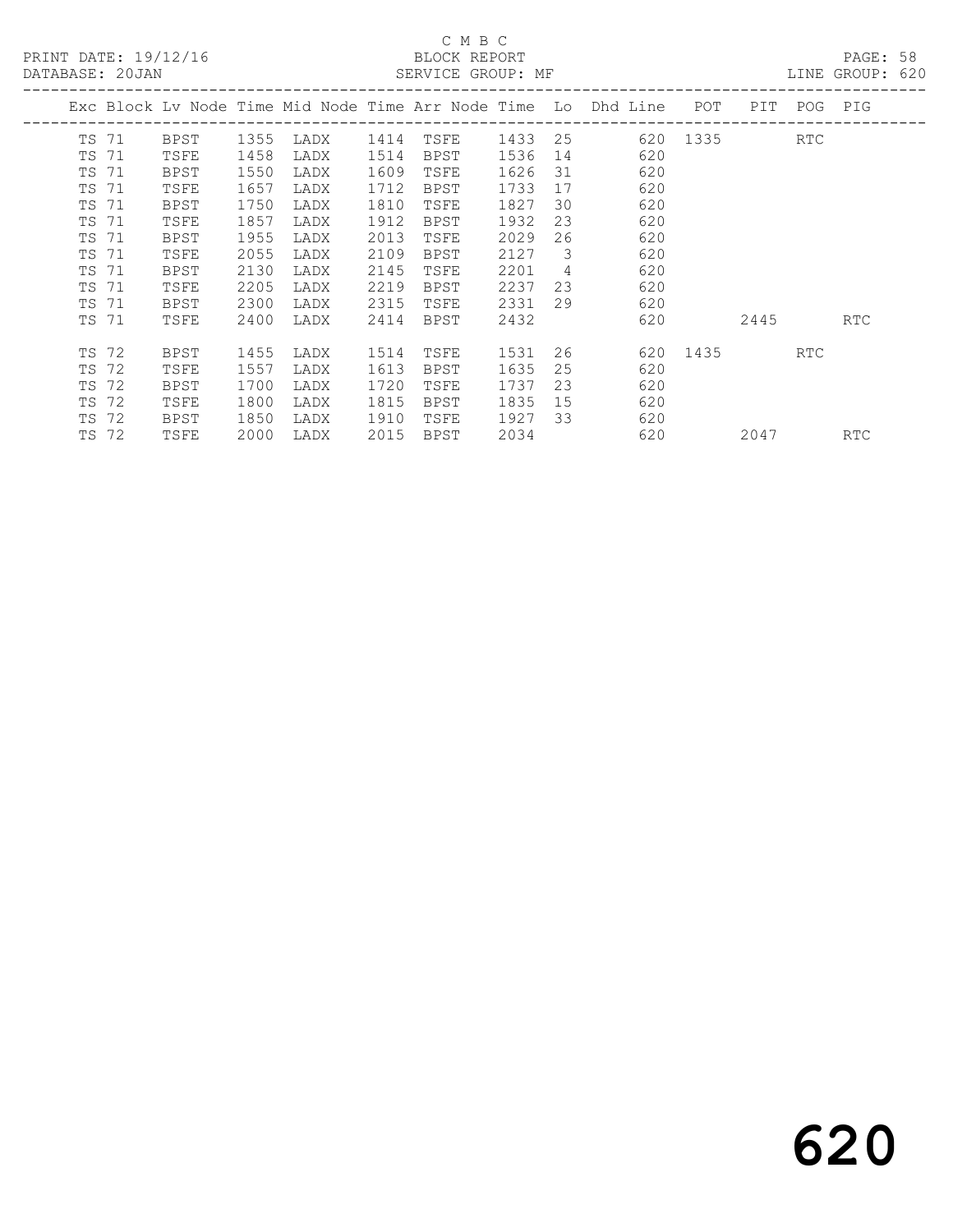PRINT DATE: 19/12/16 BLOCK REPORT<br>DATABASE: 20JAN BATABASE: 20JAN

# C M B C<br>BLOCK REPORT

PAGE: 58<br>LINE GROUP: 620

|       |       |             |      |      |      |             |      |    | Exc Block Lv Node Time Mid Node Time Arr Node Time Lo Dhd Line | POT      | PIT  | POG        | PIG |
|-------|-------|-------------|------|------|------|-------------|------|----|----------------------------------------------------------------|----------|------|------------|-----|
| TS 71 |       | BPST        | 1355 | LADX | 1414 | TSFE        | 1433 | 25 |                                                                | 620 1335 |      | <b>RTC</b> |     |
| TS 71 |       | TSFE        | 1458 | LADX | 1514 | BPST        | 1536 | 14 | 620                                                            |          |      |            |     |
| TS 71 |       | <b>BPST</b> | 1550 | LADX | 1609 | TSFE        | 1626 | 31 | 620                                                            |          |      |            |     |
| TS 71 |       | TSFE        | 1657 | LADX | 1712 | <b>BPST</b> | 1733 | 17 | 620                                                            |          |      |            |     |
| TS 71 |       | BPST        | 1750 | LADX | 1810 | TSFE        | 1827 | 30 | 620                                                            |          |      |            |     |
| TS 71 |       | TSFE        | 1857 | LADX | 1912 | <b>BPST</b> | 1932 | 23 | 620                                                            |          |      |            |     |
| TS 71 |       | BPST        | 1955 | LADX | 2013 | TSFE        | 2029 | 26 | 620                                                            |          |      |            |     |
| TS 71 |       | TSFE        | 2055 | LADX | 2109 | BPST        | 2127 | 3  | 620                                                            |          |      |            |     |
| TS 71 |       | <b>BPST</b> | 2130 | LADX | 2145 | TSFE        | 2201 | 4  | 620                                                            |          |      |            |     |
| TS 71 |       | TSFE        | 2205 | LADX | 2219 | BPST        | 2237 | 23 | 620                                                            |          |      |            |     |
| TS 71 |       | <b>BPST</b> | 2300 | LADX | 2315 | TSFE        | 2331 | 29 | 620                                                            |          |      |            |     |
| TS 71 |       | TSFE        | 2400 | LADX | 2414 | BPST        | 2432 |    | 620                                                            |          | 2445 |            | RTC |
| TS 72 |       | BPST        | 1455 | LADX | 1514 | TSFE        | 1531 | 26 |                                                                | 620 1435 |      | <b>RTC</b> |     |
| TS 72 |       | TSFE        | 1557 | LADX | 1613 | BPST        | 1635 | 25 | 620                                                            |          |      |            |     |
| TS 72 |       | <b>BPST</b> | 1700 | LADX | 1720 | TSFE        | 1737 | 23 | 620                                                            |          |      |            |     |
| TS 72 |       | TSFE        | 1800 | LADX | 1815 | <b>BPST</b> | 1835 | 15 | 620                                                            |          |      |            |     |
| TS 72 |       | BPST        | 1850 | LADX | 1910 | TSFE        | 1927 | 33 | 620                                                            |          |      |            |     |
|       | TS 72 | TSFE        | 2000 | LADX | 2015 | BPST        | 2034 |    | 620                                                            |          | 2047 |            | RTC |
|       |       |             |      |      |      |             |      |    |                                                                |          |      |            |     |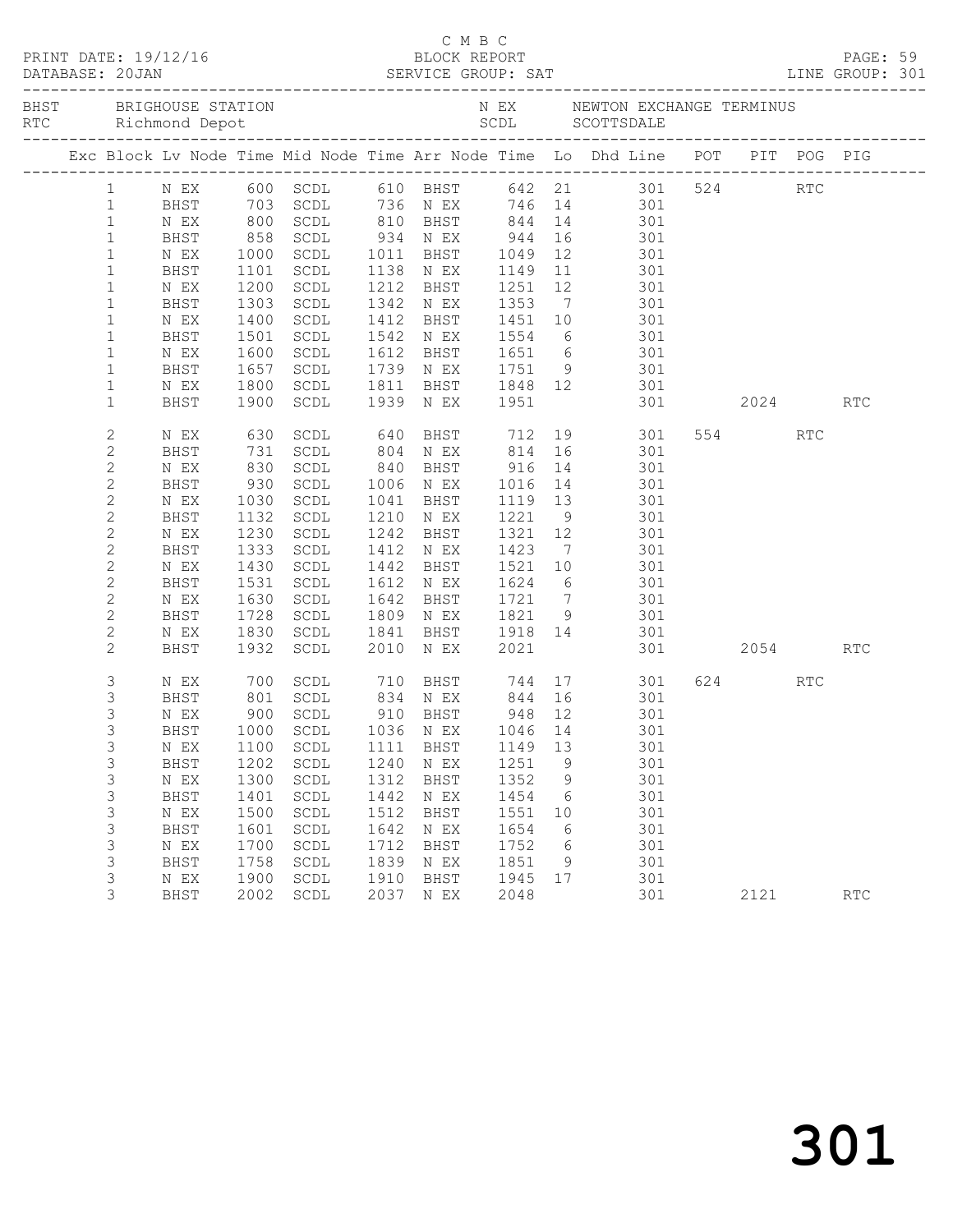|                | BHST BRIGHOUSE STATION           |                     |                                |      |                |         |    | N EX MEWTON EXCHANGE TERMINUS                                                                                    |         |                      |  |
|----------------|----------------------------------|---------------------|--------------------------------|------|----------------|---------|----|------------------------------------------------------------------------------------------------------------------|---------|----------------------|--|
|                |                                  |                     |                                |      |                |         |    | Exc Block Lv Node Time Mid Node Time Arr Node Time Lo Dhd Line POT PIT POG PIG                                   |         |                      |  |
| $\mathbf{1}$   |                                  |                     |                                |      |                |         |    | NEX 600 SCDL 610 BHST 642 21 301 524 RTC<br>BHST 703 SCDL 736 NEX 746 14 301<br>NEX 800 SCDL 810 BHST 844 14 301 |         |                      |  |
| $\mathbf{1}$   |                                  |                     |                                |      |                |         |    |                                                                                                                  |         |                      |  |
| $\mathbf{1}$   |                                  |                     |                                |      |                |         |    |                                                                                                                  |         |                      |  |
| $\mathbf{1}$   | BHST                             |                     |                                |      |                |         |    |                                                                                                                  |         |                      |  |
| $\mathbf{1}$   | N EX                             |                     |                                |      |                |         |    | 858 SCDL 934 NEX 944 16 301<br>1000 SCDL 1011 BHST 1049 12 301<br>1101 SCDL 1138 NEX 1149 11 301                 |         |                      |  |
| $1\,$          | BHST                             |                     |                                |      |                |         |    |                                                                                                                  |         |                      |  |
| $\mathbf{1}$   | N EX                             | 1200                | SCDL                           |      |                |         |    | 1212 BHST 1251 12 301                                                                                            |         |                      |  |
| $\mathbf{1}$   | BHST                             | 1303                | SCDL                           |      | 1342 N EX 1353 |         |    | 7 301                                                                                                            |         |                      |  |
| $\mathbf{1}$   | N EX                             |                     | SCDL                           |      |                |         |    |                                                                                                                  |         |                      |  |
| $\mathbf{1}$   | BHST                             | 1400<br>1501        | SCDL                           |      |                |         |    | 1412 BHST 1451 10 301<br>1542 N EX 1554 6 301                                                                    |         |                      |  |
| $\mathbf{1}$   | N EX                             | 1600                | SCDL                           |      |                |         |    | 1612 BHST 1651 6 301                                                                                             |         |                      |  |
| $1\,$          | BHST                             | 1657                | SCDL                           |      |                |         |    | 1739 N EX 1751 9 301                                                                                             |         |                      |  |
| $\mathbf{1}$   | N EX                             | 1800                | SCDL                           |      |                |         |    |                                                                                                                  |         |                      |  |
| $\mathbf{1}$   | BHST                             | 1900                | SCDL                           |      |                |         |    | 1811 BHST 1848 12 301<br>1939 NEX 1951 301<br>301 2024                                                           |         | RTC                  |  |
|                |                                  |                     |                                |      |                |         |    |                                                                                                                  |         |                      |  |
| $\overline{c}$ | N EX                             | 630                 |                                |      |                |         |    | SCDL 640 BHST 712 19 301                                                                                         | 554 RTC |                      |  |
| 2              | BHST                             |                     | SCDL                           |      |                |         |    |                                                                                                                  |         |                      |  |
| $\mathbf{2}$   | N EX                             | 731<br>830<br>930   | SCDL                           |      |                |         |    | 804 N EX 814 16 301<br>840 BHST 916 14 301<br>1006 N EX 1016 14 301                                              |         |                      |  |
| $\mathbf{2}$   | BHST                             |                     | SCDL                           |      | 1006 N EX      |         |    |                                                                                                                  |         |                      |  |
| $\mathbf{2}$   | N EX                             | 1030                | SCDL                           |      | 1041 BHST      |         |    | 1119 13 301                                                                                                      |         |                      |  |
| $\mathbf{2}$   | BHST                             | 1132                | SCDL                           |      | 1210 N EX      | 1221 9  |    | 301                                                                                                              |         |                      |  |
| $\mathbf{2}$   | N EX                             | 1230                | SCDL                           |      | 1242 BHST      | 1321 12 |    | 301                                                                                                              |         |                      |  |
| $\mathbf{2}$   | BHST                             |                     | 1333 SCDL                      |      | 1412 N EX      |         |    | 1921 12 901<br>1423 7 301                                                                                        |         |                      |  |
| $\mathbf{2}$   | N EX                             | 1430                | SCDL                           |      |                |         |    | 1442 BHST 1521 10 301                                                                                            |         |                      |  |
| 2              | BHST                             | 1531                | SCDL                           |      | 1612 N EX      |         |    | 1624 6 301                                                                                                       |         |                      |  |
| $\mathbf{2}$   | N EX                             |                     | SCDL                           |      |                |         |    |                                                                                                                  |         |                      |  |
| $\mathbf{2}$   | BHST                             | $\frac{1630}{1728}$ | SCDL                           |      |                |         |    | 1642 BHST 1721 7 301<br>1809 NEX 1821 9 301                                                                      |         |                      |  |
| $\mathbf{2}$   | N EX                             |                     | 1830 SCDL                      |      |                |         |    | 1841 BHST 1918 14 301                                                                                            |         |                      |  |
| $\overline{2}$ | BHST                             |                     | 1932 SCDL                      |      | 2010 N EX      | 2021    |    | 301 2054                                                                                                         |         | <b>RTC</b>           |  |
|                |                                  |                     |                                |      |                |         |    |                                                                                                                  |         |                      |  |
| 3              | N EX                             |                     |                                |      |                |         |    | 700 SCDL 710 BHST 744 17 301<br>801 SCDL 834 NEX 844 16 301                                                      | 624 RTC |                      |  |
| 3              | BHST                             |                     |                                |      |                |         |    |                                                                                                                  |         |                      |  |
| 3              | N EX                             | 900                 | SCDL                           |      | 910 BHST       | 948 12  |    | 301                                                                                                              |         |                      |  |
| $\mathfrak{Z}$ | BHST 1000 SCDL 1036 N EX 1046 14 |                     |                                |      |                |         |    | 301                                                                                                              |         |                      |  |
| 3              | N EX                             | 1100                | SCDL                           | 1111 | BHST           | 1149    | 13 | 301                                                                                                              |         |                      |  |
| 3              | BHST                             | 1202                | $\operatorname{\mathsf{SCDL}}$ | 1240 | N EX           | 1251    | 9  | 301                                                                                                              |         |                      |  |
| 3              | N EX                             | 1300                | $\operatorname{\mathsf{SCDL}}$ | 1312 | BHST           | 1352    | 9  | 301                                                                                                              |         |                      |  |
| 3              | <b>BHST</b>                      | 1401                | $\operatorname{\mathsf{SCDL}}$ | 1442 | N EX           | 1454    | 6  | 301                                                                                                              |         |                      |  |
| 3              | N EX                             | 1500                | $\operatorname{\mathsf{SCDL}}$ | 1512 | <b>BHST</b>    | 1551    | 10 | 301                                                                                                              |         |                      |  |
| 3              | BHST                             | 1601                | $\operatorname{\mathsf{SCDL}}$ | 1642 | N EX           | 1654    | 6  | 301                                                                                                              |         |                      |  |
| 3              | N EX                             | 1700                | $\operatorname{\mathsf{SCDL}}$ | 1712 | BHST           | 1752    | 6  | 301                                                                                                              |         |                      |  |
| 3              | <b>BHST</b>                      | 1758                | $\operatorname{\mathsf{SCDL}}$ | 1839 | N EX           | 1851    | 9  | 301                                                                                                              |         |                      |  |
| 3              | N EX                             | 1900                | SCDL                           | 1910 | BHST           | 1945    | 17 | 301                                                                                                              |         |                      |  |
| 3              | BHST                             | 2002                | $\operatorname{\mathsf{SCDL}}$ | 2037 | N EX           | 2048    |    | 301                                                                                                              | 2121    | $\operatorname{RTC}$ |  |
|                |                                  |                     |                                |      |                |         |    |                                                                                                                  |         |                      |  |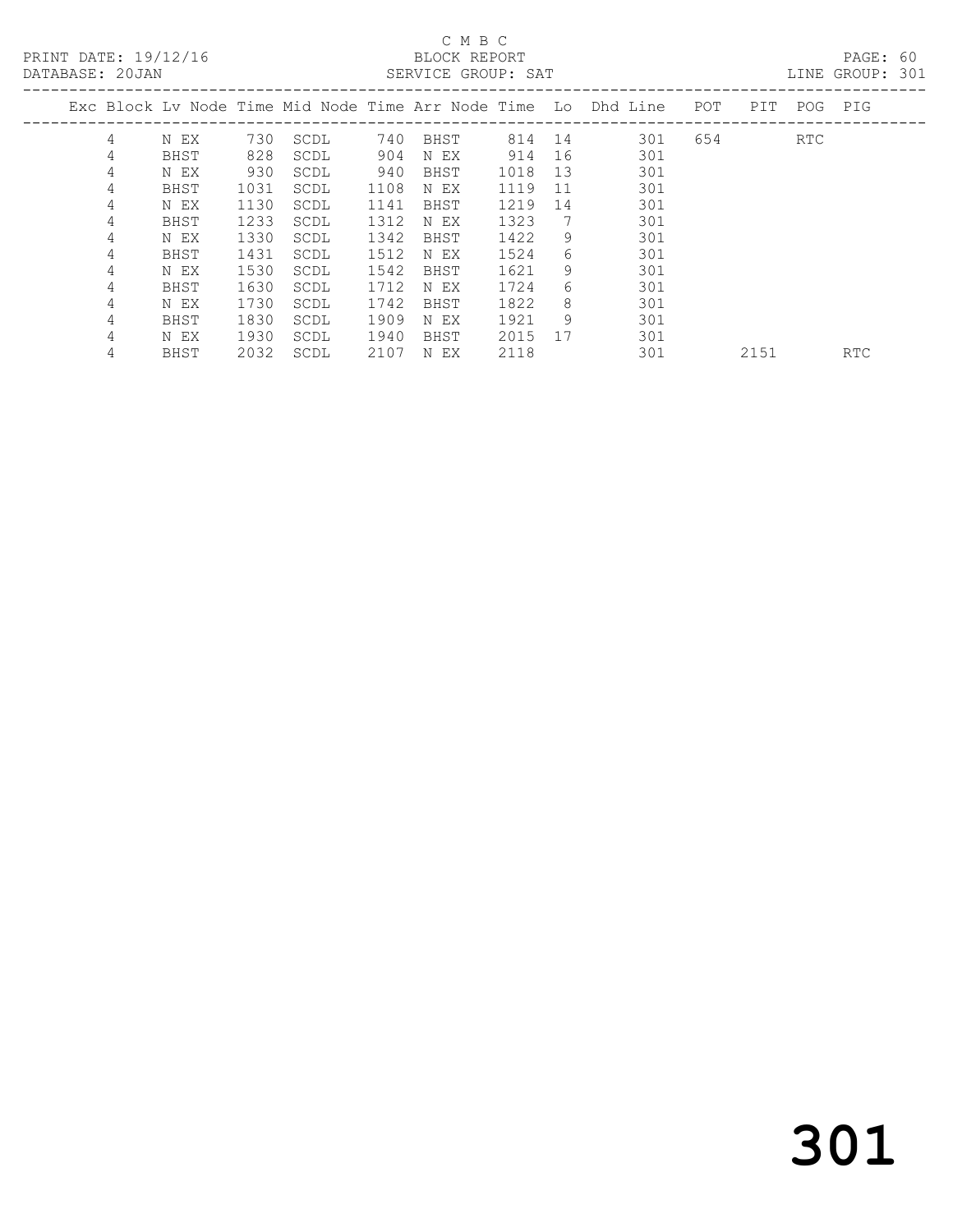PRINT DATE: 19/12/16 BLOCK REPORT<br>DATABASE: 20JAN SERVICE GROUP: SAT

# C M B C<br>BLOCK REPORT

PAGE: 60<br>LINE GROUP: 301

|   |      |      |      |      |      |      |    | Exc Block Ly Node Time Mid Node Time Arr Node Time Lo Dhd Line | POT | PIT  | POG | PIG        |
|---|------|------|------|------|------|------|----|----------------------------------------------------------------|-----|------|-----|------------|
| 4 | N EX | 730  | SCDL | 740  | BHST | 814  | 14 | 301                                                            | 654 |      | RTC |            |
| 4 | BHST | 828  | SCDL | 904  | N EX | 914  | 16 | 301                                                            |     |      |     |            |
| 4 | N EX | 930  | SCDL | 940  | BHST | 1018 | 13 | 301                                                            |     |      |     |            |
| 4 | BHST | 1031 | SCDL | 1108 | N EX | 1119 | 11 | 301                                                            |     |      |     |            |
| 4 | N EX | 1130 | SCDL | 1141 | BHST | 1219 | 14 | 301                                                            |     |      |     |            |
| 4 | BHST | 1233 | SCDL | 1312 | N EX | 1323 | 7  | 301                                                            |     |      |     |            |
| 4 | N EX | 1330 | SCDL | 1342 | BHST | 1422 | 9  | 301                                                            |     |      |     |            |
| 4 | BHST | 1431 | SCDL | 1512 | N EX | 1524 | 6  | 301                                                            |     |      |     |            |
| 4 | N EX | 1530 | SCDL | 1542 | BHST | 1621 | 9  | 301                                                            |     |      |     |            |
| 4 | BHST | 1630 | SCDL | 1712 | N EX | 1724 | 6  | 301                                                            |     |      |     |            |
| 4 | N EX | 1730 | SCDL | 1742 | BHST | 1822 | 8  | 301                                                            |     |      |     |            |
| 4 | BHST | 1830 | SCDL | 1909 | N EX | 1921 | 9  | 301                                                            |     |      |     |            |
| 4 | N EX | 1930 | SCDL | 1940 | BHST | 2015 | 17 | 301                                                            |     |      |     |            |
| 4 | BHST | 2032 | SCDL | 2107 | N EX | 2118 |    | 301                                                            |     | 2151 |     | <b>RTC</b> |
|   |      |      |      |      |      |      |    |                                                                |     |      |     |            |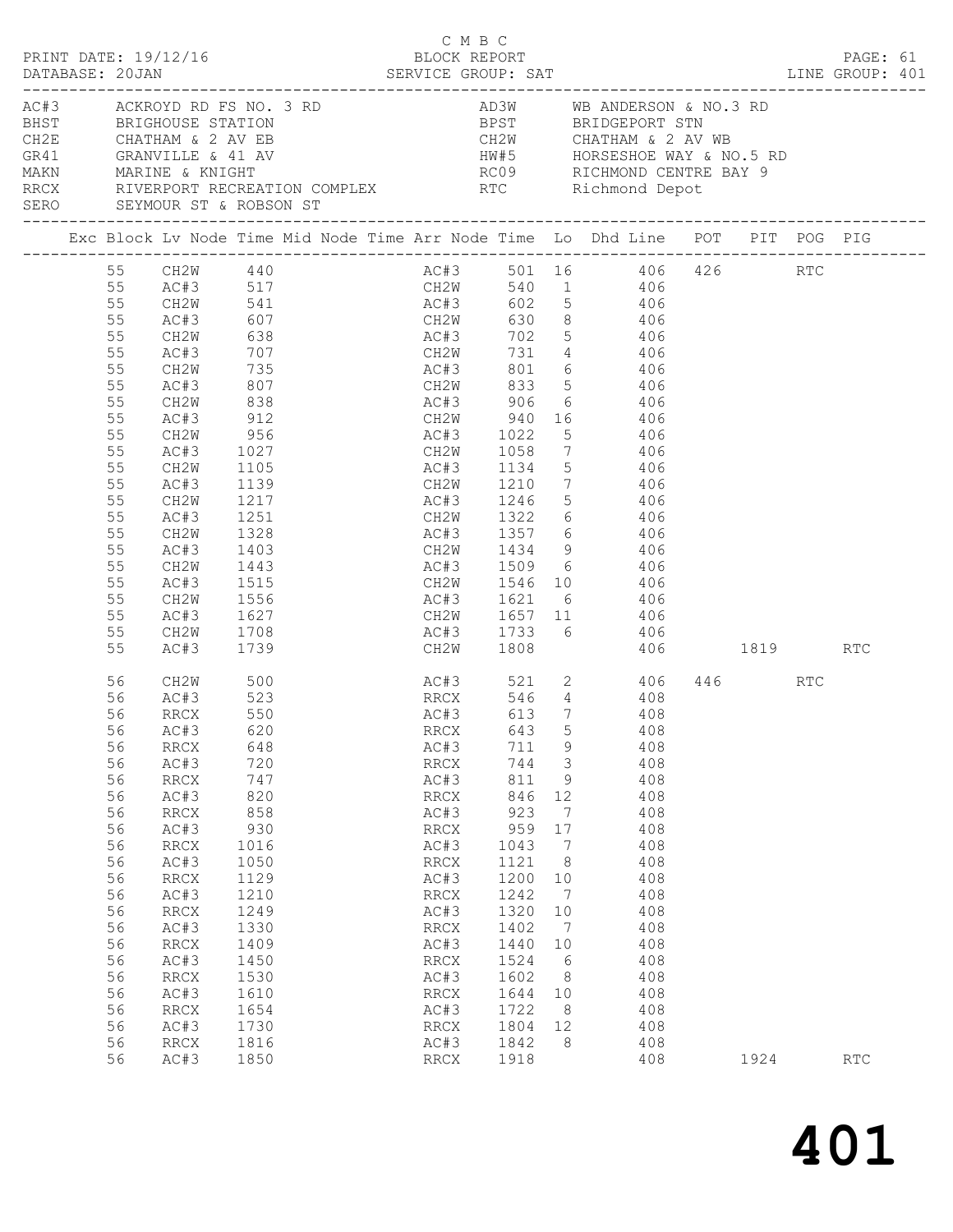|                                                                                                                                        | PRINT DATE: 19/12/16                                                                                                                                                                                                                                             |                                                                                                                                                                                                                                                                                                                                | BLOCK REPORT | C M B C                                                                                                                                                      |                                                                                                                                                           |                                                                                                                                                                                                                                                                        |                                                                                                                                                                                                                                                                                                                                                                                     |                 | PAGE: 61   |  |
|----------------------------------------------------------------------------------------------------------------------------------------|------------------------------------------------------------------------------------------------------------------------------------------------------------------------------------------------------------------------------------------------------------------|--------------------------------------------------------------------------------------------------------------------------------------------------------------------------------------------------------------------------------------------------------------------------------------------------------------------------------|--------------|--------------------------------------------------------------------------------------------------------------------------------------------------------------|-----------------------------------------------------------------------------------------------------------------------------------------------------------|------------------------------------------------------------------------------------------------------------------------------------------------------------------------------------------------------------------------------------------------------------------------|-------------------------------------------------------------------------------------------------------------------------------------------------------------------------------------------------------------------------------------------------------------------------------------------------------------------------------------------------------------------------------------|-----------------|------------|--|
|                                                                                                                                        |                                                                                                                                                                                                                                                                  | DATABASE: 20JAN SERVICE GROUP: SAT LINE GROUP: 401                                                                                                                                                                                                                                                                             |              |                                                                                                                                                              |                                                                                                                                                           |                                                                                                                                                                                                                                                                        |                                                                                                                                                                                                                                                                                                                                                                                     |                 |            |  |
|                                                                                                                                        |                                                                                                                                                                                                                                                                  | AC#3<br>ACKROYD RD FS NO. 3 RD<br>BHST BRIGHOUSE STATION BPST BRIDGEPORT STN<br>CH2E CHATHAM & 2 AV EB CH2W CHATHAM & 2 AV WB<br>GR41 GRANVILLE & 41 AV HW#5 HORSESHOE WAY & NO.5 RD<br>MAKN MARINE & KNIGHT RC09 RICHMOND CENTRE BAY 9<br>RRCX RIVERPORT RECREATION COMPLEX RTC Richmond Depot<br>SERO SEYMOUR ST & ROBSON ST |              |                                                                                                                                                              |                                                                                                                                                           |                                                                                                                                                                                                                                                                        |                                                                                                                                                                                                                                                                                                                                                                                     |                 |            |  |
|                                                                                                                                        |                                                                                                                                                                                                                                                                  | Exc Block Lv Node Time Mid Node Time Arr Node Time Lo Dhd Line POT PIT POG PIG                                                                                                                                                                                                                                                 |              |                                                                                                                                                              |                                                                                                                                                           |                                                                                                                                                                                                                                                                        |                                                                                                                                                                                                                                                                                                                                                                                     |                 |            |  |
| 55<br>55<br>55<br>55<br>55<br>55<br>55<br>55<br>55<br>55<br>55<br>55<br>55<br>55<br>55<br>55<br>55<br>55<br>55<br>55<br>55             | AC#3<br>CH2W<br>AC#3<br>CH2W<br>AC#3<br>CH2W<br>AC#3<br>CH2W<br>AC#3<br>CH2W<br>AC#3<br>CH2W<br>AC#3<br>CH2W<br>AC#3<br>CH2W<br>AC#3<br>CH2W<br>AC#3<br>CH2W<br>AC#3                                                                                             | 99 55 CH2W 440<br>55 AC#3 517 CH2W 540 1 406<br>55 CH2W 541 AC#3 602 5 406<br>607 CH2W<br>638<br>$707$<br>735<br>807<br>838<br>912<br>956<br>1027<br>1105<br>1139<br>1217<br>1251<br>1328<br>1403<br>1443<br>1515<br>1556<br>1627<br>1708<br>1739                                                                              |              | AC#3 1733 6<br>CH2W 1808                                                                                                                                     |                                                                                                                                                           |                                                                                                                                                                                                                                                                        | 630 8 406<br>AC#3 702 5 406<br>CH2W 731 4 406<br>AC#3 801 6 406<br>CH2W 833 5 406<br>AC#3 906 6 406<br>CH2W 940 16 406<br>AC#3 1022 5 406<br>CH2W 1058 7 406<br>AC#3 1134 5 406<br>CH2W 1210 7 406<br>AC#3 1246 5 406<br>CH2W 1322 6 406<br>AC#3 1357 6 406<br>CH2W 1434 9 406<br>AC#3 1509 6 406<br>CH2W 1546 10 406<br>AC#3 1621 6 406<br>CH2W 1657 11 406<br>406<br>406 1819 RTC |                 |            |  |
| 56<br>56<br>56<br>56<br>56<br>56<br>56<br>56<br>56<br>56<br>56<br>56<br>56<br>56<br>56<br>56<br>56<br>56<br>56<br>56<br>56<br>56<br>56 | CH2W<br>AC#3<br>RRCX<br>56 AC#3 620<br>RRCX<br>AC#3<br>$\mathop{\mathrm{RRCX}}$<br>AC#3<br>RRCX<br>AC#3<br>RRCX<br>AC#3<br><b>RRCX</b><br>AC#3<br>$\mathop{\mathrm{RRCX}}$<br>AC#3<br>RRCX<br>AC#3<br><b>RRCX</b><br>AC#3<br>RRCX<br>AC#3<br><b>RRCX</b><br>AC#3 | 500<br>523<br>550<br>648<br>720<br>747<br>820<br>858<br>930<br>1016<br>1050<br>1129<br>1210<br>1249<br>1330<br>1409<br>1450<br>1530<br>1610<br>1654<br>1730<br>1816<br>1850                                                                                                                                                    | RRCX 643     | AC#3<br>RRCX<br>AC#3<br>RRCX<br>AC#3<br>RRCX<br>AC#3<br>RRCX<br>AC#3<br>RRCX<br>AC#3<br>RRCX<br>AC#3<br>RRCX<br>AC#3<br>RRCX<br>AC#3<br>RRCX<br>AC#3<br>RRCX | 711<br>744<br>811<br>846<br>923<br>959<br>1043<br>1121<br>1200<br>1242<br>1320<br>1402<br>1440<br>1524<br>1602<br>1644 10<br>1722<br>1804<br>1842<br>1918 | $\mathsf 9$<br>$\overline{3}$<br>9<br>12<br>$7\phantom{.0}\phantom{.0}7$<br>17<br>$\overline{7}$<br>8 <sup>8</sup><br>10<br>$7\phantom{.0}\phantom{.0}7$<br>10<br>$7\phantom{.0}\phantom{.0}7$<br>10<br>$6\overline{6}$<br>8 <sup>8</sup><br>8 <sup>8</sup><br>12<br>8 | AC#3 521 2 406<br>RRCX 546 4 408<br>AC#3 613 7 408<br>5 408<br>408<br>408<br>408<br>408<br>408<br>408<br>408<br>408<br>408<br>408<br>408<br>408<br>408<br>408<br>408<br>408<br>408<br>408<br>408<br>408                                                                                                                                                                             | 446 RTC<br>1924 | <b>RTC</b> |  |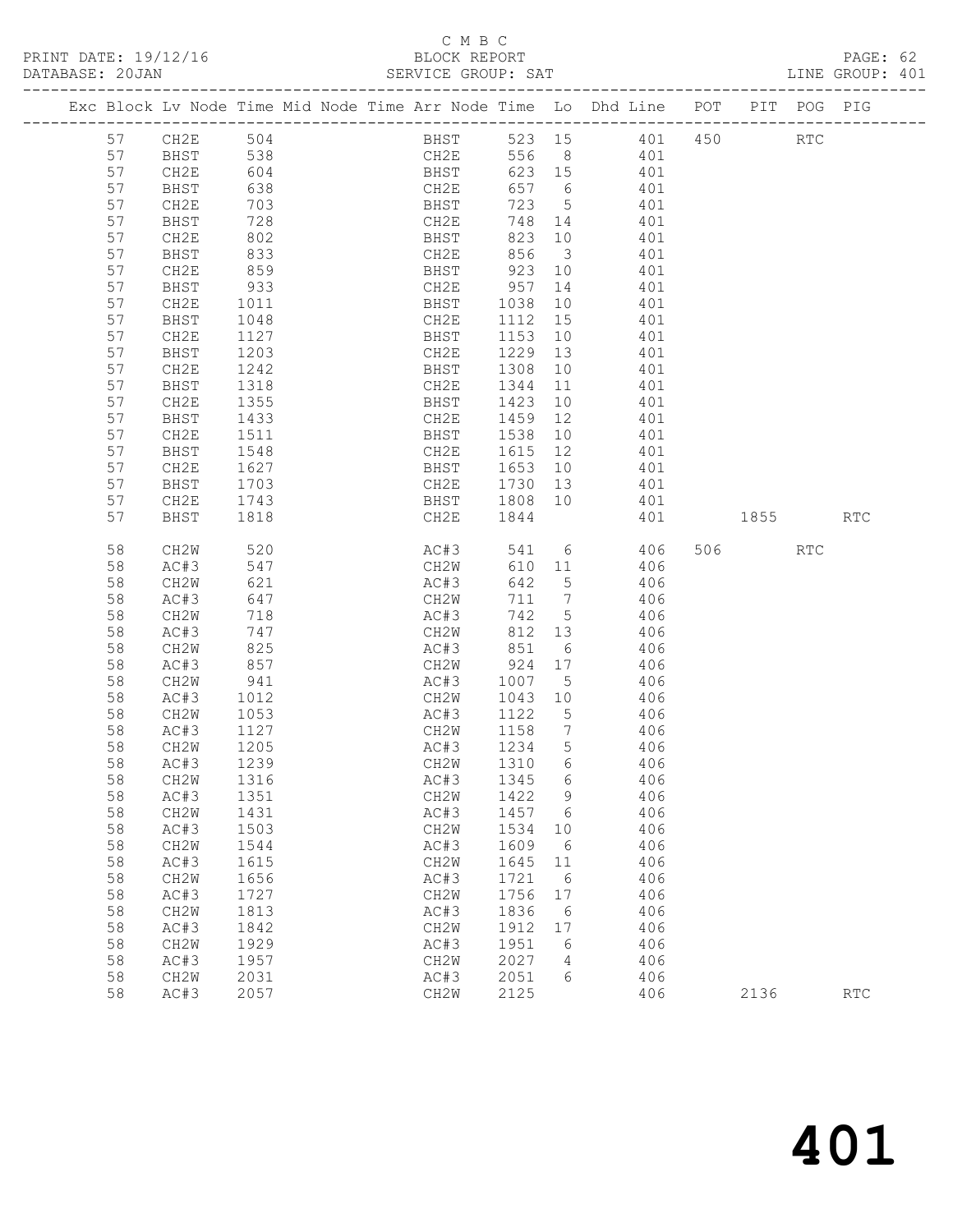PRINT DATE: 19/12/16 BLOCK REPORT<br>DATABASE: 20JAN BERVICE GROUP: SAT

# C M B C<br>BLOCK REPORT

PAGE: 62<br>LINE GROUP: 401

|    |      |      |  |                                                                                      |        |                         | Exc Block Lv Node Time Mid Node Time Arr Node Time Lo Dhd Line POT |     |          | PIT POG PIG          |            |
|----|------|------|--|--------------------------------------------------------------------------------------|--------|-------------------------|--------------------------------------------------------------------|-----|----------|----------------------|------------|
| 57 | CH2E | 504  |  | <b>BHST</b>                                                                          |        |                         | 523 15 401                                                         | 450 |          | $\operatorname{RTC}$ |            |
| 57 | BHST | 538  |  | CH2E                                                                                 |        |                         | 556 8 401                                                          |     |          |                      |            |
| 57 | CH2E | 604  |  | BHST                                                                                 | 623 15 |                         | 401                                                                |     |          |                      |            |
| 57 | BHST | 638  |  |                                                                                      | 657 6  |                         | 401                                                                |     |          |                      |            |
| 57 | CH2E | 703  |  | $\begin{array}{c}\n 1.4 \text{ m} \\  \text{BHST} \\  0.0 \text{ m} \\  \end{array}$ | 723    | $5\overline{)}$         | 401                                                                |     |          |                      |            |
| 57 | BHST | 728  |  | CH2E                                                                                 | 748 14 |                         | 401                                                                |     |          |                      |            |
| 57 | CH2E | 802  |  | BHST                                                                                 | 823    | 10                      | 401                                                                |     |          |                      |            |
| 57 | BHST | 833  |  | CH2E                                                                                 | 856    | $\overline{\mathbf{3}}$ | 401                                                                |     |          |                      |            |
| 57 | CH2E | 859  |  | ∪n∠E<br>BHST                                                                         | 923    | 10                      | 401                                                                |     |          |                      |            |
| 57 | BHST | 933  |  | CH2E                                                                                 | 957    | 14                      | 401                                                                |     |          |                      |            |
| 57 | CH2E | 1011 |  | BHST                                                                                 | 1038   | 10                      | 401                                                                |     |          |                      |            |
| 57 | BHST | 1048 |  | CH2E                                                                                 | 1112   | 15                      | 401                                                                |     |          |                      |            |
| 57 | CH2E | 1127 |  | BHST                                                                                 | 1153   | 10                      | 401                                                                |     |          |                      |            |
| 57 | BHST | 1203 |  | CH2E                                                                                 | 1229   | 13                      | 401                                                                |     |          |                      |            |
| 57 | CH2E | 1242 |  | BHST                                                                                 | 1308   | 10                      | 401                                                                |     |          |                      |            |
| 57 | BHST | 1318 |  | CH2E                                                                                 | 1344   | 11                      | 401                                                                |     |          |                      |            |
| 57 | CH2E | 1355 |  | BHST                                                                                 | 1423   | 10                      | 401                                                                |     |          |                      |            |
| 57 | BHST | 1433 |  | CH2E                                                                                 | 1459   | 12                      | 401                                                                |     |          |                      |            |
| 57 | CH2E | 1511 |  | BHST                                                                                 | 1538   | 10                      | 401                                                                |     |          |                      |            |
| 57 | BHST | 1548 |  | CH2E                                                                                 | 1615   | 12                      | 401                                                                |     |          |                      |            |
| 57 | CH2E | 1627 |  | BHST                                                                                 | 1653   | 10                      | 401                                                                |     |          |                      |            |
| 57 | BHST | 1703 |  | CH2E                                                                                 | 1730   | 13                      | 401                                                                |     |          |                      |            |
| 57 | CH2E | 1743 |  | BHST                                                                                 | 1808   | 10                      | 401                                                                |     |          |                      |            |
| 57 | BHST | 1818 |  | CH2E                                                                                 | 1844   |                         | 401                                                                |     | 1855 700 |                      | <b>RTC</b> |
|    |      |      |  |                                                                                      |        |                         |                                                                    |     |          |                      |            |
| 58 | CH2W | 520  |  | AC#3                                                                                 | 541    |                         | $6\overline{6}$<br>406                                             |     | 506 700  | RTC                  |            |
| 58 | AC#3 | 547  |  | CH2W                                                                                 | 610 11 |                         | 406                                                                |     |          |                      |            |
| 58 | CH2W | 621  |  | AC#3                                                                                 | 642    | 5                       | 406                                                                |     |          |                      |            |
| 58 | AC#3 | 647  |  | CH2W                                                                                 | 711    |                         | 406                                                                |     |          |                      |            |
| 58 | CH2W | 718  |  | AC#3                                                                                 | 742    | 5                       | 406                                                                |     |          |                      |            |
| 58 | AC#3 | 747  |  | CH2W                                                                                 | 812 13 |                         | 406                                                                |     |          |                      |            |
| 58 | CH2W | 825  |  | AC#3                                                                                 | 851    | 6                       | 406                                                                |     |          |                      |            |
| 58 | AC#3 | 857  |  | CH2W                                                                                 | 924    | 17                      | 406                                                                |     |          |                      |            |
| 58 | CH2W | 941  |  | AC#3                                                                                 | 1007   | $5\overline{)}$         | 406                                                                |     |          |                      |            |
| 58 | AC#3 | 1012 |  | CH2W                                                                                 | 1043   | 10                      | 406                                                                |     |          |                      |            |
| 58 | CH2W | 1053 |  | AC#3                                                                                 | 1122   | $5^{\circ}$             | 406                                                                |     |          |                      |            |
| 58 | AC#3 | 1127 |  | CH2W                                                                                 | 1158   | $\overline{7}$          | 406                                                                |     |          |                      |            |
| 58 | CH2W | 1205 |  | AC#3                                                                                 | 1234   | 5 <sup>5</sup>          | 406                                                                |     |          |                      |            |
| 58 | AC#3 | 1239 |  | CH2W                                                                                 | 1310   | 6                       | 406                                                                |     |          |                      |            |
| 58 | CH2W | 1316 |  | AC#3                                                                                 | 1345   | 6                       | 406                                                                |     |          |                      |            |
| 58 | AC#3 | 1351 |  | CH2W                                                                                 | 1422   | 9                       | 406                                                                |     |          |                      |            |
| 58 | CH2W | 1431 |  | AC#3                                                                                 | 1457   | 6                       | 406                                                                |     |          |                      |            |
| 58 | AC#3 | 1503 |  | CH2W                                                                                 | 1534   | 10                      | 406                                                                |     |          |                      |            |
| 58 | CH2W | 1544 |  | AC#3                                                                                 | 1609   | 6                       | 406                                                                |     |          |                      |            |
| 58 | AC#3 | 1615 |  | CH2W                                                                                 | 1645   | 11                      | 406                                                                |     |          |                      |            |
| 58 | CH2W | 1656 |  | AC#3                                                                                 | 1721   | 6                       | 406                                                                |     |          |                      |            |
| 58 | AC#3 | 1727 |  | CH2W                                                                                 | 1756   | 17                      | 406                                                                |     |          |                      |            |
| 58 | CH2W | 1813 |  | AC#3                                                                                 | 1836   | 6                       | 406                                                                |     |          |                      |            |
| 58 | AC#3 | 1842 |  | CH2W                                                                                 | 1912   | 17                      | 406                                                                |     |          |                      |            |
| 58 | CH2W | 1929 |  | AC#3                                                                                 | 1951   | 6                       | 406                                                                |     |          |                      |            |
| 58 | AC#3 | 1957 |  | CH2W                                                                                 | 2027   | 4                       | 406                                                                |     |          |                      |            |
| 58 | CH2W | 2031 |  | AC#3                                                                                 | 2051   | 6                       | 406                                                                |     |          |                      |            |
| 58 | AC#3 | 2057 |  | CH2W                                                                                 | 2125   |                         | 406                                                                |     | 2136     |                      | <b>RTC</b> |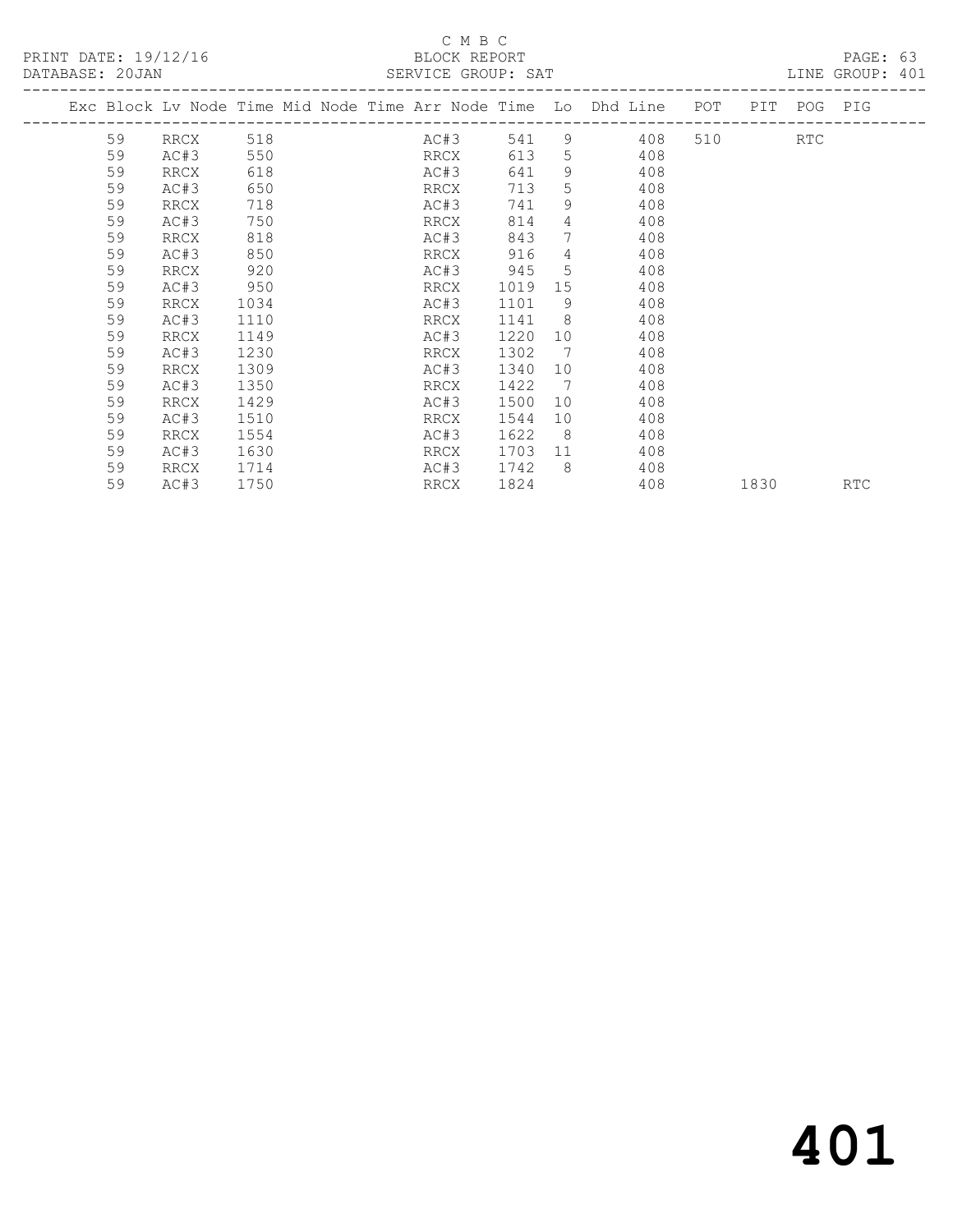#### C M B C<br>BLOCK REPORT SERVICE GROUP: SAT

| PRINT DATE: 19/12/16<br>DATABASE: 20JAN |    |                           |      |  | BLOCK REPORT<br>SERVICE GROUP: SAT |      |                 |                                                                    |         |             | PAGE: 63<br>LINE GROUP: 401 |  |
|-----------------------------------------|----|---------------------------|------|--|------------------------------------|------|-----------------|--------------------------------------------------------------------|---------|-------------|-----------------------------|--|
|                                         |    | ------------------------- |      |  |                                    |      |                 | Exc Block Lv Node Time Mid Node Time Arr Node Time Lo Dhd Line POT |         | PIT POG PIG |                             |  |
|                                         | 59 | RRCX                      | 518  |  | AC#3                               | 541  |                 | $9 \left( \frac{1}{2} \right)$<br>408                              | 510 310 | <b>RTC</b>  |                             |  |
|                                         | 59 | AC#3                      | 550  |  | RRCX                               | 613  | 5 <sup>5</sup>  | 408                                                                |         |             |                             |  |
|                                         | 59 | RRCX                      | 618  |  | AC#3                               | 641  | $9^{\circ}$     | 408                                                                |         |             |                             |  |
|                                         | 59 | AC#3                      | 650  |  | RRCX                               | 713  | 5               | 408                                                                |         |             |                             |  |
|                                         | 59 | RRCX                      | 718  |  | AC#3                               | 741  | 9               | 408                                                                |         |             |                             |  |
|                                         | 59 | AC#3                      | 750  |  | RRCX                               | 814  | $\overline{4}$  | 408                                                                |         |             |                             |  |
|                                         | 59 | RRCX                      | 818  |  | AC#3                               | 843  | 7               | 408                                                                |         |             |                             |  |
|                                         | 59 | AC#3                      | 850  |  | RRCX                               | 916  | $4\overline{ }$ | 408                                                                |         |             |                             |  |
|                                         | 59 | RRCX                      | 920  |  | AC#3                               | 945  | .5              | 408                                                                |         |             |                             |  |
|                                         | 59 | AC#3                      | 950  |  | RRCX                               | 1019 | 15              | 408                                                                |         |             |                             |  |
|                                         | 59 | RRCX                      | 1034 |  | AC#3                               | 1101 | - 9             | 408                                                                |         |             |                             |  |
|                                         | 59 | AC#3                      | 1110 |  | RRCX                               | 1141 | - 8             | 408                                                                |         |             |                             |  |
|                                         | 59 | RRCX                      | 1149 |  | AC#3                               | 1220 | 10 <sup>°</sup> | 408                                                                |         |             |                             |  |
|                                         | 59 | AC#3                      | 1230 |  | RRCX                               | 1302 | $\overline{7}$  | 408                                                                |         |             |                             |  |
|                                         | 59 | RRCX                      | 1309 |  | AC#3                               | 1340 | 10 <sup>°</sup> | 408                                                                |         |             |                             |  |
|                                         | 59 | AC#3                      | 1350 |  | RRCX                               | 1422 | $\overline{7}$  | 408                                                                |         |             |                             |  |
|                                         | 59 | RRCX                      | 1429 |  | AC#3                               | 1500 | 10              | 408                                                                |         |             |                             |  |
|                                         | 59 | AC#3                      | 1510 |  | RRCX                               | 1544 | 10              | 408                                                                |         |             |                             |  |
|                                         | 59 | RRCX                      | 1554 |  | AC#3                               | 1622 | 8               | 408                                                                |         |             |                             |  |
|                                         | 59 | AC#3                      | 1630 |  | RRCX                               | 1703 | 11              | 408                                                                |         |             |                             |  |
|                                         | 59 | RRCX                      | 1714 |  | AC#3                               | 1742 | - 8             | 408                                                                |         |             |                             |  |
|                                         | 59 | AC#3                      | 1750 |  | RRCX                               | 1824 |                 | 408                                                                |         | 1830 1890   | <b>RTC</b>                  |  |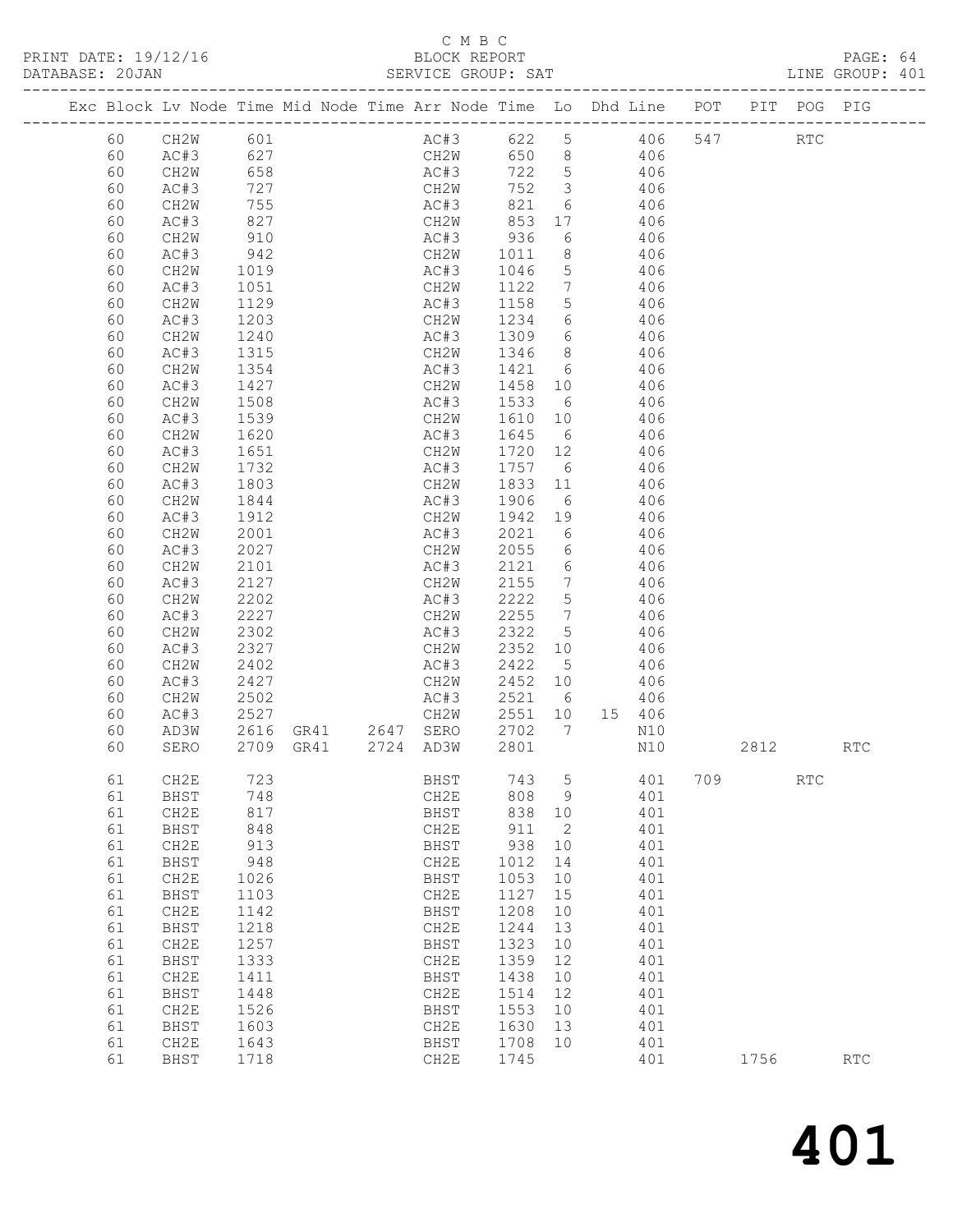# C M B C<br>BLOCK REPORT

| DATABASE: 20JAN |    | ------------------ |             |                                            | SERVICE GROUP: SAT |         |                 |                                                                                |     |         |                             | LINE GROUP: 401             |  |
|-----------------|----|--------------------|-------------|--------------------------------------------|--------------------|---------|-----------------|--------------------------------------------------------------------------------|-----|---------|-----------------------------|-----------------------------|--|
|                 |    |                    |             |                                            |                    |         |                 | Exc Block Lv Node Time Mid Node Time Arr Node Time Lo Dhd Line POT PIT POG PIG |     |         |                             |                             |  |
|                 | 60 | CH2W 601           |             |                                            |                    |         |                 | AC#3 622 5 406                                                                 |     | 547 RTC |                             |                             |  |
|                 | 60 | AC#3               | 627         |                                            |                    |         |                 | CH2W 650 8 406                                                                 |     |         |                             |                             |  |
|                 | 60 | CH2W               | 658         |                                            | AC#3               |         |                 | 722 5 406                                                                      |     |         |                             |                             |  |
|                 | 60 | AC#3               | 727         |                                            |                    | 752 3   |                 | 406                                                                            |     |         |                             |                             |  |
|                 | 60 | CH2W               | 755         |                                            | CH2W<br>AC#3       | 821 6   |                 | 406                                                                            |     |         |                             |                             |  |
|                 | 60 | AC#3               | 827         |                                            | CH2W 853           |         | 17              | 406                                                                            |     |         |                             |                             |  |
|                 | 60 | CH2W               | 910         |                                            | AC#3 936           |         | 6               | 406                                                                            |     |         |                             |                             |  |
|                 | 60 | AC#3               |             |                                            | CH2W               | 1011    | 8 <sup>8</sup>  | 406                                                                            |     |         |                             |                             |  |
|                 | 60 | CH2W               | 942<br>1019 |                                            | AC#3               | 1046    | $5\overline{)}$ | 406                                                                            |     |         |                             |                             |  |
|                 | 60 | AC#3               | 1051        |                                            | CH2W               | 1122 7  |                 | 406                                                                            |     |         |                             |                             |  |
|                 | 60 | CH2W               | 1129        |                                            | AC#3               | 1158    | $5\overline{)}$ | 406                                                                            |     |         |                             |                             |  |
|                 | 60 | AC#3               | 1203        |                                            | CH2W               | 1234    | $6\overline{6}$ | 406                                                                            |     |         |                             |                             |  |
|                 | 60 | CH2W               | 1240        |                                            | AC#3               | 1309    | $6\overline{6}$ | 406                                                                            |     |         |                             |                             |  |
|                 | 60 | AC#3               | 1315        |                                            | CH2W               | 1346    |                 | 8 406                                                                          |     |         |                             |                             |  |
|                 | 60 | CH2W               | 1354        |                                            | AC#3               |         |                 | 1421 6 406                                                                     |     |         |                             |                             |  |
|                 | 60 | AC#3               | 1427        |                                            | CH2W               | 1458 10 |                 | 406                                                                            |     |         |                             |                             |  |
|                 | 60 | CH2W               | 1508        |                                            | AC#3               | 1533 6  |                 | 406                                                                            |     |         |                             |                             |  |
|                 | 60 | AC#3               | 1539        |                                            | CH2W               | 1610 10 |                 | 406                                                                            |     |         |                             |                             |  |
|                 | 60 | CH2W               | 1620        |                                            | AC#3               | 1645 6  |                 | 406                                                                            |     |         |                             |                             |  |
|                 | 60 | AC#3               | 1651        |                                            | CH2W               | 1720 12 |                 | 406                                                                            |     |         |                             |                             |  |
|                 | 60 | CH <sub>2</sub> W  | 1732        |                                            | AC#3               | 1757 6  |                 | 406                                                                            |     |         |                             |                             |  |
|                 | 60 | AC#3               | 1803        |                                            | CH2W               | 1833 11 |                 | 406                                                                            |     |         |                             |                             |  |
|                 | 60 | CH2W               | 1844        |                                            | AC#3               | 1906    | 6               | 406                                                                            |     |         |                             |                             |  |
|                 | 60 | AC#3               | 1912        |                                            | CH2W               | 1942    | 19              | 406                                                                            |     |         |                             |                             |  |
|                 | 60 | CH2W               | 2001        |                                            | AC#3               | 2021    | 6               | 406                                                                            |     |         |                             |                             |  |
|                 | 60 | AC#3               | 2027        |                                            | CH2W               | 2055 6  |                 | 406                                                                            |     |         |                             |                             |  |
|                 | 60 | CH2W               | 2101        |                                            | AC#3               | 2121 6  |                 | 406                                                                            |     |         |                             |                             |  |
|                 | 60 | AC#3               | 2127        |                                            | CH2W               | 2155 7  |                 | 406                                                                            |     |         |                             |                             |  |
|                 | 60 | CH2W               | 2202        |                                            | AC#3               | 2222    | $5\overline{)}$ | 406                                                                            |     |         |                             |                             |  |
|                 | 60 | AC#3               | 2227        |                                            | CH2W               | 2255    | $\overline{7}$  | 406                                                                            |     |         |                             |                             |  |
|                 | 60 | CH2W               | 2302        |                                            | AC#3               | 2322 5  |                 | 406                                                                            |     |         |                             |                             |  |
|                 | 60 | AC#3               | 2327        |                                            | CH2W               | 2352    | 10              | 406                                                                            |     |         |                             |                             |  |
|                 | 60 | CH2W               | 2402        |                                            | AC#3               | 2422 5  |                 | 406                                                                            |     |         |                             |                             |  |
|                 | 60 | AC#3               | 2427        |                                            | CH2W               | 2452 10 |                 | 406                                                                            |     |         |                             |                             |  |
|                 | 60 | CH2W               | 2502        |                                            | AC#3               | 2521 6  |                 | 406                                                                            |     |         |                             |                             |  |
|                 | 60 | AC#3               | 2527        |                                            | CH2W               | 2551 10 |                 | 15 406                                                                         |     |         |                             |                             |  |
|                 | 60 | AD3W               |             |                                            |                    | 2702 7  |                 | N10                                                                            |     |         |                             |                             |  |
|                 | 60 | SERO               |             | 2616 GR41 2647 SERO<br>2709 GR41 2724 AD3W |                    | 2801    |                 | N10                                                                            |     | 2812    |                             | RTC                         |  |
|                 |    |                    |             |                                            |                    |         |                 |                                                                                |     |         |                             |                             |  |
|                 | 61 | CH2E               | 723         |                                            | BHST               | 743     | 5               | 401                                                                            | 709 |         | $\mathop{\rm RTC}\nolimits$ |                             |  |
|                 | 61 | BHST               | 748         |                                            | CH <sub>2</sub> E  | 808     | 9               | 401                                                                            |     |         |                             |                             |  |
|                 | 61 | CH2E               | 817         |                                            | <b>BHST</b>        | 838     | 10              | 401                                                                            |     |         |                             |                             |  |
|                 | 61 | BHST               | 848         |                                            | CH2E               | 911     | 2               | 401                                                                            |     |         |                             |                             |  |
|                 | 61 | CH2E               | 913         |                                            | <b>BHST</b>        | 938     | 10              | 401                                                                            |     |         |                             |                             |  |
|                 | 61 | BHST               | 948         |                                            | CH <sub>2</sub> E  | 1012    | 14              | 401                                                                            |     |         |                             |                             |  |
|                 | 61 | CH2E               | 1026        |                                            | <b>BHST</b>        | 1053    | 10              | 401                                                                            |     |         |                             |                             |  |
|                 | 61 | BHST               | 1103        |                                            | CH <sub>2</sub> E  | 1127    | 15              | 401                                                                            |     |         |                             |                             |  |
|                 | 61 | CH2E               | 1142        |                                            | BHST               | 1208    | 10              | 401                                                                            |     |         |                             |                             |  |
|                 | 61 | BHST               | 1218        |                                            | CH <sub>2</sub> E  | 1244    | 13              | 401                                                                            |     |         |                             |                             |  |
|                 | 61 | CH2E               | 1257        |                                            | <b>BHST</b>        | 1323    | 10              | 401                                                                            |     |         |                             |                             |  |
|                 | 61 | BHST               | 1333        |                                            | CH2E               | 1359    | 12              | 401                                                                            |     |         |                             |                             |  |
|                 | 61 | CH2E               | 1411        |                                            | <b>BHST</b>        | 1438    | 10              | 401                                                                            |     |         |                             |                             |  |
|                 | 61 | BHST               | 1448        |                                            | CH <sub>2</sub> E  | 1514    | 12              | 401                                                                            |     |         |                             |                             |  |
|                 | 61 | CH2E               | 1526        |                                            | BHST               | 1553    | 10              | 401                                                                            |     |         |                             |                             |  |
|                 | 61 | BHST               | 1603        |                                            | CH <sub>2</sub> E  | 1630    | 13              | 401                                                                            |     |         |                             |                             |  |
|                 | 61 | CH2E               | 1643        |                                            | BHST               | 1708    | 10              | 401                                                                            |     |         |                             |                             |  |
|                 | 61 | BHST               | 1718        |                                            | CH <sub>2</sub> E  | 1745    |                 | 401                                                                            |     | 1756    |                             | $\mathop{\rm RTC}\nolimits$ |  |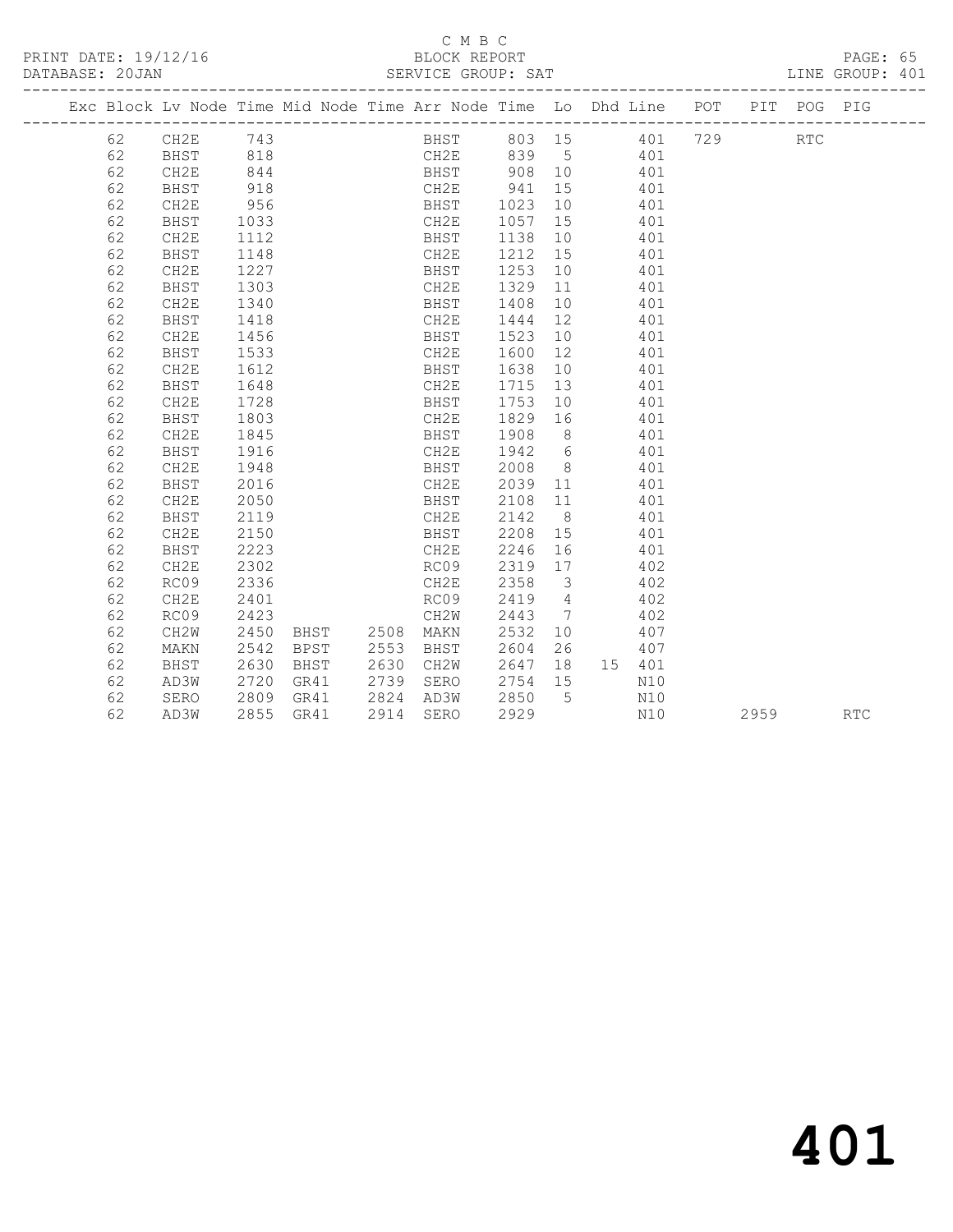#### C M B C<br>BLOCK REPORT SERVICE GROUP: SAT

|  |    | Exc Block Lv Node Time Mid Node Time Arr Node Time Lo Dhd Line POT |           |      |                |      |      |                 |                         |     |        |     | PIT  | POG PIG    |            |
|--|----|--------------------------------------------------------------------|-----------|------|----------------|------|------|-----------------|-------------------------|-----|--------|-----|------|------------|------------|
|  | 62 | CH2E 743                                                           |           |      |                |      |      | BHST 803 15 401 |                         |     |        | 729 |      | <b>RTC</b> |            |
|  | 62 | BHST                                                               | 818       |      |                |      |      | CH2E 839 5 401  |                         |     |        |     |      |            |            |
|  | 62 | CH2E                                                               | 844       |      |                |      |      | BHST 908 10     |                         | 401 |        |     |      |            |            |
|  | 62 | BHST                                                               | 918       |      |                | CH2E |      | 941             | 15                      |     | 401    |     |      |            |            |
|  | 62 | CH2E                                                               | 956       |      |                | BHST |      | 1023 10         |                         |     | 401    |     |      |            |            |
|  | 62 | BHST                                                               | 1033      |      |                | CH2E |      | 1057 15         |                         |     | 401    |     |      |            |            |
|  | 62 | CH2E                                                               | 1112      |      |                | BHST |      | 1138 10         |                         |     | 401    |     |      |            |            |
|  | 62 | BHST                                                               | 1148      |      |                | CH2E |      | 1212 15         |                         |     | 401    |     |      |            |            |
|  | 62 | CH2E                                                               | 1227      |      |                | BHST |      | 1253 10         |                         |     | 401    |     |      |            |            |
|  | 62 | BHST                                                               | 1303      |      |                | CH2E |      | 1329 11         |                         |     | 401    |     |      |            |            |
|  | 62 | CH2E                                                               | 1340      |      |                | BHST |      | 1408            | 10                      |     | 401    |     |      |            |            |
|  | 62 | BHST                                                               | 1418      |      |                | CH2E |      | 1444            | 12                      |     | 401    |     |      |            |            |
|  | 62 | CH2E                                                               | 1456      |      |                | BHST |      | 1523            | 10                      |     | 401    |     |      |            |            |
|  | 62 | BHST                                                               | 1533      |      |                | CH2E |      | 1600            | 12                      |     | 401    |     |      |            |            |
|  | 62 | CH2E                                                               | 1612      |      |                | BHST |      | 1638            | 10                      |     | 401    |     |      |            |            |
|  | 62 | BHST                                                               | 1648      |      |                | CH2E |      | 1715            | 13                      |     | 401    |     |      |            |            |
|  | 62 | CH2E                                                               | 1728      |      |                | BHST |      | 1753            | 10                      |     | 401    |     |      |            |            |
|  | 62 | BHST                                                               | 1803      |      |                | CH2E |      | 1829 16         |                         |     | 401    |     |      |            |            |
|  | 62 | CH2E                                                               | 1845      |      |                | BHST |      | 1908            | 8 <sup>8</sup>          |     | 401    |     |      |            |            |
|  | 62 | BHST                                                               | 1916      |      |                | CH2E |      | 1942            | $6\overline{6}$         |     | 401    |     |      |            |            |
|  | 62 | CH2E                                                               | 1948      |      |                | BHST |      | 2008            | 8 <sup>8</sup>          |     | 401    |     |      |            |            |
|  | 62 | BHST                                                               | 2016      |      |                | CH2E |      | 2039 11         |                         |     | 401    |     |      |            |            |
|  | 62 | CH2E                                                               | 2050      |      |                | BHST |      | 2108 11         |                         |     | 401    |     |      |            |            |
|  | 62 | BHST                                                               | 2119      |      |                | CH2E |      | 2142            | 8 <sup>8</sup>          |     | 401    |     |      |            |            |
|  | 62 | CH2E                                                               | 2150      |      |                |      | BHST | 2208 15         |                         |     | 401    |     |      |            |            |
|  | 62 | BHST                                                               | 2223      |      |                | CH2E |      | 2246            | 16                      |     | 401    |     |      |            |            |
|  | 62 | CH2E                                                               | 2302      |      |                | RC09 |      | 2319            | 17                      |     | 402    |     |      |            |            |
|  | 62 | RC09                                                               | 2336      |      |                | CH2E |      | 2358            | $\overline{\mathbf{3}}$ |     | 402    |     |      |            |            |
|  | 62 | CH2E                                                               | 2401      |      |                | RC09 |      | 2419            | $4\overline{4}$         |     | 402    |     |      |            |            |
|  | 62 | RC09                                                               | 2423      |      |                | CH2W |      | 2443            | $7\phantom{0}$          |     | 402    |     |      |            |            |
|  | 62 | CH <sub>2</sub> W                                                  | 2450      |      | BHST 2508 MAKN |      |      | 2532            | 10                      |     | 407    |     |      |            |            |
|  | 62 | MAKN                                                               | 2542      | BPST | 2553 BHST      |      |      | 2604            | 26                      |     | 407    |     |      |            |            |
|  | 62 | BHST                                                               | 2630      | BHST | 2630 CH2W      |      |      | $2647$ 18       |                         |     | 15 401 |     |      |            |            |
|  | 62 | AD3W                                                               | 2720      | GR41 | 2739 SERO      |      |      | 2754 15         |                         |     | N10    |     |      |            |            |
|  | 62 | SERO                                                               | 2809 GR41 |      | 2824 AD3W      |      |      | 2850 5          |                         |     | N10    |     |      |            |            |
|  | 62 | AD3W                                                               | 2855      | GR41 | 2914           | SERO |      | 2929            |                         |     | N10    |     | 2959 |            | <b>RTC</b> |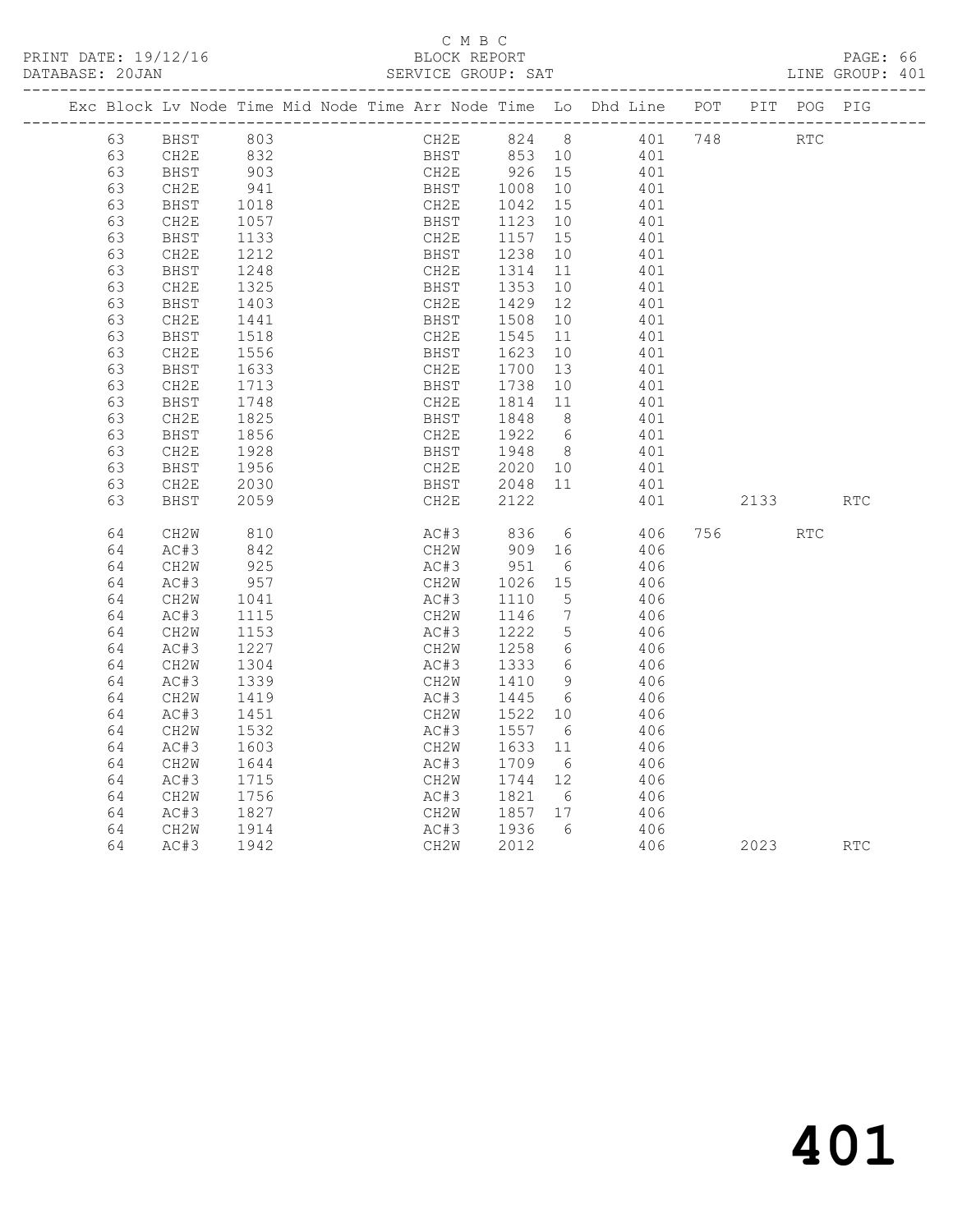PRINT DATE: 19/12/16 BLOCK REPORT BATABASE: 20JAN BLOCK REPORT

# C M B C<br>BLOCK REPORT

PAGE: 66<br>LINE GROUP: 401

|  |    |             |                  | Exc Block Lv Node Time Mid Node Time Arr Node Time Lo Dhd Line POT |      |      |                        |                 |            |      | PIT POG PIG |            |
|--|----|-------------|------------------|--------------------------------------------------------------------|------|------|------------------------|-----------------|------------|------|-------------|------------|
|  | 63 | BHST 803    |                  |                                                                    |      |      | CH2E 824 8 401 748     |                 |            | RTC  |             |            |
|  | 63 | CH2E        |                  |                                                                    |      |      | BHST 853 10 401        |                 |            |      |             |            |
|  | 63 | <b>BHST</b> | 832<br>903       |                                                                    | CH2E |      | 926 15                 |                 | 401        |      |             |            |
|  | 63 | CH2E        | 941              |                                                                    |      |      | BHST 1008 10           |                 | 401        |      |             |            |
|  | 63 | BHST        | 1018             |                                                                    | CH2E |      | 1042 15                |                 | 401        |      |             |            |
|  | 63 | CH2E        | 1057             |                                                                    |      |      | BHST 1123              | 10              | 401        |      |             |            |
|  | 63 | BHST        | 1133             |                                                                    | CH2E |      |                        | 15              | 401        |      |             |            |
|  | 63 | CH2E        | 1212             |                                                                    |      |      | CH2E 1157<br>BHST 1238 | 10              | 401        |      |             |            |
|  | 63 | BHST        | 1248             |                                                                    |      |      | CH2E 1314              | 11              | 401        |      |             |            |
|  | 63 | CH2E        | 1325             |                                                                    |      | BHST | 1353                   | 10              | 401        |      |             |            |
|  | 63 | BHST        | 1403             |                                                                    | CH2E |      | 1429                   | 12              | 401        |      |             |            |
|  | 63 | CH2E        | 1441             |                                                                    | BHST |      | 1508                   | 10              | 401        |      |             |            |
|  | 63 | BHST        | 1518             |                                                                    | CH2E |      | 1545                   | 11              | 401        |      |             |            |
|  | 63 | CH2E        | 1556             |                                                                    |      | BHST | 1623                   | 10              | 401        |      |             |            |
|  | 63 | BHST        | 1633             |                                                                    | CH2E |      | 1700 13                |                 | 401        |      |             |            |
|  | 63 | CH2E        | 1713             |                                                                    |      |      | BHST 1738              | 10              | 401        |      |             |            |
|  | 63 | BHST        | 1748             |                                                                    | CH2E |      | 1814 11                |                 | 401        |      |             |            |
|  | 63 | CH2E        | $\frac{1}{1825}$ |                                                                    | BHST |      | 1848 8                 |                 | 401        |      |             |            |
|  | 63 | BHST        | 1856             |                                                                    | CH2E |      | 1922 6                 |                 | 401        |      |             |            |
|  | 63 | CH2E        | 1928             |                                                                    |      |      | BHST 1948 8            |                 | 401        |      |             |            |
|  | 63 | BHST        | 1956             |                                                                    |      |      | CH2E 2020 10           |                 | 401        |      |             |            |
|  | 63 | CH2E        | 2030             |                                                                    |      | BHST | 2048 11                |                 | 401        |      |             |            |
|  | 63 | BHST        | 2059             |                                                                    |      | CH2E | 2122                   |                 | 401        | 2133 |             | <b>RTC</b> |
|  |    |             |                  |                                                                    |      |      |                        |                 |            |      |             |            |
|  | 64 | CH2W        | 810              |                                                                    |      |      | AC#3 836 6 406         |                 |            |      | RTC         |            |
|  | 64 | AC#3        | 842              |                                                                    |      |      | CH2W 909               | 16              | 406        |      |             |            |
|  | 64 | CH2W        | 925              |                                                                    | AC#3 |      | 951                    | $6\overline{6}$ | 406        |      |             |            |
|  | 64 | AC#3        | 957              |                                                                    | CH2W |      | 1026 15                |                 | 406        |      |             |            |
|  | 64 | CH2W        | 1041             |                                                                    | AC#3 |      | 1110                   | $5^{\circ}$     | 406        |      |             |            |
|  | 64 | AC#3        | 1115             |                                                                    | CH2W |      | 1146                   | $\overline{7}$  | 406        |      |             |            |
|  | 64 | CH2W        | 1153             |                                                                    | AC#3 |      | 1222                   | $5^{\circ}$     | 406        |      |             |            |
|  | 64 | AC#3        | 1227             |                                                                    | CH2W |      | 1258 6                 |                 | 406        |      |             |            |
|  | 64 | CH2W        | 1304             |                                                                    |      |      | AC#3 1333              | 6               | 406        |      |             |            |
|  | 64 | AC#3        | 1339             |                                                                    | CH2W |      | 1410 9                 |                 | 406        |      |             |            |
|  | 64 | CH2W        | 1419             |                                                                    | AC#3 |      | 1445                   | 6               | 406        |      |             |            |
|  | 64 | AC#3        | 1451             |                                                                    | CH2W |      | 1522                   | 10              | 406        |      |             |            |
|  | 64 | CH2W        | 1532             |                                                                    | AC#3 |      | 1557 6                 |                 | 406        |      |             |            |
|  | 64 | AC#3        | 1603             |                                                                    | CH2W |      | 1633                   | 11              | 406        |      |             |            |
|  | 64 | CH2W        | 1644             |                                                                    |      | AC#3 | 1709 6                 |                 | 406        |      |             |            |
|  | 64 | AC#3        | 1715             |                                                                    |      | CH2W | 1744 12                |                 | 406        |      |             |            |
|  | 64 | CH2W        | 1756<br>1827     |                                                                    |      | AC#3 | 1821                   | 6               | 406<br>406 |      |             |            |
|  | 64 | AC#3        |                  |                                                                    | CH2W |      | 1857 17                |                 |            |      |             |            |
|  | 64 | CH2W        | 1914             |                                                                    | AC#3 |      | 1936 6                 |                 | 406        |      |             |            |
|  | 64 | AC#3        | 1942             |                                                                    | CH2W |      | 2012                   |                 | 406        | 2023 |             | <b>RTC</b> |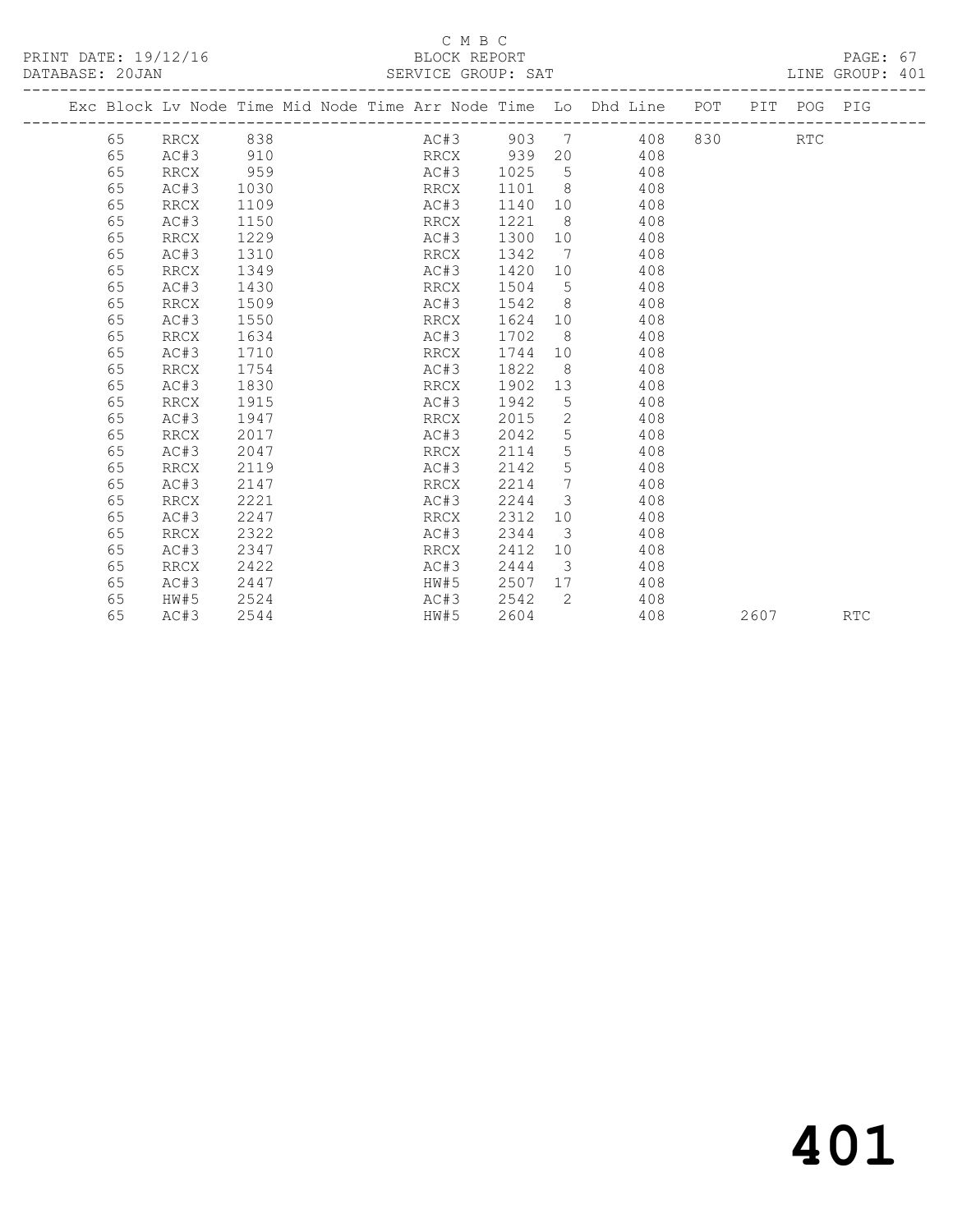PRINT DATE: 19/12/16 BLOCK REPORT<br>
DATABASE: 20JAN SERVICE GROUP: SAT

# C M B C<br>BLOCK REPORT

PAGE: 67<br>LINE GROUP: 401

|    | Exc Block Lv Node Time Mid Node Time Arr Node Time Lo Dhd Line POT |      |  |      |          |                         |                  |                |        |      | PIT POG PIG |            |
|----|--------------------------------------------------------------------|------|--|------|----------|-------------------------|------------------|----------------|--------|------|-------------|------------|
| 65 | RRCX                                                               | 838  |  |      |          |                         |                  | AC#3 903 7 408 | 830 30 |      | <b>RTC</b>  |            |
| 65 | AC#3                                                               | 910  |  |      | RRCX 939 |                         | 20               | 408            |        |      |             |            |
| 65 | RRCX                                                               | 959  |  | AC#3 | 1025     | $5^{\circ}$             |                  | 408            |        |      |             |            |
| 65 | AC#3                                                               | 1030 |  | RRCX | 1101     | 8 <sup>8</sup>          |                  | 408            |        |      |             |            |
| 65 | RRCX                                                               | 1109 |  | AC#3 | 1140     |                         | 10               | 408            |        |      |             |            |
| 65 | AC#3                                                               | 1150 |  | RRCX | 1221     |                         | $8 \overline{)}$ | 408            |        |      |             |            |
| 65 | RRCX                                                               | 1229 |  | AC#3 | 1300     |                         | 10               | 408            |        |      |             |            |
| 65 | AC#3                                                               | 1310 |  | RRCX | 1342     | $\overline{7}$          |                  | 408            |        |      |             |            |
| 65 | RRCX                                                               | 1349 |  | AC#3 | 1420     | 10                      |                  | 408            |        |      |             |            |
| 65 | AC#3                                                               | 1430 |  | RRCX | 1504     | $5^{\circ}$             |                  | 408            |        |      |             |            |
| 65 | RRCX                                                               | 1509 |  | AC#3 | 1542     | 8 <sup>8</sup>          |                  | 408            |        |      |             |            |
| 65 | AC#3                                                               | 1550 |  | RRCX | 1624     | 10                      |                  | 408            |        |      |             |            |
| 65 | RRCX                                                               | 1634 |  | AC#3 | 1702     | 8 <sup>8</sup>          |                  | 408            |        |      |             |            |
| 65 | AC#3                                                               | 1710 |  | RRCX | 1744     |                         | 10               | 408            |        |      |             |            |
| 65 | RRCX                                                               | 1754 |  | AC#3 | 1822     | 8 <sup>8</sup>          |                  | 408            |        |      |             |            |
| 65 | AC#3                                                               | 1830 |  | RRCX | 1902     | 13                      |                  | 408            |        |      |             |            |
| 65 | RRCX                                                               | 1915 |  | AC#3 | 1942     | 5                       |                  | 408            |        |      |             |            |
| 65 | AC#3                                                               | 1947 |  | RRCX | 2015     | 2                       |                  | 408            |        |      |             |            |
| 65 | RRCX                                                               | 2017 |  | AC#3 | 2042     | 5                       |                  | 408            |        |      |             |            |
| 65 | AC#3                                                               | 2047 |  | RRCX | 2114     | 5                       |                  | 408            |        |      |             |            |
| 65 | RRCX                                                               | 2119 |  | AC#3 | 2142     | 5 <sup>5</sup>          |                  | 408            |        |      |             |            |
| 65 | AC#3                                                               | 2147 |  | RRCX | 2214     |                         | $7\overline{ }$  | 408            |        |      |             |            |
| 65 | RRCX                                                               | 2221 |  | AC#3 | 2244     | $\overline{\mathbf{3}}$ |                  | 408            |        |      |             |            |
| 65 | AC#3                                                               | 2247 |  | RRCX | 2312     | 10                      |                  | 408            |        |      |             |            |
| 65 | RRCX                                                               | 2322 |  | AC#3 | 2344     | $\overline{3}$          |                  | 408            |        |      |             |            |
| 65 | AC#3                                                               | 2347 |  | RRCX | 2412     | 10                      |                  | 408            |        |      |             |            |
| 65 | RRCX                                                               | 2422 |  | AC#3 | 2444     | $\overline{\mathbf{3}}$ |                  | 408            |        |      |             |            |
| 65 | AC#3                                                               | 2447 |  | HW#5 | 2507 17  |                         |                  | 408            |        |      |             |            |
| 65 | HW#5                                                               | 2524 |  | AC#3 | 2542     | $\overline{2}$          |                  | 408            |        |      |             |            |
| 65 | AC#3                                                               | 2544 |  | HW#5 | 2604     |                         |                  | 408            |        | 2607 |             | <b>RTC</b> |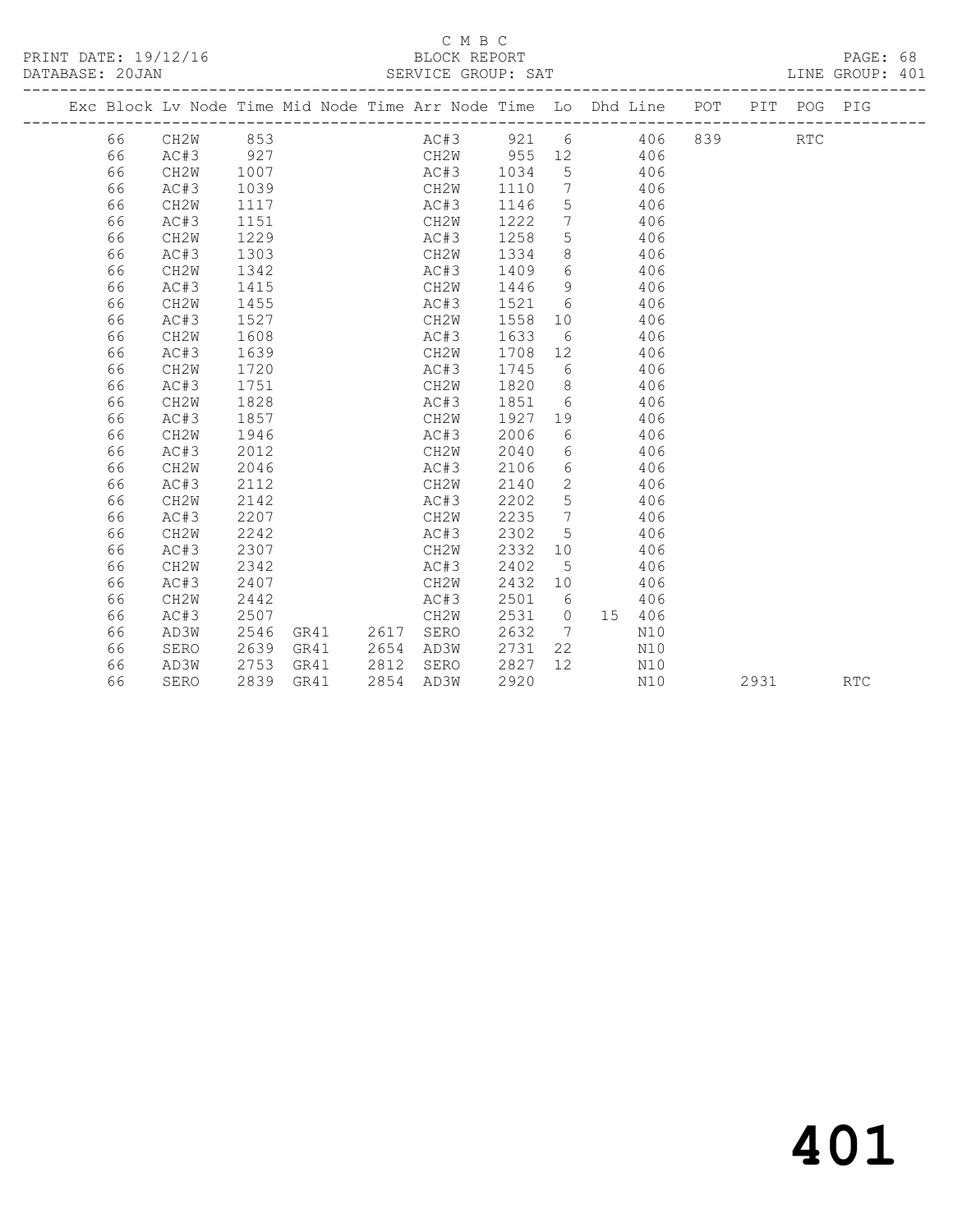PRINT DATE: 19/12/16 BLOCK REPORT<br>DATABASE: 20JAN SERVICE GROUP: SAT

# C M B C<br>BLOCK REPORT

PAGE: 68<br>LINE GROUP: 401

|  |    | ----------------------- |      |      |  |                                                                    |         |                 |       |        | ---------------------- |      |             |            |
|--|----|-------------------------|------|------|--|--------------------------------------------------------------------|---------|-----------------|-------|--------|------------------------|------|-------------|------------|
|  |    |                         |      |      |  | Exc Block Lv Node Time Mid Node Time Arr Node Time Lo Dhd Line POT |         |                 |       |        |                        |      | PIT POG PIG |            |
|  | 66 | CH2W 853                |      |      |  | AC#3 921 6 406 839 RTC                                             |         |                 |       |        |                        |      |             |            |
|  | 66 | AC#3                    | 927  |      |  | CH2W 955 12 406                                                    |         |                 |       |        |                        |      |             |            |
|  | 66 | CH2W                    | 1007 |      |  | AC#3 1034                                                          |         |                 | 5 406 |        |                        |      |             |            |
|  | 66 | AC#3                    | 1039 |      |  | CH2W                                                               | 1110    |                 | 7 406 |        |                        |      |             |            |
|  | 66 | CH2W                    | 1117 |      |  | AC#3                                                               | 1146    | $5\overline{)}$ | 406   |        |                        |      |             |            |
|  | 66 | AC#3                    | 1151 |      |  | CH2W                                                               | 1222    | $\overline{7}$  | 406   |        |                        |      |             |            |
|  | 66 | CH2W                    | 1229 |      |  | AC#3                                                               | 1258    | 5 <sup>5</sup>  |       | 406    |                        |      |             |            |
|  | 66 | AC#3                    | 1303 |      |  | CH2W                                                               | 1334    | 8 <sup>8</sup>  |       | 406    |                        |      |             |            |
|  | 66 | CH2W                    | 1342 |      |  | AC#3                                                               | 1409    | 6               |       | 406    |                        |      |             |            |
|  | 66 | AC#3                    | 1415 |      |  | CH2W                                                               | 1446    | - 9             |       | 406    |                        |      |             |            |
|  | 66 | CH2W                    | 1455 |      |  | AC#3                                                               | 1521 6  |                 |       | 406    |                        |      |             |            |
|  | 66 | AC#3                    | 1527 |      |  | CH2W                                                               | 1558 10 |                 |       | 406    |                        |      |             |            |
|  | 66 | CH2W                    | 1608 |      |  | AC#3                                                               | 1633    | 6               |       | 406    |                        |      |             |            |
|  | 66 | AC#3                    | 1639 |      |  | CH2W                                                               | 1708 12 |                 |       | 406    |                        |      |             |            |
|  | 66 | CH2W                    | 1720 |      |  | AC#3                                                               | 1745 6  |                 |       | 406    |                        |      |             |            |
|  | 66 | AC#3                    | 1751 |      |  | CH2W                                                               | 1820 8  |                 |       | 406    |                        |      |             |            |
|  | 66 | CH2W                    | 1828 |      |  | AC#3                                                               | 1851 6  |                 |       | 406    |                        |      |             |            |
|  | 66 | AC#3                    | 1857 |      |  | CH2W                                                               | 1927 19 |                 |       | 406    |                        |      |             |            |
|  | 66 | CH2W                    | 1946 |      |  | AC#3                                                               | 2006    | 6               |       | 406    |                        |      |             |            |
|  | 66 | AC#3                    | 2012 |      |  | CH2W                                                               | 2040    | 6               |       | 406    |                        |      |             |            |
|  | 66 | CH2W                    | 2046 |      |  | AC#3                                                               | 2106    | 6               |       | 406    |                        |      |             |            |
|  | 66 | AC#3                    | 2112 |      |  | CH2W                                                               | 2140    | $\overline{2}$  |       | 406    |                        |      |             |            |
|  | 66 | CH2W                    | 2142 |      |  | AC#3                                                               | 2202    | $5\overline{)}$ |       | 406    |                        |      |             |            |
|  | 66 | AC#3                    | 2207 |      |  | CH2W                                                               | 2235    | $\overline{7}$  |       | 406    |                        |      |             |            |
|  | 66 | CH2W                    | 2242 |      |  | AC#3                                                               | 2302    | 5               |       | 406    |                        |      |             |            |
|  | 66 | AC#3                    | 2307 |      |  | CH2W                                                               | 2332    | 10              |       | 406    |                        |      |             |            |
|  | 66 | CH2W                    | 2342 |      |  | AC#3                                                               | 2402    | $5\phantom{0}$  |       | 406    |                        |      |             |            |
|  | 66 | AC#3                    | 2407 |      |  | CH2W                                                               | 2432 10 |                 |       | 406    |                        |      |             |            |
|  | 66 | CH2W                    | 2442 |      |  | AC#3                                                               | 2501    | 6               |       | 406    |                        |      |             |            |
|  | 66 | AC#3                    | 2507 |      |  | CH2W                                                               | 2531    | $\overline{0}$  |       | 15 406 |                        |      |             |            |
|  | 66 | AD3W                    | 2546 |      |  | GR41  2617  SERO                                                   | 2632    | $7\phantom{0}$  |       | N10    |                        |      |             |            |
|  | 66 | SERO                    | 2639 | GR41 |  | 2654 AD3W                                                          | 2731    | 22              |       | N10    |                        |      |             |            |
|  | 66 | AD3W                    | 2753 | GR41 |  | 2812 SERO                                                          | 2827    | 12              |       | N10    |                        |      |             |            |
|  | 66 | SERO                    | 2839 | GR41 |  | 2854 AD3W                                                          | 2920    |                 |       | N10    |                        | 2931 |             | <b>RTC</b> |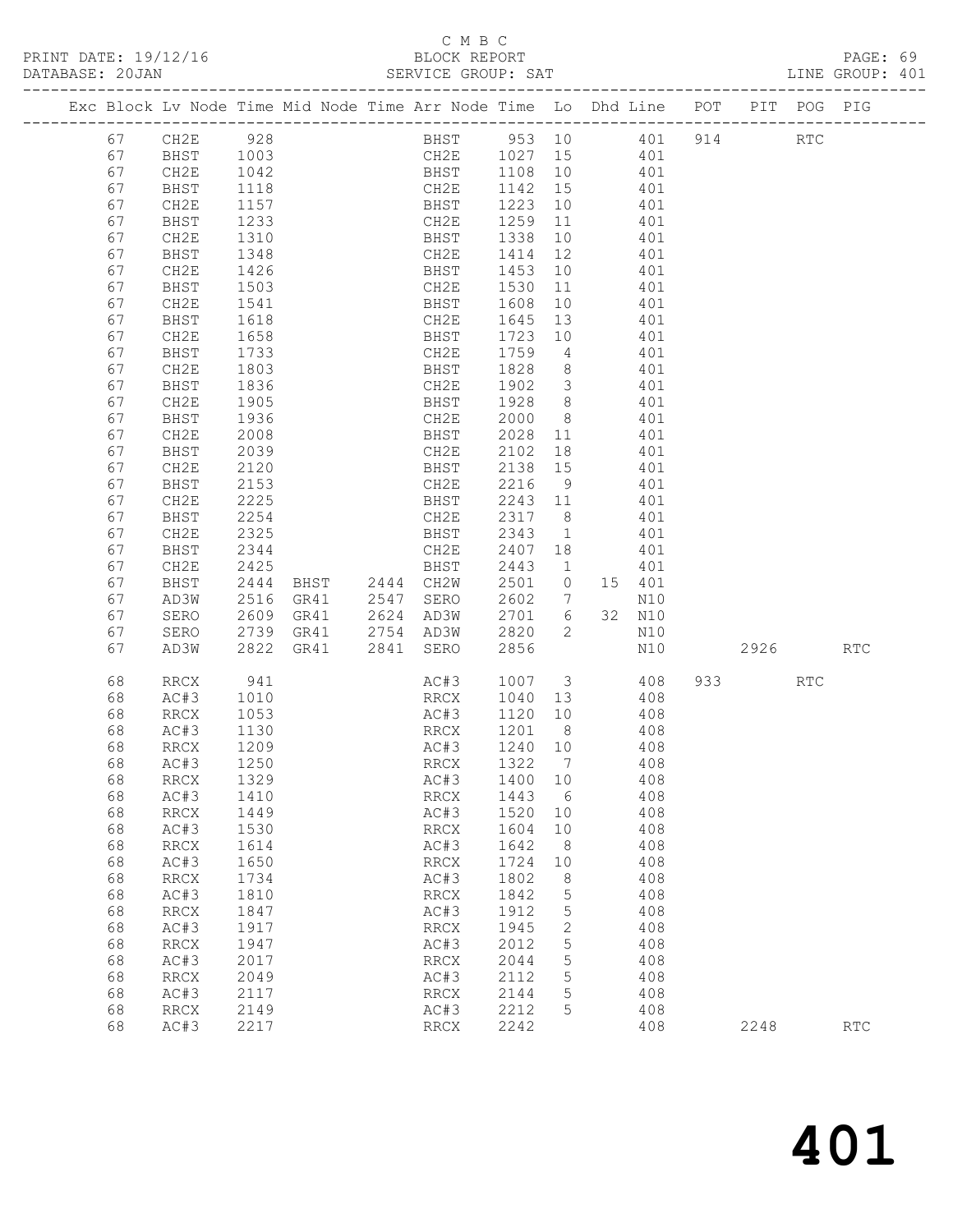PRINT DATE: 19/12/16 BLOCK REPORT BLOCK REPORT

# C M B C<br>BLOCK REPORT

| DATABASE: 20JAN |          |                          |              |                                                                                | SERVICE GROUP: SAT                   |                   |                 |                 |            |           |     | LINE GROUP: 401             |  |
|-----------------|----------|--------------------------|--------------|--------------------------------------------------------------------------------|--------------------------------------|-------------------|-----------------|-----------------|------------|-----------|-----|-----------------------------|--|
|                 |          |                          |              | Exc Block Lv Node Time Mid Node Time Arr Node Time Lo Dhd Line POT PIT POG PIG |                                      |                   |                 |                 |            |           |     |                             |  |
|                 | 67       | CH2E 928                 |              |                                                                                | BHST 953 10 401 914 RTC              |                   |                 |                 |            |           |     |                             |  |
|                 | 67       | BHST                     | 1003         |                                                                                | CH2E 1027 15 401                     |                   |                 |                 |            |           |     |                             |  |
|                 | 67       | CH2E                     | 1042         |                                                                                | BHST 1108 10 401<br>CH2E 1142 15 401 |                   |                 |                 |            |           |     |                             |  |
|                 | 67       | BHST                     | 1118         |                                                                                |                                      |                   |                 |                 |            |           |     |                             |  |
|                 | 67       | CH2E                     | 1157         |                                                                                | BHST 1223 10                         |                   |                 | $\frac{1}{401}$ |            |           |     |                             |  |
|                 | 67       | BHST                     | 1233         |                                                                                | CH2E                                 | 1259              |                 | 11 401          |            |           |     |                             |  |
|                 | 67       | CH2E                     | 1310         |                                                                                | BHST                                 | 1338              | 10              |                 | 401        |           |     |                             |  |
|                 | 67       | BHST                     | 1348         |                                                                                | CH2E                                 | 1414 12           |                 |                 | 401        |           |     |                             |  |
|                 | 67       | CH2E                     | 1426         |                                                                                | <b>BHST</b>                          | 1453              | 10              |                 | 401        |           |     |                             |  |
|                 | 67       | BHST                     | 1503         |                                                                                | CH2E                                 | 1530              |                 | 11 401          |            |           |     |                             |  |
|                 | 67       | CH2E                     | 1541         |                                                                                | BHST                                 | 1608              | 10              | 401             |            |           |     |                             |  |
|                 | 67       | BHST                     | 1618         |                                                                                | CH2E                                 | 1645              | 13              |                 | 401        |           |     |                             |  |
|                 | 67       | CH2E                     | 1658         |                                                                                | BHST                                 | 1723              | 10              |                 | 401        |           |     |                             |  |
|                 | 67       | BHST                     | 1733         |                                                                                | CH2E                                 | 1759              |                 | 4 4 0 1         |            |           |     |                             |  |
|                 | 67       | CH2E                     | 1803         |                                                                                | BHST                                 | 1828              | 8 <sup>8</sup>  | 401             |            |           |     |                             |  |
|                 | 67       | BHST                     | 1836         |                                                                                | CH2E                                 | 1902 3            |                 |                 | 401        |           |     |                             |  |
|                 | 67<br>67 | CH2E                     | 1905<br>1936 |                                                                                | BHST                                 | 1928 8            | 8 <sup>8</sup>  | 401             | 401        |           |     |                             |  |
|                 | 67       | BHST<br>CH2E             | 2008         |                                                                                | CH2E<br>BHST                         | 2000<br>2028      |                 | 11 401          |            |           |     |                             |  |
|                 | 67       | BHST                     | 2039         |                                                                                | CH2E                                 | 2102              | 18              |                 | 401        |           |     |                             |  |
|                 | 67       | CH2E                     | 2120         |                                                                                | BHST                                 | 2138 15           |                 |                 | 401        |           |     |                             |  |
|                 | 67       | BHST                     | 2153         |                                                                                | CH2E                                 | 2216              | 9               | 401             |            |           |     |                             |  |
|                 | 67       | CH2E                     | 2225         |                                                                                | BHST                                 | 2243 11           |                 | 401             |            |           |     |                             |  |
|                 | 67       | BHST                     | 2254         |                                                                                | CH2E                                 | 2317 8            |                 |                 | 401        |           |     |                             |  |
|                 | 67       | CH2E                     | 2325         |                                                                                | BHST                                 | 2343              | $\overline{1}$  |                 | 401        |           |     |                             |  |
|                 | 67       | BHST                     | 2344         |                                                                                | CH2E                                 | 2407 18           |                 |                 | 401        |           |     |                             |  |
|                 | 67       | CH2E                     | 2425         |                                                                                | BHST                                 | 2443              | $\sim$ 1        |                 | 401        |           |     |                             |  |
|                 | 67       | BHST                     | 2444         | BHST 2444 CH2W                                                                 |                                      | 2501              | $\overline{0}$  | 15 401          |            |           |     |                             |  |
|                 | 67       | AD3W                     | 2516         | GR41 2547 SERO                                                                 |                                      | 2602              | $7\overline{ }$ |                 | N10        |           |     |                             |  |
|                 | 67       | SERO                     | 2609         | GR41  2624  AD3W                                                               |                                      | 2701 6            |                 |                 | 32 N10     |           |     |                             |  |
|                 | 67       | SERO                     | 2739         | GR41                                                                           | 2754 AD3W                            | 2820              | $\overline{2}$  |                 | N10        |           |     |                             |  |
|                 | 67       | AD3W                     | 2822         | GR41                                                                           | 2841 SERO                            | 2856              |                 |                 | N10        | 2926 7    |     | <b>RTC</b>                  |  |
|                 | 68       | RRCX                     | 941          |                                                                                | AC#3                                 |                   |                 |                 | 1007 3 408 | 933 — 100 | RTC |                             |  |
|                 | 68       | AC#3                     | 1010         |                                                                                | RRCX                                 | 1040 13 408       |                 |                 |            |           |     |                             |  |
|                 | 68       | RRCX                     | 1053         |                                                                                | AC#3                                 | 1120              |                 | 10 408          |            |           |     |                             |  |
|                 | 68<br>68 | AC#3<br>RRCX             | 1130<br>1209 |                                                                                | RRCX<br>AC#3                         | 1201 8<br>1240 10 |                 |                 | 408<br>408 |           |     |                             |  |
|                 | 68       | AC#3 1250                |              |                                                                                | RRCX 1322 7 408                      |                   |                 |                 |            |           |     |                             |  |
|                 | 68       | RRCX                     | 1329         |                                                                                | AC#3                                 | 1400              | 10              |                 | 408        |           |     |                             |  |
|                 | 68       | AC#3                     | 1410         |                                                                                | RRCX                                 | 1443              | 6               |                 | 408        |           |     |                             |  |
|                 | 68       | RRCX                     | 1449         |                                                                                | AC#3                                 | 1520              | 10              |                 | 408        |           |     |                             |  |
|                 | 68       | AC#3                     | 1530         |                                                                                | RRCX                                 | 1604              | 10              |                 | 408        |           |     |                             |  |
|                 | 68       | RRCX                     | 1614         |                                                                                | AC#3                                 | 1642              | 8 <sup>8</sup>  |                 | 408        |           |     |                             |  |
|                 | 68       | AC#3                     | 1650         |                                                                                | RRCX                                 | 1724              | 10              |                 | 408        |           |     |                             |  |
|                 | 68       | $\mathop{\mathrm{RRCX}}$ | 1734         |                                                                                | AC#3                                 | 1802              | 8               |                 | 408        |           |     |                             |  |
|                 | 68       | AC#3                     | 1810         |                                                                                | RRCX                                 | 1842              | 5               |                 | 408        |           |     |                             |  |
|                 | 68       | RRCX                     | 1847         |                                                                                | AC#3                                 | 1912              | 5               |                 | 408        |           |     |                             |  |
|                 | 68       | AC#3                     | 1917         |                                                                                | RRCX                                 | 1945              | 2               |                 | 408        |           |     |                             |  |
|                 | 68       | $\mathop{\mathrm{RRCX}}$ | 1947         |                                                                                | AC#3                                 | 2012              | 5               |                 | 408        |           |     |                             |  |
|                 | 68       | AC#3                     | 2017         |                                                                                | RRCX                                 | 2044              | 5               |                 | 408        |           |     |                             |  |
|                 | 68       | <b>RRCX</b>              | 2049         |                                                                                | AC#3                                 | 2112              | 5               |                 | 408        |           |     |                             |  |
|                 | 68       | AC#3                     | 2117         |                                                                                | RRCX                                 | 2144              | 5               |                 | 408        |           |     |                             |  |
|                 | 68       | RRCX                     | 2149         |                                                                                | AC#3                                 | 2212              | 5               |                 | 408        |           |     |                             |  |
|                 | 68       | AC#3                     | 2217         |                                                                                | RRCX                                 | 2242              |                 |                 | 408        | 2248      |     | $\mathop{\rm RTC}\nolimits$ |  |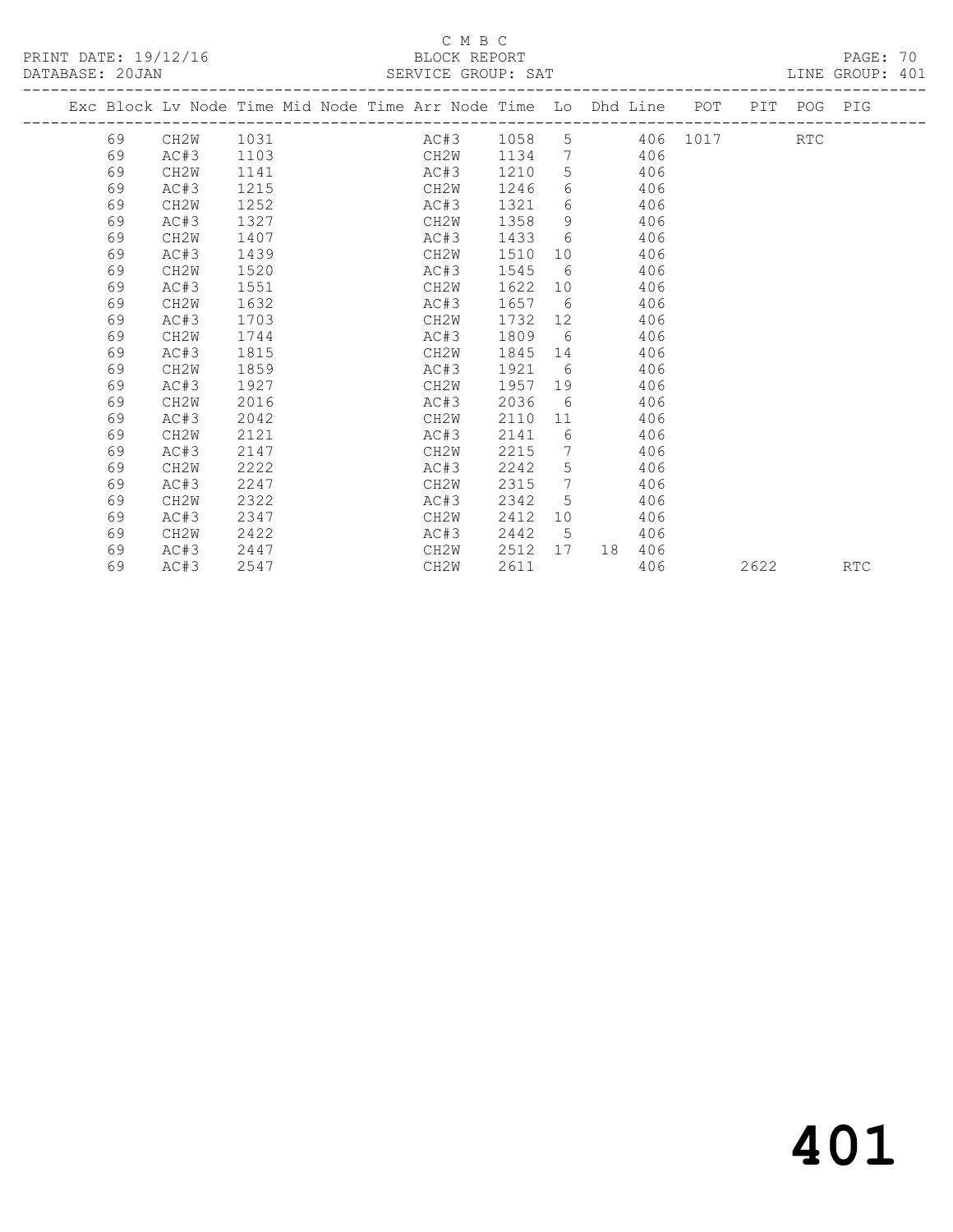# C M B C<br>BLOCK REPORT

LINE GROUP: 401

|  |    |                   |      |  | Exc Block Lv Node Time Mid Node Time Arr Node Time Lo Dhd Line POT |      |                 |    |     |            |      | PIT POG PIG |            |
|--|----|-------------------|------|--|--------------------------------------------------------------------|------|-----------------|----|-----|------------|------|-------------|------------|
|  | 69 | CH2W              | 1031 |  | AC#3 1058                                                          |      |                 |    |     | 5 406 1017 |      | <b>RTC</b>  |            |
|  | 69 | AC#3              | 1103 |  | CH2W                                                               | 1134 |                 | 7  | 406 |            |      |             |            |
|  | 69 | CH <sub>2</sub> W | 1141 |  | AC#3                                                               | 1210 | 5               |    | 406 |            |      |             |            |
|  | 69 | AC#3              | 1215 |  | CH2W                                                               | 1246 | 6               |    | 406 |            |      |             |            |
|  | 69 | CH <sub>2</sub> W | 1252 |  | AC#3                                                               | 1321 | 6               |    | 406 |            |      |             |            |
|  | 69 | AC#3              | 1327 |  | CH2W                                                               | 1358 | 9               |    | 406 |            |      |             |            |
|  | 69 | CH <sub>2</sub> W | 1407 |  | AC#3                                                               | 1433 | 6               |    | 406 |            |      |             |            |
|  | 69 | AC#3              | 1439 |  | CH2W                                                               | 1510 | 10              |    | 406 |            |      |             |            |
|  | 69 | CH <sub>2</sub> W | 1520 |  | AC#3                                                               | 1545 | 6               |    | 406 |            |      |             |            |
|  | 69 | AC#3              | 1551 |  | CH2W                                                               | 1622 | 10              |    | 406 |            |      |             |            |
|  | 69 | CH <sub>2</sub> W | 1632 |  | AC#3                                                               | 1657 | 6               |    | 406 |            |      |             |            |
|  | 69 | AC#3              | 1703 |  | CH2W                                                               | 1732 | 12              |    | 406 |            |      |             |            |
|  | 69 | CH <sub>2</sub> W | 1744 |  | AC#3                                                               | 1809 | 6               |    | 406 |            |      |             |            |
|  | 69 | AC#3              | 1815 |  | CH2W                                                               | 1845 | 14              |    | 406 |            |      |             |            |
|  | 69 | CH <sub>2</sub> W | 1859 |  | AC#3                                                               | 1921 | 6               |    | 406 |            |      |             |            |
|  | 69 | AC#3              | 1927 |  | CH2W                                                               | 1957 | 19              |    | 406 |            |      |             |            |
|  | 69 | CH <sub>2</sub> W | 2016 |  | AC#3                                                               | 2036 | 6               |    | 406 |            |      |             |            |
|  | 69 | AC#3              | 2042 |  | CH2W                                                               | 2110 | 11              |    | 406 |            |      |             |            |
|  | 69 | CH2W              | 2121 |  | AC#3                                                               | 2141 | 6               |    | 406 |            |      |             |            |
|  | 69 | AC#3              | 2147 |  | CH2W                                                               | 2215 | $7\overline{ }$ |    | 406 |            |      |             |            |
|  | 69 | CH <sub>2</sub> W | 2222 |  | AC#3                                                               | 2242 | 5               |    | 406 |            |      |             |            |
|  | 69 | AC#3              | 2247 |  | CH2W                                                               | 2315 | $7\overline{ }$ |    | 406 |            |      |             |            |
|  | 69 | CH2W              | 2322 |  | AC#3                                                               | 2342 | 5               |    | 406 |            |      |             |            |
|  | 69 | AC#3              | 2347 |  | CH2W                                                               | 2412 | 10              |    | 406 |            |      |             |            |
|  | 69 | CH2W              | 2422 |  | AC#3                                                               | 2442 | $5^{\circ}$     |    | 406 |            |      |             |            |
|  | 69 | AC#3              | 2447 |  | CH2W                                                               | 2512 | 17              | 18 | 406 |            |      |             |            |
|  | 69 | AC#3              | 2547 |  | CH2W                                                               | 2611 |                 |    | 406 |            | 2622 |             | <b>RTC</b> |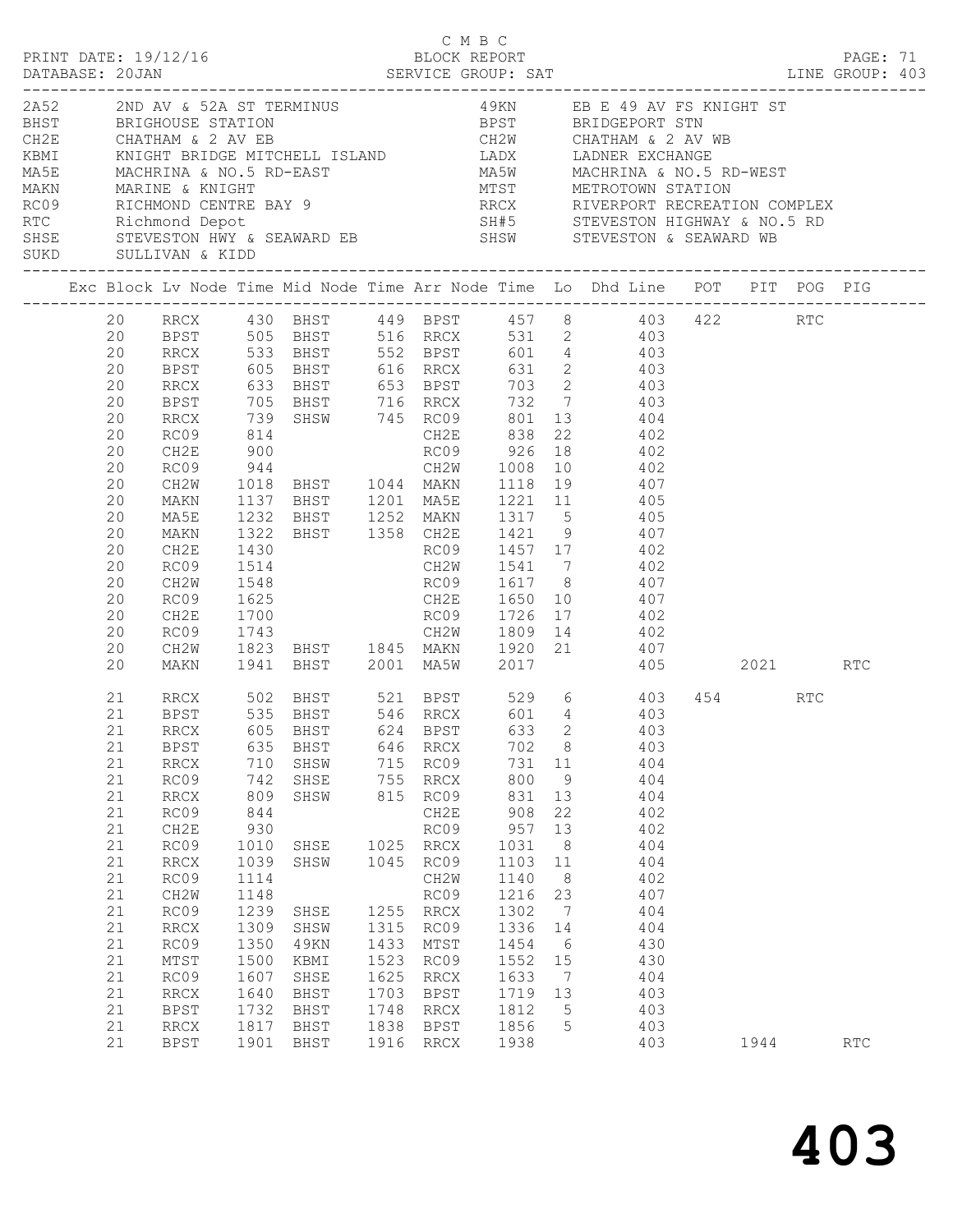| SUKD<br>------------------------------- |                                                                                                                            | SULLIVAN & KIDD                                                                                                                                                 |                                                                                                                                                |                                                                                                                                |                                                                            |                                                                                                                                                                | ___________________________________                                                                                                                     |                                                                                                                                                                                      | ERE E 49 AV FS KNIGHT ST BEIGHOUSE STATION (HERE E 49 AV FS KNIGHT ST BEIGHOUSE STATION BERT BEIGHOUSE STATION<br>CHATHAM & 2 AV EB CHATHAM & 2 AV ER<br>KBMI KNIGHT BRIDGE MITCHELL ISLAND LADX LADNER EXCHANGE<br>MASE MACHRINA &<br>ROOS RICHMOND CENTRE BAY 9<br>RICOS RICHMOND CENTRE BAY 9<br>RIC Richmond Depot 5H#5 STEVESTON HIGHWAY & NO.5 RD<br>SHSE STEVESTON HWY & SEAWARD EB SHSW STEVESTON & SEAWARD WB                                                                                                                                                                        |      |     |  |
|-----------------------------------------|----------------------------------------------------------------------------------------------------------------------------|-----------------------------------------------------------------------------------------------------------------------------------------------------------------|------------------------------------------------------------------------------------------------------------------------------------------------|--------------------------------------------------------------------------------------------------------------------------------|----------------------------------------------------------------------------|----------------------------------------------------------------------------------------------------------------------------------------------------------------|---------------------------------------------------------------------------------------------------------------------------------------------------------|--------------------------------------------------------------------------------------------------------------------------------------------------------------------------------------|-----------------------------------------------------------------------------------------------------------------------------------------------------------------------------------------------------------------------------------------------------------------------------------------------------------------------------------------------------------------------------------------------------------------------------------------------------------------------------------------------------------------------------------------------------------------------------------------------|------|-----|--|
|                                         |                                                                                                                            |                                                                                                                                                                 |                                                                                                                                                |                                                                                                                                |                                                                            |                                                                                                                                                                |                                                                                                                                                         |                                                                                                                                                                                      | Exc Block Lv Node Time Mid Node Time Arr Node Time Lo Dhd Line POT PIT POG PIG                                                                                                                                                                                                                                                                                                                                                                                                                                                                                                                |      |     |  |
|                                         | 20<br>20<br>20<br>20<br>20<br>20<br>20<br>20<br>20<br>20<br>20<br>20<br>20<br>20<br>20<br>20<br>20<br>20<br>20<br>20       | <b>RRCX</b><br>BPST<br>RRCX<br>RC09<br>CH2E<br>RC09<br>CH2W<br>MAKN<br>MA5E<br>MAKN<br>CH2E<br>RC09<br>CH2W<br>RC09<br>CH2E<br>RC09<br>CH2W<br>MAKN             | 900<br>1430<br>1514<br>1548<br>1700                                                                                                            |                                                                                                                                |                                                                            |                                                                                                                                                                |                                                                                                                                                         |                                                                                                                                                                                      | 20 RRCX 430 BHST 449 BPST 457 8 403 422 RTC<br>20 BPST 505 BHST 516 RRCX 531 2 403<br>RRCX 533 BHST 552 BPST 601 4 403<br>BPST 605 BHST 616 RRCX 631 2 403<br>RRCX 633 BHST 653 BPST 703 2 403<br>705 BHST 716 RRCX 732 7<br>739 SHSW 745 RC09 801 13 404<br>814 CH2E 838 22 402<br>RC09 926 18 402<br>944 CH2W 1008 10 402<br>1018 BHST 1044 MAKN 1118 19<br>1137 BHST 1201 MA5E 1221 11 405<br>1232 BHST 1252 MAKN 1317 5 405<br>1322 BHST 1358 CH2E 1421 9 407<br>RC09 1457 17 402<br>CH2W 1541 7 402<br>RC09 1617 8 407<br>1625 CH2E 1650 10 407<br>1941 BHST 2001 MA5W 2017 405 2021 RTC |      |     |  |
|                                         | 21<br>21<br>21<br>21<br>21<br>21<br>21<br>21<br>21<br>21<br>21<br>21<br>21<br>21<br>21<br>21<br>21<br>21<br>21<br>21<br>21 | BPST<br>RRCX<br>RC09<br>RRCX<br>RC09<br>CH2E<br>RC09<br>RRCX<br>RC09<br>CH2W<br>RC09<br>RRCX<br>RC09<br>$\mathtt{MTST}$<br>RC09<br>RRCX<br>BPST<br>RRCX<br>BPST | 635<br>710<br>742<br>809<br>844<br>930<br>1010<br>1039<br>1114<br>1148<br>1239<br>1309<br>1350<br>1500<br>1607<br>1640<br>1732<br>1817<br>1901 | BHST<br>SHSW<br>SHSE<br>SHSW<br>SHSE 1025 RRCX<br>SHSW<br>SHSE<br>SHSW<br>49KN<br>KBMI<br>SHSE<br>BHST<br>BHST<br>BHST<br>BHST | 755<br>815<br>1045<br>1315<br>1433<br>1523<br>1625<br>1703<br>1748<br>1838 | 646 RRCX<br>715 RC09<br>RRCX<br>RC09<br>CH2E<br>RC09<br>RC09<br>CH2W<br>RC09<br>1255 RRCX<br>RC09<br>MTST<br>RC09<br>RRCX<br>BPST<br>RRCX<br>BPST<br>1916 RRCX | 702<br>731 11<br>800<br>831<br>908<br>957<br>1031<br>1103 11<br>1140<br>1216<br>1302<br>1336<br>1454<br>1552<br>1633<br>1719 13<br>1812<br>1856<br>1938 | 8 <sup>8</sup><br>9<br>13<br>22<br>13<br>8 <sup>8</sup><br>8 <sup>8</sup><br>23<br>$\overline{7}$<br>14<br>$6\overline{6}$<br>15<br>$\overline{7}$<br>$5^{\circ}$<br>$5\overline{)}$ | RRCX 502 BHST 521 BPST 529 6 403 454 RTC<br>BPST 535 BHST 546 RRCX 601 4 403<br>21 RRCX 605 BHST 624 BPST 633 2 403<br>403<br>404<br>404<br>404<br>402<br>402<br>404<br>404<br>402<br>407<br>404<br>404<br>430<br>430<br>404<br>403<br>403<br>403<br>403                                                                                                                                                                                                                                                                                                                                      | 1944 | RTC |  |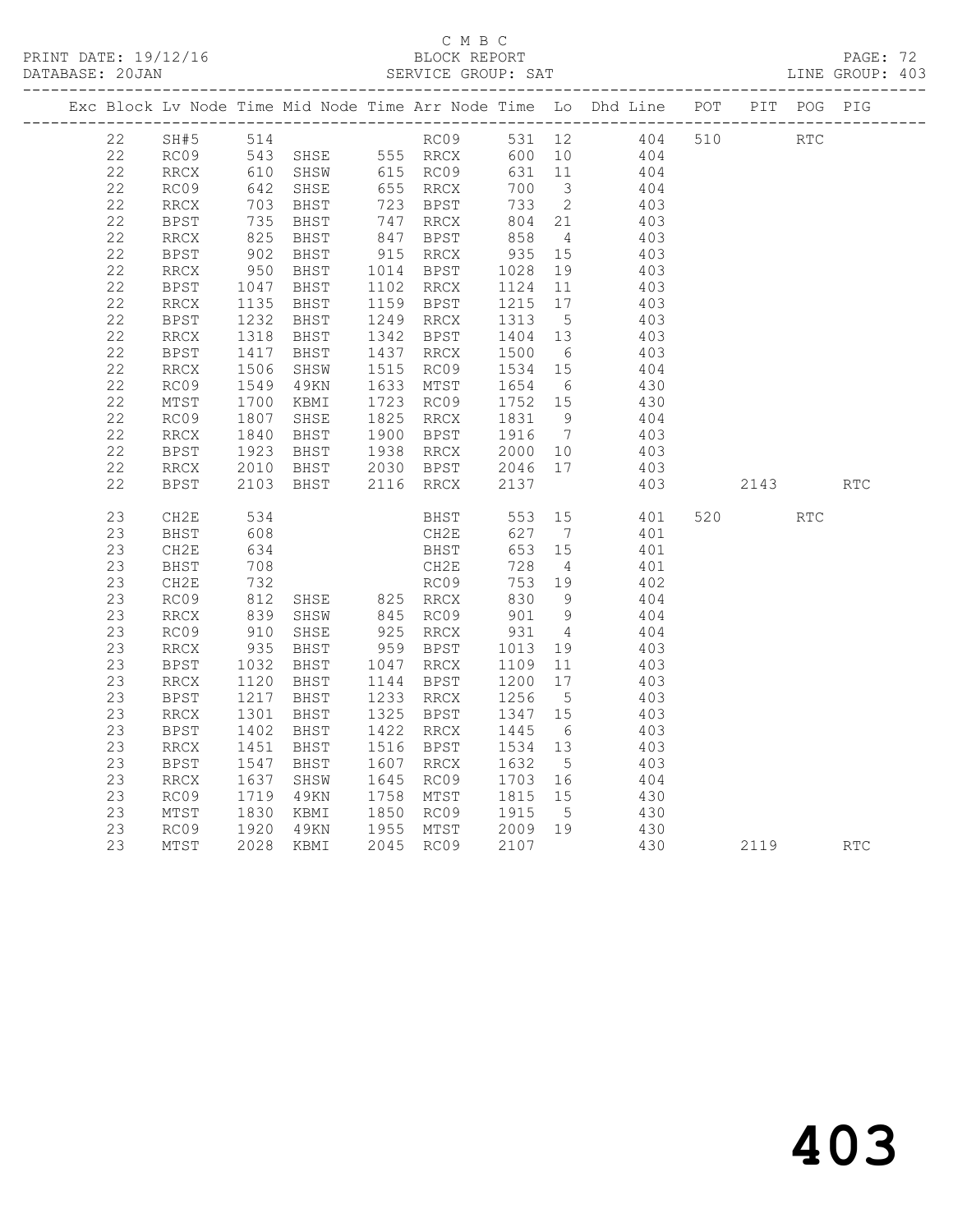#### C M B C DATABASE: 20JAN SERVICE GROUP: SAT LINE GROUP: 403

|    |               |                                                |                                                                                          |                                                  |                                                                                               |                | Exc Block Lv Node Time Mid Node Time Arr Node Time Lo Dhd Line POT PIT POG PIG |     |            |            |            |
|----|---------------|------------------------------------------------|------------------------------------------------------------------------------------------|--------------------------------------------------|-----------------------------------------------------------------------------------------------|----------------|--------------------------------------------------------------------------------|-----|------------|------------|------------|
| 22 |               |                                                |                                                                                          |                                                  |                                                                                               |                |                                                                                | 510 | <b>RTC</b> |            |            |
| 22 |               |                                                |                                                                                          |                                                  |                                                                                               |                |                                                                                |     |            |            |            |
| 22 | RRCX          |                                                |                                                                                          | 615 RC09                                         | 631 11                                                                                        |                | 404                                                                            |     |            |            |            |
| 22 | RC09          |                                                |                                                                                          | 655 RRCX<br>723 BPST                             | 700 3                                                                                         |                | 404                                                                            |     |            |            |            |
| 22 | RRCX          |                                                |                                                                                          |                                                  | 733                                                                                           | $\overline{2}$ | 403                                                                            |     |            |            |            |
| 22 | BPST          |                                                |                                                                                          |                                                  |                                                                                               |                | 403<br>403                                                                     |     |            |            |            |
| 22 | RRCX          |                                                | 610 SHSW<br>642 SHSE<br>703 BHST<br>735 BHST<br>825 BHST<br>826 BHST                     | 747 RRCX<br>847 BPST                             | $\begin{array}{cc} 804 & 21 \\ 858 & 4 \end{array}$                                           |                |                                                                                |     |            |            |            |
| 22 | BPST          | 902<br>950                                     |                                                                                          |                                                  | 935 15<br>1028 19                                                                             |                | 403                                                                            |     |            |            |            |
| 22 | RRCX          |                                                | BHST 915 RRCX<br>BHST 1014 BPST<br>BHST 1102 RRCX                                        |                                                  |                                                                                               |                | 403                                                                            |     |            |            |            |
| 22 | BPST          | $\frac{1047}{1135}$<br>1232                    |                                                                                          |                                                  | $1124$ 11                                                                                     |                | 403                                                                            |     |            |            |            |
| 22 | RRCX          |                                                | BHST 1159 BPST<br>BHST 1249 RRCX                                                         |                                                  | $\begin{array}{rrrr} 1215 & 17 \\ 1215 & 17 \\ 1313 & 5 \\ 1404 & 13 \\ 1500 & 6 \end{array}$ |                | 403                                                                            |     |            |            |            |
| 22 | BPST          |                                                |                                                                                          |                                                  |                                                                                               |                | 403                                                                            |     |            |            |            |
| 22 | RRCX          | 1318<br>1417                                   | BHST 1342 BPST<br>BHST 1437 RRCX                                                         |                                                  |                                                                                               |                | 403<br>403                                                                     |     |            |            |            |
| 22 | BPST          |                                                |                                                                                          |                                                  |                                                                                               |                |                                                                                |     |            |            |            |
| 22 | RRCX          |                                                | SHSW 1515 RC09                                                                           |                                                  | 1534 15<br>1654 6                                                                             |                | 404                                                                            |     |            |            |            |
| 22 | RC09          |                                                | 49KN                                                                                     | 1633 MTST                                        |                                                                                               |                | 430                                                                            |     |            |            |            |
| 22 | MTST          |                                                | KBMI                                                                                     | 1723 RC09                                        | 1752 15                                                                                       |                | 430                                                                            |     |            |            |            |
| 22 | RC09          | $1506$<br>$1549$<br>$1700$<br>$1807$<br>$1840$ | SHSE 1825 RRCX<br>BHST 1900 BPST                                                         |                                                  | 1831 9<br>1916 7                                                                              |                | 404                                                                            |     |            |            |            |
| 22 | RRCX          |                                                |                                                                                          |                                                  |                                                                                               |                | 403                                                                            |     |            |            |            |
| 22 | BPST          |                                                |                                                                                          |                                                  |                                                                                               |                | 403                                                                            |     |            |            |            |
| 22 | $\verb!RRCX!$ | 1923<br>2010                                   |                                                                                          | BHST 1938 RRCX 2000 10<br>BHST 2030 BPST 2046 17 |                                                                                               |                | 403                                                                            |     |            |            |            |
| 22 | <b>BPST</b>   | 2103                                           | BHST                                                                                     | 2116 RRCX                                        | 2137                                                                                          |                | 403                                                                            |     | 2143       |            | <b>RTC</b> |
|    |               |                                                |                                                                                          |                                                  |                                                                                               |                |                                                                                |     |            |            |            |
| 23 | CH2E          | 534                                            |                                                                                          | BHST 553 15                                      |                                                                                               |                | 401                                                                            |     | 520 000    | <b>RTC</b> |            |
| 23 | BHST          | 608                                            |                                                                                          | CH2E                                             | 627 7                                                                                         |                | 401                                                                            |     |            |            |            |
| 23 | CH2E          | 634                                            |                                                                                          | BHST                                             | 653 15                                                                                        |                | 401                                                                            |     |            |            |            |
| 23 | BHST          | 708<br>708<br>732                              |                                                                                          | CH2E                                             | 728                                                                                           | $\overline{4}$ | 401                                                                            |     |            |            |            |
| 23 | CH2E          |                                                |                                                                                          | RC09                                             | 753 19                                                                                        |                | 402                                                                            |     |            |            |            |
| 23 | RC09          |                                                |                                                                                          |                                                  |                                                                                               |                | 404                                                                            |     |            |            |            |
| 23 | RRCX          | 812<br>839                                     |                                                                                          |                                                  | 830 9<br>901 9                                                                                |                | 404                                                                            |     |            |            |            |
| 23 | RC09          |                                                | SHSE 825 RRCX<br>SHSW 845 RC09<br>SHSE 925 RRCX<br>910 SHSE                              |                                                  | 931                                                                                           | $\overline{4}$ | 404                                                                            |     |            |            |            |
| 23 | RRCX          | 935<br>1032                                    | BHST 959 BPST<br>BHST 1047 RRCX                                                          |                                                  | 1013  19<br>1109  11                                                                          |                | 403                                                                            |     |            |            |            |
| 23 | BPST          |                                                |                                                                                          |                                                  |                                                                                               |                | 403                                                                            |     |            |            |            |
| 23 | RRCX          | 1120<br>1217                                   | BHST 1144 BPST<br>BHST 1233 RRCX                                                         |                                                  | 1200 17<br>1256 5                                                                             |                | 403                                                                            |     |            |            |            |
| 23 | <b>BPST</b>   |                                                |                                                                                          |                                                  |                                                                                               |                | 403                                                                            |     |            |            |            |
| 23 | RRCX          |                                                | 1301 BHST 1325 BPST 1347 15<br>1402 BHST 1422 RRCX 1445 6<br>1451 BHST 1516 BPST 1534 13 |                                                  |                                                                                               |                | 403                                                                            |     |            |            |            |
| 23 | <b>BPST</b>   |                                                |                                                                                          |                                                  |                                                                                               |                | 403                                                                            |     |            |            |            |
| 23 | RRCX          |                                                |                                                                                          |                                                  |                                                                                               |                | 403                                                                            |     |            |            |            |
| 23 | <b>BPST</b>   | 1547<br>1637                                   | BHST                                                                                     | 1607 RRCX 1632 5<br>1645 RC09 1703 16            |                                                                                               |                | 403                                                                            |     |            |            |            |
| 23 | RRCX          |                                                | SHSW                                                                                     |                                                  |                                                                                               |                | 404                                                                            |     |            |            |            |
| 23 | RC09          |                                                | 1719 49KN<br>1830 KBMI                                                                   | 49KN 1758 MTST 1815 15<br>KBMI 1850 RC09 1915 5  |                                                                                               |                | 430                                                                            |     |            |            |            |
| 23 | MTST          |                                                |                                                                                          |                                                  |                                                                                               |                | 430                                                                            |     |            |            |            |
| 23 | RC09          | 1920                                           |                                                                                          | 49KN 1955 MTST 2009 19                           |                                                                                               |                | 430                                                                            |     |            |            |            |
| 23 | MTST          |                                                | 2028 KBMI                                                                                | 2045 RC09 2107                                   |                                                                                               |                | 430                                                                            |     | 2119       |            | RTC        |
|    |               |                                                |                                                                                          |                                                  |                                                                                               |                |                                                                                |     |            |            |            |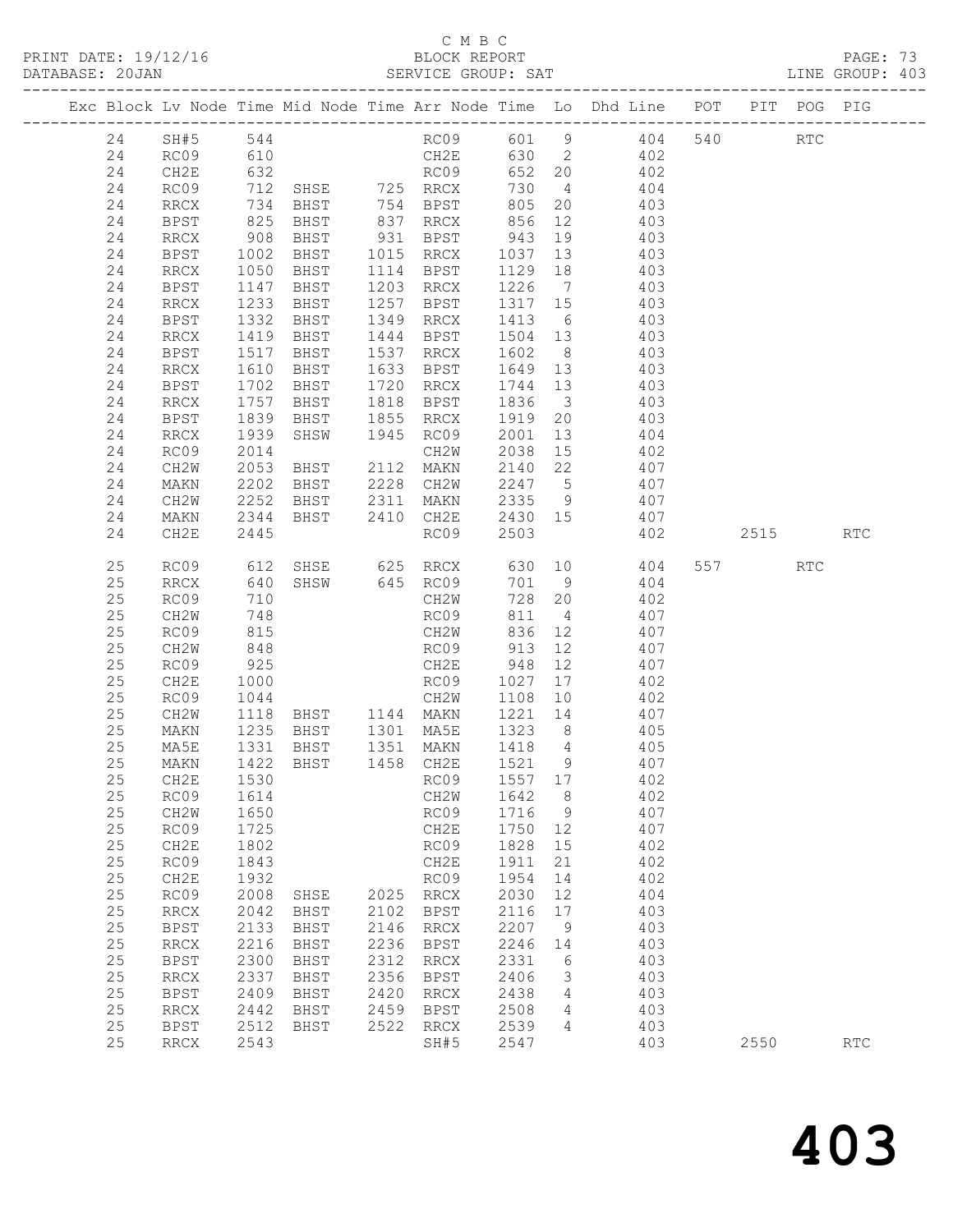## C M B C<br>BLOCK REPORT

| DATABASE: 20JAN |          |              |                           |                                                |      |                                                                          |                  |                 | SERVICE GROUP: SAT                                                             |      |     | LINE GROUP: 403 |
|-----------------|----------|--------------|---------------------------|------------------------------------------------|------|--------------------------------------------------------------------------|------------------|-----------------|--------------------------------------------------------------------------------|------|-----|-----------------|
|                 |          |              |                           |                                                |      |                                                                          |                  |                 | Exc Block Lv Node Time Mid Node Time Arr Node Time Lo Dhd Line POT PIT POG PIG |      |     |                 |
|                 | 24       |              |                           |                                                |      |                                                                          |                  |                 | SH#5 544 RC09 601 9 404 540 RTC                                                |      |     |                 |
|                 | 24       | RC09         | 610                       |                                                |      |                                                                          |                  |                 | CH2E 630 2 402                                                                 |      |     |                 |
|                 | 24       | CH2E         |                           |                                                |      |                                                                          |                  |                 |                                                                                |      |     |                 |
|                 | 24       | RC09         |                           |                                                |      |                                                                          |                  |                 |                                                                                |      |     |                 |
|                 | 24       | RRCX         |                           |                                                |      |                                                                          |                  |                 |                                                                                |      |     |                 |
|                 | 24       | BPST         | 825                       | BHST                                           |      |                                                                          |                  |                 | 837 RRCX 856 12 403                                                            |      |     |                 |
|                 | 24       | RRCX         | $908$<br>$1002$<br>$1050$ |                                                |      | BHST 931 BPST 943 19<br>BHST 1015 RRCX 1037 13<br>BHST 1114 BPST 1129 18 |                  |                 | 403                                                                            |      |     |                 |
|                 | 24       | BPST         |                           |                                                |      |                                                                          |                  |                 | 403                                                                            |      |     |                 |
|                 | 24       | RRCX         |                           |                                                |      |                                                                          |                  |                 | 403                                                                            |      |     |                 |
|                 | 24       | BPST         | 1147                      | BHST                                           |      | 1203 RRCX                                                                |                  |                 | 1226 7 403                                                                     |      |     |                 |
|                 | 24       | RRCX         | 1233                      | BHST                                           |      | 1257 BPST                                                                | 1317 15          |                 | 403                                                                            |      |     |                 |
|                 | 24       | BPST         | 1332                      | BHST                                           |      | 1349 RRCX                                                                | 1413 6           |                 | 403<br>1949 KKCA 1419 0 409<br>1444 BPST 1504 13 403                           |      |     |                 |
|                 | 24       | RRCX         | 1419                      | BHST                                           |      |                                                                          |                  |                 |                                                                                |      |     |                 |
|                 | 24       | BPST         | 1517                      | BHST                                           |      | 1537 RRCX 1602                                                           |                  | 8 <sup>8</sup>  | 403                                                                            |      |     |                 |
|                 | 24       | RRCX         | 1610                      | BHST                                           |      |                                                                          |                  |                 | 1633 BPST 1649 13 403                                                          |      |     |                 |
|                 | 24<br>24 | BPST<br>RRCX | 1702<br>1757              | BHST                                           |      | 1720 RRCX 1744 13<br>1818 BPST 1836 3                                    |                  |                 | 403<br>403                                                                     |      |     |                 |
|                 | 24       | BPST         | 1757<br>1839              | BHST<br>BHST                                   |      | 1855 RRCX                                                                | 1919 20          |                 | 403                                                                            |      |     |                 |
|                 | 24       | RRCX         | 1939                      |                                                |      | SHSW 1945 RC09                                                           | 2001             | 13              | 404                                                                            |      |     |                 |
|                 | 24       | RC09         | 2014                      |                                                |      | CH2W                                                                     | 2038 15          |                 |                                                                                |      |     |                 |
|                 | 24       | CH2W         | 2053                      | BHST 2112 MAKN                                 |      |                                                                          | 2140 22          |                 | 402<br>407                                                                     |      |     |                 |
|                 | 24       | MAKN         | 2202                      | BHST                                           |      |                                                                          |                  |                 | 2228 CH2W 2247 5 407                                                           |      |     |                 |
|                 | 24       | CH2W         | 2252                      |                                                |      |                                                                          |                  |                 | BHST 2311 MAKN 2335 9 407                                                      |      |     |                 |
|                 | 24       | MAKN         | 2344                      | BHST 2410 CH2E                                 |      |                                                                          |                  |                 | 2430 15 407                                                                    |      |     |                 |
|                 | 24       | CH2E         | 2445                      |                                                |      | RC09                                                                     | 2503             |                 | 402                                                                            | 2515 |     | RTC             |
|                 |          |              |                           |                                                |      |                                                                          |                  |                 |                                                                                |      |     |                 |
|                 | 25<br>25 | RC09<br>RRCX |                           |                                                |      | SHSW 645 RC09                                                            | 701 9            |                 | 612 SHSE 625 RRCX 630 10 404<br>404                                            | 557  | RTC |                 |
|                 | 25       | RC09         | 640<br>710                |                                                |      |                                                                          | 728 20           |                 | 402                                                                            |      |     |                 |
|                 | 25       | CH2W         | 748                       |                                                |      | CH2W<br>RC09                                                             |                  |                 | $811 \t 4 \t 407$                                                              |      |     |                 |
|                 | 25       | RC09         | 815                       |                                                |      | CH2W                                                                     |                  |                 | 836 12 407                                                                     |      |     |                 |
|                 | 25       | CH2W         | 848                       |                                                |      | RC09 913                                                                 |                  | 12              | 407                                                                            |      |     |                 |
|                 | 25       | RC09         | 925                       |                                                |      |                                                                          |                  |                 | 407                                                                            |      |     |                 |
|                 | 25       | CH2E         | 1000                      |                                                |      |                                                                          |                  |                 | 17<br>402                                                                      |      |     |                 |
|                 | 25       | RC09         | 1044                      |                                                |      | CH2W 1108 10                                                             |                  |                 | 402                                                                            |      |     |                 |
|                 | 25       | CH2W         | 1118                      |                                                |      |                                                                          |                  |                 | BHST 1144 MAKN 1221 14 407                                                     |      |     |                 |
|                 | 25       | MAKN         |                           | 1235 BHST   1301 MA5E<br>1331 BHST   1351 MAKN |      |                                                                          | 1323 8<br>1418 4 |                 |                                                                                |      |     |                 |
|                 | 25       | MA5E         |                           |                                                |      |                                                                          |                  |                 | $405$<br>$405$                                                                 |      |     |                 |
|                 | 25       |              |                           |                                                |      |                                                                          |                  |                 | MAKN 1422 BHST 1458 CH2E 1521 9 407                                            |      |     |                 |
|                 | 25       | CH2E         | 1530                      |                                                |      | RC09                                                                     | 1557 17          |                 | 402                                                                            |      |     |                 |
|                 | 25       | RC09         | 1614                      |                                                |      | CH2W                                                                     | 1642             | 8 <sup>8</sup>  | 402                                                                            |      |     |                 |
|                 | 25       | CH2W         | 1650                      |                                                |      | RC09                                                                     | 1716             | $\overline{9}$  | 407                                                                            |      |     |                 |
|                 | 25       | RC09         | 1725                      |                                                |      | CH2E                                                                     | 1750             | 12              | 407                                                                            |      |     |                 |
|                 | 25       | CH2E         | 1802                      |                                                |      | RC09                                                                     | 1828             | 15              | 402                                                                            |      |     |                 |
|                 | 25       | RC09         | 1843                      |                                                |      | CH2E                                                                     | 1911             | 21              | 402                                                                            |      |     |                 |
|                 | 25       | CH2E         | 1932                      |                                                |      | RC09                                                                     | 1954             | 14              | 402                                                                            |      |     |                 |
|                 | 25       | RC09         | 2008                      | SHSE                                           | 2102 | 2025 RRCX                                                                | 2030             | 12              | 404                                                                            |      |     |                 |
|                 | 25<br>25 | RRCX         | 2042<br>2133              | BHST                                           | 2146 | BPST                                                                     | 2116             | 17              | 403<br>403                                                                     |      |     |                 |
|                 | 25       | BPST<br>RRCX | 2216                      | BHST<br>BHST                                   | 2236 | $\rm RRCX$<br>BPST                                                       | 2207<br>2246     | 9<br>14         | 403                                                                            |      |     |                 |
|                 | 25       | BPST         | 2300                      | BHST                                           | 2312 | $\rm RRCX$                                                               | 2331             | 6               | 403                                                                            |      |     |                 |
|                 | 25       | RRCX         | 2337                      | BHST                                           | 2356 | BPST                                                                     | 2406             | 3               | 403                                                                            |      |     |                 |
|                 | 25       | <b>BPST</b>  | 2409                      | BHST                                           | 2420 | RRCX                                                                     | 2438             | 4               | 403                                                                            |      |     |                 |
|                 | 25       | RRCX         | 2442                      | BHST                                           | 2459 | BPST                                                                     | 2508             | $4\overline{ }$ | 403                                                                            |      |     |                 |
|                 | 25       | BPST         | 2512                      | BHST                                           | 2522 | RRCX                                                                     | 2539             | 4               | 403                                                                            |      |     |                 |
|                 | 25       | RRCX         | 2543                      |                                                |      | SH#5                                                                     | 2547             |                 | 403                                                                            | 2550 |     | <b>RTC</b>      |
|                 |          |              |                           |                                                |      |                                                                          |                  |                 |                                                                                |      |     |                 |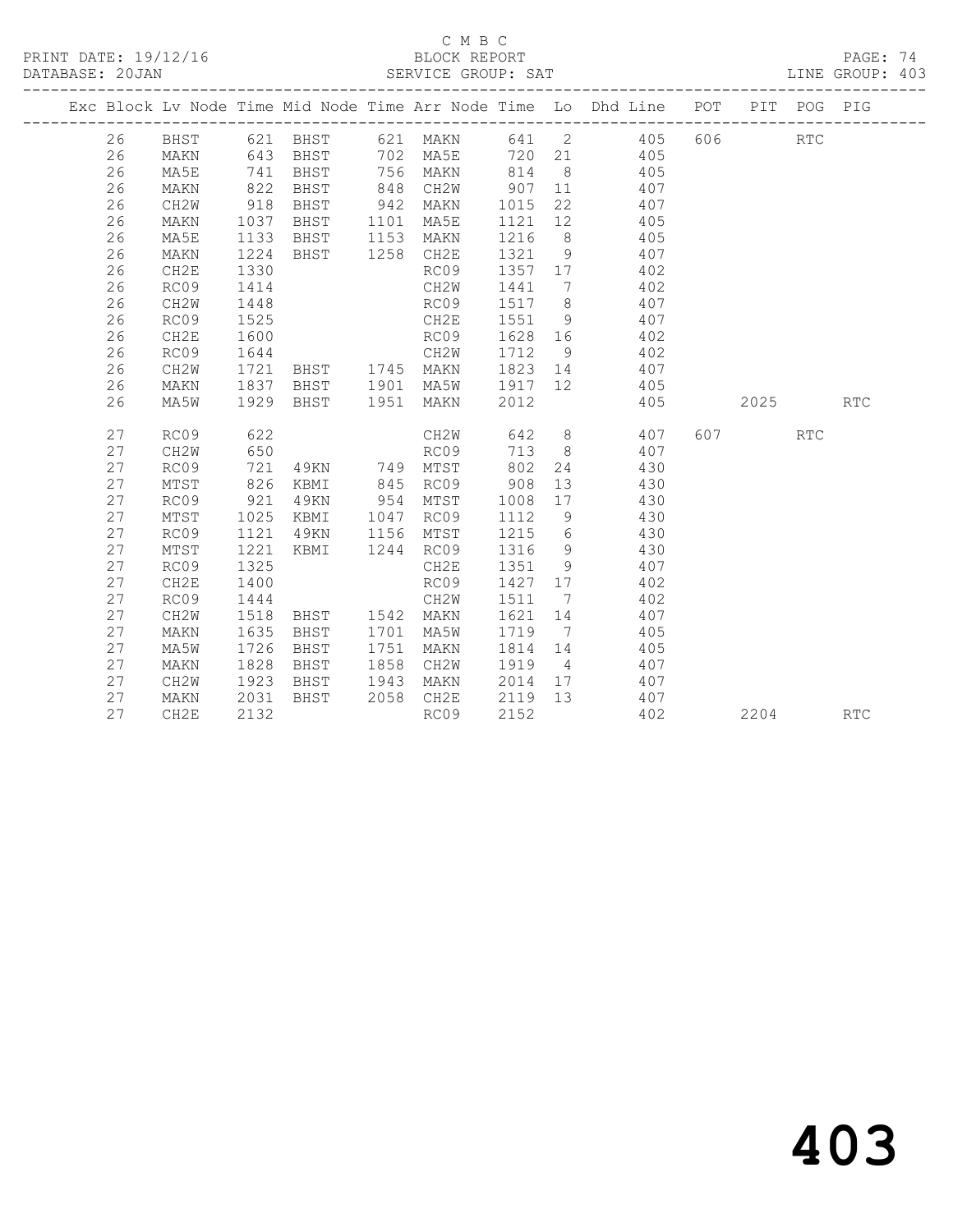PRINT DATE: 19/12/16 BLOCK REPORT BATABASE: 20JAN BLOCK REPORT

# C M B C<br>BLOCK REPORT

PAGE: 74<br>LINE GROUP: 403

|  |    |      |      |                   |      |           |         |                 | Exc Block Lv Node Time Mid Node Time Arr Node Time Lo Dhd Line POT PIT POG PIG |           |                      |            |
|--|----|------|------|-------------------|------|-----------|---------|-----------------|--------------------------------------------------------------------------------|-----------|----------------------|------------|
|  | 26 | BHST |      | 621 BHST 621 MAKN |      |           |         |                 | 641 2 405 606                                                                  |           | $\operatorname{RTC}$ |            |
|  | 26 | MAKN |      | 643 BHST          |      | 702 MA5E  |         |                 | 720 21 405                                                                     |           |                      |            |
|  | 26 | MA5E | 741  | BHST              | 756  | MAKN      | 814     |                 | 8 405                                                                          |           |                      |            |
|  | 26 | MAKN | 822  | BHST              | 848  | CH2W      | 907 11  |                 | 407                                                                            |           |                      |            |
|  | 26 | CH2W | 918  | BHST              | 942  | MAKN      | 1015    | 22              | 407                                                                            |           |                      |            |
|  | 26 | MAKN | 1037 | BHST              | 1101 | MA5E      | 1121    | 12              | 405                                                                            |           |                      |            |
|  | 26 | MA5E | 1133 | BHST              |      | 1153 MAKN | 1216    | 8 <sup>8</sup>  | 405                                                                            |           |                      |            |
|  | 26 | MAKN | 1224 | BHST              |      | 1258 CH2E | 1321    | 9               | 407                                                                            |           |                      |            |
|  | 26 | CH2E | 1330 |                   |      | RC09      | 1357 17 |                 | 402                                                                            |           |                      |            |
|  | 26 | RC09 | 1414 |                   |      | CH2W      | 1441    | 7               | 402                                                                            |           |                      |            |
|  | 26 | CH2W | 1448 |                   |      | RC09      | 1517    | 8 <sup>8</sup>  | 407                                                                            |           |                      |            |
|  | 26 | RC09 | 1525 |                   |      | CH2E      | 1551    | 9               | 407                                                                            |           |                      |            |
|  | 26 | CH2E | 1600 |                   |      | RC09      | 1628 16 |                 | 402                                                                            |           |                      |            |
|  | 26 | RC09 | 1644 |                   |      | CH2W      | 1712    | 9               | 402                                                                            |           |                      |            |
|  | 26 | CH2W | 1721 | BHST 1745 MAKN    |      |           |         |                 | 1823 14 407                                                                    |           |                      |            |
|  | 26 | MAKN | 1837 | BHST 1901 MA5W    |      |           | 1917 12 |                 | 405                                                                            |           |                      |            |
|  | 26 | MA5W |      | 1929 BHST         |      | 1951 MAKN | 2012    |                 | 405                                                                            | 2025      |                      | <b>RTC</b> |
|  |    |      |      |                   |      |           |         |                 |                                                                                |           |                      |            |
|  | 27 | RC09 | 622  |                   |      | CH2W      | 642     |                 | 8 407                                                                          | 607 — 100 | <b>RTC</b>           |            |
|  | 27 | CH2W | 650  |                   |      | RC09      | 713     | 8 <sup>8</sup>  | 407                                                                            |           |                      |            |
|  | 27 | RC09 | 721  | 49KN 749 MTST     |      |           | 802     | 24              | 430                                                                            |           |                      |            |
|  | 27 | MTST | 826  | KBMI              |      | 845 RC09  | 908     | 13              | 430                                                                            |           |                      |            |
|  | 27 | RC09 | 921  | 49KN              |      | 954 MTST  | 1008    | 17              | 430                                                                            |           |                      |            |
|  | 27 | MTST | 1025 | KBMI              |      | 1047 RC09 | 1112    | 9               | 430                                                                            |           |                      |            |
|  | 27 | RC09 | 1121 | 49KN              | 1156 | MTST      | 1215    | $6\overline{6}$ | 430                                                                            |           |                      |            |
|  | 27 | MTST | 1221 | KBMI              |      | 1244 RC09 | 1316    | 9               | 430                                                                            |           |                      |            |
|  | 27 | RC09 | 1325 |                   |      | CH2E      | 1351    | 9               | 407                                                                            |           |                      |            |
|  | 27 | CH2E | 1400 |                   |      | RC09      | 1427 17 |                 | 402                                                                            |           |                      |            |
|  | 27 | RC09 | 1444 |                   |      | CH2W      | 1511    | $\overline{7}$  | 402                                                                            |           |                      |            |
|  | 27 | CH2W | 1518 | BHST 1542 MAKN    |      |           | 1621    | 14              | 407                                                                            |           |                      |            |
|  | 27 | MAKN | 1635 | BHST              | 1701 | MA5W      | 1719    | $\overline{7}$  | 405                                                                            |           |                      |            |
|  | 27 | MA5W | 1726 | BHST              | 1751 | MAKN      | 1814    | 14              | 405                                                                            |           |                      |            |
|  | 27 | MAKN | 1828 | BHST              | 1858 | CH2W      | 1919    | $\overline{4}$  | 407                                                                            |           |                      |            |
|  | 27 | CH2W | 1923 | BHST              | 1943 | MAKN      | 2014 17 |                 | 407                                                                            |           |                      |            |
|  | 27 | MAKN | 2031 | BHST              | 2058 | CH2E      | 2119 13 |                 | 407                                                                            |           |                      |            |
|  | 27 | CH2E | 2132 |                   |      | RC09      | 2152    |                 | 402                                                                            | 2204      |                      | <b>RTC</b> |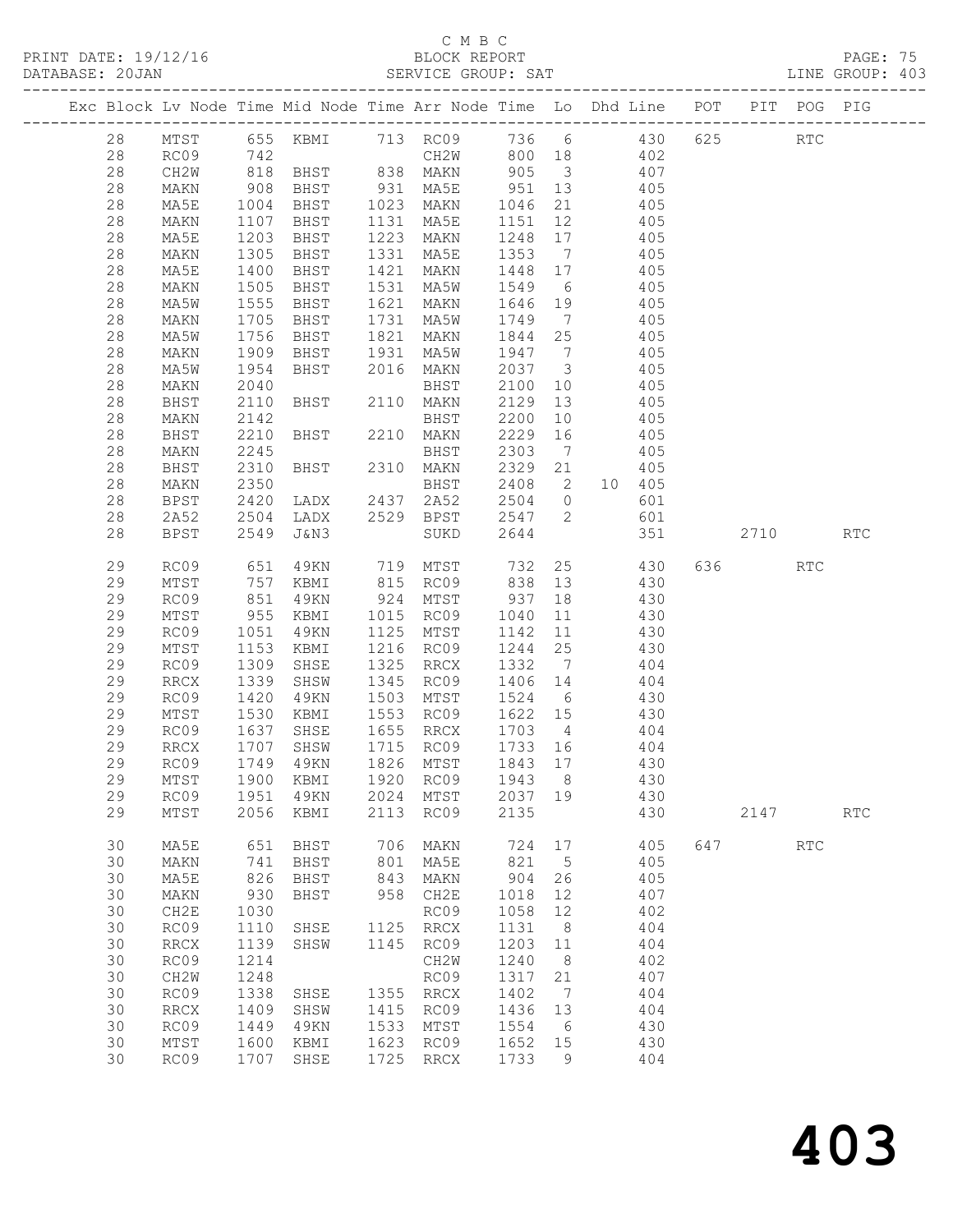# $\begin{tabular}{lllll} \multicolumn{2}{c}{\multicolumn{2}{c}{\textbf{C} M B C}}\\ \multicolumn{2}{c}{\multicolumn{2}{c}{\textbf{P R INT} \textbf{DATE: }} 19/12/16} & & & & & & \multicolumn{2}{c}{\textbf{C} M B C}\\ \multicolumn{2}{c}{\multicolumn{2}{c}{\textbf{P R INT} \textbf{DATE: }} 19/12/16} & & & & & & \multicolumn{2}{c}{\textbf{D} M B C} & & & & \multicolumn{2}{c}{\textbf{D} M B C} & & & & \multicolumn{2}{c}{\textbf{D} M$

PRINT DATE: 19/12/16 BLOCK REPORT PAGE: 75 DATABASE: 20JAN SERVICE GROUP: SAT LINE GROUP: 403 -------------------------------------------------------------------------------------------------

|  |          |                          |              | Exc Block Lv Node Time Mid Node Time Arr Node Time Lo |              |                              |              |                         | Dhd Line   | POT | PIT  | POG                         | PIG                  |
|--|----------|--------------------------|--------------|-------------------------------------------------------|--------------|------------------------------|--------------|-------------------------|------------|-----|------|-----------------------------|----------------------|
|  | 28       | $\mathtt{MTST}$          | 655          | KBMI                                                  | 713          | RC09                         | 736          | $6\overline{6}$         | 430        | 625 |      | RTC                         |                      |
|  | 28       | RC09                     | 742          |                                                       |              | CH2W                         | 800          | 18                      | 402        |     |      |                             |                      |
|  | 28       | CH2W                     | 818          | BHST                                                  | 838          | MAKN                         | 905          | $\overline{\mathbf{3}}$ | 407        |     |      |                             |                      |
|  | 28       | MAKN                     | 908          | BHST                                                  | 931          | MA5E                         | 951          | 13                      | 405        |     |      |                             |                      |
|  | 28       | MA5E                     | 1004         | BHST                                                  | 1023         | MAKN                         | 1046         | 21                      | 405        |     |      |                             |                      |
|  | 28       | MAKN                     | 1107         | BHST                                                  | 1131         | MA5E                         | 1151         | 12                      | 405        |     |      |                             |                      |
|  | $28$     | MA5E                     | 1203         | BHST                                                  | 1223         | MAKN                         | 1248         | 17                      | 405        |     |      |                             |                      |
|  | 28       | MAKN                     | 1305         | BHST                                                  | 1331         | MA5E                         | 1353         | $\overline{7}$          | 405        |     |      |                             |                      |
|  | 28       | MA5E                     | 1400         | BHST                                                  | 1421         | MAKN                         | 1448         | 17                      | 405        |     |      |                             |                      |
|  | 28       | MAKN                     | 1505         | BHST                                                  | 1531         | MA5W                         | 1549         | 6                       | 405        |     |      |                             |                      |
|  | 28       | MA5W                     | 1555         | BHST                                                  | 1621         | MAKN                         | 1646         | 19                      | 405        |     |      |                             |                      |
|  | 28       | MAKN                     | 1705         | BHST                                                  | 1731         | MA5W                         | 1749         | $\overline{7}$          | 405        |     |      |                             |                      |
|  | 28       | MA5W                     | 1756         | BHST                                                  | 1821         | MAKN                         | 1844         | 25                      | 405        |     |      |                             |                      |
|  | 28       | MAKN                     | 1909         | BHST                                                  | 1931         | MA5W                         | 1947         | $\overline{7}$          | 405        |     |      |                             |                      |
|  | 28       | MA5W                     | 1954         | BHST                                                  | 2016         | MAKN                         | 2037         | $\overline{\mathbf{3}}$ | 405        |     |      |                             |                      |
|  | 28       | MAKN                     | 2040         |                                                       |              | BHST                         | 2100         | 10                      | 405        |     |      |                             |                      |
|  | 28       | BHST                     | 2110         | BHST                                                  | 2110         | MAKN                         | 2129         | 13                      | 405        |     |      |                             |                      |
|  | 28       | MAKN                     | 2142         |                                                       |              | BHST                         | 2200         | 10                      | 405        |     |      |                             |                      |
|  | 28       | BHST                     | 2210         | BHST                                                  | 2210         | MAKN                         | 2229         | 16                      | 405        |     |      |                             |                      |
|  | 28       | MAKN                     | 2245         |                                                       |              | BHST                         | 2303         | $\overline{7}$          | 405        |     |      |                             |                      |
|  | 28       | BHST                     | 2310         | BHST                                                  | 2310         | MAKN                         | 2329         | 21                      | 405        |     |      |                             |                      |
|  | 28       | MAKN                     | 2350         |                                                       |              | BHST                         | 2408         | 2                       | 10 405     |     |      |                             |                      |
|  | 28       | <b>BPST</b>              | 2420         | LADX                                                  | 2437         | 2A52                         | 2504         | $\overline{0}$          | 601        |     |      |                             |                      |
|  | 28       | 2A52                     | 2504         | LADX                                                  | 2529         | BPST                         | 2547         | 2                       | 601        |     |      |                             |                      |
|  | 28       | <b>BPST</b>              | 2549         | J&N3                                                  |              | SUKD                         | 2644         |                         | 351        |     | 2710 |                             | <b>RTC</b>           |
|  | 29       | RC09                     | 651          | 49KN                                                  | 719          | MTST                         | 732          | 25                      | 430        | 636 |      | $\mathop{\rm RTC}\nolimits$ |                      |
|  | 29       | $\mathtt{MTST}$          | 757          | KBMI                                                  | 815          | RC09                         | 838          | 13                      | 430        |     |      |                             |                      |
|  | 29       | RC09                     | 851          | 49KN                                                  | 924          | MTST                         | 937          | 18                      | 430        |     |      |                             |                      |
|  | 29       | MTST                     | 955          | KBMI                                                  | 1015         | RC09                         | 1040         | 11                      | 430        |     |      |                             |                      |
|  | 29       | RC09                     | 1051         | 49KN                                                  | 1125         | MTST                         | 1142         | 11                      | 430        |     |      |                             |                      |
|  | 29       | MTST                     | 1153         | KBMI                                                  | 1216         | RC09                         | 1244         | 25                      | 430        |     |      |                             |                      |
|  | 29       | RC09                     | 1309         | SHSE                                                  | 1325         | $\rm RRCX$                   | 1332         | 7                       | 404        |     |      |                             |                      |
|  | 29       | $\mathop{\mathrm{RRCX}}$ | 1339         | SHSW                                                  | 1345         | RC09                         | 1406         | 14                      | 404        |     |      |                             |                      |
|  | 29       | RC09                     | 1420         | 49KN                                                  | 1503         | MTST                         | 1524         | 6                       | 430        |     |      |                             |                      |
|  | 29       | MTST                     | 1530         | KBMI                                                  | 1553         | RC09                         | 1622         | 15                      | 430        |     |      |                             |                      |
|  | 29       | RC09                     | 1637         | SHSE                                                  | 1655         | $\rm RRCX$                   | 1703         | $\overline{4}$          | 404        |     |      |                             |                      |
|  | 29<br>29 | RRCX<br>RC09             | 1707<br>1749 | SHSW<br>49KN                                          | 1715<br>1826 | RC09<br>MTST                 | 1733<br>1843 | 16<br>17                | 404<br>430 |     |      |                             |                      |
|  | 29       | MTST                     | 1900         | KBMI                                                  | 1920         | RC09                         | 1943         | 8                       | 430        |     |      |                             |                      |
|  | 29       | RC09                     | 1951         | 49KN                                                  | 2024         |                              | 2037         | 19                      |            |     |      |                             |                      |
|  | 29       | $\mathtt{MTST}$          | 2056         | KBMI                                                  | 2113         | MTST<br>RC09                 | 2135         |                         | 430<br>430 |     | 2147 |                             | $\operatorname{RTC}$ |
|  |          |                          |              |                                                       |              |                              |              |                         |            |     |      |                             |                      |
|  | 30       | MA5E                     | 651          | BHST                                                  | 706          | MAKN                         | 724          | 17                      | 405        | 647 |      | RTC                         |                      |
|  | 30       | MAKN                     | 741          | <b>BHST</b>                                           | 801          | MA5E                         | 821          | 5                       | 405        |     |      |                             |                      |
|  | 30       | MA5E                     | 826          | BHST                                                  | 843          | MAKN                         | 904          | 26                      | 405        |     |      |                             |                      |
|  | 30       | MAKN                     | 930          | <b>BHST</b>                                           | 958          | CH2E                         | 1018         | 12                      | 407        |     |      |                             |                      |
|  | 30       | CH2E                     | 1030         |                                                       |              | RC09                         | 1058         | 12                      | 402        |     |      |                             |                      |
|  | 30       | RC09                     | 1110         | SHSE                                                  | 1125         | RRCX                         | 1131         | 8                       | 404        |     |      |                             |                      |
|  | 30       | RRCX                     | 1139         | SHSW                                                  | 1145         | RC09                         | 1203         | 11                      | 404        |     |      |                             |                      |
|  | 30       | RC09                     | 1214         |                                                       |              | CH2W                         | 1240         | 8                       | 402        |     |      |                             |                      |
|  | 30       | CH2W                     | 1248         |                                                       |              | RC09                         | 1317         | 21                      | 407        |     |      |                             |                      |
|  | 30<br>30 | RC09                     | 1338         | SHSE                                                  | 1355<br>1415 | RRCX                         | 1402         | 7<br>13                 | 404<br>404 |     |      |                             |                      |
|  | 30       | <b>RRCX</b>              | 1409<br>1449 | SHSW                                                  | 1533         | RC09<br>MTST                 | 1436<br>1554 | 6                       | 430        |     |      |                             |                      |
|  | 30       | RC09<br>MTST             | 1600         | 49KN<br>KBMI                                          | 1623         | RC09                         | 1652         | 15                      | 430        |     |      |                             |                      |
|  | 30       | RC09                     | 1707         | SHSE                                                  | 1725         | $\mathop{\rm RRCX}\nolimits$ | 1733         | 9                       | 404        |     |      |                             |                      |
|  |          |                          |              |                                                       |              |                              |              |                         |            |     |      |                             |                      |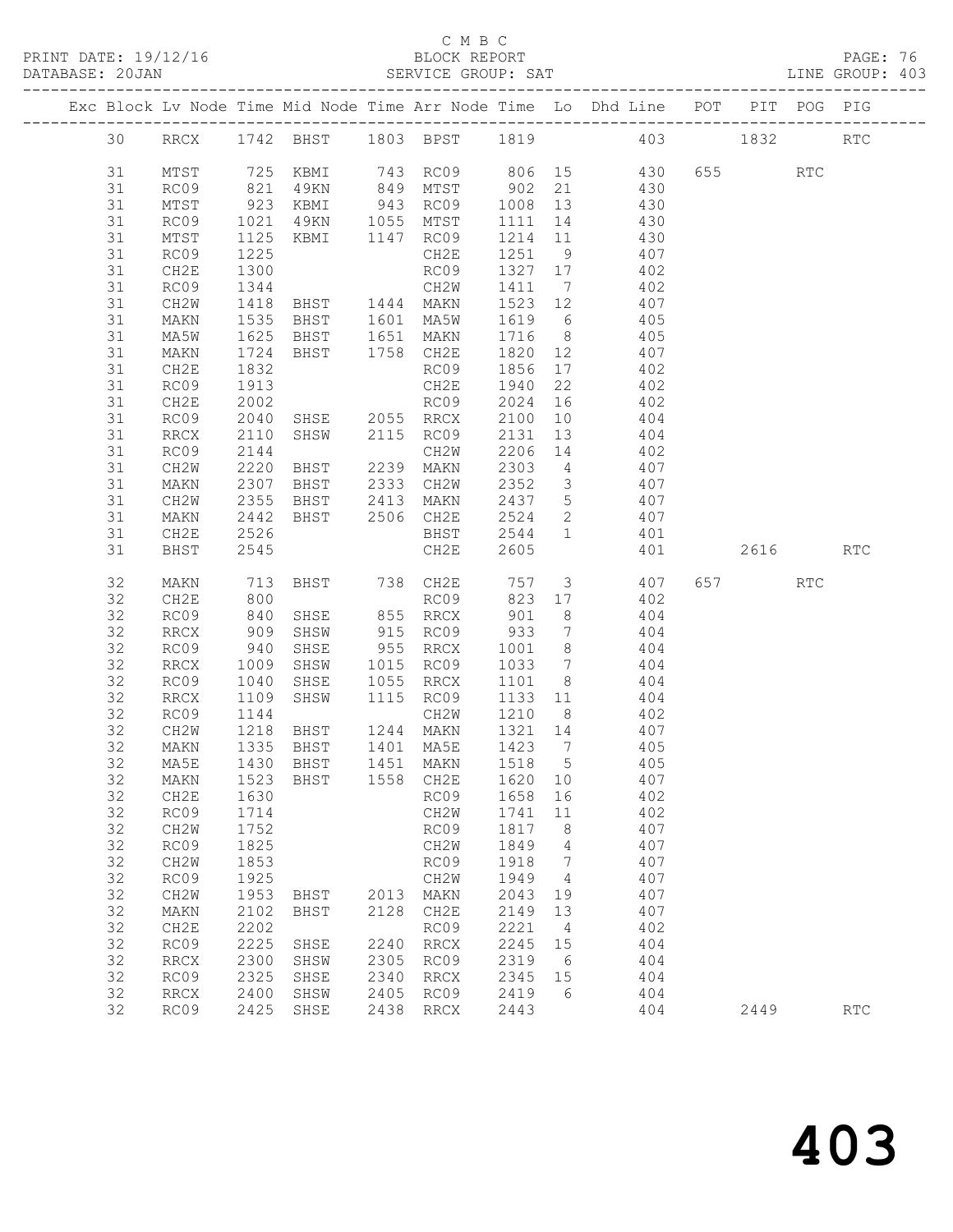PRINT DATE: 19/12/16 BLOCK REPORT PAGE: 76 DATABASE: 20JAN

### C M B C<br>BLOCK REPORT

| $\pm 1$ $\pm 1$ $\pm 1$ $\pm 1$ $\pm 1$ $\pm 1$ $\pm 1$ $\pm 1$ $\pm 1$ $\pm 1$ $\pm 1$ $\pm 1$ $\pm 1$ $\pm 1$ $\pm 1$ $\pm 1$ $\pm 1$ $\pm 1$ $\pm 1$ $\pm 1$ $\pm 1$ $\pm 1$ $\pm 1$ $\pm 1$ $\pm 1$ $\pm 1$ $\pm 1$ $\pm 1$ $\pm 1$ $\pm 1$ $\pm 1$ $\pm $<br>DATABASE: 20JAN |                                  |  |  |  | PPOCITI IN SITE | SERVICE GROUP: SAT |  |                                                                                |  | LINE GROUP: 403 |  |
|-----------------------------------------------------------------------------------------------------------------------------------------------------------------------------------------------------------------------------------------------------------------------------------|----------------------------------|--|--|--|-----------------|--------------------|--|--------------------------------------------------------------------------------|--|-----------------|--|
|                                                                                                                                                                                                                                                                                   |                                  |  |  |  |                 |                    |  | Exc Block Lv Node Time Mid Node Time Arr Node Time Lo Dhd Line POT PIT POG PIG |  |                 |  |
|                                                                                                                                                                                                                                                                                   | 30 RRCX 1742 BHST 1803 BPST 1819 |  |  |  |                 |                    |  | 403 1832 RTC                                                                   |  |                 |  |

| 30 |                          |                      |                                          |              |           |              |                | RRCX 1742 BHST 1803 BPST 1819 403 1832                                                      |          | <b>RTC</b> |
|----|--------------------------|----------------------|------------------------------------------|--------------|-----------|--------------|----------------|---------------------------------------------------------------------------------------------|----------|------------|
| 31 | MTST                     |                      |                                          |              |           |              |                |                                                                                             |          |            |
| 31 | RC09                     |                      |                                          |              |           |              |                | 725 KBMI 743 RC09 806 15 430 655 RTC<br>821 49KN 849 MTST 902 21 430                        |          |            |
| 31 | MTST                     | 923                  | KBMI                                     |              | 943 RC09  | 1008 13      |                | 430                                                                                         |          |            |
| 31 | RC09                     |                      |                                          |              |           | 1111 14      |                | 430                                                                                         |          |            |
| 31 | MTST                     | 1021<br>1125<br>1125 | 49KN 1055 MTST<br>KBMI 1147 RC09         |              |           | 1214 11      |                |                                                                                             |          |            |
| 31 | RC09                     | 1225                 |                                          |              | CH2E      | 1251 9       |                | $430$<br>$407$                                                                              |          |            |
| 31 | CH2E                     | 1300                 |                                          |              | RC09      | 1327 17      |                | 402                                                                                         |          |            |
| 31 | RC09                     | 1344                 |                                          |              |           |              |                |                                                                                             |          |            |
| 31 | CH2W                     |                      | CH2W<br>BHST 1444 MAKN<br>BHST 1601 MA5W |              |           |              |                | $\begin{array}{cccc} 1411 & 7 & & 402 \\ 1523 & 12 & & 407 \\ 1619 & 6 & & 405 \end{array}$ |          |            |
| 31 | MAKN                     | 1418<br>1535         |                                          |              |           |              |                |                                                                                             |          |            |
| 31 | MA5W                     | 1625                 | BHST 1651 MAKN                           |              |           |              |                | 1716 8 405                                                                                  |          |            |
| 31 | MAKN                     | 1724                 | BHST 1758 CH2E                           |              |           | 1820 12      |                | 407                                                                                         |          |            |
| 31 | CH2E                     | 1832                 |                                          |              |           | 1856 17      |                |                                                                                             |          |            |
| 31 | RC09                     | 1913                 |                                          | RCU5<br>CH2E |           | 1940         | 22             | 402<br>402                                                                                  |          |            |
| 31 | CH2E                     | 2002                 | RC09                                     |              |           | 2024 16      |                | 402                                                                                         |          |            |
| 31 | RC09                     | 2040                 |                                          |              |           | 2100         | 10             | 404                                                                                         |          |            |
| 31 | RRCX                     | 2110                 |                                          |              |           |              |                |                                                                                             |          |            |
| 31 | RC09                     | 2144                 | SHSE 2055 RRCX<br>SHSW 2115 RC09<br>CH2W |              |           |              |                | 2131 13 404<br>2206 14 402                                                                  |          |            |
| 31 | CH2W                     | 2220                 | BHST 2239 MAKN                           |              |           |              |                | 2303 4 407                                                                                  |          |            |
| 31 | MAKN                     | 2307                 | BHST                                     | 2333 CH2W    |           |              |                | 2352 3 407                                                                                  |          |            |
| 31 | CH2W                     | 2355                 |                                          |              |           |              |                |                                                                                             |          |            |
| 31 | MAKN                     | 2442                 | BHST 2413 MAKN<br>BHST 2506 CH2E         |              |           | 2437<br>2524 |                | 2437 5 407<br>2524 2 407                                                                    |          |            |
| 31 | CH2E                     | 2526                 |                                          |              |           |              |                | BHST 2544 1 401                                                                             |          |            |
| 31 | BHST                     | 2545                 |                                          |              | CH2E      | 2605         |                | 401                                                                                         | 2616 RTC |            |
|    |                          |                      |                                          |              |           |              |                |                                                                                             |          |            |
| 32 | MAKN                     |                      |                                          |              |           |              |                | 713 BHST 738 CH2E 757 3 407<br>800 RC09 823 17 402                                          | 657 RTC  |            |
| 32 | CH2E                     |                      |                                          |              |           |              |                |                                                                                             |          |            |
| 32 | RC09                     | 840                  | SHSE 855 RRCX                            |              |           | 901          | 8 <sup>8</sup> | 404                                                                                         |          |            |
| 32 | RRCX                     | 909<br>940           | SHSW                                     | 915 RC09     |           | 933          |                | $\begin{array}{ccc} 7 & \phantom{000} & 404 \\ 8 & \phantom{000} & 404 \end{array}$         |          |            |
| 32 | RC09                     |                      | SHSE                                     | 955 RRCX     |           | 1001 8       |                |                                                                                             |          |            |
| 32 | RRCX                     | 1009                 | SHSW                                     |              | 1015 RC09 |              |                | $1033$ 7 $404$                                                                              |          |            |
| 32 | RC09                     | 1040                 | SHSE                                     | 1055 RRCX    |           | 1101 8       |                | 404                                                                                         |          |            |
| 32 | RRCX                     | 1109                 | SHSW                                     |              | 1115 RC09 |              |                | 1133 11 404                                                                                 |          |            |
| 32 | RC09                     | 1144                 |                                          |              | CH2W      | 1210 8       |                | $\frac{402}{407}$                                                                           |          |            |
| 32 | CH2W                     | 1218                 | <b>BHST</b>                              | 1244 MAKN    |           | 1321 14      |                |                                                                                             |          |            |
| 32 | MAKN                     | 1335                 | BHST 1401 MA5E                           |              |           |              |                | 1423 7 405                                                                                  |          |            |
| 32 | MA5E                     | 1430                 | BHST                                     | 1451 MAKN    |           | 1518 5       |                | 405                                                                                         |          |            |
| 32 | MAKN                     | 1523<br>1630         | BHST 1558 CH2E                           |              |           | 1620 10      |                | 407<br>402                                                                                  |          |            |
| 32 | CH2E                     |                      |                                          |              | RC09      | 1658 16      |                |                                                                                             |          |            |
|    | 32 RC09 1714             |                      |                                          |              |           | CH2W 1741 11 |                | 402                                                                                         |          |            |
| 32 | CH2W                     | 1752                 |                                          |              | RC09      | 1817         | 8 <sup>8</sup> | 407                                                                                         |          |            |
| 32 | RC09                     | 1825                 |                                          |              | CH2W      | 1849         | $\overline{4}$ | 407                                                                                         |          |            |
| 32 | CH2W                     | 1853                 |                                          |              | RC09      | 1918         | $\overline{7}$ | 407                                                                                         |          |            |
| 32 | RC09                     | 1925                 |                                          |              | CH2W      | 1949         | $\overline{4}$ | 407                                                                                         |          |            |
| 32 | CH2W                     | 1953                 | BHST                                     | 2013         | MAKN      | 2043         | 19             | 407                                                                                         |          |            |
| 32 | MAKN                     | 2102                 | BHST                                     |              | 2128 CH2E | 2149         | 13             | 407                                                                                         |          |            |
| 32 | CH2E                     | 2202                 |                                          |              | RC09      | 2221         | $\overline{4}$ | 402                                                                                         |          |            |
| 32 | RC09                     | 2225                 | SHSE                                     |              | 2240 RRCX | 2245         | 15             | 404                                                                                         |          |            |
| 32 | RRCX                     | 2300                 | SHSW                                     | 2305         | RC09      | 2319         | 6              | 404                                                                                         |          |            |
| 32 | RC09                     | 2325                 | SHSE                                     | 2340         | RRCX      | 2345         | 15             | 404                                                                                         |          |            |
| 32 | $\mathop{\mathrm{RRCX}}$ | 2400                 | SHSW                                     |              | 2405 RC09 | 2419         | - 6            | 404                                                                                         |          |            |
| 32 | RC09                     |                      | 2425 SHSE                                |              | 2438 RRCX | 2443         |                | 404                                                                                         | 2449     | RTC        |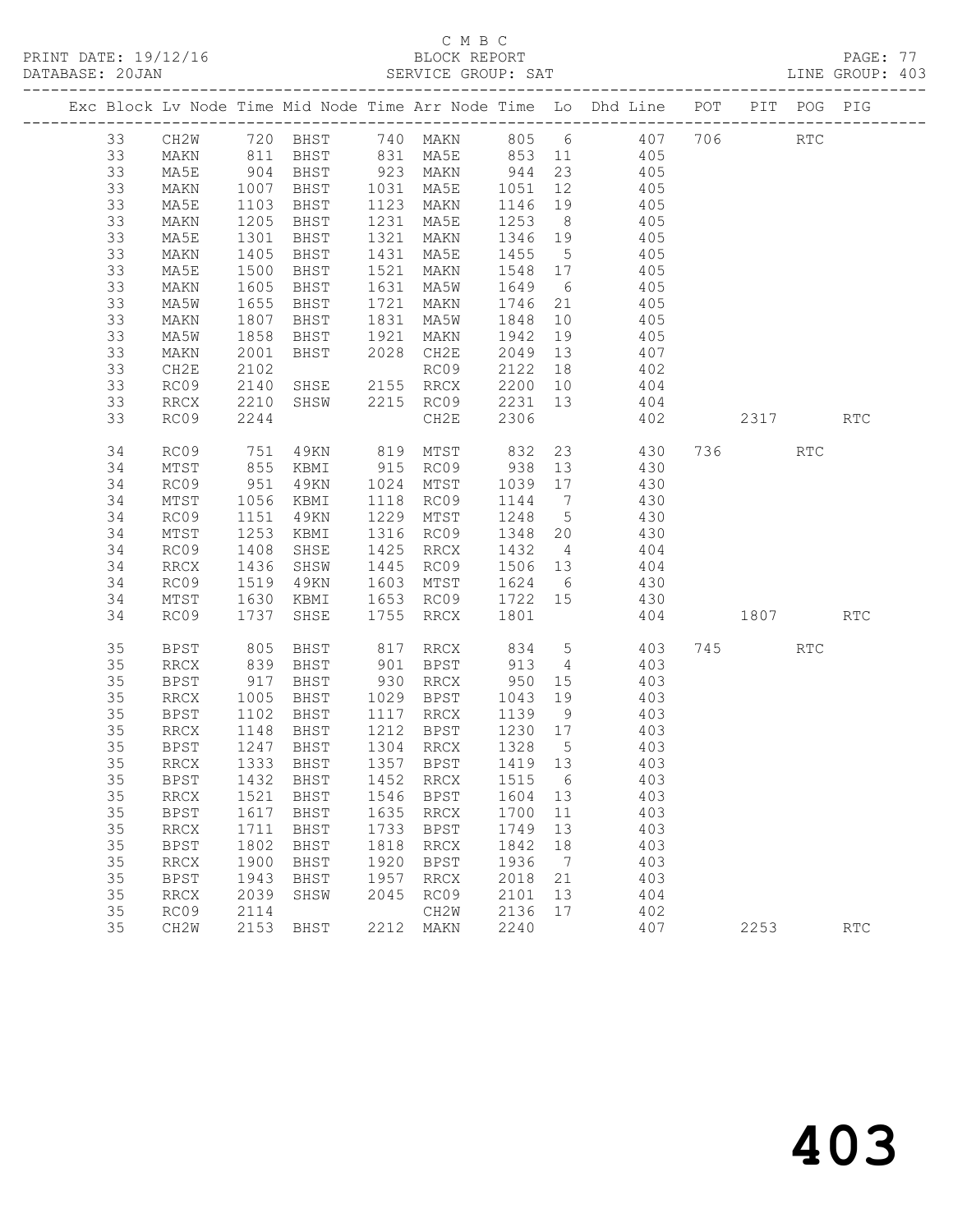PRINT DATE: 19/12/16 BLOCK REPORT<br>DATABASE: 20JAN BERVICE GROUP: SAT

# C M B C<br>BLOCK REPORT

PAGE: 77<br>LINE GROUP: 403

|  |          |              |                       |                            |      |                                                        |         |    | Exc Block Lv Node Time Mid Node Time Arr Node Time Lo Dhd Line POT PIT POG PIG |      |                             |                             |
|--|----------|--------------|-----------------------|----------------------------|------|--------------------------------------------------------|---------|----|--------------------------------------------------------------------------------|------|-----------------------------|-----------------------------|
|  | 33       | CH2W         |                       |                            |      |                                                        |         |    | 720 BHST 740 MAKN 805 6 407 706                                                |      | $\mathop{\rm RTC}\nolimits$ |                             |
|  | 33       | MAKN         |                       | 811 BHST                   |      |                                                        |         |    | 831 MA5E 853 11 405                                                            |      |                             |                             |
|  | 33       | MA5E         | $904$<br>$1007$       | BHST                       |      |                                                        |         |    | 923 MAKN 944 23 405<br>1031 MA5E 1051 12 405                                   |      |                             |                             |
|  | 33       | MAKN         |                       | BHST                       |      |                                                        |         |    |                                                                                |      |                             |                             |
|  | 33       | MA5E         | 1103                  | BHST                       |      | 1123 MAKN                                              |         |    | 1146 19 405                                                                    |      |                             |                             |
|  | 33       | MAKN         | 1205                  | BHST                       | 1231 | MA5E                                                   | 1253 8  |    | 405                                                                            |      |                             |                             |
|  | 33       | MA5E         | 1301                  | BHST                       | 1321 | MAKN                                                   |         |    | 1346 19 405<br>1455 5 405                                                      |      |                             |                             |
|  | 33       | MAKN         | 1405                  | BHST                       |      | 1431 MA5E                                              |         |    |                                                                                |      |                             |                             |
|  | 33       | MA5E         | 1500                  | BHST                       | 1521 | MAKN                                                   | 1548 17 |    | 405                                                                            |      |                             |                             |
|  | 33       | MAKN         | 1605                  | BHST                       |      | 1631 MA5W                                              | 1649 6  |    | 405                                                                            |      |                             |                             |
|  | 33       | MA5W         | $1655$<br>$1807$      | BHST                       | 1721 | MAKN                                                   | 1746 21 |    | 405                                                                            |      |                             |                             |
|  | 33       | MAKN         |                       | BHST                       |      | 1831 MA5W                                              | 1848 10 |    | 405                                                                            |      |                             |                             |
|  | 33       | MA5W         | 1858                  | BHST                       | 1921 | MAKN                                                   | 1942    | 19 | 405                                                                            |      |                             |                             |
|  | 33       | MAKN         | 2001                  | BHST                       |      | 2028 CH2E                                              | 2049 13 |    | 407                                                                            |      |                             |                             |
|  | 33       | CH2E         | 2102                  |                            |      | RC09                                                   | 2122    | 18 | 402                                                                            |      |                             |                             |
|  | 33       | RC09         | 2140                  | SHSE 2155 RRCX             |      |                                                        | 2200 10 |    | 404<br>404                                                                     |      |                             |                             |
|  | 33       | RRCX         | 2210                  | SHSW                       |      | 2215 RC09                                              | 2231 13 |    |                                                                                |      |                             |                             |
|  | 33       | RC09         | 2244                  |                            |      | CH2E                                                   | 2306    |    | 402                                                                            | 2317 |                             | $\mathop{\rm RTC}\nolimits$ |
|  | 34       | RC09         | 751                   | 49KN                       |      |                                                        |         |    | 819 MTST 832 23 430 736 RTC                                                    |      |                             |                             |
|  | 34       | MTST         |                       | 855 KBMI                   |      |                                                        |         |    | 915 RC09 938 13 430                                                            |      |                             |                             |
|  | 34       | RC09         | 951                   | 49KN                       |      | 1024 MTST                                              | 1039 17 |    | 430                                                                            |      |                             |                             |
|  | 34       | MTST         | 1056                  | KBMI                       |      | 1118 RC09                                              | 1144 7  |    | 430                                                                            |      |                             |                             |
|  | 34       | RC09         | 1151                  | 49KN                       |      | 1229 MTST                                              | 1248 5  |    | 430                                                                            |      |                             |                             |
|  | 34       | MTST         | 1253                  | KBMI                       |      | 1316 RC09                                              |         |    | $1240$ $348$ $20$ $430$                                                        |      |                             |                             |
|  | 34       | RC09         | 1408                  | SHSE                       |      | 1425 RRCX                                              |         |    | 1432 4 404                                                                     |      |                             |                             |
|  | 34       | RRCX         | 1436                  | SHSW                       | 1445 | RC09                                                   |         |    | 1506 13 404                                                                    |      |                             |                             |
|  | 34       | RC09         | 1519                  | 49KN                       |      | 1603 MTST                                              | 1624 6  |    | 430<br>430                                                                     |      |                             |                             |
|  | 34       | MTST         | 1630                  | KBMI                       |      | 1653 RC09 1722 15                                      |         |    |                                                                                |      |                             |                             |
|  | 34       | RC09         | 1737                  | SHSE                       |      | 1755 RRCX                                              | 1801    |    | 404 1807 RTC                                                                   |      |                             |                             |
|  | 35       | BPST         | 805                   | BHST                       |      |                                                        |         |    | 817 RRCX 834 5 403<br>901 BPST 913 4 403                                       | 745  | RTC                         |                             |
|  | 35       | RRCX         | 839                   | BHST                       |      |                                                        |         |    |                                                                                |      |                             |                             |
|  | 35       | BPST         | 917                   | BHST                       |      | 930 RRCX                                               | 950 15  |    | 403                                                                            |      |                             |                             |
|  | 35       | RRCX         | 1005                  | BHST                       |      | 1029 BPST                                              | 1043    | 19 | 403                                                                            |      |                             |                             |
|  | 35       | <b>BPST</b>  | $112$<br>1148<br>1247 | BHST                       |      | 1117 RRCX<br>$1117$ RRCA $1139$ 9<br>1212 BPST 1230 17 | 1139 9  |    | 403                                                                            |      |                             |                             |
|  | 35       | RRCX         | 1247                  | BHST                       |      | 1304 RRCX 1328 5                                       |         |    | 403<br>403                                                                     |      |                             |                             |
|  | 35<br>35 | BPST<br>RRCX |                       | BHST<br>1333 BHST          |      | 1357 BPST                                              | 1419 13 |    | 403                                                                            |      |                             |                             |
|  | 35       | <b>BPST</b>  |                       | 1432 BHST 1452 RRCX 1515 6 |      |                                                        |         |    | 403                                                                            |      |                             |                             |
|  | 35       | <b>RRCX</b>  | 1521                  | BHST                       | 1546 | <b>BPST</b>                                            | 1604    | 13 | 403                                                                            |      |                             |                             |
|  | 35       | <b>BPST</b>  | 1617                  | <b>BHST</b>                | 1635 | <b>RRCX</b>                                            | 1700    | 11 | 403                                                                            |      |                             |                             |
|  | 35       | <b>RRCX</b>  | 1711                  | BHST                       | 1733 | <b>BPST</b>                                            | 1749    | 13 | 403                                                                            |      |                             |                             |
|  | 35       | <b>BPST</b>  | 1802                  | <b>BHST</b>                | 1818 | <b>RRCX</b>                                            | 1842    | 18 | 403                                                                            |      |                             |                             |
|  | 35       | <b>RRCX</b>  | 1900                  | BHST                       | 1920 | <b>BPST</b>                                            | 1936    | 7  | 403                                                                            |      |                             |                             |
|  | 35       | <b>BPST</b>  | 1943                  | BHST                       | 1957 | <b>RRCX</b>                                            | 2018    | 21 | 403                                                                            |      |                             |                             |
|  | 35       | <b>RRCX</b>  | 2039                  | SHSW                       | 2045 | RC09                                                   | 2101    | 13 | 404                                                                            |      |                             |                             |
|  | 35       | RC09         | 2114                  |                            |      | CH2W                                                   | 2136    | 17 | 402                                                                            |      |                             |                             |
|  | 35       | CH2W         | 2153                  | BHST                       | 2212 | MAKN                                                   | 2240    |    | 407                                                                            | 2253 |                             | <b>RTC</b>                  |
|  |          |              |                       |                            |      |                                                        |         |    |                                                                                |      |                             |                             |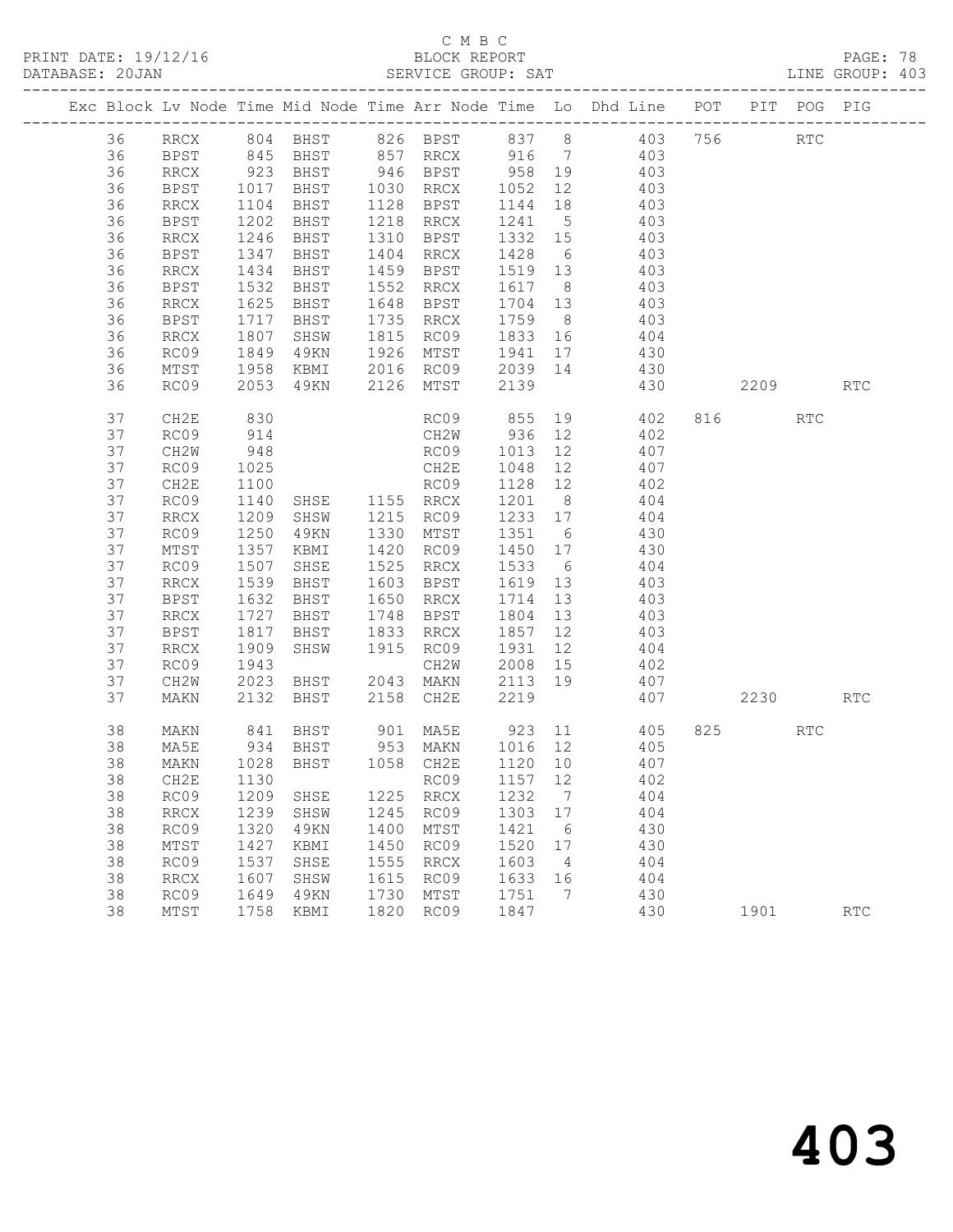# C M B C<br>
C M B C<br>
ELOCK REPORT

| DATABASE: 20JAN |          |                     |              |                              |              | SERVICE GROUP: SAT            |              |                              | LINE GROUP: 403                                                                                    |          |     |            |  |
|-----------------|----------|---------------------|--------------|------------------------------|--------------|-------------------------------|--------------|------------------------------|----------------------------------------------------------------------------------------------------|----------|-----|------------|--|
|                 |          |                     |              |                              |              |                               |              |                              | Exc Block Lv Node Time Mid Node Time Arr Node Time Lo Dhd Line POT PIT POG PIG                     |          |     |            |  |
|                 | 36       |                     |              |                              |              |                               |              |                              | RRCX 804 BHST 826 BPST 837 8 403 756 RTC                                                           |          |     |            |  |
|                 | 36       |                     |              |                              |              |                               |              |                              | BPST 845 BHST 857 RRCX 916 7 403                                                                   |          |     |            |  |
|                 | 36       | RRCX                |              |                              |              |                               |              |                              | 923 BHST 946 BPST 958 19 403<br>1017 BHST 1030 RRCX 1052 12 403<br>1104 BHST 1128 BPST 1144 18 403 |          |     |            |  |
|                 | 36       | BPST                |              |                              |              |                               |              |                              |                                                                                                    |          |     |            |  |
|                 | 36       | RRCX                |              |                              |              |                               |              |                              |                                                                                                    |          |     |            |  |
|                 | 36       | BPST                | 1202         | <b>BHST</b>                  |              | 1218 RRCX 1241 5              |              |                              | 403                                                                                                |          |     |            |  |
|                 | 36       | RRCX                | 1246         | BHST                         |              | 1310 BPST 1332 15             |              |                              | 403                                                                                                |          |     |            |  |
|                 | 36       | BPST                | 1347<br>1434 | BHST                         |              | 1404 RRCX                     | 1428 6       |                              | 403                                                                                                |          |     |            |  |
|                 | 36       | RRCX                |              | BHST                         |              |                               |              |                              | 1459 BPST 1519 13 403                                                                              |          |     |            |  |
|                 | 36       | BPST                | 1532         | <b>BHST</b>                  |              | 1552 RRCX                     | 1617 8       |                              | 403                                                                                                |          |     |            |  |
|                 | 36       | RRCX                | 1625         | BHST                         |              | 1648 BPST 1704 13             |              |                              | 403                                                                                                |          |     |            |  |
|                 | 36       | BPST                | 1717<br>1807 | BHST                         |              | 1735 RRCX                     | 1759 8       |                              | 403<br>$1733$ 0 $103$<br>1833 16 404                                                               |          |     |            |  |
|                 | 36       | RRCX                |              | SHSW                         |              | $1815$ RC09                   |              |                              |                                                                                                    |          |     |            |  |
|                 | 36       | RC09                | 1849         |                              |              |                               |              |                              | 49KN 1926 MTST 1941 17 430                                                                         |          |     |            |  |
|                 | 36       | MTST                | 1958         |                              |              |                               |              |                              | KBMI 2016 RC09 2039 14 430                                                                         |          |     |            |  |
|                 | 36       | RC09                | 2053         |                              |              | 49KN 2126 MTST                | 2139         |                              | 430                                                                                                | 2209     |     | <b>RTC</b> |  |
|                 | 37       | CH2E                | 830          |                              |              |                               |              |                              | RC09 855 19 402                                                                                    | 816 7    | RTC |            |  |
|                 | 37       | RC09                | 914          | CH2W<br>RC09<br>CH2E<br>RC09 |              |                               |              |                              | CH2W 936 12 402                                                                                    |          |     |            |  |
|                 | 37       | CH2W                | 948<br>1025  |                              |              |                               |              |                              | RC09 1013 12 407                                                                                   |          |     |            |  |
|                 | 37       | RC09                |              |                              |              |                               | 1048 12      |                              | 407                                                                                                |          |     |            |  |
|                 | 37       | CH2E                | 1100         |                              |              |                               |              |                              | 1128 12 402                                                                                        |          |     |            |  |
|                 | 37       | RC09                | 1140         | SHSE 1155 RRCX               |              |                               |              |                              | 1201 8 404                                                                                         |          |     |            |  |
|                 | 37       | RRCX                | 1209         | SHSW 1215 RC09               |              |                               |              |                              | 1233 17 404                                                                                        |          |     |            |  |
|                 | 37       | RC09                | 1250<br>1357 | 49KN                         |              | 1330 MTST 1351 6              |              |                              | 430<br>1420 RC09 1450 17 430                                                                       |          |     |            |  |
|                 | 37       | MTST                |              | KBMI                         |              |                               |              |                              |                                                                                                    |          |     |            |  |
|                 | 37       | RC09                | 1507         | SHSE                         |              | 1525 RRCX 1533 6              |              |                              | 404                                                                                                |          |     |            |  |
|                 | 37       | RRCX                | 1539         | <b>BHST</b><br><b>BHST</b>   |              | 1603 BPST                     | 1619 13      |                              | 403                                                                                                |          |     |            |  |
|                 | 37<br>37 | BPST                | 1632<br>1727 | <b>BHST</b>                  |              | 1650 RRCX<br>1748 BPST        | 1714 13      |                              | 403<br>$\frac{1}{1804}$ $\frac{15}{13}$ $\frac{403}{403}$                                          |          |     |            |  |
|                 | 37       | RRCX                | 1817         |                              |              | BHST 1833 RRCX                | 1857 12      |                              | 403                                                                                                |          |     |            |  |
|                 | 37       | BPST                |              | SHSW                         |              | 1915 RC09                     | 1931         |                              |                                                                                                    |          |     |            |  |
|                 | 37       | RRCX<br>RC09        | 1909         |                              |              |                               |              |                              | 12 404<br>402                                                                                      |          |     |            |  |
|                 | 37       | CH2W                |              |                              |              |                               |              |                              | 407                                                                                                |          |     |            |  |
|                 | 37       | MAKN                |              | 2132 BHST 2158 CH2E          |              |                               | 2219         |                              | 407                                                                                                | 2230 RTC |     |            |  |
|                 |          |                     |              |                              |              |                               |              |                              |                                                                                                    |          |     |            |  |
|                 | 38       | MAKN                |              |                              |              |                               |              |                              |                                                                                                    | 825 82   | RTC |            |  |
|                 | 38       | MA5E                |              |                              |              |                               |              |                              |                                                                                                    |          |     |            |  |
|                 |          |                     |              |                              |              |                               |              |                              | 38 MAKN 1028 BHST 1058 CH2E 1120 10 407                                                            |          |     |            |  |
|                 | 38       | CH2E                | 1130         |                              |              | RC09                          | 1157         | 12                           | 402                                                                                                |          |     |            |  |
|                 | 38       | RC09                | 1209         | SHSE                         |              | 1225 RRCX                     | 1232         | $7\phantom{.0}\phantom{.0}7$ | 404                                                                                                |          |     |            |  |
|                 | 38       | <b>RRCX</b>         | 1239         | SHSW                         | 1245         | RC09                          | 1303         | 17                           | 404<br>430                                                                                         |          |     |            |  |
|                 | 38       | RC09                | 1320         | 49KN                         | 1400         | MTST                          | 1421         | 6                            |                                                                                                    |          |     |            |  |
|                 | 38       | MTST                | 1427         | KBMI                         | 1450         | RC09                          | 1520         | 17<br>$\overline{4}$         | 430                                                                                                |          |     |            |  |
|                 | 38<br>38 | RC09                | 1537<br>1607 | SHSE                         | 1555<br>1615 | $\operatorname{RRCX}$<br>RC09 | 1603<br>1633 | 16                           | 404<br>404                                                                                         |          |     |            |  |
|                 | 38       | <b>RRCX</b><br>RC09 |              | SHSW                         | 1730         |                               | 1751         | 7                            |                                                                                                    |          |     |            |  |
|                 | 38       |                     | 1649         | 49KN                         | 1820         | MTST<br>RC09                  |              |                              | 430                                                                                                |          |     | <b>RTC</b> |  |
|                 |          | MTST                | 1758         | KBMI                         |              |                               | 1847         |                              | 430                                                                                                | 1901     |     |            |  |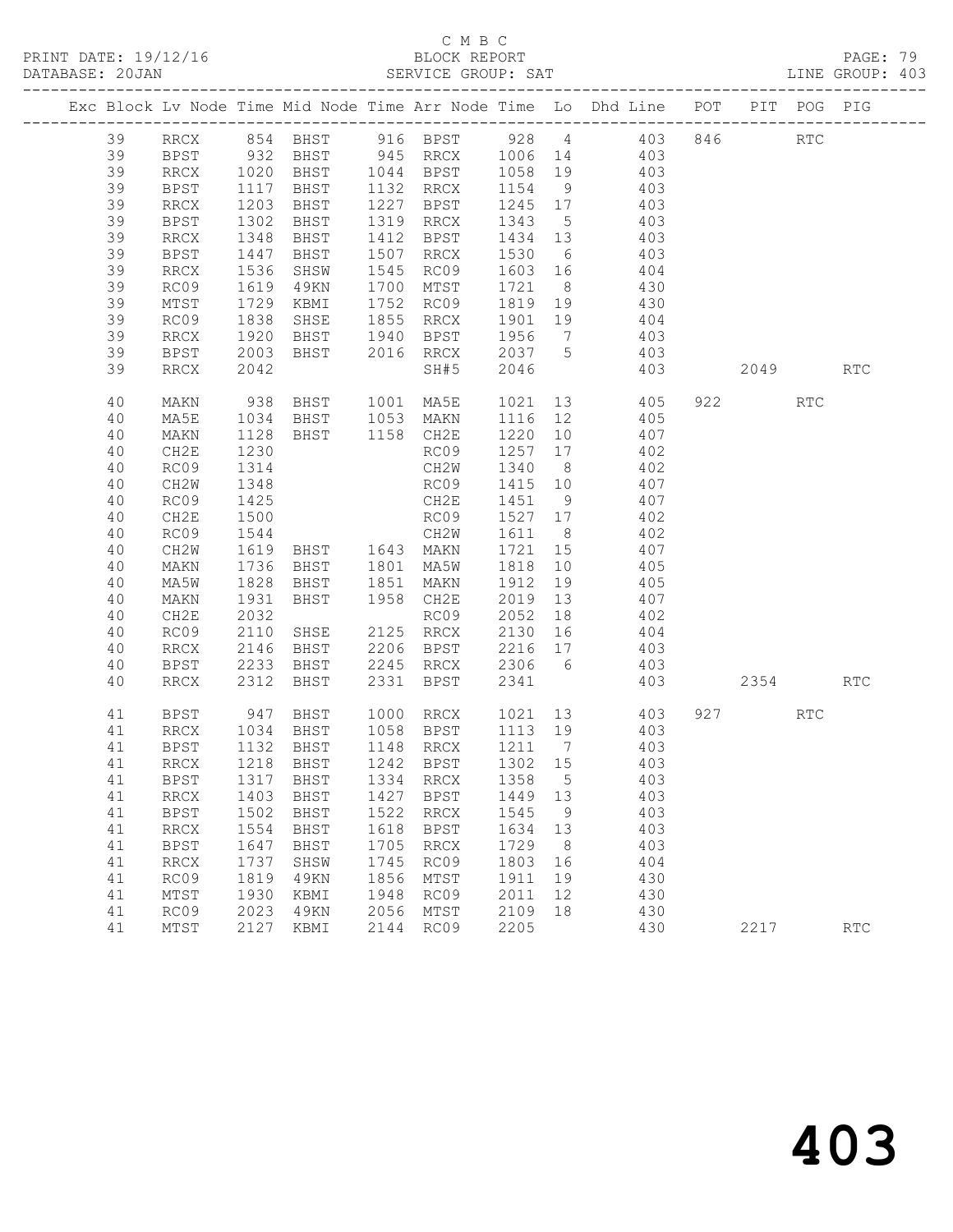PRINT DATE: 19/12/16 BLOCK REPORT BATABASE: 20JAN BLOCK REPORT

# C M B C<br>BLOCK REPORT

PAGE: 79<br>LINE GROUP: 403

|  |    |             |                   |                                  |      |                        |                   |                | Exc Block Lv Node Time Mid Node Time Arr Node Time Lo Dhd Line POT                                                 |                          | PIT POG PIG          |            |
|--|----|-------------|-------------------|----------------------------------|------|------------------------|-------------------|----------------|--------------------------------------------------------------------------------------------------------------------|--------------------------|----------------------|------------|
|  | 39 |             |                   |                                  |      |                        |                   |                | RRCX 854 BHST 916 BPST 928 4 403 846<br>BPST 932 BHST 945 RRCX 1006 14 403<br>RRCX 1020 BHST 1044 BPST 1058 19 403 |                          | $\operatorname{RTC}$ |            |
|  | 39 |             |                   |                                  |      |                        |                   |                |                                                                                                                    |                          |                      |            |
|  | 39 | <b>RRCX</b> |                   |                                  |      |                        |                   |                |                                                                                                                    |                          |                      |            |
|  | 39 | BPST        | 1117              | BHST 1132 RRCX                   |      |                        | 1154 9            |                | 403                                                                                                                |                          |                      |            |
|  | 39 | RRCX        | 1203<br>1302      | BHST                             |      | 1227 BPST              | 1245 17<br>1343 5 |                | 403                                                                                                                |                          |                      |            |
|  | 39 | BPST        |                   | BHST                             |      | 1319 RRCX              |                   |                | 403                                                                                                                |                          |                      |            |
|  | 39 | RRCX        | 1348              | BHST                             |      | 1412 BPST              | 1434 13           |                | 403                                                                                                                |                          |                      |            |
|  | 39 | BPST        | 1447              | BHST                             |      | 1507 RRCX              |                   |                | 1530 6 403                                                                                                         |                          |                      |            |
|  | 39 | RRCX        | 1536              | SHSW                             |      | 1545 RC09              | 1603 16           |                | 404                                                                                                                |                          |                      |            |
|  | 39 | RC09        | 1619<br>1729      | 49KN                             |      | 1700 MTST              | 1721 8            |                | 430<br>$1721$ 0 $130$<br>1819 19 430                                                                               |                          |                      |            |
|  | 39 | MTST        |                   | KBMI                             |      | 1752 RC09              |                   |                |                                                                                                                    |                          |                      |            |
|  | 39 | RC09        | 1838              | SHSE 1855 RRCX                   |      |                        | 1901 19           |                | 404                                                                                                                |                          |                      |            |
|  | 39 | RRCX        | 1920              | BHST 1940 BPST                   |      | 2016 RRCX              | 1956 7<br>2037 5  |                | 403                                                                                                                |                          |                      |            |
|  | 39 | BPST        | 2003              | BHST                             |      |                        | 2046              |                | 403                                                                                                                |                          |                      |            |
|  | 39 | RRCX        | 2042              |                                  |      | SH#5                   |                   |                | 403                                                                                                                | 2049                     |                      | <b>RTC</b> |
|  | 40 | MAKN        | 938               | BHST 1001 MA5E                   |      |                        | 1021              |                | 13 405                                                                                                             | 922 and $\overline{922}$ | RTC                  |            |
|  | 40 | MA5E        | 1034<br>1128      | BHST 1053 MAKN<br>BHST 1158 CH2E |      |                        | 1116 12           |                | 405                                                                                                                |                          |                      |            |
|  | 40 | MAKN        |                   |                                  |      |                        |                   |                | $1220$ 10 $407$                                                                                                    |                          |                      |            |
|  | 40 | CH2E        | 1230              |                                  |      | RC09                   |                   |                | 1257 17 402                                                                                                        |                          |                      |            |
|  | 40 | RC09        | 1314              |                                  |      | CH2W                   | 1340 8            |                | 402                                                                                                                |                          |                      |            |
|  | 40 | CH2W        | 1348              |                                  |      | RC09                   | 1415 10           |                | $\frac{407}{407}$                                                                                                  |                          |                      |            |
|  | 40 | RC09        | $\frac{1}{1}$ 425 |                                  |      | CH2E                   | 1451 9            |                |                                                                                                                    |                          |                      |            |
|  | 40 | CH2E        | 1500              | RC09                             |      |                        | 1527 17           |                | 402                                                                                                                |                          |                      |            |
|  | 40 | RC09        | 1544              |                                  |      | CH2W                   | 1611 8            |                | 402                                                                                                                |                          |                      |            |
|  | 40 | CH2W        | $1615$<br>$1736$  | BHST 1643 MAKN<br>BHST 1801 MA5W |      |                        | 1721 15           |                | 407                                                                                                                |                          |                      |            |
|  | 40 | MAKN        |                   |                                  |      |                        | 1818 10           |                | 405                                                                                                                |                          |                      |            |
|  | 40 | MA5W        | 1828              | BHST 1851 MAKN                   |      |                        |                   |                | 1912 19 405                                                                                                        |                          |                      |            |
|  | 40 | MAKN        | 1931              | BHST                             |      | 1958 CH2E              | 2019 13           |                | 407                                                                                                                |                          |                      |            |
|  | 40 | CH2E        | 2032              |                                  |      | RC09                   | 2052 18           |                | 402                                                                                                                |                          |                      |            |
|  | 40 | RC09        | 2110              | SHSE 2125 RRCX                   |      |                        | 2130 16           |                | 404                                                                                                                |                          |                      |            |
|  | 40 | RRCX        | 2146              | BHST                             |      | 2206 BPST              |                   |                | $2216$ 17 $403$                                                                                                    |                          |                      |            |
|  | 40 | BPST        | 2233              | BHST                             |      | 2245 RRCX              | 2306 6            |                | 403                                                                                                                |                          |                      |            |
|  | 40 | RRCX        | 2312              | BHST                             | 2331 | BPST                   | 2341              |                | 403                                                                                                                | 2354                     |                      | <b>RTC</b> |
|  | 41 | BPST        | 947               | BHST                             |      |                        |                   |                | 1000 RRCX 1021 13 403                                                                                              | 927                      | RTC                  |            |
|  | 41 | RRCX        | 1034              |                                  |      | BHST 1058 BPST 1113 19 |                   |                | 403                                                                                                                |                          |                      |            |
|  | 41 | <b>BPST</b> | 1132              | BHST                             |      | 1148 RRCX              | 1211 7            |                | 403                                                                                                                |                          |                      |            |
|  | 41 | RRCX        | 1218              | BHST                             |      | 1242 BPST              | 1302 15           |                | 403                                                                                                                |                          |                      |            |
|  |    |             |                   |                                  |      |                        |                   |                | 41 BPST 1317 BHST 1334 RRCX 1358 5 403                                                                             |                          |                      |            |
|  | 41 | RRCX        | 1403              | BHST                             | 1427 | BPST                   | 1449              | 13             | 403                                                                                                                |                          |                      |            |
|  | 41 | <b>BPST</b> | 1502              | BHST                             | 1522 | RRCX                   | 1545              | 9              | 403                                                                                                                |                          |                      |            |
|  | 41 | <b>RRCX</b> | 1554              | BHST                             | 1618 | BPST                   | 1634              | 13             | 403                                                                                                                |                          |                      |            |
|  | 41 | <b>BPST</b> | 1647              | BHST                             | 1705 | RRCX                   | 1729              | 8 <sup>8</sup> | 403                                                                                                                |                          |                      |            |
|  | 41 | <b>RRCX</b> | 1737              | SHSW                             | 1745 | RC09                   | 1803              | 16             | 404                                                                                                                |                          |                      |            |
|  | 41 | RC09        | 1819              | 49KN                             | 1856 | MTST                   | 1911              | 19             | 430                                                                                                                |                          |                      |            |
|  | 41 | MTST        | 1930              | KBMI                             | 1948 | RC09                   | 2011              | 12             | 430                                                                                                                |                          |                      |            |
|  | 41 | RC09        | 2023              | 49KN                             | 2056 | MTST                   | 2109              | 18             | 430                                                                                                                |                          |                      |            |
|  | 41 | MTST        | 2127              | KBMI                             | 2144 | RC09                   | 2205              |                | 430                                                                                                                | 2217                     |                      | <b>RTC</b> |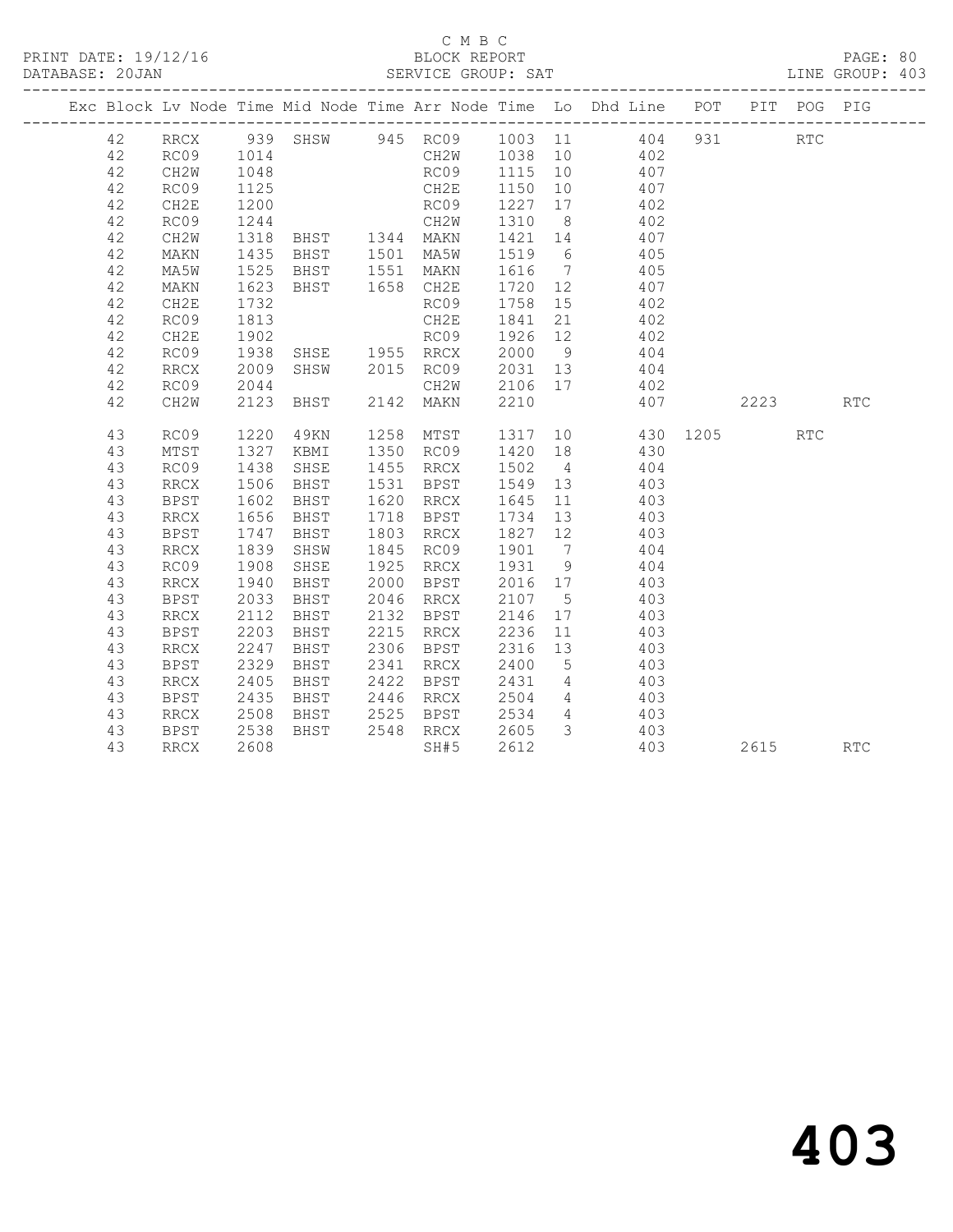### C M B C<br>
C M B C<br>
ELOCK REPORT

| DATABASE: 20JAN |             |                      |              |                        |         |                                                                                                                     |      | LINE GROUP: 403 |
|-----------------|-------------|----------------------|--------------|------------------------|---------|---------------------------------------------------------------------------------------------------------------------|------|-----------------|
|                 |             |                      |              |                        |         | Exc Block Lv Node Time Mid Node Time Arr Node Time Lo Dhd Line POT PIT POG PIG                                      |      |                 |
|                 |             |                      |              |                        |         | 42 RRCX 939 SHSW 945 RC09 1003 11 404 931 RTC                                                                       |      |                 |
| 42              | RC09 1014   |                      |              |                        |         | CH2W 1038 10 402                                                                                                    |      |                 |
| 42              | CH2W        | 1048                 |              |                        |         | RC09 1115 10 407                                                                                                    |      |                 |
| 42              | RC09        | 1125                 |              |                        |         | CH2E 1150 10 407<br>RC09 1227 17 402<br>CH2W 1310 8 402                                                             |      |                 |
| 42              | CH2E        | 1200                 |              |                        |         |                                                                                                                     |      |                 |
| 42              | RC09        | 1244                 |              |                        |         |                                                                                                                     |      |                 |
| 42              | CH2W        | 1318                 |              |                        |         | BHST 1344 MAKN 1421 14 407                                                                                          |      |                 |
| 42              | MAKN        | 1435                 |              |                        |         | BHST 1501 MA5W 1519 6 405                                                                                           |      |                 |
| 42              | MA5W        | 1525<br>1623<br>1732 |              |                        |         | BHST 1551 MAKN 1616 7 405<br>BHST 1658 CH2E 1720 12 407                                                             |      |                 |
| 42              | MAKN        |                      |              |                        |         |                                                                                                                     |      |                 |
| 42              | CH2E        |                      |              | RC09                   |         | $1758$ 15 402                                                                                                       |      |                 |
| 42              | RC09        | 1813                 |              | CH2E                   |         | 1841 21 402                                                                                                         |      |                 |
| 42              | CH2E        | 1902                 |              |                        |         | RCO9 1926 12 402<br>RCO9 1926 12 402<br>SHSE 1955 RRCX 2000 9 404<br>SHSW 2015 RCO9 2031 13 404<br>CH2W 2106 17 402 |      |                 |
| 42              | RC09        | 1938<br>2009         |              |                        |         |                                                                                                                     |      |                 |
| 42              | RRCX        | 2009                 |              |                        |         |                                                                                                                     |      |                 |
| 42              | RC09        | 2044                 |              |                        |         |                                                                                                                     |      |                 |
| 42              | CH2W        |                      |              | 2123 BHST 2142 MAKN    | 2210    | 407                                                                                                                 | 2223 | <b>RTC</b>      |
| 43              | RC09        | 1220                 |              |                        |         | 49KN 1258 MTST 1317 10 430 1205 RTC<br>KBMI 1350 RC09 1420 18 430                                                   |      |                 |
| 43              | MTST        | 1327                 |              |                        |         |                                                                                                                     |      |                 |
| 43              | RC09        | 1438                 |              |                        |         | SHSE 1455 RRCX 1502 4 404                                                                                           |      |                 |
| 43              | RRCX        | 1506                 |              |                        |         | BHST 1531 BPST 1549 13 403                                                                                          |      |                 |
| 43              | <b>BPST</b> | 1602<br>1656<br>1747 | BHST<br>BHST |                        |         | 1620 RRCX 1645 11 403<br>1718 BPST 1734 13 403                                                                      |      |                 |
| 43              | RRCX        |                      |              |                        |         | 1734 13 403<br>1827 12 403                                                                                          |      |                 |
| 43              | BPST        |                      | BHST         | 1803 RRCX              |         |                                                                                                                     |      |                 |
| 43              | RRCX        | 1839                 | SHSW         | 1845 RC09 1901 7 404   |         |                                                                                                                     |      |                 |
| 43              | RC09        | 1908                 | SHSE         | 1925 RRCX 1931 9 404   |         |                                                                                                                     |      |                 |
| 43              | RRCX        | 1940<br>2033         | BHST         |                        |         |                                                                                                                     |      |                 |
| 43              | BPST        | 2033                 | BHST         |                        |         |                                                                                                                     |      |                 |
| 43              | RRCX        | 2112                 | BHST         |                        |         | 2132 BPST 2146 17 403                                                                                               |      |                 |
| 43              | BPST        | 2203                 |              | BHST 2215 RRCX 2236 11 |         | 403                                                                                                                 |      |                 |
| 43              | RRCX        | 2247                 | BHST         | 2306 BPST              | 2316 13 | 403                                                                                                                 |      |                 |
| 43              | <b>BPST</b> | 2329                 | BHST         |                        |         | $403$<br>$403$                                                                                                      |      |                 |
| 43              | RRCX        | 2405                 | BHST         |                        |         |                                                                                                                     |      |                 |
| 43              | BPST        | 2435                 | BHST         | 2446 RRCX 2504         |         | 4 4 4 0 3                                                                                                           |      |                 |
| 43              | RRCX        | 2508                 |              | BHST 2525 BPST         |         | 2534 4 403                                                                                                          |      |                 |
| 43              | BPST        | 2538                 | BHST         | 2548 RRCX              |         | 2605 3 403                                                                                                          |      |                 |
| 43              | RRCX        | 2608                 |              | SH#5                   | 2612    | 403                                                                                                                 | 2615 | <b>RTC</b>      |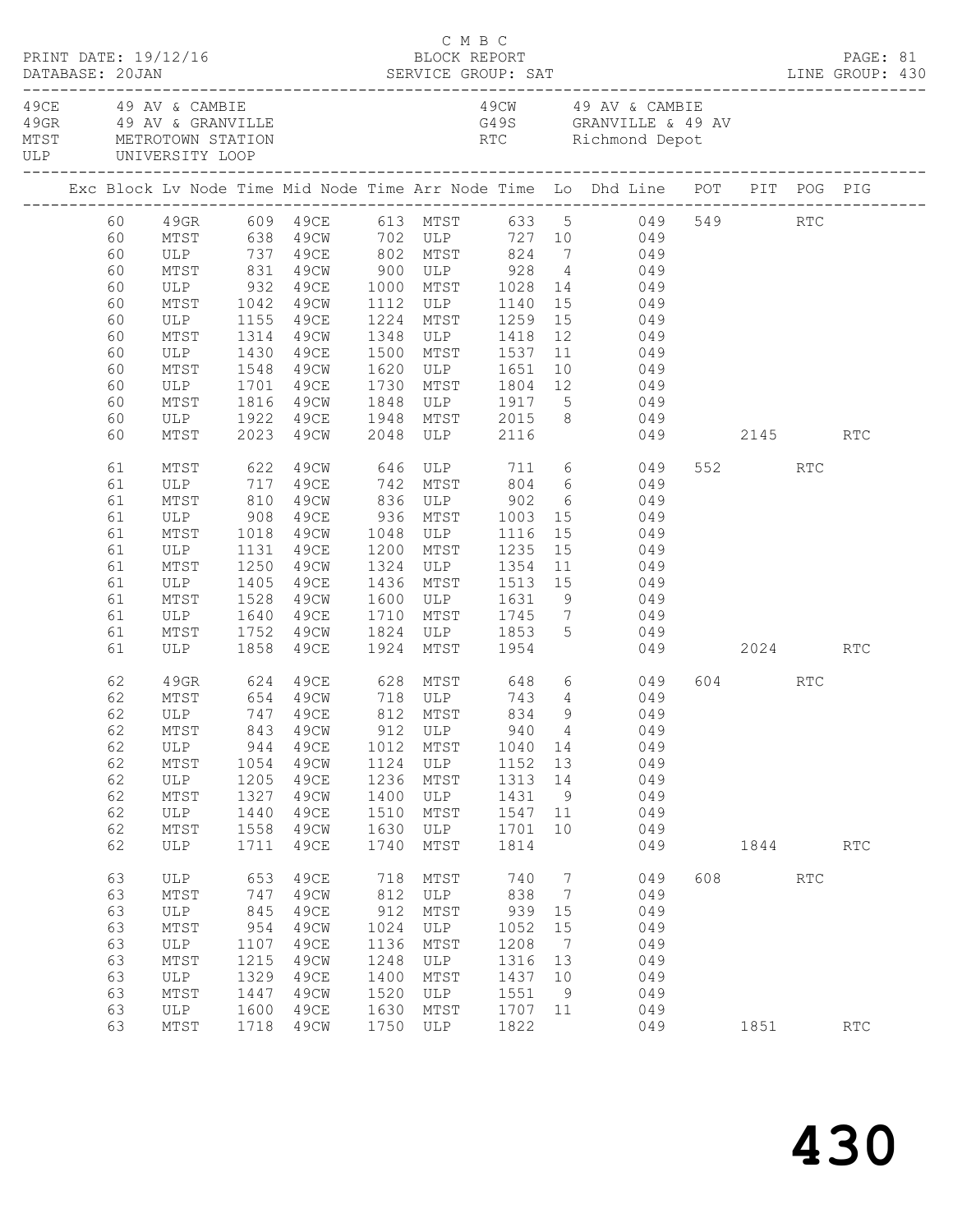|  |                                                                                                                            | PRINT DATE: 19/12/16                                                               |                                                                          |                                                                                             |                                                                           | C M B C<br>BLOCK REPORT                                                 |                                                                                 |                                                                            | DATABASE: 20JAN SERVICE GROUP: SAT LINE GROUP: 430                                                                                                                                                                                                                                                                                                                                                                                                                                                                                                                                                                      |     |         |                      | PAGE: 81   |  |
|--|----------------------------------------------------------------------------------------------------------------------------|------------------------------------------------------------------------------------|--------------------------------------------------------------------------|---------------------------------------------------------------------------------------------|---------------------------------------------------------------------------|-------------------------------------------------------------------------|---------------------------------------------------------------------------------|----------------------------------------------------------------------------|-------------------------------------------------------------------------------------------------------------------------------------------------------------------------------------------------------------------------------------------------------------------------------------------------------------------------------------------------------------------------------------------------------------------------------------------------------------------------------------------------------------------------------------------------------------------------------------------------------------------------|-----|---------|----------------------|------------|--|
|  |                                                                                                                            | 49CE 49 AV & CAMBIE<br>MTST METROTOWN STATION<br>ULP UNIVERSITY LOOP               |                                                                          |                                                                                             |                                                                           |                                                                         |                                                                                 |                                                                            | 49CW 49 AV & CAMBIE<br>RTC Richmond Depot                                                                                                                                                                                                                                                                                                                                                                                                                                                                                                                                                                               |     |         |                      |            |  |
|  |                                                                                                                            |                                                                                    |                                                                          |                                                                                             |                                                                           |                                                                         |                                                                                 |                                                                            | Exc Block Lv Node Time Mid Node Time Arr Node Time Lo Dhd Line POT PIT POG PIG                                                                                                                                                                                                                                                                                                                                                                                                                                                                                                                                          |     |         |                      |            |  |
|  | 60<br>60<br>60<br>60<br>60<br>60<br>60<br>60<br>60<br>60<br>60<br>60<br>60<br>60<br>61<br>61<br>61<br>61<br>61<br>61<br>61 | ULP<br>MTST<br>ULP 1701 49CE<br>MTST<br>ULP<br>MTST<br>MTST<br>MTST<br>ULP<br>MTST | 1314<br>1816<br>1018<br>1131<br>1250                                     | 1155 49CE<br>49CW<br>ULP 1430 49CE 1500<br>MTST 1548 49CW 1620<br>49CW 1848<br>49CE<br>49CW | 1730<br>1200                                                              | 1348 ULP 1418 12<br>MTST 1235<br>1324 ULP 1354                          |                                                                                 |                                                                            | 49GR 609 49CE 613 MTST 633 5 049 549 RTC<br>MTST 638 49CW 702 ULP 727 10 049<br>ULP 737 49CE 802 MTST 824 7 049<br>MTST 831 49CW 900 ULP 928 4 049<br>ULP 932 49CE 1000 MTST 1028 14 049<br>MTST 1042 49CW 1112 ULP 1140 15 049<br>1224 MTST 1259 15 049<br>049<br>1500 MTST 1537 11 049<br>1620 ULP 1651 10 049<br>MTST 1804 12 049<br>ULP 1917 5 049<br>1922 49CE 1948 MTST 2015 8 049<br>2023 49CW 2048 ULP 2116 049<br>049 2145 RTC<br>622 49CW 646 ULP 711 6 049<br>ULP 717 49CE 742 MTST 804 6 049<br>MTST 810 49CW 836 ULP 902 6 049<br>ULP 908 49CE 936 MTST 1003 15 049<br>49CW 1048 ULP 1116 15 049<br>15 049 |     | 552     | RTC                  |            |  |
|  | 61<br>61<br>61<br>61<br>61<br>62                                                                                           | ULP<br>MTST<br>ULP<br>MTST 1752 49CW<br>ULP 1858 49CE                              | 1528<br>1640                                                             | 1405 49CE<br>49CW<br>49CE<br>1752 49CW<br>49GR 624 49CE 628 MTST 648                        |                                                                           | 1600 ULP 1631<br>1710 MTST 1745 7<br>1824 ULP 1853 5<br>1924 MTST 1954  |                                                                                 |                                                                            | 9 049<br>7 049<br>6 049                                                                                                                                                                                                                                                                                                                                                                                                                                                                                                                                                                                                 |     | 604 RTC |                      |            |  |
|  | 62<br>62<br>62<br>62<br>62<br>62<br>62<br>62<br>62<br>62                                                                   | ULP<br>MTST<br>ULP<br>MTST<br>ULP<br>MTST<br>ULP                                   | 944<br>1054<br>1205<br>1327<br>1440<br>1558<br>1711                      | MTST 843 49CW<br>49CE<br>49CW<br>49CE<br>49CW<br>49CE<br>49CW<br>49CE                       | 1236<br>1400<br>1510<br>1630<br>1740                                      | 912 ULP<br>1012 MTST<br>1124 ULP<br>MTST<br>ULP<br>MTST<br>ULP<br>MTST  | 1040 14<br>1152 13<br>1313<br>1431<br>1547<br>1701<br>1814                      | 14<br>9<br>11<br>10                                                        | MTST 654 49CW 718 ULP 743 4 049<br>ULP 747 49CE 812 MTST 834 9 049<br>940 4 049<br>049<br>049<br>049<br>049<br>049<br>049<br>049                                                                                                                                                                                                                                                                                                                                                                                                                                                                                        |     |         | 1844                 | <b>RTC</b> |  |
|  | 63<br>63<br>63<br>63<br>63<br>63<br>63<br>63<br>63<br>63                                                                   | ULP<br>MTST<br>ULP<br>MTST<br>ULP<br>MTST<br>ULP<br>MTST<br>ULP<br>MTST            | 653<br>747<br>845<br>954<br>1107<br>1215<br>1329<br>1447<br>1600<br>1718 | 49CE<br>49CW<br>49CE<br>49CW<br>49CE<br>49CW<br>49CE<br>49CW<br>49CE<br>49CW                | 718<br>812<br>912<br>1024<br>1136<br>1248<br>1400<br>1520<br>1630<br>1750 | MTST<br>ULP<br>MTST<br>ULP<br>MTST<br>ULP<br>MTST<br>ULP<br>MTST<br>ULP | 740<br>838<br>939<br>1052<br>1208<br>1316<br>1437 10<br>1551<br>1707 11<br>1822 | $\overline{7}$<br>$7\overline{)}$<br>15<br>15<br>$\overline{7}$<br>13<br>9 | 049<br>049<br>049<br>049<br>049<br>049<br>049<br>049<br>049<br>049                                                                                                                                                                                                                                                                                                                                                                                                                                                                                                                                                      | 608 | 1851    | $\operatorname{RTC}$ | <b>RTC</b> |  |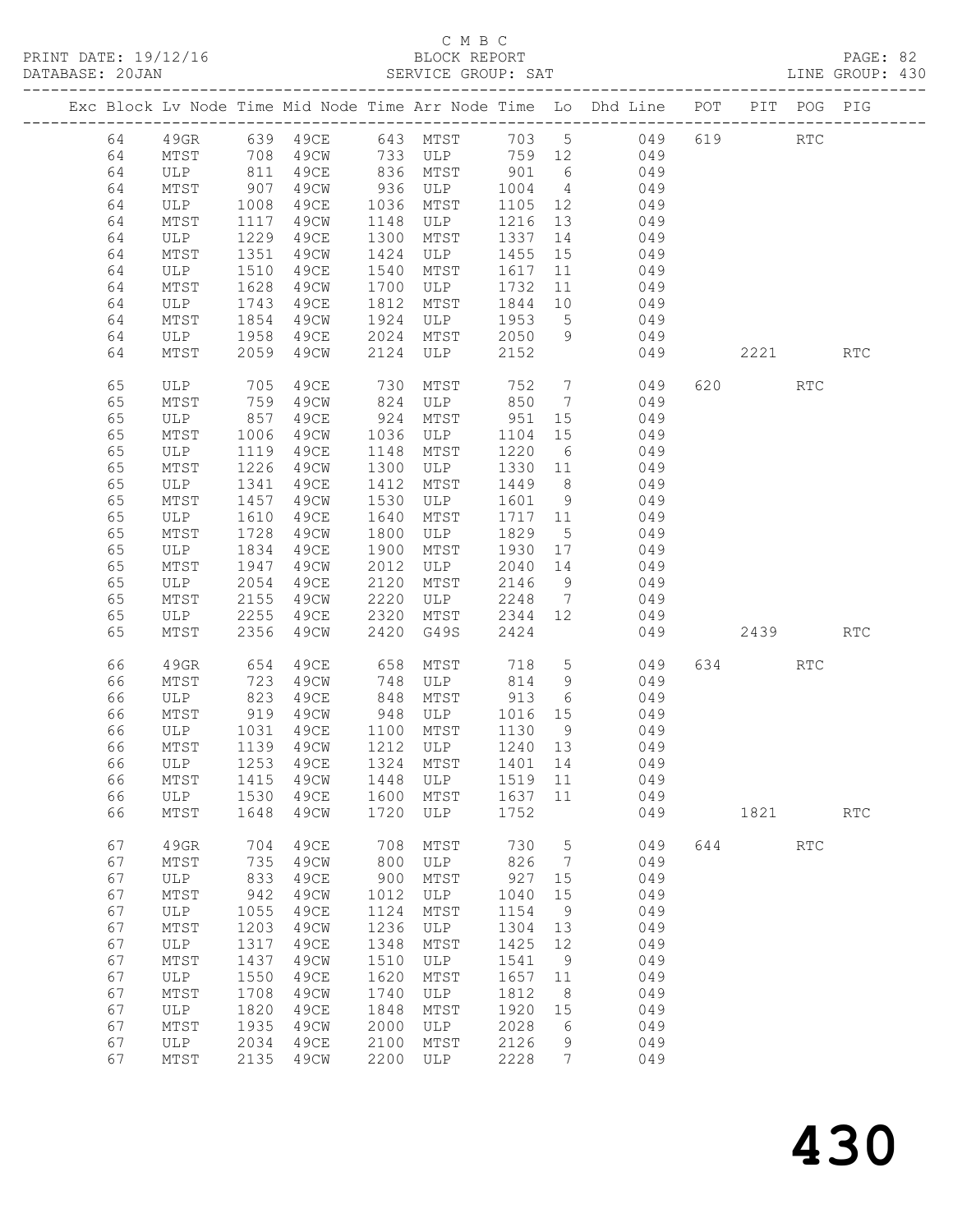|    |      |      |          |      | C M B C      |         |                 | -----------------------------                                                  |     |      |                      | PAGE: 82<br>LINE GROUP: 430 |  |
|----|------|------|----------|------|--------------|---------|-----------------|--------------------------------------------------------------------------------|-----|------|----------------------|-----------------------------|--|
|    |      |      |          |      |              |         |                 | Exc Block Lv Node Time Mid Node Time Arr Node Time Lo Dhd Line POT PIT POG PIG |     |      |                      |                             |  |
| 64 | 49GR |      | 639 49CE |      | 643 MTST     | 703 5   |                 | 049                                                                            |     | 619  | <b>RTC</b>           |                             |  |
| 64 | MTST | 708  | 49CW     |      | 733 ULP      | 759 12  |                 | 049                                                                            |     |      |                      |                             |  |
| 64 | ULP  | 811  | 49CE     |      | 836 MTST     | 901     | 6               | 049                                                                            |     |      |                      |                             |  |
| 64 | MTST | 907  | 49CW     | 936  | ULP          | 1004    | $4\overline{4}$ | 049                                                                            |     |      |                      |                             |  |
| 64 | ULP  | 1008 | 49CE     |      | 1036 MTST    | 1105 12 |                 | 049                                                                            |     |      |                      |                             |  |
| 64 | MTST | 1117 | 49CW     | 1148 | ULP          | 1216 13 |                 | 049                                                                            |     |      |                      |                             |  |
| 64 | ULP  | 1229 | 49CE     | 1300 | MTST         | 1337 14 |                 | 049                                                                            |     |      |                      |                             |  |
| 64 | MTST | 1351 | 49CW     | 1424 | ULP          | 1455    | 15              | 049                                                                            |     |      |                      |                             |  |
| 64 | ULP  | 1510 | 49CE     | 1540 | MTST         | 1617    | 11              | 049                                                                            |     |      |                      |                             |  |
| 64 | MTST | 1628 | 49CW     | 1700 | ULP          | 1732    | 11              | 049                                                                            |     |      |                      |                             |  |
| 64 | ULP  | 1743 | 49CE     | 1812 | MTST         | 1844    | 10              | 049                                                                            |     |      |                      |                             |  |
| 64 | MTST | 1854 | 49CW     | 1924 | ULP          | 1953    | $5\overline{)}$ | 049                                                                            |     |      |                      |                             |  |
| 64 | ULP  | 1958 | 49CE     | 2024 | MTST         | 2050    | 9               | 049                                                                            |     |      |                      |                             |  |
| 64 | MTST | 2059 | 49CW     | 2124 | ULP          | 2152    |                 | 049                                                                            |     |      | 2221                 | <b>RTC</b>                  |  |
| 65 | ULP  | 705  | 49CE     | 730  | MTST         | 752     | $7\phantom{.0}$ | 049                                                                            | 620 |      | <b>RTC</b>           |                             |  |
| 65 | MTST | 759  | 49CW     | 824  | ULP          | 850     | $7\phantom{.0}$ | 049                                                                            |     |      |                      |                             |  |
| 65 | ULP  | 857  | 49CE     | 924  | MTST         | 951     | 15              | 049                                                                            |     |      |                      |                             |  |
| 65 | MTST | 1006 | 49CW     | 1036 | ULP          | 1104 15 |                 | 049                                                                            |     |      |                      |                             |  |
| 65 | ULP  | 1119 | 49CE     | 1148 | MTST         | 1220    | 6               | 049                                                                            |     |      |                      |                             |  |
| 65 | MTST | 1226 | 49CW     | 1300 | ULP          | 1330 11 |                 | 049                                                                            |     |      |                      |                             |  |
| 65 | ULP  | 1341 | 49CE     | 1412 | MTST         | 1449    | 8 <sup>8</sup>  | 049                                                                            |     |      |                      |                             |  |
| 65 | MTST | 1457 | 49CW     | 1530 | ULP          | 1601    | 9               | 049                                                                            |     |      |                      |                             |  |
| 65 | ULP  | 1610 | 49CE     | 1640 | MTST         | 1717 11 |                 | 049                                                                            |     |      |                      |                             |  |
| 65 | MTST | 1728 | 49CW     | 1800 | ULP          | 1829    | $5\overline{)}$ | 049                                                                            |     |      |                      |                             |  |
| 65 | ULP  | 1834 | 49CE     | 1900 | MTST         | 1930    | 17              | 049                                                                            |     |      |                      |                             |  |
| 65 | MTST | 1947 | 49CW     | 2012 | ULP          | 2040    | 14              | 049                                                                            |     |      |                      |                             |  |
| 65 | ULP  | 2054 | 49CE     | 2120 | MTST         | 2146    | 9               | 049                                                                            |     |      |                      |                             |  |
| 65 | MTST | 2155 | 49CW     | 2220 | ULP          | 2248    | $7\overline{ }$ | 049                                                                            |     |      |                      |                             |  |
| 65 | ULP  | 2255 | 49CE     | 2320 | MTST         | 2344    | 12              | 049                                                                            |     |      |                      |                             |  |
| 65 | MTST | 2356 | 49CW     | 2420 | G49S         | 2424    |                 | 049                                                                            |     |      | 2439                 | <b>RTC</b>                  |  |
| 66 | 49GR | 654  | 49CE     | 658  | MTST         | 718     | 5 <sup>5</sup>  | 049                                                                            | 634 |      | RTC                  |                             |  |
| 66 | MTST | 723  | 49CW     | 748  | ULP          | 814     | 9               | 049                                                                            |     |      |                      |                             |  |
| 66 | ULP  | 823  | 49CE     | 848  | MTST         | 913     | 6               | 049                                                                            |     |      |                      |                             |  |
| 66 | MTST | 919  | 49CW     | 948  | ULP          | 1016    | 15              | 049                                                                            |     |      |                      |                             |  |
| 66 | ULP  | 1031 | 49CE     | 1100 | MTST         | 1130    | 9               | 049                                                                            |     |      |                      |                             |  |
| 66 | MTST | 1139 | 49CW     | 1212 | ULP          | 1240    | 13              | 049                                                                            |     |      |                      |                             |  |
| 66 | ULP  | 1253 | 49CE     | 1324 | MTST         | 1401    | 14              | 049                                                                            |     |      |                      |                             |  |
| 66 | MTST | 1415 | 49CW     | 1448 | ULP          | 1519    | 11              | 049                                                                            |     |      |                      |                             |  |
| 66 | ULP  | 1530 | 49CE     | 1600 | MTST         | 1637    | 11              | 049                                                                            |     |      |                      |                             |  |
| 66 | MTST | 1648 | 49CW     | 1720 | ULP          | 1752    |                 | 049                                                                            |     | 1821 |                      | $\mathop{\rm RTC}\nolimits$ |  |
| 67 | 49GR | 704  | 49CE     | 708  | MTST         | 730     | 5               | 049                                                                            | 644 |      | $\operatorname{RTC}$ |                             |  |
| 67 | MTST | 735  | 49CW     | 800  | $_{\rm ULP}$ | 826     | 7               | 049                                                                            |     |      |                      |                             |  |
| 67 | ULP  | 833  | 49CE     | 900  | MTST         | 927     | 15              | 049                                                                            |     |      |                      |                             |  |
| 67 | MTST | 942  | 49CW     | 1012 | $_{\rm ULP}$ | 1040    | 15              | 049                                                                            |     |      |                      |                             |  |
| 67 | ULP  | 1055 | 49CE     | 1124 | MTST         | 1154    | 9               | 049                                                                            |     |      |                      |                             |  |
| 67 | MTST | 1203 | 49CW     | 1236 | ULP          | 1304    | 13              | 049                                                                            |     |      |                      |                             |  |
| 67 | ULP  | 1317 | 49CE     | 1348 | MTST         | 1425    | 12              | 049                                                                            |     |      |                      |                             |  |
| 67 | MTST | 1437 | 49CW     | 1510 | $_{\rm ULP}$ | 1541    | 9               | 049                                                                            |     |      |                      |                             |  |
| 67 | ULP  | 1550 | 49CE     | 1620 | MTST         | 1657    | 11              | 049                                                                            |     |      |                      |                             |  |
| 67 | MTST | 1708 | 49CW     | 1740 | $_{\rm ULP}$ | 1812    | 8               | 049                                                                            |     |      |                      |                             |  |
| 67 | ULP  | 1820 | 49CE     | 1848 | MTST         | 1920    | 15              | 049                                                                            |     |      |                      |                             |  |
| 67 | MTST | 1935 | 49CW     | 2000 | ULP          | 2028    | 6               | 049                                                                            |     |      |                      |                             |  |
| 67 | ULP  | 2034 | 49CE     | 2100 | MTST         | 2126    | 9               | 049                                                                            |     |      |                      |                             |  |
| 67 | MTST | 2135 | 49CW     | 2200 | ULP          | 2228    | 7               | 049                                                                            |     |      |                      |                             |  |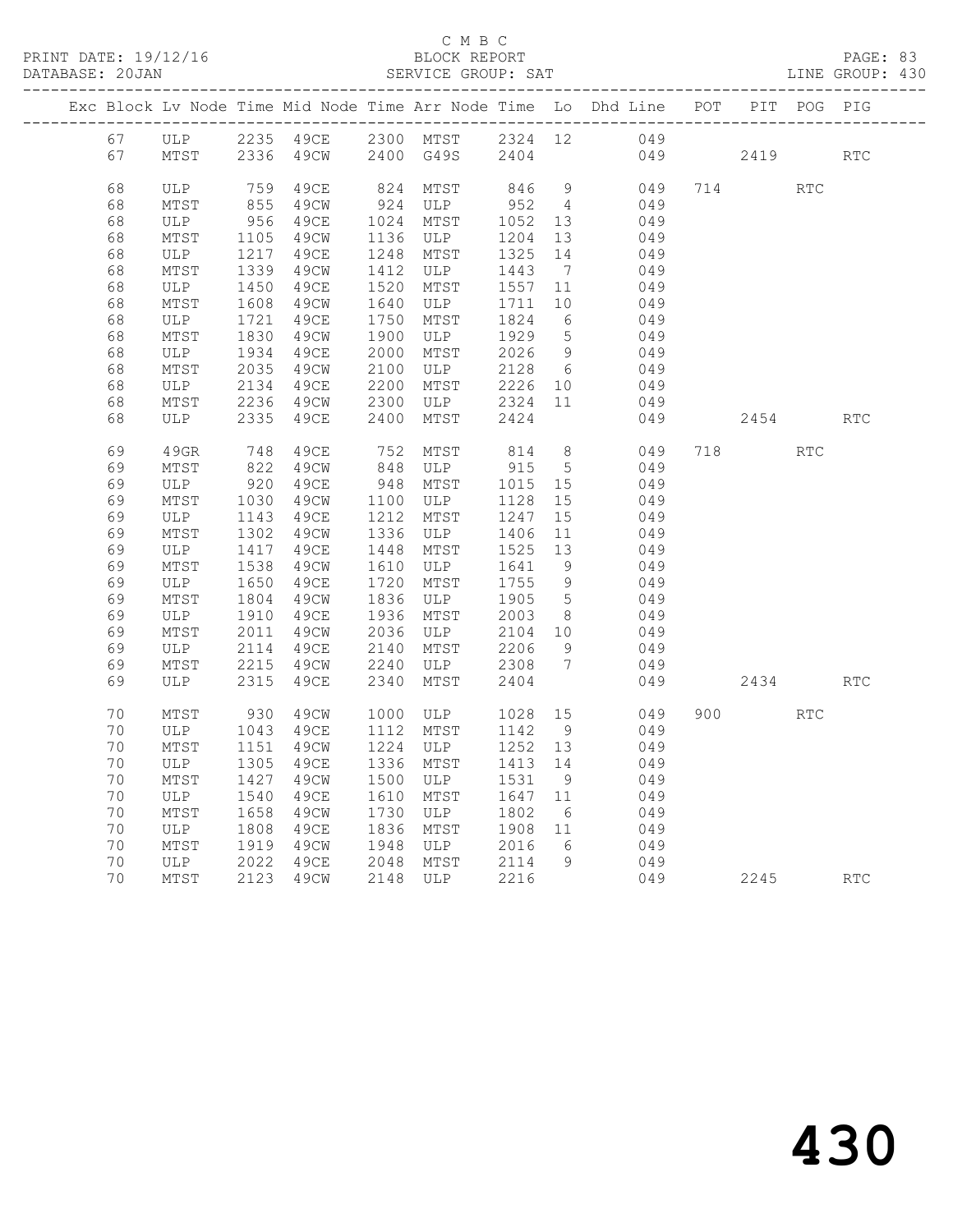|  |    |      |                              |                      |              |                                              |                |                 | Exc Block Lv Node Time Mid Node Time Arr Node Time Lo Dhd Line POT PIT POG PIG |     |           |                      |            |
|--|----|------|------------------------------|----------------------|--------------|----------------------------------------------|----------------|-----------------|--------------------------------------------------------------------------------|-----|-----------|----------------------|------------|
|  | 67 |      |                              |                      |              |                                              |                |                 | ULP 2235 49CE 2300 MTST 2324 12 049<br>MTST 2336 49CW 2400 G49S 2404 049       |     |           |                      |            |
|  | 67 |      |                              |                      |              |                                              |                |                 |                                                                                | 049 | 2419      |                      | <b>RTC</b> |
|  | 68 | ULP  |                              | 759 49CE             |              | 824 MTST                                     |                |                 | 846 9 049                                                                      |     | 714       | $\operatorname{RTC}$ |            |
|  | 68 | MTST |                              |                      |              |                                              |                | $4\overline{4}$ | 049                                                                            |     |           |                      |            |
|  | 68 | ULP  |                              | 855 49CW<br>956 49CE |              | 924 ULP 952<br>1024 MTST 1052<br>1024 MTST   | 1052 13        |                 | 049                                                                            |     |           |                      |            |
|  | 68 | MTST |                              | 49CW                 |              |                                              |                | 13              | 049                                                                            |     |           |                      |            |
|  | 68 | ULP  | $111$<br>1217<br>239         | 49CE                 |              | 1024 mill<br>1136 ULP 1204<br>1210 MTST 1325 |                | 14              | 049                                                                            |     |           |                      |            |
|  | 68 | MTST |                              | 49CW                 | 1412         | ULP                                          | 1443           | $\overline{7}$  | 049                                                                            |     |           |                      |            |
|  | 68 | ULP  | 1339<br>1450                 | 49CE                 |              | 1520 MTST                                    | 1557 11        |                 | 049                                                                            |     |           |                      |            |
|  | 68 | MTST |                              | 49CW                 | 1640         | ULP<br>MTST                                  | 1711           | 10              | 049                                                                            |     |           |                      |            |
|  | 68 | ULP  | 1608<br>1721                 | 49CE                 | 1750         | MTST                                         | 1824 6         |                 | 049                                                                            |     |           |                      |            |
|  | 68 | MTST |                              | 49CW                 | 1900         | ULP                                          | 1929 5         |                 | 049                                                                            |     |           |                      |            |
|  | 68 | ULP  | 1830<br>1934                 | 49CE                 | 2000         | MTST                                         | $1929$<br>2026 | 9               | 049                                                                            |     |           |                      |            |
|  | 68 | MTST | 2035                         | 49CW                 |              | 2100 ULP<br>2200 MTST                        |                |                 | 049                                                                            |     |           |                      |            |
|  | 68 | ULP  | 2134                         | 49CE                 |              | ULP 2128 6<br>MTST 2226 10                   |                |                 | 049                                                                            |     |           |                      |            |
|  | 68 | MTST | 2236                         | 49CW                 | 2300         | ULP 2324 11                                  |                |                 | 049                                                                            |     |           |                      |            |
|  | 68 | ULP  | 2335                         | 49CE                 | 2400         | MTST                                         | 2424           |                 | 049                                                                            |     | 2454      |                      | RTC        |
|  | 69 | 49GR | 748                          | 49CE                 |              | 752 MTST                                     | 814            | 8 <sup>8</sup>  | 049                                                                            |     | 718       | <b>RTC</b>           |            |
|  | 69 | MTST | 822                          | 49CW                 |              | 848 ULP                                      | 915            | $5\overline{)}$ | 049                                                                            |     |           |                      |            |
|  | 69 | ULP  | 920                          | 49CE                 |              | 948 MTST                                     | 1015 15        |                 | 049                                                                            |     |           |                      |            |
|  | 69 | MTST | 1030                         | 49CW                 |              | 1100 ULP                                     | 1128 15        |                 | 049                                                                            |     |           |                      |            |
|  | 69 | ULP  | 1143                         | 49CE                 |              | 1212 MTST                                    | 1247           | 15              | 049                                                                            |     |           |                      |            |
|  | 69 | MTST | $\frac{1110}{1302}$<br>1417  | 49CW                 |              | 1336 ULP 1406 11                             |                |                 | 049                                                                            |     |           |                      |            |
|  | 69 | ULP  | 1417                         | 49CE                 |              | 1448 MTST                                    | 1525 13        |                 | 049                                                                            |     |           |                      |            |
|  | 69 | MTST | 1538                         | 49CW                 |              | 1610 ULP                                     | 1641           | 9               | 049                                                                            |     |           |                      |            |
|  | 69 | ULP  | 1650<br>1804<br>1910<br>2011 | 49CE                 |              | 1720 MTST                                    | 1755           | 9               | 049                                                                            |     |           |                      |            |
|  | 69 | MTST |                              | 49CW                 |              | 1836 ULP                                     | 1905           | $5\overline{)}$ | 049                                                                            |     |           |                      |            |
|  | 69 | ULP  |                              | 49CE                 |              | 1936 MTST                                    | 2003           | 8 <sup>8</sup>  | 049                                                                            |     |           |                      |            |
|  | 69 | MTST |                              | 49CW                 |              | 2036 ULP 2104 10                             |                |                 | 049                                                                            |     |           |                      |            |
|  | 69 | ULP  |                              | 49CE                 | 2140<br>2240 | MTST 2206<br>ULP 2308                        |                | 9               | 049                                                                            |     |           |                      |            |
|  | 69 | MTST | 2114<br>2215                 | 49CW                 |              |                                              |                | $7\overline{)}$ | 049                                                                            |     |           |                      |            |
|  | 69 | ULP  | 2315                         | 49CE                 | 2340         | MTST                                         | 2404           |                 | 049                                                                            |     | 2434      |                      | RTC        |
|  | 70 | MTST | 930                          | 49CW                 |              | 1000 ULP 1028<br>1112 MTST 1142              |                | 15              | 049                                                                            |     | 900 — 100 | <b>RTC</b>           |            |
|  | 70 | ULP  | 1043                         | 49CE                 |              |                                              |                | 9               | 049                                                                            |     |           |                      |            |
|  | 70 | MTST | 1151                         | 49CW                 |              | 1224 ULP                                     | 1252 13        |                 | 049                                                                            |     |           |                      |            |
|  | 70 | ULP  | 1305                         | 49CE                 |              | 1336 MTST                                    | 1413 14        |                 | 049                                                                            |     |           |                      |            |
|  | 70 | MTST | 1427                         | 49CW                 | 1500         |                                              |                |                 | 049                                                                            |     |           |                      |            |
|  | 70 | ULP  | 1540                         | 49CE                 | 1610         | ULP $1531$ ><br>MTST $1647$ $11$             |                |                 | 049                                                                            |     |           |                      |            |
|  | 70 | MTST | 1658                         | 49CW                 | 1730         | ULP 1802 6<br>MTST 1908 11                   |                |                 | 049                                                                            |     |           |                      |            |
|  | 70 | ULP  | $102$<br>1808<br>1919        | 49CE                 |              | 1836 MTST                                    |                |                 | 049                                                                            |     |           |                      |            |
|  | 70 | MTST | 1919<br>2022                 | 49CW                 |              | 1948 ULP 2016 6<br>2048 MTST 2114 9          |                |                 | 049                                                                            |     |           |                      |            |
|  | 70 | ULP  | 2022                         | 49CE                 | 1948<br>2048 |                                              |                |                 | 049                                                                            |     |           |                      |            |
|  | 70 | MTST | 2123                         | 49CW                 |              | 2148 ULP                                     | 2216           |                 |                                                                                | 049 | 2245      |                      | <b>RTC</b> |
|  |    |      |                              |                      |              |                                              |                |                 |                                                                                |     |           |                      |            |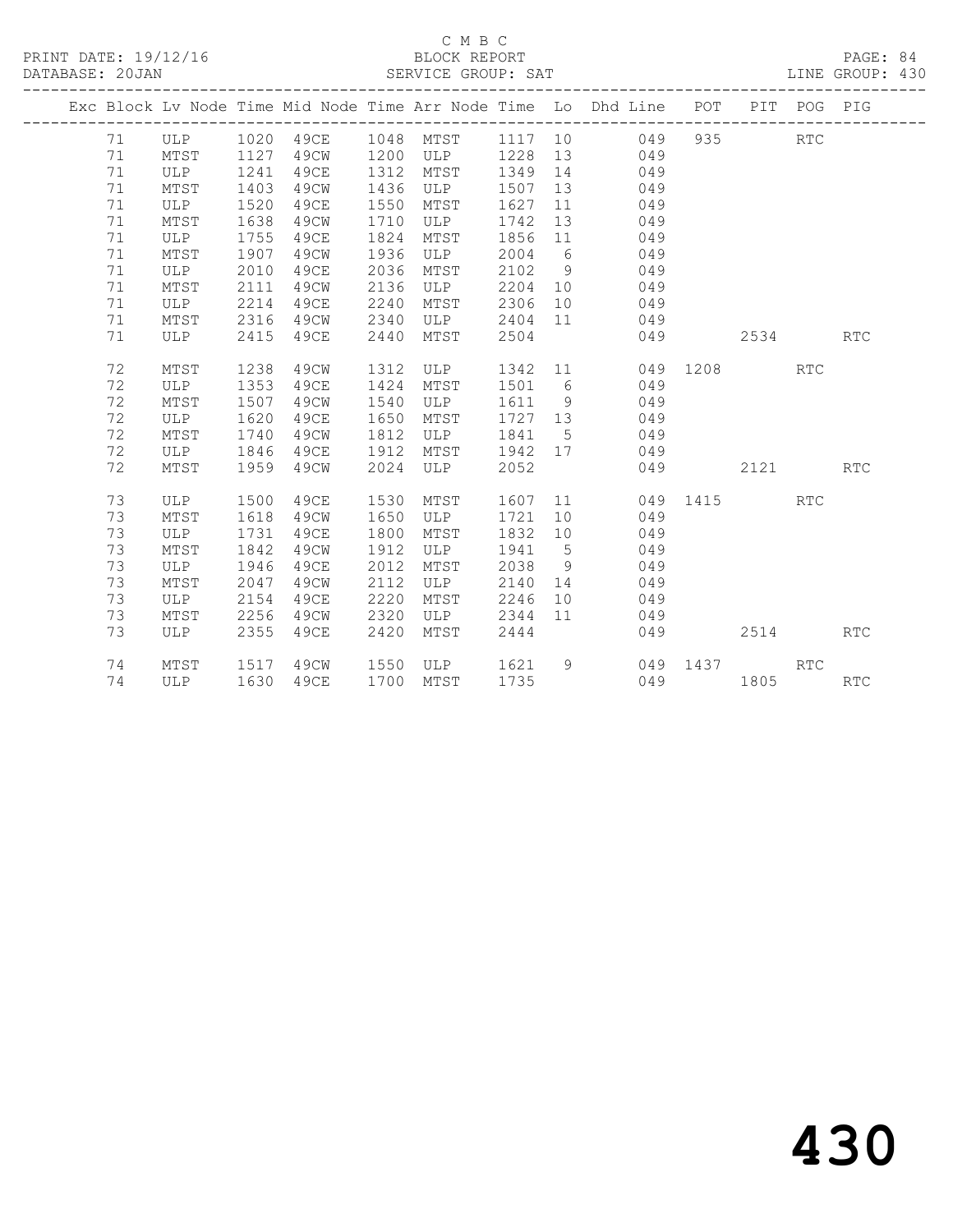|  |    |      |      |           |      |            |         |             | Exc Block Lv Node Time Mid Node Time Arr Node Time Lo Dhd Line POT PIT POG PIG<br>------------------------------- |          |      |                             |            |
|--|----|------|------|-----------|------|------------|---------|-------------|-------------------------------------------------------------------------------------------------------------------|----------|------|-----------------------------|------------|
|  | 71 | ULP  |      | 1020 49CE |      | 1048 MTST  | 1117 10 |             | 049                                                                                                               | 935      |      | <b>RTC</b>                  |            |
|  | 71 | MTST | 1127 | 49CW      | 1200 | ULP        | 1228    | 13          | 049                                                                                                               |          |      |                             |            |
|  | 71 | ULP  | 1241 | 49CE      | 1312 | MTST       | 1349    | 14          | 049                                                                                                               |          |      |                             |            |
|  | 71 | MTST | 1403 | 49CW      | 1436 | ULP        | 1507    | 13          | 049                                                                                                               |          |      |                             |            |
|  | 71 | ULP  | 1520 | 49CE      | 1550 | MTST       | 1627    | 11          | 049                                                                                                               |          |      |                             |            |
|  | 71 | MTST | 1638 | 49CW      | 1710 | ULP        | 1742    | 13          | 049                                                                                                               |          |      |                             |            |
|  | 71 | ULP  | 1755 | 49CE      | 1824 | MTST       | 1856    | 11          | 049                                                                                                               |          |      |                             |            |
|  | 71 | MTST | 1907 | 49CW      | 1936 | ULP        | 2004    | 6           | 049                                                                                                               |          |      |                             |            |
|  | 71 | ULP  | 2010 | 49CE      | 2036 | MTST       | 2102    | -9          | 049                                                                                                               |          |      |                             |            |
|  | 71 | MTST | 2111 | 49CW      | 2136 | ULP        | 2204    | 10          | 049                                                                                                               |          |      |                             |            |
|  | 71 | ULP  | 2214 | 49CE      | 2240 | MTST       | 2306    | 10          | 049                                                                                                               |          |      |                             |            |
|  | 71 | MTST | 2316 | 49CW      | 2340 | ULP        | 2404    | 11          | 049                                                                                                               |          |      |                             |            |
|  | 71 | ULP  | 2415 | 49CE      | 2440 | MTST       | 2504    |             | 049                                                                                                               |          | 2534 |                             | <b>RTC</b> |
|  |    |      |      |           |      |            |         |             |                                                                                                                   |          |      |                             |            |
|  | 72 | MTST | 1238 | 49CW      | 1312 | ULP        | 1342    | 11          | 049                                                                                                               | 1208     |      | $\mathop{\rm RTC}\nolimits$ |            |
|  | 72 | ULP  | 1353 | 49CE      | 1424 | MTST       | 1501    | 6           | 049                                                                                                               |          |      |                             |            |
|  | 72 | MTST | 1507 | 49CW      | 1540 | ULP        | 1611    | 9           | 049                                                                                                               |          |      |                             |            |
|  | 72 | ULP  | 1620 | 49CE      | 1650 | MTST       | 1727    | 13          | 049                                                                                                               |          |      |                             |            |
|  | 72 | MTST | 1740 | 49CW      | 1812 | ULP        | 1841    | 5           | 049                                                                                                               |          |      |                             |            |
|  | 72 | ULP  | 1846 | 49CE      | 1912 | MTST       | 1942    | 17          | 049                                                                                                               |          |      |                             |            |
|  | 72 | MTST | 1959 | 49CW      | 2024 | ULP        | 2052    |             | 049                                                                                                               |          | 2121 |                             | <b>RTC</b> |
|  | 73 | ULP  | 1500 | 49CE      | 1530 | MTST       | 1607    | 11          |                                                                                                                   | 049 1415 |      | <b>RTC</b>                  |            |
|  | 73 | MTST | 1618 | 49CW      | 1650 | ULP        | 1721    | 10          | 049                                                                                                               |          |      |                             |            |
|  | 73 | ULP  | 1731 | 49CE      | 1800 | MTST       | 1832    | 10          | 049                                                                                                               |          |      |                             |            |
|  | 73 | MTST | 1842 | 49CW      | 1912 | ULP        | 1941    | $5^{\circ}$ | 049                                                                                                               |          |      |                             |            |
|  | 73 | ULP  | 1946 | 49CE      | 2012 | MTST       | 2038    | 9           | 049                                                                                                               |          |      |                             |            |
|  | 73 | MTST | 2047 | 49CW      | 2112 | <b>ULP</b> | 2140    | 14          | 049                                                                                                               |          |      |                             |            |
|  | 73 | ULP  | 2154 | 49CE      | 2220 | MTST       | 2246    | 10          | 049                                                                                                               |          |      |                             |            |
|  | 73 | MTST | 2256 | 49CW      | 2320 | ULP        | 2344    | 11          | 049                                                                                                               |          |      |                             |            |
|  | 73 | ULP  | 2355 | 49CE      | 2420 | MTST       | 2444    |             | 049                                                                                                               |          | 2514 |                             | <b>RTC</b> |
|  |    |      |      |           |      |            |         |             |                                                                                                                   |          |      |                             |            |
|  | 74 | MTST | 1517 | 49CW      | 1550 | ULP        | 1621    | 9           |                                                                                                                   | 049 1437 |      | <b>RTC</b>                  |            |
|  | 74 | ULP  | 1630 | 49CE      |      | 1700 MTST  | 1735    |             |                                                                                                                   | 049      | 1805 |                             | RTC        |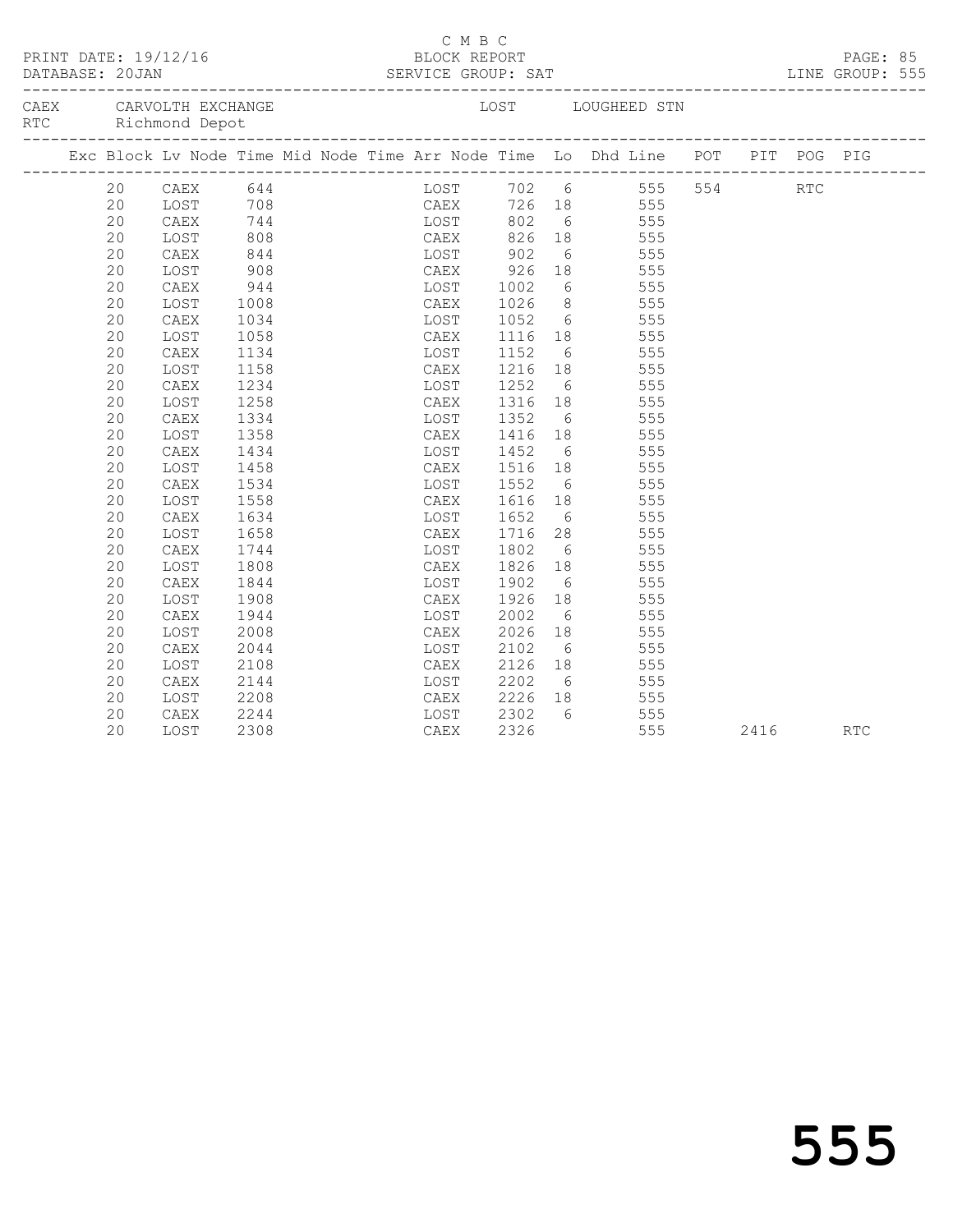| PRINT DATE: 19/12/16<br>DATABASE: 20JAN SERVICE GROUP: SAT LINE GROUP: 555<br>CAEX CARVOLTH EXCHANGE<br>RTC Richmond Depot |    |                                  |      |  |  | C M B C<br>BLOCK REPORT             |                   |    |                                                                                |      |            | PAGE: 85   |  |
|----------------------------------------------------------------------------------------------------------------------------|----|----------------------------------|------|--|--|-------------------------------------|-------------------|----|--------------------------------------------------------------------------------|------|------------|------------|--|
|                                                                                                                            |    | _______________________________  |      |  |  |                                     |                   |    | LOST LOUGHEED STN                                                              |      |            |            |  |
|                                                                                                                            |    |                                  |      |  |  |                                     |                   |    | Exc Block Lv Node Time Mid Node Time Arr Node Time Lo Dhd Line POT PIT POG PIG |      |            |            |  |
|                                                                                                                            | 20 | CAEX 644                         |      |  |  |                                     |                   |    | LOST 702 6 555 554                                                             |      | <b>RTC</b> |            |  |
|                                                                                                                            | 20 |                                  |      |  |  |                                     |                   |    |                                                                                |      |            |            |  |
|                                                                                                                            | 20 | LOST 708<br>CAEX 744<br>LOST 808 |      |  |  |                                     |                   |    |                                                                                |      |            |            |  |
|                                                                                                                            | 20 |                                  |      |  |  |                                     |                   |    | CAEX 826 18 555                                                                |      |            |            |  |
|                                                                                                                            | 20 | CAEX                             | 844  |  |  | LOST 902                            |                   |    | 6 555                                                                          |      |            |            |  |
|                                                                                                                            | 20 | LOST                             | 908  |  |  |                                     |                   |    | CAEX 926 18 555<br>LOST 1002 6 555                                             |      |            |            |  |
|                                                                                                                            | 20 | CAEX                             | 944  |  |  |                                     |                   |    |                                                                                |      |            |            |  |
|                                                                                                                            | 20 | LOST                             | 1008 |  |  | CAEX 1026                           |                   |    | 8 555                                                                          |      |            |            |  |
|                                                                                                                            | 20 | CAEX                             | 1034 |  |  | LOST 1052                           |                   |    | 6 555                                                                          |      |            |            |  |
|                                                                                                                            | 20 | LOST                             | 1058 |  |  | CAEX 1116 18<br>LOST 1152 6<br>CAEX |                   |    | 555                                                                            |      |            |            |  |
|                                                                                                                            | 20 | CAEX                             | 1134 |  |  |                                     |                   |    | 555                                                                            |      |            |            |  |
|                                                                                                                            | 20 | LOST                             | 1158 |  |  |                                     |                   |    | CAEX 1216 18 555                                                               |      |            |            |  |
|                                                                                                                            | 20 | CAEX                             | 1234 |  |  | LOST 1252                           |                   |    | 6 555                                                                          |      |            |            |  |
|                                                                                                                            | 20 | LOST                             | 1258 |  |  | CAEX 1316 18<br>LOST 1352 6<br>CAEX |                   |    | 555                                                                            |      |            |            |  |
|                                                                                                                            | 20 | CAEX                             | 1334 |  |  |                                     |                   |    | 555                                                                            |      |            |            |  |
|                                                                                                                            | 20 | LOST                             | 1358 |  |  |                                     |                   |    | CAEX 1416 18 555                                                               |      |            |            |  |
|                                                                                                                            | 20 | CAEX                             | 1434 |  |  | LOST 1452                           |                   |    | 6 555                                                                          |      |            |            |  |
|                                                                                                                            | 20 | LOST                             | 1458 |  |  | CAEX 1516 18<br>LOST 1552 6<br>CAEX |                   |    | 555                                                                            |      |            |            |  |
|                                                                                                                            | 20 | CAEX                             | 1534 |  |  |                                     |                   |    | 555                                                                            |      |            |            |  |
|                                                                                                                            | 20 | LOST                             | 1558 |  |  |                                     |                   |    | CAEX 1616 18 555                                                               |      |            |            |  |
|                                                                                                                            | 20 | CAEX                             | 1634 |  |  | LOST                                | 1652              |    | 6 555                                                                          |      |            |            |  |
|                                                                                                                            | 20 | LOST                             | 1658 |  |  | CAEX 1716 28<br>LOST 1802 6<br>CAEX |                   |    | 555                                                                            |      |            |            |  |
|                                                                                                                            | 20 | CAEX                             | 1744 |  |  |                                     |                   |    | 555                                                                            |      |            |            |  |
|                                                                                                                            | 20 | LOST                             | 1808 |  |  |                                     |                   |    | CAEX 1826 18 555                                                               |      |            |            |  |
|                                                                                                                            | 20 | CAEX                             | 1844 |  |  | LOST                                | 1902              |    | 6 555                                                                          |      |            |            |  |
|                                                                                                                            | 20 | LOST                             | 1908 |  |  | CAEX 1926<br>LOST 2002<br>CAEX      |                   | 18 | 555                                                                            |      |            |            |  |
|                                                                                                                            | 20 | CAEX                             | 1944 |  |  |                                     |                   |    | 6<br>555                                                                       |      |            |            |  |
|                                                                                                                            | 20 | LOST                             | 2008 |  |  | CAEX                                |                   |    | 2026 18 555                                                                    |      |            |            |  |
|                                                                                                                            | 20 | CAEX                             | 2044 |  |  | LOST                                | 2102              |    | 6 555                                                                          |      |            |            |  |
|                                                                                                                            | 20 | LOST                             | 2108 |  |  | CAEX                                | 2126 18<br>2202 6 |    | 555                                                                            |      |            |            |  |
|                                                                                                                            | 20 | CAEX                             | 2144 |  |  | LOST                                | -<br>2202         |    | 555                                                                            |      |            |            |  |
|                                                                                                                            | 20 | LOST                             | 2208 |  |  |                                     |                   |    | CAEX 2226 18 555                                                               |      |            |            |  |
|                                                                                                                            | 20 | CAEX                             | 2244 |  |  | LOST                                |                   |    | 2302 6 555                                                                     |      |            |            |  |
|                                                                                                                            | 20 | LOST                             | 2308 |  |  | CAEX                                | 2326              |    | 555                                                                            | 2416 |            | <b>RTC</b> |  |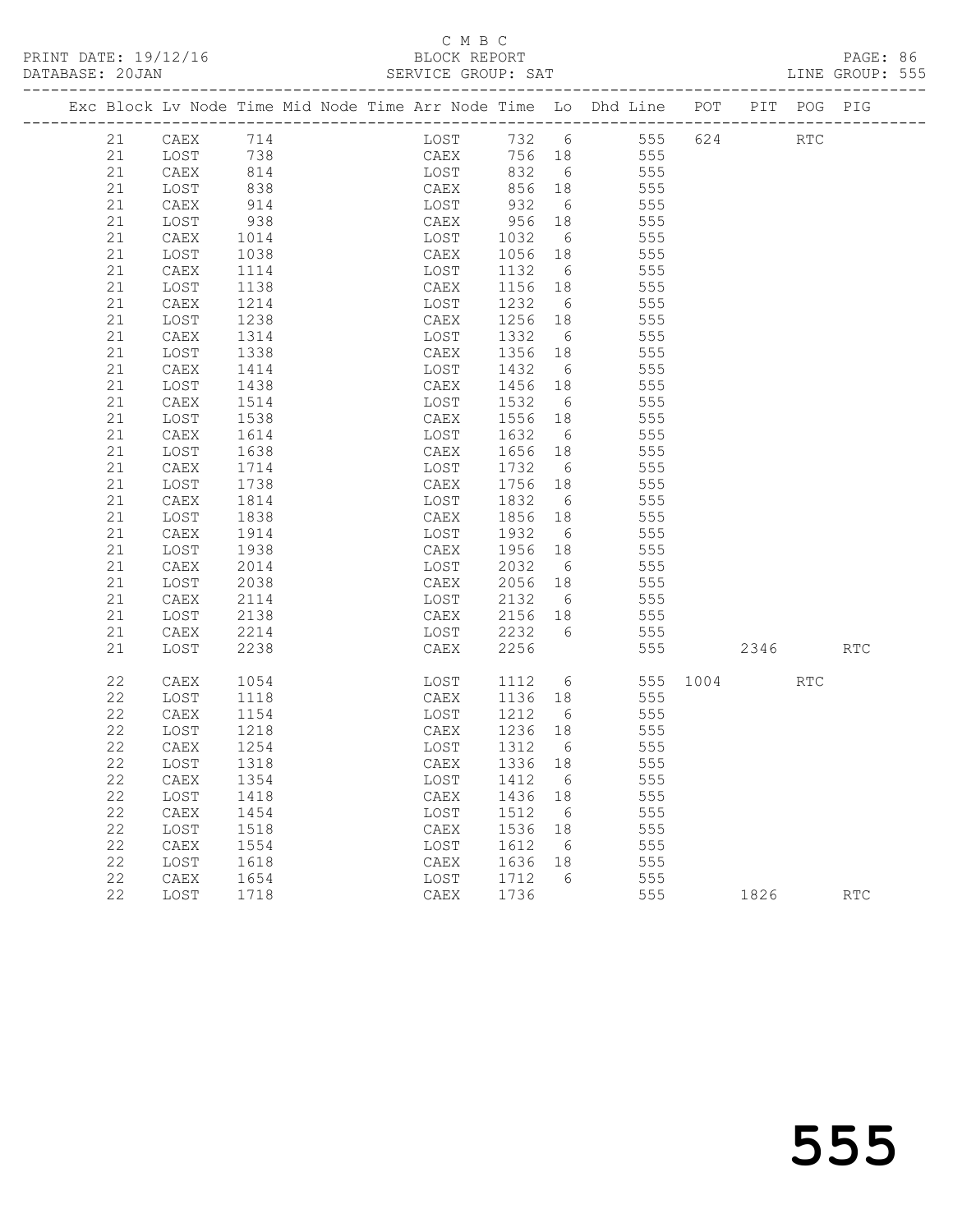|          | Exc Block Lv Node Time Mid Node Time Arr Node Time Lo Dhd Line POT PIT POG PIG |              |  |                    |              |                 |     |            |          |      |            |     |
|----------|--------------------------------------------------------------------------------|--------------|--|--------------------|--------------|-----------------|-----|------------|----------|------|------------|-----|
| 21       | CAEX                                                                           | 714          |  | LOST 732 6 555 624 |              |                 |     |            |          |      | <b>RTC</b> |     |
| 21       | LOST                                                                           | 738          |  | CAEX               | 756 18       |                 | 555 |            |          |      |            |     |
| 21       | CAEX                                                                           | 814          |  | LOST               | 832          | 6               |     | 555        |          |      |            |     |
| 21       | LOST                                                                           | 838          |  | CAEX               | 856 18       |                 |     | 555        |          |      |            |     |
| 21       | CAEX                                                                           | 914          |  | LOST               | 932          | 6               |     | 555        |          |      |            |     |
| 21       | LOST                                                                           | 938          |  | CAEX               | 956          | 18              |     | 555        |          |      |            |     |
| 21       | CAEX                                                                           | 1014         |  | LOST               | 1032         | 6               |     | 555        |          |      |            |     |
| 21       | LOST                                                                           | 1038         |  | CAEX               | 1056         | 18              |     | 555        |          |      |            |     |
| 21       | CAEX                                                                           | 1114         |  | LOST               | 1132         | 6               |     | 555        |          |      |            |     |
| 21       | LOST                                                                           | 1138         |  | CAEX               | 1156 18      |                 |     | 555        |          |      |            |     |
| 21       | CAEX                                                                           | 1214         |  | LOST               | 1232         | 6               |     | 555        |          |      |            |     |
| 21       | LOST                                                                           | 1238         |  | CAEX               | 1256         | 18              |     | 555        |          |      |            |     |
| 21       | CAEX                                                                           | 1314         |  | LOST               | 1332         | 6               |     | 555        |          |      |            |     |
| 21       | LOST                                                                           | 1338         |  | CAEX               | 1356         | 18              |     | 555        |          |      |            |     |
| 21<br>21 | CAEX                                                                           | 1414         |  | LOST               | 1432         | 6               |     | 555<br>555 |          |      |            |     |
| 21       | LOST<br>CAEX                                                                   | 1438<br>1514 |  | CAEX<br>LOST       | 1456<br>1532 | 18<br>6         |     | 555        |          |      |            |     |
| 21       | LOST                                                                           | 1538         |  | CAEX               | 1556 18      |                 |     | 555        |          |      |            |     |
| 21       | CAEX                                                                           | 1614         |  | LOST               | 1632         | 6               |     | 555        |          |      |            |     |
| 21       | LOST                                                                           | 1638         |  | CAEX               | 1656         | 18              |     | 555        |          |      |            |     |
| 21       | CAEX                                                                           | 1714         |  | LOST               | 1732         | 6               |     | 555        |          |      |            |     |
| 21       | LOST                                                                           | 1738         |  | CAEX               | 1756 18      |                 |     | 555        |          |      |            |     |
| 21       | CAEX                                                                           | 1814         |  | LOST               | 1832         | 6               |     | 555        |          |      |            |     |
| 21       | LOST                                                                           | 1838         |  | CAEX               | 1856         | 18              |     | 555        |          |      |            |     |
| 21       | CAEX                                                                           | 1914         |  | LOST               | 1932         | 6               |     | 555        |          |      |            |     |
| 21       | LOST                                                                           | 1938         |  | CAEX               | 1956 18      |                 |     | 555        |          |      |            |     |
| 21       | CAEX                                                                           | 2014         |  | LOST               | 2032         | 6               |     | 555        |          |      |            |     |
| 21       | LOST                                                                           | 2038         |  | CAEX               | 2056 18      |                 |     | 555        |          |      |            |     |
| 21       | CAEX                                                                           | 2114         |  | LOST               | 2132         | $6\overline{6}$ |     | 555        |          |      |            |     |
| 21       | LOST                                                                           | 2138         |  | CAEX               | 2156 18      |                 |     | 555        |          |      |            |     |
| 21       | CAEX                                                                           | 2214         |  | LOST               | 2232         | $6\overline{6}$ |     | 555        |          |      |            |     |
| 21       | LOST                                                                           | 2238         |  | CAEX               | 2256         |                 |     | 555        |          | 2346 |            | RTC |
| 22       | CAEX                                                                           | 1054         |  | LOST               | 1112         | $6\overline{6}$ |     |            | 555 1004 |      | RTC        |     |
| 22       | LOST                                                                           | 1118         |  | CAEX               | 1136 18      |                 |     | 555        |          |      |            |     |
| 22       | CAEX                                                                           | 1154         |  | LOST               | 1212         | 6               |     | 555        |          |      |            |     |
| 22       | LOST                                                                           | 1218         |  | CAEX               | 1236 18      |                 |     | 555        |          |      |            |     |
| 22       | CAEX                                                                           | 1254         |  | LOST               | 1312         | 6               |     | 555        |          |      |            |     |
| 22       | LOST                                                                           | 1318         |  | CAEX               | 1336 18      |                 |     | 555        |          |      |            |     |
| 22       | CAEX 1354                                                                      |              |  | LOST 1412 6        |              |                 |     | 555        |          |      |            |     |
| 22       | LOST                                                                           | 1418         |  | CAEX               | 1436 18      |                 |     | 555        |          |      |            |     |
| 22       | CAEX                                                                           | 1454         |  | LOST               | 1512         | 6               |     | 555        |          |      |            |     |
| 22       | LOST                                                                           | 1518         |  | CAEX               | 1536         | 18              |     | 555        |          |      |            |     |
| 22       | CAEX                                                                           | 1554         |  | LOST               | 1612         | 6               |     | 555        |          |      |            |     |
| 22       | LOST                                                                           | 1618         |  | CAEX               | 1636         | 18              |     | 555        |          |      |            |     |
| 22       | CAEX                                                                           | 1654         |  | LOST               | 1712         | 6               |     | 555        |          |      |            |     |
| 22       | LOST                                                                           | 1718         |  | CAEX               | 1736         |                 |     | 555        |          | 1826 |            | RTC |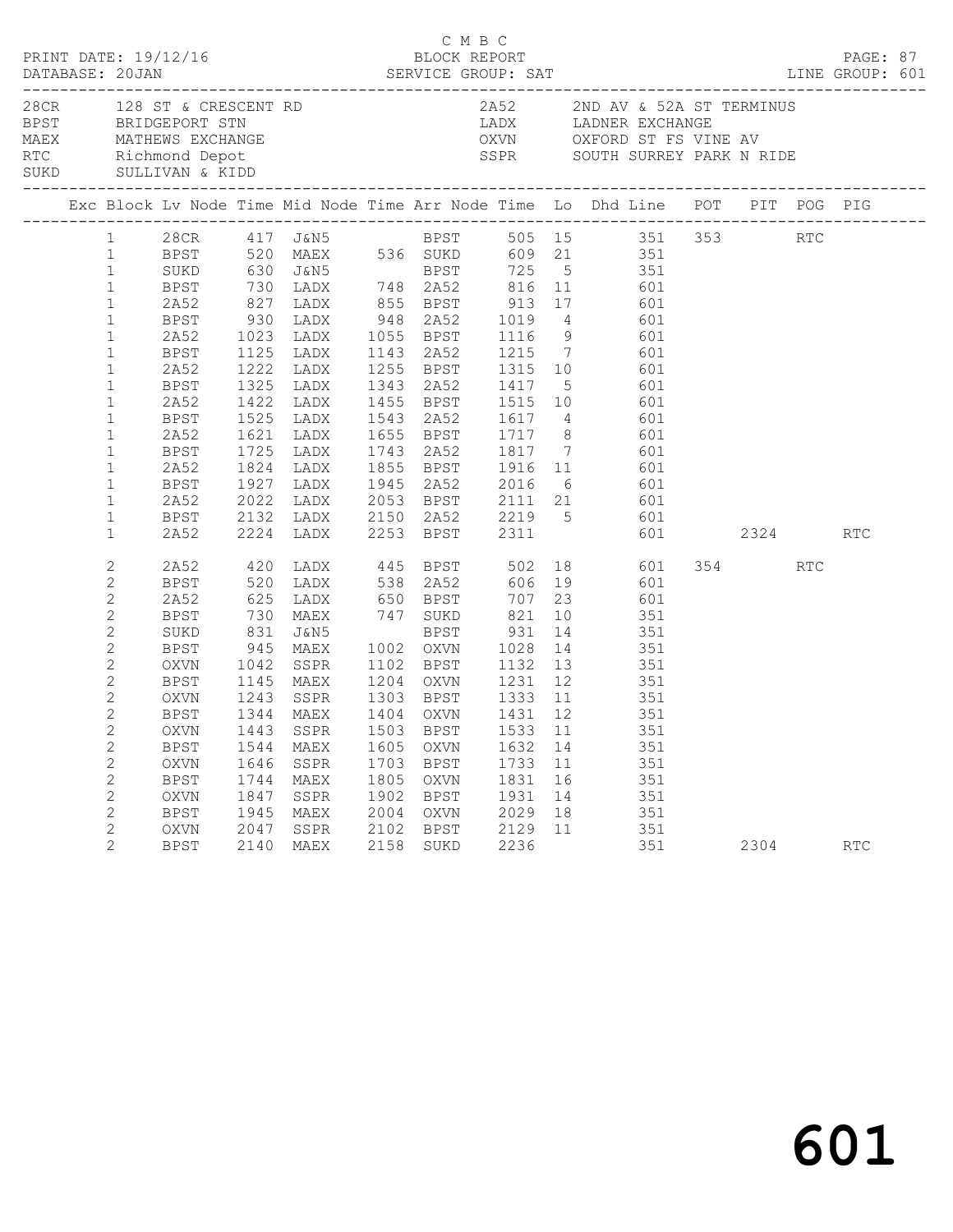|                                                                                                                                                                                                                                                                                                                                                       | PRINT DATE: 19/12/16                                                                             |                                                      |                                                                                                                    |                                              | C M B C                                                   | BLOCK REPORT                                               |                      | DATABASE: 20JAN SERVICE GROUP: SAT LINE GROUP: 601                                                                                                                                                                                                                                                                                                                                                                                                                                                                                                                                                                                                                                                                                                                                                                                                                                                                                                                                                                                                                           |      | PAGE: 87             |  |
|-------------------------------------------------------------------------------------------------------------------------------------------------------------------------------------------------------------------------------------------------------------------------------------------------------------------------------------------------------|--------------------------------------------------------------------------------------------------|------------------------------------------------------|--------------------------------------------------------------------------------------------------------------------|----------------------------------------------|-----------------------------------------------------------|------------------------------------------------------------|----------------------|------------------------------------------------------------------------------------------------------------------------------------------------------------------------------------------------------------------------------------------------------------------------------------------------------------------------------------------------------------------------------------------------------------------------------------------------------------------------------------------------------------------------------------------------------------------------------------------------------------------------------------------------------------------------------------------------------------------------------------------------------------------------------------------------------------------------------------------------------------------------------------------------------------------------------------------------------------------------------------------------------------------------------------------------------------------------------|------|----------------------|--|
|                                                                                                                                                                                                                                                                                                                                                       |                                                                                                  |                                                      |                                                                                                                    |                                              |                                                           |                                                            |                      | 28 CR 128 ST & CRESCENT RD 2852 2ND AV & 52A ST TERMINUS<br>BPST BRIDGEPORT STN LADX LADNER EXCHANGE<br>MAEX MATHEWS EXCHANGE OXVN OXFORD ST FS VINE AV<br>RTC Richmond Depot SURD SULLIVAN & KIDD SURD SULLIVAN & KIDD                                                                                                                                                                                                                                                                                                                                                                                                                                                                                                                                                                                                                                                                                                                                                                                                                                                      |      |                      |  |
|                                                                                                                                                                                                                                                                                                                                                       |                                                                                                  |                                                      |                                                                                                                    |                                              |                                                           |                                                            |                      | Exc Block Lv Node Time Mid Node Time Arr Node Time Lo Dhd Line POT PIT POG PIG                                                                                                                                                                                                                                                                                                                                                                                                                                                                                                                                                                                                                                                                                                                                                                                                                                                                                                                                                                                               |      |                      |  |
| $\mathbf{1}$<br>$\mathbf{1}$<br>$\mathbf{1}$<br>$\mathbf{1}$<br>$\mathbf{1}$<br>$\mathbf{1}$<br>$\mathbf{1}$<br>$\mathbf{1}$<br>$\mathbf{1}$<br>$\mathbf{1}$<br>$\mathbf{1}$<br>$\mathbf{1}$<br>$\mathbf{1}$<br>$\mathbf{1}$<br>$\mathbf{1}$<br>$\mathbf{1}$<br>$\mathbf{1}$<br>$\mathbf{2}$<br>2<br>2<br>2<br>$\mathbf{2}$<br>$\mathbf{2}$<br>2<br>2 | 2A52<br>BPST<br>2A52<br>2A52<br>BPST<br>2A52<br>2A52<br>2A52<br>BPST<br>SUKD<br>BPST<br>BPST     |                                                      | 625 LADX 650 BPST                                                                                                  |                                              |                                                           | 821                                                        |                      | 1 28CR 417 J&N5 BPST 505 15 351 353 RTC<br>1 BPST 520 MAEX 536 SUKD 609 21 351<br>SUKD 630 J&N5 BPST 725 5 351<br>BPST 730 LADX 748 2A52 816 11 601<br>2A52 827 LADX 855 BPST 913 17 601<br>BPST 930 LADX 948 2A52 1019 4 601<br>1023 LADX 1055 BPST 1116 9 601<br>1125 LADX 1143 2A52 1215 7 601<br>1222 LADX 1255 BPST 1315 10 601<br>BPST 1325 LADX 1343 2A52 1417 5 601<br>1422 LADX 1455 BPST 1515 10 601<br>1525 LADX     1543   2A52       1617     4               601<br>1621   LADX       1655   BPST       1717     8               601<br>BPST 1725 LADX 1743 2A52 1817 7 601<br>1824 LADX 1855 BPST 1916 11 601<br>BPST 1927 LADX 1945 2A52 2016 6 601<br>2A52 2022 LADX 2053 BPST 2111 21 601<br>BPST 2132 LADX 2150 2A52 2219 5 601<br>2A52 2224 LADX 2253 BPST 2311 601 2324 RTC<br>2A52 420 LADX 445 BPST 502 18 601 354 RTC<br>BPST 520 LADX 538 2A52 606 19 601<br>707 23 601<br>130 MAEX 147 SUKD 821 10 351<br>131 J&N5 BPST 931 14 351<br>14 351 MAEX 1002 OXVN 1028 14 351<br>OXVN 1042 SSPR 1102 BPST 1132 13 351<br>1145 MAEX 1204 OXVN 1231 12 351 |      |                      |  |
| $\mathbf{2}$<br>$\mathbf{2}$<br>$\overline{2}$<br>2<br>$\mathbf{2}$<br>$\mathbf{2}$<br>$\mathbf{2}$<br>2<br>$\mathbf{2}$<br>2                                                                                                                                                                                                                         | OXVN<br>BPST<br>BPST<br>OXVN<br><b>BPST</b><br><b>OXVN</b><br><b>BPST</b><br>OXVN<br><b>BPST</b> | 1544<br>1646<br>1744<br>1847<br>1945<br>2047<br>2140 | 1243 SSPR 1303 BPST 1333 11<br>1344 MAEX 1404 OXVN 1431 12<br>MAEX<br>SSPR<br>MAEX<br>SSPR<br>MAEX<br>SSPR<br>MAEX | 1703<br>1805<br>1902<br>2004<br>2102<br>2158 | 1605 OXVN<br>BPST<br>OXVN<br>BPST<br>OXVN<br>BPST<br>SUKD | 1632 14<br>1733 11<br>1831<br>1931<br>2029<br>2129<br>2236 | 16<br>14<br>18<br>11 | $351$<br>$351$<br>OXVN 1443 SSPR 1503 BPST 1533 11 351<br>351<br>351<br>351<br>351<br>351<br>351<br>351                                                                                                                                                                                                                                                                                                                                                                                                                                                                                                                                                                                                                                                                                                                                                                                                                                                                                                                                                                      | 2304 | $\operatorname{RTC}$ |  |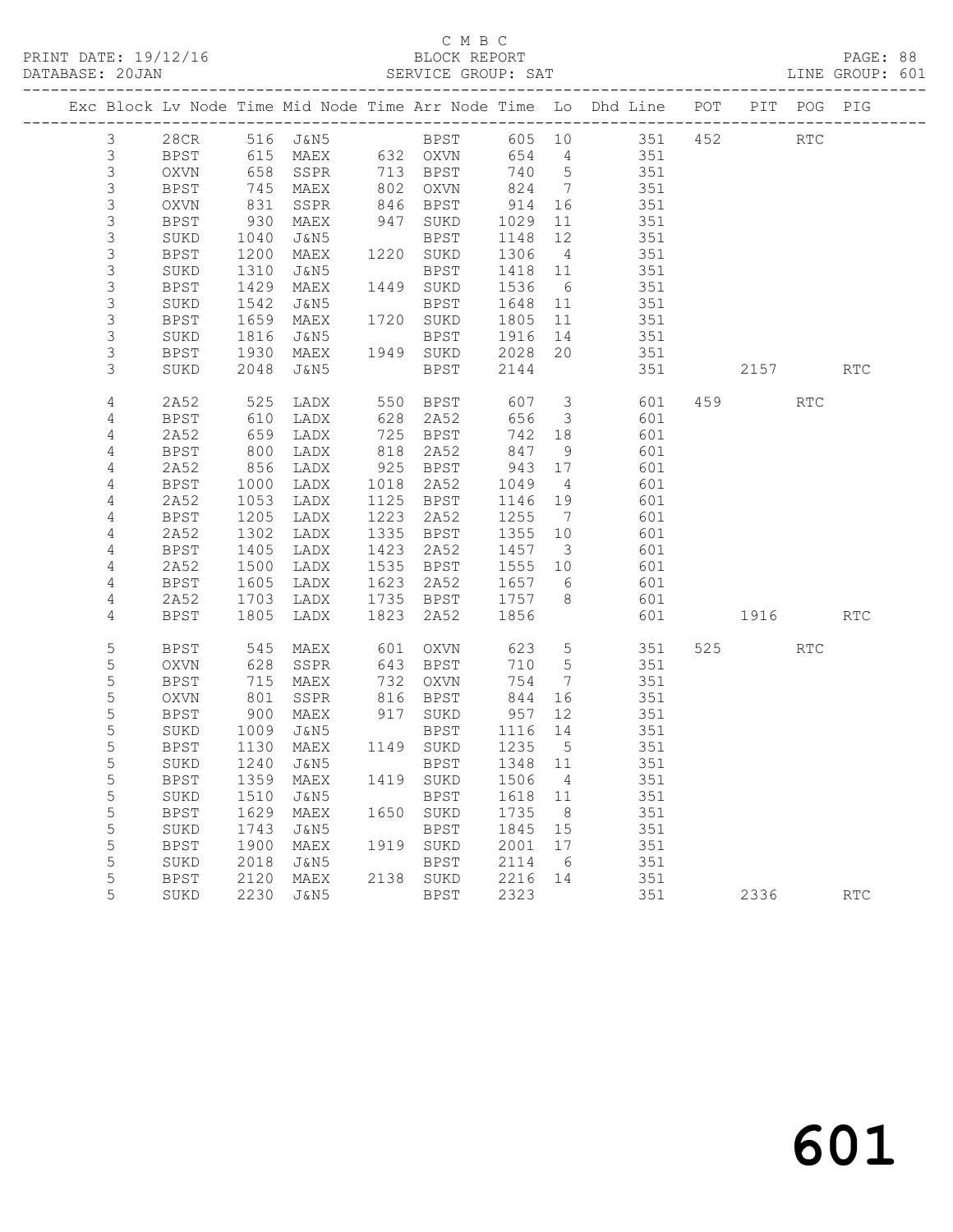|  |                |             |            |                            |      |              |         |                         | Exc Block Lv Node Time Mid Node Time Arr Node Time Lo Dhd Line POT                                        |      | PIT POG PIG |            |
|--|----------------|-------------|------------|----------------------------|------|--------------|---------|-------------------------|-----------------------------------------------------------------------------------------------------------|------|-------------|------------|
|  | $\mathcal{E}$  |             |            |                            |      |              |         |                         | 28CR 516 J&N5 BPST 605 10 351 452<br>BPST 615 MAEX 632 OXVN 654 4 351<br>OXVN 658 SSPR 713 BPST 740 5 351 |      | RTC         |            |
|  | $\mathfrak{Z}$ |             |            |                            |      |              |         |                         |                                                                                                           |      |             |            |
|  | $\mathsf 3$    |             |            |                            |      | 713 BPST     |         |                         | $\frac{1}{351}$                                                                                           |      |             |            |
|  | 3              | BPST        | 745        | MAEX                       |      | 802 OXVN     | 824     | $\overline{7}$          | 351                                                                                                       |      |             |            |
|  | $\mathsf 3$    | OXVN        | 831        | SSPR                       |      | 846 BPST     | 914     | 16                      | 351                                                                                                       |      |             |            |
|  | 3              | BPST        | 930        | MAEX                       |      | 947 SUKD     | 1029    | 11                      | 351                                                                                                       |      |             |            |
|  | 3              | SUKD        | 1040       | J&N5                       |      | BPST         | 1148    | 12                      | 351                                                                                                       |      |             |            |
|  | 3              | BPST        | 1200       | MAEX                       |      | 1220 SUKD    | 1306    | $\overline{4}$          | 351                                                                                                       |      |             |            |
|  | 3              | SUKD        | 1310       | J&N5                       |      | BPST         | 1418 11 |                         | 351                                                                                                       |      |             |            |
|  | $\mathsf 3$    | BPST        | 1429       | MAEX                       |      | 1449 SUKD    | 1536    | 6                       | 351                                                                                                       |      |             |            |
|  | 3              | SUKD        | 1542       | J&N5                       |      | BPST         | 1648    | 11                      | $351$                                                                                                     |      |             |            |
|  | 3              | BPST        | 1659       | MAEX                       |      | 1720 SUKD    | 1805    | 11                      | 351                                                                                                       |      |             |            |
|  | 3              | SUKD        | 1816       | J&N5                       |      | BPST         | 1916    | 14                      | 351                                                                                                       |      |             |            |
|  | 3              | BPST        | 1930       | MAEX                       |      | 1949 SUKD    | 2028    | 20                      | 351                                                                                                       |      |             |            |
|  | 3              | SUKD        | 2048       | J&N5                       |      | BPST         | 2144    |                         | 351                                                                                                       | 2157 |             | <b>RTC</b> |
|  | 4              | 2A52        | 525        | LADX                       |      | 550 BPST     | 607     | $\overline{\mathbf{3}}$ | 601                                                                                                       | 459  | RTC         |            |
|  | 4              | BPST        | 610<br>659 | LADX                       | 628  | 2A52         | 656     | $\overline{\mathbf{3}}$ | 601                                                                                                       |      |             |            |
|  | $\overline{4}$ | 2A52        |            | LADX                       | 725  | BPST         | 742 18  |                         | 601                                                                                                       |      |             |            |
|  | $\overline{4}$ | BPST        | 800        | LADX                       | 818  | 2A52         | 847     | 9                       | 601                                                                                                       |      |             |            |
|  | 4              | 2A52        | 856        | LADX                       | 925  | BPST         | 943     | 17                      | 601                                                                                                       |      |             |            |
|  | $\overline{4}$ | BPST        | 1000       | LADX                       | 1018 | 2A52         | 1049    | $\overline{4}$          | 601                                                                                                       |      |             |            |
|  | 4              | 2A52        | 1053       | LADX                       |      | 1125 BPST    | 1146    | 19                      | 601                                                                                                       |      |             |            |
|  | $\overline{4}$ | BPST        | 1205       | LADX                       | 1223 | 2A52         | 1255    | $\overline{7}$          | 601                                                                                                       |      |             |            |
|  | 4              | 2A52        | 1302       | LADX                       | 1335 | BPST         | 1355    | 10                      | 601                                                                                                       |      |             |            |
|  | $\sqrt{4}$     | BPST        | 1405       | LADX                       | 1423 | 2A52         | 1457    | $\overline{\mathbf{3}}$ | 601                                                                                                       |      |             |            |
|  | $\overline{4}$ | 2A52        | 1500       | LADX                       |      | 1535 BPST    | 1555 10 |                         | 601                                                                                                       |      |             |            |
|  | 4              | BPST        | 1605       | LADX                       | 1623 | 2A52         | 1657 6  |                         | 601                                                                                                       |      |             |            |
|  | 4              | 2A52        | 1703       | LADX                       |      | 1735 BPST    | 1757    | 8 <sup>8</sup>          | 601                                                                                                       |      |             |            |
|  | 4              | BPST        | 1805       | LADX                       | 1823 | 2A52         | 1856    |                         | 601                                                                                                       | 1916 |             | RTC        |
|  | 5              | BPST        | 545        | MAEX                       | 601  | OXVN         | 623     | $5\overline{)}$         | 351                                                                                                       | 525  | <b>RTC</b>  |            |
|  | 5              | OXVN        | 628        | SSPR                       |      | 643 BPST     | 710     | $5\overline{)}$         | 351                                                                                                       |      |             |            |
|  | 5              | <b>BPST</b> | 715        | MAEX                       | 732  | OXVN         | 754     | $\overline{7}$          | 351                                                                                                       |      |             |            |
|  | 5              | OXVN        | 801        | SSPR                       | 816  | BPST         | 844     | 16                      | 351                                                                                                       |      |             |            |
|  | 5              | BPST        | 900        | MAEX                       |      | 917 SUKD     | 957     | 12                      | 351                                                                                                       |      |             |            |
|  | 5              | SUKD        | 1009       | J&N5                       |      | BPST 1116 14 |         |                         | 351                                                                                                       |      |             |            |
|  | 5              | BPST        | 1130       | MAEX                       |      | 1149 SUKD    | 1235    | $5^{\circ}$             | 351                                                                                                       |      |             |            |
|  | 5              | SUKD        | 1240       | J&N5                       |      | BPST         | 1348 11 |                         | 351                                                                                                       |      |             |            |
|  | 5              | BPST        |            | 1359 MAEX 1419 SUKD 1506 4 |      |              |         |                         | 351                                                                                                       |      |             |            |
|  | 5              | SUKD        | 1510       | J&N5                       |      | BPST         | 1618 11 |                         | 351                                                                                                       |      |             |            |
|  | 5              | BPST        | 1629       | MAEX                       |      | 1650 SUKD    | 1735    | 8                       | 351                                                                                                       |      |             |            |
|  | 5              | SUKD        | 1743       | J&N5                       |      | BPST         | 1845    | 15                      | 351                                                                                                       |      |             |            |
|  | 5              | <b>BPST</b> | 1900       | MAEX                       |      | 1919 SUKD    | 2001    | 17                      | 351                                                                                                       |      |             |            |
|  | 5              | SUKD        | 2018       | J&N5                       |      | <b>BPST</b>  | 2114    | $6\overline{6}$         | 351                                                                                                       |      |             |            |
|  | 5              | <b>BPST</b> | 2120       | MAEX                       | 2138 | SUKD         | 2216    | 14                      | 351                                                                                                       |      |             |            |
|  | 5              | SUKD        | 2230       | J&N5                       |      | BPST         | 2323    |                         | 351                                                                                                       | 2336 |             | RTC        |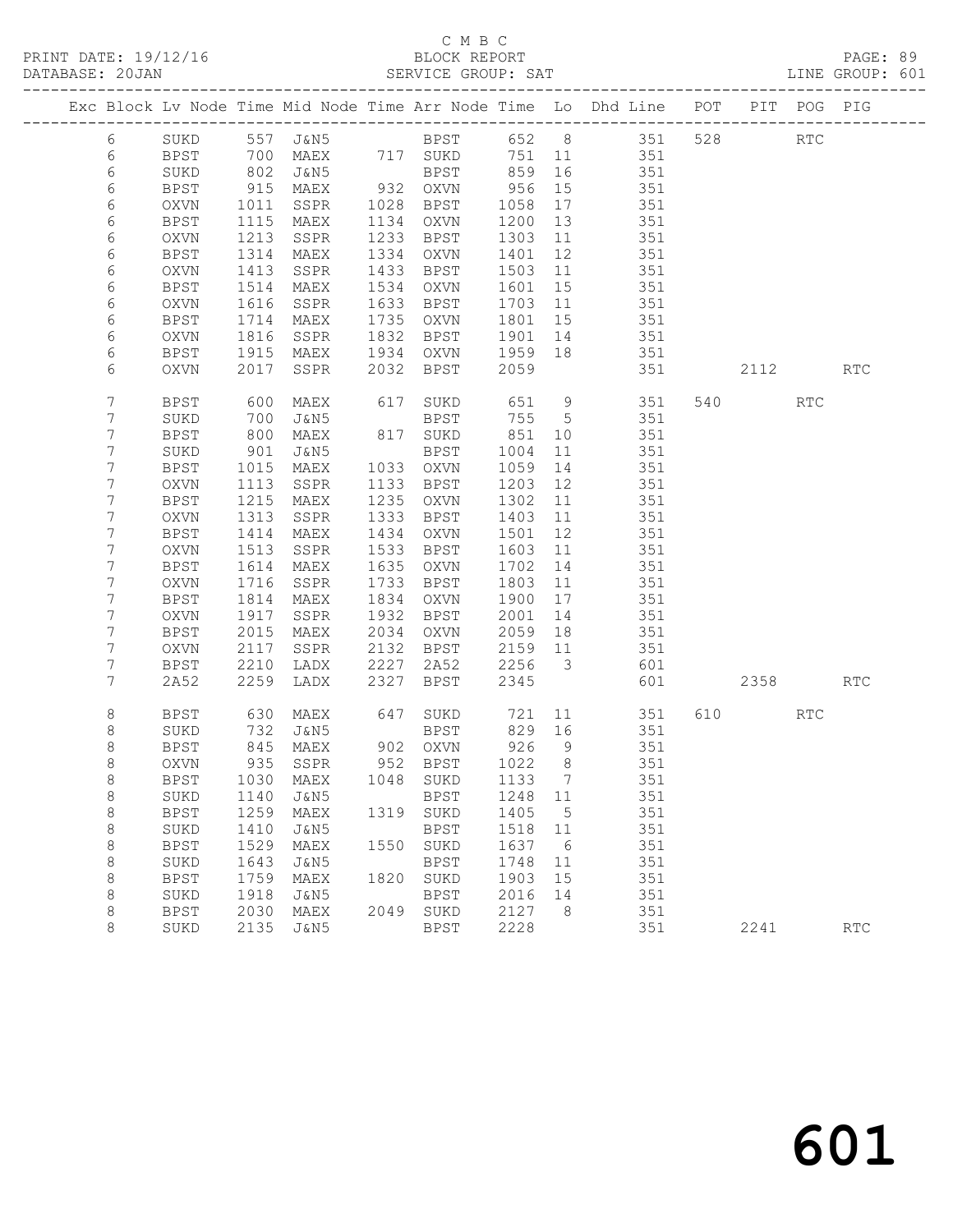PRINT DATE: 19/12/16 BLOCK REPORT<br>
DATABASE: 20JAN SERVICE GROUP: SAT

# C M B C<br>BLOCK REPORT

PAGE: 89<br>LINE GROUP: 601

|                    |                     |              |                              |              |                     |              |                         | Exc Block Lv Node Time Mid Node Time Arr Node Time Lo Dhd Line POT PIT POG PIG |         |                      |            |
|--------------------|---------------------|--------------|------------------------------|--------------|---------------------|--------------|-------------------------|--------------------------------------------------------------------------------|---------|----------------------|------------|
| 6                  | SUKD                |              | 557 J&N5                     |              |                     |              |                         | BPST 652 8 351                                                                 | 528 32  | $\operatorname{RTC}$ |            |
| $6\,$              | BPST                | 700          | MAEX                         |              | 717 SUKD            |              |                         | 751 11 351                                                                     |         |                      |            |
| $\epsilon$         | SUKD                | 802<br>915   | J&N5                         |              | BPST                | 859<br>956   | 16                      | 351                                                                            |         |                      |            |
| 6                  | BPST                |              | MAEX                         |              | 932 OXVN            |              | 15                      | 351                                                                            |         |                      |            |
| 6                  | OXVN                | 1011         | SSPR                         |              | 1028 BPST           | 1058         | 17                      | 351                                                                            |         |                      |            |
| 6                  | <b>BPST</b>         | 1115         | MAEX                         |              | 1134 OXVN           | 1200         | 13                      | 351                                                                            |         |                      |            |
| $\epsilon$         | OXVN                | 1213         | SSPR                         | 1233         | BPST                | 1303         | 11                      | 351                                                                            |         |                      |            |
| 6                  | BPST                | 1314         | MAEX                         | 1334         | OXVN                | 1401         | 12                      | 351                                                                            |         |                      |            |
| 6                  | <b>OXVN</b>         | 1413         | SSPR                         | 1433         | BPST                | 1503         | 11                      | 351                                                                            |         |                      |            |
| 6                  | <b>BPST</b>         | 1514         | MAEX                         | 1534         | OXVN                | 1601         | 15                      | 351                                                                            |         |                      |            |
| $\epsilon$         | OXVN                | 1616         | SSPR                         | 1633         | BPST                | 1703         | 11                      | 351                                                                            |         |                      |            |
| 6                  | <b>BPST</b>         | 1714         | MAEX                         | 1735<br>1832 | OXVN                | 1801         | 15                      | 351<br>351                                                                     |         |                      |            |
| 6<br>6             | OXVN<br><b>BPST</b> | 1816<br>1915 | SSPR<br>MAEX                 | 1934         | BPST<br>OXVN        | 1901<br>1959 | 14<br>18                | 351                                                                            |         |                      |            |
| 6                  | <b>OXVN</b>         | 2017         | SSPR                         | 2032         | BPST                | 2059         |                         | 351                                                                            | 2112    |                      | <b>RTC</b> |
|                    |                     |              |                              |              |                     |              |                         |                                                                                |         |                      |            |
| 7                  | <b>BPST</b>         | 600          | MAEX                         | 617          | SUKD                |              |                         | 651 9 351                                                                      | 540 540 | <b>RTC</b>           |            |
| 7                  | SUKD                | 700          | J&N5                         |              | BPST                | 755 5        |                         | 351                                                                            |         |                      |            |
| 7                  | <b>BPST</b>         | 800          | MAEX                         |              | 817 SUKD            | 851          | 10                      | 351                                                                            |         |                      |            |
| 7                  | SUKD                | 901          | J&N5                         |              | BPST                | 1004         | 11                      | 351                                                                            |         |                      |            |
| 7                  | <b>BPST</b>         | 1015         | MAEX                         |              | 1033 OXVN           | 1059         | 14                      | 351                                                                            |         |                      |            |
| 7                  | <b>OXVN</b>         | 1113         | SSPR                         | 1133         | BPST                | 1203         | 12                      | 351                                                                            |         |                      |            |
| 7                  | <b>BPST</b>         | 1215         | MAEX                         | 1235         | OXVN                | 1302         | 11                      | 351                                                                            |         |                      |            |
| 7                  | <b>OXVN</b>         | 1313         | SSPR                         | 1333         | BPST                | 1403         | 11                      | 351                                                                            |         |                      |            |
| 7                  | <b>BPST</b>         | 1414         | MAEX                         | 1434         | OXVN                | 1501         | 12                      | 351                                                                            |         |                      |            |
| 7                  | <b>OXVN</b>         | 1513         | SSPR                         | 1533         | BPST                | 1603         | 11                      | 351                                                                            |         |                      |            |
| 7                  | <b>BPST</b>         | 1614         | MAEX                         | 1635         | OXVN                | 1702         | 14                      | 351                                                                            |         |                      |            |
| 7                  | OXVN                | 1716         | SSPR                         | 1733         | BPST                | 1803         | 11                      | 351                                                                            |         |                      |            |
| 7<br>7             | <b>BPST</b>         | 1814         | MAEX                         | 1834         | OXVN                | 1900         | 17                      | 351                                                                            |         |                      |            |
| 7                  | OXVN<br><b>BPST</b> | 1917<br>2015 | SSPR<br>MAEX                 | 1932<br>2034 | BPST<br>OXVN        | 2001<br>2059 | 14<br>18                | 351<br>351                                                                     |         |                      |            |
| 7                  | OXVN                | 2117         | SSPR                         | 2132         | BPST                | 2159 11      |                         | 351                                                                            |         |                      |            |
| 7                  | BPST                | 2210         | LADX                         | 2227         | 2A52                | 2256         | $\overline{\mathbf{3}}$ | 601                                                                            |         |                      |            |
| 7                  | 2A52                | 2259         | LADX                         | 2327         | BPST                | 2345         |                         | 601                                                                            | 2358    |                      | <b>RTC</b> |
|                    |                     |              |                              |              |                     |              |                         |                                                                                |         |                      |            |
| 8                  | BPST                | 630          | MAEX                         |              | 647 SUKD            | 721          |                         | 11 351                                                                         | 610 000 | RTC                  |            |
| 8                  | SUKD                | 732          | J&N5                         |              | BPST                | 829 16       |                         | 351                                                                            |         |                      |            |
| 8                  | BPST                | 845          | MAEX                         |              | 902 OXVN            | 926          | 9                       | 351                                                                            |         |                      |            |
| 8                  | <b>OXVN</b>         |              | 935 SSPR                     |              | 952 BPST            | 1022 8       |                         | 351                                                                            |         |                      |            |
| $\,8\,$            | BPST                |              | 1030 MAEX 1048 SUKD          |              |                     | 1133 7       |                         | 351                                                                            |         |                      |            |
| 8                  | SUKD                | 1140<br>1259 | J&N5                         | 1319         | <b>BPST</b>         | 1248<br>1405 | 11                      | 351<br>351                                                                     |         |                      |            |
| $\,8\,$<br>$\,8\,$ | <b>BPST</b><br>SUKD | 1410         | MAEX<br>J&N5                 |              | SUKD<br><b>BPST</b> | 1518         | 5<br>11                 | 351                                                                            |         |                      |            |
| $\,8\,$            | <b>BPST</b>         | 1529         | $\ensuremath{\mathsf{MAEX}}$ | 1550         | SUKD                | 1637         | 6                       | 351                                                                            |         |                      |            |
| $\,8\,$            | $\rm SUKD$          | 1643         | J&N5                         |              | <b>BPST</b>         | 1748         | 11                      | 351                                                                            |         |                      |            |
| $\,8\,$            | <b>BPST</b>         | 1759         | MAEX                         | 1820         | SUKD                | 1903         | 15                      | 351                                                                            |         |                      |            |
| 8                  | SUKD                | 1918         | J&N5                         |              | <b>BPST</b>         | 2016         | 14                      | 351                                                                            |         |                      |            |
| 8                  | <b>BPST</b>         | 2030         | $\ensuremath{\mathsf{MAEX}}$ | 2049         | SUKD                | 2127         | 8                       | 351                                                                            |         |                      |            |
| $\,8\,$            | SUKD                | 2135         | J&N5                         |              | <b>BPST</b>         | 2228         |                         | 351                                                                            | 2241    |                      | <b>RTC</b> |
|                    |                     |              |                              |              |                     |              |                         |                                                                                |         |                      |            |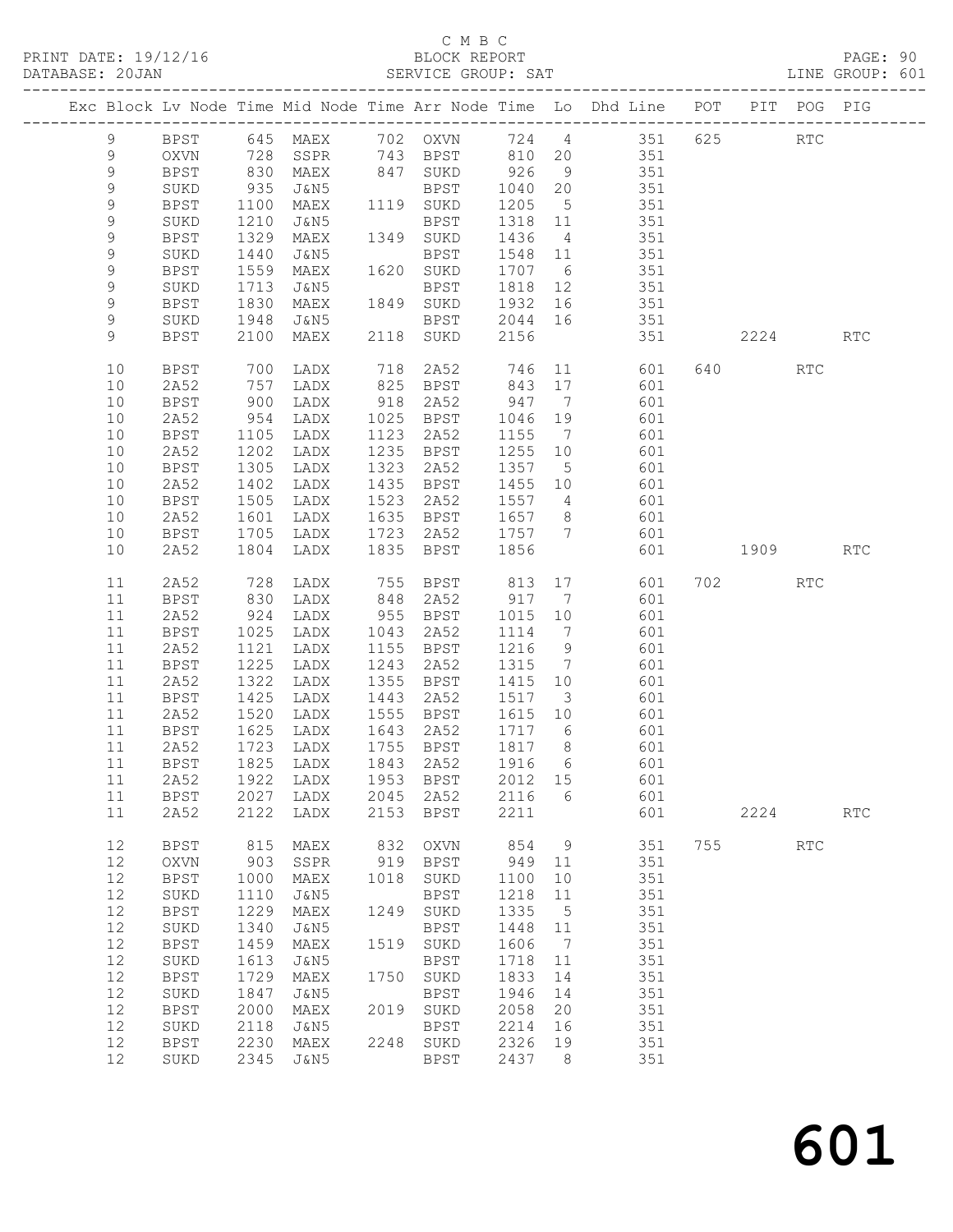|                |                     |                              |                                      |      | ب ہت ہے ب              |              |                | PRINT DATE: 19/12/16<br>BLOCK REPORT BLOCK PERT BLOCK PRESSE: 20JAN SERVICE GROUP: SAT LINE GROUP: 601 |     |          |            |                      |  |
|----------------|---------------------|------------------------------|--------------------------------------|------|------------------------|--------------|----------------|--------------------------------------------------------------------------------------------------------|-----|----------|------------|----------------------|--|
|                |                     |                              |                                      |      |                        |              |                | Exc Block Lv Node Time Mid Node Time Arr Node Time Lo Dhd Line POT PIT POG PIG                         |     |          |            |                      |  |
| 9              | BPST                |                              |                                      |      |                        |              |                | 645 MAEX 702 OXVN 724 4 351 625                                                                        |     |          | <b>RTC</b> |                      |  |
| 9              | OXVN                |                              |                                      |      |                        |              |                |                                                                                                        |     |          |            |                      |  |
| $\mathsf 9$    | BPST                |                              |                                      |      |                        |              |                |                                                                                                        |     |          |            |                      |  |
| 9              | SUKD                |                              |                                      |      |                        |              |                | 128 SSPR 143 BPST 810 20<br>1350 MAEX 847 SUKD 926 9 351<br>1040 20 351 935 J&N5 BPST 1040 20 351      |     |          |            |                      |  |
| $\overline{9}$ | BPST                | 1100                         |                                      |      |                        |              |                | MAEX 1119 SUKD 1205 5 351                                                                              |     |          |            |                      |  |
| 9              | SUKD                | 1210                         | J&N5                                 |      | BPST                   |              |                |                                                                                                        |     |          |            |                      |  |
| $\mathsf 9$    | <b>BPST</b>         | 1329                         | MAEX 1349 SUKD                       |      |                        |              |                | $\begin{array}{cccc} 1318 & 11 & & 351 \\ 1436 & 4 & & 351 \end{array}$                                |     |          |            |                      |  |
| 9              | SUKD                | 1440                         | J&N5                                 |      | BPST                   |              |                | 1436 4 351<br>1548 11 351                                                                              |     |          |            |                      |  |
| $\mathcal{G}$  | BPST                | 1559                         | MAEX                                 |      | 1620 SUKD              |              |                | 1707 6 351                                                                                             |     |          |            |                      |  |
| 9              | SUKD                | 1713                         | J&N5                                 |      | <b>BPST</b>            |              |                | 1818 12 351                                                                                            |     |          |            |                      |  |
| $\mathsf 9$    | BPST                |                              |                                      |      | MAEX 1849 SUKD         |              |                |                                                                                                        |     |          |            |                      |  |
| 9              | SUKD                | 1830<br>1948                 | J&N5                                 |      |                        |              |                | SUKD 1932 16 351<br>BPST 2044 16 351                                                                   |     |          |            |                      |  |
| 9              | BPST                |                              | 2100 MAEX 2118 SUKD                  |      |                        | 2156         |                | 351 2224 RTC                                                                                           |     |          |            |                      |  |
| 10             | BPST                | 700<br>757                   | LADX                                 |      |                        |              |                |                                                                                                        |     | 640 RTC  |            |                      |  |
| 10             | 2A52                | 757                          | LADX                                 |      |                        |              |                |                                                                                                        |     |          |            |                      |  |
| 10             | BPST                | 900                          | LADX                                 |      |                        |              |                | 918 2A52 947 7 601                                                                                     |     |          |            |                      |  |
| 10             | 2A52                | 954                          | LADX                                 |      | 1025 BPST              | 1046 19      |                | 601                                                                                                    |     |          |            |                      |  |
| 10<br>10       | BPST                | 1105<br>1202                 | LADX                                 |      | 1123 2A52<br>1235 BPST |              |                | 1155 7 601<br>1255 10 601                                                                              |     |          |            |                      |  |
| 10             | 2A52                | 1305                         | LADX                                 | 1323 |                        |              |                | 1357 5 601                                                                                             |     |          |            |                      |  |
| 10             | BPST<br>2A52        | 1402                         | LADX<br>LADX                         |      | 2A52<br>1435 BPST      |              |                | 1455 10 601                                                                                            |     |          |            |                      |  |
| 10             | BPST                | 1505                         | LADX                                 |      |                        |              |                |                                                                                                        |     |          |            |                      |  |
| 10             | 2A52                | 1601                         | LADX                                 |      |                        |              |                |                                                                                                        |     |          |            |                      |  |
| 10             | BPST                | 1705                         | LADX                                 |      |                        |              |                | 1523 2A52 1557 4 601<br>1635 BPST 1657 8 601<br>1723 2A52 1757 7 601                                   |     |          |            |                      |  |
| 10             | 2A52                | 1804                         | LADX                                 |      | 1835 BPST              | 1856         |                |                                                                                                        |     | 601 1909 |            | <b>RTC</b>           |  |
| 11             | 2A52                | 728<br>830                   | LADX                                 |      |                        |              |                |                                                                                                        |     | 702 RTC  |            |                      |  |
| 11             | BPST                |                              | LADX                                 |      |                        |              |                |                                                                                                        |     |          |            |                      |  |
| 11             | 2A52                | 924                          | LADX                                 |      | 955 BPST               |              |                | 1015 10 601                                                                                            |     |          |            |                      |  |
| 11             | BPST                | 1025                         | LADX                                 |      | 1043 2A52              |              |                | $\begin{array}{cccc} 1114 & 7 & 601 \\ 1216 & 9 & 601 \end{array}$                                     |     |          |            |                      |  |
| 11             | 2A52                | 1121                         | LADX                                 |      | 1155 BPST              | 1216 9       |                |                                                                                                        |     |          |            |                      |  |
| 11             | BPST                | 1225                         | LADX                                 |      | 1243 2A52              |              |                | $1315$ 7 601                                                                                           |     |          |            |                      |  |
| 11             | 2A52                | 1322                         | LADX                                 |      | 1355 BPST              |              |                | 1415 10 601                                                                                            |     |          |            |                      |  |
| 11<br>11       | BPST                | 1425<br>1425<br>1520<br>1625 | LADX                                 |      | 1443 2A52              |              |                | 1517 3 601                                                                                             |     |          |            |                      |  |
| 11             | 2A52<br>BPST        |                              | LADX<br>1625 LADX                    |      |                        |              |                | 1555 BPST 1615 10 601<br>1643 2A52 1717 6 601                                                          |     |          |            |                      |  |
| $11$           | 2A52                | 1723                         | ${\rm LADX}$                         | 1755 | BPST                   | 1817         | 8              | 601                                                                                                    |     |          |            |                      |  |
| 11             | <b>BPST</b>         | 1825                         | LADX                                 | 1843 | 2A52                   | 1916         | 6              | 601                                                                                                    |     |          |            |                      |  |
| 11             | 2A52                | 1922                         | LADX                                 | 1953 | <b>BPST</b>            | 2012         | 15             | 601                                                                                                    |     |          |            |                      |  |
| 11             | BPST                | 2027                         | LADX                                 | 2045 | 2A52                   | 2116         | 6              | 601                                                                                                    |     |          |            |                      |  |
| 11             | 2A52                | 2122                         | LADX                                 | 2153 | <b>BPST</b>            | 2211         |                | 601                                                                                                    |     | 2224     |            | $\operatorname{RTC}$ |  |
| 12             | BPST                | 815                          | MAEX                                 | 832  | <b>OXVN</b>            | 854          | $\overline{9}$ | 351                                                                                                    | 755 |          | RTC        |                      |  |
| 12             | <b>OXVN</b>         | 903                          | SSPR                                 | 919  | <b>BPST</b>            | 949          | 11             | 351                                                                                                    |     |          |            |                      |  |
| 12             | <b>BPST</b>         | 1000                         | MAEX                                 | 1018 | SUKD                   | 1100         | 10             | 351                                                                                                    |     |          |            |                      |  |
| 12             | SUKD                | 1110                         | J&N5                                 |      | <b>BPST</b>            | 1218         | 11             | 351                                                                                                    |     |          |            |                      |  |
| $12\,$         | <b>BPST</b>         | 1229                         | $\ensuremath{\mathsf{MAEX}}$         | 1249 | SUKD                   | 1335         | 5              | 351                                                                                                    |     |          |            |                      |  |
| 12             | SUKD                | 1340                         | J&N5                                 |      | <b>BPST</b>            | 1448         | 11             | 351                                                                                                    |     |          |            |                      |  |
| 12             | <b>BPST</b>         | 1459                         | MAEX                                 | 1519 | SUKD                   | 1606         | 7              | 351                                                                                                    |     |          |            |                      |  |
| 12             | SUKD                | 1613                         | J&N5                                 |      | <b>BPST</b>            | 1718         | 11             | 351                                                                                                    |     |          |            |                      |  |
| $12\,$         | <b>BPST</b>         | 1729                         | MAEX                                 | 1750 | SUKD                   | 1833         | 14             | 351                                                                                                    |     |          |            |                      |  |
| 12             | SUKD                | 1847                         | J&N5                                 |      | <b>BPST</b>            | 1946         | 14             | 351                                                                                                    |     |          |            |                      |  |
| 12             | <b>BPST</b>         | 2000                         | MAEX                                 | 2019 | SUKD                   | 2058<br>2214 | 20             | 351<br>351                                                                                             |     |          |            |                      |  |
| $12$<br>$12$   | SUKD<br><b>BPST</b> | 2118<br>2230                 | J&N5<br>$\ensuremath{\mathsf{MAEX}}$ | 2248 | <b>BPST</b><br>SUKD    | 2326         | 16<br>19       | 351                                                                                                    |     |          |            |                      |  |
| 12             | SUKD                | 2345                         | J&N5                                 |      | <b>BPST</b>            | 2437         | 8              | 351                                                                                                    |     |          |            |                      |  |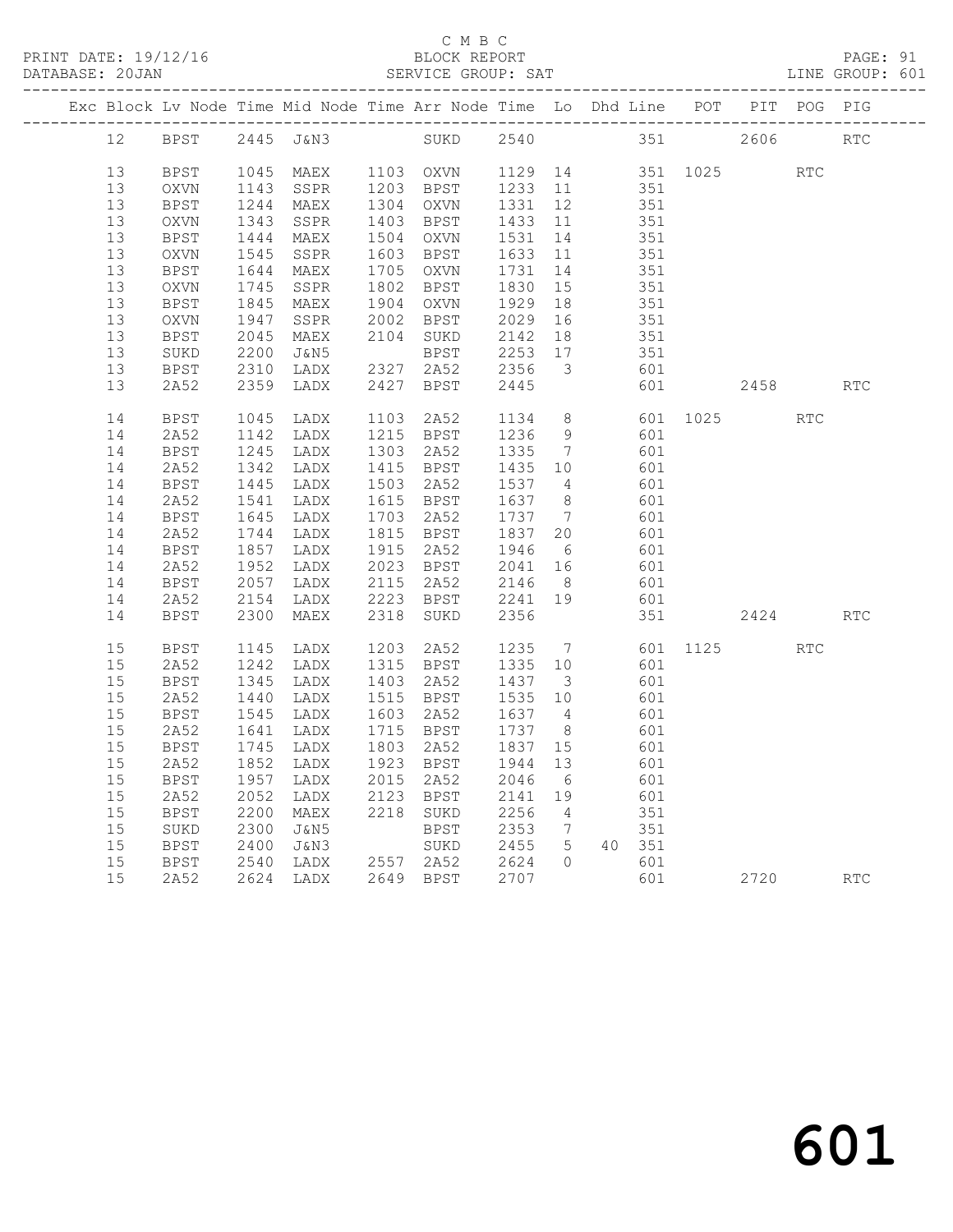### C M B C

|    |             |      |                                                                                |      | C M B C   |         |                 |                                                |        |                  |      |            |            |  |
|----|-------------|------|--------------------------------------------------------------------------------|------|-----------|---------|-----------------|------------------------------------------------|--------|------------------|------|------------|------------|--|
|    |             |      | Exc Block Lv Node Time Mid Node Time Arr Node Time Lo Dhd Line POT PIT POG PIG |      |           |         |                 |                                                |        |                  |      |            |            |  |
| 12 | BPST        |      | 2445 J&N3                                                                      |      | SUKD      |         |                 |                                                |        | 2540 351         | 2606 |            | <b>RTC</b> |  |
| 13 | BPST        | 1045 | MAEX                                                                           |      | 1103 OXVN |         |                 |                                                |        | 1129 14 351 1025 |      | <b>RTC</b> |            |  |
| 13 | OXVN        | 1143 | SSPR                                                                           |      | 1203 BPST | 1233 11 |                 |                                                | 351    |                  |      |            |            |  |
| 13 | <b>BPST</b> | 1244 | MAEX                                                                           |      | 1304 OXVN | 1331    | 12              |                                                | 351    |                  |      |            |            |  |
| 13 | OXVN        | 1343 | SSPR                                                                           | 1403 | BPST      | 1433 11 |                 |                                                | 351    |                  |      |            |            |  |
| 13 | <b>BPST</b> | 1444 | MAEX                                                                           |      | 1504 OXVN | 1531    |                 | 14 351                                         |        |                  |      |            |            |  |
| 13 | OXVN        | 1545 | SSPR                                                                           | 1603 | BPST      | 1633    |                 | $\begin{array}{ccc} 11 & & \\ & & \end{array}$ | 351    |                  |      |            |            |  |
| 13 | BPST        | 1644 | MAEX                                                                           |      | 1705 OXVN | 1731    | 14              |                                                | 351    |                  |      |            |            |  |
| 13 | OXVN        | 1745 | SSPR                                                                           | 1802 | BPST      | 1830    |                 | 15                                             | 351    |                  |      |            |            |  |
| 13 | <b>BPST</b> | 1845 | MAEX                                                                           |      | 1904 OXVN | 1929    | 18              | 351                                            |        |                  |      |            |            |  |
| 13 | <b>OXVN</b> | 1947 | SSPR                                                                           | 2002 | BPST      | 2029    | 16              |                                                | 351    |                  |      |            |            |  |
| 13 | BPST        | 2045 | MAEX                                                                           |      | 2104 SUKD | 2142    | 18              |                                                | 351    |                  |      |            |            |  |
| 13 | SUKD        | 2200 | J&N5                                                                           |      | BPST      | 2253 17 |                 |                                                | 351    |                  |      |            |            |  |
| 13 | BPST        | 2310 | LADX                                                                           | 2327 | 2A52      | 2356    |                 | 3 601                                          |        |                  |      |            |            |  |
| 13 | 2A52        | 2359 | LADX                                                                           | 2427 | BPST      | 2445    |                 |                                                | 601    |                  |      | 2458 RTC   |            |  |
| 14 | BPST        | 1045 | LADX                                                                           | 1103 | 2A52      | 1134    |                 | $8 - 8$                                        | 601    | 1025 000         |      | RTC        |            |  |
| 14 | 2A52        | 1142 | LADX                                                                           |      | 1215 BPST | 1236    | 9               |                                                | 601    |                  |      |            |            |  |
| 14 | BPST        | 1245 | LADX                                                                           | 1303 | 2A52      | 1335    | $\overline{7}$  |                                                | 601    |                  |      |            |            |  |
| 14 | 2A52        | 1342 | LADX                                                                           | 1415 | BPST      | 1435    | 10              |                                                | 601    |                  |      |            |            |  |
| 14 | BPST        | 1445 | LADX                                                                           | 1503 | 2A52      | 1537 4  |                 |                                                | 601    |                  |      |            |            |  |
| 14 | 2A52        | 1541 | LADX                                                                           | 1615 | BPST      | 1637    | 8 <sup>8</sup>  |                                                | 601    |                  |      |            |            |  |
| 14 | BPST        | 1645 | LADX                                                                           | 1703 | 2A52      | 1737    | $7\overline{ }$ |                                                | 601    |                  |      |            |            |  |
| 14 | 2A52        | 1744 | LADX                                                                           |      | 1815 BPST | 1837    | 20              |                                                | 601    |                  |      |            |            |  |
| 14 | BPST        | 1857 | LADX                                                                           | 1915 | 2A52      | 1946    | $6\overline{6}$ |                                                | 601    |                  |      |            |            |  |
| 14 | 2A52        | 1952 | LADX                                                                           |      | 2023 BPST | 2041    | 16              | 601                                            |        |                  |      |            |            |  |
| 14 | BPST        | 2057 | LADX                                                                           | 2115 | 2A52      | 2146    | 8 <sup>8</sup>  | 601                                            |        |                  |      |            |            |  |
| 14 | 2A52        | 2154 | LADX                                                                           | 2223 | BPST      | 2241 19 |                 |                                                | 601    |                  |      |            |            |  |
| 14 | <b>BPST</b> | 2300 | MAEX                                                                           | 2318 | SUKD      | 2356    |                 |                                                | 351    |                  |      | 2424       | RTC        |  |
| 15 | BPST        | 1145 | LADX                                                                           |      | 1203 2A52 | 1235 7  |                 |                                                |        | 601 1125         |      | <b>RTC</b> |            |  |
| 15 | 2A52        | 1242 | LADX                                                                           |      | 1315 BPST | 1335 10 |                 |                                                | 601    |                  |      |            |            |  |
| 15 | <b>BPST</b> | 1345 | LADX                                                                           |      | 1403 2A52 | 1437 3  |                 |                                                | 601    |                  |      |            |            |  |
| 15 | 2A52        | 1440 | LADX                                                                           |      | 1515 BPST | 1535 10 |                 |                                                | 601    |                  |      |            |            |  |
| 15 | <b>BPST</b> |      | 1545 LADX 1603 2A52 1637 4 601                                                 |      |           |         |                 |                                                |        |                  |      |            |            |  |
| 15 | 2A52        | 1641 | LADX                                                                           |      | 1715 BPST | 1737 8  |                 |                                                | 601    |                  |      |            |            |  |
| 15 | BPST        | 1745 | LADX                                                                           | 1803 | 2A52      | 1837 15 |                 |                                                | 601    |                  |      |            |            |  |
| 15 | 2A52        | 1852 | LADX                                                                           | 1923 | BPST      | 1944    | 13              |                                                | 601    |                  |      |            |            |  |
| 15 | <b>BPST</b> | 1957 | LADX                                                                           | 2015 | 2A52      | 2046    | 6               |                                                | 601    |                  |      |            |            |  |
| 15 | 2A52        | 2052 | LADX                                                                           | 2123 | BPST      | 2141    | 19              |                                                | 601    |                  |      |            |            |  |
| 15 | <b>BPST</b> | 2200 | MAEX                                                                           | 2218 | SUKD      | 2256    | $\overline{4}$  |                                                | 351    |                  |      |            |            |  |
| 15 | SUKD        | 2300 | J&N5                                                                           |      | BPST      | 2353    | $\overline{7}$  |                                                | 351    |                  |      |            |            |  |
| 15 | BPST        | 2400 | J&N3                                                                           |      | SUKD      | 2455    | $5\overline{)}$ |                                                | 40 351 |                  |      |            |            |  |
| 15 | BPST        | 2540 | LADX                                                                           |      | 2557 2A52 | 2624    | $\Omega$        |                                                | 601    |                  |      |            |            |  |
| 15 | 2A52        | 2624 | LADX                                                                           |      | 2649 BPST | 2707    |                 |                                                | 601    |                  |      | 2720       | RTC        |  |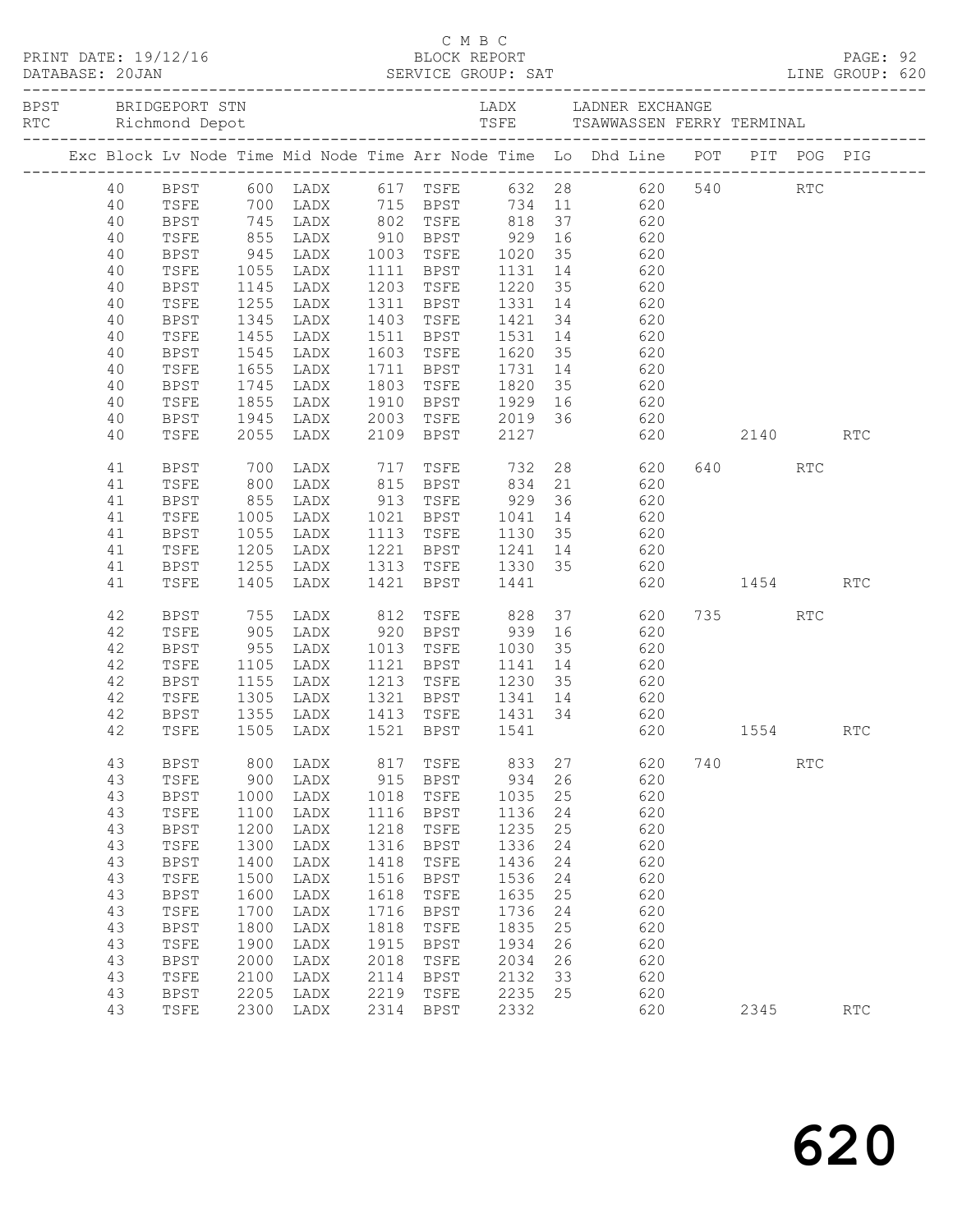|  |    |             |               |                        |      |                 |      |    | Exc Block Lv Node Time Mid Node Time Arr Node Time Lo Dhd Line POT PIT POG PIG                                                    |     |         |                             |                      |  |
|--|----|-------------|---------------|------------------------|------|-----------------|------|----|-----------------------------------------------------------------------------------------------------------------------------------|-----|---------|-----------------------------|----------------------|--|
|  | 40 |             |               |                        |      |                 |      |    | BPST 600 LADX 617 TSFE 632 28 620 540 RTC<br>TSFE 700 LADX 715 BPST 734 11 620                                                    |     |         |                             |                      |  |
|  | 40 |             |               |                        |      |                 |      |    |                                                                                                                                   |     |         |                             |                      |  |
|  | 40 | <b>BPST</b> |               |                        |      |                 |      |    | 745 LADX 802 TSFE 818 37 620<br>855 LADX 910 BPST 929 16 620<br>945 LADX 1003 TSFE 1020 35 620<br>1055 LADX 1111 BPST 1131 14 620 |     |         |                             |                      |  |
|  | 40 | TSFE        |               |                        |      |                 |      |    |                                                                                                                                   |     |         |                             |                      |  |
|  | 40 | BPST        |               |                        |      |                 |      |    |                                                                                                                                   |     |         |                             |                      |  |
|  | 40 | TSFE        |               |                        |      |                 |      |    |                                                                                                                                   |     |         |                             |                      |  |
|  | 40 | BPST        |               | 1145 LADX              |      |                 |      |    | 1203 TSFE 1220 35 620                                                                                                             |     |         |                             |                      |  |
|  | 40 | TSFE        | 1255          | LADX                   |      |                 |      |    |                                                                                                                                   |     |         |                             |                      |  |
|  | 40 | <b>BPST</b> | 1345<br>1455  | LADX                   |      |                 |      |    | 1311 BPST 1331 14 620<br>1403 TSFE 1421 34 620<br>1511 BPST 1531 14 620                                                           |     |         |                             |                      |  |
|  | 40 | TSFE        |               | LADX                   |      |                 |      |    |                                                                                                                                   |     |         |                             |                      |  |
|  | 40 | BPST        | 1545          | LADX                   |      |                 |      |    | 1603 TSFE 1620 35 620                                                                                                             |     |         |                             |                      |  |
|  | 40 | TSFE        | 1655          | LADX                   |      | 1711 BPST 1731  |      |    | 14 620                                                                                                                            |     |         |                             |                      |  |
|  | 40 | BPST        |               | 1745 LADX<br>1855 LADX |      |                 |      |    |                                                                                                                                   |     |         |                             |                      |  |
|  | 40 | TSFE        |               |                        |      |                 |      |    |                                                                                                                                   |     |         |                             |                      |  |
|  | 40 | BPST        |               | 1945 LADX              |      |                 |      |    | 2003 TSFE 2019 36 620                                                                                                             |     |         |                             |                      |  |
|  | 40 | TSFE        | 2055          | LADX                   |      | 2109 BPST 2127  |      |    | 620 2140 RTC                                                                                                                      |     |         |                             |                      |  |
|  | 41 | BPST        | 700           |                        |      |                 |      |    | LADX 717 TSFE 732 28 620                                                                                                          |     | 640 640 | RTC                         |                      |  |
|  | 41 | TSFE        | 800           |                        |      |                 |      |    | LADX 815 BPST 834 21 620                                                                                                          |     |         |                             |                      |  |
|  | 41 | BPST        |               |                        |      |                 |      |    | 855 LADX 913 TSFE 929 36 620                                                                                                      |     |         |                             |                      |  |
|  | 41 | TSFE        |               |                        |      |                 |      |    |                                                                                                                                   |     |         |                             |                      |  |
|  | 41 | BPST        | 1005<br>1055  |                        |      |                 |      |    | LADX 1021 BPST 1041 14 620<br>LADX 1113 TSFE 1130 35 620                                                                          |     |         |                             |                      |  |
|  | 41 | TSFE        |               | 1205 LADX              |      |                 |      |    | 1221 BPST 1241 14 620                                                                                                             |     |         |                             |                      |  |
|  | 41 | BPST        | 1255          | LADX                   |      |                 |      |    | 1313 TSFE 1330 35 620                                                                                                             |     |         |                             |                      |  |
|  | 41 | TSFE        | 1405          | LADX                   |      | 1421 BPST 1441  |      |    | 620 1454                                                                                                                          |     |         |                             | RTC                  |  |
|  | 42 | BPST        |               | 755 LADX               |      | 812 TSFE 828 37 |      |    | 620                                                                                                                               |     | 735     | <b>RTC</b>                  |                      |  |
|  | 42 | TSFE        | 905           |                        |      |                 |      |    | LADX 920 BPST 939 16 620                                                                                                          |     |         |                             |                      |  |
|  | 42 | BPST        |               |                        |      |                 |      |    |                                                                                                                                   |     |         |                             |                      |  |
|  | 42 | TSFE        | $955$<br>1105 |                        |      |                 |      |    | LADX 1013 TSFE 1030 35 620<br>LADX 1121 BPST 1141 14 620                                                                          |     |         |                             |                      |  |
|  | 42 | BPST        |               |                        |      |                 |      |    | 1155 LADX 1213 TSFE 1230 35 620                                                                                                   |     |         |                             |                      |  |
|  | 42 | TSFE        |               |                        |      |                 |      |    | 1305 LADX 1321 BPST 1341 14 620                                                                                                   |     |         |                             |                      |  |
|  | 42 | BPST        |               | 1355 LADX              |      | 1413 TSFE       |      |    | 1431 34 620                                                                                                                       |     |         |                             |                      |  |
|  |    |             |               |                        |      |                 |      |    | 42 TSFE 1505 LADX 1521 BPST 1541 620 1554 RTC                                                                                     |     |         |                             |                      |  |
|  | 43 | <b>BPST</b> | 800           | LADX                   | 817  | TSFE            | 833  | 27 | 620                                                                                                                               | 740 |         | $\mathop{\rm RTC}\nolimits$ |                      |  |
|  | 43 | TSFE        | 900           | LADX                   | 915  | <b>BPST</b>     | 934  | 26 | 620                                                                                                                               |     |         |                             |                      |  |
|  | 43 | <b>BPST</b> | 1000          | LADX                   | 1018 | TSFE            | 1035 | 25 | 620                                                                                                                               |     |         |                             |                      |  |
|  | 43 | TSFE        | 1100          | LADX                   | 1116 | <b>BPST</b>     | 1136 | 24 | 620                                                                                                                               |     |         |                             |                      |  |
|  | 43 | <b>BPST</b> | 1200          | LADX                   | 1218 | TSFE            | 1235 | 25 | 620                                                                                                                               |     |         |                             |                      |  |
|  | 43 | TSFE        | 1300          | LADX                   | 1316 | <b>BPST</b>     | 1336 | 24 | 620                                                                                                                               |     |         |                             |                      |  |
|  | 43 | <b>BPST</b> | 1400          | LADX                   | 1418 | TSFE            | 1436 | 24 | 620                                                                                                                               |     |         |                             |                      |  |
|  | 43 | TSFE        | 1500          | LADX                   | 1516 | <b>BPST</b>     | 1536 | 24 | 620                                                                                                                               |     |         |                             |                      |  |
|  | 43 | <b>BPST</b> | 1600          | LADX                   | 1618 | TSFE            | 1635 | 25 | 620                                                                                                                               |     |         |                             |                      |  |
|  | 43 | TSFE        | 1700          | LADX                   | 1716 | <b>BPST</b>     | 1736 | 24 | 620                                                                                                                               |     |         |                             |                      |  |
|  | 43 | <b>BPST</b> | 1800          | ${\rm LADX}$           | 1818 | TSFE            | 1835 | 25 | 620                                                                                                                               |     |         |                             |                      |  |
|  | 43 | TSFE        | 1900          | LADX                   | 1915 | <b>BPST</b>     | 1934 | 26 | 620                                                                                                                               |     |         |                             |                      |  |
|  | 43 | <b>BPST</b> | 2000          | LADX                   | 2018 | TSFE            | 2034 | 26 | 620                                                                                                                               |     |         |                             |                      |  |
|  | 43 | TSFE        | 2100          | LADX                   | 2114 | <b>BPST</b>     | 2132 | 33 | 620                                                                                                                               |     |         |                             |                      |  |
|  | 43 | <b>BPST</b> | 2205          | LADX                   | 2219 | TSFE            | 2235 | 25 | 620                                                                                                                               |     |         |                             |                      |  |
|  | 43 | TSFE        | 2300          | LADX                   | 2314 | <b>BPST</b>     | 2332 |    | 620                                                                                                                               |     | 2345    |                             | $\operatorname{RTC}$ |  |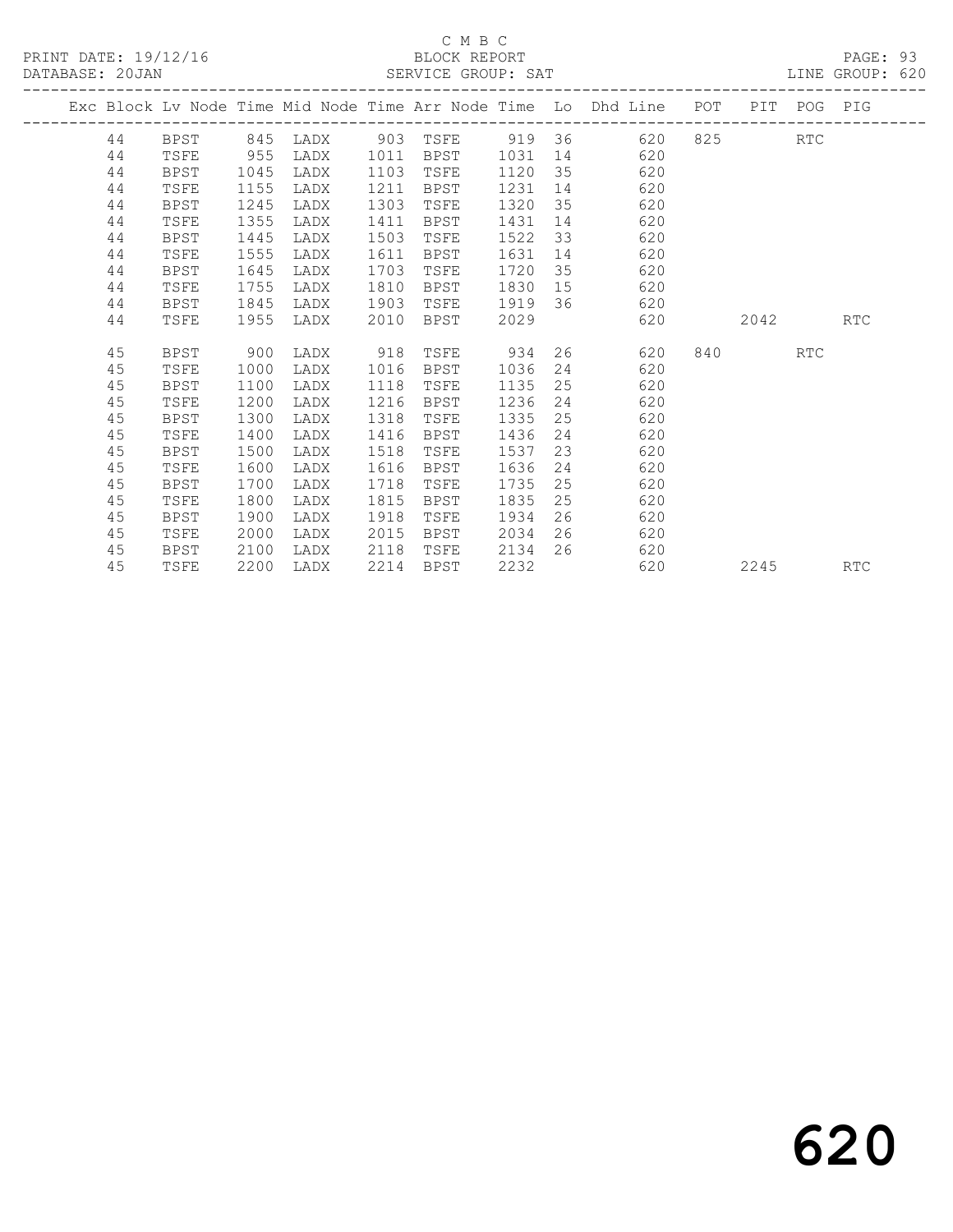|  |    |             |      |          |      |             |         |    | Exc Block Lv Node Time Mid Node Time Arr Node Time Lo Dhd Line POT |     |         | PIT POG PIG |            |
|--|----|-------------|------|----------|------|-------------|---------|----|--------------------------------------------------------------------|-----|---------|-------------|------------|
|  | 44 | BPST        | 845  | LADX 903 |      | TSFE 919 36 |         |    |                                                                    |     | 620 825 | <b>RTC</b>  |            |
|  | 44 | TSFE        | 955  | LADX     | 1011 | BPST        | 1031    |    | 620                                                                |     |         |             |            |
|  | 44 | <b>BPST</b> | 1045 | LADX     | 1103 | TSFE        | 1120    |    | 35<br>620                                                          |     |         |             |            |
|  | 44 | TSFE        | 1155 | LADX     | 1211 | BPST        | 1231    | 14 | 620                                                                |     |         |             |            |
|  | 44 | <b>BPST</b> | 1245 | LADX     | 1303 | TSFE        | 1320    | 35 | 620                                                                |     |         |             |            |
|  | 44 | TSFE        | 1355 | LADX     | 1411 | BPST        | 1431    | 14 | 620                                                                |     |         |             |            |
|  | 44 | BPST        | 1445 | LADX     | 1503 | TSFE        | 1522    |    | 33<br>620                                                          |     |         |             |            |
|  | 44 | TSFE        | 1555 | LADX     | 1611 | BPST        | 1631    | 14 | 620                                                                |     |         |             |            |
|  | 44 | <b>BPST</b> | 1645 | LADX     | 1703 | TSFE        | 1720    | 35 | 620                                                                |     |         |             |            |
|  | 44 | TSFE        | 1755 | LADX     | 1810 | BPST        | 1830    |    | 620<br>15                                                          |     |         |             |            |
|  | 44 | <b>BPST</b> | 1845 | LADX     | 1903 | TSFE        | 1919 36 |    | 620                                                                |     |         |             |            |
|  | 44 | TSFE        | 1955 | LADX     | 2010 | BPST        | 2029    |    | 620                                                                |     | 2042    |             | <b>RTC</b> |
|  |    |             |      |          |      |             |         |    |                                                                    |     |         |             |            |
|  | 45 | BPST        | 900  | LADX     | 918  | TSFE        | 934     |    | 26<br>620                                                          | 840 |         | RTC         |            |
|  | 45 | TSFE        | 1000 | LADX     | 1016 | BPST        | 1036    |    | 24<br>620                                                          |     |         |             |            |
|  | 45 | <b>BPST</b> | 1100 | LADX     | 1118 | TSFE        | 1135    | 25 | 620                                                                |     |         |             |            |
|  | 45 | TSFE        | 1200 | LADX     | 1216 | BPST        | 1236    | 24 | 620                                                                |     |         |             |            |
|  | 45 | BPST        | 1300 | LADX     | 1318 | TSFE        | 1335    | 25 | 620                                                                |     |         |             |            |
|  | 45 | TSFE        | 1400 | LADX     | 1416 | BPST        | 1436    | 24 | 620                                                                |     |         |             |            |
|  | 45 | BPST        | 1500 | LADX     | 1518 | TSFE        | 1537    | 23 | 620                                                                |     |         |             |            |
|  | 45 | TSFE        | 1600 | LADX     | 1616 | BPST        | 1636    | 24 | 620                                                                |     |         |             |            |
|  | 45 | <b>BPST</b> | 1700 | LADX     | 1718 | TSFE        | 1735    | 25 | 620                                                                |     |         |             |            |
|  | 45 | TSFE        | 1800 | LADX     | 1815 | BPST        | 1835    | 25 | 620                                                                |     |         |             |            |
|  | 45 | BPST        | 1900 | LADX     | 1918 | TSFE        | 1934    | 26 | 620                                                                |     |         |             |            |
|  | 45 | TSFE        | 2000 | LADX     | 2015 | BPST        | 2034    | 26 | 620                                                                |     |         |             |            |
|  | 45 | BPST        | 2100 | LADX     | 2118 | TSFE        | 2134    | 26 | 620                                                                |     |         |             |            |
|  | 45 | TSFE        | 2200 | LADX     | 2214 | BPST        | 2232    |    | 620                                                                |     | 2245    |             | <b>RTC</b> |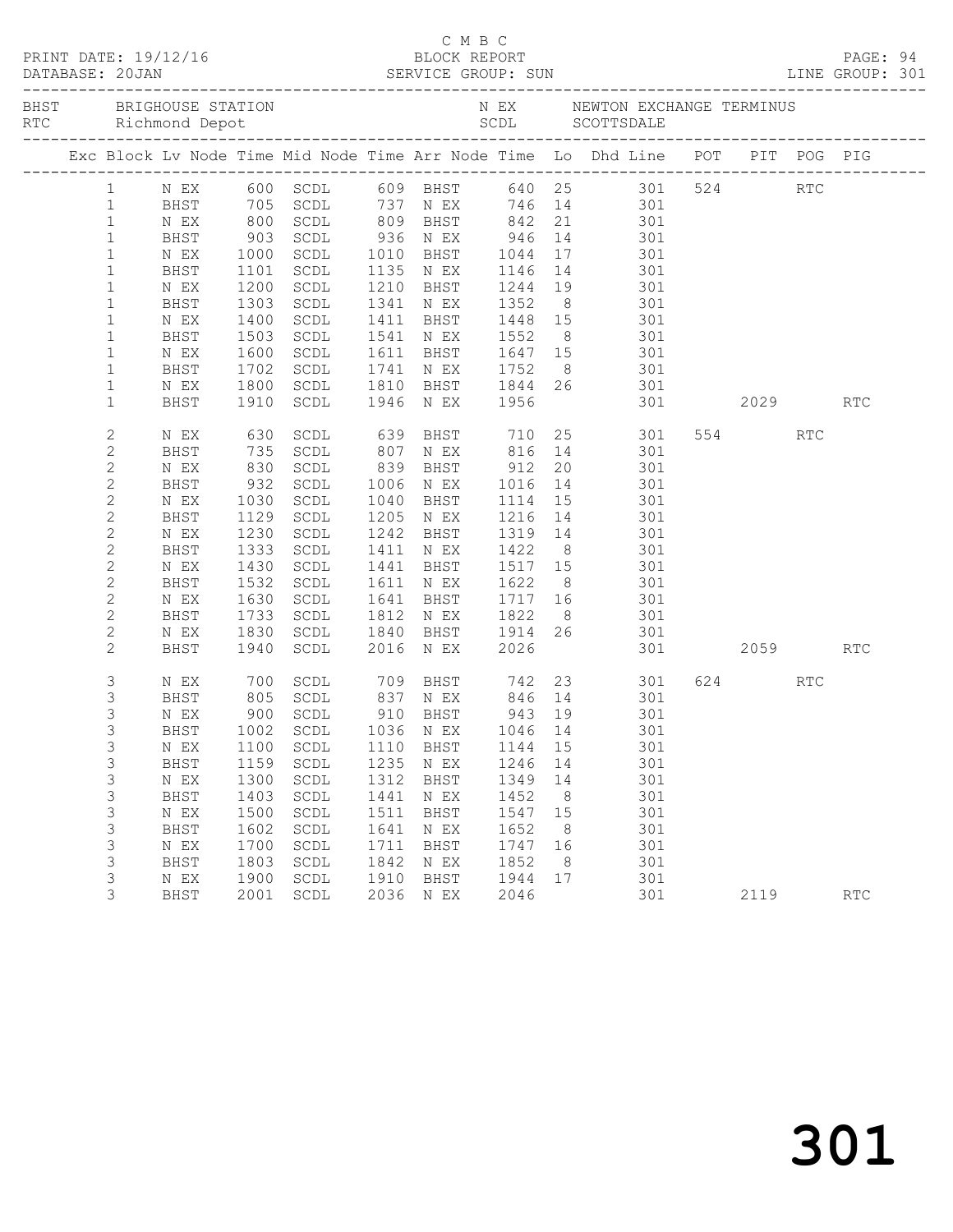|              |             |              |                                  |      |                                    |                      |    | Exc Block Lv Node Time Mid Node Time Arr Node Time Lo Dhd Line POT PIT POG PIG                     |      |     |            |  |
|--------------|-------------|--------------|----------------------------------|------|------------------------------------|----------------------|----|----------------------------------------------------------------------------------------------------|------|-----|------------|--|
| $\mathbf{1}$ |             |              |                                  |      |                                    |                      |    | N EX 600 SCDL 609 BHST 640 25 301 524 RTC                                                          |      |     |            |  |
| $\mathbf{1}$ | BHST        |              |                                  |      |                                    |                      |    | 705 SCDL 737 N EX 746 14 301                                                                       |      |     |            |  |
| $\mathbf{1}$ | N EX        |              | 800 SCDL                         |      |                                    |                      |    | 809 BHST 842 21 301                                                                                |      |     |            |  |
| $\mathbf{1}$ | BHST        |              |                                  |      |                                    |                      |    | 903 SCDL 936 N EX 946 14 301<br>1000 SCDL 1010 BHST 1044 17 301<br>1101 SCDL 1135 N EX 1146 14 301 |      |     |            |  |
| $\mathbf{1}$ | N EX        |              |                                  |      |                                    |                      |    |                                                                                                    |      |     |            |  |
| $\mathbf{1}$ | BHST        |              |                                  |      |                                    |                      |    |                                                                                                    |      |     |            |  |
| $\mathbf{1}$ | N EX        | 1200         | SCDL                             |      |                                    |                      |    | 1210 BHST 1244 19 301                                                                              |      |     |            |  |
| $\mathbf{1}$ | BHST        | 1303         | SCDL                             |      |                                    |                      |    |                                                                                                    |      |     |            |  |
| $\mathbf{1}$ | N EX        |              | SCDL                             |      |                                    |                      |    | 1341 N EX 1352 8 301<br>1411 BHST 1448 15 301<br>1541 N EX 1552 8 301                              |      |     |            |  |
| $\mathbf{1}$ | BHST        | 1400<br>1503 | SCDL                             |      |                                    |                      |    |                                                                                                    |      |     |            |  |
| $\mathbf{1}$ | N EX        | 1600         | SCDL                             |      |                                    |                      |    | 1611 BHST 1647 15 301                                                                              |      |     |            |  |
| $\mathbf{1}$ | BHST        | 1702         | SCDL                             |      |                                    |                      |    | 1741 N EX 1752 8 301                                                                               |      |     |            |  |
| $\mathbf{1}$ | N EX        |              |                                  |      |                                    |                      |    | 301                                                                                                |      |     |            |  |
| $\mathbf{1}$ | BHST        |              | 1800 SCDL<br>1910 SCDL           |      | 1810 BHST 1844 26<br>1946 NEX 1956 |                      |    | 301 2029 RTC                                                                                       |      |     |            |  |
|              |             |              |                                  |      |                                    |                      |    |                                                                                                    |      |     |            |  |
| $\mathbf{2}$ | N EX        | 630          | SCDL                             |      |                                    |                      |    | 639 BHST 710 25 301                                                                                | 554  | RTC |            |  |
| $\mathbf{2}$ | BHST        |              | SCDL                             |      |                                    |                      |    | 301                                                                                                |      |     |            |  |
| $\mathbf{2}$ | N EX        | 735<br>830   | SCDL                             |      |                                    |                      |    |                                                                                                    |      |     |            |  |
| $\mathbf{2}$ | BHST        | 932          | SCDL                             |      | 1006 N EX                          |                      |    | 1016 14 301                                                                                        |      |     |            |  |
| $\mathbf{2}$ | N EX        | 1030         | SCDL                             |      | 1040 BHST                          | 1114                 | 15 | 301                                                                                                |      |     |            |  |
| $\mathbf{2}$ | BHST        |              | 1129 SCDL                        |      | 1205 N EX                          |                      |    | 301                                                                                                |      |     |            |  |
| $\mathbf{2}$ | N EX        | 1230         | SCDL                             |      | 1242 BHST                          | 1216  14<br>1319  14 |    | 301                                                                                                |      |     |            |  |
| $\mathbf{2}$ | BHST        | 1333         | SCDL                             |      | 1411 N EX                          |                      |    | 1422 8 301                                                                                         |      |     |            |  |
| $\mathbf{2}$ | N EX        | 1430         | SCDL                             |      |                                    |                      |    | 1441 BHST 1517 15 301                                                                              |      |     |            |  |
| 2            | BHST        |              | SCDL                             |      | 1611 N EX                          |                      |    |                                                                                                    |      |     |            |  |
| $\mathbf{2}$ | N EX        | 1532<br>1630 | SCDL                             |      | 1641 BHST                          |                      |    |                                                                                                    |      |     |            |  |
| 2            | BHST        | 1733         | SCDL                             |      | 1812 N EX                          |                      |    |                                                                                                    |      |     |            |  |
| $\mathbf{2}$ | N EX        | 1830         | SCDL                             |      |                                    |                      |    | 1840 BHST 1914 26 301                                                                              |      |     |            |  |
| $\mathbf{2}$ | BHST        | 1940         | SCDL                             |      | 2016 N EX                          | 2026                 |    | 151,<br>1622 8<br>1717 16 301<br>1922 8 301<br>1901<br>1901<br>301 2059                            |      |     | <b>RTC</b> |  |
|              |             |              |                                  |      |                                    |                      |    |                                                                                                    |      |     |            |  |
| 3            | N EX        |              |                                  |      |                                    |                      |    | 700 SCDL 709 BHST 742 23 301                                                                       | 624  | RTC |            |  |
| 3            | BHST        |              |                                  |      |                                    |                      |    | 805 SCDL 837 N EX 846 14 301                                                                       |      |     |            |  |
| 3            | N EX        | 900          | SCDL                             |      | 910 BHST                           | 943 19               |    | 301                                                                                                |      |     |            |  |
| 3            |             |              | BHST 1002 SCDL 1036 N EX 1046 14 |      |                                    |                      |    | 301                                                                                                |      |     |            |  |
| 3            | N EX        | 1100         | SCDL                             | 1110 | BHST                               | 1144                 | 15 | 301                                                                                                |      |     |            |  |
| 3            | <b>BHST</b> | 1159         | $\operatorname{\mathsf{SCDL}}$   | 1235 | N EX                               | 1246                 | 14 | 301                                                                                                |      |     |            |  |
| 3            | N EX        | 1300         | SCDL                             | 1312 | BHST                               | 1349                 | 14 | 301                                                                                                |      |     |            |  |
| 3            | BHST        | 1403         | $\operatorname{\mathsf{SCDL}}$   | 1441 | N EX                               | 1452                 | 8  | 301                                                                                                |      |     |            |  |
| 3            | N EX        | 1500         | SCDL                             | 1511 | BHST                               | 1547                 | 15 | 301                                                                                                |      |     |            |  |
| 3            | BHST        | 1602         | $\operatorname{\mathsf{SCDL}}$   | 1641 | N EX                               | 1652                 | 8  | 301                                                                                                |      |     |            |  |
| 3            | N EX        | 1700         | SCDL                             | 1711 | BHST                               | 1747                 | 16 | 301                                                                                                |      |     |            |  |
| 3            | BHST        | 1803         | $\operatorname{\mathsf{SCDL}}$   | 1842 | N EX                               | 1852                 | 8  | 301                                                                                                |      |     |            |  |
| 3            | N EX        | 1900         | SCDL                             | 1910 | BHST                               | 1944                 | 17 | 301                                                                                                |      |     |            |  |
| 3            | <b>BHST</b> | 2001         | SCDL                             | 2036 | N EX                               | 2046                 |    | 301                                                                                                | 2119 |     | RTC        |  |
|              |             |              |                                  |      |                                    |                      |    |                                                                                                    |      |     |            |  |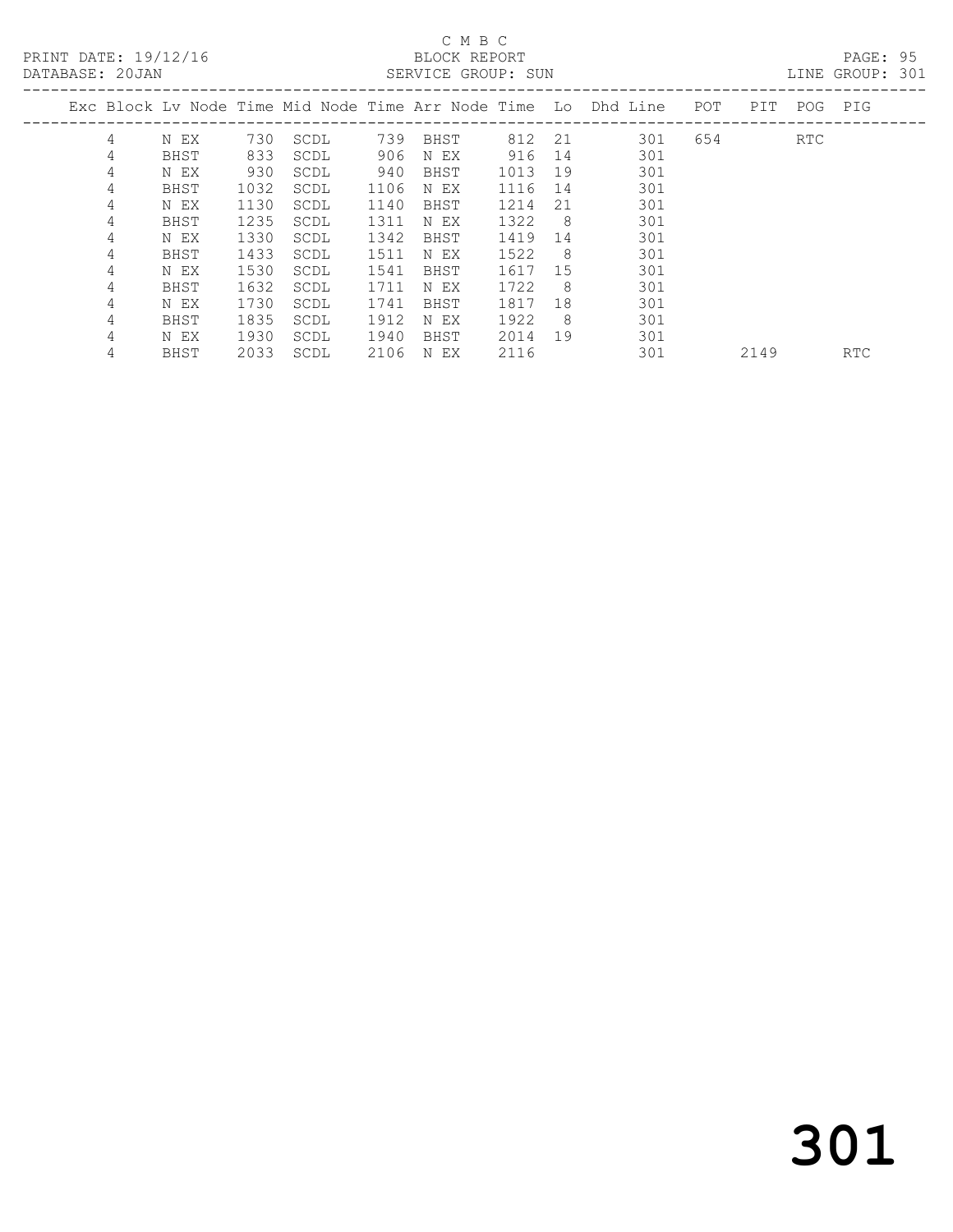# C M B C<br>BLOCK REPORT

| 4 | N EX | 730             | SCDL |      | BHST |            |     | 301                                                            | 654 |                                                                        | RTC |                                |
|---|------|-----------------|------|------|------|------------|-----|----------------------------------------------------------------|-----|------------------------------------------------------------------------|-----|--------------------------------|
| 4 | BHST | 833             | SCDL |      | N EX | 916        |     | 301                                                            |     |                                                                        |     |                                |
| 4 | N EX | 930             | SCDL | 940  | BHST | 1013       | 19  | 301                                                            |     |                                                                        |     |                                |
| 4 | BHST | 1032            | SCDL | 1106 | N EX | 1116       |     | 301                                                            |     |                                                                        |     |                                |
| 4 | N EX | 1130            | SCDL | 1140 | BHST | 1214       | 21  | 301                                                            |     |                                                                        |     |                                |
| 4 | BHST | 1235            | SCDL | 1311 | N EX | 1322       | - 8 | 301                                                            |     |                                                                        |     |                                |
| 4 | N EX | 1330            | SCDL | 1342 | BHST | 1419       | 14  | 301                                                            |     |                                                                        |     |                                |
| 4 | BHST | 1433            | SCDL | 1511 | N EX | 1522       | - 8 | 301                                                            |     |                                                                        |     |                                |
| 4 | N EX | 1530            | SCDL | 1541 | BHST |            |     | 301                                                            |     |                                                                        |     |                                |
| 4 | BHST | 1632            | SCDL | 1711 | N EX | 1722       | - 8 | 301                                                            |     |                                                                        |     |                                |
| 4 | N EX | 1730            | SCDL | 1741 | BHST | 1817       | 18  | 301                                                            |     |                                                                        |     |                                |
| 4 | BHST | 1835            | SCDL | 1912 | N EX | 1922       | - 8 | 301                                                            |     |                                                                        |     |                                |
| 4 | N EX | 1930            | SCDL | 1940 | BHST |            |     | 301                                                            |     |                                                                        |     |                                |
|   |      | DATABASE: 20JAN |      |      |      | 739<br>906 |     | SERVICE GROUP: SUN<br>812 21<br>14<br>14<br>1617 15<br>2014 19 |     | Exc Block Ly Node Time Mid Node Time Arr Node Time  Lo  Dhd Line   POT |     | LINE GROUP: 301<br>PIT POG PIG |

4 BHST 2033 SCDL 2106 N EX 2116 301 2149 RTC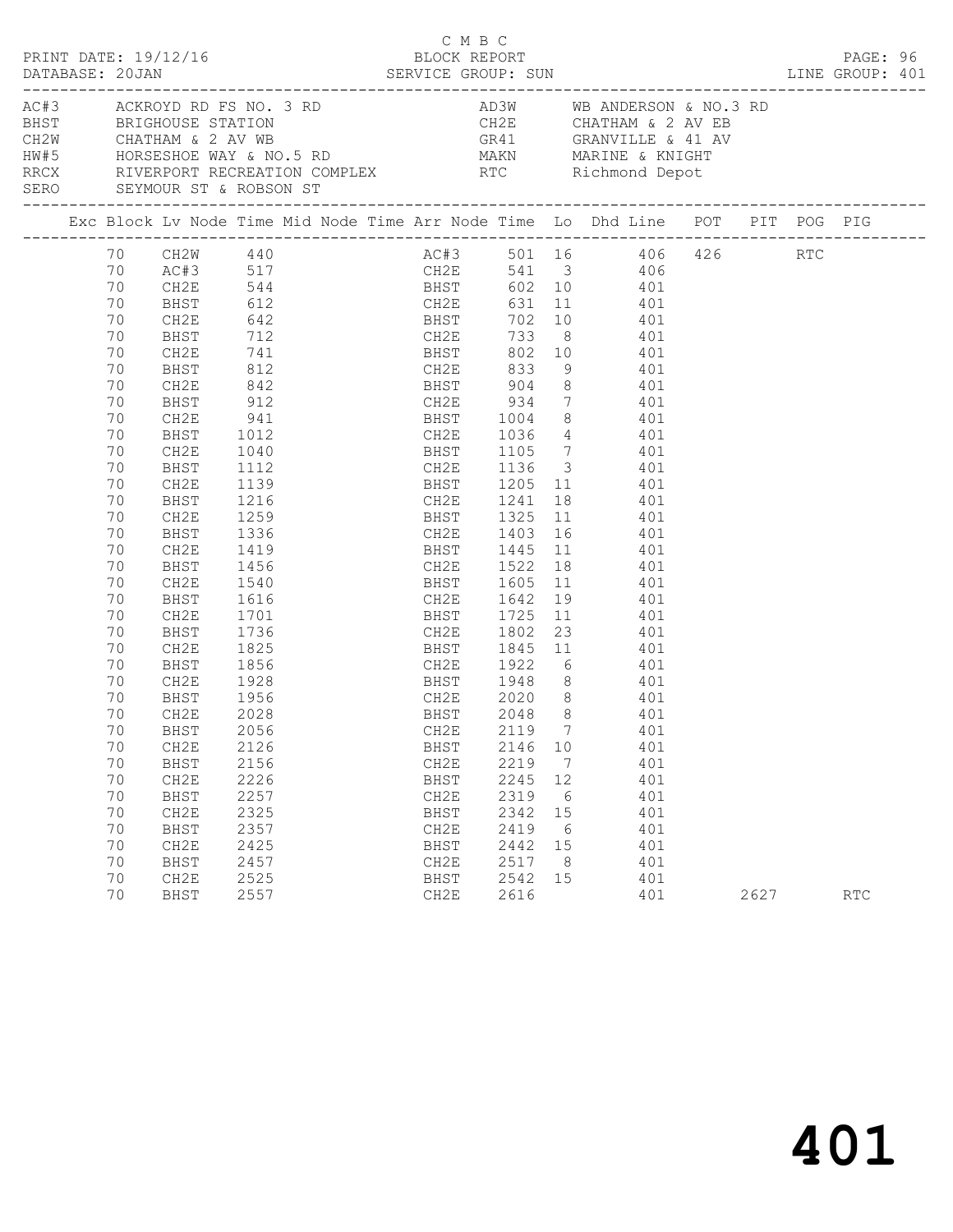| PRINT DATE: 19/12/16<br>DATABASE: 20JAN SERVICE GROUP: SUN LINE GROUP: 401 |                                                                                                                                                                                  |                                                                                                                                                                                                                                                      |                                                                                                                             |                                                               |  | C M B C<br>BLOCK REPORT                                      |                                                                    |                                       |                                                                                                                                                                                                                                                                                                                                                                                                                                                                                                                                                                                               |      | PAGE: 96 |  |
|----------------------------------------------------------------------------|----------------------------------------------------------------------------------------------------------------------------------------------------------------------------------|------------------------------------------------------------------------------------------------------------------------------------------------------------------------------------------------------------------------------------------------------|-----------------------------------------------------------------------------------------------------------------------------|---------------------------------------------------------------|--|--------------------------------------------------------------|--------------------------------------------------------------------|---------------------------------------|-----------------------------------------------------------------------------------------------------------------------------------------------------------------------------------------------------------------------------------------------------------------------------------------------------------------------------------------------------------------------------------------------------------------------------------------------------------------------------------------------------------------------------------------------------------------------------------------------|------|----------|--|
|                                                                            |                                                                                                                                                                                  | SERO SEYMOUR ST & ROBSON ST                                                                                                                                                                                                                          |                                                                                                                             |                                                               |  |                                                              |                                                                    |                                       | AC#3<br>ACKROYD RD FS NO. 3 RD<br>BHST<br>BRIGHOUSE STATION<br>CH2W<br>CHATHAM & 2 AV WB<br>HW#5<br>HORSESHOE WAY & NO.5 RD<br>RRCX<br>RRCX<br>RRCX<br>RRCX<br>RRCX<br>RRCX<br>RRCX<br>RRCX<br>RRCX<br>RRCX<br>RRCX<br>RRCX<br>RRCX<br>RRCX<br>RRCX<br>RRCX<br>RRCX<br>RRCX<br>RRC                                                                                                                                                                                                                                                                                                            |      |          |  |
|                                                                            |                                                                                                                                                                                  |                                                                                                                                                                                                                                                      |                                                                                                                             |                                                               |  |                                                              |                                                                    |                                       | Exc Block Lv Node Time Mid Node Time Arr Node Time Lo Dhd Line POT PIT POG PIG                                                                                                                                                                                                                                                                                                                                                                                                                                                                                                                |      |          |  |
|                                                                            | 70<br>70<br>70<br>70<br>70<br>70<br>70<br>70<br>70<br>70<br>70<br>70<br>70<br>70<br>70<br>70<br>70<br>70<br>70<br>70<br>70<br>70<br>70<br>70<br>70<br>70<br>70<br>70<br>70<br>70 | CH2E<br>BHST<br>CH2E<br>BHST<br>CH2E<br>BHST<br>CH2E<br>BHST<br>CH2E<br>BHST<br>CH2E<br>BHST<br>CH2E<br>BHST<br>CH2E<br>BHST<br>CH2E<br>BHST<br>CH2E<br>BHST<br>CH2E<br>BHST<br>CH2E<br>BHST<br>CH2E<br>BHST<br>CH2E<br>70 BHST 2056<br>CH2E<br>BHST | 712<br>$741$<br>$812$<br>842<br>912<br>1112<br>1336<br>1419<br>1456<br>1540<br>1701<br>1956<br>2028<br>2028<br>2126<br>2156 | $941$<br>1012<br>1040<br>1139<br>1216<br>1259<br>1736<br>1825 |  | BHST<br>CH2E                                                 | 2146 10<br>2219                                                    | $\overline{7}$                        | 70 CH2W 440 AC#3 501 16 406 426 RTC<br>AC#3 517 CH2E 541 3 406<br>CH2E 733 8 401<br>BHST 802 10 401<br>CH2E 833 9 401<br>BHST 904 8 401<br>CH2E 934 7 401<br>BHST 1004 8 401<br>CH2E 1036 4 401<br>BHST 1105 7 401<br>CH2E 1136 3 401<br>BHST 1205 11 401<br>CH2E 1241 18 401<br>BHST 1325 11 401<br>CH2E 1403 16 401<br>BHST 1445 11 401<br>CH2E 1522 18 401<br>BHST 1605 11 401<br>1616 CH2E 1642 19 401<br>BHST 1725 11 401<br>CH2E 1802 23 401<br>BHST 1845 11 401<br>1856 CH2E 1922 6 401<br>1928 BHST 1948 8 401<br>CH2E 2020 8 401<br>BHST 2048 8 401<br>CH2E 2119 7 401<br>401<br>401 |      |          |  |
|                                                                            | 70<br>70<br>70<br>70<br>70<br>70<br>70<br>70                                                                                                                                     | CH2E<br>BHST<br>CH2E<br>BHST<br>CH2E<br>BHST<br>CH2E<br>BHST                                                                                                                                                                                         | 2226<br>2257<br>2325<br>2357<br>2425<br>2457<br>2525<br>2557                                                                |                                                               |  | BHST<br>CH2E<br>BHST<br>CH2E<br>BHST<br>CH2E<br>BHST<br>CH2E | 2245<br>2319<br>2342<br>2419<br>2442 15<br>2517<br>2542 15<br>2616 | 12<br>$6\overline{6}$<br>15<br>6<br>8 | 401<br>401<br>401<br>401<br>401<br>401<br>401<br>401                                                                                                                                                                                                                                                                                                                                                                                                                                                                                                                                          | 2627 | RTC      |  |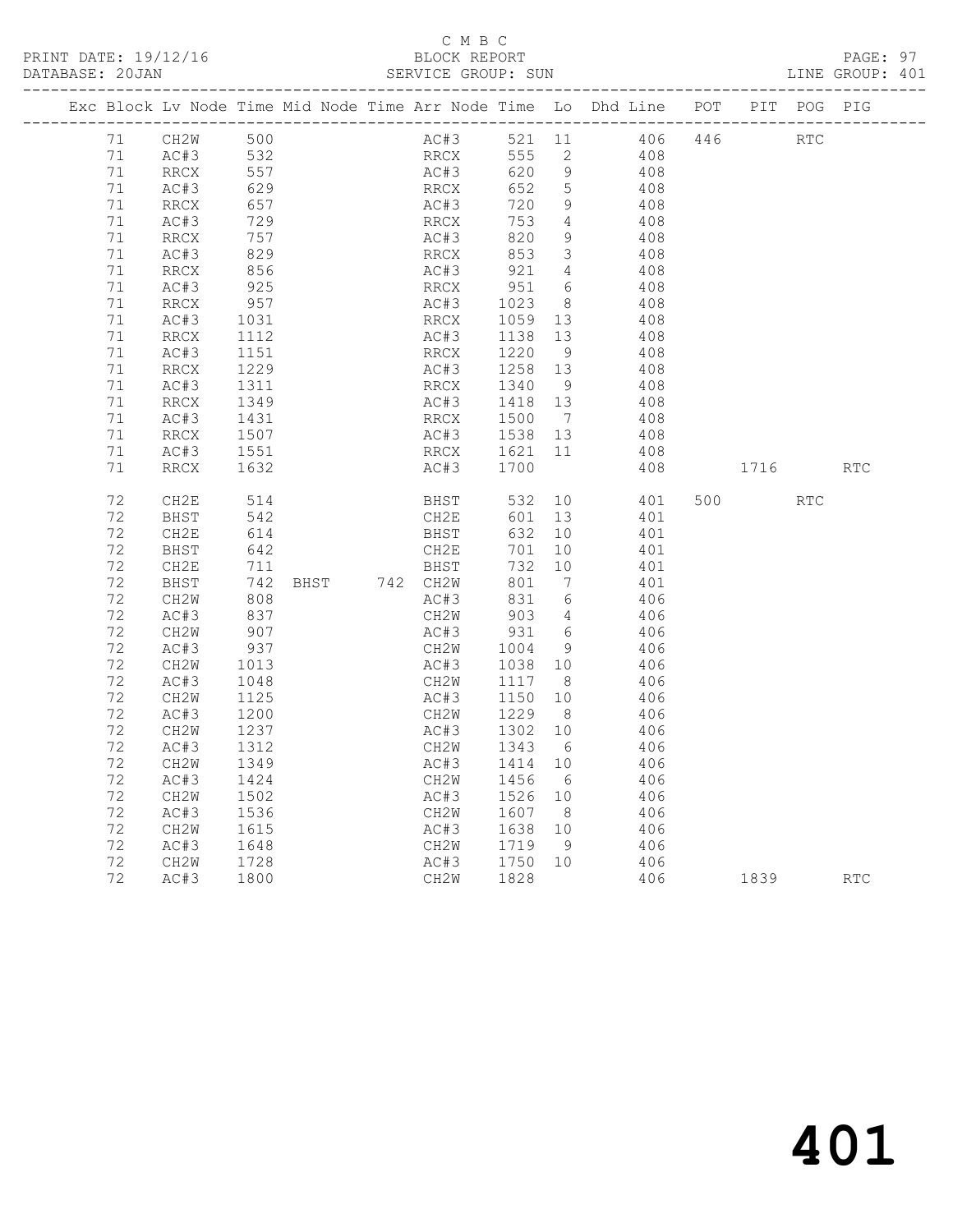PRINT DATE: 19/12/16 BLOCK REPORT BATABASE: 20JAN BLOCK REPORT

# C M B C<br>BLOCK REPORT

PAGE: 97<br>LINE GROUP: 401

|  |          | Exc Block Lv Node Time Mid Node Time Arr Node Time Lo Dhd Line POT |              |  |               |              |      |                           |                         |                |     |         | PIT POG PIG |            |
|--|----------|--------------------------------------------------------------------|--------------|--|---------------|--------------|------|---------------------------|-------------------------|----------------|-----|---------|-------------|------------|
|  | 71       | CH2W                                                               | 500          |  |               |              | AC#3 |                           |                         | 521 11 406 446 |     |         | <b>RTC</b>  |            |
|  | 71       | AC#3                                                               | 532          |  |               |              | RRCX | 555 2                     |                         | 408            |     |         |             |            |
|  | 71       | RRCX                                                               | 557          |  |               |              | AC#3 | 620                       | 9                       | 408            |     |         |             |            |
|  | 71       | AC#3                                                               | 629          |  |               | RRCX         |      | 652                       | $5\overline{)}$         | 408            |     |         |             |            |
|  | 71       | RRCX                                                               | 657          |  |               | AC#3         |      | 720                       | - 9                     | 408            |     |         |             |            |
|  | 71       | AC#3                                                               | 729          |  |               | RRCX         |      | 753                       | $\overline{4}$          | 408            |     |         |             |            |
|  | 71       | RRCX                                                               | 757          |  |               | AC#3         |      | 820                       | 9                       | 408            |     |         |             |            |
|  | 71       | AC#3                                                               | 829          |  |               | RRCX         |      | 853                       | $\overline{\mathbf{3}}$ | 408            |     |         |             |            |
|  | 71       | RRCX                                                               | 856          |  |               | AC#3         |      | 921                       | $\overline{4}$          | 408            |     |         |             |            |
|  | 71       | AC#3                                                               | 925          |  |               | RRCX         |      | 951 6                     |                         | 408            |     |         |             |            |
|  | 71<br>71 | RRCX<br>AC#3                                                       | 957          |  |               | AC#3<br>RRCX |      | 1023<br>1059 13           | 8 <sup>8</sup>          | 408<br>408     |     |         |             |            |
|  | 71       | RRCX                                                               | 1031<br>1112 |  |               | AC#3         |      | 1138                      | 13                      | 408            |     |         |             |            |
|  | 71       | AC#3                                                               | 1151         |  |               | RRCX         |      | 1220                      | - 9                     |                | 408 |         |             |            |
|  | 71       | RRCX                                                               | 1229         |  |               | AC#3         |      | 1258 13                   |                         | 408            |     |         |             |            |
|  | 71       | AC#3                                                               | 1311         |  |               | RRCX         |      | 1340                      | - 9                     |                | 408 |         |             |            |
|  | 71       | RRCX                                                               | 1349         |  |               | AC#3         |      | 1418 13                   |                         | 408            |     |         |             |            |
|  | 71       | AC#3                                                               | 1431         |  |               | RRCX         |      | 1500                      | $\overline{7}$          |                | 408 |         |             |            |
|  | 71       | RRCX                                                               | 1507         |  |               |              |      | AC#3 1538 13              |                         | 408            |     |         |             |            |
|  | 71       | AC#3                                                               | 1551         |  |               |              |      |                           |                         |                | 408 |         |             |            |
|  | 71       | RRCX                                                               | 1632         |  |               |              |      | RRCX 1621 11<br>AC#3 1700 |                         |                | 408 | 1716    |             | <b>RTC</b> |
|  |          |                                                                    |              |  |               |              |      |                           |                         |                |     |         |             |            |
|  | 72       | CH2E                                                               | 514          |  |               |              | BHST |                           |                         | 532 10 401     |     | 500 000 | <b>RTC</b>  |            |
|  | 72       | BHST                                                               | 542          |  |               | CH2E         |      | 601 13                    |                         |                | 401 |         |             |            |
|  | 72       | CH2E                                                               | 614          |  |               | BHST         |      | 632 10                    |                         |                | 401 |         |             |            |
|  | 72       | BHST                                                               | 642          |  |               | CH2E         |      | 701                       | 10                      |                | 401 |         |             |            |
|  | 72       | CH2E                                                               | 711          |  |               | BHST         |      | 732 10                    |                         | 401            |     |         |             |            |
|  | 72       | BHST                                                               | 742          |  | BHST 742 CH2W |              |      | 801                       | $\overline{7}$          |                | 401 |         |             |            |
|  | 72       | CH2W                                                               | 808          |  |               | AC#3         |      | 831                       | $6\overline{6}$         | 406            |     |         |             |            |
|  | 72       | AC#3                                                               | 837          |  |               | CH2W         |      | 903                       | $\overline{4}$          | 406            |     |         |             |            |
|  | 72       | CH2W                                                               | 907          |  |               | AC#3         |      | 931                       | 6                       | 406            |     |         |             |            |
|  | 72<br>72 | AC#3                                                               | 937<br>1013  |  |               | CH2W<br>AC#3 |      | 1004<br>1038 10           | - 9                     | 406            | 406 |         |             |            |
|  | 72       | CH2W<br>AC#3                                                       | 1048         |  |               | CH2W         |      | 1117                      | 8 <sup>8</sup>          | 406            |     |         |             |            |
|  | 72       | CH2W                                                               | 1125         |  |               | AC#3         |      | 1150                      | 10                      |                | 406 |         |             |            |
|  | 72       | AC#3                                                               | 1200         |  |               | CH2W         |      | 1229                      | 8 <sup>8</sup>          | 406            |     |         |             |            |
|  | 72       | CH2W                                                               | 1237         |  |               | AC#3         |      | 1302                      | 10                      |                | 406 |         |             |            |
|  | 72       | AC#3                                                               | 1312         |  |               | CH2W         |      | 1343                      | 6                       |                | 406 |         |             |            |
|  | 72       | CH2W                                                               | 1349         |  |               | AC#3         |      | 1414                      | 10                      |                | 406 |         |             |            |
|  | 72       | AC#3                                                               | 1424         |  |               | CH2W         |      | 1456                      | 6                       | 406            |     |         |             |            |
|  | 72       | CH2W                                                               | 1502         |  |               | AC#3         |      | 1526                      | 10                      |                | 406 |         |             |            |
|  | 72       | AC#3                                                               | 1536         |  |               | CH2W         |      | 1607                      | 8 <sup>8</sup>          | 406            |     |         |             |            |
|  | 72       | CH2W                                                               | 1615         |  |               | AC#3         |      | 1638 10                   |                         | 406            |     |         |             |            |
|  | 72       | AC#3                                                               | 1648         |  |               | CH2W         |      | 1719                      | - 9                     | 406            |     |         |             |            |
|  | 72       | CH2W                                                               | 1728         |  |               | AC#3         |      | 1750 10                   |                         | 406            |     |         |             |            |
|  | 72       | AC#3                                                               | 1800         |  |               | CH2W         |      | 1828                      |                         |                | 406 |         |             | RTC        |
|  |          |                                                                    |              |  |               |              |      |                           |                         |                |     |         |             |            |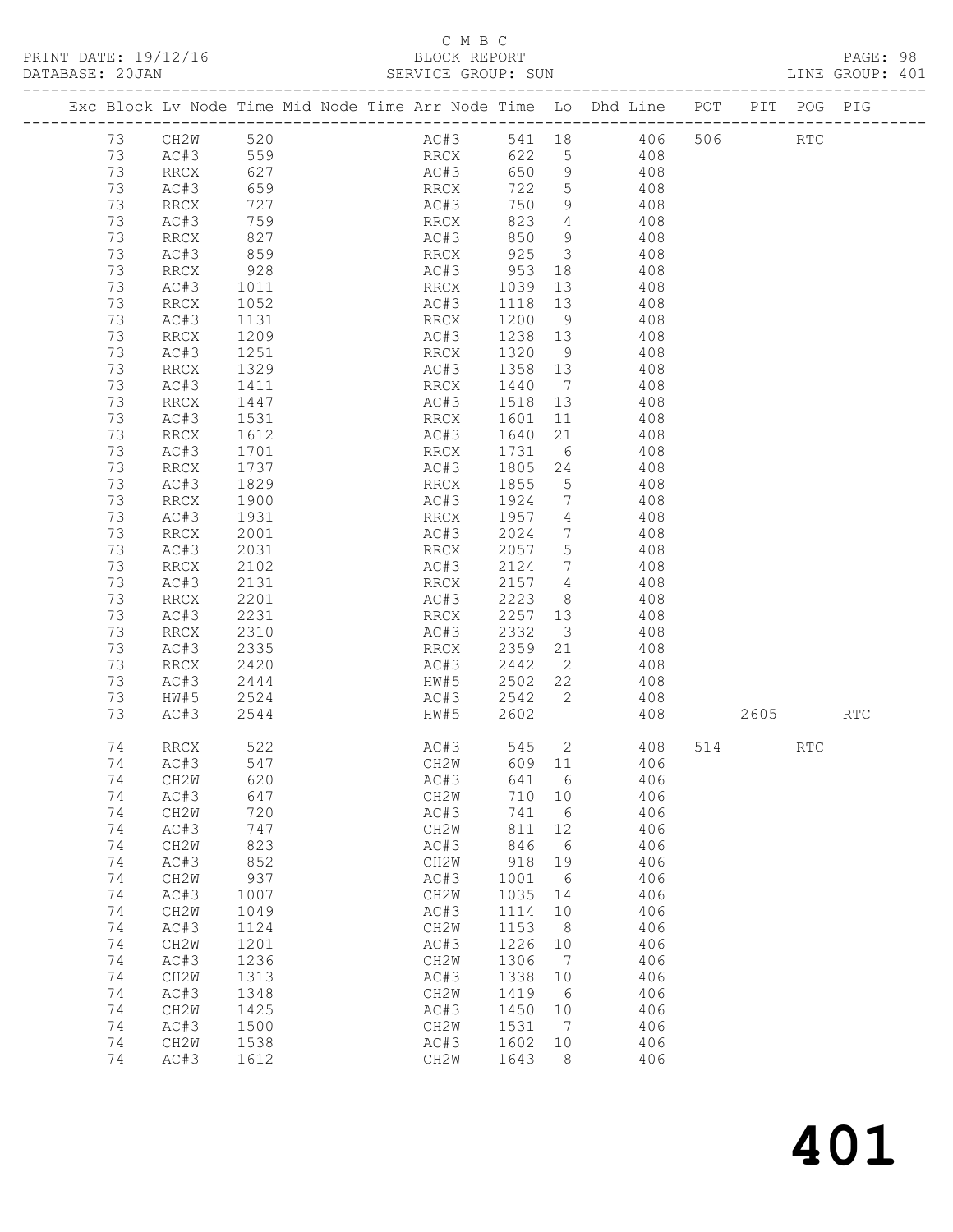PRINT DATE: 19/12/16 BLOCK REPORT BLOCK REPORT

## C M B C<br>BLOCK REPORT

| DATABASE: 20JAN |    |                   |                   |          | SERVICE GROUP: SUN                                                             |         |                              |                         |         | LINE GROUP: 401 |  |
|-----------------|----|-------------------|-------------------|----------|--------------------------------------------------------------------------------|---------|------------------------------|-------------------------|---------|-----------------|--|
|                 |    |                   |                   |          | Exc Block Lv Node Time Mid Node Time Arr Node Time Lo Dhd Line POT PIT POG PIG |         |                              |                         |         |                 |  |
|                 |    | 73 CH2W 520       |                   |          |                                                                                |         |                              | AC#3 541 18 406 506 RTC |         |                 |  |
|                 | 73 |                   |                   | AC#3 559 | RRCX                                                                           |         |                              | 622 5 408               |         |                 |  |
|                 | 73 | RRCX              | 627               |          | AC#3                                                                           |         |                              | 650 9 408               |         |                 |  |
|                 | 73 | AC#3              |                   |          |                                                                                | 722 5   |                              | 408                     |         |                 |  |
|                 | 73 | RRCX              | 659<br>727<br>727 |          | RRCX<br>AC#3                                                                   | 750     | 9                            | $\frac{1}{408}$         |         |                 |  |
|                 |    |                   |                   |          |                                                                                |         |                              |                         |         |                 |  |
|                 | 73 | AC#3              | 759               |          | RRCX                                                                           | 823     |                              | 4 4 4 0 8               |         |                 |  |
|                 | 73 | RRCX              | 827               |          | AC#3                                                                           | 850     | 9                            | 408                     |         |                 |  |
|                 | 73 | AC#3              | 859<br>928        |          |                                                                                |         |                              | 408                     |         |                 |  |
|                 | 73 | RRCX              |                   |          |                                                                                |         |                              | 408                     |         |                 |  |
|                 | 73 | AC#3              | 1011              |          | RRCX 1039 13                                                                   |         |                              | 408                     |         |                 |  |
|                 | 73 | RRCX              | 1052              |          | AC#3                                                                           | 1118    | 13                           | 408                     |         |                 |  |
|                 | 73 | AC#3              |                   |          | RRCX                                                                           | 1200 9  |                              | 408                     |         |                 |  |
|                 | 73 | RRCX              | 1131<br>1209      |          | AC#3                                                                           | 1238 13 |                              | 408                     |         |                 |  |
|                 | 73 | AC#3              | 1251              |          | RRCX                                                                           | 1320    | 9                            | 408                     |         |                 |  |
|                 |    |                   |                   |          |                                                                                |         |                              |                         |         |                 |  |
|                 | 73 | RRCX              | 1329              |          | AC#3                                                                           | 1358 13 |                              | 408                     |         |                 |  |
|                 | 73 | AC#3              | 1411              |          | RRCX                                                                           | 1440 7  |                              | 408                     |         |                 |  |
|                 | 73 | RRCX              | 1447              |          | AC#3                                                                           | 1518 13 |                              | 408                     |         |                 |  |
|                 | 73 | AC#3              | 1531              |          | RRCX                                                                           |         |                              | 1601 11 408             |         |                 |  |
|                 | 73 | RRCX              | 1612              |          | AC#3                                                                           | 1640    |                              | 21 408                  |         |                 |  |
|                 | 73 | AC#3              | 1701              |          | RRCX                                                                           | 1731    | 6                            | 408                     |         |                 |  |
|                 | 73 | RRCX              | 1737              |          | AC#3                                                                           | 1805 24 |                              | 408                     |         |                 |  |
|                 | 73 | AC#3              | 1829              |          | RRCX                                                                           | 1855    |                              | $\frac{1}{5}$ 408       |         |                 |  |
|                 | 73 | RRCX              | 1900              |          | AC#3                                                                           | 1924 7  |                              | 408                     |         |                 |  |
|                 |    |                   |                   |          |                                                                                |         |                              |                         |         |                 |  |
|                 | 73 | AC#3              | 1931              |          | RRCX                                                                           | 1957 4  |                              | 408                     |         |                 |  |
|                 | 73 | RRCX              | 2001              |          | AC#3                                                                           | 2024    | $7\overline{ }$              | 408                     |         |                 |  |
|                 | 73 | AC#3              | 2031              |          | RRCX                                                                           | 2057 5  |                              | 408                     |         |                 |  |
|                 | 73 | RRCX              | 2102              |          | AC#3                                                                           | 2124    |                              | 7 408                   |         |                 |  |
|                 | 73 | AC#3              | 2131              |          | RRCX                                                                           | 2157 4  |                              | 408                     |         |                 |  |
|                 | 73 | RRCX              | $2201$<br>2231    |          | AC#3                                                                           | 2223    | 8 <sup>1</sup>               | 408                     |         |                 |  |
|                 | 73 | AC#3              |                   |          | RRCX                                                                           | 2257 13 |                              | 408                     |         |                 |  |
|                 | 73 | RRCX              | 2310              |          | AC#3                                                                           | 2332    |                              | 3 408                   |         |                 |  |
|                 | 73 | AC#3              | 2335              |          | RRCX                                                                           | 2359    |                              | 21 408                  |         |                 |  |
|                 |    |                   |                   |          |                                                                                |         |                              |                         |         |                 |  |
|                 | 73 | RRCX              | 2420              |          | AC#3                                                                           | 2442 2  |                              | 408                     |         |                 |  |
|                 | 73 | AC#3              | 2444              |          | HW#5 2502 22                                                                   |         |                              | 408                     |         |                 |  |
|                 | 73 | HW#5              | 2524              |          |                                                                                |         |                              | AC#3 2542 2 408         |         |                 |  |
|                 | 73 | AC#3              | 2544              |          | HW#5                                                                           | 2602    |                              | 408                     | 2605    | <b>RTC</b>      |  |
|                 | 74 | RRCX              | 522               |          | AC#3                                                                           |         |                              | 545 2 408               | 514 RTC |                 |  |
|                 | 74 | AC#3 547          |                   |          |                                                                                |         |                              | CH2W 609 11 406         |         |                 |  |
|                 | 74 | CH2W              | 620               |          | AC#3                                                                           | 641     | 6                            | 406                     |         |                 |  |
|                 | 74 | AC#3              | 647               |          | CH2W                                                                           | 710 10  |                              | 406                     |         |                 |  |
|                 | 74 | CH2W              | 720               |          | AC#3                                                                           | 741     | 6                            | 406                     |         |                 |  |
|                 |    |                   |                   |          |                                                                                |         |                              |                         |         |                 |  |
|                 | 74 | AC#3              | 747               |          | CH2W                                                                           | 811     | 12                           | 406                     |         |                 |  |
|                 | 74 | CH2W              | 823               |          | AC#3                                                                           | 846     | 6                            | 406                     |         |                 |  |
|                 | 74 | AC#3              | 852               |          | CH2W                                                                           | 918     | 19                           | 406                     |         |                 |  |
|                 | 74 | CH <sub>2</sub> W | 937               |          | AC#3                                                                           | 1001    | 6                            | 406                     |         |                 |  |
|                 | 74 | AC#3              | 1007              |          | CH2W                                                                           | 1035    | 14                           | 406                     |         |                 |  |
|                 | 74 | CH2W              | 1049              |          | AC#3                                                                           | 1114    | 10                           | 406                     |         |                 |  |
|                 | 74 | AC#3              | 1124              |          | CH2W                                                                           | 1153    | 8 <sup>8</sup>               | 406                     |         |                 |  |
|                 | 74 | CH2W              | 1201              |          | AC#3                                                                           | 1226    | 10                           | 406                     |         |                 |  |
|                 |    |                   |                   |          |                                                                                |         |                              |                         |         |                 |  |
|                 | 74 | AC#3              | 1236              |          | CH2W                                                                           | 1306    | $7\phantom{.0}\phantom{.0}7$ | 406                     |         |                 |  |
|                 | 74 | CH <sub>2</sub> W | 1313              |          | AC#3                                                                           | 1338    | 10                           | 406                     |         |                 |  |
|                 | 74 | AC#3              | 1348              |          | CH2W                                                                           | 1419    | 6                            | 406                     |         |                 |  |
|                 | 74 | CH2W              | 1425              |          | AC#3                                                                           | 1450    | 10                           | 406                     |         |                 |  |
|                 | 74 | AC#3              | 1500              |          | CH2W                                                                           | 1531    | $7\phantom{.0}\phantom{.0}7$ | 406                     |         |                 |  |
|                 | 74 | CH2W              | 1538              |          | AC#3                                                                           | 1602    | 10                           | 406                     |         |                 |  |
|                 | 74 | AC#3              | 1612              |          | CH2W                                                                           | 1643    | 8                            | 406                     |         |                 |  |
|                 |    |                   |                   |          |                                                                                |         |                              |                         |         |                 |  |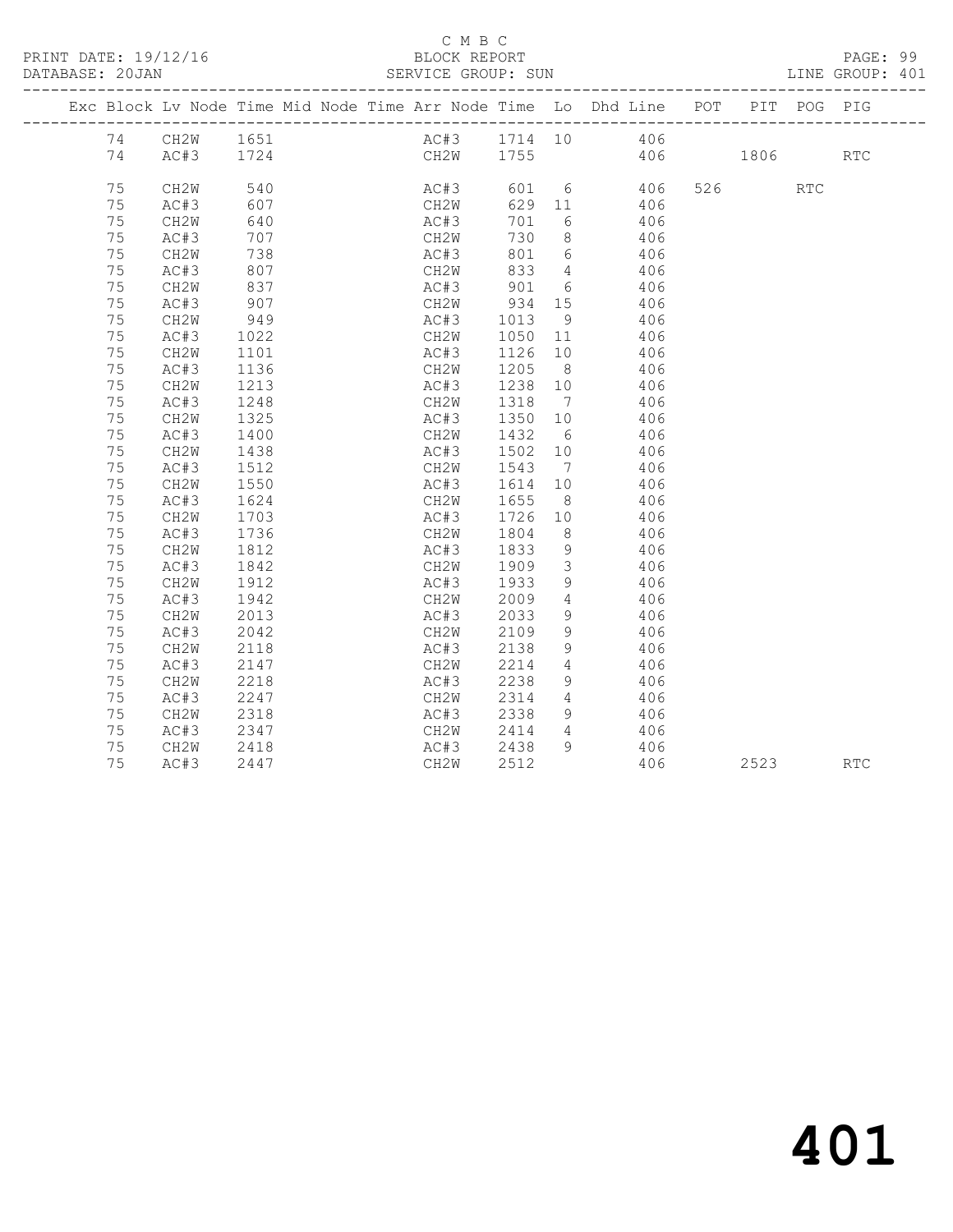PRINT DATE: 19/12/16 BLOCK REPORT BATABASE: 20JAN BLOCK REPORT

### C M B C<br>BLOCK REPORT

PAGE: 99<br>LINE GROUP: 401

|    | Exc Block Lv Node Time Mid Node Time Arr Node Time Lo Dhd Line POT |            |  |      |      |                             |                         |                                   |          |         | PIT POG PIG |            |
|----|--------------------------------------------------------------------|------------|--|------|------|-----------------------------|-------------------------|-----------------------------------|----------|---------|-------------|------------|
|    | 74 CH2W 1651                                                       |            |  |      |      |                             |                         | AC#3 1714 10 406<br>CH2W 1755 406 |          |         |             |            |
| 74 | AC#3 1724                                                          |            |  |      |      |                             |                         |                                   | 406 1806 |         |             | <b>RTC</b> |
| 75 | CH <sub>2</sub> W                                                  | 540        |  |      | AC#3 |                             |                         | 601 6 406                         |          | 526 RTC |             |            |
| 75 | AC#3                                                               | 607        |  |      | CH2W | 629 11                      |                         | 406                               |          |         |             |            |
| 75 | CH2W                                                               | 640        |  |      | AC#3 | 701                         | $6\overline{6}$         | 406                               |          |         |             |            |
| 75 | AC#3                                                               | 707        |  | CH2W |      | 730                         | 8 <sup>1</sup>          | 406                               |          |         |             |            |
| 75 | CH2W                                                               | 738        |  | AC#3 |      |                             |                         | 801 6 406                         |          |         |             |            |
| 75 | AC#3                                                               | 807        |  | CH2W |      | 833                         | $4\overline{4}$         | 406                               |          |         |             |            |
| 75 | CH2W                                                               |            |  | AC#3 |      | 901                         | 6                       | 406                               |          |         |             |            |
| 75 | AC#3                                                               | 837<br>907 |  |      |      |                             |                         | 406                               |          |         |             |            |
| 75 | CH2W                                                               | 949        |  |      |      | CH2W 934 15<br>AC#3 1013 9  |                         |                                   | 406      |         |             |            |
| 75 | AC#3                                                               | 1022       |  |      |      | CH2W 1050 11                |                         |                                   | 406      |         |             |            |
| 75 | CH2W                                                               | 1101       |  | AC#3 |      | 1126 10                     |                         |                                   | 406      |         |             |            |
| 75 | AC#3                                                               | 1136       |  | CH2W |      | 1205                        | 8 <sup>8</sup>          |                                   | 406      |         |             |            |
| 75 | CH2W                                                               | 1213       |  | AC#3 |      | $\frac{1}{1238}$ 10         |                         | 406                               |          |         |             |            |
| 75 | AC#3                                                               | 1248       |  | CH2W |      | 1318                        | $\overline{7}$          |                                   | 406      |         |             |            |
| 75 | CH2W                                                               | 1325       |  | AC#3 |      | 1350 10                     |                         |                                   | 406      |         |             |            |
| 75 | AC#3                                                               | 1400       |  | CH2W |      | 1432 6                      |                         |                                   | 406      |         |             |            |
| 75 | CH2W                                                               | 1438       |  |      |      |                             |                         | 406                               |          |         |             |            |
| 75 | AC#3                                                               | 1512       |  |      |      | AC#3 1502 10<br>CH2W 1543 7 |                         |                                   | 406      |         |             |            |
| 75 | CH2W                                                               | 1550       |  |      |      | AC#3 1614 10                |                         |                                   | 406      |         |             |            |
| 75 | AC#3                                                               | 1624       |  | CH2W |      | 1655                        | 8 <sup>1</sup>          |                                   | 406      |         |             |            |
| 75 | CH2W                                                               | 1703       |  | AC#3 |      | 1726                        | 10                      |                                   | 406      |         |             |            |
| 75 | AC#3                                                               | 1736       |  | CH2W |      | 1804                        | 8 <sup>8</sup>          | 406                               |          |         |             |            |
| 75 | CH2W                                                               | 1812       |  | AC#3 |      | 1833                        | 9                       | 406                               |          |         |             |            |
| 75 | AC#3                                                               | 1842       |  | CH2W |      | 1909                        | $\overline{\mathbf{3}}$ |                                   | 406      |         |             |            |
| 75 | CH2W                                                               | 1912       |  | AC#3 |      | 1933                        | 9                       | 406                               |          |         |             |            |
| 75 | AC#3                                                               | 1942       |  | CH2W |      | 2009<br>2033                | $4\overline{ }$         | 406                               |          |         |             |            |
| 75 | CH2W                                                               | 2013       |  | AC#3 |      |                             | 9                       | 406                               |          |         |             |            |
| 75 | AC#3                                                               | 2042       |  | CH2W |      | 2109                        | 9                       |                                   | 406      |         |             |            |
| 75 | CH2W                                                               | 2118       |  | AC#3 |      | 2138                        | 9                       |                                   | 406      |         |             |            |
| 75 | AC#3                                                               | 2147       |  | CH2W |      | 2214                        | $\overline{4}$          |                                   | 406      |         |             |            |
| 75 | CH2W                                                               | 2218       |  | AC#3 |      | 2238<br>2314                | 9                       | 406                               |          |         |             |            |
| 75 | AC#3                                                               | 2247       |  | CH2W |      |                             | $\overline{4}$          | 406                               |          |         |             |            |
| 75 | CH2W                                                               | 2318       |  | AC#3 |      | 2338                        | - 9                     | 406                               |          |         |             |            |
| 75 | AC#3                                                               | 2347       |  | CH2W |      | 2414                        | $\overline{4}$          | 406                               |          |         |             |            |
| 75 | CH2W                                                               | 2418       |  | AC#3 |      | 2438                        | 9                       | 406                               |          |         |             |            |
| 75 | AC#3                                                               | 2447       |  | CH2W |      | 2512                        |                         |                                   | 406      | 2523    |             | <b>RTC</b> |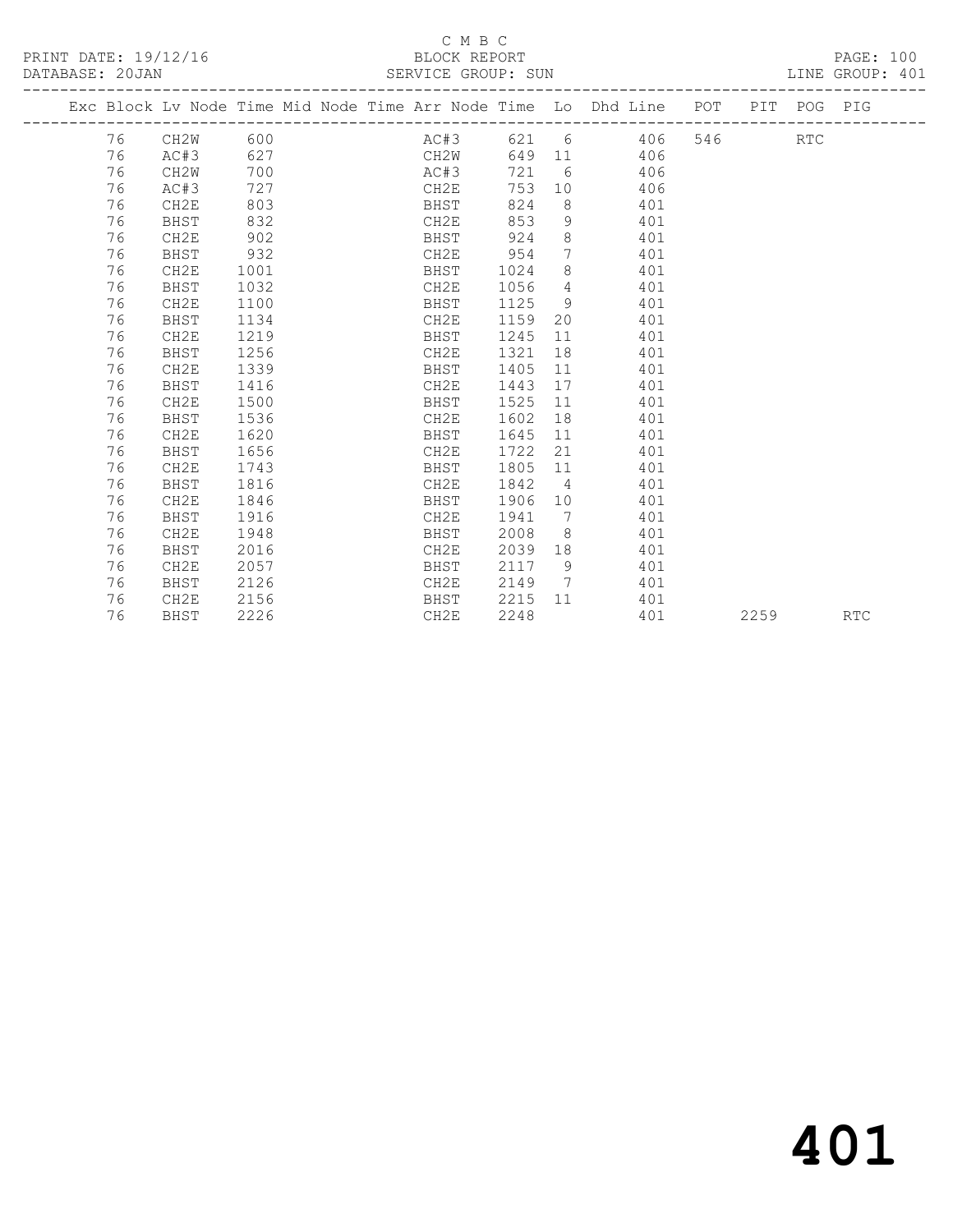#### C M B C<br>BLOCK REPORT SERVICE GROUP: SUN

|  |    | Exc Block Lv Node Time Mid Node Time Arr Node Time Lo Dhd Line POT |      |  |      |      |                 |                 |     |     |      | PIT POG PIG |            |
|--|----|--------------------------------------------------------------------|------|--|------|------|-----------------|-----------------|-----|-----|------|-------------|------------|
|  | 76 | CH2W                                                               | 600  |  | AC#3 |      |                 | 621 6 406       |     | 546 |      | <b>RTC</b>  |            |
|  | 76 | AC#3                                                               | 627  |  | CH2W |      |                 | 649 11 406      |     |     |      |             |            |
|  | 76 | CH2W                                                               | 700  |  | AC#3 | 721  | 6               |                 | 406 |     |      |             |            |
|  | 76 | AC#3                                                               | 727  |  | CH2E | 753  | 10              |                 | 406 |     |      |             |            |
|  | 76 | CH2E                                                               | 803  |  | BHST | 824  | 8               |                 | 401 |     |      |             |            |
|  | 76 | BHST                                                               | 832  |  | CH2E | 853  | 9               |                 | 401 |     |      |             |            |
|  | 76 | CH2E                                                               | 902  |  | BHST | 924  | 8               |                 | 401 |     |      |             |            |
|  | 76 | BHST                                                               | 932  |  | CH2E | 954  | $7\phantom{.0}$ |                 | 401 |     |      |             |            |
|  | 76 | CH2E                                                               | 1001 |  | BHST | 1024 | 8               |                 | 401 |     |      |             |            |
|  | 76 | BHST                                                               | 1032 |  | CH2E | 1056 | $\overline{4}$  |                 | 401 |     |      |             |            |
|  | 76 | CH2E                                                               | 1100 |  | BHST | 1125 | 9               |                 | 401 |     |      |             |            |
|  | 76 | BHST                                                               | 1134 |  | CH2E | 1159 | 20              |                 | 401 |     |      |             |            |
|  | 76 | CH2E                                                               | 1219 |  | BHST | 1245 | 11              |                 | 401 |     |      |             |            |
|  | 76 | BHST                                                               | 1256 |  | CH2E | 1321 |                 |                 | 401 |     |      |             |            |
|  | 76 | CH2E                                                               | 1339 |  | BHST | 1405 | 11              |                 | 401 |     |      |             |            |
|  | 76 | BHST                                                               | 1416 |  | CH2E | 1443 | 17              |                 | 401 |     |      |             |            |
|  | 76 | CH2E                                                               | 1500 |  | BHST | 1525 | 11              |                 | 401 |     |      |             |            |
|  | 76 | BHST                                                               | 1536 |  | CH2E | 1602 | 18              |                 | 401 |     |      |             |            |
|  | 76 | CH2E                                                               | 1620 |  | BHST | 1645 | 11              |                 | 401 |     |      |             |            |
|  | 76 | BHST                                                               | 1656 |  | CH2E | 1722 | 21              |                 | 401 |     |      |             |            |
|  | 76 | CH2E                                                               | 1743 |  | BHST | 1805 | 11              |                 | 401 |     |      |             |            |
|  | 76 | BHST                                                               | 1816 |  | CH2E | 1842 |                 | $4\overline{ }$ | 401 |     |      |             |            |
|  | 76 | CH2E                                                               | 1846 |  | BHST | 1906 | 10              |                 | 401 |     |      |             |            |
|  | 76 | BHST                                                               | 1916 |  | CH2E | 1941 | $\overline{7}$  |                 | 401 |     |      |             |            |
|  | 76 | CH2E                                                               | 1948 |  | BHST | 2008 | 8               |                 | 401 |     |      |             |            |
|  | 76 | BHST                                                               | 2016 |  | CH2E | 2039 | 18              |                 | 401 |     |      |             |            |
|  | 76 | CH2E                                                               | 2057 |  | BHST | 2117 | $\overline{9}$  |                 | 401 |     |      |             |            |
|  | 76 | BHST                                                               | 2126 |  | CH2E | 2149 | $\overline{7}$  |                 | 401 |     |      |             |            |
|  | 76 | CH2E                                                               | 2156 |  | BHST | 2215 | 11              |                 | 401 |     |      |             |            |
|  | 76 | BHST                                                               | 2226 |  | CH2E | 2248 |                 |                 | 401 |     | 2259 |             | <b>RTC</b> |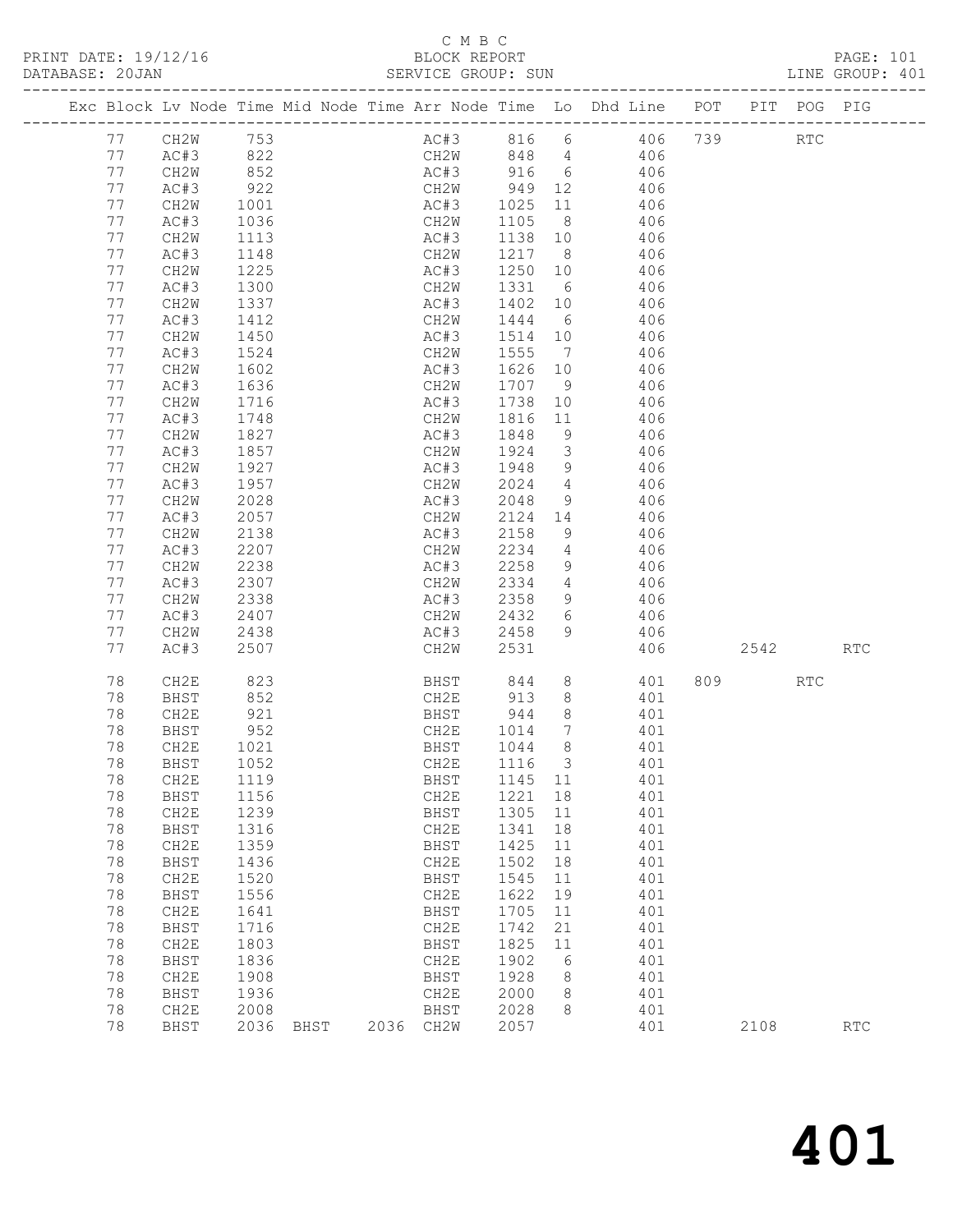PRINT DATE: 19/12/16<br>DATABASE: 20JAN

|    |              |              |      |      |             |        |                 |                                                                                             |           |     | PAGE: 101<br>LINE GROUP: 401 |
|----|--------------|--------------|------|------|-------------|--------|-----------------|---------------------------------------------------------------------------------------------|-----------|-----|------------------------------|
|    |              |              |      |      |             |        |                 | Exc Block Lv Node Time Mid Node Time Arr Node Time Lo Dhd Line POT PIT POG PIG              |           |     |                              |
|    | 77 CH2W 753  |              |      |      |             |        |                 | AC#3 816 6 406 739 RTC                                                                      |           |     |                              |
| 77 | AC#3 822     |              |      |      |             |        |                 | CH2W 848 4 406                                                                              |           |     |                              |
| 77 | CH2W         | 852          |      |      |             |        |                 | AC#3 916 6 406                                                                              |           |     |                              |
| 77 | AC#3         |              |      |      |             |        |                 |                                                                                             |           |     |                              |
| 77 | CH2W         | 922<br>1001  |      |      |             |        |                 | CH2W 949 12 406<br>AC#3 1025 11 406<br>CH2W 1105 8 406                                      |           |     |                              |
| 77 | AC#3         | 1036         |      |      | CH2W        |        |                 |                                                                                             |           |     |                              |
| 77 | CH2W         | 1113         |      |      | AC#3        |        |                 | 1138 10 406                                                                                 |           |     |                              |
| 77 | AC#3         | 1148         |      |      | CH2W        |        |                 |                                                                                             |           |     |                              |
| 77 | CH2W         | 1225         |      |      | AC#3        |        |                 | $\begin{array}{cccc} 1217 & 8 & & 406 \\ 1250 & 10 & & 406 \\ 1331 & 6 & & 406 \end{array}$ |           |     |                              |
| 77 | AC#3         | 1300         |      |      | CH2W        |        |                 |                                                                                             |           |     |                              |
| 77 | CH2W         | 1337         |      |      | AC#3        |        |                 | 1402 10 406                                                                                 |           |     |                              |
|    |              |              |      |      |             |        |                 |                                                                                             |           |     |                              |
| 77 | AC#3         | 1412         |      |      | CH2W        |        |                 | 1444 6 406                                                                                  |           |     |                              |
| 77 | CH2W         | 1450         |      |      | AC#3        |        |                 | 1514 10 406<br>1555 7 406                                                                   |           |     |                              |
| 77 | AC#3         | 1524         |      |      | CH2W        |        |                 |                                                                                             |           |     |                              |
| 77 | CH2W         | 1602         |      |      | AC#3        |        |                 | 1626 10 406                                                                                 |           |     |                              |
| 77 | AC#3         | 1636         |      |      | CH2W        |        |                 | 1707 9 406                                                                                  |           |     |                              |
| 77 | CH2W         | 1716<br>1748 |      |      | AC#3        |        |                 | $\begin{array}{cccc} 1738 & 10 & & 406 \\ 1816 & 11 & & 406 \end{array}$                    |           |     |                              |
| 77 | AC#3         |              |      |      | CH2W        |        |                 |                                                                                             |           |     |                              |
| 77 | CH2W         | 1827         |      |      | AC#3        |        |                 | 1848 9 406                                                                                  |           |     |                              |
| 77 | AC#3         | 1857         |      |      | CH2W        |        |                 |                                                                                             |           |     |                              |
| 77 | CH2W         |              |      |      | AC#3        |        |                 |                                                                                             |           |     |                              |
| 77 | AC#3         | 1927<br>1957 |      |      | CH2W        |        |                 | $\begin{array}{cccc} 1924 & 3 & 406 \\ 1948 & 9 & 406 \\ 2024 & 4 & 406 \end{array}$        |           |     |                              |
| 77 | CH2W         | 2028         |      |      | AC#3        | 2048   |                 | 9 406                                                                                       |           |     |                              |
| 77 | AC#3         | 2057         |      |      | CH2W        |        |                 | 2124 14 406                                                                                 |           |     |                              |
| 77 | CH2W         |              |      |      | AC#3        |        |                 |                                                                                             |           |     |                              |
| 77 | AC#3         | 2138<br>2207 |      |      | CH2W        |        |                 | 2158 9 406<br>2234 4 406                                                                    |           |     |                              |
| 77 | CH2W         | 2238         |      |      | AC#3        |        |                 | $2258$ 9 406                                                                                |           |     |                              |
| 77 | AC#3         | 2307         |      |      | CH2W        |        |                 | 2334 4 406                                                                                  |           |     |                              |
| 77 | CH2W         | 2338         |      |      | AC#3        |        |                 |                                                                                             |           |     |                              |
| 77 | AC#3         | 2407         |      |      | CH2W        | 2432 6 |                 | 2358 9 406<br>2432 6 406                                                                    |           |     |                              |
| 77 | CH2W         | 2438         |      |      |             |        |                 | $AC#3$ $2458$ 9 $406$                                                                       |           |     |                              |
| 77 | AC#3         | 2507         |      |      | CH2W        | 2531   |                 |                                                                                             | 406 2542  |     | $\mathop{\rm RTC}\nolimits$  |
|    |              |              |      |      |             |        |                 |                                                                                             |           |     |                              |
| 78 | CH2E         | 823<br>852   |      |      |             |        |                 | BHST 844 8 401<br>CH2E 913 8 401                                                            | 809 — 100 | RTC |                              |
| 78 | BHST         |              |      |      |             |        |                 |                                                                                             |           |     |                              |
| 78 | CH2E         | 921          |      |      | BHST        |        |                 | 944 8 401                                                                                   |           |     |                              |
| 78 | BHST         | 952          |      |      | CH2E        | 1014   | $7\overline{ }$ | 401                                                                                         |           |     |                              |
|    | 78 CH2E 1021 |              |      |      | BHST 1044 8 |        |                 | 401                                                                                         |           |     |                              |
| 78 | BHST         | 1052         |      |      | CH2E        | 1116   | $\mathcal{S}$   | 401                                                                                         |           |     |                              |
| 78 | CH2E         | 1119         |      |      | <b>BHST</b> | 1145   | 11              | 401                                                                                         |           |     |                              |
| 78 | BHST         | 1156         |      |      | CH2E        | 1221   | 18              | 401                                                                                         |           |     |                              |
| 78 | CH2E         | 1239         |      |      | BHST        | 1305   | 11              | 401                                                                                         |           |     |                              |
| 78 | BHST         | 1316         |      |      | CH2E        | 1341   | 18              | 401                                                                                         |           |     |                              |
| 78 | CH2E         | 1359         |      |      | BHST        | 1425   | 11              | 401                                                                                         |           |     |                              |
| 78 | BHST         | 1436         |      |      | CH2E        | 1502   | 18              | 401                                                                                         |           |     |                              |
| 78 | CH2E         | 1520         |      |      | BHST        | 1545   | 11              | 401                                                                                         |           |     |                              |
| 78 | BHST         | 1556         |      |      | CH2E        | 1622   | 19              | 401                                                                                         |           |     |                              |
| 78 | CH2E         | 1641         |      |      | BHST        | 1705   | 11              | 401                                                                                         |           |     |                              |
| 78 | BHST         | 1716         |      |      | CH2E        | 1742   | 21              | 401                                                                                         |           |     |                              |
| 78 | CH2E         | 1803         |      |      | BHST        | 1825   | $11$            | 401                                                                                         |           |     |                              |
| 78 | BHST         | 1836         |      |      | CH2E        | 1902   | 6               | 401                                                                                         |           |     |                              |
| 78 | CH2E         | 1908         |      |      | <b>BHST</b> | 1928   |                 | 401                                                                                         |           |     |                              |
| 78 |              | 1936         |      |      | CH2E        | 2000   | 8               | 401                                                                                         |           |     |                              |
|    | BHST         |              |      |      |             |        | 8               |                                                                                             |           |     |                              |
| 78 | CH2E         | 2008         |      |      | BHST        | 2028   | 8               | 401                                                                                         |           |     |                              |
| 78 | <b>BHST</b>  | 2036         | BHST | 2036 | CH2W        | 2057   |                 | 401                                                                                         | 2108      |     | $\mathop{\rm RTC}\nolimits$  |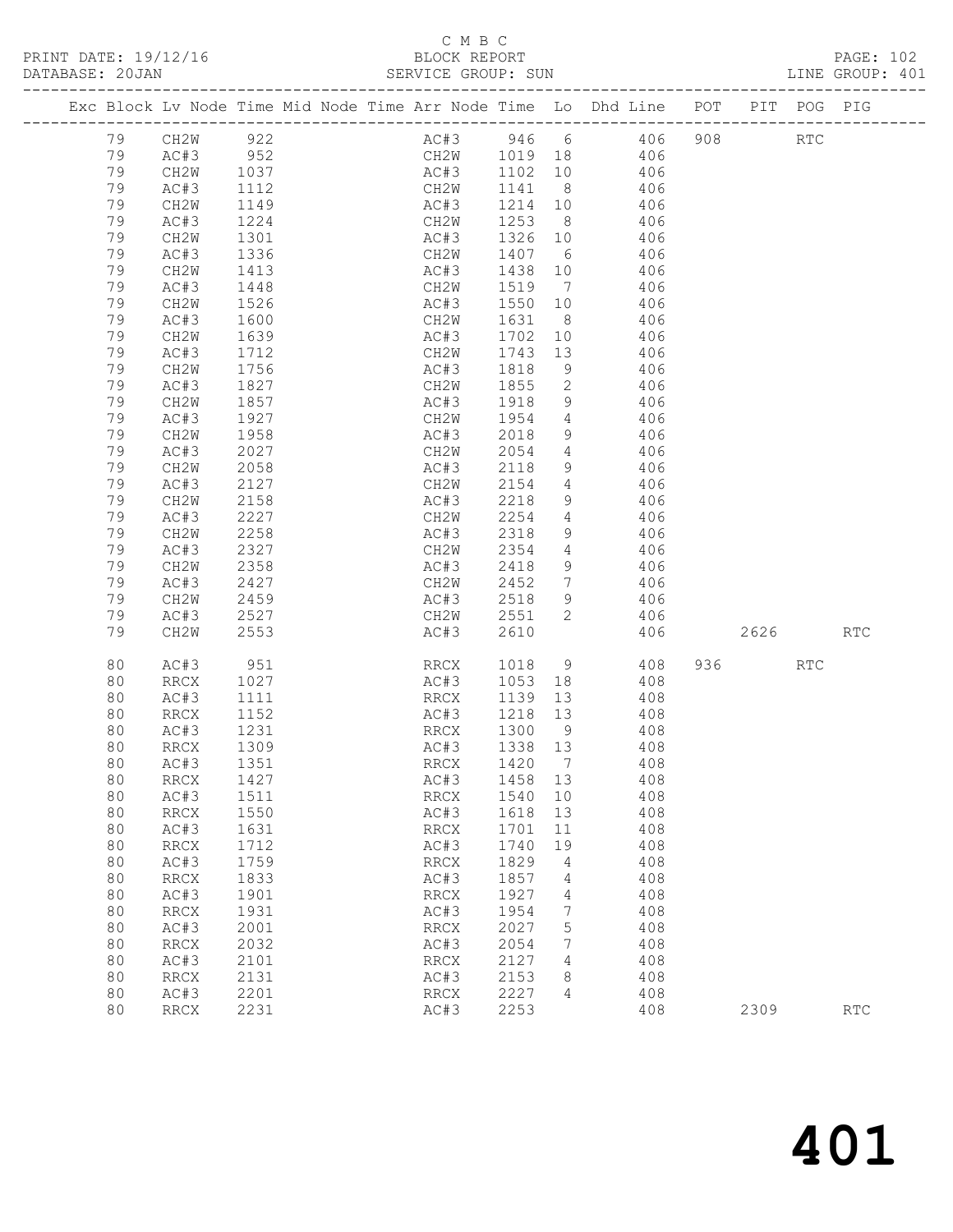## C M B C<br>BLOCK REPORT

| DATABASE: 20JAN |    |                          |                  |                                                                                | SERVICE GROUP: SUN           |         |                 |                          |           |        | LINE GROUP: 401 |  |
|-----------------|----|--------------------------|------------------|--------------------------------------------------------------------------------|------------------------------|---------|-----------------|--------------------------|-----------|--------|-----------------|--|
|                 |    |                          |                  | Exc Block Lv Node Time Mid Node Time Arr Node Time Lo Dhd Line POT PIT POG PIG |                              |         |                 |                          |           |        |                 |  |
|                 | 79 | CH2W 922                 |                  |                                                                                |                              |         |                 | AC#3 946 6 406 908 RTC   |           |        |                 |  |
|                 | 79 | AC#3                     | 952              |                                                                                |                              |         |                 | CH2W 1019 18 406         |           |        |                 |  |
|                 | 79 | CH2W                     | 1037<br>1112     |                                                                                |                              |         |                 | AC#3 1102 10 406         |           |        |                 |  |
|                 | 79 | AC#3                     |                  |                                                                                | CH2W                         | 1141 8  |                 | 406                      |           |        |                 |  |
|                 | 79 | CH2W                     | 1149             |                                                                                |                              |         |                 | $AC#3$ $1214$ $10$ $406$ |           |        |                 |  |
|                 | 79 | AC#3                     | 1224             |                                                                                |                              |         |                 | CH2W 1253 8 406          |           |        |                 |  |
|                 | 79 | CH2W                     | 1301             |                                                                                | AC#3                         | 1326 10 |                 | 406                      |           |        |                 |  |
|                 | 79 | AC#3                     | 1336             |                                                                                | CH2W                         | 1407 6  |                 | 406                      |           |        |                 |  |
|                 | 79 | CH2W                     | 1413             |                                                                                | AC#3                         | 1438 10 |                 | 406                      |           |        |                 |  |
|                 | 79 | AC#3                     | 1448             |                                                                                | CH2W                         |         |                 | 1519 7 406               |           |        |                 |  |
|                 | 79 | CH2W                     | 1526             |                                                                                | AC#3                         | 1550    | 10              | 406                      |           |        |                 |  |
|                 | 79 | AC#3                     | 1600             |                                                                                | CH2W                         | 1631    | 8 <sup>1</sup>  | 406                      |           |        |                 |  |
|                 | 79 | CH2W                     | $\frac{1}{1639}$ |                                                                                | AC#3                         | 1702    | 10              | 406                      |           |        |                 |  |
|                 | 79 | AC#3                     | 1712             |                                                                                | CH2W                         |         |                 | 1743 13 406              |           |        |                 |  |
|                 | 79 | CH2W                     | 1756             |                                                                                | AC#3                         | 1818    | 9               | 406                      |           |        |                 |  |
|                 | 79 | AC#3                     | 1827<br>1857     |                                                                                | CH2W                         | 1855    | $\overline{2}$  | 406                      |           |        |                 |  |
|                 | 79 | CH2W                     |                  |                                                                                | AC#3                         | 1918    | 9               | 406                      |           |        |                 |  |
|                 | 79 | AC#3                     | 1927             |                                                                                | CH2W 1954                    |         | $4\overline{4}$ | 406                      |           |        |                 |  |
|                 | 79 | CH2W                     | 1958             |                                                                                | AC#3                         | 2018    |                 | 9<br>406                 |           |        |                 |  |
|                 | 79 | AC#3                     | 2027             |                                                                                | CH2W                         | 2054    | $4\overline{4}$ | 406                      |           |        |                 |  |
|                 | 79 | CH2W                     | 2058             |                                                                                | AC#3                         | 2118    | 9               | 406                      |           |        |                 |  |
|                 | 79 | AC#3                     | 2127             |                                                                                | CH2W                         | 2154    |                 | 4 4 0 6                  |           |        |                 |  |
|                 | 79 | CH2W                     | 2158             |                                                                                | AC#3                         | 2218    |                 | 9 406                    |           |        |                 |  |
|                 | 79 | AC#3                     | 2227             |                                                                                | CH2W                         | 2254    | $4\overline{4}$ | 406                      |           |        |                 |  |
|                 | 79 | CH2W                     | 2258             |                                                                                | AC#3                         | 2318    | 9               | 406                      |           |        |                 |  |
|                 | 79 | AC#3                     | 2327             |                                                                                | CH2W                         | 2354    |                 | 4 4 4 0 6                |           |        |                 |  |
|                 | 79 | CH2W                     | 2358             |                                                                                | AC#3                         | 2418    | 9               | 406                      |           |        |                 |  |
|                 | 79 | AC#3                     | 2427             |                                                                                | CH2W                         | 2452    | $7\overline{ }$ | 406                      |           |        |                 |  |
|                 | 79 | CH2W                     | 2459             |                                                                                | AC#3                         | 2518    | 9               | 406                      |           |        |                 |  |
|                 | 79 | AC#3                     | 2527             |                                                                                | CH2W 2551                    |         | 2               | 406                      |           |        |                 |  |
|                 | 79 | CH2W                     | 2553             |                                                                                | AC#3                         | 2610    |                 | 406                      |           | 2626 7 | <b>RTC</b>      |  |
|                 | 80 | AC#3                     | 951              |                                                                                | RRCX 1018 9                  |         |                 | 408                      | 936 — 100 | RTC    |                 |  |
|                 | 80 | RRCX                     | 1027             |                                                                                | AC#3                         | 1053 18 |                 | 408                      |           |        |                 |  |
|                 | 80 | AC#3                     | 1111             |                                                                                | RRCX                         |         |                 | 1139 13 408              |           |        |                 |  |
|                 | 80 | RRCX                     | 1152             |                                                                                | AC#3                         | 1218 13 |                 | 408                      |           |        |                 |  |
|                 | 80 | AC#3                     | 1231             |                                                                                | RRCX                         | 1300 9  |                 | 408                      |           |        |                 |  |
|                 | 80 | RRCX                     | $\frac{1}{1309}$ |                                                                                | AC#3                         | 1338 13 |                 | 408                      |           |        |                 |  |
|                 | 80 | AC#3 1351                |                  |                                                                                | RRCX 1420 7                  |         |                 | 408                      |           |        |                 |  |
|                 | 80 | RRCX                     | 1427             |                                                                                | AC#3                         | 1458    | 13              | 408                      |           |        |                 |  |
|                 | 80 | AC#3                     | 1511             |                                                                                | RRCX                         | 1540    | 10              | 408                      |           |        |                 |  |
|                 | 80 | <b>RRCX</b>              | 1550             |                                                                                | AC#3                         | 1618    | 13              | 408                      |           |        |                 |  |
|                 | 80 | AC#3                     | 1631             |                                                                                | RRCX                         | 1701    | 11              | 408                      |           |        |                 |  |
|                 | 80 | <b>RRCX</b>              | 1712             |                                                                                | AC#3                         | 1740    | 19              | 408                      |           |        |                 |  |
|                 | 80 | AC#3                     | 1759             |                                                                                | RRCX                         | 1829    | 4               | 408                      |           |        |                 |  |
|                 | 80 | <b>RRCX</b>              | 1833             |                                                                                | AC#3                         | 1857    | $\overline{4}$  | 408                      |           |        |                 |  |
|                 | 80 | AC#3                     | 1901             |                                                                                | RRCX                         | 1927    | 4               | 408                      |           |        |                 |  |
|                 | 80 | <b>RRCX</b>              | 1931             |                                                                                | AC#3                         | 1954    | 7               | 408                      |           |        |                 |  |
|                 | 80 | AC#3                     | 2001             |                                                                                | RRCX                         | 2027    | 5               | 408                      |           |        |                 |  |
|                 | 80 | $\mathop{\mathrm{RRCX}}$ | 2032             |                                                                                | AC#3                         | 2054    | 7               | 408                      |           |        |                 |  |
|                 | 80 | AC#3                     | 2101             |                                                                                | $\mathop{\rm RRCX}\nolimits$ | 2127    | $\overline{4}$  | 408                      |           |        |                 |  |

 80 RRCX 2131 AC#3 2153 8 408 80 AC#3 2201 RRCX 2227 4 408

80 RRCX 2231 AC#3 2253 408 2309 RTC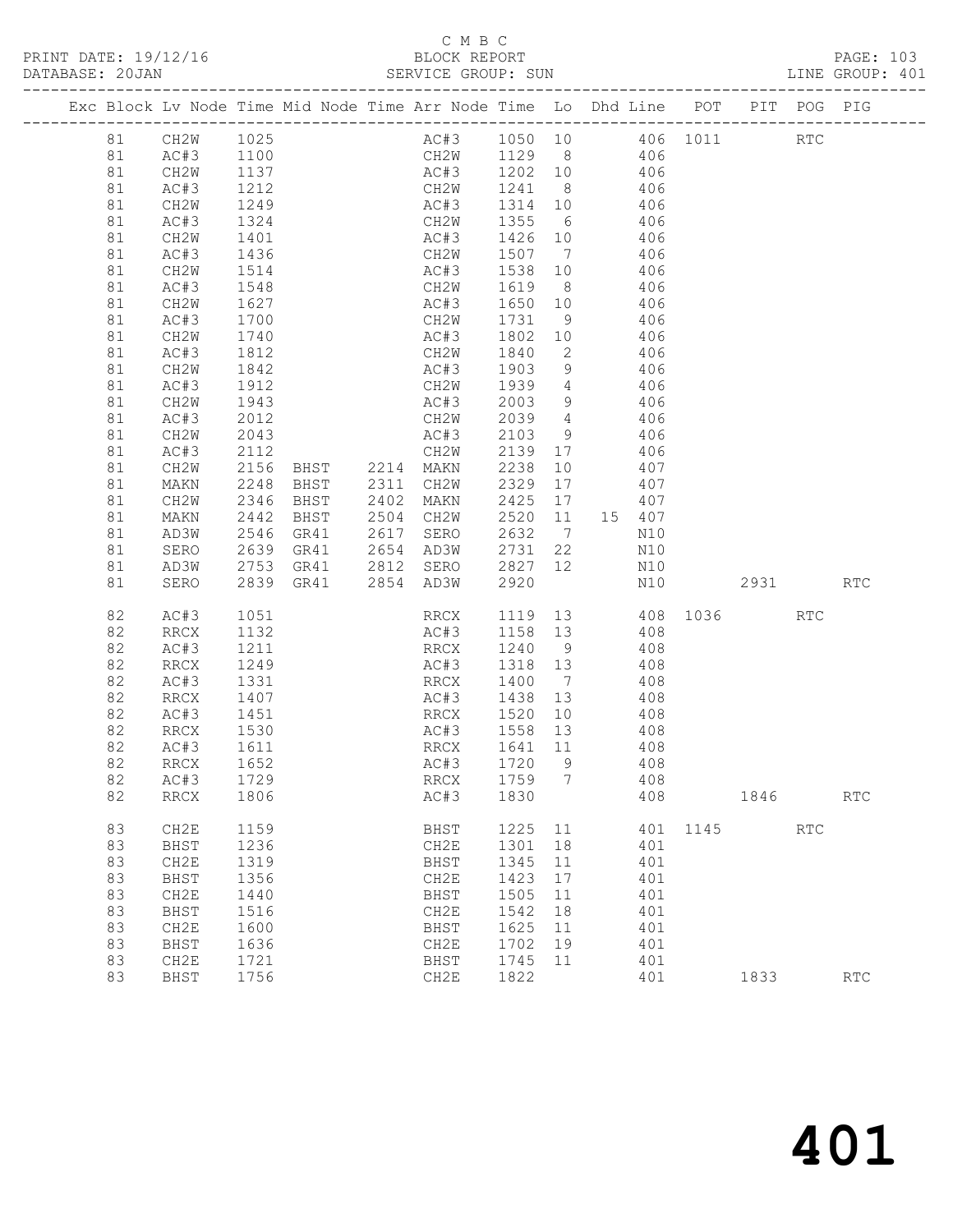## C M B C<br>BLOCK REPORT

| PRINT DATE: 19/12/16<br>DATABASE: 20JAN |    |                   |      |      |      | BLOCK REPORT<br>SERVICE GROUP: SUN                                             |      |                 |                                |     |          |            | PAGE: 103<br>LINE GROUP: 401 |  |
|-----------------------------------------|----|-------------------|------|------|------|--------------------------------------------------------------------------------|------|-----------------|--------------------------------|-----|----------|------------|------------------------------|--|
|                                         |    |                   |      |      |      | Exc Block Lv Node Time Mid Node Time Arr Node Time Lo Dhd Line POT PIT POG PIG |      |                 |                                |     |          |            |                              |  |
|                                         |    | 81 CH2W 1025      |      |      |      | AC#3 1050 10                                                                   |      |                 |                                |     | 406 1011 | <b>RTC</b> |                              |  |
|                                         | 81 | AC#3              | 1100 |      |      | CH2W                                                                           | 1129 |                 | $8 \overline{8}$               | 406 |          |            |                              |  |
|                                         | 81 | CH2W              | 1137 |      |      | AC#3                                                                           | 1202 |                 | 10                             | 406 |          |            |                              |  |
|                                         | 81 | AC#3              | 1212 |      |      | CH2W                                                                           | 1241 |                 | $8 \overline{)}$               | 406 |          |            |                              |  |
|                                         | 81 | CH2W              | 1249 |      |      | AC#3                                                                           | 1314 |                 | 10                             | 406 |          |            |                              |  |
|                                         | 81 | AC#3              | 1324 |      |      | CH2W                                                                           | 1355 | $6\overline{6}$ |                                | 406 |          |            |                              |  |
|                                         | 81 | CH2W              | 1401 |      |      | AC#3                                                                           | 1426 | 10              |                                | 406 |          |            |                              |  |
|                                         | 81 | AC#3              | 1436 |      |      | CH2W                                                                           | 1507 | 7               |                                | 406 |          |            |                              |  |
|                                         | 81 | CH <sub>2</sub> W | 1514 |      |      | AC#3                                                                           | 1538 | 10              |                                | 406 |          |            |                              |  |
|                                         | 81 | AC#3              | 1548 |      |      | CH2W                                                                           | 1619 |                 | $8 \overline{)}$               | 406 |          |            |                              |  |
|                                         | 81 | CH <sub>2</sub> W | 1627 |      |      | AC#3                                                                           | 1650 | 10              |                                | 406 |          |            |                              |  |
|                                         | 81 | AC#3              | 1700 |      |      | CH2W                                                                           | 1731 | 9               |                                | 406 |          |            |                              |  |
|                                         | 81 | CH <sub>2</sub> W | 1740 |      |      | AC#3                                                                           | 1802 | 10              |                                | 406 |          |            |                              |  |
|                                         | 81 | AC#3              | 1812 |      |      | CH <sub>2</sub> W                                                              | 1840 | 2               |                                | 406 |          |            |                              |  |
|                                         | 81 | CH <sub>2</sub> W | 1842 |      |      | AC#3                                                                           | 1903 | 9               |                                | 406 |          |            |                              |  |
|                                         | 81 | AC#3              | 1912 |      |      | CH2W                                                                           | 1939 |                 | $4\degree$                     | 406 |          |            |                              |  |
|                                         | 81 | CH <sub>2</sub> W | 1943 |      |      | AC#3                                                                           | 2003 | 9               |                                | 406 |          |            |                              |  |
|                                         | 81 | AC#3              | 2012 |      |      | CH2W                                                                           | 2039 | $4\degree$      |                                | 406 |          |            |                              |  |
|                                         | 81 | CH <sub>2</sub> W | 2043 |      |      | AC#3                                                                           | 2103 |                 | $9 \left( \frac{1}{2} \right)$ | 406 |          |            |                              |  |
|                                         | 81 | AC#3              | 2112 |      |      | CH2W                                                                           | 2139 |                 | 17                             | 406 |          |            |                              |  |
|                                         | 81 | CH <sub>2</sub> W | 2156 | BHST | 2214 | MAKN                                                                           | 2238 | 10              |                                | 407 |          |            |                              |  |
|                                         | 81 | MAKN              | 2248 | BHST | 2311 | CH2W                                                                           | 2329 | 17              |                                | 407 |          |            |                              |  |
|                                         | 81 | CH2W              | 2346 | BHST | 2402 | MAKN                                                                           | 2425 | 17              |                                | 407 |          |            |                              |  |
|                                         | 81 | MAKN              | 2442 | BHST | 2504 | CH <sub>2</sub> W                                                              | 2520 |                 | 11 15                          | 407 |          |            |                              |  |
|                                         | 81 | AD3W              | 2546 | GR41 | 2617 | SERO                                                                           | 2632 | $\overline{7}$  |                                | N10 |          |            |                              |  |

| 81<br>81<br>81<br>81<br>81 | MAKN<br>CH <sub>2</sub> W<br>MAKN<br>AD3W<br>SERO | 2248<br>2346<br>2442<br>2546<br>2639 | <b>BHST</b><br>BHST<br><b>BHST</b><br>GR41<br>GR41 | 2311<br>2402<br>2504<br>2617<br>2654 | CH <sub>2</sub> W<br><b>MAKN</b><br>CH2W<br>SERO<br>AD3W | 2329<br>2425<br>2520<br>2632<br>2731 | 17<br>17<br>11<br>7<br>22 | 15 | 407<br>407<br>407<br>N10<br>N10 |      |      |            |            |
|----------------------------|---------------------------------------------------|--------------------------------------|----------------------------------------------------|--------------------------------------|----------------------------------------------------------|--------------------------------------|---------------------------|----|---------------------------------|------|------|------------|------------|
| 81                         | AD3W                                              | 2753                                 | GR41                                               | 2812                                 | SERO                                                     | 2827                                 | 12                        |    | N10                             |      |      |            |            |
| 81                         | SERO                                              | 2839                                 | GR41                                               | 2854                                 | AD3W                                                     | 2920                                 |                           |    | N10                             |      | 2931 |            | <b>RTC</b> |
| 82                         | AC#3                                              | 1051                                 |                                                    |                                      | <b>RRCX</b>                                              | 1119                                 | 13                        |    | 408                             | 1036 |      | <b>RTC</b> |            |
| 82                         | <b>RRCX</b>                                       | 1132                                 |                                                    |                                      | AC#3                                                     | 1158                                 | 13                        |    | 408                             |      |      |            |            |
| 82                         | AC#3                                              | 1211                                 |                                                    |                                      | RRCX                                                     | 1240                                 | 9                         |    | 408                             |      |      |            |            |
| 82                         | RRCX                                              | 1249                                 |                                                    |                                      | AC#3                                                     | 1318                                 | 13<br>7                   |    | 408                             |      |      |            |            |
| 82<br>82                   | AC#3<br><b>RRCX</b>                               | 1331<br>1407                         |                                                    |                                      | <b>RRCX</b><br>AC#3                                      | 1400<br>1438                         | 13                        |    | 408<br>408                      |      |      |            |            |
| 82                         | AC#3                                              | 1451                                 |                                                    |                                      | RRCX                                                     | 1520                                 | 10                        |    | 408                             |      |      |            |            |
| 82                         | <b>RRCX</b>                                       | 1530                                 |                                                    |                                      | AC#3                                                     | 1558                                 | 13                        |    | 408                             |      |      |            |            |
| 82                         | AC#3                                              | 1611                                 |                                                    |                                      | RRCX                                                     | 1641                                 | 11                        |    | 408                             |      |      |            |            |
| 82                         | RRCX                                              | 1652                                 |                                                    |                                      | AC#3                                                     | 1720                                 | 9                         |    | 408                             |      |      |            |            |
| 82                         | AC#3                                              | 1729                                 |                                                    |                                      | RRCX                                                     | 1759                                 | 7                         |    | 408                             |      |      |            |            |
| 82                         | <b>RRCX</b>                                       | 1806                                 |                                                    |                                      | AC#3                                                     | 1830                                 |                           |    | 408                             |      | 1846 |            | <b>RTC</b> |
| 83                         | CH2E                                              | 1159                                 |                                                    |                                      | BHST                                                     | 1225                                 | 11                        |    | 401                             | 1145 |      | <b>RTC</b> |            |
| 83                         | <b>BHST</b>                                       | 1236                                 |                                                    |                                      | CH2E                                                     | 1301                                 | 18                        |    | 401                             |      |      |            |            |
| 83                         | CH2E                                              | 1319                                 |                                                    |                                      | BHST                                                     | 1345                                 | 11                        |    | 401                             |      |      |            |            |
| 83                         | <b>BHST</b>                                       | 1356                                 |                                                    |                                      | CH2E                                                     | 1423                                 | 17                        |    | 401                             |      |      |            |            |
| 83                         | CH2E                                              | 1440                                 |                                                    |                                      | <b>BHST</b>                                              | 1505                                 | 11                        |    | 401                             |      |      |            |            |
| 83                         | <b>BHST</b>                                       | 1516                                 |                                                    |                                      | CH2E                                                     | 1542                                 | 18                        |    | 401                             |      |      |            |            |
| 83                         | CH2E                                              | 1600                                 |                                                    |                                      | BHST                                                     | 1625                                 | 11                        |    | 401                             |      |      |            |            |
| 83                         | BHST                                              | 1636                                 |                                                    |                                      | CH2E                                                     | 1702                                 | 19                        |    | 401                             |      |      |            |            |
| 83                         | CH <sub>2E</sub>                                  | 1721                                 |                                                    |                                      | BHST                                                     | 1745                                 | 11                        |    | 401                             |      |      |            |            |
| 83                         | BHST                                              | 1756                                 |                                                    |                                      | CH <sub>2</sub> E                                        | 1822                                 |                           |    | 401                             |      | 1833 |            | <b>RTC</b> |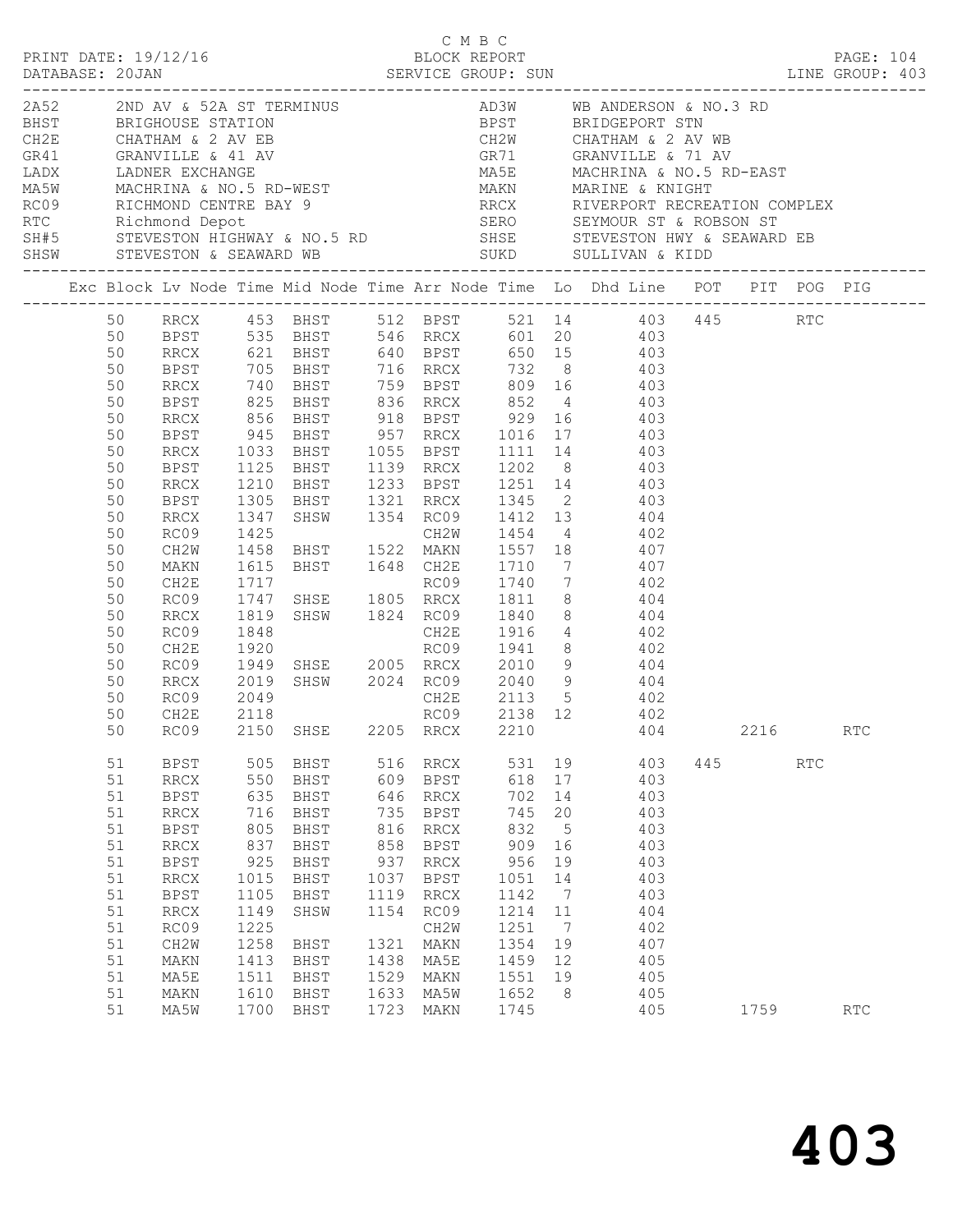|  |    | PRINT DATE: 19/12/16         |              |             |      | C M B C<br>BLOCK REPORT |      |    |                                                                                                                                                                                                                                          |     |      |     | <b>PAGE: 104</b> |  |
|--|----|------------------------------|--------------|-------------|------|-------------------------|------|----|------------------------------------------------------------------------------------------------------------------------------------------------------------------------------------------------------------------------------------------|-----|------|-----|------------------|--|
|  |    |                              |              |             |      |                         |      |    | 2A52 2ND AV & 52A ST TERMINUS<br>BHST BRIGHOUSE STATION<br>CH2E CHATHAM & 2 AV EB CH2W CHATHAM & 2 AV EB CR41<br>GRANVILLE & 41 AV GR71 GRANVILLE & 71 AV<br>LADX LADNER EXCHANGE MASE MACHRINA & NO.5 RD-WEST<br>MASW MACHRINA & NO.5 R |     |      |     |                  |  |
|  |    |                              |              |             |      |                         |      |    |                                                                                                                                                                                                                                          |     |      |     |                  |  |
|  |    |                              |              |             |      |                         |      |    |                                                                                                                                                                                                                                          |     |      |     |                  |  |
|  |    |                              |              |             |      |                         |      |    |                                                                                                                                                                                                                                          |     |      |     |                  |  |
|  |    |                              |              |             |      |                         |      |    |                                                                                                                                                                                                                                          |     |      |     |                  |  |
|  |    |                              |              |             |      |                         |      |    |                                                                                                                                                                                                                                          |     |      |     |                  |  |
|  |    |                              |              |             |      |                         |      |    |                                                                                                                                                                                                                                          |     |      |     |                  |  |
|  |    |                              |              |             |      |                         |      |    |                                                                                                                                                                                                                                          |     |      |     |                  |  |
|  |    |                              |              |             |      |                         |      |    |                                                                                                                                                                                                                                          |     |      |     |                  |  |
|  |    |                              |              |             |      |                         |      |    | ROS RICHMOND CENTRE BAY 9<br>ROS RICHMOND CENTRE BAY 9<br>ROS RICHMOND CENTRE BAY 9<br>ROS SEYMOUR ST & ROBSON ST<br>SHEW STEVESTON HIGHWAY & NO.5 RD SHSE STEVESTON HWY & SEAWARD EB<br>SHSW STEVESTON & SEAWARD WB SULD SULLIVAN & KID |     |      |     |                  |  |
|  |    |                              |              |             |      |                         |      |    |                                                                                                                                                                                                                                          |     |      |     |                  |  |
|  |    |                              |              |             |      |                         |      |    | 50 RRCX 453 BHST 512 BPST 521 14 403 445 RTC                                                                                                                                                                                             |     |      |     |                  |  |
|  | 50 |                              |              |             |      |                         |      |    |                                                                                                                                                                                                                                          |     |      |     |                  |  |
|  | 50 |                              |              |             |      |                         |      |    | BPST 535 BHST 546 RRCX 601 20 403<br>RRCX 621 BHST 640 BPST 650 15 403<br>BPST 705 BHST 716 RRCX 732 8 403<br>RRCX 740 BHST 759 BPST 809 16 403                                                                                          |     |      |     |                  |  |
|  | 50 |                              |              |             |      |                         |      |    |                                                                                                                                                                                                                                          |     |      |     |                  |  |
|  | 50 |                              |              |             |      |                         |      |    |                                                                                                                                                                                                                                          |     |      |     |                  |  |
|  | 50 | <b>BPST</b>                  |              |             |      |                         |      |    | 825 BHST 836 RRCX 852 4 403                                                                                                                                                                                                              |     |      |     |                  |  |
|  | 50 | RRCX                         |              |             |      |                         |      |    |                                                                                                                                                                                                                                          |     |      |     |                  |  |
|  | 50 | BPST                         |              |             |      |                         |      |    |                                                                                                                                                                                                                                          |     |      |     |                  |  |
|  | 50 | RRCX                         | 1033         |             |      |                         |      |    | BHST 1055 BPST 1111 14 403                                                                                                                                                                                                               |     |      |     |                  |  |
|  | 50 | BPST                         |              |             |      |                         |      |    | 1125 BHST 1139 RRCX 1202 8 403                                                                                                                                                                                                           |     |      |     |                  |  |
|  | 50 | RRCX                         |              |             |      |                         |      |    |                                                                                                                                                                                                                                          |     |      |     |                  |  |
|  | 50 | BPST                         |              |             |      |                         |      |    |                                                                                                                                                                                                                                          |     |      |     |                  |  |
|  | 50 |                              |              |             |      |                         |      |    | 1210 BHST 1233 BPST 1251 14 403<br>1305 BHST 1321 RRCX 1345 2 403<br>1347 SHSW 1354 RC09 1412 13 404<br>1425 CH2W 1454 4 402<br>1458 BHST 1522 MAKN 1557 18 407<br>1615 BHST 1648 CH2E 1710 7 407<br>1717 RC09 1740 7 402                |     |      |     |                  |  |
|  |    | RRCX                         |              |             |      |                         |      |    |                                                                                                                                                                                                                                          |     |      |     |                  |  |
|  | 50 | RC09                         |              |             |      |                         |      |    |                                                                                                                                                                                                                                          |     |      |     |                  |  |
|  | 50 | CH2W                         |              |             |      |                         |      |    |                                                                                                                                                                                                                                          |     |      |     |                  |  |
|  | 50 | MAKN                         |              |             |      |                         |      |    |                                                                                                                                                                                                                                          |     |      |     |                  |  |
|  | 50 | CH2E                         |              |             |      |                         |      |    |                                                                                                                                                                                                                                          |     |      |     |                  |  |
|  | 50 | RC09                         | 1747         |             |      |                         |      |    | SHSE 1805 RRCX 1811 8 404                                                                                                                                                                                                                |     |      |     |                  |  |
|  | 50 | RRCX                         | 1819         |             |      |                         |      |    | SHSW 1824 RC09 1840 8 404                                                                                                                                                                                                                |     |      |     |                  |  |
|  | 50 | RC09                         | 1848         |             |      |                         |      |    | CH2E 1916 4 402<br>RC09 1941 8 402                                                                                                                                                                                                       |     |      |     |                  |  |
|  | 50 | CH2E                         | 1920         |             |      |                         |      |    |                                                                                                                                                                                                                                          |     |      |     |                  |  |
|  | 50 | RC09                         |              |             |      |                         |      |    | 1949 SHSE 2005 RRCX 2010 9 404                                                                                                                                                                                                           |     |      |     |                  |  |
|  | 50 | RRCX                         | 2019         |             |      |                         |      |    | SHSW 2024 RC09 2040 9 404                                                                                                                                                                                                                |     |      |     |                  |  |
|  | 50 | RC09                         | 2049<br>2118 |             |      |                         |      |    | CH2E 2113 5 402<br>RC09 2138 12 402                                                                                                                                                                                                      |     |      |     |                  |  |
|  | 50 | CH2E                         |              |             |      |                         |      |    |                                                                                                                                                                                                                                          |     |      |     |                  |  |
|  |    |                              |              |             |      |                         |      |    | 50 RC09 2150 SHSE 2205 RRCX 2210 404                                                                                                                                                                                                     |     | 2216 |     | RTC              |  |
|  | 51 | BPST                         | 505          | BHST        | 516  | RRCX                    | 531  | 19 | 403                                                                                                                                                                                                                                      | 445 |      | RTC |                  |  |
|  | 51 | <b>RRCX</b>                  | 550          | BHST        | 609  | BPST                    | 618  | 17 | 403                                                                                                                                                                                                                                      |     |      |     |                  |  |
|  | 51 | <b>BPST</b>                  | 635          | <b>BHST</b> | 646  | $\operatorname{RRCX}$   | 702  | 14 | 403                                                                                                                                                                                                                                      |     |      |     |                  |  |
|  | 51 | <b>RRCX</b>                  | 716          | BHST        | 735  | <b>BPST</b>             | 745  | 20 | 403                                                                                                                                                                                                                                      |     |      |     |                  |  |
|  | 51 | <b>BPST</b>                  | 805          | <b>BHST</b> | 816  | $\operatorname{RRCX}$   | 832  | 5  | 403                                                                                                                                                                                                                                      |     |      |     |                  |  |
|  | 51 | $\mathop{\rm RRCX}\nolimits$ | 837          | <b>BHST</b> | 858  | <b>BPST</b>             | 909  | 16 | 403                                                                                                                                                                                                                                      |     |      |     |                  |  |
|  | 51 | <b>BPST</b>                  | 925          | <b>BHST</b> | 937  | $\operatorname{RRCX}$   | 956  | 19 | 403                                                                                                                                                                                                                                      |     |      |     |                  |  |
|  | 51 | <b>RRCX</b>                  | 1015         | BHST        | 1037 | BPST                    | 1051 | 14 | 403                                                                                                                                                                                                                                      |     |      |     |                  |  |
|  | 51 | <b>BPST</b>                  | 1105         | <b>BHST</b> | 1119 | RRCX                    | 1142 | 7  | 403                                                                                                                                                                                                                                      |     |      |     |                  |  |
|  | 51 | <b>RRCX</b>                  | 1149         | SHSW        | 1154 | RC09                    | 1214 | 11 | 404                                                                                                                                                                                                                                      |     |      |     |                  |  |
|  | 51 | RC09                         | 1225         |             |      | CH2W                    | 1251 | 7  | 402                                                                                                                                                                                                                                      |     |      |     |                  |  |
|  | 51 | CH <sub>2</sub> M            | 1258         | BHST        | 1321 | MAKN                    | 1354 | 19 | 407                                                                                                                                                                                                                                      |     |      |     |                  |  |
|  | 51 | MAKN                         | 1413         | BHST        | 1438 | MA5E                    | 1459 | 12 | 405                                                                                                                                                                                                                                      |     |      |     |                  |  |
|  | 51 | MA5E                         | 1511         | BHST        | 1529 | MAKN                    | 1551 | 19 | 405                                                                                                                                                                                                                                      |     |      |     |                  |  |
|  | 51 | MAKN                         | 1610         | BHST        | 1633 | MA5W                    | 1652 | 8  | 405                                                                                                                                                                                                                                      |     |      |     |                  |  |
|  | 51 | MA5W                         | 1700         | BHST        | 1723 | MAKN                    | 1745 |    | 405                                                                                                                                                                                                                                      |     | 1759 |     | <b>RTC</b>       |  |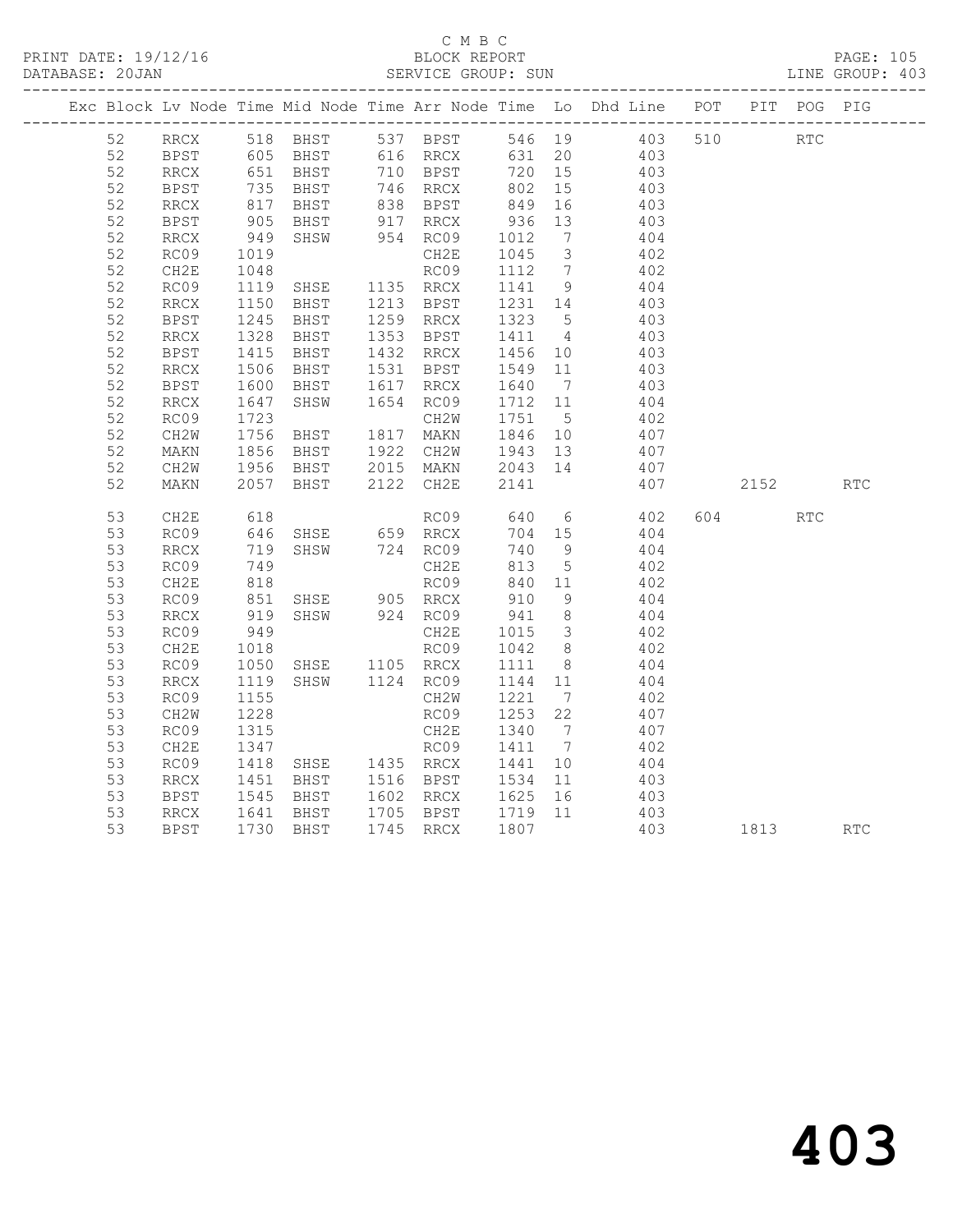# C M B C<br>BLOCK REPORT

|  | DATABASE: 20JAN |             |                          |                                  | SERVICE GROUP: SUN                                                               |                   |                         |                                                                                |        |     | LINE GROUP: 403 |
|--|-----------------|-------------|--------------------------|----------------------------------|----------------------------------------------------------------------------------|-------------------|-------------------------|--------------------------------------------------------------------------------|--------|-----|-----------------|
|  |                 |             |                          |                                  |                                                                                  |                   |                         | Exc Block Lv Node Time Mid Node Time Arr Node Time Lo Dhd Line POT PIT POG PIG |        |     |                 |
|  | 52              | RRCX        |                          | 518 BHST                         | 537 BPST                                                                         |                   | 546 19                  | 403 510 RTC                                                                    |        |     |                 |
|  | 52              | BPST        | 605                      | <b>BHST</b>                      | 616 RRCX                                                                         | 631 20            |                         | 403                                                                            |        |     |                 |
|  | 52              | RRCX        | 651<br>735<br>817<br>905 |                                  |                                                                                  | 720               | 15                      | 403                                                                            |        |     |                 |
|  | 52              | BPST        |                          |                                  |                                                                                  | 802               | 15                      | 403                                                                            |        |     |                 |
|  | 52              | <b>RRCX</b> |                          |                                  | BHST 740 NNOA --<br>BHST 838 BPST 849<br>BHST 917 RRCX 936<br>PHST 954 RC09 1012 |                   | 16                      | 403                                                                            |        |     |                 |
|  | 52              | BPST        |                          |                                  |                                                                                  |                   | 13                      | 403                                                                            |        |     |                 |
|  | 52              | RRCX        | 949                      |                                  |                                                                                  |                   | 7                       | 404                                                                            |        |     |                 |
|  | 52              | RC09        | 1019                     |                                  | CH2E                                                                             | 1045              | $\overline{\mathbf{3}}$ | 402                                                                            |        |     |                 |
|  | 52              | CH2E        | 1048                     | SHSE<br>BHST                     | RC09                                                                             | 1112 7            |                         | 402                                                                            |        |     |                 |
|  | 52              | RC09        | 1119                     |                                  | 1135 RRCX                                                                        | 1141 9            |                         | 404                                                                            |        |     |                 |
|  | 52              | RRCX        | 1150                     |                                  | 1213 BPST                                                                        | 1231 14           |                         | 403                                                                            |        |     |                 |
|  | 52              | BPST        | 1245                     | BHST                             | 1259 RRCX                                                                        | 1323 5            |                         | 403                                                                            |        |     |                 |
|  | 52              | RRCX        | 1328<br>$1320$<br>$1415$ | BHST                             | 1353 BPST                                                                        | 1411 4<br>1456 10 |                         | 403                                                                            |        |     |                 |
|  | 52              | <b>BPST</b> |                          | BHST                             | 1432 RRCX                                                                        |                   |                         | 403                                                                            |        |     |                 |
|  | 52              | <b>RRCX</b> | 1506<br>1600             | BHST                             | 1531 BPST                                                                        | 1549              | 11                      | 403                                                                            |        |     |                 |
|  | 52              | <b>BPST</b> | 1600                     | BHST                             | 1617 RRCX                                                                        | 1640 7            |                         | 403                                                                            |        |     |                 |
|  | 52              | RRCX        | 1647                     | SHSW                             | 1654 RC09                                                                        | 1712 11           |                         | 404                                                                            |        |     |                 |
|  | 52              | RC09        | 1723                     |                                  | CH2W                                                                             | 1751              | $5^{\circ}$             | 402                                                                            |        |     |                 |
|  | 52              | CH2W        | 1756                     | <b>BHST</b>                      | 1817 MAKN                                                                        | 1846 10           |                         | 407                                                                            |        |     |                 |
|  | 52              | MAKN        | 1856<br>1956             | BHST                             | 1922 CH2W                                                                        | 1943              | 13                      | 407                                                                            |        |     |                 |
|  | 52              | CH2W        |                          | BHST                             | 2015 MAKN                                                                        | 2043 14           |                         | 407                                                                            |        |     |                 |
|  | 52              | MAKN        | 2057                     | BHST                             | 2122 CH2E                                                                        | 2141              |                         | 407                                                                            | 2152   |     | <b>RTC</b>      |
|  | 53              | CH2E        | 618                      |                                  | RC09                                                                             | 640               |                         | $6\overline{6}$<br>402                                                         | 604 60 | RTC |                 |
|  | 53              | RC09        | 646                      | SHSE 659 RRCX                    |                                                                                  | 704               | 15                      | 404                                                                            |        |     |                 |
|  | 53              | RRCX        | 719                      | SHSW 724 RC09                    |                                                                                  | 740               | 9                       | 404                                                                            |        |     |                 |
|  | 53              | RC09        | 749                      |                                  | CH2E                                                                             | 813               | 5 <sup>5</sup>          | 402                                                                            |        |     |                 |
|  | 53              | CH2E        |                          | RCO9<br>SHSE 905 RRCX            |                                                                                  | 840               | 11                      | 402                                                                            |        |     |                 |
|  | 53              | RC09        | $810$<br>$851$           |                                  |                                                                                  | 910               | 9                       | 404                                                                            |        |     |                 |
|  | 53              | RRCX        | 919                      | SHSW 924 RC09                    |                                                                                  | 941               | 8 <sup>8</sup>          | 404                                                                            |        |     |                 |
|  | 53              | RC09        | 949                      |                                  | CH2E                                                                             | 1015              | $\overline{\mathbf{3}}$ | 402                                                                            |        |     |                 |
|  | 53              | CH2E        | 1018                     |                                  | RC09                                                                             | 1042              | 8 <sup>8</sup>          | 402                                                                            |        |     |                 |
|  | 53              | RC09        | 1050                     | SHSE 1105 RRCX<br>SHSW 1124 RC09 |                                                                                  | 1111              | 8 <sup>8</sup>          | 404                                                                            |        |     |                 |
|  | 53              | RRCX        | 1119                     |                                  |                                                                                  | 1144 11           |                         | 404                                                                            |        |     |                 |
|  | 53              | RC09        | 1155                     |                                  | CH2W                                                                             | 1221              | $\overline{7}$          | 402                                                                            |        |     |                 |
|  | 53              | CH2W        | 1228                     |                                  | RC09                                                                             | 1253              | 22                      | 407                                                                            |        |     |                 |
|  | 53              | RC09        | 1315                     | CH2E<br>RC09<br>SHSE 1435 RRCX   |                                                                                  | 1340              | $7\overline{ }$         | 407                                                                            |        |     |                 |
|  | 53              | CH2E        | 1347                     |                                  |                                                                                  | 1411              | $\overline{7}$          | 402                                                                            |        |     |                 |
|  | 53              | RC09        | 1418                     |                                  |                                                                                  | 1441              | 10                      | 404                                                                            |        |     |                 |
|  | 53              | RRCX        | 1451<br>1545             | BHST 1516 BPST                   |                                                                                  | 1534              | 11                      | 403                                                                            |        |     |                 |
|  | 53              | BPST        |                          | BHST                             | 1602 RRCX                                                                        | 1625              | 16                      | 403                                                                            |        |     |                 |
|  | 53              | RRCX        | 1641                     | BHST                             | 1705 BPST                                                                        | 1719 11           |                         | 403                                                                            |        |     |                 |
|  | 53              | <b>BPST</b> | 1730                     | BHST                             | 1745 RRCX                                                                        | 1807              |                         | 403                                                                            | 1813   |     | <b>RTC</b>      |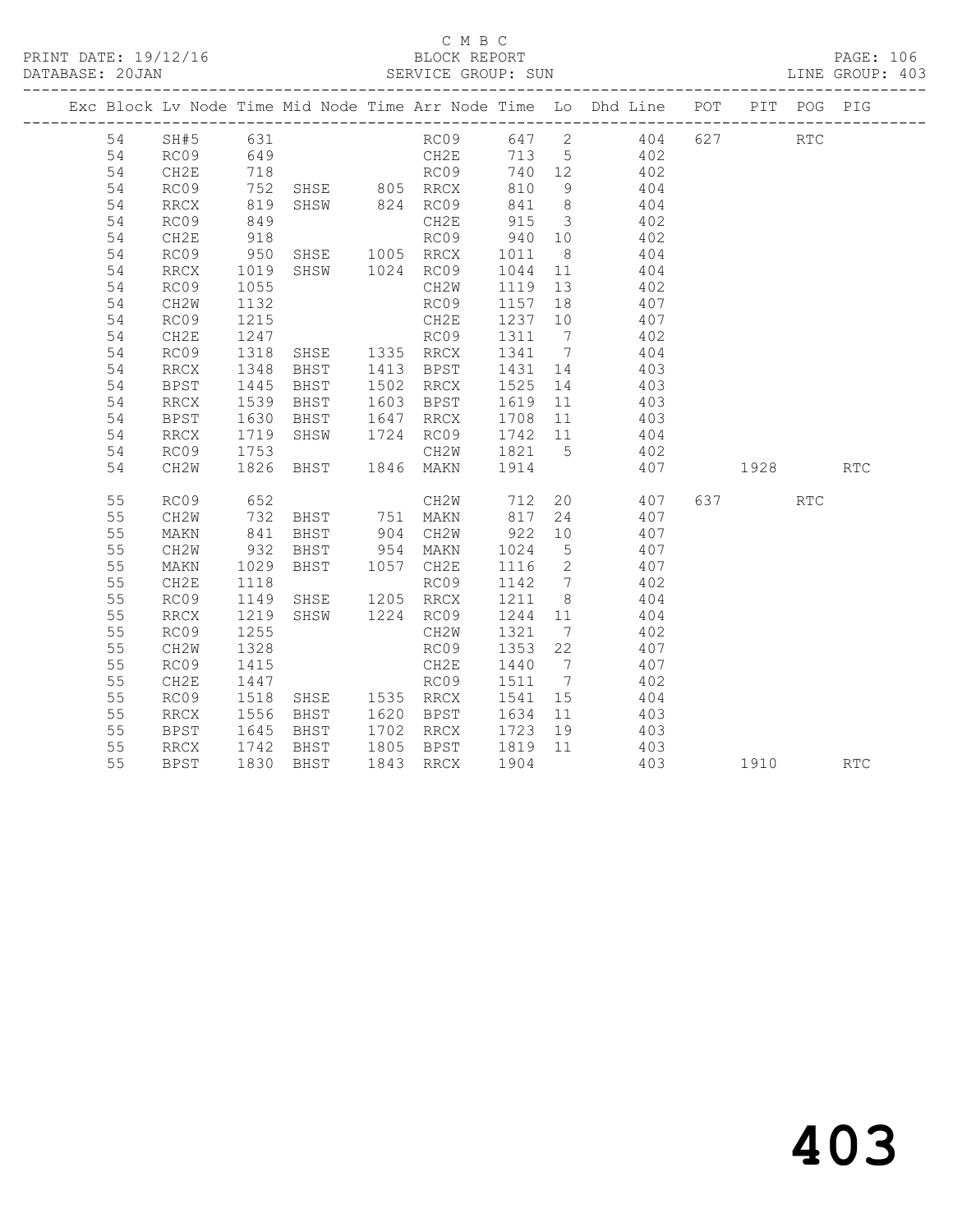|  |    |                   |                   |                                                    |                   |         | Exc Block Lv Node Time Mid Node Time Arr Node Time Lo Dhd Line POT |         | PIT POG PIG |            |
|--|----|-------------------|-------------------|----------------------------------------------------|-------------------|---------|--------------------------------------------------------------------|---------|-------------|------------|
|  | 54 | SH#5 631          |                   |                                                    |                   |         | RC09 647 2 404 627                                                 |         | <b>RTC</b>  |            |
|  | 54 | RC09              |                   |                                                    |                   |         |                                                                    |         |             |            |
|  | 54 | CH2E              |                   |                                                    |                   |         |                                                                    |         |             |            |
|  | 54 | RC09              |                   |                                                    |                   |         |                                                                    |         |             |            |
|  | 54 | RRCX              | 819               |                                                    |                   |         | SHSW 824 RC09 841 8 404                                            |         |             |            |
|  | 54 | RC09              | 849               |                                                    | CH2E              |         | 915 3 402                                                          |         |             |            |
|  | 54 | CH2E              | 918<br>950        |                                                    |                   |         | RC09 940 10 402<br>RRCX 1011 8 404                                 |         |             |            |
|  | 54 | RC09              |                   |                                                    |                   |         |                                                                    |         |             |            |
|  | 54 | RRCX              | 1019              |                                                    |                   |         | SHSW 1024 RC09 1044 11 404                                         |         |             |            |
|  | 54 | RC09              | 1055              |                                                    | CH2W              |         | 1119 13 402                                                        |         |             |            |
|  | 54 | CH2W              | 1132              |                                                    | RC09              |         | 1157 18 407                                                        |         |             |            |
|  | 54 | RC09              | 1215              |                                                    |                   |         | CH2E 1237 10 407<br>RC09 1311 7 402                                |         |             |            |
|  | 54 | CH2E              | 1247              |                                                    |                   |         |                                                                    |         |             |            |
|  | 54 | RC09              | 1318              | SHSE 1335 RRCX                                     |                   |         | 1341 7 404                                                         |         |             |            |
|  | 54 | RRCX              | 1348              |                                                    |                   |         | BHST 1413 BPST 1431 14 403                                         |         |             |            |
|  | 54 | BPST              | 1445<br>1539      | <b>BHST</b>                                        | 1502 RRCX         |         | 1502 RRCX 1525 14 403<br>1603 BPST 1619 11 403                     |         |             |            |
|  | 54 | RRCX              |                   | BHST                                               |                   |         |                                                                    |         |             |            |
|  | 54 | <b>BPST</b>       | 1630              |                                                    |                   |         | BHST 1647 RRCX 1708 11 403                                         |         |             |            |
|  | 54 | RRCX              | 1719              |                                                    |                   |         | SHSW 1724 RC09 1742 11 404                                         |         |             |            |
|  | 54 | RC09              | 1753              |                                                    |                   |         | CH2W 1821 5 402                                                    |         |             |            |
|  | 54 | CH <sub>2</sub> W | 1826              |                                                    |                   | 1914    | 407 1928                                                           |         |             | <b>RTC</b> |
|  | 55 | RC09              | 652               |                                                    |                   |         | CH2W 712 20 407                                                    | 637 RTC |             |            |
|  | 55 | CH2W              | 732<br>841<br>932 |                                                    | BHST 751 MAKN 817 |         | 24 407                                                             |         |             |            |
|  | 55 | MAKN              |                   | BHST 904 CH2W<br>BHST 954 MAKN                     |                   |         | 922 10 407<br>1024 5 407                                           |         |             |            |
|  | 55 | CH2W              |                   |                                                    |                   |         |                                                                    |         |             |            |
|  | 55 | MAKN              | 1029              | BHST 1057 CH2E                                     |                   |         | 1116 2 407                                                         |         |             |            |
|  | 55 | CH2E              | 1118              | 1118<br>1149 SHSE 1205 RRCX<br>1219 SHSW 1224 RC09 |                   |         | RC09 1142 7 402                                                    |         |             |            |
|  | 55 | RC09              | 1149              |                                                    |                   |         | 1211 8 404                                                         |         |             |            |
|  | 55 | <b>RRCX</b>       |                   |                                                    |                   | 1244 11 | 404<br>1244 11 404<br>1321 7 402                                   |         |             |            |
|  | 55 | RC09              | 1255              |                                                    | CH2W              |         |                                                                    |         |             |            |
|  | 55 | CH2W              | 1328              |                                                    | RC09              | 1353 22 | 407                                                                |         |             |            |
|  | 55 | RC09              | 1415              |                                                    | CH2E              |         | 1440 7 407                                                         |         |             |            |
|  | 55 | CH2E              | 1447<br>1518      | RC09<br>SHSE 1535 RRCX                             | RC09              |         | 1511 7 402<br>1541 15 404                                          |         |             |            |
|  | 55 | RC09              |                   |                                                    |                   |         |                                                                    |         |             |            |
|  | 55 | RRCX              | 1556              |                                                    |                   |         | BHST 1620 BPST 1634 11 403                                         |         |             |            |
|  | 55 | BPST              | 1645              |                                                    |                   |         | BHST 1702 RRCX 1723 19 403                                         |         |             |            |
|  | 55 | RRCX              | 1742              | BHST                                               |                   |         | 1805 BPST 1819 11 403<br>1843 RRCX 1904 403                        |         |             |            |
|  | 55 | BPST              |                   | 1830 BHST                                          | 1843 RRCX         | 1904    | 403                                                                | 1910    |             | <b>RTC</b> |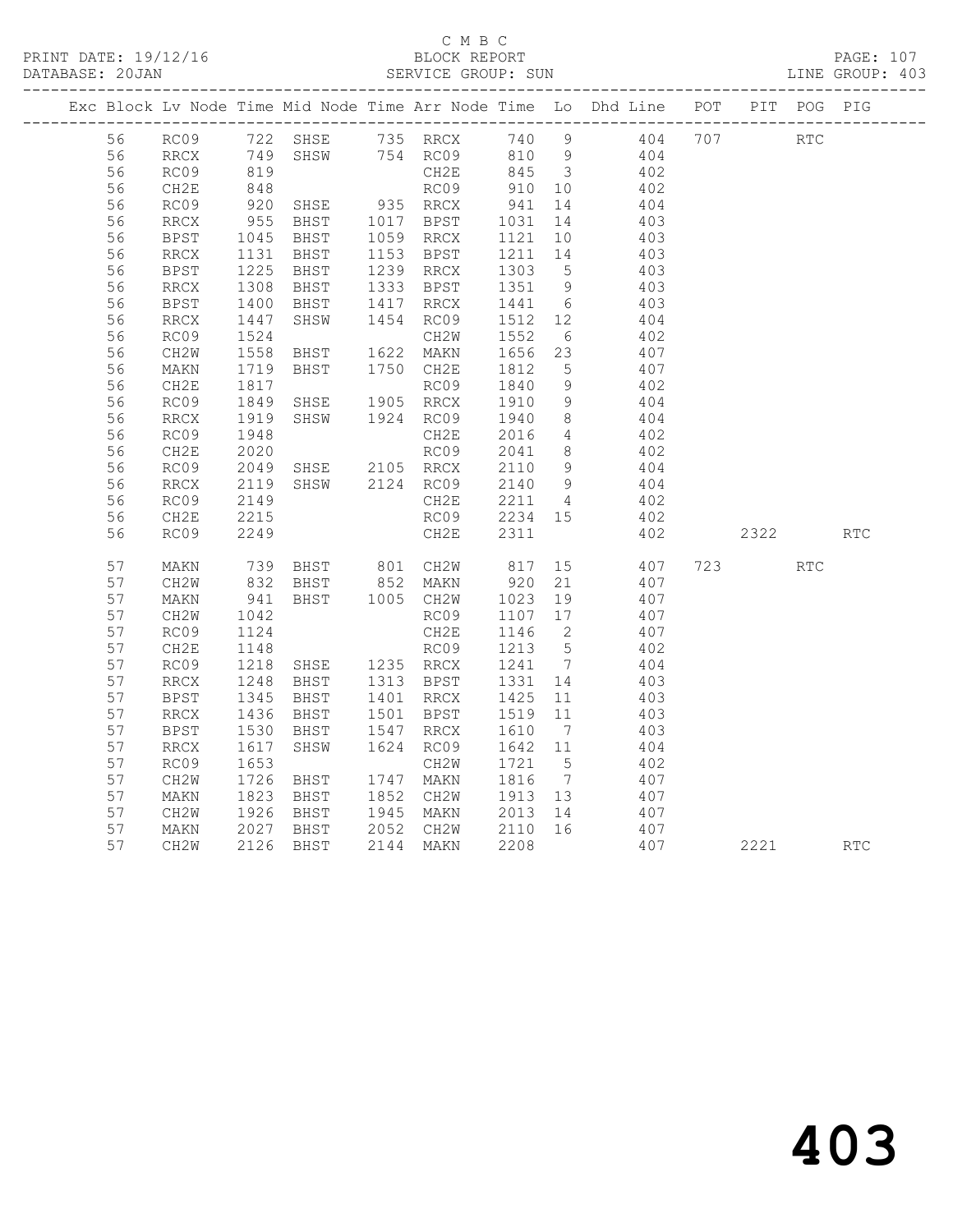PRINT DATE: 19/12/16 BLOCK REPORT BATABASE: 20JAN

# C M B C<br>BLOCK REPORT

PAGE: 107<br>LINE GROUP: 403

|          |                                                                                         |              |                                                            |      |        | Exc Block Lv Node Time Mid Node Time Arr Node Time Lo Dhd Line POT PIT POG PIG                                                                                                                               |          |            |  |
|----------|-----------------------------------------------------------------------------------------|--------------|------------------------------------------------------------|------|--------|--------------------------------------------------------------------------------------------------------------------------------------------------------------------------------------------------------------|----------|------------|--|
|          |                                                                                         |              |                                                            |      |        | 56 RC09 722 SHSE 735 RRCX 740 9 404 707 RTC                                                                                                                                                                  |          |            |  |
| 56       |                                                                                         |              |                                                            |      |        |                                                                                                                                                                                                              |          |            |  |
| 56       | RRCX 749 SHSW 754 RC09 810 9 404<br>RC09 819 CH2E 845 3 402<br>CH2E 848 RC09 910 10 402 |              |                                                            |      |        |                                                                                                                                                                                                              |          |            |  |
| 56       | CH2E                                                                                    |              |                                                            |      |        |                                                                                                                                                                                                              |          |            |  |
| 56       | RC09                                                                                    |              |                                                            |      |        |                                                                                                                                                                                                              |          |            |  |
| 56       | RRCX                                                                                    |              |                                                            |      |        |                                                                                                                                                                                                              |          |            |  |
| 56       | BPST                                                                                    |              |                                                            |      |        |                                                                                                                                                                                                              |          |            |  |
| 56       | RRCX                                                                                    |              |                                                            |      |        | 1045 BHST 1059 RRCX 1121 10 403<br>1131 BHST 1153 BPST 1211 14 403<br>1225 BHST 1239 RRCX 1303 5 403                                                                                                         |          |            |  |
| 56       | <b>BPST</b>                                                                             |              |                                                            |      |        |                                                                                                                                                                                                              |          |            |  |
| 56       | RRCX                                                                                    |              |                                                            |      |        | BHST 1333 BPST 1351 9 403<br>BHST 1417 RRCX 1441 6 403                                                                                                                                                       |          |            |  |
| 56       | BPST                                                                                    | 1308<br>1400 |                                                            |      |        |                                                                                                                                                                                                              |          |            |  |
| 56       | RRCX                                                                                    |              | SHSW                                                       |      |        | 1454 RC09 1512 12 404                                                                                                                                                                                        |          |            |  |
| 56       | RC09                                                                                    | 1447<br>1524 |                                                            | CH2W | 1552 6 | 402                                                                                                                                                                                                          |          |            |  |
| 56       | CH2W                                                                                    | 1558         |                                                            |      |        | BHST 1622 MAKN 1656 23 407                                                                                                                                                                                   |          |            |  |
| 56       | MAKN                                                                                    | 1719<br>1817 | BHST 1750 CH2E                                             |      |        | CH2E 1812 5 407<br>RC09 1840 9 402                                                                                                                                                                           |          |            |  |
| 56       | CH2E                                                                                    |              |                                                            |      |        |                                                                                                                                                                                                              |          |            |  |
| 56       | RC09                                                                                    | 1849<br>1919 |                                                            |      |        | RC09 1840 9 402<br>SHSE 1905 RRCX 1910 9 404<br>SHSW 1924 RC09 1940 8 404                                                                                                                                    |          |            |  |
| 56       | RRCX                                                                                    |              |                                                            |      |        |                                                                                                                                                                                                              |          |            |  |
| 56       | RC09                                                                                    |              |                                                            |      |        |                                                                                                                                                                                                              |          |            |  |
| 56       | CH2E                                                                                    |              |                                                            |      |        |                                                                                                                                                                                                              |          |            |  |
| 56       | RC09                                                                                    |              |                                                            |      |        |                                                                                                                                                                                                              |          |            |  |
| 56       | RRCX                                                                                    |              |                                                            |      |        | $\frac{404}{402}$                                                                                                                                                                                            |          |            |  |
| 56       | RC09                                                                                    |              |                                                            |      |        |                                                                                                                                                                                                              |          |            |  |
| 56       | CH2E                                                                                    | 2215         |                                                            |      |        | RC09 2234 15 402                                                                                                                                                                                             |          |            |  |
| 56       | RC09                                                                                    | 2249         |                                                            | CH2E | 2311   | 402                                                                                                                                                                                                          | 2322 RTC |            |  |
| 57       | MAKN                                                                                    |              |                                                            |      |        | 739 BHST 801 CH2W 817 15 407<br>832 BHST 852 MAKN 920 21 407<br>941 BHST 1005 CH2W 1023 19 407<br>1042 RCC9 1107 17 407                                                                                      | 723      | <b>RTC</b> |  |
| 57       | CH2W                                                                                    |              |                                                            |      |        |                                                                                                                                                                                                              |          |            |  |
| 57       | MAKN                                                                                    |              |                                                            |      |        |                                                                                                                                                                                                              |          |            |  |
| 57       | CH2W                                                                                    |              | RC09<br>CH2E                                               |      |        |                                                                                                                                                                                                              |          |            |  |
| 57       | RC09                                                                                    |              |                                                            |      |        |                                                                                                                                                                                                              |          |            |  |
| 57       | CH2E                                                                                    |              |                                                            |      |        | 1042<br>1124<br>1148 RC09 1215<br>1218 SHSE 1235 RRCX 1241 7<br>1248 BHST 1313 BPST 1331 14 403<br>1345 BHST 1401 RRCX 1425 11 403<br>29 PHST 1501 BPST 1519 11 403<br>29 PHST 1501 BPST 1519 11 403<br>2013 |          |            |  |
| 57       | RC09                                                                                    |              |                                                            |      |        |                                                                                                                                                                                                              |          |            |  |
| 57       | RRCX                                                                                    |              |                                                            |      |        |                                                                                                                                                                                                              |          |            |  |
| 57       | BPST                                                                                    |              |                                                            |      |        |                                                                                                                                                                                                              |          |            |  |
| 57       | RRCX                                                                                    |              |                                                            |      |        |                                                                                                                                                                                                              |          |            |  |
| 57       | BPST                                                                                    |              |                                                            |      |        |                                                                                                                                                                                                              |          |            |  |
| 57<br>57 | RRCX<br>RC09                                                                            |              |                                                            |      |        |                                                                                                                                                                                                              |          |            |  |
| 57       | CH2W                                                                                    |              | 1617 SHSW 1624<br>1653<br>1726 BHST 1747                   |      |        | CH2W 1721 5 402<br>1747 MAKN 1816 7 407                                                                                                                                                                      |          |            |  |
| 57       | MAKN                                                                                    |              |                                                            |      |        |                                                                                                                                                                                                              |          |            |  |
| 57       | CH2W                                                                                    |              | 1823 BHST 1852 CH2W 1913 13<br>1926 BHST 1945 MAKN 2013 14 |      |        | 407<br>407                                                                                                                                                                                                   |          |            |  |
| 57       | MAKN                                                                                    |              |                                                            |      |        |                                                                                                                                                                                                              |          |            |  |
| 57       | CH2W                                                                                    |              | 2027 BHST<br>2027 BHST<br>2126 BHST<br>2126 BHST           |      |        | 2052 CH2W 2110 16 407<br>2144 MAKN 2208 407<br>407                                                                                                                                                           | 2221 RTC |            |  |
|          |                                                                                         |              |                                                            |      |        |                                                                                                                                                                                                              |          |            |  |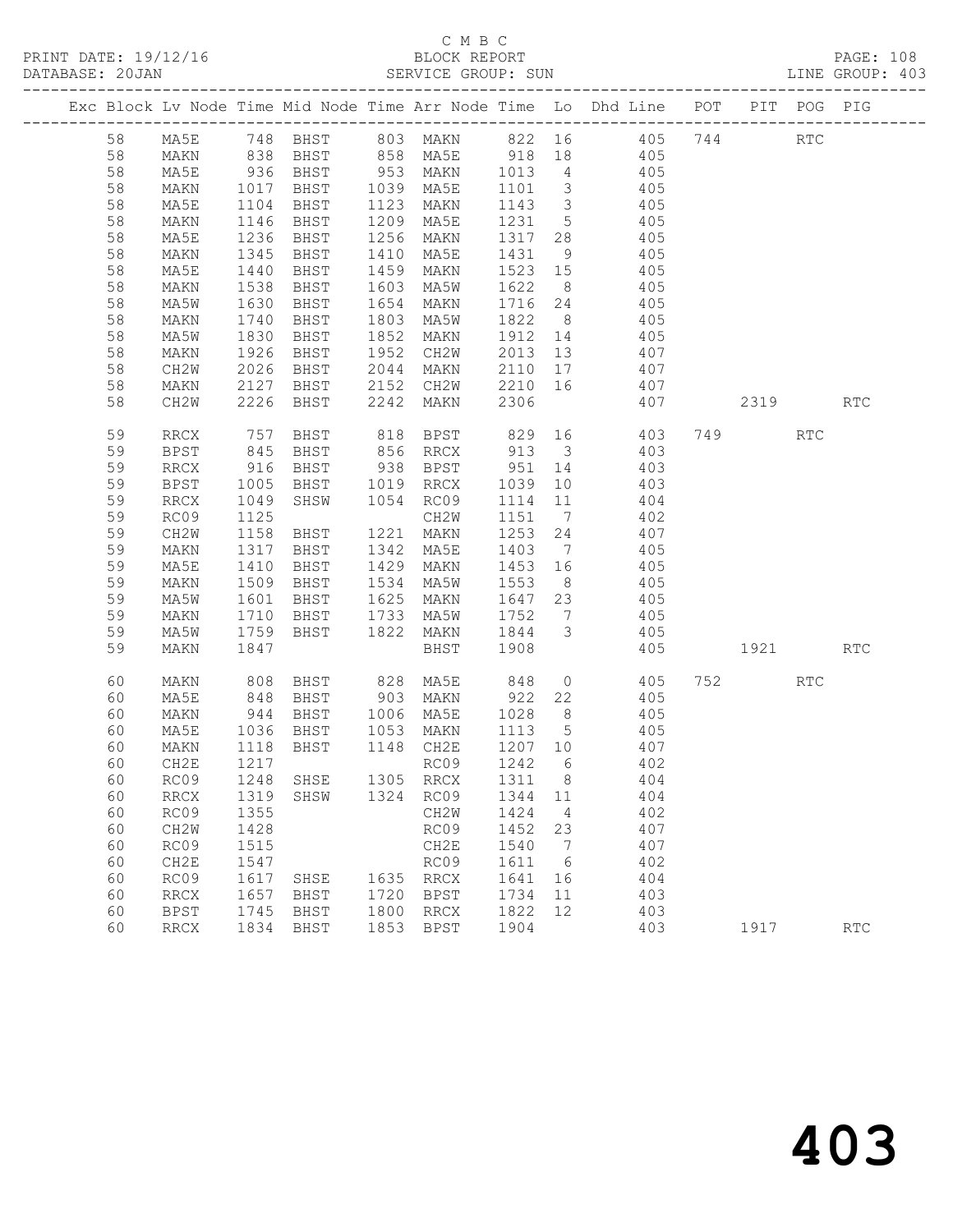|  |    |                   |            |                      |      |                  |         |                         | Exc Block Lv Node Time Mid Node Time Arr Node Time Lo Dhd Line POT PIT POG PIG |                                                                                                                                                                                                                                 |                      |                             |
|--|----|-------------------|------------|----------------------|------|------------------|---------|-------------------------|--------------------------------------------------------------------------------|---------------------------------------------------------------------------------------------------------------------------------------------------------------------------------------------------------------------------------|----------------------|-----------------------------|
|  | 58 | MA5E              |            |                      |      |                  |         |                         | 748 BHST 803 MAKN 822 16 405 744                                               |                                                                                                                                                                                                                                 | $\operatorname{RTC}$ |                             |
|  | 58 | MAKN              |            |                      |      |                  |         |                         | 405<br>405                                                                     |                                                                                                                                                                                                                                 |                      |                             |
|  | 58 | MA5E              |            |                      |      |                  |         |                         |                                                                                |                                                                                                                                                                                                                                 |                      |                             |
|  | 58 | MAKN              | 1017       | BHST                 |      | 1039 MA5E        | 1101    | $\overline{\mathbf{3}}$ | 405                                                                            |                                                                                                                                                                                                                                 |                      |                             |
|  | 58 | MA5E              | 1104       | BHST                 |      | 1123 MAKN        | 1143    | $\overline{\mathbf{3}}$ | 405                                                                            |                                                                                                                                                                                                                                 |                      |                             |
|  | 58 | MAKN              | 1146       | BHST                 |      | 1209 MA5E        | 1231    | $5\overline{)}$         | 405                                                                            |                                                                                                                                                                                                                                 |                      |                             |
|  | 58 | MA5E              | 1236       | BHST                 |      | 1256 MAKN        | 1317    | 28                      | 405                                                                            |                                                                                                                                                                                                                                 |                      |                             |
|  | 58 | MAKN              | 1345       | BHST                 | 1410 | MA5E             | 1431    | 9                       | 405                                                                            |                                                                                                                                                                                                                                 |                      |                             |
|  | 58 | MA5E              | 1440       | BHST                 | 1459 | MAKN             | 1523 15 |                         | 405                                                                            |                                                                                                                                                                                                                                 |                      |                             |
|  | 58 | MAKN              | 1538       | BHST                 | 1603 | MA5W             | 1622    | 8 <sup>8</sup>          | 405<br>405                                                                     |                                                                                                                                                                                                                                 |                      |                             |
|  | 58 | MA5W              | 1630       | BHST                 |      | 1654 MAKN        | 1716 24 |                         |                                                                                |                                                                                                                                                                                                                                 |                      |                             |
|  | 58 | MAKN              | 1740       | BHST                 |      | 1803 MA5W        | 1822    |                         | 8 405                                                                          |                                                                                                                                                                                                                                 |                      |                             |
|  | 58 | MA5W              | 1830       | BHST                 |      | 1852 MAKN        | 1912 14 |                         | 405                                                                            |                                                                                                                                                                                                                                 |                      |                             |
|  | 58 | MAKN              | 1926       | BHST                 |      | 1952 CH2W        | 2013 13 |                         | 407                                                                            |                                                                                                                                                                                                                                 |                      |                             |
|  | 58 | CH2W              | 2026       | BHST                 |      | 2044 MAKN        | 2110 17 |                         | 407<br>407                                                                     |                                                                                                                                                                                                                                 |                      |                             |
|  | 58 | MAKN              |            | 2127 BHST            |      | 2152 CH2W        | 2210 16 |                         |                                                                                |                                                                                                                                                                                                                                 |                      |                             |
|  | 58 | CH2W              | 2226       | BHST                 | 2242 | MAKN             | 2306    |                         | 407                                                                            | 2319                                                                                                                                                                                                                            |                      | $\mathop{\rm RTC}\nolimits$ |
|  | 59 | RRCX              |            |                      |      |                  |         |                         |                                                                                |                                                                                                                                                                                                                                 | RTC                  |                             |
|  | 59 | BPST              |            | 757 BHST<br>845 BHST |      |                  |         |                         |                                                                                |                                                                                                                                                                                                                                 |                      |                             |
|  | 59 | RRCX              | 916        | BHST                 |      | 938 BPST 951 14  |         |                         | 403                                                                            |                                                                                                                                                                                                                                 |                      |                             |
|  | 59 | BPST              | 1005       | BHST                 |      | 1019 RRCX        | 1039    | 10                      | 403                                                                            |                                                                                                                                                                                                                                 |                      |                             |
|  | 59 | <b>RRCX</b>       | 1049       | SHSW                 |      | 1054 RC09        | 1114 11 |                         | 404                                                                            |                                                                                                                                                                                                                                 |                      |                             |
|  | 59 | RC09              | 1125       |                      |      | CH2W             | 1151    | $7\overline{ }$         | $\frac{1}{402}$                                                                |                                                                                                                                                                                                                                 |                      |                             |
|  | 59 | CH2W              | 1158       | BHST                 |      | 1221 MAKN        | 1253 24 |                         | 407                                                                            |                                                                                                                                                                                                                                 |                      |                             |
|  | 59 | MAKN              | 1317       | BHST                 |      | 1342 MA5E        | 1403    | $7\overline{ }$         | 405                                                                            |                                                                                                                                                                                                                                 |                      |                             |
|  | 59 | MA5E              | 1410       | BHST                 |      | 1429 MAKN        | 1453 16 |                         | 405                                                                            |                                                                                                                                                                                                                                 |                      |                             |
|  | 59 | MAKN              |            | 1509 BHST            |      | 1534 MA5W        | 1553    | 8 <sup>8</sup>          | 405                                                                            |                                                                                                                                                                                                                                 |                      |                             |
|  | 59 | MA5W              | 1601       | BHST                 |      | 1625 MAKN        | 1647 23 |                         | 405                                                                            |                                                                                                                                                                                                                                 |                      |                             |
|  | 59 | MAKN              | 1710       | BHST                 | 1733 | MA5W             | 1752    | $\overline{7}$          | 405                                                                            |                                                                                                                                                                                                                                 |                      |                             |
|  | 59 | MA5W              | 1759       | BHST                 |      | 1822 MAKN        | 1844    | $\overline{\mathbf{3}}$ | 405                                                                            |                                                                                                                                                                                                                                 |                      |                             |
|  | 59 | MAKN              | 1847       |                      |      | BHST             | 1908    |                         | 405                                                                            | 1921 — 1921 — 1921 — 1922 — 1923 — 1923 — 1924 — 1925 — 1925 — 1925 — 1927 — 1928 — 1928 — 1928 — 1928 — 1928 — 1928 — 1928 — 1928 — 1928 — 1928 — 1928 — 1928 — 1928 — 1928 — 1928 — 1928 — 1928 — 1928 — 1928 — 1928 — 1928 — |                      | <b>RTC</b>                  |
|  | 60 | MAKN              | 808        | BHST                 |      | 828 MA5E         | 848     |                         | $0 \qquad \qquad 405$                                                          | 752                                                                                                                                                                                                                             | <b>RTC</b>           |                             |
|  | 60 | MA5E              | 848<br>944 | BHST                 |      | 903 MAKN         | 922     | 22                      | 405                                                                            |                                                                                                                                                                                                                                 |                      |                             |
|  | 60 | MAKN              |            | BHST                 |      | 1006 MA5E        | 1028    | 8 <sup>8</sup>          | 405                                                                            |                                                                                                                                                                                                                                 |                      |                             |
|  | 60 | MA5E              | 1036       | BHST                 |      | 1053 MAKN 1113   |         | $5\overline{)}$         | 405                                                                            |                                                                                                                                                                                                                                 |                      |                             |
|  | 60 | MAKN              |            | 1118 BHST            |      | 1148 CH2E        | 1207 10 |                         | 407                                                                            |                                                                                                                                                                                                                                 |                      |                             |
|  | 60 | CH2E              | 1217       |                      |      | RC09             | 1242    | 6                       | 402                                                                            |                                                                                                                                                                                                                                 |                      |                             |
|  |    | 60 RC09 1248 SHSE |            |                      |      | 1305 RRCX 1311 8 |         |                         | 404                                                                            |                                                                                                                                                                                                                                 |                      |                             |
|  | 60 | RRCX              | 1319       | SHSW                 | 1324 | RC09             | 1344    | 11                      | 404                                                                            |                                                                                                                                                                                                                                 |                      |                             |
|  | 60 | RC09              | 1355       |                      |      | CH2W             | 1424    | 4                       | 402                                                                            |                                                                                                                                                                                                                                 |                      |                             |
|  | 60 | CH <sub>2</sub> M | 1428       |                      |      | RC09             | 1452    | 23                      | 407                                                                            |                                                                                                                                                                                                                                 |                      |                             |
|  | 60 | RC09              | 1515       |                      |      | CH2E             | 1540    | 7                       | 407                                                                            |                                                                                                                                                                                                                                 |                      |                             |
|  | 60 | CH2E              | 1547       |                      |      | RC09             | 1611    | 6                       | 402                                                                            |                                                                                                                                                                                                                                 |                      |                             |
|  | 60 | RC09              | 1617       | SHSE                 | 1635 | RRCX             | 1641    | 16                      | 404                                                                            |                                                                                                                                                                                                                                 |                      |                             |
|  | 60 | <b>RRCX</b>       | 1657       | BHST                 | 1720 | BPST             | 1734    | 11                      | 403                                                                            |                                                                                                                                                                                                                                 |                      |                             |
|  | 60 | <b>BPST</b>       | 1745       | BHST                 | 1800 | RRCX             | 1822    | 12                      | 403                                                                            |                                                                                                                                                                                                                                 |                      |                             |
|  | 60 | RRCX              | 1834       | BHST                 | 1853 | <b>BPST</b>      | 1904    |                         | 403                                                                            | 1917                                                                                                                                                                                                                            |                      | $\operatorname{RTC}$        |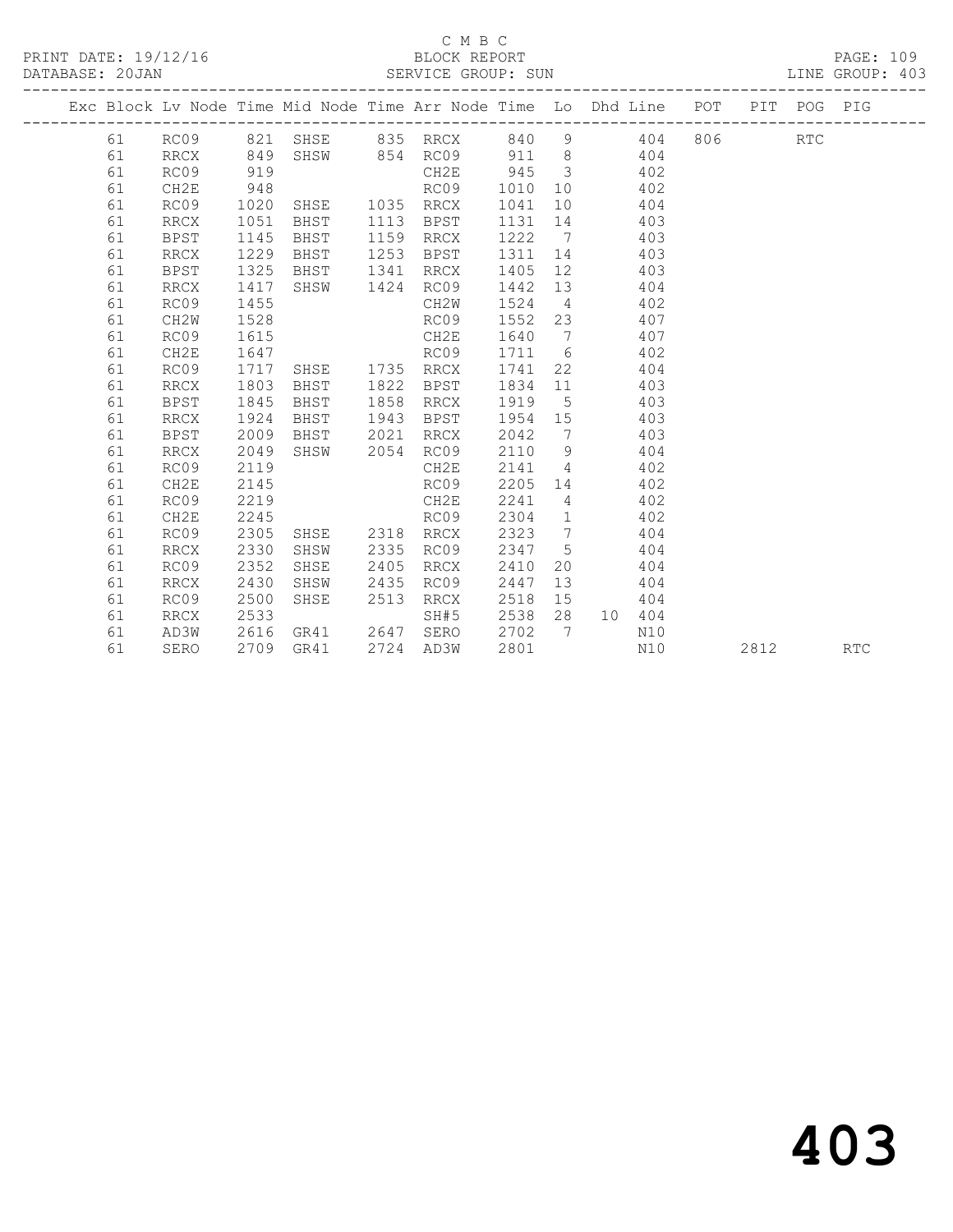|                      | смвс         |                   |
|----------------------|--------------|-------------------|
| PRINT DATE: 19/12/16 | BLOCK REPORT | 1 N N<br>$PACF$ . |

DATABASE: 20JAN SERVICE GROUP: SUN LINE GROUP: 403

|    |             |      | Exc Block Lv Node Time Mid Node Time Arr Node Time Lo Dhd Line POT |      |               |      |                         |              |     |      | PIT POG PIG |            |
|----|-------------|------|--------------------------------------------------------------------|------|---------------|------|-------------------------|--------------|-----|------|-------------|------------|
| 61 |             |      | RC09 821 SHSE 835 RRCX                                             |      |               | 840  | 9                       | 404          | 806 |      | <b>RTC</b>  |            |
| 61 | RRCX        | 849  |                                                                    |      | SHSW 854 RC09 |      |                         | 911 8<br>404 |     |      |             |            |
| 61 | RC09        | 919  |                                                                    |      | CH2E          | 945  | $\overline{\mathbf{3}}$ | 402          |     |      |             |            |
| 61 | CH2E        | 948  |                                                                    |      | RC09          | 1010 | 10                      | 402          |     |      |             |            |
| 61 | RC09        | 1020 | SHSE 1035 RRCX                                                     |      |               | 1041 | 10                      | 404          |     |      |             |            |
| 61 | <b>RRCX</b> | 1051 | BHST                                                               | 1113 | BPST          | 1131 | 14                      | 403          |     |      |             |            |
| 61 | BPST        | 1145 | BHST                                                               | 1159 | RRCX          | 1222 | $\overline{7}$          | 403          |     |      |             |            |
| 61 | RRCX        | 1229 | BHST                                                               | 1253 | BPST          | 1311 | 14                      | 403          |     |      |             |            |
| 61 | BPST        | 1325 | BHST                                                               | 1341 | RRCX          | 1405 | 12 <sup>°</sup>         | 403          |     |      |             |            |
| 61 | <b>RRCX</b> | 1417 | SHSW                                                               | 1424 | RC09          | 1442 | 13                      | 404          |     |      |             |            |
| 61 | RC09        | 1455 |                                                                    |      | CH2W          | 1524 | $\overline{4}$          | 402          |     |      |             |            |
| 61 | CH2W        | 1528 |                                                                    |      | RC09          | 1552 | 23                      | 407          |     |      |             |            |
| 61 | RC09        | 1615 |                                                                    |      | CH2E          | 1640 | $\overline{7}$          | 407          |     |      |             |            |
| 61 | CH2E        | 1647 |                                                                    |      | RC09          | 1711 | 6                       | 402          |     |      |             |            |
| 61 | RC09        | 1717 | SHSE                                                               |      | 1735 RRCX     | 1741 | 22                      | 404          |     |      |             |            |
| 61 | <b>RRCX</b> | 1803 | BHST                                                               | 1822 | BPST          | 1834 | 11                      | 403          |     |      |             |            |
| 61 | <b>BPST</b> | 1845 | BHST                                                               | 1858 | RRCX          | 1919 | $5^{\circ}$             | 403          |     |      |             |            |
| 61 | RRCX        | 1924 | BHST                                                               | 1943 | BPST          | 1954 | 15                      | 403          |     |      |             |            |
| 61 | BPST        | 2009 | BHST                                                               | 2021 | RRCX          | 2042 | $\overline{7}$          | 403          |     |      |             |            |
| 61 | RRCX        | 2049 | SHSW                                                               | 2054 | RC09          | 2110 | 9                       | 404          |     |      |             |            |
| 61 | RC09        | 2119 |                                                                    |      | CH2E          | 2141 | $\overline{4}$          | 402          |     |      |             |            |
| 61 | CH2E        | 2145 |                                                                    |      | RC09          | 2205 | 14                      | 402          |     |      |             |            |
| 61 | RC09        | 2219 |                                                                    |      | CH2E          | 2241 | $\overline{4}$          | 402          |     |      |             |            |
| 61 | CH2E        | 2245 |                                                                    |      | RC09          | 2304 | $\overline{1}$          | 402          |     |      |             |            |
| 61 | RC09        | 2305 | SHSE                                                               | 2318 | RRCX          | 2323 | $\overline{7}$          | 404          |     |      |             |            |
| 61 | <b>RRCX</b> | 2330 | SHSW                                                               | 2335 | RC09          | 2347 | $5^{\circ}$             | 404          |     |      |             |            |
| 61 | RC09        | 2352 | SHSE                                                               | 2405 | RRCX          | 2410 | 20                      | 404          |     |      |             |            |
| 61 | RRCX        | 2430 | SHSW                                                               | 2435 | RC09          | 2447 | 13                      | 404          |     |      |             |            |
| 61 | RC09        | 2500 | SHSE                                                               | 2513 | RRCX          | 2518 | 15                      | 404          |     |      |             |            |
| 61 | RRCX        | 2533 |                                                                    |      | SH#5          | 2538 | 28                      | 10 404       |     |      |             |            |
| 61 | AD3W        | 2616 | GR41                                                               | 2647 | SERO          | 2702 | $\overline{7}$          | N10          |     |      |             |            |
| 61 | SERO        | 2709 | GR41                                                               |      | 2724 AD3W     | 2801 |                         | N10          |     | 2812 |             | <b>RTC</b> |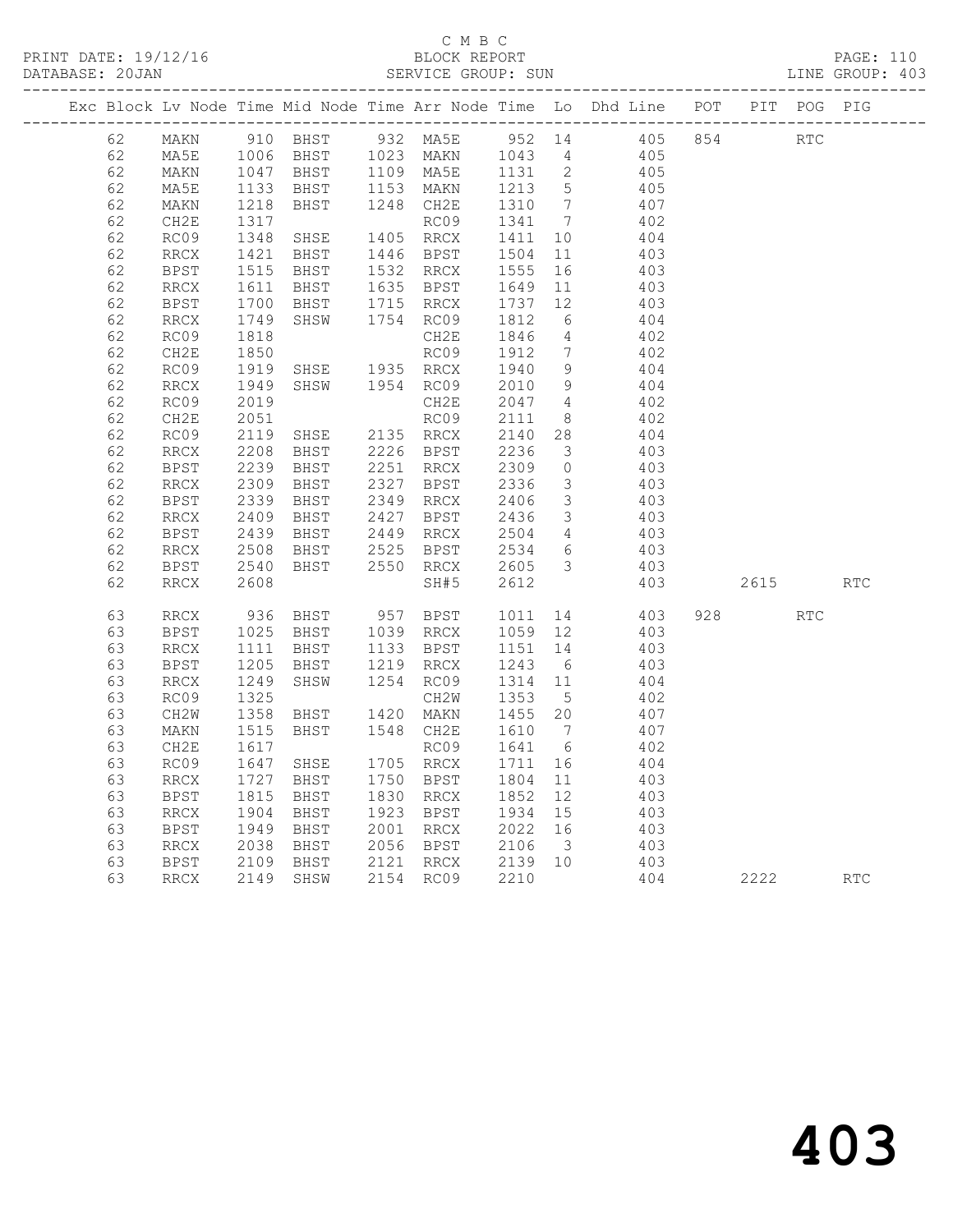|          |                              |                      |                                                                                                                      |      |                        |                                |                         | Exc Block Lv Node Time Mid Node Time Arr Node Time Lo Dhd Line POT |      |            | PIT POG PIG |
|----------|------------------------------|----------------------|----------------------------------------------------------------------------------------------------------------------|------|------------------------|--------------------------------|-------------------------|--------------------------------------------------------------------|------|------------|-------------|
| 62       | MAKN                         |                      |                                                                                                                      |      |                        |                                |                         | 910 BHST 932 MA5E 952 14 405 854                                   |      | <b>RTC</b> |             |
| 62       | MA5E                         |                      |                                                                                                                      |      |                        |                                |                         | 405<br>405                                                         |      |            |             |
| 62       | MAKN                         |                      | 1006 BHST 1023 MAKN 1043 4<br>1047 BHST 1109 MA5E 1131 2<br>1133 BHST 1153 MAKN 1213 5<br>1218 BHST 1248 CH2E 1310 7 |      |                        |                                |                         |                                                                    |      |            |             |
| 62       | MA5E                         |                      |                                                                                                                      |      |                        |                                |                         | $405$<br>$407$                                                     |      |            |             |
| 62       | MAKN                         |                      |                                                                                                                      |      |                        |                                |                         |                                                                    |      |            |             |
| 62       | CH2E                         |                      |                                                                                                                      |      | RC09                   | 1341                           | $7\overline{ }$         | 402                                                                |      |            |             |
| 62       | RC09                         | $1317$<br>$1348$     | SHSE                                                                                                                 |      | 1405 RRCX              | 1411                           | 10                      | 404                                                                |      |            |             |
| 62       | RRCX                         | 1421<br>1515         | BHST                                                                                                                 |      | 1446 BPST              | 1504<br>1555                   | 11                      | 403                                                                |      |            |             |
| 62       | BPST                         |                      | BHST                                                                                                                 |      | 1532 RRCX              |                                | 16                      | 403                                                                |      |            |             |
| 62       | RRCX                         | 1611<br>1700         | BHST                                                                                                                 |      | 1635 BPST              | 1649<br>1737                   | 11                      | 403<br>403                                                         |      |            |             |
| 62       | <b>BPST</b>                  |                      | BHST                                                                                                                 |      | 1715 RRCX              |                                | 12                      |                                                                    |      |            |             |
| 62       | RRCX                         | 1749<br>1818         | SHSW                                                                                                                 |      | 1754 RC09              | 1812                           | 6                       | 404                                                                |      |            |             |
| 62       | RC09                         |                      |                                                                                                                      |      | CH2E                   | 1846                           | $\overline{4}$          | 402                                                                |      |            |             |
| 62       | CH2E                         | 1850<br>1919         |                                                                                                                      |      | RC09                   | 1912                           | $\overline{7}$          | 402                                                                |      |            |             |
| 62       | RC09                         |                      | SHSE                                                                                                                 |      | 1935 RRCX              | 1940 9                         |                         | 404                                                                |      |            |             |
| 62       | RRCX                         | 1949                 | SHSW 1954 RC09                                                                                                       |      |                        | 2010                           | 9                       | 404                                                                |      |            |             |
| 62       | RC09                         | 2019                 |                                                                                                                      |      | CH2E                   | 2047 4                         |                         | 402                                                                |      |            |             |
| 62       | CH2E                         | 2051                 |                                                                                                                      |      | RC09                   | 2111                           | 8 <sup>8</sup>          | 402                                                                |      |            |             |
| 62       | RC09                         | 2119                 | SHSE                                                                                                                 |      | 2135 RRCX              | 2140 28                        |                         | 404                                                                |      |            |             |
| 62       | RRCX                         | 2208                 | BHST 2226 BPST                                                                                                       |      |                        | 2236                           | $\overline{\mathbf{3}}$ | 403                                                                |      |            |             |
| 62       | BPST                         | 2239<br>2309         | BHST                                                                                                                 |      | 2251 RRCX              | 2309<br>2336                   | $\overline{0}$          | 403                                                                |      |            |             |
| 62       | RRCX                         |                      | BHST                                                                                                                 |      | 2327 BPST              |                                | $\overline{\mathbf{3}}$ | 403                                                                |      |            |             |
| 62       | <b>BPST</b>                  | $\frac{2339}{2409}$  | BHST                                                                                                                 |      | 2349 RRCX              | 2406<br>2436                   | $\overline{\mathbf{3}}$ | 403<br>403                                                         |      |            |             |
| 62       | RRCX                         |                      | BHST                                                                                                                 |      | 2427 BPST              |                                | $\overline{\mathbf{3}}$ |                                                                    |      |            |             |
| 62       | BPST                         | 2439<br>2508<br>2439 | BHST                                                                                                                 |      | 2449 RRCX<br>2525 BPST | 2504<br>2534                   | $4\overline{4}$         | 403<br>403                                                         |      |            |             |
| 62<br>62 | RRCX                         |                      | BHST                                                                                                                 | 2550 |                        |                                | $6\overline{6}$         |                                                                    |      |            |             |
| 62       | <b>BPST</b>                  | 2540<br>2608         | BHST                                                                                                                 |      | RRCX                   | 2605<br>2612                   | $\overline{\mathbf{3}}$ | 403<br>403                                                         | 2615 |            | <b>RTC</b>  |
|          | RRCX                         |                      |                                                                                                                      |      | SH#5                   |                                |                         |                                                                    |      |            |             |
| 63       | RRCX                         | 936                  |                                                                                                                      |      | BHST 957 BPST 1011     |                                |                         | 14 403                                                             | 928  | RTC        |             |
| 63       | BPST                         | 1025<br>1111         | BHST                                                                                                                 |      | 1039 RRCX              | 1059<br>1151<br>1059 12        |                         | 403                                                                |      |            |             |
| 63       | RRCX                         |                      | BHST                                                                                                                 |      | 1133 BPST              |                                | 14                      | 403                                                                |      |            |             |
| 63       | BPST                         | 1205                 | BHST                                                                                                                 |      | 1219 RRCX              | 1243                           | 6                       | 403                                                                |      |            |             |
| 63       | RRCX                         | 1249                 | SHSW                                                                                                                 |      | 1254 RC09              | 1314 11                        |                         | 404                                                                |      |            |             |
| 63       | RC09                         | 1325                 |                                                                                                                      |      | CH2W                   | 1353                           | $5\overline{)}$         | 402                                                                |      |            |             |
| 63       | CH2W                         | 1358                 | BHST                                                                                                                 |      | 1420 MAKN              | 1455 20                        |                         | 407                                                                |      |            |             |
| 63       | $\texttt{MAKN}$              | 1515                 | BHST                                                                                                                 |      | 1548 CH2E              | 1610 7                         |                         | 407                                                                |      |            |             |
| 63       | CH2E                         | 1617                 |                                                                                                                      |      | RC09                   | 1641 6                         |                         | 402                                                                |      |            |             |
| 63       | RC09                         | 1647                 | SHSE                                                                                                                 |      | 1705 RRCX              | 1711                           | 16                      | 404                                                                |      |            |             |
| 63       | $\mathop{\rm RRCX}\nolimits$ | 1727                 | BHST                                                                                                                 |      | 1750 BPST              | 1804                           | 11                      | 403                                                                |      |            |             |
| 63       | BPST                         | 1815                 | BHST                                                                                                                 |      | 1830 RRCX              | 1852                           | 12                      | 403                                                                |      |            |             |
| 63       | RRCX                         |                      | 1904 BHST<br>1949 BHST<br>2038 BHST<br>2109 BHST                                                                     |      | 1923 BPST              | 1934                           | 15                      | 403                                                                |      |            |             |
| 63       | BPST                         |                      |                                                                                                                      |      | 2001 RRCX              | $2022$ 16<br>2106 3<br>2139 10 |                         | 403                                                                |      |            |             |
| 63       | RRCX                         |                      |                                                                                                                      |      | 2056 BPST              |                                |                         | 403<br>403                                                         |      |            |             |
| 63       | BPST                         |                      |                                                                                                                      |      | 2121 RRCX              |                                |                         |                                                                    |      |            |             |
| 63       | RRCX                         |                      | 2149 SHSW                                                                                                            |      | 2154 RC09              | 2210                           |                         | 404                                                                | 2222 |            | RTC         |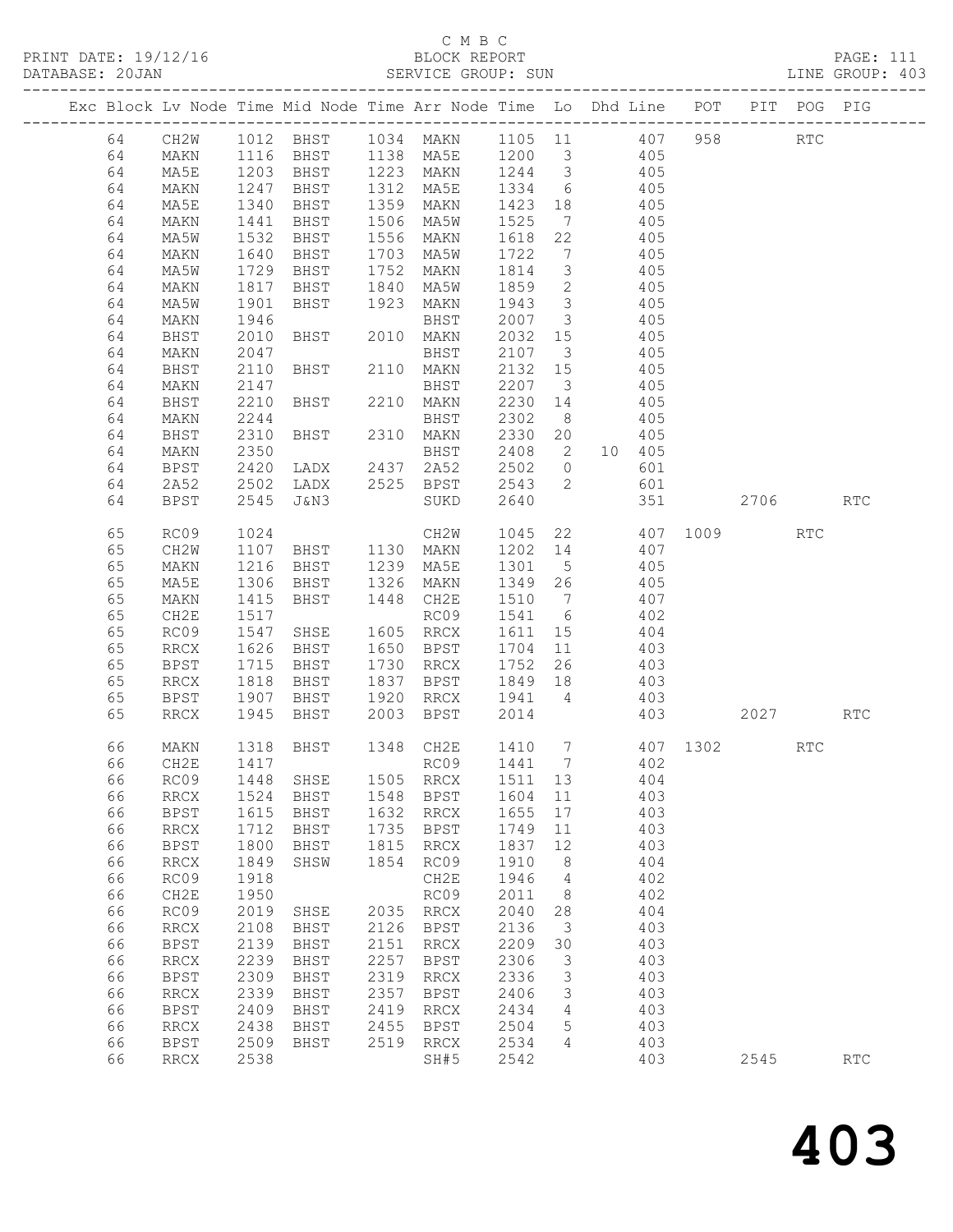## C M B C<br>BLOCK REPORT

| 19/1<br>PRINT DATE:<br>エム/エリ | REPORT<br>BLOCK | PAGE:<br>- - - |
|------------------------------|-----------------|----------------|

| DATABASE: 20JAN |    |                              |                  |                                                                                                     |      | SERVICE GROUP: SUN        |         |                         |                  |     |     |             |     | LINE GROUP: 403 |  |
|-----------------|----|------------------------------|------------------|-----------------------------------------------------------------------------------------------------|------|---------------------------|---------|-------------------------|------------------|-----|-----|-------------|-----|-----------------|--|
|                 |    |                              |                  | Exc Block Lv Node Time Mid Node Time Arr Node Time Lo Dhd Line POT PIT POG PIG                      |      |                           |         |                         |                  |     |     |             |     |                 |  |
|                 | 64 | CH2W                         |                  | 1012 BHST 1034 MAKN 1105 11 407 958 RTC                                                             |      |                           |         |                         |                  |     |     |             |     |                 |  |
|                 | 64 | MAKN                         |                  | 1116 BHST 1138 MA5E 1200 3 405                                                                      |      |                           |         |                         |                  |     |     |             |     |                 |  |
|                 | 64 | MA5E                         |                  |                                                                                                     |      |                           |         |                         |                  |     |     |             |     |                 |  |
|                 | 64 | MAKN                         |                  | 1203 BHST 1223 MAKN 1244 3 405<br>1247 BHST 1312 MA5E 1334 6 405<br>1340 BHST 1359 MAKN 1423 18 405 |      |                           |         |                         |                  |     |     |             |     |                 |  |
|                 | 64 | MA5E                         |                  |                                                                                                     |      |                           | 1423 18 |                         |                  |     |     |             |     |                 |  |
|                 | 64 | MAKN                         | 1441             | <b>BHST</b>                                                                                         |      | 1506 MA5W                 | 1525    |                         | 7 405            |     |     |             |     |                 |  |
|                 | 64 | MA5W                         | 1532             | BHST                                                                                                |      | 1556 MAKN                 | 1618    | 22                      | 405              |     |     |             |     |                 |  |
|                 | 64 | MAKN                         |                  | BHST                                                                                                |      | 1703 MA5W                 | 1722    | $7\overline{ }$         |                  | 405 |     |             |     |                 |  |
|                 | 64 | MA5W                         | 1640<br>1729     | BHST                                                                                                |      | 1752 MAKN                 | 1814    | $\overline{\mathbf{3}}$ | 405              |     |     |             |     |                 |  |
|                 | 64 | MAKN                         | 1817             | BHST                                                                                                | 1840 | MA5W                      | 1859    | $\overline{2}$          | 405              |     |     |             |     |                 |  |
|                 | 64 | MA5W                         | 1901             | BHST                                                                                                | 1923 | MAKN                      | 1943    | $\overline{\mathbf{3}}$ | 405              |     |     |             |     |                 |  |
|                 | 64 | MAKN                         | 1946             |                                                                                                     |      | BHST                      | 2007 3  |                         |                  | 405 |     |             |     |                 |  |
|                 | 64 | BHST                         | 2010             | BHST 2010 MAKN                                                                                      |      |                           | 2032    | 15                      | 405              |     |     |             |     |                 |  |
|                 | 64 | MAKN                         | 2047             |                                                                                                     |      | BHST                      | 2107    | $\overline{\mathbf{3}}$ | 405              |     |     |             |     |                 |  |
|                 | 64 | BHST                         | 2110             | BHST 2110 MAKN                                                                                      |      |                           | 2132 15 |                         | 405              |     |     |             |     |                 |  |
|                 | 64 | MAKN                         | 2147             |                                                                                                     |      |                           | 2207 3  |                         |                  | 405 |     |             |     |                 |  |
|                 | 64 | BHST                         | 2210             |                                                                                                     |      |                           | 2230 14 |                         |                  | 405 |     |             |     |                 |  |
|                 | 64 | MAKN                         | 2244             |                                                                                                     |      | BHST                      | 2302 8  |                         | 405              |     |     |             |     |                 |  |
|                 | 64 | BHST                         | 2310             |                                                                                                     |      | BHST 2310 MAKN            | 2330 20 |                         |                  | 405 |     |             |     |                 |  |
|                 | 64 | MAKN                         | 2350             |                                                                                                     |      | BHST                      |         |                         | 2408  2  10  405 |     |     |             |     |                 |  |
|                 | 64 | <b>BPST</b>                  | 2420             | LADX 2437 2A52                                                                                      |      |                           | 2502 0  |                         |                  | 601 |     |             |     |                 |  |
|                 | 64 | 2A52                         | 2502             |                                                                                                     |      | LADX 2525 BPST            | 2543 2  |                         |                  | 601 |     |             |     |                 |  |
|                 | 64 | BPST                         | 2545             | J&N3                                                                                                |      | SUKD                      | 2640    |                         |                  | 351 |     | 2706        |     | <b>RTC</b>      |  |
|                 |    |                              |                  |                                                                                                     |      |                           |         |                         |                  |     |     |             |     |                 |  |
|                 | 65 | RC09                         | 1024             |                                                                                                     |      |                           | 1045    |                         | 22 407 1009 RTC  |     |     |             |     |                 |  |
|                 | 65 | CH2W                         | 1107             |                                                                                                     |      | CH2W<br>BHST 1130 MAKN    |         |                         | 1202 14 407      |     |     |             |     |                 |  |
|                 | 65 | MAKN                         | 1216             | BHST 1239 MA5E                                                                                      |      |                           | 1301 5  |                         | 405              |     |     |             |     |                 |  |
|                 | 65 | MA5E                         | 1306             | BHST                                                                                                |      | 1326 MAKN                 | 1349 26 |                         | 405              |     |     |             |     |                 |  |
|                 | 65 | MAKN                         | 1415             | <b>BHST</b>                                                                                         |      | 1448 CH2E                 | 1510 7  |                         |                  | 407 |     |             |     |                 |  |
|                 | 65 | CH2E                         | 1517             |                                                                                                     |      | RC09                      | 1541 6  |                         | 402              |     |     |             |     |                 |  |
|                 | 65 | RC09                         | 1547             | SHSE                                                                                                |      | 1605 RRCX                 | 1611 15 |                         | 404              |     |     |             |     |                 |  |
|                 | 65 | RRCX                         | 1626             | <b>BHST</b>                                                                                         |      | 1650 BPST                 | 1704    | 11                      | 403              |     |     |             |     |                 |  |
|                 | 65 | BPST                         |                  | BHST                                                                                                |      | 1730 RRCX                 | 1752    | 26                      |                  | 403 |     |             |     |                 |  |
|                 | 65 | RRCX                         | $1715$<br>$1818$ | BHST                                                                                                |      | 1837 BPST                 | 1849 18 |                         | 403              |     |     |             |     |                 |  |
|                 | 65 | BPST                         | 1907             | BHST                                                                                                |      | 1920 RRCX 1941 4          |         |                         | 403              |     |     |             |     |                 |  |
|                 | 65 | RRCX                         | 1945             | BHST                                                                                                |      | 2003 BPST                 | 2014    |                         |                  |     | 403 | 2027 — 2027 |     | <b>RTC</b>      |  |
|                 |    |                              |                  |                                                                                                     |      |                           |         |                         |                  |     |     |             |     |                 |  |
|                 | 66 | MAKN                         |                  | 1318 BHST                                                                                           |      | 1348 CH2E 1410 7 407 1302 |         |                         |                  |     |     |             | RTC |                 |  |
|                 |    |                              |                  |                                                                                                     |      |                           |         |                         |                  |     |     |             |     |                 |  |
|                 | 66 | RC09                         | 1448             | SHSE                                                                                                | 1505 | RRCX                      | 1511 13 |                         |                  | 404 |     |             |     |                 |  |
|                 | 66 | RRCX                         | 1524             | BHST                                                                                                | 1548 | BPST                      | 1604 11 |                         |                  | 403 |     |             |     |                 |  |
|                 | 66 | <b>BPST</b>                  | 1615             | BHST                                                                                                | 1632 | RRCX                      | 1655    | 17                      |                  | 403 |     |             |     |                 |  |
|                 | 66 | RRCX                         | 1712             | BHST                                                                                                | 1735 | BPST                      | 1749    | 11                      |                  | 403 |     |             |     |                 |  |
|                 | 66 | <b>BPST</b>                  | 1800             | BHST                                                                                                | 1815 | RRCX                      | 1837    | 12                      |                  | 403 |     |             |     |                 |  |
|                 | 66 | $\operatorname{RRCX}$        | 1849             | SHSW                                                                                                | 1854 | RC09                      | 1910    | 8 <sup>8</sup>          |                  | 404 |     |             |     |                 |  |
|                 | 66 | RC09                         | 1918             |                                                                                                     |      | CH2E                      | 1946    | $\overline{4}$          |                  | 402 |     |             |     |                 |  |
|                 | 66 | CH2E                         | 1950             |                                                                                                     |      | RC09                      | 2011    | 8 <sup>8</sup>          |                  | 402 |     |             |     |                 |  |
|                 | 66 | RC09                         | 2019             | SHSE                                                                                                |      | 2035 RRCX                 | 2040    | 28                      |                  | 404 |     |             |     |                 |  |
|                 | 66 | $\mathop{\rm RRCX}\nolimits$ | 2108             | BHST                                                                                                |      | 2126 BPST                 | 2136    | $\overline{\mathbf{3}}$ |                  | 403 |     |             |     |                 |  |
|                 | 66 | <b>BPST</b>                  | 2139             | BHST                                                                                                | 2151 | RRCX                      | 2209    | 30                      |                  | 403 |     |             |     |                 |  |
|                 | 66 | $\operatorname{RRCX}$        | 2239             | BHST                                                                                                | 2257 | BPST                      | 2306    | $\overline{\mathbf{3}}$ |                  | 403 |     |             |     |                 |  |
|                 | 66 | <b>BPST</b>                  | 2309             | BHST                                                                                                | 2319 | RRCX                      | 2336    | $\overline{\mathbf{3}}$ |                  | 403 |     |             |     |                 |  |
|                 | 66 | RRCX                         | 2339             | BHST                                                                                                | 2357 | BPST                      | 2406    | $\mathcal{S}$           |                  | 403 |     |             |     |                 |  |
|                 | 66 | BPST                         | 2409             | BHST                                                                                                | 2419 | RRCX                      | 2434    | $\overline{4}$          |                  | 403 |     |             |     |                 |  |
|                 | 66 | RRCX                         | 2438             | BHST                                                                                                | 2455 | BPST                      | 2504    | 5                       |                  | 403 |     |             |     |                 |  |
|                 | 66 | <b>BPST</b>                  |                  | 2509 BHST                                                                                           | 2519 | RRCX                      | 2534    | $\overline{4}$          |                  | 403 |     |             |     |                 |  |
|                 |    |                              |                  |                                                                                                     |      |                           |         |                         |                  |     |     |             |     |                 |  |

66 RRCX 2538 SH#5 2542 403 2545 RTC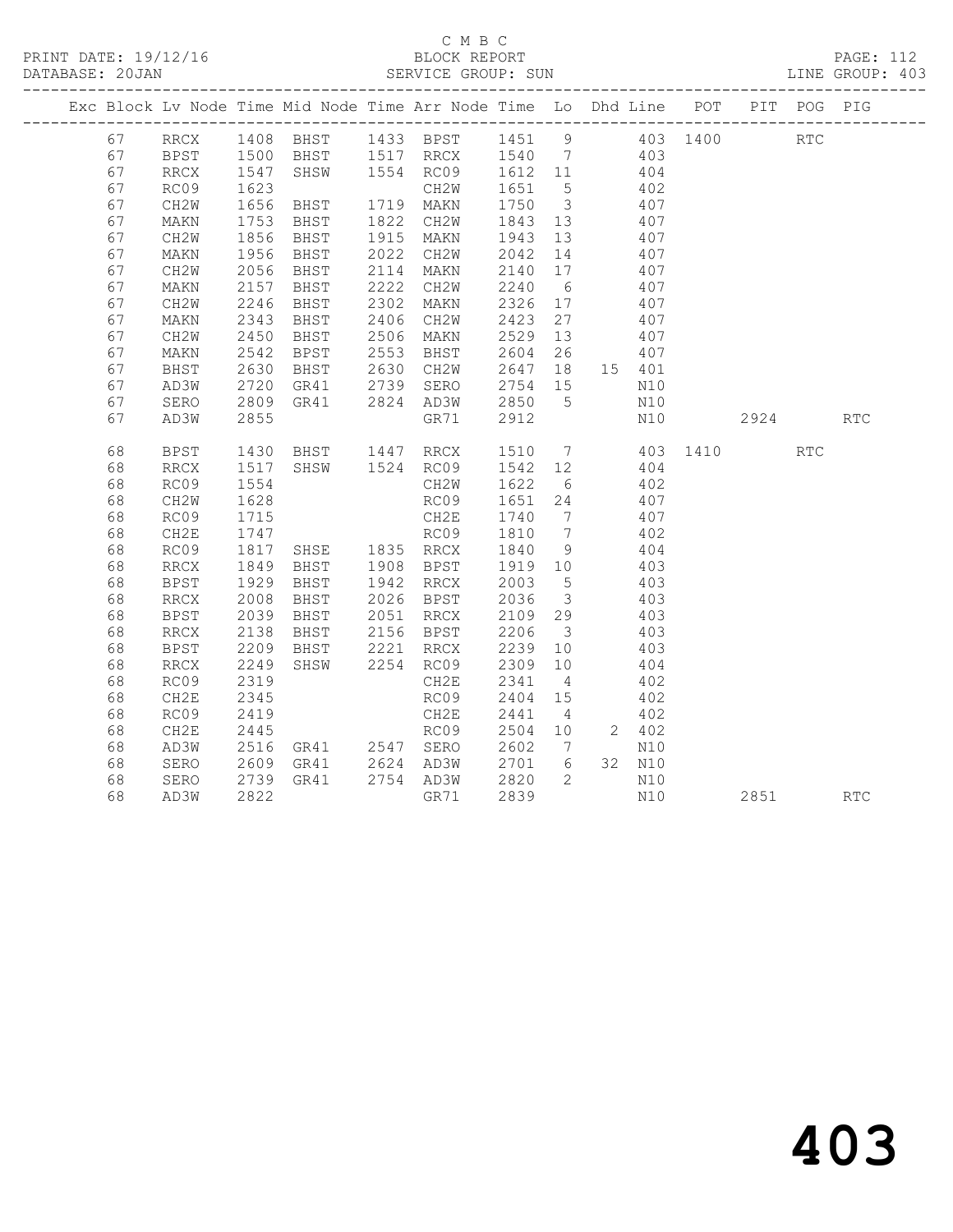### C M B C<br>BLOCK REPORT SERVICE GROUP: SUN

| Exc Block Lv Node Time Mid Node Time Arr Node Time Lo Dhd Line POT PIT POG PIG |                          |              |                |                                                                                                                         |                             |                                    |                 |                   |                 |      |                      |            |
|--------------------------------------------------------------------------------|--------------------------|--------------|----------------|-------------------------------------------------------------------------------------------------------------------------|-----------------------------|------------------------------------|-----------------|-------------------|-----------------|------|----------------------|------------|
| 67                                                                             |                          |              |                | RRCX 1408 BHST 1433 BPST 1451 9 403 1400<br>BPST 1500 BHST 1517 RRCX 1540 7 403<br>RRCX 1547 SHSW 1554 RC09 1612 11 404 |                             |                                    |                 |                   |                 |      | $\operatorname{RTC}$ |            |
| 67                                                                             |                          |              |                |                                                                                                                         |                             |                                    |                 |                   |                 |      |                      |            |
| 67                                                                             |                          |              |                |                                                                                                                         |                             |                                    |                 |                   |                 |      |                      |            |
| 67                                                                             | RC09                     | 1623         |                | CH2W                                                                                                                    |                             |                                    | 402             |                   |                 |      |                      |            |
| 67                                                                             | CH2W                     | 1656         | BHST 1719 MAKN |                                                                                                                         | 1651 5<br>1750 3<br>1843 13 |                                    |                 | 407               |                 |      |                      |            |
| 67                                                                             | MAKN                     | .<br>1753    | BHST           | 1822 CH2W                                                                                                               |                             |                                    | $\frac{1}{407}$ |                   |                 |      |                      |            |
| 67                                                                             | CH2W                     | 1856         | BHST           | 1915 MAKN                                                                                                               | 1943 13                     |                                    | 407             |                   |                 |      |                      |            |
| 67                                                                             | MAKN                     | 1956         | BHST           | 2022 CH2W 2042 14 407<br>2114 MAKN 2140 17 407                                                                          |                             |                                    |                 |                   |                 |      |                      |            |
| 67                                                                             | CH2W                     | 2056         | BHST           |                                                                                                                         |                             |                                    |                 |                   |                 |      |                      |            |
| 67                                                                             | MAKN                     | 2157         | BHST           | 2222 CH2W                                                                                                               | 2240                        | $6\overline{6}$                    | 407             |                   |                 |      |                      |            |
| 67                                                                             | CH2W                     | 2246         | BHST           | 2302 MAKN                                                                                                               | 2326 17<br>2423 27          |                                    |                 | 407               |                 |      |                      |            |
| 67                                                                             | MAKN                     | 2343         | BHST           | 2406 CH2W                                                                                                               |                             |                                    |                 | 407               |                 |      |                      |            |
| 67                                                                             | CH2W                     | 2450         | BHST           | 2506 MAKN                                                                                                               | 2529 13                     |                                    | 407             |                   |                 |      |                      |            |
| 67                                                                             | MAKN                     | 2542         | BPST           |                                                                                                                         |                             |                                    |                 |                   |                 |      |                      |            |
| 67                                                                             | BHST                     | 2630         | BHST           | 2553 BHST 2604 26 407<br>2630 CH2W 2647 18 15 401<br>2739 SERO 2754 15 N10                                              |                             |                                    |                 |                   |                 |      |                      |            |
| 67                                                                             | AD3W                     | 2720         | GR41           |                                                                                                                         |                             |                                    |                 |                   |                 |      |                      |            |
| 67                                                                             | SERO                     | 2809         |                | GR41 2824 AD3W 2850                                                                                                     |                             | 5 <sup>5</sup>                     | N10             |                   |                 |      |                      |            |
| 67                                                                             | AD3W                     | 2855         |                | GR71                                                                                                                    | 2912                        |                                    |                 | N10               |                 | 2924 |                      | <b>RTC</b> |
|                                                                                |                          |              |                |                                                                                                                         |                             |                                    |                 |                   |                 |      |                      |            |
| 68                                                                             | <b>BPST</b>              | 1430         | BHST 1447 RRCX |                                                                                                                         |                             |                                    |                 |                   | 1510 7 403 1410 |      | <b>RTC</b>           |            |
| 68                                                                             | $\mathop{\mathrm{RRCX}}$ | 1517         |                | SHSW 1524 RC09 1542 12<br>CH2W 1622 6                                                                                   |                             |                                    |                 | $\frac{404}{402}$ |                 |      |                      |            |
| 68                                                                             | RC09                     | 1554         |                |                                                                                                                         |                             |                                    |                 |                   |                 |      |                      |            |
| 68                                                                             | CH2W                     | 1628         |                | RC09 1651 24 407                                                                                                        |                             |                                    |                 |                   |                 |      |                      |            |
| 68                                                                             | RC09                     | 1715         |                | CH2E                                                                                                                    | 1740<br>1810                | $7\overline{ }$<br>$7\overline{)}$ |                 | 407               |                 |      |                      |            |
| 68<br>68                                                                       | CH2E<br>RC09             | 1747<br>1817 | SHSE 1835 RRCX | RC09                                                                                                                    | 1840                        | 9                                  | 404             | 402               |                 |      |                      |            |
| 68                                                                             |                          |              |                | 1908 BPST                                                                                                               |                             |                                    |                 |                   |                 |      |                      |            |
| 68                                                                             | $\mathop{\mathrm{RRCX}}$ | 1849<br>1929 | BHST<br>BHST   |                                                                                                                         |                             |                                    | 403             | 403               |                 |      |                      |            |
| 68                                                                             | BPST<br>RRCX             | 2008         | BHST           | 1908 BPST 1919 10<br>1942 RRCX 2003 5<br>2026 BPST 2036 3                                                               |                             |                                    | 403             |                   |                 |      |                      |            |
| 68                                                                             | <b>BPST</b>              | 2039         | BHST           | 2051 RRCX                                                                                                               | 2109 29                     |                                    | 403             |                   |                 |      |                      |            |
| 68                                                                             | $\mathop{\mathrm{RRCX}}$ | 2138         | BHST           | 2156 BPST                                                                                                               |                             |                                    |                 | 403               |                 |      |                      |            |
| 68                                                                             | <b>BPST</b>              | 2209         | BHST           | 2221 RRCX                                                                                                               | 2206 3<br>2239 10           |                                    | $\frac{1}{403}$ |                   |                 |      |                      |            |
| 68                                                                             | $\mathop{\mathrm{RRCX}}$ | 2249         | SHSW           | 2254 RC09                                                                                                               | 2309 10                     |                                    | 404             |                   |                 |      |                      |            |
| 68                                                                             | RC09                     | 2319         |                | CH2E                                                                                                                    | 2341                        | $\overline{4}$                     |                 | 402               |                 |      |                      |            |
| 68                                                                             | CH2E                     | 2345         |                | RC09                                                                                                                    | 2404 15                     |                                    |                 | 402               |                 |      |                      |            |
| 68                                                                             | RC09                     | 2419         |                | CH2E                                                                                                                    | 2441                        | $\overline{4}$                     |                 | 402               |                 |      |                      |            |
| 68                                                                             | CH2E                     | 2445         |                | RC09                                                                                                                    | 2504                        | 10                                 | 2 402           |                   |                 |      |                      |            |
| 68                                                                             | AD3W                     | 2516         | GR41 2547 SERO |                                                                                                                         | 2602                        | $\overline{7}$                     |                 | N10               |                 |      |                      |            |
| 68                                                                             | SERO                     | 2609         |                | GR41  2624  AD3W  2701                                                                                                  |                             | 6                                  |                 | 32 N10            |                 |      |                      |            |
| 68                                                                             | SERO                     | 2739         | GR41 2754 AD3W |                                                                                                                         | 2820                        | $\overline{2}$                     |                 | N10               |                 |      |                      |            |
| 68                                                                             | AD3W                     | 2822         |                | GR71                                                                                                                    | 2839                        |                                    |                 | N10               |                 | 2851 |                      | <b>RTC</b> |
|                                                                                |                          |              |                |                                                                                                                         |                             |                                    |                 |                   |                 |      |                      |            |

403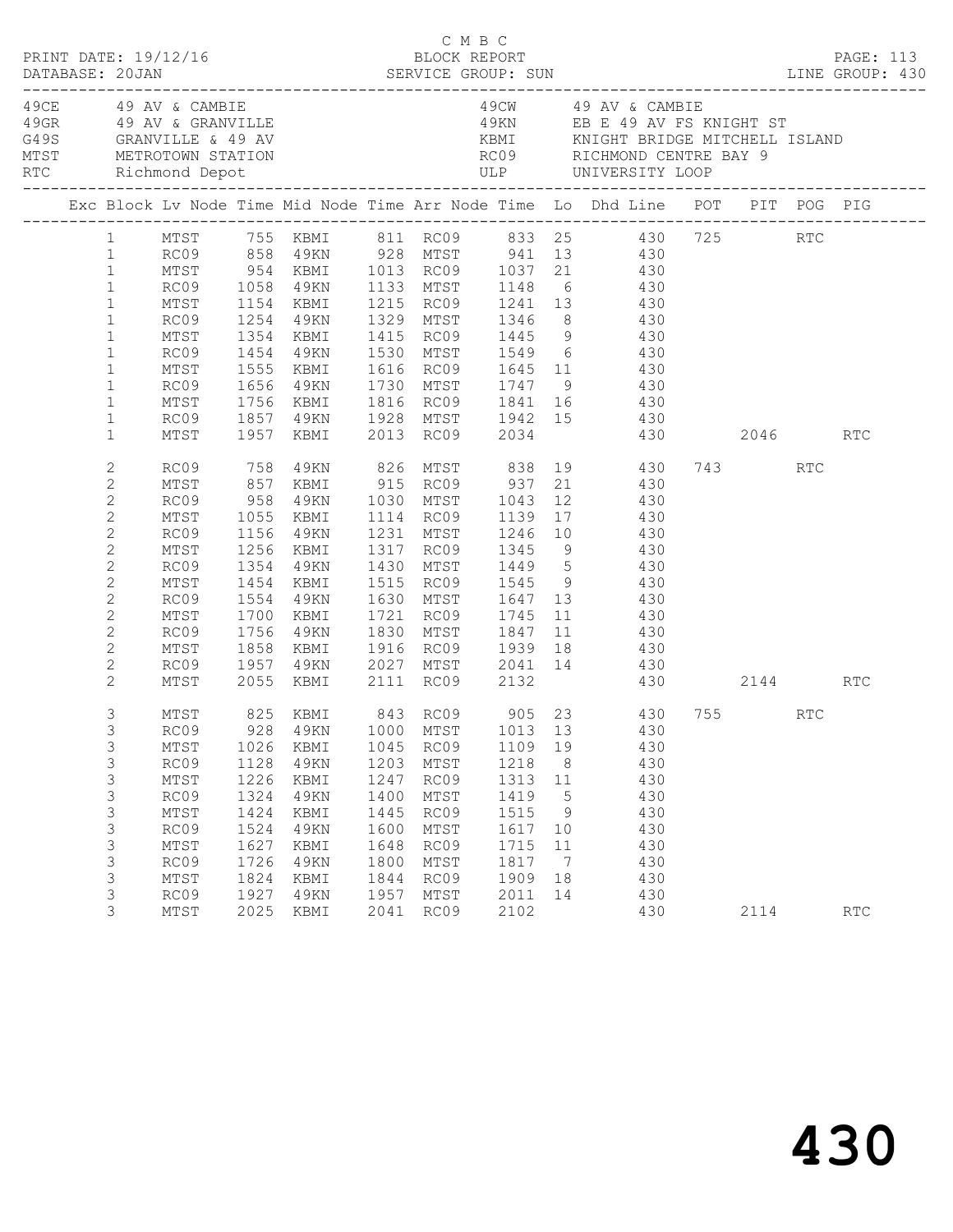| PRINT DATE: 19/12/16 |                                                                                                                                                                                                                  |                                                                                                      |                                                                                      |                                                                                                                     |                                                                                      | C M B C<br>BLOCK REPORT                                                              |                                                                                         |                                                                            | DATABASE: 20JAN SERVICE GROUP: SUN<br>DATABASE: 20JAN SERVICE GROUP: SUN LINE GROUP: 430                                                                                                                                                                                                                                                                                                                                                                                                           |      |     | <b>PAGE: 113</b> |
|----------------------|------------------------------------------------------------------------------------------------------------------------------------------------------------------------------------------------------------------|------------------------------------------------------------------------------------------------------|--------------------------------------------------------------------------------------|---------------------------------------------------------------------------------------------------------------------|--------------------------------------------------------------------------------------|--------------------------------------------------------------------------------------|-----------------------------------------------------------------------------------------|----------------------------------------------------------------------------|----------------------------------------------------------------------------------------------------------------------------------------------------------------------------------------------------------------------------------------------------------------------------------------------------------------------------------------------------------------------------------------------------------------------------------------------------------------------------------------------------|------|-----|------------------|
| 49CE 49 AV & CAMBIE  |                                                                                                                                                                                                                  |                                                                                                      |                                                                                      | 49GR 49 AV & GRANVILLE<br>G49S GRANVILLE & 49 AV<br>MTST METROTOWN STATION<br>RTC Richmond Depot                    |                                                                                      |                                                                                      |                                                                                         |                                                                            | 49CW 49 AV & CAMBIE<br>49KN EB E 49 AV FS KNIGHT ST                                                                                                                                                                                                                                                                                                                                                                                                                                                |      |     |                  |
|                      |                                                                                                                                                                                                                  |                                                                                                      |                                                                                      |                                                                                                                     |                                                                                      |                                                                                      |                                                                                         |                                                                            | Exc Block Lv Node Time Mid Node Time Arr Node Time Lo Dhd Line POT PIT POG PIG                                                                                                                                                                                                                                                                                                                                                                                                                     |      |     |                  |
|                      | $\mathbf{1}$<br>$\mathbf{1}$<br>$\mathbf{1}$<br>$\mathbf{1}$<br>$\mathbf{1}$<br>$\mathbf{1}$<br>$\mathbf{1}$<br>$\mathbf{1}$<br>$\mathbf{1}$<br>$\mathbf{1}$<br>$\mathbf{1}$                                     | MTST<br>RC09 1254 49KN<br>MTST<br>RC09<br>MTST<br>RC09<br>MTST                                       | 1354                                                                                 | 1656 49KN                                                                                                           |                                                                                      |                                                                                      |                                                                                         |                                                                            | 1 MTST 755 KBMI 811 RC09 833 25 430 725 RTC<br>1 RC09 858 49KN 928 MTST 941 13 430<br>MTST 954 KBMI 1013 RC09 1037 21 430<br>RC09 1058 49KN 1133 MTST 1148 6 430<br>MTST 1154 KBMI 1215 RC09 1241 13 430<br>1329 MTST 1346 8 430<br>KBMI 1415 RC09 1445 9 430<br>1454 49KN 1530 MTST 1549 6     430<br>1555 KBMI 1616 RC09 1645 11     430<br>1730 MTST 1747 9 430<br>1756 KBMI 1816 RC09 1841 16 430<br>RC09 1857 49KN 1928 MTST 1942 15 430<br>MTST 1957 KBMI 2013 RC09 2034 430<br>430 2046 RTC |      |     |                  |
|                      | $\mathbf{2}$<br>$\mathbf{2}$<br>$\mathbf{2}$<br>$\mathbf{2}$<br>$\overline{c}$<br>$\mathbf{2}$<br>$\overline{c}$<br>$\mathbf{2}$<br>$\mathbf{2}$<br>$\mathbf{2}$<br>$\mathbf{2}$<br>$\mathbf{2}$<br>$\mathbf{2}$ | RC09 758<br>MTST<br>RC09<br>MTST<br>RC09<br>MTST<br>RC09<br>MTST<br>RC09<br>MTST<br>RC09<br>MTST     | 1156<br>1256<br>1354<br>1700                                                         | 49KN<br>KBMI<br>49KN<br>1454 KBMI<br>1554 49KN<br>KBMI<br>1756 49KN<br>1858 KBMI                                    |                                                                                      |                                                                                      |                                                                                         |                                                                            | 49KN 826 MTST 838 19 430<br>857 KBMI 915 RC09 937 21 430<br>958 49KN 1030 MTST 1043 12 430<br>1055 KBMI 1114 RC09 1139 17 430<br>$21$ 430<br>1231 MTST 1246 10 430<br>1317 RC09 1345 9 430<br>1430 MTST 1449 5 430<br>1515 RC09 1545 9 430<br>1630 MTST 1647 13 430<br>1721 RC09 1745 11 430<br>1830 MTST 1847 11 430<br>1916 RC09 1939 18 430<br>RC09 1957 49KN 2027 MTST 2041 14 430                                                                                                             | 743  | RTC |                  |
|                      | 2<br>3<br>3<br>3<br>3<br>3<br>3<br>3<br>$\mathsf S$<br>3<br>3<br>3<br>3<br>3                                                                                                                                     | MTST<br>MTST<br>MTST<br>RC09<br>MTST<br>RC09<br>MTST<br>RC09<br>MTST<br>RC09<br>MTST<br>RC09<br>MTST | 1026<br>1128<br>1226<br>1324<br>1424<br>1524<br>1627<br>1726<br>1824<br>1927<br>2025 | 2055 KBMI 2111 RC09 2132<br>KBMI<br>4 9 K N<br>KBMI<br>49KN<br>KBMI<br>49KN<br>KBMI<br>49KN<br>KBMI<br>49KN<br>KBMI | 1045<br>1203<br>1247<br>1400<br>1445<br>1600<br>1648<br>1800<br>1844<br>1957<br>2041 | RC09<br>MTST<br>RC09<br>MTST<br>RC09<br>MTST<br>RC09<br>MTST<br>RC09<br>MTST<br>RC09 | 1109 19<br>1218<br>1313<br>1419<br>1515<br>1617<br>1715<br>1817<br>1909<br>2011<br>2102 | 8 <sup>8</sup><br>11<br>5<br>- 9<br>10<br>11<br>$\overline{7}$<br>18<br>14 | 430 2144 RTC<br>825 KBMI 843 RC09 905 23 430 755 RTC<br>RC09 928 49KN 1000 MTST 1013 13 430<br>430<br>430<br>430<br>430<br>430<br>430<br>430<br>430<br>430<br>430<br>430                                                                                                                                                                                                                                                                                                                           | 2114 |     | RTC              |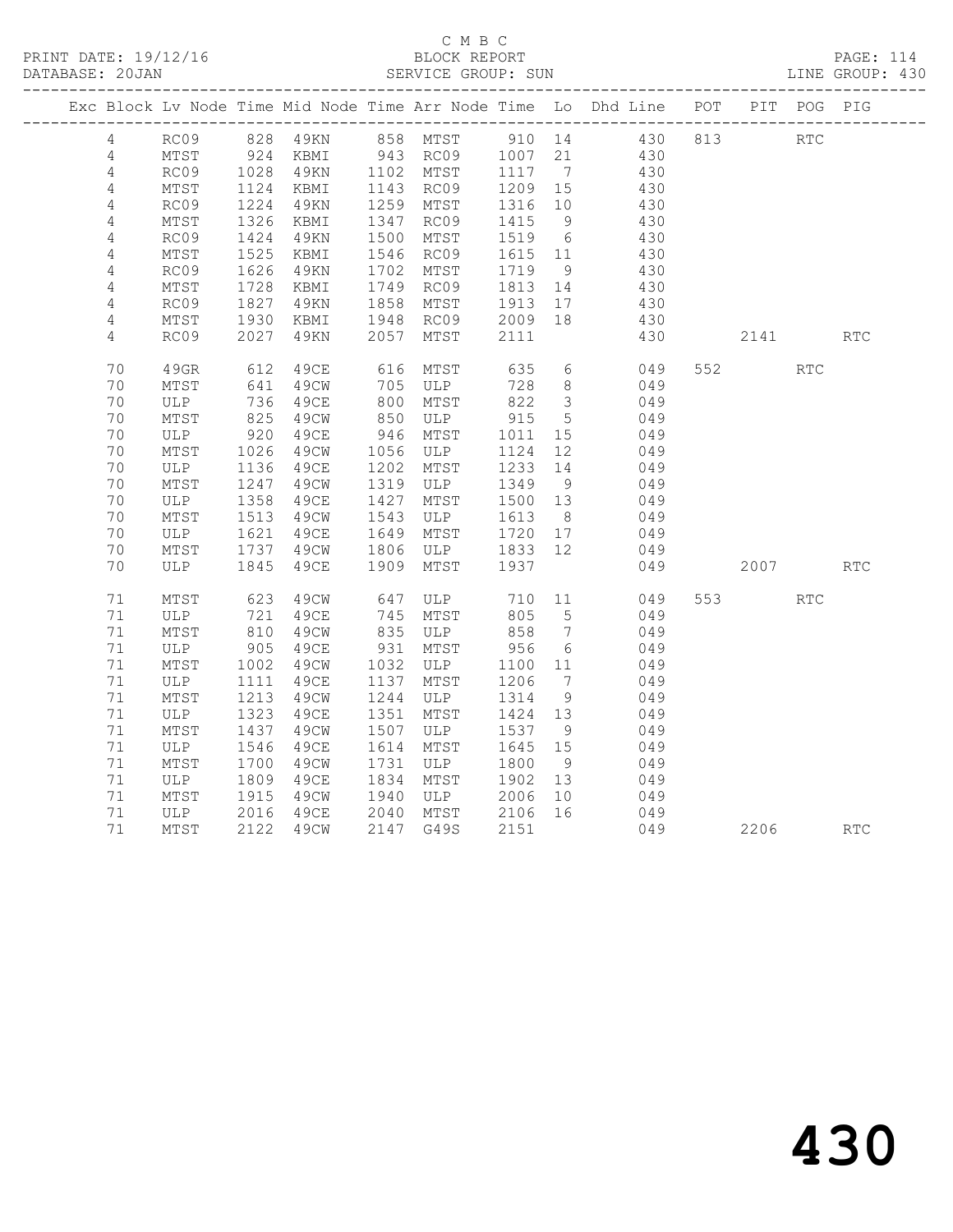|                 |      |                                             |      |            |                     |         |                         | Exc Block Lv Node Time Mid Node Time Arr Node Time Lo Dhd Line POT PIT POG PIG |     |                                                                                                                                                                                                                                 |                             |            |
|-----------------|------|---------------------------------------------|------|------------|---------------------|---------|-------------------------|--------------------------------------------------------------------------------|-----|---------------------------------------------------------------------------------------------------------------------------------------------------------------------------------------------------------------------------------|-----------------------------|------------|
| $4\overline{ }$ | RC09 |                                             |      |            |                     |         |                         | 828 49KN 858 MTST 910 14 430                                                   | 813 | <b>RTC</b>                                                                                                                                                                                                                      |                             |            |
| 4               | MTST | $924$<br>$1028$                             |      |            |                     |         |                         | KBMI 943 RC09 1007 21 430<br>49KN 1102 MTST 1117 7 430                         |     |                                                                                                                                                                                                                                 |                             |            |
| $\overline{4}$  | RC09 |                                             |      |            |                     |         |                         |                                                                                |     |                                                                                                                                                                                                                                 |                             |            |
| $\overline{4}$  | MTST | 1124                                        | KBMI |            | 1143 RC09           | 1209 15 |                         | 430                                                                            |     |                                                                                                                                                                                                                                 |                             |            |
| 4               | RC09 | 1224                                        | 49KN |            | 1259 MTST           | 1316 10 |                         | 430                                                                            |     |                                                                                                                                                                                                                                 |                             |            |
| 4               | MTST | $\frac{1}{1326}$                            | KBMI | 1347       | RC09                | 1415    | 9                       | 430                                                                            |     |                                                                                                                                                                                                                                 |                             |            |
| 4               | RC09 | 1424                                        | 49KN | 1500       | MTST                | 1519 6  |                         | 430                                                                            |     |                                                                                                                                                                                                                                 |                             |            |
| $\overline{4}$  | MTST | 1525                                        | KBMI |            | 1546 RC09           | 1615 11 |                         | 430                                                                            |     |                                                                                                                                                                                                                                 |                             |            |
| $\sqrt{4}$      | RC09 | 1626                                        | 49KN | 1702       | MTST                | 1719    | 9                       | 430                                                                            |     |                                                                                                                                                                                                                                 |                             |            |
| 4               | MTST | 1728                                        | KBMI | 1749       | RC09                | 1813    | 14                      | 430                                                                            |     |                                                                                                                                                                                                                                 |                             |            |
| $\sqrt{4}$      | RC09 | 1827                                        | 49KN | 1858       | MTST                | 1913 17 |                         | 430                                                                            |     |                                                                                                                                                                                                                                 |                             |            |
| 4               | MTST | 1930                                        | KBMI | 1948       | RC09                | 2009 18 |                         | 430                                                                            |     |                                                                                                                                                                                                                                 |                             |            |
| $\overline{4}$  | RC09 | 2027                                        | 49KN | 2057       | MTST                | 2111    |                         | 430                                                                            |     | 2141                                                                                                                                                                                                                            |                             | <b>RTC</b> |
| 70              | 49GR | 612                                         | 49CE | 616        | MTST                | 635     |                         | $6\overline{6}$<br>049                                                         |     | 552                                                                                                                                                                                                                             | $\mathop{\rm RTC}\nolimits$ |            |
| 70              | MTST | 641                                         | 49CW | 705<br>800 | ULP                 | 728     | 8 <sup>8</sup>          | 049                                                                            |     |                                                                                                                                                                                                                                 |                             |            |
| 70              | ULP  | 736                                         | 49CE |            | MTST                | 822     | $\overline{\mathbf{3}}$ | 049                                                                            |     |                                                                                                                                                                                                                                 |                             |            |
| 70              | MTST | 825                                         | 49CW | 850        | ULP                 | 915     | $5\overline{)}$         | 049                                                                            |     |                                                                                                                                                                                                                                 |                             |            |
| 70              | ULP  | 920                                         | 49CE | 946        | MTST                | 1011    | 15                      | 049                                                                            |     |                                                                                                                                                                                                                                 |                             |            |
| 70              | MTST | 1026                                        | 49CW | 1056       | <b>ULP</b>          | 1124    | 12                      | 049                                                                            |     |                                                                                                                                                                                                                                 |                             |            |
| 70              | ULP  |                                             | 49CE | 1202       | MTST                | 1233    | 14                      | 049                                                                            |     |                                                                                                                                                                                                                                 |                             |            |
| 70              | MTST | $\begin{array}{c} 1136 \\ 1247 \end{array}$ | 49CW | 1319       | ULP                 | 1349    | 9                       | 049                                                                            |     |                                                                                                                                                                                                                                 |                             |            |
| 70              | ULP  | 1358                                        | 49CE | 1427       | MTST                | 1500 13 |                         | 049                                                                            |     |                                                                                                                                                                                                                                 |                             |            |
| 70              | MTST | 1513                                        | 49CW | 1543       | ULP                 | 1613    | 8 <sup>8</sup>          | 049                                                                            |     |                                                                                                                                                                                                                                 |                             |            |
| 70              | ULP  | 1621                                        | 49CE | 1649       | MTST                | 1720 17 |                         | 049                                                                            |     |                                                                                                                                                                                                                                 |                             |            |
| 70              | MTST | 1737                                        | 49CW | 1806       | ULP 1833 12         |         |                         | 049                                                                            |     |                                                                                                                                                                                                                                 |                             |            |
| 70              | ULP  | 1845                                        | 49CE | 1909       | MTST                | 1937    |                         | 049                                                                            |     | 2007 — 2007 — 2007 — 2008 — 2007 — 2007 — 2008 — 2007 — 2008 — 2008 — 2008 — 2008 — 2008 — 2008 — 2008 — 2008 — 2008 — 2008 — 2008 — 2008 — 2008 — 2008 — 2008 — 2008 — 2008 — 2008 — 2008 — 2008 — 2008 — 2008 — 2008 — 2008 — |                             | RTC        |
| 71              | MTST | 623                                         | 49CW | 647<br>745 | ULP 710<br>MTST 805 |         | 11                      | 049                                                                            |     | 553 3                                                                                                                                                                                                                           | <b>RTC</b>                  |            |
| 71              | ULP  | 721                                         | 49CE |            | MTST                | 805     | 5 <sup>5</sup>          | 049                                                                            |     |                                                                                                                                                                                                                                 |                             |            |
| 71              | MTST | 810                                         | 49CW |            | 835 ULP             | 858     | $\overline{7}$          | 049                                                                            |     |                                                                                                                                                                                                                                 |                             |            |
| 71              | ULP  | 905<br>1002                                 | 49CE | 931        | MTST                | 956     | $6\overline{6}$         | 049                                                                            |     |                                                                                                                                                                                                                                 |                             |            |
| 71              | MTST |                                             | 49CW | 1032       | ULP                 | 1100    | 11                      | 049                                                                            |     |                                                                                                                                                                                                                                 |                             |            |
| 71              | ULP  | 1111                                        | 49CE | 1137       | MTST                | 1206    | $\overline{7}$          | 049                                                                            |     |                                                                                                                                                                                                                                 |                             |            |
| 71              | MTST | 1213                                        | 49CW | 1244       | ULP                 | 1314    | 9                       | 049                                                                            |     |                                                                                                                                                                                                                                 |                             |            |
| 71              | ULP  | 1323                                        | 49CE | 1351       | MTST                | 1424 13 |                         | 049                                                                            |     |                                                                                                                                                                                                                                 |                             |            |
| 71              | MTST | 1437                                        | 49CW | 1507       | ULP                 | 1537    | - 9                     | 049                                                                            |     |                                                                                                                                                                                                                                 |                             |            |
| 71              | ULP  | 1546                                        | 49CE | 1614       | MTST                | 1645 15 |                         | 049                                                                            |     |                                                                                                                                                                                                                                 |                             |            |
| 71              | MTST | 1700                                        | 49CW | 1731       | ULP                 | 1800    | 9                       | 049                                                                            |     |                                                                                                                                                                                                                                 |                             |            |
| 71              | ULP  | 1809                                        | 49CE | 1834       | MTST                | 1902    | 13                      | 049                                                                            |     |                                                                                                                                                                                                                                 |                             |            |
| 71              | MTST | $\begin{array}{c} 100 \\ 1915 \end{array}$  | 49CW | 1940       | ULP                 | 2006    | 10                      | 049                                                                            |     |                                                                                                                                                                                                                                 |                             |            |
| 71              | ULP  | 2016                                        | 49CE | 2040       | MTST                | 2106 16 |                         | 049                                                                            |     |                                                                                                                                                                                                                                 |                             |            |
| 71              | MTST | 2122                                        | 49CW |            | 2147 G49S           | 2151    |                         | 049                                                                            |     | 2206                                                                                                                                                                                                                            |                             | RTC        |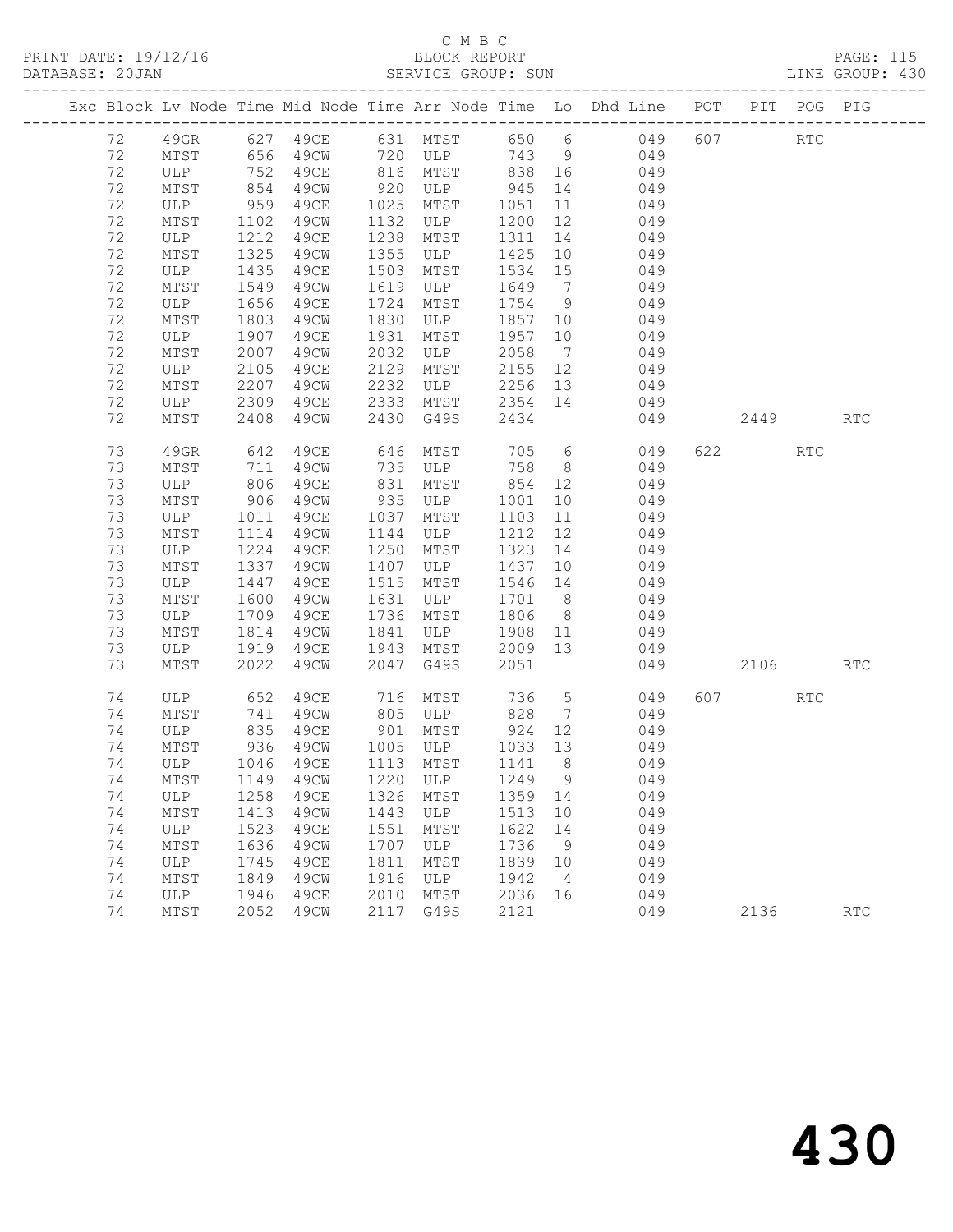PRINT DATE: 19/12/16 BLOCK REPORT BATABASE: 20JAN

## C M B C<br>BLOCK REPORT

PAGE: 115<br>LINE GROUP: 430

|    |                 |                |             |      |           |         |                 | Exc Block Lv Node Time Mid Node Time Arr Node Time Lo Dhd Line POT PIT POG PIG |                        |                      |            |
|----|-----------------|----------------|-------------|------|-----------|---------|-----------------|--------------------------------------------------------------------------------|------------------------|----------------------|------------|
| 72 | 49GR            |                |             |      |           |         |                 | 627 49CE 631 MTST 650 6 049                                                    | 607 000                | $\operatorname{RTC}$ |            |
| 72 | MTST            |                | 656 49CW    |      | 720 ULP   |         |                 | 743 9 049                                                                      |                        |                      |            |
| 72 | ULP             | 752            | 49CE        |      | 816 MTST  | 838 16  |                 | 049                                                                            |                        |                      |            |
| 72 | MTST            | $152$<br>$854$ | 49CW        | 920  | ULP       | 945     | 14              | 049                                                                            |                        |                      |            |
| 72 | ULP             | 959            | 49CE        | 1025 | MTST      | 1051    | 11              | 049                                                                            |                        |                      |            |
| 72 | MTST            | 1102           | 49CW        | 1132 | ULP       | 1200    | 12              | 049                                                                            |                        |                      |            |
| 72 | ULP             | 1212           | 49CE        | 1238 | MTST      | 1311    | 14              | 049                                                                            |                        |                      |            |
| 72 | MTST            | 1325           | 49CW        | 1355 | ULP       | 1425    | 10              | 049                                                                            |                        |                      |            |
| 72 | ULP             | 1435           | 49CE        | 1503 | MTST      | 1534    | 15              | 049                                                                            |                        |                      |            |
| 72 | MTST            | 1549           | 49CW        | 1619 | ULP       | 1649    | $\overline{7}$  | 049                                                                            |                        |                      |            |
| 72 | ULP             | 1656           | 49CE        | 1724 | MTST      | 1754    | 9               | 049                                                                            |                        |                      |            |
| 72 | MTST            | 1803           | 49CW        | 1830 | ULP       | 1857    | 10              | 049                                                                            |                        |                      |            |
| 72 | ULP             | 1907           | 49CE        | 1931 | MTST      | 1957    | 10              | 049                                                                            |                        |                      |            |
| 72 | MTST            | 2007           | 49CW        | 2032 | ULP       | 2058    | $\overline{7}$  | 049                                                                            |                        |                      |            |
| 72 | ULP             | 2105           | 49CE        | 2129 | MTST      | 2155    | 12              | 049                                                                            |                        |                      |            |
| 72 | MTST            | 2207           | 49CW        | 2232 | ULP       | 2256    | 13              | 049                                                                            |                        |                      |            |
| 72 | ULP             | 2309           | 49CE        | 2333 | MTST      | 2354    | 14              | 049                                                                            |                        |                      |            |
| 72 | MTST            | 2408           | 49CW        | 2430 | G49S      | 2434    |                 | 049                                                                            | 2449                   |                      | <b>RTC</b> |
| 73 | 49GR            | 642            | 49CE        | 646  | MTST      | 705     | $6\overline{6}$ | 049                                                                            | 622 and $\overline{a}$ | RTC                  |            |
| 73 | MTST            | 711            | 49CW        | 735  | ULP       | 758     | 8 <sup>8</sup>  | 049                                                                            |                        |                      |            |
| 73 | ULP             | 806            | 49CE        | 831  | MTST      | 854     | 12              | 049                                                                            |                        |                      |            |
| 73 | MTST            | 906            | 49CW        | 935  | ULP       | 1001    | 10              | 049                                                                            |                        |                      |            |
| 73 | ULP             | 1011           | 49CE        | 1037 | MTST      | 1103    | 11              | 049                                                                            |                        |                      |            |
| 73 | MTST            | 1114           | 49CW        | 1144 | ULP       | 1212    | 12              | 049                                                                            |                        |                      |            |
| 73 | ULP             | 1224           | 49CE        | 1250 | MTST      | 1323    | 14              | 049                                                                            |                        |                      |            |
| 73 | MTST            | 1337           | 49CW        | 1407 | ULP       | 1437    | 10              | 049                                                                            |                        |                      |            |
| 73 | ULP             | 1447           | 49CE        | 1515 | MTST      | 1546    | 14              | 049                                                                            |                        |                      |            |
| 73 | MTST            | 1600           | 49CW        | 1631 | ULP       | 1701    | 8 <sup>8</sup>  | 049                                                                            |                        |                      |            |
| 73 | ULP             | 1709           | 49CE        | 1736 | MTST      | 1806    | 8 <sup>8</sup>  | 049                                                                            |                        |                      |            |
| 73 | MTST            | 1814           | 49CW        | 1841 | ULP       | 1908    | 11              | 049                                                                            |                        |                      |            |
| 73 | ULP             | 1919           | 49CE        | 1943 | MTST      | 2009 13 |                 | 049                                                                            |                        |                      |            |
| 73 | MTST            | 2022           | 49CW        | 2047 | G49S      | 2051    |                 | 049                                                                            | 2106                   |                      | <b>RTC</b> |
|    |                 |                |             |      |           |         |                 |                                                                                |                        |                      |            |
| 74 | ULP             | 652            | 49CE        | 716  | MTST      | 736     | $5\overline{)}$ | 049                                                                            | 607 000                | <b>RTC</b>           |            |
| 74 | MTST            | 741            | 49CW        | 805  | ULP       | 828     | $\overline{7}$  | 049                                                                            |                        |                      |            |
| 74 | ULP             | 835            | 49CE        | 901  | MTST      | 924     | 12              | 049                                                                            |                        |                      |            |
| 74 | MTST            | 936            | 49CW        | 1005 | ULP       | 1033 13 |                 | 049                                                                            |                        |                      |            |
| 74 | ULP 1046 49CE   |                |             |      | 1113 MTST | 1141    |                 | 8 049                                                                          |                        |                      |            |
| 74 | $\mathtt{MTST}$ | 1149           | 49CW        | 1220 | ULP       | 1249 9  |                 | 049                                                                            |                        |                      |            |
| 74 | ULP             | 1258           | 49CE        | 1326 | MTST      | 1359    | 14              | 049                                                                            |                        |                      |            |
| 74 | MTST            | 1413           | 49CW        | 1443 | ULP       | 1513    | 10              | 049                                                                            |                        |                      |            |
| 74 | ULP             | 1523           | <b>49CE</b> | 1551 | MTST      | 1622    | 14              | 049                                                                            |                        |                      |            |
| 74 | MTST            | 1636           | 49CW        | 1707 | ULP       | 1736    | 9               | 049                                                                            |                        |                      |            |
| 74 | ULP             | 1745           | 49CE        | 1811 | MTST      | 1839    | 10              | 049                                                                            |                        |                      |            |
| 74 | MTST            | 1849           | 49CW        | 1916 | ULP       | 1942    | $\overline{4}$  | 049                                                                            |                        |                      |            |
| 74 | ULP             | 1946           | <b>49CE</b> | 2010 | MTST      | 2036    | 16              | 049                                                                            |                        |                      |            |
| 74 | MTST            | 2052           | 49CW        | 2117 | G49S      | 2121    |                 | 049                                                                            | 2136                   |                      | <b>RTC</b> |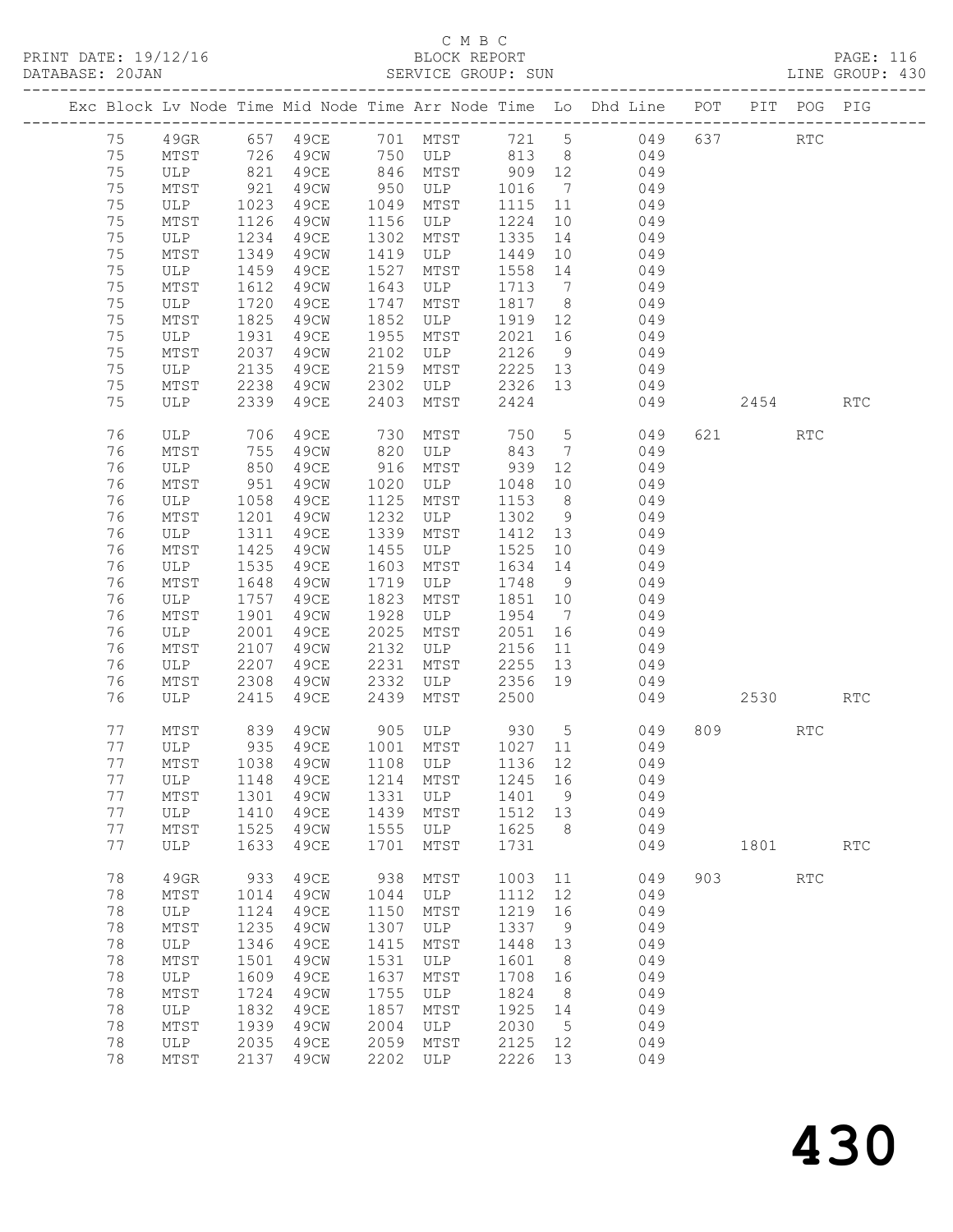## C M B C<br>BLOCK REPORT

| DATABASE: 20JAN |    |                               |                 |      |      | SERVICE GROUP: SUN          |                                                  |                 | LINE GROUP: 430                                                                |     |           |     |     |  |
|-----------------|----|-------------------------------|-----------------|------|------|-----------------------------|--------------------------------------------------|-----------------|--------------------------------------------------------------------------------|-----|-----------|-----|-----|--|
|                 |    |                               |                 |      |      |                             |                                                  |                 | Exc Block Lv Node Time Mid Node Time Arr Node Time Lo Dhd Line POT PIT POG PIG |     |           |     |     |  |
|                 | 75 |                               |                 |      |      |                             |                                                  |                 | 49GR 657 49CE 701 MTST 721 5 049 637 RTC                                       |     |           |     |     |  |
|                 | 75 | MTST 726                      |                 |      |      |                             |                                                  |                 | 49CW 750 ULP 813 8 049                                                         |     |           |     |     |  |
|                 | 75 |                               |                 | 49CE |      |                             |                                                  |                 |                                                                                |     |           |     |     |  |
|                 | 75 | ULP 821<br>MTST 921           |                 | 49CW |      |                             |                                                  |                 |                                                                                |     |           |     |     |  |
|                 | 75 | ULP 1023                      |                 | 49CE |      | 1049 MTST                   |                                                  |                 | 1115 11 049                                                                    |     |           |     |     |  |
|                 | 75 | MTST                          | 1126            | 49CW |      | 1156 ULP                    | 1224                                             |                 | 10 049                                                                         |     |           |     |     |  |
|                 | 75 | ULP                           | 1234            | 49CE | 1302 | MTST                        | 1335                                             |                 | 14 049                                                                         |     |           |     |     |  |
|                 | 75 | MTST                          | 1349            | 49CW |      | 1419 ULP                    | 1449                                             | 10              | 049                                                                            |     |           |     |     |  |
|                 | 75 | ULP                           | 1459            | 49CE | 1527 | MTST                        | 1558 14                                          |                 | 049                                                                            |     |           |     |     |  |
|                 | 75 | MTST                          | 1612            | 49CW | 1643 | ULP                         |                                                  |                 | 1713 7 049                                                                     |     |           |     |     |  |
|                 | 75 | ULP                           | 1720            | 49CE | 1747 | MTST                        | 1817 8                                           |                 | 049                                                                            |     |           |     |     |  |
|                 | 75 | MTST                          | 1825            | 49CW | 1852 | ULP                         | 1919 12                                          |                 | 049                                                                            |     |           |     |     |  |
|                 | 75 | ULP                           | 1931            | 49CE | 1955 | MTST                        | $\begin{array}{c}\n 2021 \quad 16\n \end{array}$ |                 | 049                                                                            |     |           |     |     |  |
|                 | 75 | MTST                          | 2037            | 49CW | 2102 | ULP                         | 2126                                             |                 | 9 049                                                                          |     |           |     |     |  |
|                 | 75 |                               | 2135            | 49CE | 2159 |                             |                                                  |                 | 2225 13 049                                                                    |     |           |     |     |  |
|                 |    | ULP                           |                 |      |      | MTST                        |                                                  |                 |                                                                                |     |           |     |     |  |
|                 | 75 | MTST 2238<br>ULP 2339         |                 |      |      | 49CW 2302 ULP               | 2326 13                                          |                 | 049                                                                            |     |           |     |     |  |
|                 | 75 |                               |                 | 49CE | 2403 | MTST                        | 2424                                             |                 | 049                                                                            |     | 2454 RTC  |     |     |  |
|                 | 76 | ULP 706                       |                 | 49CE | 730  | MTST 750                    |                                                  |                 | 5 <sub>1</sub><br>049                                                          |     | 621 000   | RTC |     |  |
|                 | 76 | MTST                          |                 | 49CW |      | 820 ULP                     | 843                                              | $7\overline{ }$ | 049                                                                            |     |           |     |     |  |
|                 | 76 | ULP                           | $\frac{1}{850}$ | 49CE |      | 916 MTST                    | 939                                              | 12              | 049                                                                            |     |           |     |     |  |
|                 | 76 | MTST                          | 951             | 49CW | 1020 | ULP                         | 1048                                             |                 | 10<br>049                                                                      |     |           |     |     |  |
|                 | 76 | ULP                           | 1058            | 49CE | 1125 | MTST                        | 1153                                             | 8 <sup>8</sup>  | 049                                                                            |     |           |     |     |  |
|                 | 76 | MTST                          | 1201            | 49CW | 1232 | ULP                         | 1302 9                                           |                 | 049                                                                            |     |           |     |     |  |
|                 | 76 | ULP                           | 1311            | 49CE | 1339 | MTST                        | 1412 13                                          |                 | 049                                                                            |     |           |     |     |  |
|                 | 76 | MTST                          | 1425            | 49CW | 1455 | ULP                         | 1525 10                                          |                 | 049                                                                            |     |           |     |     |  |
|                 | 76 | ULP                           | 1535            | 49CE | 1603 | MTST                        | 1634 14                                          |                 | 049                                                                            |     |           |     |     |  |
|                 | 76 | MTST                          | 1648            | 49CW | 1719 | ULP                         | 1748                                             | 9               | 049                                                                            |     |           |     |     |  |
|                 | 76 | ULP                           | 1757            | 49CE | 1823 | MTST                        | 1851 10                                          |                 | 049                                                                            |     |           |     |     |  |
|                 | 76 | MTST                          | 1901            | 49CW | 1928 | ULP                         | 1954 7                                           |                 | 049                                                                            |     |           |     |     |  |
|                 | 76 | ULP                           | 2001            | 49CE | 2025 | MTST                        | 2051                                             | 16              | 049                                                                            |     |           |     |     |  |
|                 | 76 | MTST                          | 2107            | 49CW | 2132 | ULP                         | 2156                                             |                 | 11 049                                                                         |     |           |     |     |  |
|                 | 76 | ULP                           | 2207            | 49CE | 2231 | MTST 2255 13<br>ULP 2356 19 |                                                  |                 | 049                                                                            |     |           |     |     |  |
|                 | 76 | MTST                          | 2308            | 49CW | 2332 |                             | 2356 19                                          |                 | 049                                                                            |     |           |     |     |  |
|                 | 76 | ULP                           | 2415            | 49ce | 2439 | MTST                        | 2500                                             |                 | 049                                                                            |     | 2530 RTC  |     |     |  |
|                 | 77 |                               |                 |      |      |                             |                                                  |                 | 49CW 905 ULP 930 5 049<br>49CE 1001 MTST 1027 11 049                           |     | 809 — 100 | RTC |     |  |
|                 | 77 | MTST 839 49CW<br>ULP 935 49CE |                 |      |      |                             |                                                  |                 |                                                                                |     |           |     |     |  |
|                 | 77 |                               |                 |      |      |                             |                                                  |                 | MTST 1038 49CW 1108 ULP 1136 12 049                                            |     |           |     |     |  |
|                 | 77 | ULP                           | 1148            | 49CE | 1214 | MTST                        | 1245 16                                          |                 | 049                                                                            |     |           |     |     |  |
|                 | 77 | MTST                          | 1301            | 49CW | 1331 | ULP                         | 1401                                             | 9               | 049                                                                            |     |           |     |     |  |
|                 | 77 | ULP                           | 1410            | 49CE | 1439 | MTST                        | 1512 13                                          |                 | 049                                                                            |     |           |     |     |  |
|                 | 77 | MTST                          | 1525            | 49CW | 1555 | ULP                         | 1625                                             | 8 <sup>8</sup>  | 049                                                                            |     |           |     |     |  |
|                 | 77 | ULP                           | 1633            | 49CE | 1701 | MTST                        | 1731                                             |                 | 049                                                                            |     | 1801      |     | RTC |  |
|                 | 78 | 49GR                          | 933             | 49CE | 938  | MTST                        | 1003 11                                          |                 | 049                                                                            | 903 |           | RTC |     |  |
|                 | 78 | MTST                          | 1014            | 49CW | 1044 | ULP                         | 1112                                             | 12              | 049                                                                            |     |           |     |     |  |
|                 | 78 | ULP                           | 1124            | 49CE | 1150 | MTST                        | 1219                                             | 16              | 049                                                                            |     |           |     |     |  |
|                 | 78 | MTST                          | 1235            | 49CW | 1307 | ULP                         | 1337                                             | 9               | 049                                                                            |     |           |     |     |  |
|                 | 78 | ULP                           | 1346            | 49CE | 1415 | MTST                        | 1448                                             | 13              | 049                                                                            |     |           |     |     |  |
|                 | 78 | MTST                          | 1501            | 49CW | 1531 | ULP                         | 1601                                             | 8 <sup>8</sup>  | 049                                                                            |     |           |     |     |  |
|                 | 78 | ULP                           | 1609            | 49CE | 1637 | MTST                        | 1708                                             | 16              | 049                                                                            |     |           |     |     |  |
|                 | 78 | MTST                          | 1724            | 49CW | 1755 | ULP                         | 1824                                             | 8 <sup>8</sup>  | 049                                                                            |     |           |     |     |  |
|                 | 78 | ULP                           | 1832            | 49CE | 1857 | MTST                        | 1925                                             | 14              | 049                                                                            |     |           |     |     |  |
|                 | 78 | MTST                          | 1939            | 49CW | 2004 | ULP                         | 2030                                             | $5\overline{)}$ | 049                                                                            |     |           |     |     |  |
|                 | 78 | ULP                           | 2035            | 49CE | 2059 | MTST                        | 2125 12                                          |                 | 049                                                                            |     |           |     |     |  |
|                 | 78 | MTST                          | 2137            | 49CW | 2202 | ULP                         | 2226                                             | 13              | 049                                                                            |     |           |     |     |  |
|                 |    |                               |                 |      |      |                             |                                                  |                 |                                                                                |     |           |     |     |  |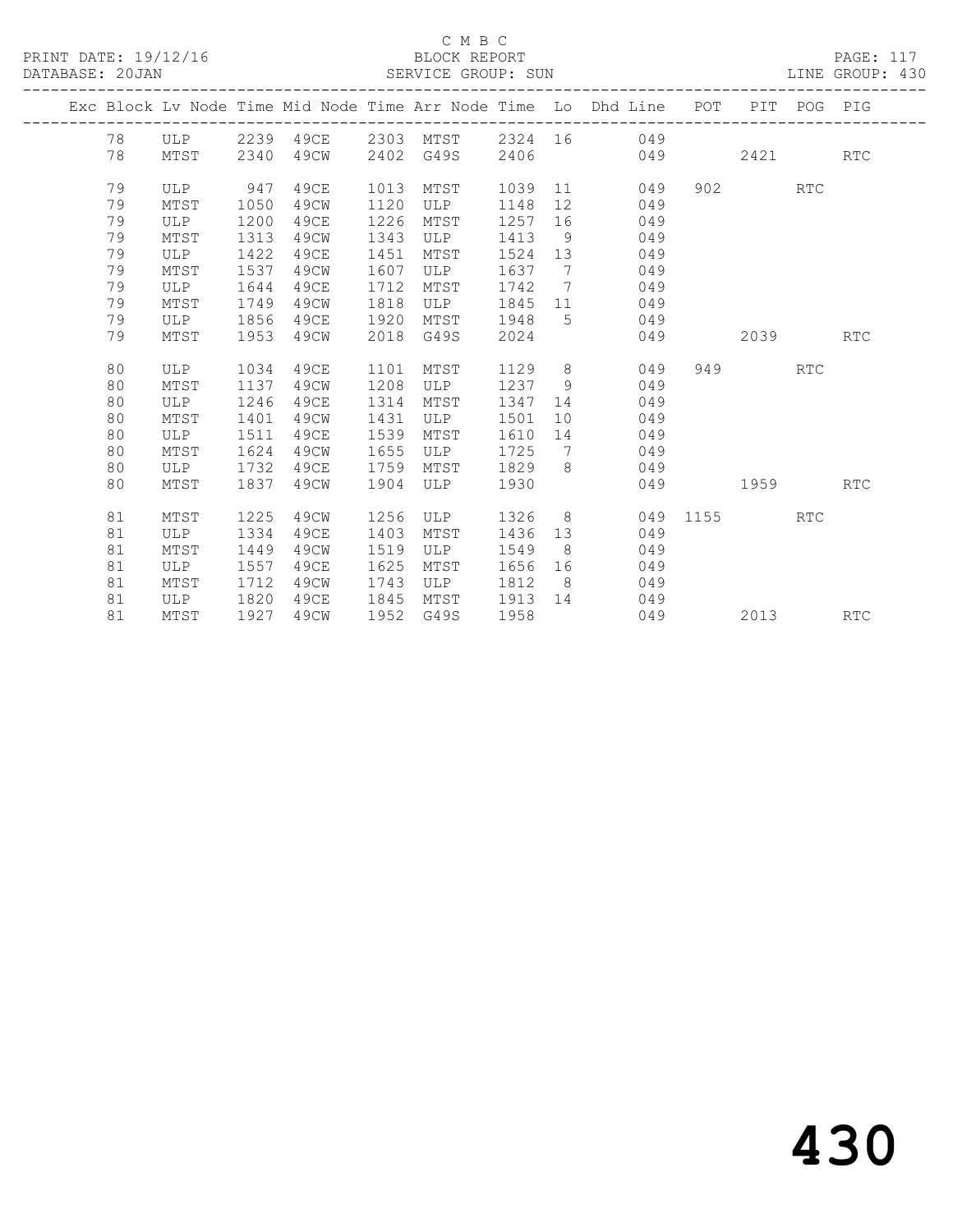|  |    |      |      |      |      |           |        |                | Exc Block Lv Node Time Mid Node Time Arr Node Time Lo Dhd Line POT PIT POG PIG |          |           |            |            |
|--|----|------|------|------|------|-----------|--------|----------------|--------------------------------------------------------------------------------|----------|-----------|------------|------------|
|  | 78 |      |      |      |      |           |        |                | ULP 2239 49CE 2303 MTST 2324 16 049                                            |          |           |            |            |
|  | 78 | MTST | 2340 | 49CW |      | 2402 G49S | 2406   |                | 049                                                                            |          | 2421      |            | <b>RTC</b> |
|  |    |      |      |      |      |           |        |                |                                                                                |          |           |            |            |
|  | 79 | ULP  | 947  | 49CE | 1013 | MTST      | 1039   |                | 11 1<br>049                                                                    |          | 902       | <b>RTC</b> |            |
|  | 79 | MTST | 1050 | 49CW | 1120 | ULP       | 1148   | 12             | 049                                                                            |          |           |            |            |
|  | 79 | ULP  | 1200 | 49CE | 1226 | MTST      | 1257   | 16             | 049                                                                            |          |           |            |            |
|  | 79 | MTST | 1313 | 49CW | 1343 | ULP       | 1413   | 9              | 049                                                                            |          |           |            |            |
|  | 79 | ULP  | 1422 | 49CE | 1451 | MTST      | 1524   | 13             | 049                                                                            |          |           |            |            |
|  | 79 | MTST | 1537 | 49CW | 1607 | ULP       | 1637 7 |                | 049                                                                            |          |           |            |            |
|  | 79 | ULP  | 1644 | 49CE | 1712 | MTST      | 1742   | $7\phantom{0}$ | 049                                                                            |          |           |            |            |
|  | 79 | MTST | 1749 | 49CW | 1818 | ULP       | 1845   |                | 049<br>11 7                                                                    |          |           |            |            |
|  | 79 | ULP  | 1856 | 49CE | 1920 | MTST      | 1948   | 5 <sup>1</sup> | 049                                                                            |          |           |            |            |
|  | 79 | MTST | 1953 | 49CW | 2018 | G49S      | 2024   |                | 049                                                                            |          | 2039      |            | <b>RTC</b> |
|  |    |      |      |      |      |           |        |                |                                                                                |          |           |            |            |
|  | 80 | ULP  | 1034 | 49CE | 1101 | MTST      | 1129   |                | $8 - 8$<br>049                                                                 |          | 949 — 100 | RTC        |            |
|  | 80 | MTST | 1137 | 49CW | 1208 | ULP       | 1237   | 9              | 049                                                                            |          |           |            |            |
|  | 80 | ULP  | 1246 | 49CE | 1314 | MTST      | 1347   | 14             | 049                                                                            |          |           |            |            |
|  | 80 | MTST | 1401 | 49CW | 1431 | ULP       | 1501   | 10             | 049                                                                            |          |           |            |            |
|  | 80 | ULP  | 1511 | 49CE | 1539 | MTST      | 1610   | 14             | 049                                                                            |          |           |            |            |
|  | 80 | MTST | 1624 | 49CW | 1655 | ULP       | 1725   | $\overline{7}$ | 049                                                                            |          |           |            |            |
|  | 80 | ULP  | 1732 | 49CE | 1759 | MTST      | 1829   | 8 <sup>8</sup> | 049                                                                            |          |           |            |            |
|  | 80 | MTST | 1837 | 49CW | 1904 | ULP       | 1930   |                | 049                                                                            | 1959     |           |            | <b>RTC</b> |
|  |    |      |      |      |      |           |        |                |                                                                                |          |           |            |            |
|  | 81 | MTST | 1225 | 49CW | 1256 | ULP       | 1326 8 |                |                                                                                | 049 1155 |           | <b>RTC</b> |            |
|  | 81 | ULP  | 1334 | 49CE | 1403 | MTST      | 1436   | 13             | 049                                                                            |          |           |            |            |
|  | 81 | MTST | 1449 | 49CW | 1519 | ULP       | 1549   | 8 <sup>8</sup> | 049                                                                            |          |           |            |            |
|  | 81 | ULP  | 1557 | 49CE | 1625 | MTST      | 1656   | 16             | 049                                                                            |          |           |            |            |
|  | 81 | MTST | 1712 | 49CW | 1743 | ULP       | 1812   | 8 <sup>8</sup> | 049                                                                            |          |           |            |            |
|  | 81 | ULP  | 1820 | 49CE | 1845 | MTST      | 1913   | 14             | 049                                                                            |          |           |            |            |
|  | 81 | MTST | 1927 | 49CW | 1952 | G49S      | 1958   |                | 049                                                                            |          | 2013      |            | <b>RTC</b> |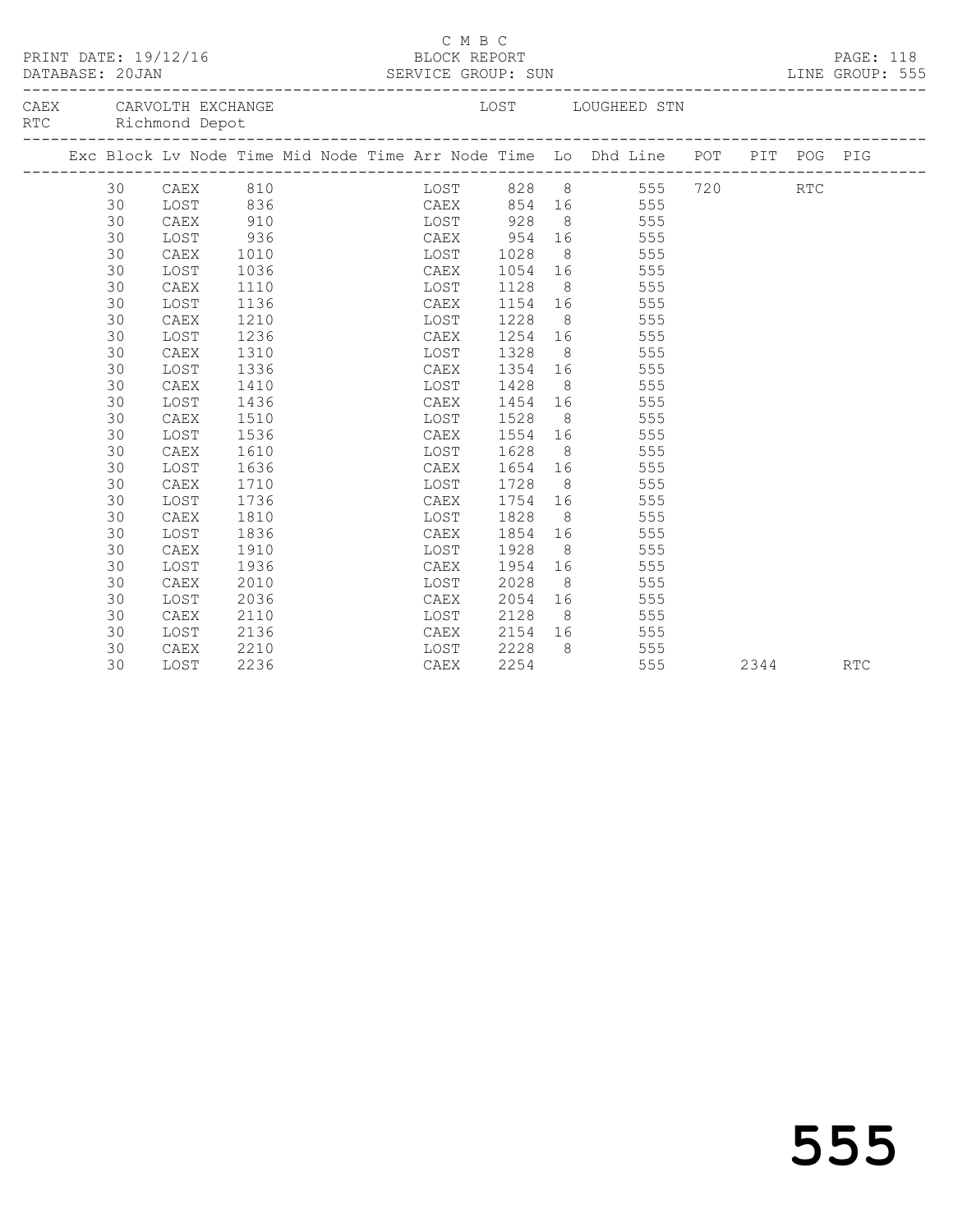| BLOCK REPORT BREE: 118<br>SERVICE GROUP: SUN BREE: 118<br>PRINT DATE: 19/12/16<br>DATABASE: 20JAN<br>CAEX CARVOLTH EXCHANGE |    |                    |      |  |  |  | _________________________ | C M B C |                                |                |                                                                                |          |            |  |
|-----------------------------------------------------------------------------------------------------------------------------|----|--------------------|------|--|--|--|---------------------------|---------|--------------------------------|----------------|--------------------------------------------------------------------------------|----------|------------|--|
|                                                                                                                             |    | RTC Richmond Depot |      |  |  |  |                           |         |                                |                | LOST LOUGHEED STN                                                              |          |            |  |
|                                                                                                                             |    |                    |      |  |  |  |                           |         |                                |                | Exc Block Lv Node Time Mid Node Time Arr Node Time Lo Dhd Line POT PIT POG PIG |          |            |  |
|                                                                                                                             | 30 | CAEX 810           |      |  |  |  |                           |         |                                |                | LOST 828 8 555 720                                                             |          | <b>RTC</b> |  |
|                                                                                                                             | 30 |                    |      |  |  |  |                           |         |                                |                | LOST 836 CAEX 854 16 555                                                       |          |            |  |
|                                                                                                                             | 30 | CAEX               | 910  |  |  |  |                           |         |                                |                | LOST 928 8 555                                                                 |          |            |  |
|                                                                                                                             | 30 | LOST               | 936  |  |  |  | CAEX 954                  |         |                                |                | 16 555                                                                         |          |            |  |
|                                                                                                                             | 30 | CAEX               | 1010 |  |  |  | LOST 1028                 |         |                                |                | 8 555                                                                          |          |            |  |
|                                                                                                                             | 30 | LOST               | 1036 |  |  |  | CAEX                      |         | 1054 16<br>1128 8              |                | 555                                                                            |          |            |  |
|                                                                                                                             | 30 | CAEX               | 1110 |  |  |  | LOST                      |         |                                |                | $\frac{11}{20}$ 8 555<br>1154 16 555                                           |          |            |  |
|                                                                                                                             | 30 | LOST               | 1136 |  |  |  | CAEX                      |         |                                |                |                                                                                |          |            |  |
|                                                                                                                             | 30 | CAEX               | 1210 |  |  |  | LOST                      |         | 1228                           |                | 8 555                                                                          |          |            |  |
|                                                                                                                             | 30 | LOST               | 1236 |  |  |  | CAEX                      |         |                                |                | 1254 16 555                                                                    |          |            |  |
|                                                                                                                             | 30 | CAEX               | 1310 |  |  |  |                           |         | LOST 1328                      |                | 8 555                                                                          |          |            |  |
|                                                                                                                             | 30 | LOST               | 1336 |  |  |  |                           |         |                                |                | CAEX 1354 16 555                                                               |          |            |  |
|                                                                                                                             | 30 | CAEX               | 1410 |  |  |  |                           |         | LOST 1428                      |                | 8 555                                                                          |          |            |  |
|                                                                                                                             | 30 | LOST               | 1436 |  |  |  |                           |         |                                |                | CAEX 1454 16 555                                                               |          |            |  |
|                                                                                                                             | 30 | CAEX               | 1510 |  |  |  | LOST                      |         | 1528                           |                | 8 555                                                                          |          |            |  |
|                                                                                                                             | 30 | LOST               | 1536 |  |  |  | CAEX                      |         |                                |                | 1554 16 555                                                                    |          |            |  |
|                                                                                                                             | 30 | CAEX               | 1610 |  |  |  | LOST                      |         | 1628                           | 8 <sup>1</sup> | 555                                                                            |          |            |  |
|                                                                                                                             | 30 | LOST               | 1636 |  |  |  | CAEX                      |         |                                |                | 555                                                                            |          |            |  |
|                                                                                                                             | 30 | CAEX               | 1710 |  |  |  | LOST                      |         | 1654 16<br>1728 8<br>-<br>1728 |                | 555                                                                            |          |            |  |
|                                                                                                                             | 30 | LOST               | 1736 |  |  |  | CAEX                      |         |                                |                | $\frac{1754}{1754}$ 16 555                                                     |          |            |  |
|                                                                                                                             | 30 | CAEX               | 1810 |  |  |  | LOST                      |         | 1828                           |                | 8 555                                                                          |          |            |  |
|                                                                                                                             | 30 | LOST               | 1836 |  |  |  | CAEX                      |         |                                |                | 1854 16 555                                                                    |          |            |  |
|                                                                                                                             | 30 | CAEX               | 1910 |  |  |  |                           |         | LOST 1928                      |                | 8 555                                                                          |          |            |  |
|                                                                                                                             | 30 | LOST               | 1936 |  |  |  | CAEX                      |         | 1954                           |                | 16 555                                                                         |          |            |  |
|                                                                                                                             | 30 | CAEX               | 2010 |  |  |  |                           |         | LOST 2028                      |                | 8 555                                                                          |          |            |  |
|                                                                                                                             | 30 | LOST               | 2036 |  |  |  | CAEX                      |         | 2054                           |                | 16 555                                                                         |          |            |  |
|                                                                                                                             | 30 | CAEX               | 2110 |  |  |  | LOST                      |         | 2128                           |                | 8 555                                                                          |          |            |  |
|                                                                                                                             | 30 | LOST               | 2136 |  |  |  | CAEX                      |         |                                |                | 555                                                                            |          |            |  |
|                                                                                                                             | 30 | CAEX               | 2210 |  |  |  |                           |         | CAEX 2154 16<br>LOST 2228 8    | 8              | 555                                                                            |          |            |  |
|                                                                                                                             | 30 | LOST               | 2236 |  |  |  | CAEX                      |         | 2254                           |                | 555                                                                            | 2344 RTC |            |  |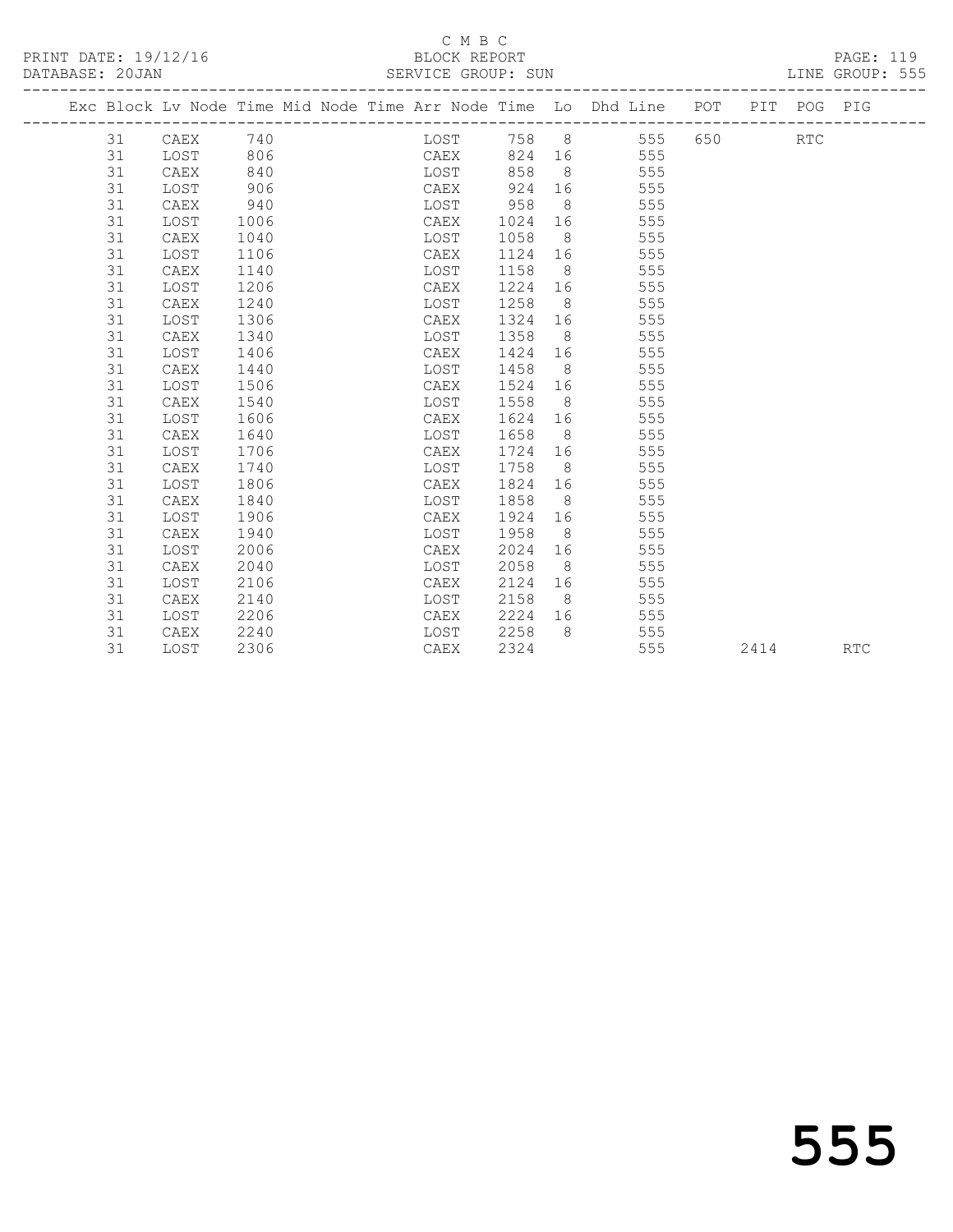### C M B C<br>BLOCK REPORT SERVICE GROUP: SUN

|    |          |      |  |      |         |                | Exc Block Lv Node Time Mid Node Time Arr Node Time Lo Dhd Line POT PIT POG PIG |       |            |  |
|----|----------|------|--|------|---------|----------------|--------------------------------------------------------------------------------|-------|------------|--|
| 31 | CAEX 740 |      |  |      |         |                | LOST 758 8 555                                                                 | 650 7 | <b>RTC</b> |  |
| 31 | LOST     | 806  |  |      |         |                | CAEX 824 16 555                                                                |       |            |  |
| 31 | CAEX     | 840  |  | LOST | 858     |                | 8 555                                                                          |       |            |  |
| 31 | LOST     | 906  |  | CAEX | 924     |                | 16 555                                                                         |       |            |  |
| 31 | CAEX     | 940  |  | LOST | 958     | 8 <sup>8</sup> | 555                                                                            |       |            |  |
| 31 | LOST     | 1006 |  | CAEX |         |                | 1024 16 555                                                                    |       |            |  |
| 31 | CAEX     | 1040 |  | LOST | 1058    |                | 8 555                                                                          |       |            |  |
| 31 | LOST     | 1106 |  | CAEX |         |                | 1124 16 555                                                                    |       |            |  |
| 31 | CAEX     | 1140 |  | LOST | 1158 8  |                | 555                                                                            |       |            |  |
| 31 | LOST     | 1206 |  | CAEX | 1224 16 |                | 555                                                                            |       |            |  |
| 31 | CAEX     | 1240 |  | LOST | 1258    | 8 <sup>1</sup> | 555                                                                            |       |            |  |
| 31 | LOST     | 1306 |  | CAEX | 1324    |                | 16 555                                                                         |       |            |  |
| 31 | CAEX     | 1340 |  | LOST | 1358    |                | 8 555                                                                          |       |            |  |
| 31 | LOST     | 1406 |  | CAEX | 1424    |                | 555                                                                            |       |            |  |
| 31 | CAEX     | 1440 |  | LOST | 1458    | 8 <sup>8</sup> | 555                                                                            |       |            |  |
| 31 | LOST     | 1506 |  | CAEX | 1524 16 |                | 555                                                                            |       |            |  |
| 31 | CAEX     | 1540 |  | LOST | 1558    | 8 <sup>8</sup> | 555                                                                            |       |            |  |
| 31 | LOST     | 1606 |  | CAEX | 1624    |                | 555                                                                            |       |            |  |
| 31 | CAEX     | 1640 |  | LOST | 1658    |                | $8 \overline{)}$<br>555                                                        |       |            |  |
| 31 | LOST     | 1706 |  | CAEX |         |                | 1724 16<br>555                                                                 |       |            |  |
| 31 | CAEX     | 1740 |  | LOST | 1758 8  |                | 555                                                                            |       |            |  |
| 31 | LOST     | 1806 |  | CAEX | 1824    | 16             | 555                                                                            |       |            |  |
| 31 | CAEX     | 1840 |  | LOST | 1858    |                | 8 555                                                                          |       |            |  |
| 31 | LOST     | 1906 |  | CAEX | 1924    | 16             | 555                                                                            |       |            |  |
| 31 | CAEX     | 1940 |  | LOST | 1958    | 8 <sup>8</sup> | 555                                                                            |       |            |  |
| 31 | LOST     | 2006 |  | CAEX | 2024    | 16             | 555                                                                            |       |            |  |
| 31 | CAEX     | 2040 |  | LOST | 2058    | 8 <sup>8</sup> | 555                                                                            |       |            |  |
| 31 | LOST     | 2106 |  | CAEX | 2124    |                | 555                                                                            |       |            |  |
| 31 | CAEX     | 2140 |  | LOST | 2158    |                | 8 555                                                                          |       |            |  |
| 31 | LOST     | 2206 |  | CAEX |         |                | 2224 16 555                                                                    |       |            |  |
| 31 | CAEX     | 2240 |  | LOST | 2258    | 8              | 555                                                                            |       |            |  |

31 LOST 2306 CAEX 2324 555 2414 RTC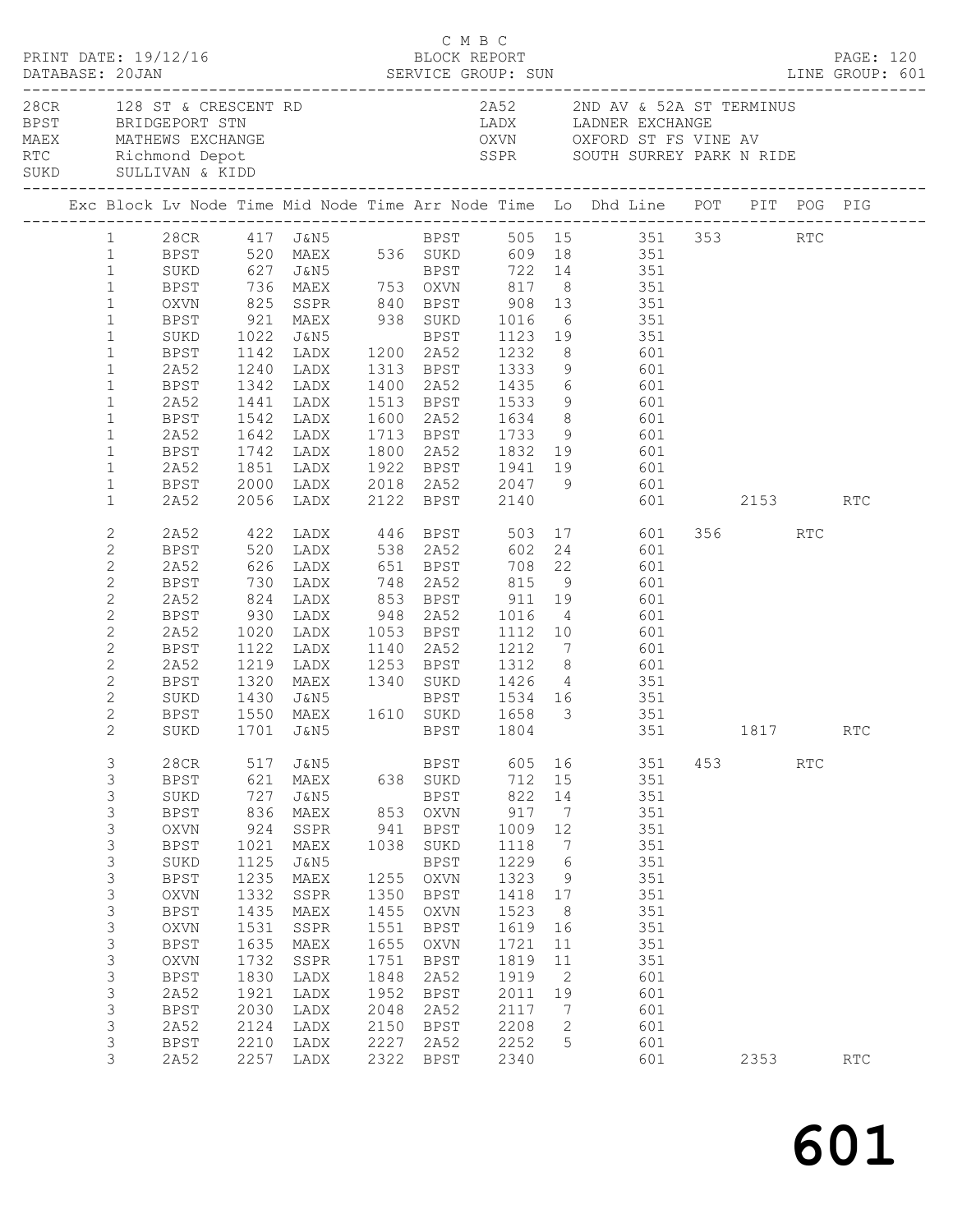|                                                                                                                                                                                                                                                                                                                                                                                                                       |                     | PRINT DATE: 19/12/16                                                                                                                                                                                         |                                                                                                                                                 |                                                                                                                                                                                                                                                                                                                                                                                                                                                                                                                                                                                                                                                                                                                                                                                                                                                                                           | C M B C<br>BLOCK REPORT                                                                                                   |                                                                                                                                                                                                              |                                                                                                                                                  |                                                                                                 |     |                                                                                                                                   |     |                         |     | PAGE: 120                   |  |
|-----------------------------------------------------------------------------------------------------------------------------------------------------------------------------------------------------------------------------------------------------------------------------------------------------------------------------------------------------------------------------------------------------------------------|---------------------|--------------------------------------------------------------------------------------------------------------------------------------------------------------------------------------------------------------|-------------------------------------------------------------------------------------------------------------------------------------------------|-------------------------------------------------------------------------------------------------------------------------------------------------------------------------------------------------------------------------------------------------------------------------------------------------------------------------------------------------------------------------------------------------------------------------------------------------------------------------------------------------------------------------------------------------------------------------------------------------------------------------------------------------------------------------------------------------------------------------------------------------------------------------------------------------------------------------------------------------------------------------------------------|---------------------------------------------------------------------------------------------------------------------------|--------------------------------------------------------------------------------------------------------------------------------------------------------------------------------------------------------------|--------------------------------------------------------------------------------------------------------------------------------------------------|-------------------------------------------------------------------------------------------------|-----|-----------------------------------------------------------------------------------------------------------------------------------|-----|-------------------------|-----|-----------------------------|--|
|                                                                                                                                                                                                                                                                                                                                                                                                                       |                     |                                                                                                                                                                                                              |                                                                                                                                                 | 28 CR 128 ST & CRESCENT RD 2852 2ND AV & 52A ST TERMINUS<br>BPST BRIDGEPORT STN LADX LADNER EXCHANGE<br>MAEX MATHEWS EXCHANGE OXVN OXFORD ST FS VINE AV<br>RTC Richmond Depot SURD SULLIVAN & KIDD SURD SULLIVAN & KIDD                                                                                                                                                                                                                                                                                                                                                                                                                                                                                                                                                                                                                                                                   |                                                                                                                           |                                                                                                                                                                                                              |                                                                                                                                                  |                                                                                                 |     |                                                                                                                                   |     |                         |     |                             |  |
|                                                                                                                                                                                                                                                                                                                                                                                                                       |                     |                                                                                                                                                                                                              |                                                                                                                                                 | Exc Block Lv Node Time Mid Node Time Arr Node Time Lo Dhd Line POT PIT POG PIG                                                                                                                                                                                                                                                                                                                                                                                                                                                                                                                                                                                                                                                                                                                                                                                                            |                                                                                                                           |                                                                                                                                                                                                              |                                                                                                                                                  |                                                                                                 |     |                                                                                                                                   |     |                         |     |                             |  |
| $\mathbf{1}$<br>$\mathbf{1}$<br>$\mathbf{1}$<br>$\mathbf{1}$<br>$\mathbf{1}$<br>$\mathbf{1}$<br>$\mathbf{1}$<br>$\mathbf{1}$<br>$\mathbf 1$<br>$\mathbf{1}$<br>$\mathbf{1}$<br>$\mathbf{1}$<br>$\mathbf{1}$<br>$\mathbf{1}$<br>$\mathbf{1}$<br>2<br>$\mathbf{2}$<br>$\mathbf{2}$<br>$\mathbf{2}$<br>$\mathbf{2}$<br>$\mathbf{2}$<br>$\mathbf{2}$<br>$\mathbf{2}$<br>$\mathbf{2}$<br>2<br>$\mathbf{2}$<br>$\mathbf{2}$ |                     | SUKD<br>BPST<br>2A52<br>BPST 1342 LADX<br>2A52<br>BPST<br>2A52<br>2A52<br>2A52<br>BPST<br>2A52<br>BPST<br>2A52<br>BPST<br>SUKD<br>BPST                                                                       | 1320                                                                                                                                            | 1 28CR 417 J&N5 BPST 505 15 351 353 RTC<br>1 BPST 520 MAEX 536 SUKD 609 18 351<br>SUKD 627 J&N5 BPST 722 14 351<br>BPST 736 MAEX 753 OXVN 817 8 351<br>OXVN 825 SSPR 840 BPST 908 13 351<br>BPST 921 MAEX 938 SUKD 1016 6 351<br>1441 LADX<br>1542 LADX      1600   2A52       1634      8               601<br>1642   LADX       1713   BPST       1733     9              601<br>BPST 1742 LADX 1800 2A52 1832 19 601<br>1851 LADX 1922 BPST 1941 19 601<br>BPST 2000 LADX 2018 2A52 2047 9 601<br>2A52 2056 LADX 2122 BPST 2140 601<br>2A52 422 LADX 446 BPST 503 17 601<br>BPST 520 LADX 538 2A52 602 24 601<br>2A52 626 LADX 651 BPST 708 22 601<br>BPST 730 LADX 748 2A52 815 9 601<br>824 LADX 853 BPST 911 19<br>930 LADX 948 2A52 1016 4 601<br>1020 LADX 1053 BPST 1112 10 601<br>1122 LADX 1140 2A52 1212 7 601<br>1219 LADX 1253 BPST 1312 8 601<br>MAEX 1340 SUKD 1426 4 351 |                                                                                                                           |                                                                                                                                                                                                              | 1400 2A52 1435 6 601<br>1513 BPST 1533 9 601                                                                                                     |                                                                                                 | 601 |                                                                                                                                   |     | 601 2153 RTC<br>356 RTC |     |                             |  |
| 3<br>3<br>3<br>3<br>$\mathsf S$<br>$\mathsf S$<br>3<br>3<br>$\mathsf S$<br>$\mathsf S$<br>3<br>$\mathsf S$<br>$\mathsf S$<br>$\mathsf S$<br>3<br>3<br>$\mathsf S$<br>$\mathsf S$                                                                                                                                                                                                                                      | $\overline{2}$<br>3 | 28CR<br><b>BPST</b><br>SUKD<br><b>BPST</b><br>OXVN<br><b>BPST</b><br>SUKD<br><b>BPST</b><br>OXVN<br><b>BPST</b><br>OXVN<br><b>BPST</b><br>OXVN<br><b>BPST</b><br>2A52<br>BPST<br>2A52<br><b>BPST</b><br>2A52 | 517<br>621<br>727<br>836<br>924<br>1021<br>1125<br>1235<br>1332<br>1435<br>1531<br>1635<br>1732<br>1830<br>1921<br>2030<br>2124<br>2210<br>2257 | SUKD 1701 J&N5 BPST 1804 351 1817<br>J&N5<br>MAEX<br>J&N5<br>MAEX<br>SSPR<br>MAEX<br><b>J&amp;N5</b><br>MAEX<br>SSPR<br>MAEX<br>SSPR<br>MAEX<br>SSPR<br>LADX<br>LADX<br>LADX<br>LADX<br>LADX<br>LADX                                                                                                                                                                                                                                                                                                                                                                                                                                                                                                                                                                                                                                                                                      | 638<br>853<br>941<br>1038<br>1255<br>1350<br>1455<br>1551<br>1655<br>1751<br>1848<br>1952<br>2048<br>2150<br>2227<br>2322 | BPST<br>SUKD<br><b>BPST</b><br>OXVN<br><b>BPST</b><br>SUKD<br><b>BPST</b><br>OXVN<br><b>BPST</b><br>OXVN<br><b>BPST</b><br>OXVN<br><b>BPST</b><br>2A52<br><b>BPST</b><br>2A52<br><b>BPST</b><br>2A52<br>BPST | 605<br>712<br>822<br>917<br>1009<br>1118<br>1229<br>1323<br>1418<br>1523<br>1619<br>1721<br>1819<br>1919<br>2011<br>2117<br>2208<br>2252<br>2340 | 16<br>15<br>14<br>7<br>12<br>7<br>6<br>9<br>17<br>8<br>16<br>11<br>11<br>2<br>19<br>7<br>2<br>5 |     | 351<br>351<br>351<br>351<br>351<br>351<br>351<br>351<br>351<br>351<br>351<br>351<br>351<br>601<br>601<br>601<br>601<br>601<br>601 | 453 | 2353                    | RTC | RTC<br>$\operatorname{RTC}$ |  |

601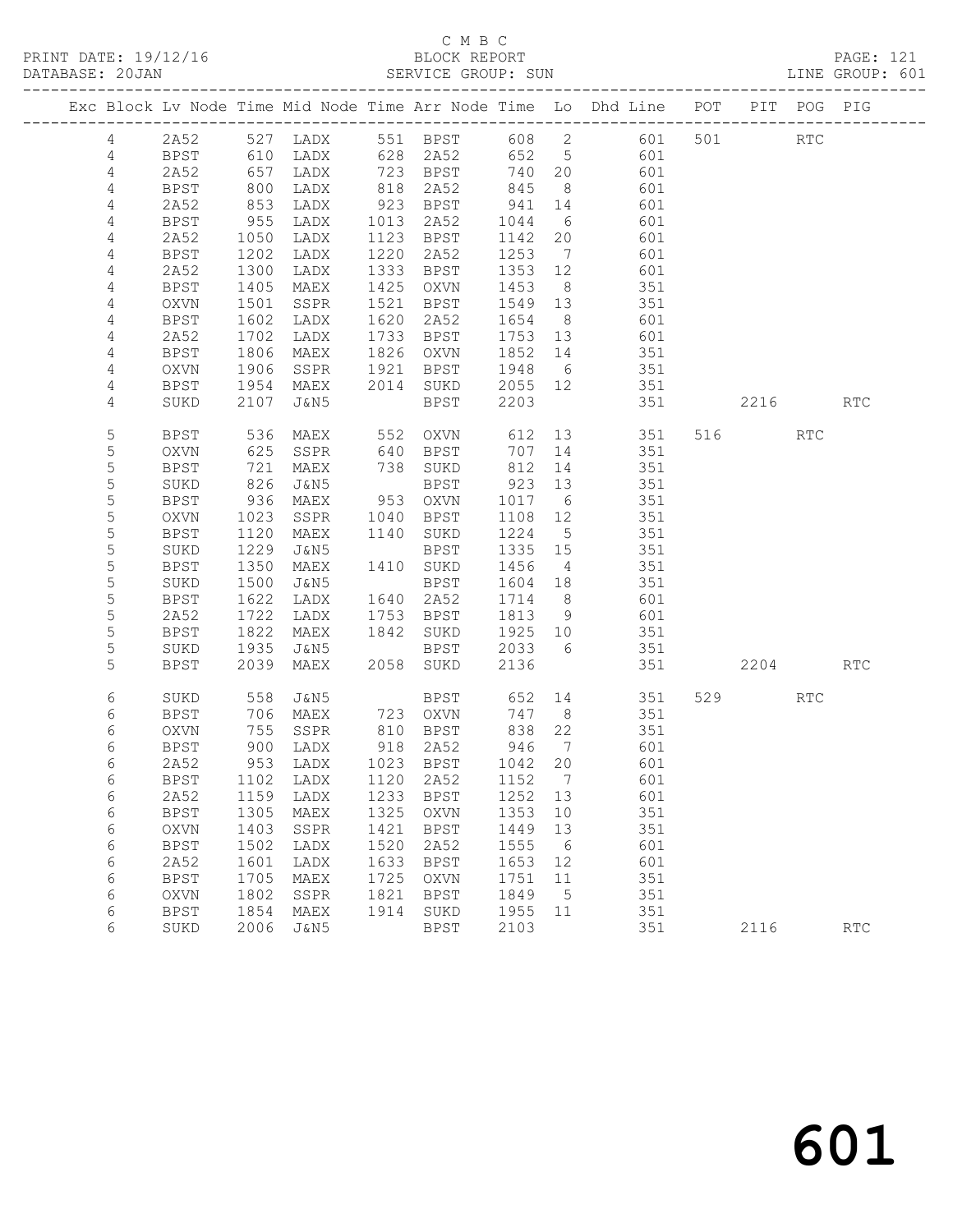|                |               |      |                              |      |             |         |                              | Exc Block Lv Node Time Mid Node Time Arr Node Time Lo Dhd Line POT |     |      | PIT POG PIG                 |                             |
|----------------|---------------|------|------------------------------|------|-------------|---------|------------------------------|--------------------------------------------------------------------|-----|------|-----------------------------|-----------------------------|
| 4              | 2A52          | 527  | LADX                         |      | 551 BPST    | 608     | $\overline{2}$               | 601                                                                | 501 |      | $\mathop{\rm RTC}\nolimits$ |                             |
| 4              | <b>BPST</b>   | 610  | LADX                         | 628  | 2A52        | 652     | $5\overline{)}$              | 601                                                                |     |      |                             |                             |
| $\overline{4}$ | 2A52          | 657  | LADX                         | 723  | BPST        | 740     | 20                           | 601                                                                |     |      |                             |                             |
| 4              | <b>BPST</b>   | 800  | LADX                         | 818  | 2A52        | 845     | 8                            | 601                                                                |     |      |                             |                             |
| 4              | 2A52          | 853  | LADX                         | 923  | BPST        | 941     | 14                           | 601                                                                |     |      |                             |                             |
| 4              | <b>BPST</b>   | 955  | LADX                         | 1013 | 2A52        | 1044    | - 6                          | 601                                                                |     |      |                             |                             |
| 4              | 2A52          | 1050 | LADX                         | 1123 | BPST        | 1142    | 20                           | 601                                                                |     |      |                             |                             |
| 4              | <b>BPST</b>   | 1202 | LADX                         | 1220 | 2A52        | 1253    | $7\phantom{.0}\phantom{.0}7$ | 601                                                                |     |      |                             |                             |
| 4              | 2A52          | 1300 | LADX                         | 1333 | BPST        | 1353    | 12                           | 601                                                                |     |      |                             |                             |
| 4              | <b>BPST</b>   | 1405 | MAEX                         | 1425 | OXVN        | 1453    | - 8                          | 351                                                                |     |      |                             |                             |
| 4              | OXVN          | 1501 | SSPR                         | 1521 | BPST        | 1549    | 13                           | 351                                                                |     |      |                             |                             |
| 4              | BPST          | 1602 | LADX                         | 1620 | 2A52        | 1654    | 8 <sup>8</sup>               | 601                                                                |     |      |                             |                             |
| 4              | 2A52          | 1702 | LADX                         | 1733 | BPST        | 1753    | 13                           | 601                                                                |     |      |                             |                             |
| 4              | BPST          | 1806 | MAEX                         | 1826 | OXVN        | 1852    | 14                           | 351                                                                |     |      |                             |                             |
| 4              | OXVN          | 1906 | SSPR                         | 1921 | BPST        | 1948    | 6                            | 351                                                                |     |      |                             |                             |
| 4              | <b>BPST</b>   | 1954 | MAEX                         | 2014 | SUKD        | 2055    | 12                           | 351                                                                |     |      |                             |                             |
| 4              | SUKD          | 2107 | J&N5                         |      | BPST        | 2203    |                              | 351                                                                |     | 2216 |                             | RTC                         |
| 5              | BPST          | 536  | MAEX                         | 552  | OXVN        | 612     | 13                           | 351                                                                | 516 |      | RTC                         |                             |
| 5              | OXVN          | 625  | SSPR                         | 640  | BPST        | 707     | 14                           | 351                                                                |     |      |                             |                             |
| 5              | <b>BPST</b>   | 721  | MAEX                         | 738  | SUKD        | 812     | 14                           | 351                                                                |     |      |                             |                             |
| 5              | SUKD          | 826  | J&N5                         |      | BPST        | 923     | 13                           | 351                                                                |     |      |                             |                             |
| 5              | <b>BPST</b>   | 936  | MAEX                         | 953  | OXVN        | 1017    | 6                            | 351                                                                |     |      |                             |                             |
| $\mathsf S$    | OXVN          | 1023 | SSPR                         | 1040 | BPST        | 1108    | 12                           | 351                                                                |     |      |                             |                             |
| 5              | <b>BPST</b>   | 1120 | MAEX                         | 1140 | SUKD        | 1224    | $5\overline{)}$              | 351                                                                |     |      |                             |                             |
| 5              | SUKD          | 1229 | J&N5                         |      | BPST        | 1335    | 15                           | 351                                                                |     |      |                             |                             |
| 5              | <b>BPST</b>   | 1350 | MAEX                         | 1410 | SUKD        | 1456    | 4                            | 351                                                                |     |      |                             |                             |
| $\mathsf S$    | SUKD          | 1500 | J&N5                         |      | BPST        | 1604    | 18                           | 351                                                                |     |      |                             |                             |
| 5              | <b>BPST</b>   | 1622 | LADX                         | 1640 | 2A52        | 1714    | 8 <sup>8</sup>               | 601                                                                |     |      |                             |                             |
| 5              | 2A52          | 1722 | LADX                         | 1753 | BPST        | 1813    | 9                            | 601                                                                |     |      |                             |                             |
| 5              | <b>BPST</b>   | 1822 | MAEX                         | 1842 | SUKD        | 1925    | 10                           | 351                                                                |     |      |                             |                             |
| 5              | SUKD          | 1935 | J&N5                         |      | BPST        | 2033    | - 6                          | 351                                                                |     |      |                             |                             |
| 5              | <b>BPST</b>   | 2039 | MAEX                         | 2058 | SUKD        | 2136    |                              | 351                                                                |     | 2204 |                             | <b>RTC</b>                  |
| 6              | SUKD          | 558  | J&N5                         |      | BPST        | 652     | 14                           | 351                                                                | 529 |      | RTC                         |                             |
| 6              | <b>BPST</b>   | 706  | MAEX                         | 723  | OXVN        | 747     | 8 <sup>8</sup>               | 351                                                                |     |      |                             |                             |
| 6              | OXVN          | 755  | SSPR                         |      | 810 BPST    | 838     | 22                           | 351                                                                |     |      |                             |                             |
| 6              | BPST          | 900  | LADX                         |      | 918 2A52    | 946     | $\overline{7}$               | 601                                                                |     |      |                             |                             |
| 6              | 2A52          | 953  | LADX                         |      | 1023 BPST   | 1042 20 |                              | 601                                                                |     |      |                             |                             |
| $\epsilon$     | BPST          |      | 1102 LADX 1120 2A52 1152 7   |      |             |         |                              | 601                                                                |     |      |                             |                             |
| 6              | 2A52          | 1159 | LADX                         | 1233 | <b>BPST</b> | 1252    | 13                           | 601                                                                |     |      |                             |                             |
| 6              | <b>BPST</b>   | 1305 | MAEX                         | 1325 | <b>OXVN</b> | 1353    | 10                           | 351                                                                |     |      |                             |                             |
| 6              | OXVN          | 1403 | SSPR                         | 1421 | <b>BPST</b> | 1449    | 13                           | 351                                                                |     |      |                             |                             |
| 6              | <b>BPST</b>   | 1502 | LADX                         | 1520 | 2A52        | 1555    | 6                            | 601                                                                |     |      |                             |                             |
| 6              | 2A52          | 1601 | LADX                         | 1633 | <b>BPST</b> | 1653    | 12                           | 601                                                                |     |      |                             |                             |
| 6              | BPST          | 1705 | MAEX                         | 1725 | <b>OXVN</b> | 1751    | 11                           | 351                                                                |     |      |                             |                             |
| 6              | OXVN          | 1802 | SSPR                         | 1821 | <b>BPST</b> | 1849    | 5                            | 351                                                                |     |      |                             |                             |
| 6              | $_{\rm BPST}$ | 1854 | $\ensuremath{\mathsf{MAEX}}$ | 1914 | SUKD        | 1955    | 11                           | 351                                                                |     |      |                             |                             |
| 6              | SUKD          | 2006 | <b>J&amp;N5</b>              |      | <b>BPST</b> | 2103    |                              | 351                                                                |     | 2116 |                             | $\mathop{\rm RTC}\nolimits$ |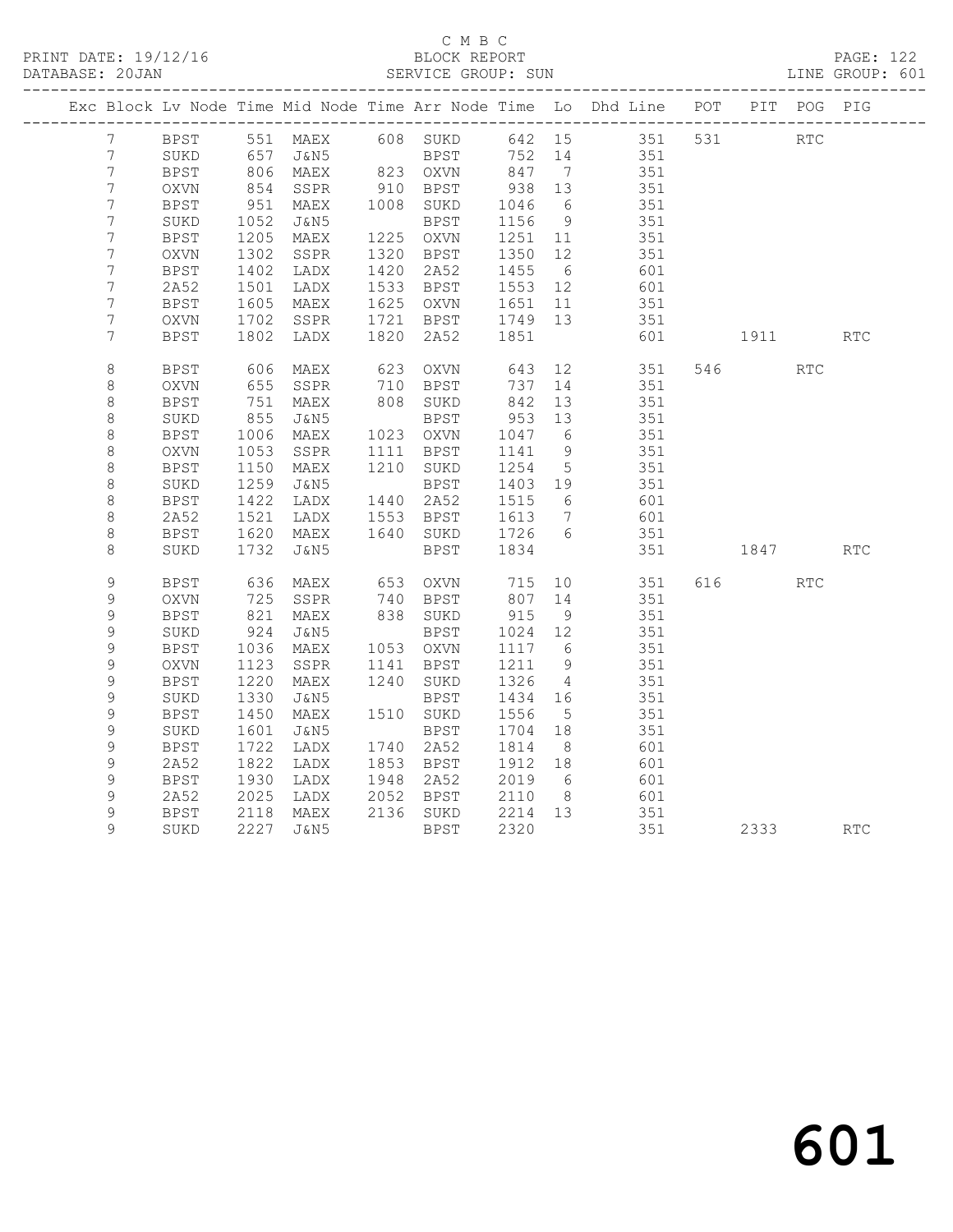|                  |             |                        | Exc Block Lv Node Time Mid Node Time Arr Node Time Lo Dhd Line POT PIT POG PIG |                      |                                       |                 |                         |            |            |            |
|------------------|-------------|------------------------|--------------------------------------------------------------------------------|----------------------|---------------------------------------|-----------------|-------------------------|------------|------------|------------|
| $7\phantom{.0}$  |             |                        | BPST 551 MAEX 608 SUKD 642 15 351 531                                          |                      |                                       |                 |                         | <b>RTC</b> |            |            |
| 7                | SUKD        |                        | 657 J&N5<br>806 MAEX<br>J&N5                   BPST<br>MAEX         823   OXVN |                      | BPST 752 + -<br>NAVIN 847 7<br>200 13 |                 | 752 14 351<br>847 7 351 |            |            |            |
| $\overline{7}$   | BPST        |                        |                                                                                |                      |                                       |                 |                         |            |            |            |
| $\overline{7}$   | OXVN        | 854                    | SSPR                                                                           | 910 BPST             | 938 13                                |                 | 351                     |            |            |            |
| $\overline{7}$   | <b>BPST</b> | 951                    | MAEX                                                                           | 1008 SUKD            | 1046                                  | 6               | 351                     |            |            |            |
| $\overline{7}$   | SUKD        | 1052                   | J&N5                                                                           | BPST                 | 1156                                  | 9               | 351                     |            |            |            |
| 7                | BPST        | 1205<br>1302           | MAEX                                                                           | 1225 OXVN            | 1251 11<br>1350 12                    |                 | 351                     |            |            |            |
| $\boldsymbol{7}$ | OXVN        |                        | SSPR                                                                           | 1320 BPST            |                                       |                 | 351                     |            |            |            |
| $\overline{7}$   | BPST        | 1402                   | LADX                                                                           | 1420 2A52            | 1455 6                                |                 | 601                     |            |            |            |
| 7                | 2A52        | 1501<br>1605           | LADX                                                                           | 1533 BPST            | 1553 12<br>1651 11                    |                 | 601<br>351              |            |            |            |
| $\overline{7}$   | BPST        |                        | MAEX                                                                           | 1625 OXVN            |                                       |                 |                         |            |            |            |
| 7                | OXVN        | 1702                   | SSPR                                                                           |                      | 1721 BPST 1749 13                     |                 | 351                     |            |            |            |
| 7                | <b>BPST</b> | 1802                   | LADX                                                                           | 1820 2A52            | 1851                                  |                 | 601                     | 1911       |            | <b>RTC</b> |
| $\,8\,$          | <b>BPST</b> |                        | 606 MAEX<br>655 SSPR                                                           | 623 OXVN<br>710 BPST | 643                                   |                 | 12 351                  | 546        | <b>RTC</b> |            |
| $\,8\,$          | OXVN        |                        |                                                                                |                      | 737 14                                |                 | 351                     |            |            |            |
| $\,8\,$          | BPST        | 751                    | MAEX                                                                           | 808 SUKD             | 842 13                                |                 | 351                     |            |            |            |
| $\,8\,$          | SUKD        | 855                    | J&N5                                                                           | BPST                 | $953$ 13                              |                 | 351                     |            |            |            |
| $\,8\,$          | BPST        | 1006                   | MAEX                                                                           | 1023 OXVN            | 1047 6                                |                 | 351                     |            |            |            |
| $\,8\,$          | <b>OXVN</b> | 1053                   | SSPR                                                                           | 1111 BPST            | 1141                                  | 9               | 351                     |            |            |            |
| $\,8\,$          | <b>BPST</b> | 1150                   | MAEX                                                                           | 1210 SUKD            | 1254 5                                |                 | 351                     |            |            |            |
| $\,8\,$          | SUKD        | 1259                   | J&N5                                                                           | BPST                 | 1403 19                               |                 | 351                     |            |            |            |
| $\,8\,$          | BPST        | 1422<br>1521           | LADX                                                                           | 1440 2A52            | 1515 6<br>1613 7                      |                 | 601                     |            |            |            |
| $\,8\,$          | 2A52        |                        | LADX                                                                           | 1553 BPST            |                                       |                 | 601                     |            |            |            |
| 8                | BPST        | 1620                   | MAEX                                                                           |                      | 1640 SUKD 1726 6                      |                 | 351                     |            |            |            |
| 8                | SUKD        | 1732                   | J&N5                                                                           | BPST                 | 1834                                  |                 | 351                     | 1847       |            | <b>RTC</b> |
| 9                | <b>BPST</b> |                        | 636 MAEX                                                                       | 653 OXVN             | 715                                   | 10              | 351                     | 616        | <b>RTC</b> |            |
| 9                | OXVN        | 725                    | SSPR                                                                           | 740 BPST<br>838 SUKD | 807 14<br>915 9                       |                 | 351                     |            |            |            |
| 9                | <b>BPST</b> |                        | $821$ MAEX                                                                     | 838 SUKD             |                                       |                 | 351                     |            |            |            |
| 9                | SUKD        | 924                    | J&N5                                                                           | BPST                 | 1024 12<br>1117 6                     |                 | 351                     |            |            |            |
| 9                | BPST        | 1036                   | MAEX                                                                           | 1053 OXVN            |                                       |                 | 351                     |            |            |            |
| 9                | OXVN        | 1123                   | SSPR                                                                           | 1141 BPST            | 1211                                  | 9               | 351                     |            |            |            |
| 9                | <b>BPST</b> | 1220<br>$1220$<br>1330 | MAEX                                                                           | 1240 SUKD            | 1326                                  | $\overline{4}$  | 351                     |            |            |            |
| 9                | SUKD        |                        | J&N5                                                                           | BPST                 | 1434 16                               |                 | 351                     |            |            |            |
| 9                | <b>BPST</b> | 1450                   | MAEX                                                                           | 1510 SUKD            | 1556                                  | $5\overline{)}$ | 351                     |            |            |            |
| 9                | SUKD        | 1601                   | J&N5                                                                           | BPST                 | 1704 18                               |                 | 351                     |            |            |            |
| 9                | BPST        | 1722                   | LADX                                                                           | 1740 2A52            | 1814                                  | 8 <sup>8</sup>  | 601                     |            |            |            |
| 9                | 2A52        | 1822                   | LADX                                                                           | 1853 BPST            | 1912 18                               |                 | 601                     |            |            |            |
| $\mathsf 9$      | <b>BPST</b> | 1930                   | LADX                                                                           | 1948 2A52            | 2019 6                                |                 | 601                     |            |            |            |
| 9                | 2A52        | 2025                   | LADX                                                                           | 2052 BPST            | 2110                                  | 8 <sup>8</sup>  | 601                     |            |            |            |
| 9                | <b>BPST</b> |                        | MAEX                                                                           | 2136 SUKD            | 2214 13                               |                 | 351                     |            |            |            |
| 9                | SUKD        |                        | 2118 MAEX<br>2227 J&N5                                                         | BPST                 | 2320                                  |                 | 351                     | 2333 RTC   |            |            |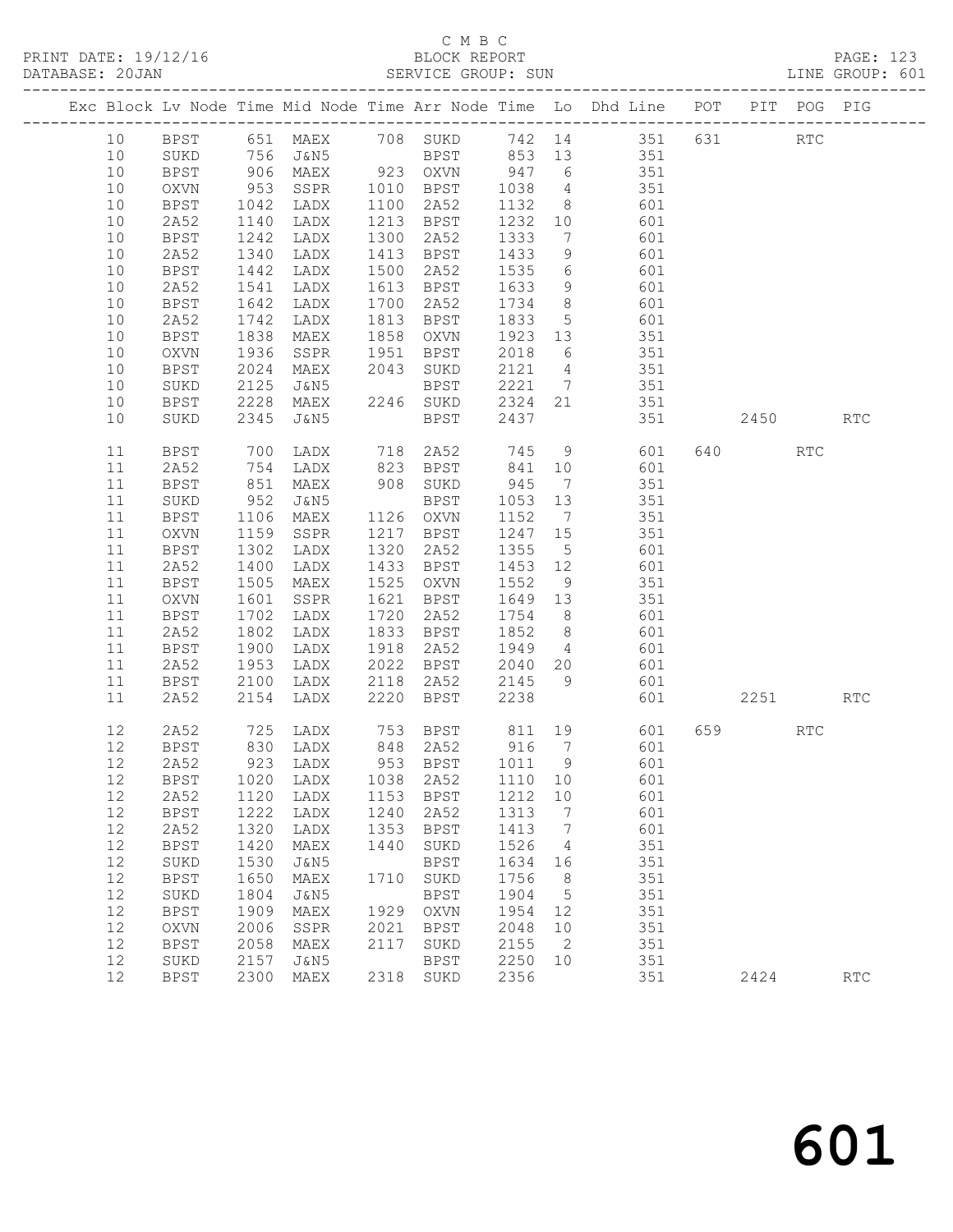PRINT DATE: 19/12/16<br>DATABASE: 20JAN

|                 |                     |                     |                |              |                     |              |                 | Exc Block Lv Node Time Mid Node Time Arr Node Time Lo Dhd Line POT PIT POG PIG                                                                                                                                                 |      |                             |
|-----------------|---------------------|---------------------|----------------|--------------|---------------------|--------------|-----------------|--------------------------------------------------------------------------------------------------------------------------------------------------------------------------------------------------------------------------------|------|-----------------------------|
|                 |                     |                     |                |              |                     |              |                 | 10 BPST 651 MAEX 708 SUKD 742 14 351 631 RTC                                                                                                                                                                                   |      |                             |
| 10              | SUKD                |                     |                |              |                     |              |                 | 756 J&N5 BPST 853 13 351                                                                                                                                                                                                       |      |                             |
| 10              | BPST                |                     |                |              |                     |              |                 | 906 MAEX 923 OXVN 947 6 351                                                                                                                                                                                                    |      |                             |
| 10              | OXVN                | 953<br>1042<br>1140 |                |              |                     |              |                 | SSPR 1010 BPST 1038 4 351<br>LADX 1100 2A52 1132 8 601                                                                                                                                                                         |      |                             |
| 10              | BPST                |                     |                |              |                     |              |                 |                                                                                                                                                                                                                                |      |                             |
| 10              | 2A52                |                     | LADX           |              | 1213 BPST           |              |                 | $1232$ 10 601                                                                                                                                                                                                                  |      |                             |
| 10              | BPST                | 1242                | LADX           |              | 1300 2A52           |              |                 | 1333 7 601                                                                                                                                                                                                                     |      |                             |
| 10              | 2A52                | 1340                | LADX           |              | 1413 BPST           |              |                 |                                                                                                                                                                                                                                |      |                             |
| 10              | BPST                | 1442                | LADX           |              | 1500 2A52           | 1535 6       |                 | $\begin{array}{cccc} 1433 & 9 & & 601 \\ 1535 & 6 & & 601 \\ 1633 & 9 & & 601 \end{array}$                                                                                                                                     |      |                             |
| 10              | 2A52                | 1541                | LADX           |              | 1613 BPST           |              |                 |                                                                                                                                                                                                                                |      |                             |
| 10              | BPST                | 1642                | LADX           |              | 1700 2A52           |              |                 | 1734 8 601                                                                                                                                                                                                                     |      |                             |
| 10              | 2A52                | 1742                | LADX           |              | 1813 BPST           |              |                 | 1833 5 601                                                                                                                                                                                                                     |      |                             |
| 10              | BPST                | 1838                | MAEX           |              | 1858 OXVN           |              |                 | 1923 13 351<br>2018 6 351                                                                                                                                                                                                      |      |                             |
| 10              | OXVN                | 1936                | SSPR 1951 BPST |              |                     |              |                 |                                                                                                                                                                                                                                |      |                             |
| 10              | BPST                | 2024                | MAEX 2043 SUKD |              |                     |              |                 | 2121 4 351                                                                                                                                                                                                                     |      |                             |
| 10              | SUKD                | 2125                |                |              |                     |              |                 | 2221 7 351                                                                                                                                                                                                                     |      |                             |
| 10              | BPST                | 2228<br>2345        |                |              |                     |              |                 | 162 1635 1622 16351 1622 16351 1622 16351 1622 16351 1622 16351 1622 16351 1623 16351 16351 16351 16351 16351 16351 16351 16351 16351 16351 16351 16351 16351 16351 16351 16351 16351 16351 16351 16351 16351 16351 16351 1635 |      |                             |
| 10              | SUKD                |                     |                |              |                     |              |                 | 351 2450 RTC                                                                                                                                                                                                                   |      |                             |
| 11              | BPST                | 700                 |                |              |                     |              |                 | LADX 718 2A52 745 9 601 640 RTC                                                                                                                                                                                                |      |                             |
| 11              | 2A52                |                     |                |              |                     |              |                 |                                                                                                                                                                                                                                |      |                             |
| 11              | BPST                | 754<br>851          |                |              |                     |              |                 | LADX 823 BPST 841 10 601<br>MAEX 908 SUKD 945 7 351                                                                                                                                                                            |      |                             |
| 11              | SUKD                | 952                 | $J\&N5$        |              | BPST                |              |                 | 1053 13 351                                                                                                                                                                                                                    |      |                             |
| 11              | BPST                | 1106                |                |              | MAEX 1126 OXVN      |              |                 | 1152 7 351                                                                                                                                                                                                                     |      |                             |
| 11              | OXVN                |                     |                |              | 1217 BPST           |              |                 | $1247$ 15 351                                                                                                                                                                                                                  |      |                             |
| 11              | BPST                | 1159<br>1302        | SSPR<br>LADX   |              | 1320 2A52           | 1355 5       |                 | 601                                                                                                                                                                                                                            |      |                             |
| 11              | 2A52                | 1400                | LADX           |              | 1433 BPST           |              |                 | 1453 12 601                                                                                                                                                                                                                    |      |                             |
| 11              | BPST                | 1505                | <b>MAEX</b>    |              | 1525 OXVN           | 1552         |                 | 9 351                                                                                                                                                                                                                          |      |                             |
| 11              | OXVN                | 1601<br>1702        | SSPR           |              | 1621 BPST           |              |                 | 1649 13 351                                                                                                                                                                                                                    |      |                             |
| 11              | BPST                |                     | LADX           |              | 1720 2A52           |              |                 | 1754 8 601<br>1852 8 601                                                                                                                                                                                                       |      |                             |
| 11              | 2A52                | 1802                | LADX           |              | 1833 BPST           |              |                 |                                                                                                                                                                                                                                |      |                             |
| 11              | BPST                | 1900                | LADX           |              | 1918 2A52           |              |                 | 1949 4 601                                                                                                                                                                                                                     |      |                             |
| 11              | 2A52                | 1953                |                |              |                     |              |                 |                                                                                                                                                                                                                                |      |                             |
| 11              | BPST                | 2100<br>2154        |                |              |                     |              |                 |                                                                                                                                                                                                                                |      |                             |
| 11              | 2A52                |                     |                |              |                     |              |                 | 1202 1202 1215 12040 120 1201<br>1200 12118 1202 12145 12040 12145<br>1200 12220 1238 12238 12238 12251 12251                                                                                                                  |      |                             |
| 12 <sup>°</sup> | 2A52                |                     |                |              |                     |              |                 | 725 LADX 753 BPST 811 19 601 659 RTC                                                                                                                                                                                           |      |                             |
|                 |                     |                     |                |              |                     |              |                 | 12 BPST 830 LADX 848 2A52 916 7 601                                                                                                                                                                                            |      |                             |
| 12              | 2A52                | 923                 | LADX           | 953          | <b>BPST</b>         | 1011         | 9               | 601                                                                                                                                                                                                                            |      |                             |
| 12              | <b>BPST</b>         | 1020                | LADX           | 1038         | 2A52                | 1110         | 10              | 601                                                                                                                                                                                                                            |      |                             |
| 12              | 2A52                | 1120                | LADX           | 1153         | <b>BPST</b>         | 1212         | 10              | 601                                                                                                                                                                                                                            |      |                             |
| 12              | BPST                | 1222                | LADX           | 1240         | 2A52                | 1313         | $7\phantom{.0}$ | 601                                                                                                                                                                                                                            |      |                             |
| 12              | 2A52                | 1320                | LADX           | 1353         | <b>BPST</b>         | 1413         | $7\phantom{.0}$ | 601                                                                                                                                                                                                                            |      |                             |
| 12              | BPST                | 1420                | MAEX           | 1440         | SUKD                | 1526         | 4               | 351                                                                                                                                                                                                                            |      |                             |
| 12              | SUKD                | 1530                | J&N5           |              | <b>BPST</b>         | 1634         | 16              | 351                                                                                                                                                                                                                            |      |                             |
| 12              | <b>BPST</b>         | 1650                | MAEX           | 1710         | SUKD                | 1756         | 8               | 351                                                                                                                                                                                                                            |      |                             |
| 12              | SUKD                | 1804                | J&N5           |              | <b>BPST</b>         | 1904         | 5               | 351                                                                                                                                                                                                                            |      |                             |
| 12              | BPST                | 1909                | MAEX           | 1929         | OXVN                | 1954         | 12              | 351                                                                                                                                                                                                                            |      |                             |
| 12<br>12        | <b>OXVN</b>         | 2006                | SSPR           | 2021<br>2117 | <b>BPST</b>         | 2048         | 10<br>2         | 351<br>351                                                                                                                                                                                                                     |      |                             |
| 12              | <b>BPST</b><br>SUKD | 2058<br>2157        | MAEX<br>J&N5   |              | SUKD<br><b>BPST</b> | 2155<br>2250 | 10              | 351                                                                                                                                                                                                                            |      |                             |
| 12              | <b>BPST</b>         | 2300                | MAEX           | 2318         | SUKD                | 2356         |                 | 351                                                                                                                                                                                                                            | 2424 | $\mathop{\rm RTC}\nolimits$ |
|                 |                     |                     |                |              |                     |              |                 |                                                                                                                                                                                                                                |      |                             |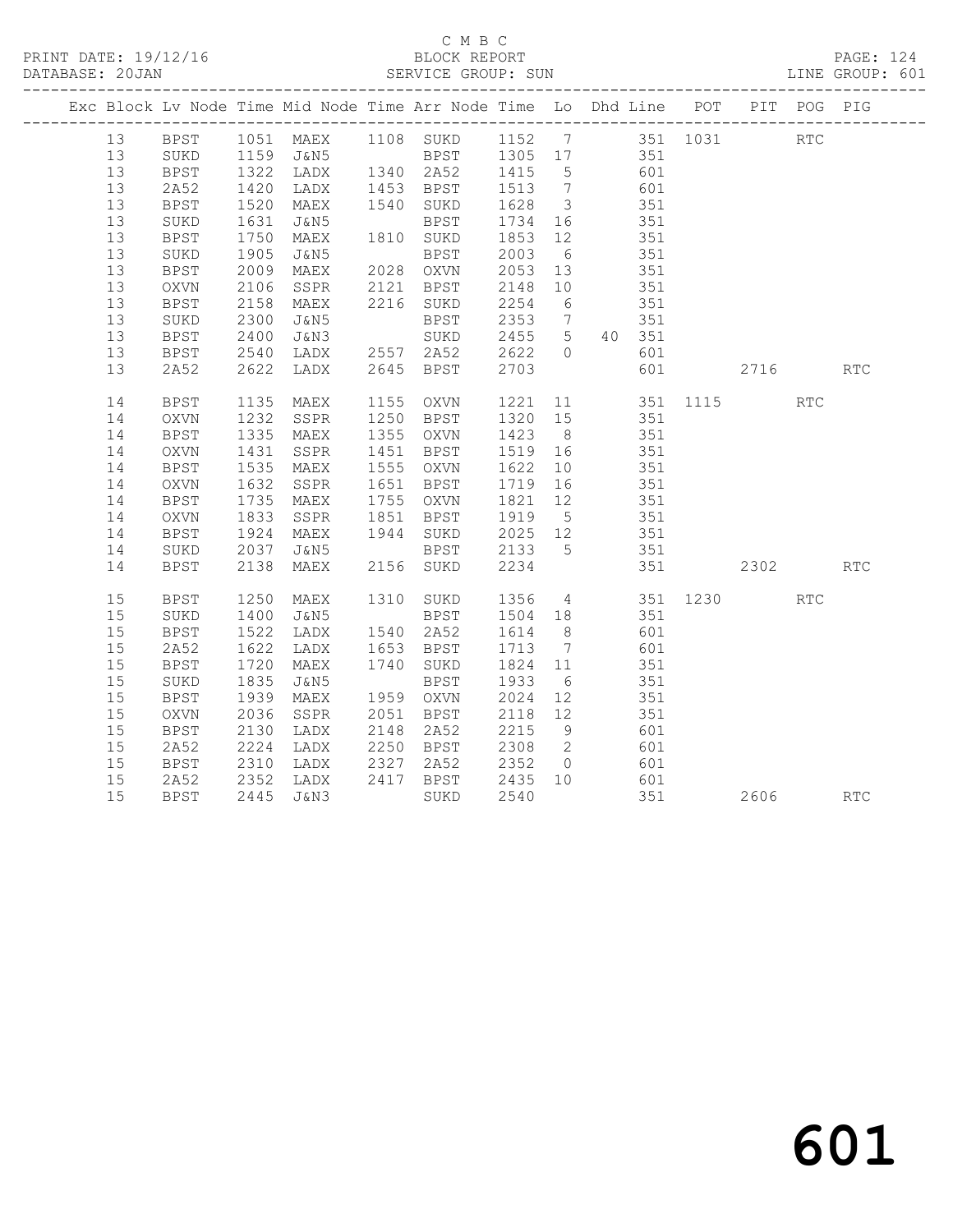|  |    |             |                      |                                  | Exc Block Lv Node Time Mid Node Time Arr Node Time Lo Dhd Line POT                    |                                                    |    |                                           |     |          | PIT POG PIG |     |
|--|----|-------------|----------------------|----------------------------------|---------------------------------------------------------------------------------------|----------------------------------------------------|----|-------------------------------------------|-----|----------|-------------|-----|
|  |    |             |                      |                                  | 13 BPST 1051 MAEX 1108 SUKD 1152 7 351 1031 RTC<br>13 SUKD 1159 J&N5 BPST 1305 17 351 |                                                    |    |                                           |     |          |             |     |
|  |    |             |                      |                                  |                                                                                       |                                                    |    |                                           |     |          |             |     |
|  | 13 | <b>BPST</b> |                      |                                  | 1322 LADX 1340 2A52 1415 5                                                            |                                                    |    | 601                                       |     |          |             |     |
|  | 13 | 2A52        | 1420<br>1520         | LADX 1453 BPST<br>MAEX 1540 SUKD |                                                                                       | 1513 7<br>1628 3                                   |    | 601<br>351                                |     |          |             |     |
|  | 13 | BPST        |                      |                                  |                                                                                       |                                                    |    |                                           |     |          |             |     |
|  | 13 | SUKD        | 1631                 | J&N5                             | BPST 1734 16                                                                          |                                                    |    | 351                                       |     |          |             |     |
|  | 13 | BPST        | 1750<br>1905         | MAEX                             | 1810 SUKD 1853 12<br>BPST 2003 6                                                      |                                                    |    | 351                                       |     |          |             |     |
|  | 13 | SUKD        |                      | J&N5                             |                                                                                       |                                                    |    |                                           | 351 |          |             |     |
|  | 13 | BPST        | 2009                 |                                  | MAEX 2028 OXVN 2053 13                                                                |                                                    |    | 351                                       |     |          |             |     |
|  | 13 | OXVN        | 2106                 | SSPR                             | 2121 BPST                                                                             | 2148 10                                            |    | 351                                       |     |          |             |     |
|  | 13 | <b>BPST</b> | 2158                 | MAEX                             | 2216 SUKD                                                                             | 2254 6                                             |    |                                           | 351 |          |             |     |
|  | 13 | SUKD        | 2300                 | J&N5                             | BPST                                                                                  |                                                    |    | $2353$ 7 $351$                            |     |          |             |     |
|  | 13 | BPST        | 2400                 | J&N3                             | SUKD                                                                                  |                                                    |    | 2455 5 40 351                             |     |          |             |     |
|  | 13 | BPST        | 2540<br>2622         | LADX 2557 2A52<br>LADX 2645 BPST |                                                                                       | $\begin{array}{cc} 2622 & 0 \\ 2703 & \end{array}$ |    |                                           | 601 |          |             |     |
|  | 13 | 2A52        | 2622                 |                                  |                                                                                       |                                                    |    |                                           | 601 | 2716 RTC |             |     |
|  | 14 | BPST        | 1135<br>1232         | MAEX                             | 1155 OXVN 1221 11 351 1115<br>1250 BPST 1320 15 351                                   |                                                    |    |                                           |     |          | <b>RTC</b>  |     |
|  | 14 | OXVN        |                      | SSPR                             |                                                                                       |                                                    |    |                                           |     |          |             |     |
|  | 14 | BPST        |                      | 1335 MAEX                        | 1355 OXVN                                                                             | 1423 8                                             |    | 351                                       |     |          |             |     |
|  | 14 | OXVN        | 1431                 | SSPR                             | 1451 BPST                                                                             | 1519 16                                            |    | 351                                       |     |          |             |     |
|  | 14 | BPST        | 1535                 | MAEX                             | 1555 OXVN                                                                             | 1622 10                                            |    |                                           | 351 |          |             |     |
|  | 14 | OXVN        | 1632                 | SSPR                             | 1651 BPST                                                                             | 1719 16                                            |    | $rac{1}{351}$                             |     |          |             |     |
|  | 14 | BPST        |                      | MAEX                             | 1755 OXVN                                                                             | 1821 12                                            |    | 351                                       |     |          |             |     |
|  | 14 | OXVN        | 1735<br>1833<br>1924 | SSPR                             | 1851 BPST                                                                             | 1919 5                                             |    | $\begin{array}{c} 351 \\ 351 \end{array}$ |     |          |             |     |
|  | 14 | BPST        |                      | MAEX                             | 1944 SUKD                                                                             | $2025$ 12                                          |    |                                           |     |          |             |     |
|  | 14 | SUKD        | 2037                 | J&N5                             | <b>BPST</b>                                                                           | 2133 5                                             |    | 351                                       |     |          |             |     |
|  | 14 | <b>BPST</b> | 2138                 | MAEX                             | 2156 SUKD                                                                             | 2234                                               |    |                                           | 351 | 2302     |             | RTC |
|  | 15 | BPST        | 1250                 | MAEX                             | 1310 SUKD 1356 4 351 1230                                                             |                                                    |    |                                           |     |          | RTC         |     |
|  | 15 | SUKD        | 1400<br>1522         | J&N5                             | BPST                                                                                  |                                                    |    | 1504 18 351<br>1614 8 601                 |     |          |             |     |
|  | 15 | <b>BPST</b> |                      | LADX                             | 1540 2A52                                                                             | 1614 8                                             |    |                                           | 601 |          |             |     |
|  | 15 | 2A52        | 1622                 | LADX                             | 1653 BPST                                                                             | 1713 7                                             |    | 601                                       |     |          |             |     |
|  | 15 | <b>BPST</b> | 1720                 | MAEX                             | 1740 SUKD                                                                             | 1824 11                                            |    | 351                                       |     |          |             |     |
|  | 15 | SUKD        | 1835                 | J&N5                             | BPST                                                                                  | 1933 6                                             |    |                                           | 351 |          |             |     |
|  | 15 | BPST        | 1939                 | MAEX                             | 1959 OXVN                                                                             | 2024                                               | 12 | $rac{351}{351}$                           |     |          |             |     |
|  | 15 | OXVN        | 2036                 | SSPR                             | 2051 BPST                                                                             | 2118 12                                            |    | 351                                       |     |          |             |     |
|  | 15 | <b>BPST</b> | 2130<br>2224         | LADX                             | 2148 2A52                                                                             | 2215 9<br>2308 2                                   |    |                                           | 601 |          |             |     |
|  | 15 | 2A52        |                      | LADX                             | 2250 BPST                                                                             |                                                    |    | 001                                       |     |          |             |     |
|  | 15 | <b>BPST</b> | 2310                 | LADX                             | 2327 2A52                                                                             |                                                    |    | 2352 0 601                                |     |          |             |     |
|  | 15 | 2A52        | 2352<br>2445         | LADX                             | 2417 BPST 2435 10                                                                     |                                                    |    | $601$<br>351                              |     |          |             |     |
|  | 15 | BPST        |                      | 2445 J&N3                        | SUKD                                                                                  | 2540                                               |    |                                           | 351 | 2606     |             | RTC |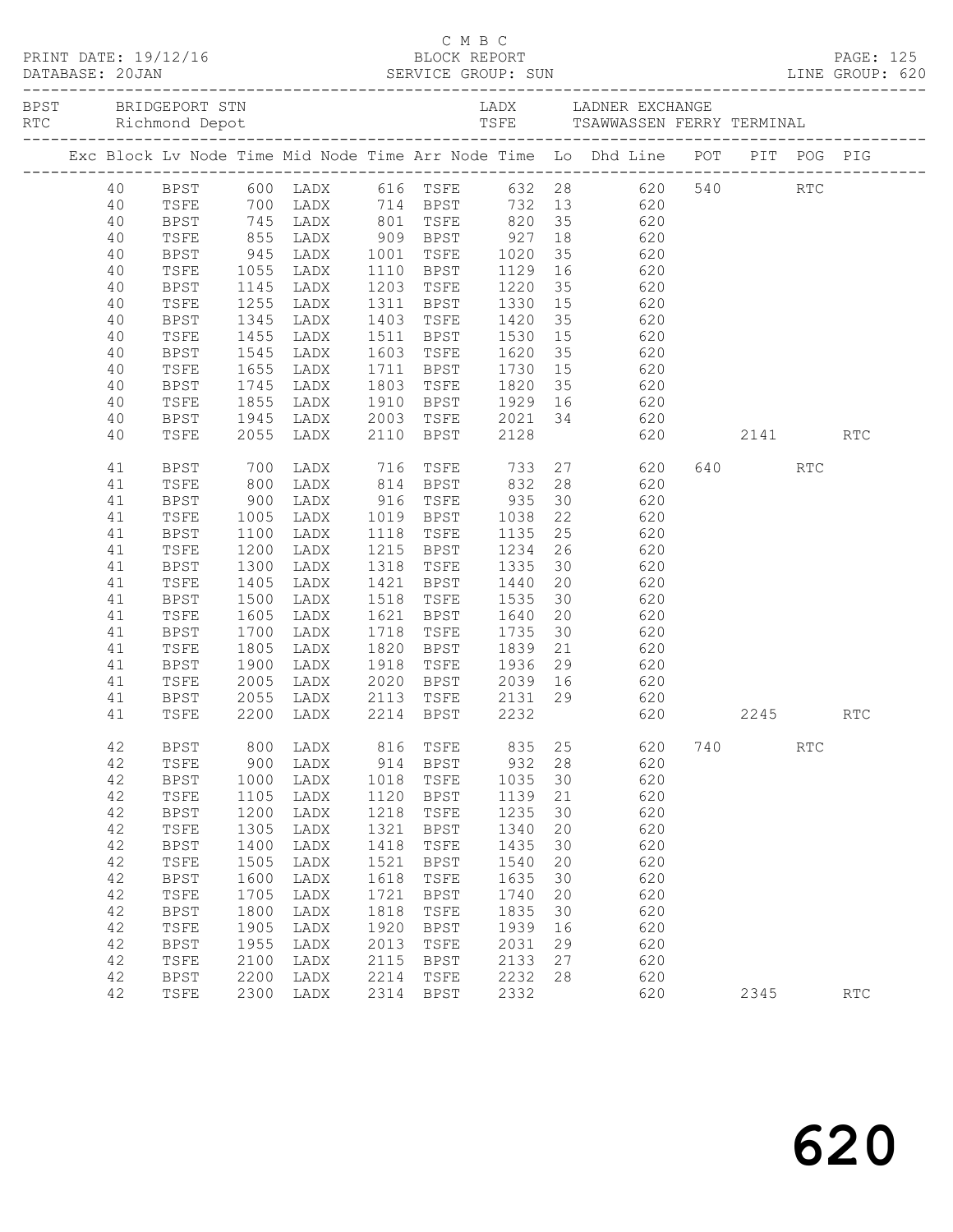|  | DATABASE: 20JAN | PRINT DATE: 19/12/16 |                           |           |      |                                                            |              |    |                                                                                                |     |         |            |            |
|--|-----------------|----------------------|---------------------------|-----------|------|------------------------------------------------------------|--------------|----|------------------------------------------------------------------------------------------------|-----|---------|------------|------------|
|  |                 |                      |                           |           |      |                                                            |              |    |                                                                                                |     |         |            |            |
|  |                 |                      |                           |           |      |                                                            |              |    | Exc Block Lv Node Time Mid Node Time Arr Node Time Lo Dhd Line POT PIT POG PIG                 |     |         |            |            |
|  |                 |                      |                           |           |      |                                                            |              |    | 40 BPST 600 LADX 616 TSFE 632 28 620 540 RTC                                                   |     |         |            |            |
|  | 40              | TSFE                 |                           |           |      |                                                            |              |    | 700 LADX 714 BPST 732 13 620                                                                   |     |         |            |            |
|  | 40              | BPST                 |                           |           |      |                                                            |              |    |                                                                                                |     |         |            |            |
|  | 40              | TSFE                 |                           |           |      |                                                            |              |    | 745 LADX 801 TSFE 820 35 620<br>855 LADX 909 BPST 927 18 620<br>945 LADX 1001 TSFE 1020 35 620 |     |         |            |            |
|  | 40              | BPST                 |                           |           |      |                                                            |              |    |                                                                                                |     |         |            |            |
|  | 40              | TSFE                 | 1055                      | LADX      |      |                                                            |              |    | 1110 BPST 1129 16 620                                                                          |     |         |            |            |
|  | 40              | BPST                 | 1145                      | LADX      |      | 1203 TSFE 1220                                             |              |    | 35 620                                                                                         |     |         |            |            |
|  | 40              | TSFE                 |                           | LADX      |      |                                                            |              |    |                                                                                                |     |         |            |            |
|  | 40              | BPST                 | 1255<br>1345              | LADX      |      |                                                            |              |    | 1311 BPST 1330 15 620<br>1403 TSFE 1420 35 620                                                 |     |         |            |            |
|  | 40              | TSFE                 | 1455                      | LADX      |      | 1511 BPST 1530 15                                          |              |    | 620                                                                                            |     |         |            |            |
|  | 40              | BPST                 | 1545                      | LADX      |      | 1603 TSFE 1620 35                                          |              |    | 620                                                                                            |     |         |            |            |
|  | 40              | TSFE                 |                           | LADX      |      |                                                            |              |    | 620                                                                                            |     |         |            |            |
|  | 40              | BPST                 | 1655<br>1745<br>1855      | LADX      |      | 1711   BPST       1730   15<br>1803   TSFE       1820   35 |              |    | 620                                                                                            |     |         |            |            |
|  | 40              | TSFE                 |                           | LADX      |      |                                                            |              |    | 1910 BPST 1929 16 620                                                                          |     |         |            |            |
|  | 40              | BPST                 | 1945                      | LADX      |      |                                                            |              |    | 2003 TSFE 2021 34 620                                                                          |     |         |            |            |
|  | 40              | TSFE                 |                           | 2055 LADX |      | 2110 BPST 2128                                             |              |    | 620 2141                                                                                       |     |         |            | <b>RTC</b> |
|  | 41              | BPST                 | 700                       | LADX      |      | 716 TSFE 733                                               |              |    | 27 620                                                                                         |     | 640 640 | <b>RTC</b> |            |
|  | 41              | TSFE                 | 800                       | LADX      |      | 814 BPST 832                                               |              |    | 28 620                                                                                         |     |         |            |            |
|  | 41              | <b>BPST</b>          |                           | LADX      |      |                                                            |              |    | 30 620                                                                                         |     |         |            |            |
|  | 41              | TSFE                 | $900$<br>$1005$<br>$1100$ | LADX      |      | 916 TSFE 935<br>1019 BPST 1038<br>1118 TSFE 1135           |              | 22 | 620                                                                                            |     |         |            |            |
|  | 41              | BPST                 |                           | LADX      |      |                                                            |              | 25 | 620                                                                                            |     |         |            |            |
|  | 41              | TSFE                 | 1200                      | LADX      |      | 1215 BPST 1234                                             |              | 26 | 620                                                                                            |     |         |            |            |
|  | 41              | BPST                 | 1300                      | LADX      | 1318 | TSFE                                                       | 1335         | 30 | 620                                                                                            |     |         |            |            |
|  | 41              | TSFE                 | 1405                      | LADX      |      | 1421 BPST                                                  |              |    |                                                                                                |     |         |            |            |
|  | 41              | BPST                 | 1500                      | LADX      |      | 1518 TSFE                                                  | 1440<br>1535 |    | 20 620<br>30 620                                                                               |     |         |            |            |
|  | 41              | TSFE                 | 1605                      | LADX      | 1621 | BPST 1640                                                  |              | 20 | 620                                                                                            |     |         |            |            |
|  | 41              | BPST                 | 1700                      | LADX      | 1718 | TSFE                                                       | 1735         | 30 | 620                                                                                            |     |         |            |            |
|  | 41              | TSFE                 |                           | LADX      |      | 1820 BPST                                                  | 1839         |    |                                                                                                |     |         |            |            |
|  | 41              | BPST                 | $180 -$<br>$1900 -$       | LADX      | 1918 | TSFE 1936                                                  |              |    | 21 620<br>29 620                                                                               |     |         |            |            |
|  | 41              | TSFE                 | 2005                      | LADX      |      | 2020 BPST 2039 16                                          |              |    | 620                                                                                            |     |         |            |            |
|  | 41              | BPST                 | 2055                      | LADX      |      |                                                            |              |    | 2113 TSFE 2131 29 620                                                                          |     |         |            |            |
|  | 41              | TSFE                 |                           | 2200 LADX |      | 2214 BPST 2232                                             |              |    | 620                                                                                            |     | 2245    |            | <b>RTC</b> |
|  | 42              | <b>BPST</b>          | 800                       | LADX      | 816  | TSFE                                                       | 835          | 25 | 620                                                                                            | 740 |         | <b>RTC</b> |            |
|  | 42              | TSFE                 | 900                       | LADX      | 914  | BPST                                                       | 932          | 28 | 620                                                                                            |     |         |            |            |
|  | 42              | <b>BPST</b>          | 1000                      | LADX      | 1018 | TSFE                                                       | 1035         | 30 | 620                                                                                            |     |         |            |            |
|  | 42              | TSFE                 | 1105                      | LADX      | 1120 | <b>BPST</b>                                                | 1139         | 21 | 620                                                                                            |     |         |            |            |
|  | 42              | BPST                 | 1200                      | LADX      | 1218 | TSFE                                                       | 1235         | 30 | 620                                                                                            |     |         |            |            |
|  | 42              | TSFE                 | 1305                      | LADX      | 1321 | <b>BPST</b>                                                | 1340         | 20 | 620                                                                                            |     |         |            |            |
|  | 42              | <b>BPST</b>          | 1400                      | LADX      | 1418 | TSFE                                                       | 1435         | 30 | 620                                                                                            |     |         |            |            |
|  | 42              | TSFE                 | 1505                      | LADX      | 1521 | <b>BPST</b>                                                | 1540         | 20 | 620                                                                                            |     |         |            |            |
|  | 42              | <b>BPST</b>          | 1600                      | LADX      | 1618 | TSFE                                                       | 1635         | 30 | 620                                                                                            |     |         |            |            |
|  | 42              | TSFE                 | 1705                      | LADX      | 1721 | <b>BPST</b>                                                | 1740         | 20 | 620                                                                                            |     |         |            |            |
|  | 42              | <b>BPST</b>          | 1800                      | LADX      | 1818 | TSFE                                                       | 1835         | 30 | 620                                                                                            |     |         |            |            |
|  | 42              | TSFE                 | 1905                      | LADX      | 1920 | <b>BPST</b>                                                | 1939         | 16 | 620                                                                                            |     |         |            |            |
|  | 42              | <b>BPST</b>          | 1955                      | LADX      | 2013 | TSFE                                                       | 2031         | 29 | 620                                                                                            |     |         |            |            |
|  | 42              | TSFE                 | 2100                      | LADX      | 2115 | <b>BPST</b>                                                | 2133         | 27 | 620                                                                                            |     |         |            |            |
|  | 42              | <b>BPST</b>          | 2200                      | LADX      | 2214 | TSFE                                                       | 2232         | 28 | 620                                                                                            |     |         |            |            |
|  | 42              | TSFE                 | 2300                      | LADX      | 2314 | <b>BPST</b>                                                | 2332         |    | 620                                                                                            |     | 2345    |            | RTC        |